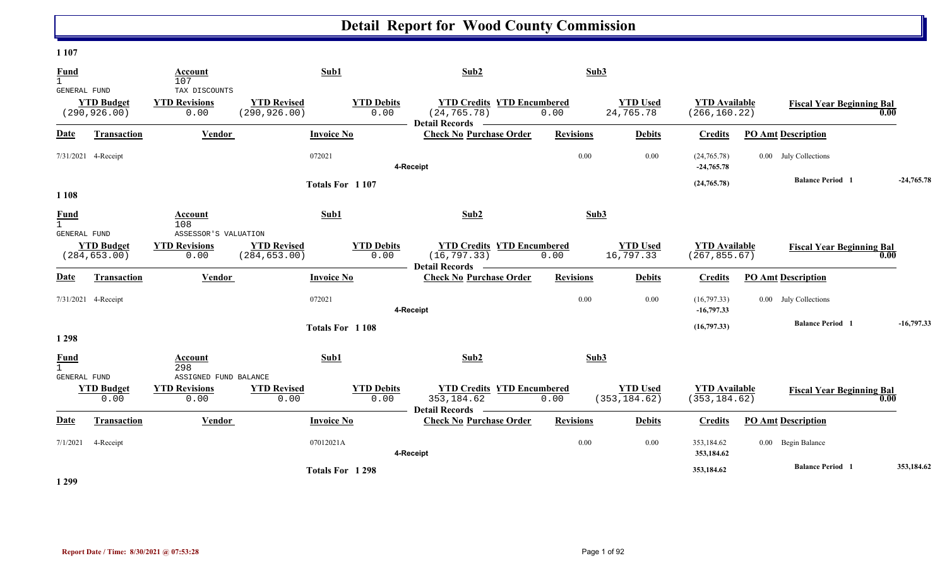#### **1 107**

| <b>Fund</b><br>$\mathbf{1}$                        |                                    | Account<br>107                                | Sub1                                |                           | Sub2                                                                       | Sub3             |                                  |                                       |                                  |              |
|----------------------------------------------------|------------------------------------|-----------------------------------------------|-------------------------------------|---------------------------|----------------------------------------------------------------------------|------------------|----------------------------------|---------------------------------------|----------------------------------|--------------|
| GENERAL FUND                                       | <b>YTD Budget</b><br>(290, 926.00) | TAX DISCOUNTS<br><b>YTD Revisions</b><br>0.00 | <b>YTD Revised</b><br>(290, 926.00) | <b>YTD Debits</b><br>0.00 | <b>YTD Credits YTD Encumbered</b><br>(24, 765.78)<br><b>Detail Records</b> | 0.00             | <b>YTD Used</b><br>24,765.78     | <b>YTD Available</b><br>(266, 160.22) | <b>Fiscal Year Beginning Bal</b> | 0.00         |
| Date                                               | <b>Transaction</b>                 | Vendor                                        | <b>Invoice No</b>                   |                           | <b>Check No Purchase Order</b>                                             | <b>Revisions</b> | <b>Debits</b>                    | <b>Credits</b>                        | <b>PO Amt Description</b>        |              |
|                                                    | 7/31/2021 4-Receipt                |                                               | 072021                              |                           | 4-Receipt                                                                  | 0.00             | 0.00                             | (24,765.78)<br>$-24,765.78$           | 0.00 July Collections            |              |
| 1 1 0 8                                            |                                    |                                               |                                     | Totals For 1107           |                                                                            |                  |                                  | (24, 765.78)                          | <b>Balance Period 1</b>          | $-24,765,78$ |
| <b>Fund</b><br>$\mathbf{1}$<br><b>GENERAL FUND</b> |                                    | Account<br>108<br>ASSESSOR'S VALUATION        | Sub1                                |                           | Sub2                                                                       | Sub3             |                                  |                                       |                                  |              |
|                                                    | <b>YTD Budget</b><br>(284, 653.00) | <b>YTD Revisions</b><br>0.00                  | <b>YTD Revised</b><br>(284, 653.00) | <b>YTD Debits</b><br>0.00 | <b>YTD Credits YTD Encumbered</b><br>(16, 797.33)                          | 0.00             | <b>YTD Used</b><br>16,797.33     | <b>YTD Available</b><br>(267, 855.67) | <b>Fiscal Year Beginning Bal</b> | 0.00         |
| <b>Date</b>                                        | <b>Transaction</b>                 | Vendor                                        | <b>Invoice No</b>                   |                           | Detail Records —<br><b>Check No Purchase Order</b>                         | <b>Revisions</b> | <b>Debits</b>                    | <b>Credits</b>                        | <b>PO Amt Description</b>        |              |
|                                                    | 7/31/2021 4-Receipt                |                                               | 072021                              |                           | 4-Receipt                                                                  | 0.00             | 0.00                             | (16,797.33)<br>$-16,797.33$           | 0.00 July Collections            |              |
| 1 2 9 8                                            |                                    |                                               |                                     | Totals For 1108           |                                                                            |                  |                                  | (16,797.33)                           | <b>Balance Period 1</b>          | $-16,797.33$ |
| Fund<br>GENERAL FUND                               |                                    | Account<br>298<br>ASSIGNED FUND BALANCE       | Sub1                                |                           | Sub2                                                                       | Sub3             |                                  |                                       |                                  |              |
|                                                    | <b>YTD Budget</b><br>0.00          | <b>YTD Revisions</b><br>0.00                  | <b>YTD Revised</b><br>0.00          | <b>YTD Debits</b><br>0.00 | <b>YTD Credits YTD Encumbered</b><br>353, 184.62<br><b>Detail Records</b>  | 0.00             | <b>YTD Used</b><br>(353, 184.62) | <b>YTD Available</b><br>(353, 184.62) | <b>Fiscal Year Beginning Bal</b> | 0.00         |
| Date                                               | <b>Transaction</b>                 | Vendor                                        | <b>Invoice No</b>                   |                           | <b>Check No Purchase Order</b>                                             | <b>Revisions</b> | <b>Debits</b>                    | <b>Credits</b>                        | <b>PO Amt Description</b>        |              |
| 7/1/2021                                           | 4-Receipt                          |                                               | 07012021A                           |                           | 4-Receipt                                                                  | 0.00             | 0.00                             | 353,184.62<br>353,184.62              | 0.00 Begin Balance               |              |
|                                                    |                                    |                                               |                                     | Totals For 1298           |                                                                            |                  |                                  | 353,184.62                            | <b>Balance Period</b> 1          | 353,184.62   |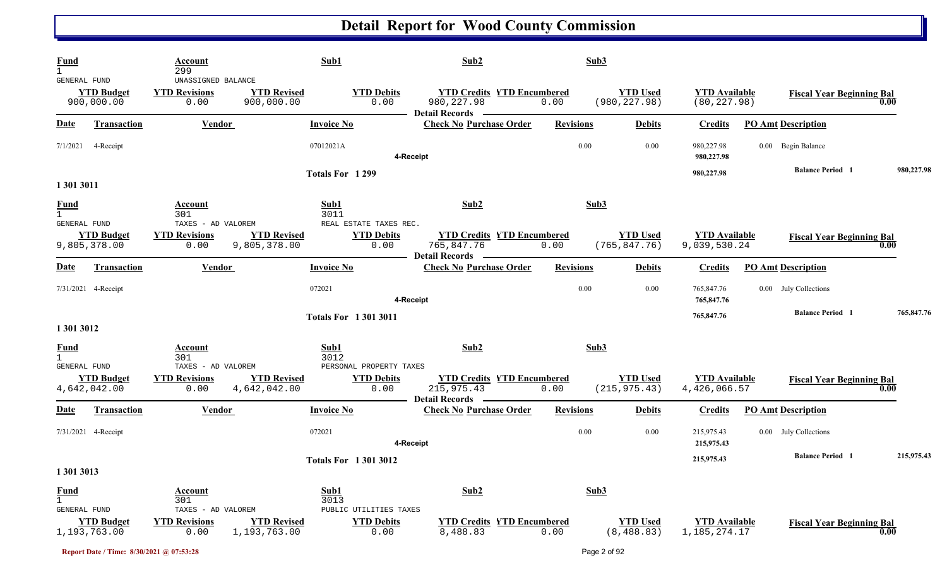| <b>Fund</b><br>$\mathbf{1}$<br>GENERAL FUND | <b>YTD Budget</b><br>900,000.00   | <b>Account</b><br>299<br>UNASSIGNED BALANCE<br><b>YTD Revisions</b><br>0.00 | <b>YTD Revised</b><br>900,000.00   | Sub1<br><b>YTD Debits</b><br>0.00                    | Sub2<br><b>YTD Credits YTD Encumbered</b><br>980, 227.98<br>Detail Records ————              | Sub3<br>0.00     | <b>YTD Used</b><br>(980, 227.98) | <b>YTD</b> Available<br>(80, 227.98)    | <b>Fiscal Year Beginning Bal</b> | 0.00       |
|---------------------------------------------|-----------------------------------|-----------------------------------------------------------------------------|------------------------------------|------------------------------------------------------|----------------------------------------------------------------------------------------------|------------------|----------------------------------|-----------------------------------------|----------------------------------|------------|
| <u>Date</u>                                 | <b>Transaction</b>                | <b>Vendor</b>                                                               |                                    | <b>Invoice No</b>                                    | <b>Check No Purchase Order</b>                                                               | <b>Revisions</b> | <b>Debits</b>                    | <b>Credits</b>                          | <b>PO Amt Description</b>        |            |
| 7/1/2021                                    | 4-Receipt                         |                                                                             |                                    | 07012021A                                            | 4-Receipt                                                                                    | $0.00\,$         | 0.00                             | 980,227.98<br>980,227.98                | 0.00 Begin Balance               |            |
|                                             |                                   |                                                                             |                                    | Totals For 1299                                      |                                                                                              |                  |                                  | 980,227.98                              | <b>Balance Period</b> 1          | 980,227.98 |
| 1 301 3011                                  |                                   |                                                                             |                                    |                                                      |                                                                                              |                  |                                  |                                         |                                  |            |
| <b>Fund</b><br><b>GENERAL FUND</b>          |                                   | Account<br>301<br>TAXES - AD VALOREM                                        |                                    | Sub1<br>3011<br>REAL ESTATE TAXES REC.               | Sub2                                                                                         | Sub3             |                                  |                                         |                                  |            |
|                                             | <b>YTD Budget</b><br>9,805,378.00 | <b>YTD Revisions</b><br>0.00                                                | <b>YTD Revised</b><br>9,805,378.00 | <b>YTD Debits</b><br>0.00                            | <b>YTD Credits YTD Encumbered</b><br>765,847.76<br><b>Detail Records</b><br>$\sim$ 100 $\mu$ | 0.00             | <b>YTD Used</b><br>(765, 847.76) | <b>YTD Available</b><br>9,039,530.24    | <b>Fiscal Year Beginning Bal</b> | 0.00       |
| <b>Date</b>                                 | <b>Transaction</b>                | Vendor                                                                      |                                    | <b>Invoice No</b>                                    | <b>Check No Purchase Order</b>                                                               | <b>Revisions</b> | <b>Debits</b>                    | <b>Credits</b>                          | <b>PO Amt Description</b>        |            |
|                                             | 7/31/2021 4-Receipt               |                                                                             |                                    | 072021                                               | 4-Receipt                                                                                    | $0.00\,$         | 0.00                             | 765,847.76<br>765,847.76                | 0.00 July Collections            |            |
| 1 301 3012                                  |                                   |                                                                             |                                    | <b>Totals For 13013011</b>                           |                                                                                              |                  |                                  | 765,847.76                              | <b>Balance Period 1</b>          | 765,847.76 |
| <b>Fund</b>                                 |                                   | Account<br>301                                                              |                                    | Sub1<br>3012                                         | Sub2                                                                                         | Sub3             |                                  |                                         |                                  |            |
| GENERAL FUND                                | <b>YTD Budget</b><br>4,642,042.00 | TAXES - AD VALOREM<br><b>YTD Revisions</b><br>0.00                          | <b>YTD Revised</b><br>4,642,042.00 | PERSONAL PROPERTY TAXES<br><b>YTD Debits</b><br>0.00 | <b>YTD Credits YTD Encumbered</b><br>215, 975.43                                             | 0.00             | <b>YTD</b> Used<br>(215, 975.43) | <b>YTD Available</b><br>4,426,066.57    | <b>Fiscal Year Beginning Bal</b> | 0.00       |
| <u>Date</u>                                 | <b>Transaction</b>                | <b>Vendor</b>                                                               |                                    | <b>Invoice No</b>                                    | <b>Detail Records</b><br><b>Check No Purchase Order</b>                                      | <b>Revisions</b> | <b>Debits</b>                    | <b>Credits</b>                          | <b>PO Amt Description</b>        |            |
|                                             | 7/31/2021 4-Receipt               |                                                                             |                                    | 072021                                               | 4-Receipt                                                                                    | $0.00\,$         | 0.00                             | 215,975.43<br>215,975.43                | 0.00 July Collections            |            |
| 1 301 3013                                  |                                   |                                                                             |                                    | <b>Totals For 13013012</b>                           |                                                                                              |                  |                                  | 215,975.43                              | <b>Balance Period</b> 1          | 215,975.43 |
| <b>Fund</b><br>$\mathbf{1}$<br>GENERAL FUND |                                   | <b>Account</b><br>301<br>TAXES - AD VALOREM                                 |                                    | Sub1<br>3013<br>PUBLIC UTILITIES TAXES               | Sub2                                                                                         | Sub3             |                                  |                                         |                                  |            |
|                                             | <b>YTD Budget</b><br>1,193,763.00 | <b>YTD Revisions</b><br>0.00                                                | <b>YTD Revised</b><br>1,193,763.00 | <b>YTD Debits</b><br>0.00                            | <b>YTD Credits YTD Encumbered</b><br>8,488.83                                                | 0.00             | <b>YTD Used</b><br>(8, 488.83)   | <b>YTD</b> Available<br>1, 185, 274. 17 | <b>Fiscal Year Beginning Bal</b> | 0.00       |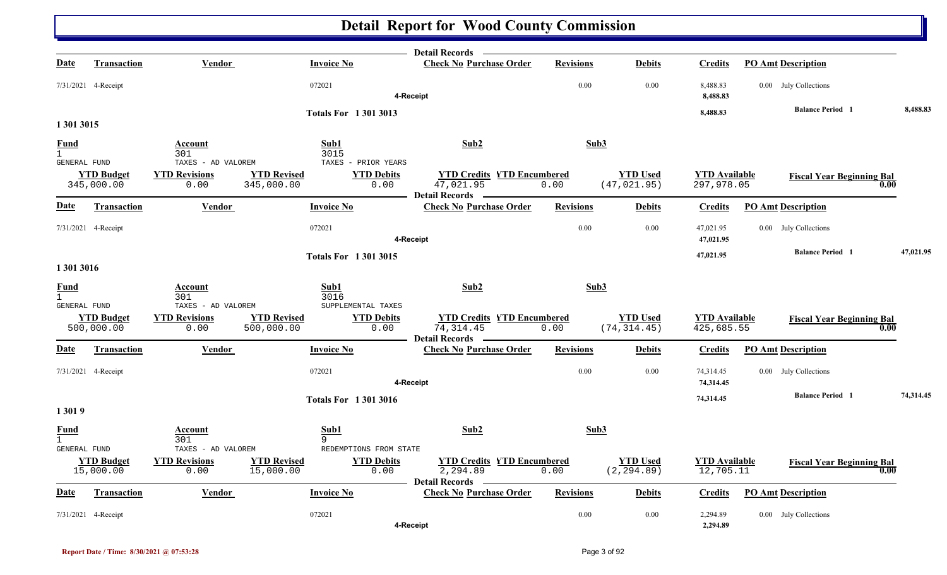|                              |                                 |                                            |                                                                   | Detail Records -                                                         |                  |                                 |                                    |                                  |           |
|------------------------------|---------------------------------|--------------------------------------------|-------------------------------------------------------------------|--------------------------------------------------------------------------|------------------|---------------------------------|------------------------------------|----------------------------------|-----------|
| <u>Date</u>                  | <b>Transaction</b>              | Vendor                                     | <b>Invoice No</b>                                                 | <b>Check No Purchase Order</b>                                           | <b>Revisions</b> | <b>Debits</b>                   | <b>Credits</b>                     | <b>PO Amt Description</b>        |           |
|                              | 7/31/2021 4-Receipt             |                                            | 072021                                                            | 4-Receipt                                                                | 0.00             | 0.00                            | 8,488.83<br>8,488.83               | 0.00 July Collections            |           |
|                              |                                 |                                            | <b>Totals For 13013013</b>                                        |                                                                          |                  |                                 | 8,488.83                           | <b>Balance Period 1</b>          | 8,488.83  |
| 1 301 3015                   |                                 |                                            |                                                                   |                                                                          |                  |                                 |                                    |                                  |           |
| <b>Fund</b>                  |                                 | Account                                    | Sub1                                                              | Sub2                                                                     | Sub3             |                                 |                                    |                                  |           |
| $\mathbf{1}$<br>GENERAL FUND |                                 | 301<br>TAXES - AD VALOREM                  | 3015<br>TAXES - PRIOR YEARS                                       |                                                                          |                  |                                 |                                    |                                  |           |
|                              | <b>YTD Budget</b><br>345,000.00 | <b>YTD Revisions</b><br>0.00               | <b>YTD Revised</b><br><b>YTD Debits</b><br>345,000.00<br>0.00     | <b>YTD Credits YTD Encumbered</b><br>47,021.95<br>Detail Records —       | 0.00             | <b>YTD</b> Used<br>(47, 021.95) | <b>YTD</b> Available<br>297,978.05 | <b>Fiscal Year Beginning Bal</b> | 0.00      |
| <u>Date</u>                  | Transaction                     | Vendor                                     | <b>Invoice No</b>                                                 | <b>Check No Purchase Order</b>                                           | <b>Revisions</b> | <b>Debits</b>                   | <b>Credits</b>                     | <b>PO Amt Description</b>        |           |
|                              | 7/31/2021 4-Receipt             |                                            | 072021                                                            | 4-Receipt                                                                | 0.00             | 0.00                            | 47,021.95<br>47,021.95             | 0.00 July Collections            |           |
|                              |                                 |                                            | <b>Totals For 13013015</b>                                        |                                                                          |                  |                                 | 47,021.95                          | <b>Balance Period 1</b>          | 47,021.95 |
| 1 301 3016                   |                                 |                                            |                                                                   |                                                                          |                  |                                 |                                    |                                  |           |
| <b>Fund</b>                  |                                 | Account                                    | Sub1                                                              | Sub2                                                                     | Sub3             |                                 |                                    |                                  |           |
| $\mathbf{1}$<br>GENERAL FUND |                                 | 301<br>TAXES - AD VALOREM                  | 3016<br>SUPPLEMENTAL TAXES                                        |                                                                          |                  |                                 |                                    |                                  |           |
|                              | <b>YTD Budget</b><br>500,000.00 | <b>YTD Revisions</b><br>0.00               | <b>YTD Revised</b><br><b>YTD Debits</b><br>500,000.00<br>0.00     | <b>YTD Credits YTD Encumbered</b><br>74, 314.45<br><b>Detail Records</b> | 0.00             | <b>YTD Used</b><br>(74, 314.45) | <b>YTD</b> Available<br>425,685.55 | <b>Fiscal Year Beginning Bal</b> | 0.00      |
| <u>Date</u>                  | <b>Transaction</b>              | Vendor                                     | <b>Invoice No</b>                                                 | <b>Check No Purchase Order</b>                                           | <b>Revisions</b> | <b>Debits</b>                   | <b>Credits</b>                     | <b>PO Amt Description</b>        |           |
|                              | 7/31/2021 4-Receipt             |                                            | 072021                                                            | 4-Receipt                                                                | 0.00             | 0.00                            | 74,314.45<br>74,314.45             | 0.00 July Collections            |           |
| 13019                        |                                 |                                            | <b>Totals For 13013016</b>                                        |                                                                          |                  |                                 | 74,314.45                          | <b>Balance Period</b> 1          | 74,314.45 |
| <b>Fund</b><br>$\mathbf{1}$  |                                 | <b>Account</b><br>301                      | Sub1<br>9                                                         | Sub2                                                                     | Sub3             |                                 |                                    |                                  |           |
| GENERAL FUND                 | <b>YTD Budget</b>               | TAXES - AD VALOREM<br><b>YTD Revisions</b> | REDEMPTIONS FROM STATE<br><b>YTD Revised</b><br><b>YTD Debits</b> | <b>YTD Credits YTD Encumbered</b>                                        |                  | <b>YTD Used</b>                 | <b>YTD Available</b>               |                                  |           |
|                              | 15,000.00                       | 0.00                                       | 15,000.00<br>0.00                                                 | 2,294.89<br><b>Detail Records</b>                                        | 0.00             | (2, 294.89)                     | 12,705.11                          | <b>Fiscal Year Beginning Bal</b> | 0.00      |
| <u>Date</u>                  | <b>Transaction</b>              | <b>Vendor</b>                              | <b>Invoice No</b>                                                 | <b>Check No Purchase Order</b>                                           | <b>Revisions</b> | <b>Debits</b>                   | <b>Credits</b>                     | <b>PO Amt Description</b>        |           |
|                              | 7/31/2021 4-Receipt             |                                            | 072021                                                            | 4-Receipt                                                                | 0.00             | 0.00                            | 2,294.89<br>2,294.89               | 0.00 July Collections            |           |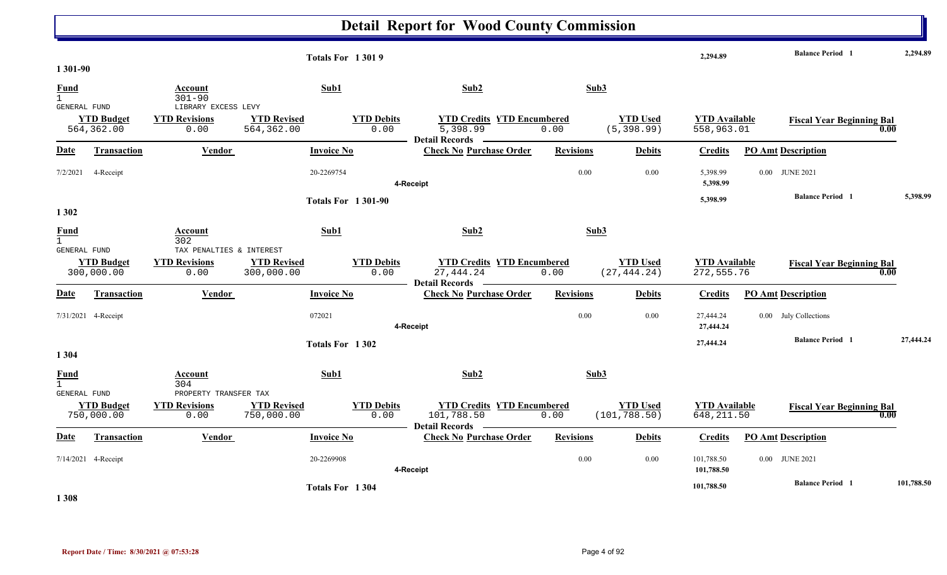|                      |                                 |                                               | <b>Totals For 13019</b>          |                           |                                                                          |                  |                                 | 2,294.89                           | <b>Balance Period 1</b>          |      | 2,294.89   |
|----------------------|---------------------------------|-----------------------------------------------|----------------------------------|---------------------------|--------------------------------------------------------------------------|------------------|---------------------------------|------------------------------------|----------------------------------|------|------------|
| 1 301-90             |                                 |                                               |                                  |                           |                                                                          |                  |                                 |                                    |                                  |      |            |
| Fund<br>$\mathbf{1}$ |                                 | Account<br>$301 - 90$                         | Sub1                             |                           | Sub2                                                                     | Sub3             |                                 |                                    |                                  |      |            |
| GENERAL FUND         |                                 | LIBRARY EXCESS LEVY                           |                                  |                           |                                                                          |                  |                                 |                                    |                                  |      |            |
|                      | <b>YTD Budget</b><br>564,362.00 | <b>YTD Revisions</b><br>0.00                  | <b>YTD Revised</b><br>564,362.00 | <b>YTD Debits</b><br>0.00 | <b>YTD Credits YTD Encumbered</b><br>5,398.99<br>Detail Records ________ | 0.00             | <b>YTD Used</b><br>(5, 398.99)  | <b>YTD Available</b><br>558,963.01 | <b>Fiscal Year Beginning Bal</b> | 0.00 |            |
| <b>Date</b>          | Transaction                     | Vendor                                        | <b>Invoice No</b>                |                           | <b>Check No Purchase Order</b>                                           | <b>Revisions</b> | <b>Debits</b>                   | <b>Credits</b>                     | <b>PO Amt Description</b>        |      |            |
| 7/2/2021             | 4-Receipt                       |                                               | 20-2269754                       |                           | 4-Receipt                                                                | 0.00             | 0.00                            | 5,398.99<br>5,398.99               | 0.00 JUNE 2021                   |      |            |
|                      |                                 |                                               |                                  | <b>Totals For 1301-90</b> |                                                                          |                  |                                 | 5,398.99                           | <b>Balance Period 1</b>          |      | 5,398.99   |
| 1 3 0 2              |                                 |                                               |                                  |                           |                                                                          |                  |                                 |                                    |                                  |      |            |
| <b>Fund</b><br>1     |                                 | Account<br>302                                | Sub1                             |                           | Sub2                                                                     | Sub3             |                                 |                                    |                                  |      |            |
| GENERAL FUND         |                                 | TAX PENALTIES & INTEREST                      |                                  |                           |                                                                          |                  |                                 |                                    |                                  |      |            |
|                      | <b>YTD Budget</b><br>300,000.00 | <b>YTD Revisions</b><br>0.00                  | <b>YTD Revised</b><br>300,000.00 | <b>YTD Debits</b><br>0.00 | <b>YTD Credits YTD Encumbered</b><br>27,444.24<br>Detail Records —       | 0.00             | <b>YTD Used</b><br>(27, 444.24) | <b>YTD Available</b><br>272,555.76 | <b>Fiscal Year Beginning Bal</b> | 0.00 |            |
| Date                 | <b>Transaction</b>              | Vendor                                        | <b>Invoice No</b>                |                           | <b>Check No Purchase Order</b>                                           | <b>Revisions</b> | <b>Debits</b>                   | <b>Credits</b>                     | <b>PO Amt Description</b>        |      |            |
|                      | 7/31/2021 4-Receipt             |                                               | 072021                           |                           | 4-Receipt                                                                | 0.00             | 0.00                            | 27,444.24<br>27,444.24             | 0.00 July Collections            |      |            |
|                      |                                 |                                               | Totals For 1302                  |                           |                                                                          |                  |                                 | 27,444.24                          | <b>Balance Period 1</b>          |      | 27,444.24  |
| 1 3 0 4              |                                 |                                               |                                  |                           |                                                                          |                  |                                 |                                    |                                  |      |            |
| Fund<br>$\mathbf{1}$ |                                 | Account<br>304                                | Sub1                             |                           | Sub2                                                                     | Sub3             |                                 |                                    |                                  |      |            |
| GENERAL FUND         | <b>YTD Budget</b>               | PROPERTY TRANSFER TAX<br><b>YTD Revisions</b> | <b>YTD Revised</b>               | <b>YTD Debits</b>         | <b>YTD Credits YTD Encumbered</b>                                        |                  | <b>YTD Used</b>                 | <b>YTD Available</b>               |                                  |      |            |
|                      | 750,000.00                      | 0.00                                          | 750,000.00                       | 0.00                      | 101,788.50<br>Detail Records —                                           | 0.00             | (101, 788.50)                   | 648, 211.50                        | <b>Fiscal Year Beginning Bal</b> | 0.00 |            |
| Date                 | <b>Transaction</b>              | Vendor                                        | <b>Invoice No</b>                |                           | <b>Check No Purchase Order</b>                                           | <b>Revisions</b> | <b>Debits</b>                   | <b>Credits</b>                     | <b>PO Amt Description</b>        |      |            |
|                      | 7/14/2021 4-Receipt             |                                               | 20-2269908                       |                           | 4-Receipt                                                                | 0.00             | 0.00                            | 101,788.50<br>101,788.50           | 0.00 JUNE 2021                   |      |            |
| 1.200                |                                 |                                               | Totals For 1304                  |                           |                                                                          |                  |                                 | 101,788.50                         | <b>Balance Period</b> 1          |      | 101,788.50 |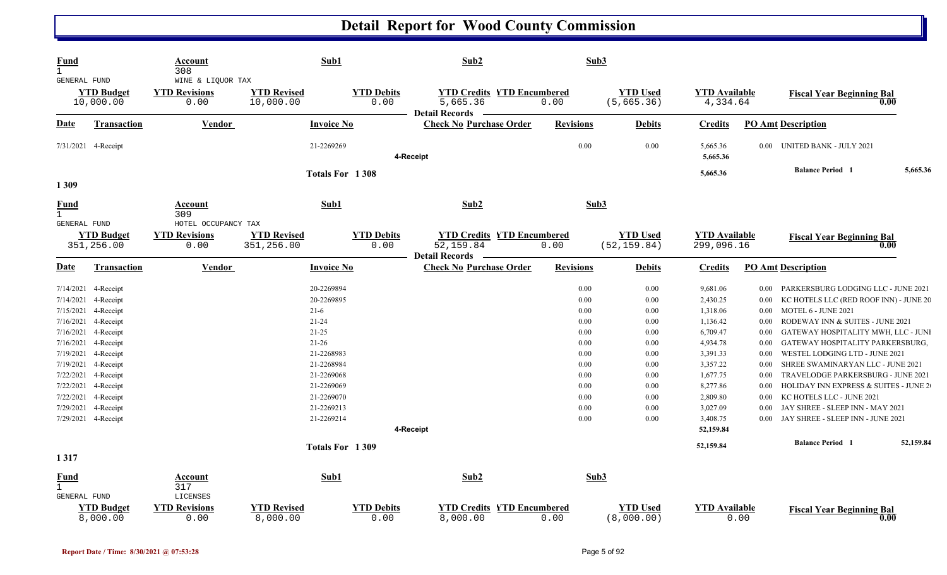| <b>Fund</b><br>$\mathbf{1}$<br>GENERAL FUND     |                    | Account<br>308<br>WINE & LIQUOR TAX                 |                                  | Sub1                      | Sub2                                                                     | Sub3             |                                 |                                    |          |                                                  |           |
|-------------------------------------------------|--------------------|-----------------------------------------------------|----------------------------------|---------------------------|--------------------------------------------------------------------------|------------------|---------------------------------|------------------------------------|----------|--------------------------------------------------|-----------|
| <b>YTD Budget</b><br>10,000.00                  |                    | <b>YTD Revisions</b><br>0.00                        | <b>YTD Revised</b><br>10,000.00  | <b>YTD Debits</b><br>0.00 | <b>YTD Credits YTD Encumbered</b><br>5,665.36<br><b>Detail Records</b>   | 0.00             | <b>YTD Used</b><br>(5, 665.36)  | <b>YTD Available</b><br>4,334.64   |          | <b>Fiscal Year Beginning Bal</b><br>0.00         |           |
| <u>Date</u>                                     | <b>Transaction</b> | <b>Vendor</b>                                       |                                  | <b>Invoice No</b>         | <b>Check No Purchase Order</b>                                           | <b>Revisions</b> | <b>Debits</b>                   | <b>Credits</b>                     |          | <b>PO Amt Description</b>                        |           |
| 7/31/2021 4-Receipt                             |                    |                                                     |                                  | 21-2269269                | 4-Receipt                                                                | 0.00             | 0.00                            | 5,665.36<br>5,665.36               | $0.00\,$ | UNITED BANK - JULY 2021                          |           |
| 1309                                            |                    |                                                     |                                  | Totals For 1308           |                                                                          |                  |                                 | 5,665.36                           |          | <b>Balance Period</b> 1                          | 5,665.36  |
| <b>Fund</b><br>$\mathbf{1}$                     |                    | Account<br>309                                      |                                  | Sub1                      | Sub2                                                                     | Sub3             |                                 |                                    |          |                                                  |           |
| GENERAL FUND<br><b>YTD Budget</b><br>351,256.00 |                    | HOTEL OCCUPANCY TAX<br><b>YTD Revisions</b><br>0.00 | <b>YTD Revised</b><br>351,256.00 | <b>YTD Debits</b><br>0.00 | <b>YTD Credits YTD Encumbered</b><br>52, 159.84<br><b>Detail Records</b> | 0.00             | <b>YTD Used</b><br>(52, 159.84) | <b>YTD Available</b><br>299,096.16 |          | <b>Fiscal Year Beginning Bal</b><br>0.00         |           |
| Date                                            | Transaction        | <b>Vendor</b>                                       |                                  | <b>Invoice No</b>         | <b>Check No Purchase Order</b>                                           | <b>Revisions</b> | <b>Debits</b>                   | <b>Credits</b>                     |          | <b>PO Amt Description</b>                        |           |
| 7/14/2021<br>4-Receipt                          |                    |                                                     |                                  | 20-2269894                |                                                                          | 0.00             | 0.00                            | 9,681.06                           | $0.00\,$ | PARKERSBURG LODGING LLC - JUNE 2021              |           |
| 7/14/2021<br>4-Receipt                          |                    |                                                     |                                  | 20-2269895                |                                                                          | 0.00             | 0.00                            | 2,430.25                           | 0.00     | KC HOTELS LLC (RED ROOF INN) - JUNE 20           |           |
| 7/15/2021<br>4-Receipt                          |                    |                                                     |                                  | $21-6$                    |                                                                          | 0.00             | 0.00                            | 1,318.06                           | $0.00\,$ | MOTEL 6 - JUNE 2021                              |           |
| 7/16/2021<br>4-Receipt                          |                    |                                                     |                                  | $21 - 24$                 |                                                                          | 0.00             | 0.00                            | 1,136.42                           | $0.00\,$ | RODEWAY INN & SUITES - JUNE 2021                 |           |
| 7/16/2021<br>4-Receipt                          |                    |                                                     |                                  | $21-25$                   |                                                                          | 0.00             | 0.00                            | 6,709.47                           | 0.00     | GATEWAY HOSPITALITY MWH, LLC - JUNI              |           |
| 7/16/2021<br>4-Receipt                          |                    |                                                     |                                  | $21 - 26$                 |                                                                          | 0.00             | 0.00                            | 4,934.78                           | $0.00\,$ | GATEWAY HOSPITALITY PARKERSBURG,                 |           |
| 7/19/2021<br>4-Receipt                          |                    |                                                     |                                  | 21-2268983                |                                                                          | 0.00             | 0.00                            | 3,391.33                           | 0.00     | WESTEL LODGING LTD - JUNE 2021                   |           |
| 7/19/2021<br>4-Receipt                          |                    |                                                     |                                  | 21-2268984                |                                                                          | 0.00             | 0.00                            | 3,357.22                           | 0.00     | SHREE SWAMINARYAN LLC - JUNE 2021                |           |
| 7/22/2021<br>4-Receipt                          |                    |                                                     |                                  | 21-2269068                |                                                                          | 0.00             | 0.00                            | 1,677.75                           | 0.00     | TRAVELODGE PARKERSBURG - JUNE 2021               |           |
| 7/22/2021<br>4-Receipt                          |                    |                                                     |                                  | 21-2269069                |                                                                          | 0.00             | 0.00                            | 8,277.86                           | 0.00     | <b>HOLIDAY INN EXPRESS &amp; SUITES - JUNE 2</b> |           |
| 7/22/2021<br>4-Receipt                          |                    |                                                     |                                  | 21-2269070                |                                                                          | 0.00             | 0.00                            | 2,809.80                           | 0.00     | KC HOTELS LLC - JUNE 2021                        |           |
| 7/29/2021<br>4-Receipt                          |                    |                                                     |                                  | 21-2269213                |                                                                          | 0.00             | 0.00                            | 3,027.09                           | 0.00     | JAY SHREE - SLEEP INN - MAY 2021                 |           |
| 7/29/2021 4-Receipt                             |                    |                                                     |                                  | 21-2269214                | 4-Receipt                                                                | 0.00             | 0.00                            | 3,408.75<br>52,159.84              | $0.00\,$ | JAY SHREE - SLEEP INN - JUNE 2021                |           |
|                                                 |                    |                                                     |                                  |                           |                                                                          |                  |                                 |                                    |          |                                                  |           |
| 1317                                            |                    |                                                     |                                  | Totals For 1309           |                                                                          |                  |                                 | 52,159.84                          |          | <b>Balance Period</b> 1                          | 52,159.84 |
| Fund<br>$\mathbf{1}$<br>GENERAL FUND            |                    | Account<br>317<br>LICENSES                          |                                  | Sub1                      | Sub2                                                                     | Sub3             |                                 |                                    |          |                                                  |           |
| <b>YTD Budget</b><br>8,000.00                   |                    | <b>YTD</b> Revisions<br>0.00                        | <b>YTD Revised</b><br>8,000.00   | <b>YTD Debits</b><br>0.00 | <b>YTD Credits YTD Encumbered</b><br>8,000.00                            | 0.00             | <b>YTD Used</b><br>(8,000.00)   | <b>YTD Available</b>               | 0.00     | <b>Fiscal Year Beginning Bal</b><br>0.00         |           |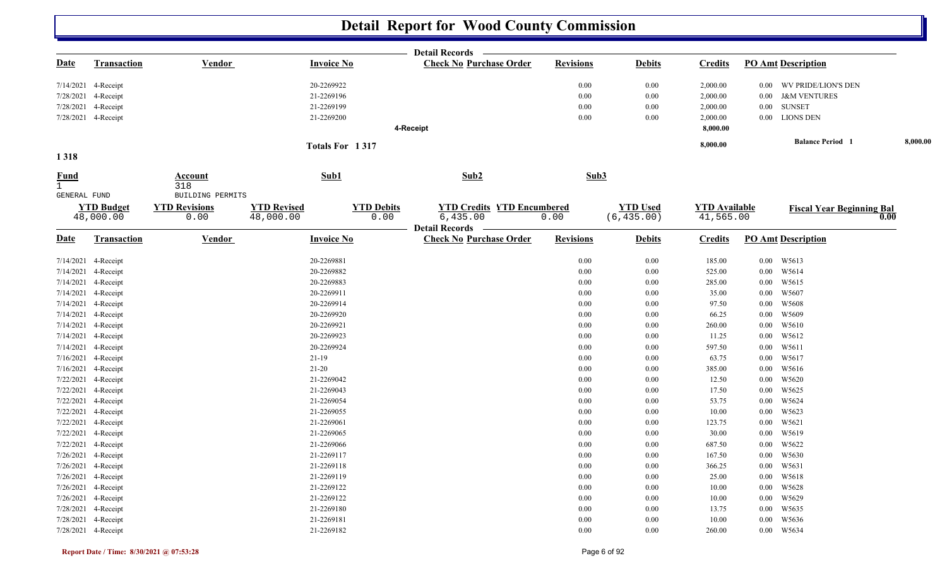|                             |                                            |                                          |                                         | <b>Detail Records</b>             |                  |                 |                      |                                        |          |
|-----------------------------|--------------------------------------------|------------------------------------------|-----------------------------------------|-----------------------------------|------------------|-----------------|----------------------|----------------------------------------|----------|
| <b>Date</b>                 | <u>Transaction</u>                         | <b>Vendor</b>                            | <b>Invoice No</b>                       | <b>Check No Purchase Order</b>    | <b>Revisions</b> | <b>Debits</b>   | <b>Credits</b>       | <b>PO Amt Description</b>              |          |
|                             | 7/14/2021 4-Receipt                        |                                          | 20-2269922                              |                                   | 0.00             | 0.00            | 2,000.00             | 0.00 WV PRIDE/LION'S DEN               |          |
|                             | 7/28/2021 4-Receipt                        |                                          | 21-2269196                              |                                   | $0.00\,$         | $0.00\,$        | 2,000.00             | 0.00 J&M VENTURES                      |          |
|                             | 7/28/2021 4-Receipt                        |                                          | 21-2269199                              |                                   | 0.00             | 0.00            | 2,000.00             | $0.00$ SUNSET                          |          |
|                             | 7/28/2021 4-Receipt                        |                                          | 21-2269200                              |                                   | 0.00             | 0.00            | 2,000.00             | 0.00 LIONS DEN                         |          |
|                             |                                            |                                          |                                         | 4-Receipt                         |                  |                 | 8,000.00             |                                        |          |
|                             |                                            |                                          | Totals For 1317                         |                                   |                  |                 | 8,000.00             | <b>Balance Period</b> 1                | 8,000.00 |
| 1318                        |                                            |                                          |                                         |                                   |                  |                 |                      |                                        |          |
| <b>Fund</b><br>$\mathbf{1}$ |                                            | Account<br>318                           | Sub1                                    | Sub2                              | Sub3             |                 |                      |                                        |          |
| <b>GENERAL FUND</b>         | <b>YTD Budget</b>                          | BUILDING PERMITS<br><b>YTD Revisions</b> | <b>YTD Revised</b><br><b>YTD Debits</b> | <b>YTD Credits YTD Encumbered</b> |                  | <b>YTD Used</b> | <b>YTD Available</b> | <b>Fiscal Year Beginning Bal</b>       |          |
|                             | 48,000.00                                  | 0.00                                     | 48,000.00<br>0.00                       | 6,435.00<br><b>Detail Records</b> | 0.00             | (6, 435.00)     | 41,565.00            | 0.00                                   |          |
| <b>Date</b>                 | Transaction                                | <b>Vendor</b>                            | <b>Invoice No</b>                       | <b>Check No Purchase Order</b>    | <b>Revisions</b> | <b>Debits</b>   | <b>Credits</b>       | <b>PO Amt Description</b>              |          |
|                             | 7/14/2021 4-Receipt                        |                                          | 20-2269881                              |                                   | 0.00             | $0.00\,$        | 185.00               | 0.00 W5613                             |          |
|                             | 7/14/2021 4-Receipt                        |                                          | 20-2269882                              |                                   | 0.00             | 0.00            | 525.00               | 0.00 W5614                             |          |
|                             | 7/14/2021 4-Receipt                        |                                          | 20-2269883                              |                                   | $0.00\,$         | 0.00            | 285.00               | 0.00<br>W5615                          |          |
|                             | 7/14/2021 4-Receipt                        |                                          | 20-2269911                              |                                   | 0.00             | 0.00            | 35.00                | W5607<br>$0.00\,$                      |          |
|                             | 7/14/2021 4-Receipt                        |                                          | 20-2269914                              |                                   | 0.00             | 0.00            | 97.50                | W5608<br>$0.00\,$                      |          |
|                             | 7/14/2021 4-Receipt                        |                                          | 20-2269920                              |                                   | 0.00             | 0.00            | 66.25                | 0.00<br>W5609                          |          |
|                             | 7/14/2021 4-Receipt                        |                                          | 20-2269921                              |                                   | 0.00             | 0.00            | 260.00               | W5610<br>$0.00\,$                      |          |
|                             | 7/14/2021 4-Receipt                        |                                          | 20-2269923                              |                                   | 0.00             | 0.00            | 11.25                | W5612<br>$0.00\,$                      |          |
|                             | 7/14/2021 4-Receipt                        |                                          | 20-2269924                              |                                   | 0.00             | 0.00            | 597.50               | W5611<br>$0.00\,$                      |          |
|                             | 7/16/2021 4-Receipt                        |                                          | $21-19$                                 |                                   | 0.00             | 0.00            | 63.75                | W5617<br>$0.00\,$                      |          |
|                             | 7/16/2021 4-Receipt                        |                                          | $21-20$                                 |                                   | 0.00             | 0.00            | 385.00               | W5616<br>$0.00\,$                      |          |
|                             | 7/22/2021 4-Receipt                        |                                          | 21-2269042                              |                                   | 0.00             | 0.00            | 12.50                | W5620<br>0.00                          |          |
|                             | 7/22/2021 4-Receipt                        |                                          | 21-2269043                              |                                   | 0.00             | 0.00            | 17.50                | W5625<br>$0.00\,$                      |          |
|                             | 7/22/2021 4-Receipt                        |                                          | 21-2269054                              |                                   | 0.00             | 0.00            | 53.75                | W5624<br>$0.00\,$                      |          |
|                             | 7/22/2021 4-Receipt                        |                                          | 21-2269055                              |                                   | 0.00             | 0.00            | 10.00                | W5623<br>0.00                          |          |
|                             | 7/22/2021 4-Receipt                        |                                          | 21-2269061                              |                                   | 0.00             | 0.00            | 123.75               | W5621<br>$0.00\,$                      |          |
|                             | 7/22/2021 4-Receipt                        |                                          | 21-2269065                              |                                   | 0.00             | 0.00            | 30.00                | W5619<br>$0.00\,$                      |          |
|                             | 7/22/2021 4-Receipt                        |                                          | 21-2269066                              |                                   | 0.00             | 0.00            | 687.50               | 0.00<br>W5622                          |          |
|                             | 7/26/2021 4-Receipt                        |                                          | 21-2269117                              |                                   | 0.00             | 0.00            | 167.50               | W5630<br>$0.00\,$                      |          |
|                             | 7/26/2021 4-Receipt                        |                                          | 21-2269118                              |                                   | 0.00             | 0.00            | 366.25               | W5631<br>$0.00\,$                      |          |
|                             | 7/26/2021 4-Receipt                        |                                          | 21-2269119                              |                                   | 0.00             | 0.00            | 25.00                | 0.00<br>W5618                          |          |
|                             | 7/26/2021 4-Receipt                        |                                          | 21-2269122                              |                                   | 0.00             | 0.00            | 10.00                | W5628<br>$0.00\,$                      |          |
|                             | 7/26/2021 4-Receipt<br>7/28/2021 4-Receipt |                                          | 21-2269122<br>21-2269180                |                                   | 0.00<br>0.00     | 0.00<br>0.00    | 10.00<br>13.75       | W5629<br>$0.00\,$<br>W5635<br>$0.00\,$ |          |
|                             | 7/28/2021 4-Receipt                        |                                          | 21-2269181                              |                                   | 0.00             | 0.00            | 10.00                | W5636<br>$0.00\,$                      |          |
|                             | 7/28/2021 4-Receipt                        |                                          | 21-2269182                              |                                   | 0.00             | 0.00            | 260.00               | 0.00 W5634                             |          |
|                             |                                            |                                          |                                         |                                   |                  |                 |                      |                                        |          |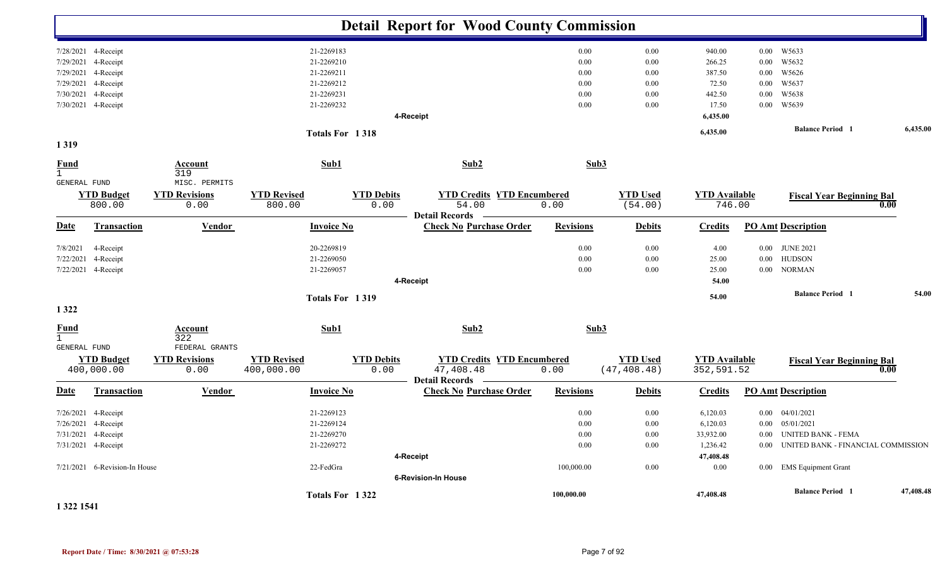|                             |                               |                              |                              |                           | <b>Detail Report for Wood County Commission</b>         |                  |                            |                                |          |                                    |           |
|-----------------------------|-------------------------------|------------------------------|------------------------------|---------------------------|---------------------------------------------------------|------------------|----------------------------|--------------------------------|----------|------------------------------------|-----------|
|                             | 7/28/2021 4-Receipt           |                              | 21-2269183                   |                           |                                                         | 0.00             | 0.00                       | 940.00                         |          | 0.00 W5633                         |           |
|                             | 7/29/2021 4-Receipt           |                              | 21-2269210                   |                           |                                                         | 0.00             | $0.00\,$                   | 266.25                         | 0.00     | W5632                              |           |
|                             | 7/29/2021 4-Receipt           |                              | 21-2269211                   |                           |                                                         | 0.00             | 0.00                       | 387.50                         | $0.00\,$ | W5626                              |           |
| 7/29/2021                   | 4-Receipt                     |                              | 21-2269212                   |                           |                                                         | 0.00             | 0.00                       | 72.50                          | 0.00     | W5637                              |           |
| 7/30/2021                   | 4-Receipt                     |                              | 21-2269231                   |                           |                                                         | 0.00             | 0.00                       | 442.50                         | $0.00\,$ | W5638                              |           |
|                             | 7/30/2021 4-Receipt           |                              | 21-2269232                   |                           |                                                         | 0.00             | 0.00                       | 17.50                          |          | 0.00 W5639                         |           |
|                             |                               |                              |                              |                           | 4-Receipt                                               |                  |                            | 6,435.00                       |          |                                    |           |
|                             |                               |                              | Totals For 1318              |                           |                                                         |                  |                            | 6,435.00                       |          | <b>Balance Period</b> 1            | 6,435.00  |
| 1319                        |                               |                              |                              |                           |                                                         |                  |                            |                                |          |                                    |           |
| <b>Fund</b><br>$\mathbf{1}$ |                               | Account<br>319               | Sub1                         |                           | Sub2                                                    | Sub3             |                            |                                |          |                                    |           |
| GENERAL FUND                |                               | MISC. PERMITS                |                              |                           |                                                         |                  |                            |                                |          |                                    |           |
|                             | <b>YTD Budget</b><br>800.00   | <b>YTD Revisions</b><br>0.00 | <b>YTD Revised</b><br>800.00 | <b>YTD Debits</b><br>0.00 | <b>YTD Credits YTD Encumbered</b><br>54.00              | 0.00             | <b>YTD Used</b><br>(54.00) | <b>YTD Available</b><br>746.00 |          | <b>Fiscal Year Beginning Bal</b>   | 0.00      |
| <b>Date</b>                 | <b>Transaction</b>            | <b>Vendor</b>                | <b>Invoice No</b>            |                           | <b>Detail Records</b><br><b>Check No Purchase Order</b> | <b>Revisions</b> | <b>Debits</b>              | <b>Credits</b>                 |          | <b>PO Amt Description</b>          |           |
| 7/8/2021                    | 4-Receipt                     |                              | 20-2269819                   |                           |                                                         | 0.00             | 0.00                       | 4.00                           | $0.00\,$ | <b>JUNE 2021</b>                   |           |
| 7/22/2021                   | 4-Receipt                     |                              | 21-2269050                   |                           |                                                         | 0.00             | 0.00                       | 25.00                          | $0.00\,$ | <b>HUDSON</b>                      |           |
|                             | 7/22/2021 4-Receipt           |                              | 21-2269057                   |                           |                                                         | 0.00             | 0.00                       | 25.00                          |          | 0.00 NORMAN                        |           |
|                             |                               |                              |                              |                           | 4-Receipt                                               |                  |                            | 54.00                          |          |                                    |           |
|                             |                               |                              | <b>Totals For 1319</b>       |                           |                                                         |                  |                            | 54.00                          |          | <b>Balance Period 1</b>            | 54.00     |
| 1 3 2 2                     |                               |                              |                              |                           |                                                         |                  |                            |                                |          |                                    |           |
| <b>Fund</b><br>$\mathbf{1}$ |                               | <b>Account</b><br>322        | Sub1                         |                           | Sub2                                                    | Sub3             |                            |                                |          |                                    |           |
| <b>GENERAL FUND</b>         |                               | FEDERAL GRANTS               |                              |                           |                                                         |                  |                            |                                |          |                                    |           |
|                             | <b>YTD Budget</b>             | <b>YTD Revisions</b>         | <b>YTD Revised</b>           | <b>YTD Debits</b>         | <b>YTD Credits YTD Encumbered</b>                       |                  | <b>YTD Used</b>            | <b>YTD Available</b>           |          | <b>Fiscal Year Beginning Bal</b>   |           |
|                             | 400,000.00                    | 0.00                         | 400,000.00                   | 0.00                      | 47,408.48<br>Detail Records -                           | 0.00             | (47, 408.48)               | 352,591.52                     |          |                                    | 0.00      |
| <u>Date</u>                 | <b>Transaction</b>            | <b>Vendor</b>                | <b>Invoice No</b>            |                           | <b>Check No Purchase Order</b>                          | <b>Revisions</b> | <b>Debits</b>              | <b>Credits</b>                 |          | <b>PO Amt Description</b>          |           |
|                             | 7/26/2021 4-Receipt           |                              | 21-2269123                   |                           |                                                         | 0.00             | 0.00                       | 6,120.03                       |          | $0.00$ $04/01/2021$                |           |
| 7/26/2021                   | 4-Receipt                     |                              | 21-2269124                   |                           |                                                         | 0.00             | 0.00                       | 6,120.03                       | $0.00\,$ | 05/01/2021                         |           |
| 7/31/2021                   | 4-Receipt                     |                              | 21-2269270                   |                           |                                                         | 0.00             | 0.00                       | 33,932.00                      | $0.00\,$ | <b>UNITED BANK - FEMA</b>          |           |
|                             | 7/31/2021 4-Receipt           |                              | 21-2269272                   |                           |                                                         | 0.00             | 0.00                       | 1,236.42                       | $0.00\,$ | UNITED BANK - FINANCIAL COMMISSION |           |
|                             |                               |                              |                              |                           | 4-Receipt                                               |                  |                            | 47,408.48                      |          |                                    |           |
|                             | 7/21/2021 6-Revision-In House |                              | 22-FedGra                    |                           |                                                         | 100,000.00       | 0.00                       | 0.00                           |          | 0.00 EMS Equipment Grant           |           |
|                             |                               |                              |                              |                           | 6-Revision-In House                                     |                  |                            |                                |          |                                    |           |
|                             |                               |                              | Totals For 1322              |                           |                                                         | 100,000.00       |                            | 47,408.48                      |          | <b>Balance Period 1</b>            | 47,408.48 |

#### **1 322 1541**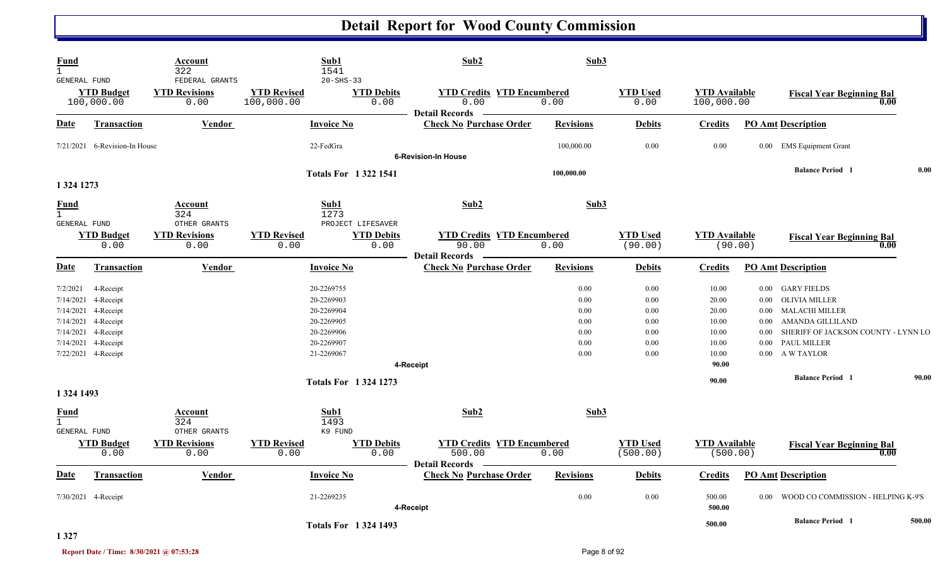| Fund<br>$\mathbf{1}$<br><b>GENERAL FUND</b> |                                                                                          | Account<br>322<br>FEDERAL GRANTS | Sub1<br>1541<br>$20 - SHS - 33$                      |                           | Sub2                                                                 | Sub3                         |                              |                                    |                              |                                                                                                  |        |
|---------------------------------------------|------------------------------------------------------------------------------------------|----------------------------------|------------------------------------------------------|---------------------------|----------------------------------------------------------------------|------------------------------|------------------------------|------------------------------------|------------------------------|--------------------------------------------------------------------------------------------------|--------|
|                                             | <b>YTD Budget</b><br>100,000.00                                                          | <b>YTD Revisions</b><br>0.00     | <b>YTD Revised</b><br>100,000.00                     | <b>YTD Debits</b><br>0.00 | <b>YTD Credits YTD Encumbered</b><br>0.00<br><b>Detail Records</b>   | 0.00                         | <b>YTD Used</b><br>0.00      | <b>YTD Available</b><br>100,000.00 |                              | <b>Fiscal Year Beginning Bal</b><br>0.00                                                         |        |
| D <u>ate</u>                                | <b>Transaction</b>                                                                       | <b>Vendor</b>                    | <b>Invoice No</b>                                    |                           | <b>Check No Purchase Order</b>                                       | <b>Revisions</b>             | <b>Debits</b>                | <b>Credits</b>                     |                              | <b>PO Amt Description</b>                                                                        |        |
|                                             | 7/21/2021 6-Revision-In House                                                            |                                  | 22-FedGra                                            |                           | <b>6-Revision-In House</b>                                           | 100,000.00                   | 0.00                         | 0.00                               |                              | 0.00 EMS Equipment Grant                                                                         |        |
| 1 324 1273                                  |                                                                                          |                                  | <b>Totals For 13221541</b>                           |                           |                                                                      | 100,000.00                   |                              |                                    |                              | <b>Balance Period</b> 1                                                                          | 0.00   |
| <u>Fund</u><br>$\mathbf{1}$<br>GENERAL FUND |                                                                                          | Account<br>324<br>OTHER GRANTS   | Sub1<br>1273                                         | PROJECT LIFESAVER         | Sub2                                                                 | Sub3                         |                              |                                    |                              |                                                                                                  |        |
|                                             | <b>YTD Budget</b><br>0.00                                                                | <b>YTD Revisions</b><br>0.00     | <b>YTD Revised</b><br>0.00                           | <b>YTD Debits</b><br>0.00 | <b>YTD Credits YTD Encumbered</b><br>90.00<br><b>Detail Records</b>  | 0.00                         | <b>YTD Used</b><br>(90.00)   | <b>YTD</b> Available<br>(90.00)    |                              | <b>Fiscal Year Beginning Bal</b><br>0.00                                                         |        |
| Date                                        | <b>Transaction</b>                                                                       | Vendor                           | <b>Invoice No</b>                                    |                           | <b>Check No Purchase Order</b>                                       | <b>Revisions</b>             | <b>Debits</b>                | <b>Credits</b>                     |                              | <b>PO Amt Description</b>                                                                        |        |
| 7/2/2021                                    | 4-Receipt<br>7/14/2021 4-Receipt<br>7/14/2021 4-Receipt                                  |                                  | 20-2269755<br>20-2269903<br>20-2269904               |                           |                                                                      | 0.00<br>0.00<br>0.00         | 0.00<br>0.00<br>0.00         | 10.00<br>20.00<br>20.00            | $0.00\,$<br>$0.00\,$         | 0.00 GARY FIELDS<br>OLIVIA MILLER<br>MALACHI MILLER                                              |        |
|                                             | 7/14/2021 4-Receipt<br>7/14/2021 4-Receipt<br>7/14/2021 4-Receipt<br>7/22/2021 4-Receipt |                                  | 20-2269905<br>20-2269906<br>20-2269907<br>21-2269067 |                           |                                                                      | 0.00<br>0.00<br>0.00<br>0.00 | 0.00<br>0.00<br>0.00<br>0.00 | 10.00<br>10.00<br>10.00<br>10.00   | $0.00\,$<br>0.00<br>$0.00\,$ | AMANDA GILLILAND<br>SHERIFF OF JACKSON COUNTY - LYNN LO<br><b>PAUL MILLER</b><br>0.00 A W TAYLOR |        |
| 1 324 1493                                  |                                                                                          |                                  | <b>Totals For 13241273</b>                           |                           | 4-Receipt                                                            |                              |                              | 90.00<br>90.00                     |                              | <b>Balance Period 1</b>                                                                          | 90.00  |
| <b>Fund</b><br>$\mathbf{1}$<br>GENERAL FUND |                                                                                          | Account<br>324<br>OTHER GRANTS   | Sub1<br>1493<br>K9 FUND                              |                           | Sub2                                                                 | Sub3                         |                              |                                    |                              |                                                                                                  |        |
|                                             | <b>YTD Budget</b><br>0.00                                                                | <b>YTD Revisions</b><br>0.00     | <b>YTD Revised</b><br>0.00                           | <b>YTD Debits</b><br>0.00 | <b>YTD Credits YTD Encumbered</b><br>500.00<br><b>Detail Records</b> | 0.00                         | <b>YTD Used</b><br>(500.00)  | <b>YTD Available</b><br>(500.00)   |                              | <b>Fiscal Year Beginning Bal</b><br>0.00                                                         |        |
| <u>Date</u>                                 | <b>Transaction</b>                                                                       | Vendor                           | <b>Invoice No</b>                                    |                           | <b>Check No Purchase Order</b>                                       | <b>Revisions</b>             | <b>Debits</b>                | <b>Credits</b>                     |                              | <b>PO Amt Description</b>                                                                        |        |
|                                             | 7/30/2021 4-Receipt                                                                      |                                  | 21-2269235                                           |                           | 4-Receipt                                                            | $0.00\,$                     | 0.00                         | 500.00<br>500.00                   |                              | 0.00 WOOD CO COMMISSION - HELPING K-9'S                                                          |        |
|                                             |                                                                                          |                                  | <b>Totals For 1324 1493</b>                          |                           |                                                                      |                              |                              | 500.00                             |                              | <b>Balance Period 1</b>                                                                          | 500.00 |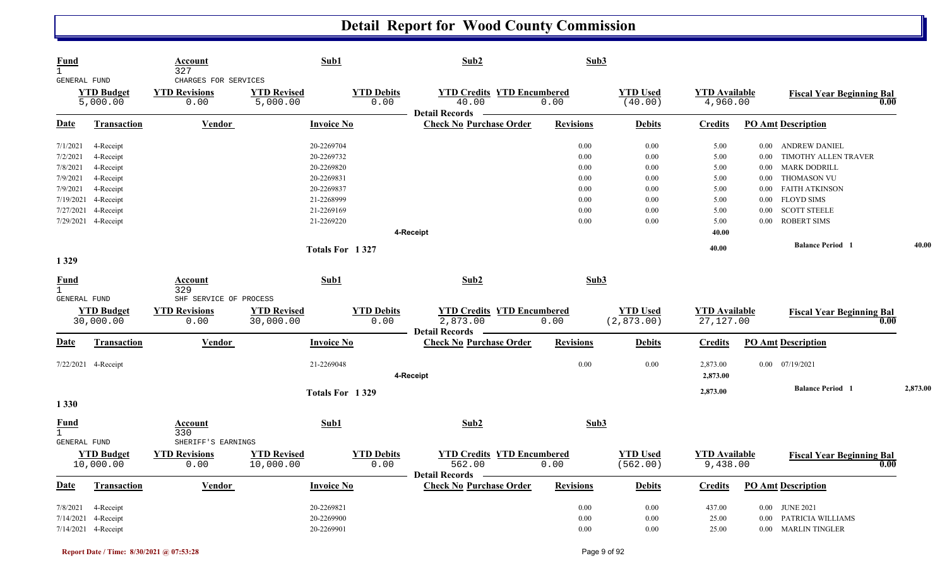| <b>Fund</b><br>$\mathbf{1}$<br><b>GENERAL FUND</b> |                               | Account<br>327<br>CHARGES FOR SERVICES | Sub1                           |                           | Sub2                                                                | Sub3             |                            |                                  |          |                                          |          |
|----------------------------------------------------|-------------------------------|----------------------------------------|--------------------------------|---------------------------|---------------------------------------------------------------------|------------------|----------------------------|----------------------------------|----------|------------------------------------------|----------|
|                                                    | <b>YTD Budget</b><br>5,000.00 | <b>YTD Revisions</b><br>0.00           | <b>YTD Revised</b><br>5,000.00 | <b>YTD Debits</b><br>0.00 | <b>YTD Credits YTD Encumbered</b><br>40.00<br><b>Detail Records</b> | 0.00             | <b>YTD</b> Used<br>(40.00) | <b>YTD</b> Available<br>4,960.00 |          | <b>Fiscal Year Beginning Bal</b><br>0.00 |          |
| Date                                               | <b>Transaction</b>            | <b>Vendor</b>                          | <b>Invoice No</b>              |                           | <b>Check No Purchase Order</b>                                      | <b>Revisions</b> | <b>Debits</b>              | <b>Credits</b>                   |          | <b>PO Amt Description</b>                |          |
| 7/1/2021                                           | 4-Receipt                     |                                        | 20-2269704                     |                           |                                                                     | 0.00             | 0.00                       | 5.00                             | $0.00\,$ | <b>ANDREW DANIEL</b>                     |          |
| 7/2/2021                                           | 4-Receipt                     |                                        | 20-2269732                     |                           |                                                                     | 0.00             | 0.00                       | 5.00                             | 0.00     | TIMOTHY ALLEN TRAVER                     |          |
| 7/8/2021                                           | 4-Receipt                     |                                        | 20-2269820                     |                           |                                                                     | 0.00             | 0.00                       | 5.00                             | 0.00     | <b>MARK DODRILL</b>                      |          |
| 7/9/2021                                           | 4-Receipt                     |                                        | 20-2269831                     |                           |                                                                     | 0.00             | 0.00                       | 5.00                             | $0.00\,$ | <b>THOMASON VU</b>                       |          |
| 7/9/2021                                           | 4-Receipt                     |                                        | 20-2269837                     |                           |                                                                     | 0.00             | 0.00                       | 5.00                             | 0.00     | <b>FAITH ATKINSON</b>                    |          |
|                                                    | 7/19/2021 4-Receipt           |                                        | 21-2268999                     |                           |                                                                     | 0.00             | 0.00                       | 5.00                             | 0.00     | <b>FLOYD SIMS</b>                        |          |
| 7/27/2021                                          | 4-Receipt                     |                                        | 21-2269169                     |                           |                                                                     | 0.00             | 0.00                       | 5.00                             | 0.00     | <b>SCOTT STEELE</b>                      |          |
|                                                    | 7/29/2021 4-Receipt           |                                        | 21-2269220                     |                           |                                                                     | 0.00             | 0.00                       | 5.00                             | 0.00     | <b>ROBERT SIMS</b>                       |          |
|                                                    |                               |                                        |                                |                           | 4-Receipt                                                           |                  |                            | 40.00                            |          |                                          |          |
|                                                    |                               |                                        | Totals For 1327                |                           |                                                                     |                  |                            | 40.00                            |          | <b>Balance Period</b> 1                  | 40.00    |
| 1329                                               |                               |                                        |                                |                           |                                                                     |                  |                            |                                  |          |                                          |          |
| <b>Fund</b><br>$\mathbf{1}$                        |                               | Account<br>329                         | Sub1                           |                           | Sub2                                                                | Sub3             |                            |                                  |          |                                          |          |
| <b>GENERAL FUND</b>                                |                               | SHF SERVICE OF PROCESS                 |                                |                           |                                                                     |                  |                            |                                  |          |                                          |          |
|                                                    | <b>YTD Budget</b>             | <b>YTD Revisions</b>                   | <b>YTD Revised</b>             | <b>YTD Debits</b>         | <b>YTD Credits YTD Encumbered</b>                                   |                  | <b>YTD Used</b>            | <b>YTD Available</b>             |          | <b>Fiscal Year Beginning Bal</b>         |          |
|                                                    | 30,000.00                     | 0.00                                   | 30,000.00                      | 0.00                      | 2,873.00<br><b>Detail Records</b>                                   | 0.00             | (2,873.00)                 | 27,127.00                        |          | 0.00                                     |          |
| <u>Date</u>                                        | Transaction                   | <b>Vendor</b>                          | <b>Invoice No</b>              |                           | <b>Check No Purchase Order</b>                                      | <b>Revisions</b> | <b>Debits</b>              | <b>Credits</b>                   |          | <b>PO Amt Description</b>                |          |
|                                                    | 7/22/2021 4-Receipt           |                                        | 21-2269048                     |                           |                                                                     | 0.00             | 0.00                       | 2,873.00                         |          | $0.00$ $07/19/2021$                      |          |
|                                                    |                               |                                        |                                |                           | 4-Receipt                                                           |                  |                            | 2,873.00                         |          |                                          |          |
|                                                    |                               |                                        | Totals For 1329                |                           |                                                                     |                  |                            | 2,873.00                         |          | <b>Balance Period</b> 1                  | 2,873.00 |
| 1 3 3 0                                            |                               |                                        |                                |                           |                                                                     |                  |                            |                                  |          |                                          |          |
| <b>Fund</b><br>$\mathbf{1}$                        |                               | Account<br>330                         | Sub1                           |                           | Sub2                                                                | Sub3             |                            |                                  |          |                                          |          |
| <b>GENERAL FUND</b>                                |                               | SHERIFF'S EARNINGS                     |                                |                           |                                                                     |                  |                            |                                  |          |                                          |          |
|                                                    | <b>YTD Budget</b>             | <b>YTD Revisions</b>                   | <b>YTD Revised</b>             | <b>YTD Debits</b>         | <b>YTD Credits YTD Encumbered</b>                                   |                  | <b>YTD Used</b>            | <b>YTD Available</b>             |          | <b>Fiscal Year Beginning Bal</b>         |          |
|                                                    | 10,000.00                     | 0.00                                   | 10,000.00                      | 0.00                      | 562.00<br><b>Detail Records</b>                                     | 0.00             | (562.00)                   | 9,438.00                         |          | 0.00                                     |          |
| Date                                               | Transaction                   | <b>Vendor</b>                          | <b>Invoice No</b>              |                           | <b>Check No Purchase Order</b>                                      | <b>Revisions</b> | <b>Debits</b>              | <b>Credits</b>                   |          | <b>PO Amt Description</b>                |          |
| 7/8/2021                                           | 4-Receipt                     |                                        | 20-2269821                     |                           |                                                                     | 0.00             | 0.00                       | 437.00                           |          | 0.00 JUNE 2021                           |          |
| 7/14/2021                                          | 4-Receipt                     |                                        | 20-2269900                     |                           |                                                                     | 0.00             | 0.00                       | 25.00                            | 0.00     | PATRICIA WILLIAMS                        |          |
|                                                    | 7/14/2021 4-Receipt           |                                        | 20-2269901                     |                           |                                                                     | 0.00             | 0.00                       | 25.00                            |          | 0.00 MARLIN TINGLER                      |          |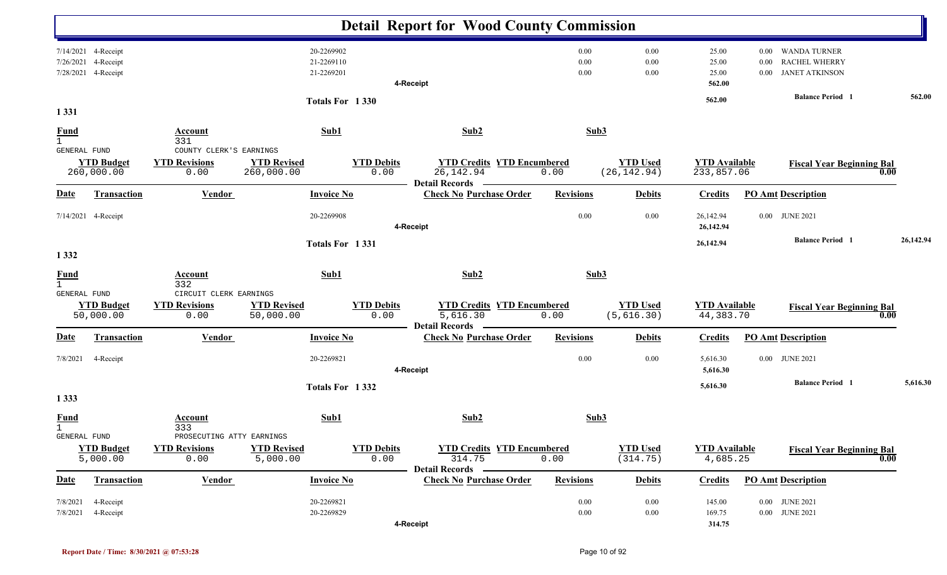|                                             |                                                                   |                                                         |                                        |                           | <b>Detail Report for Wood County Commission</b>                        |                      |                                 |                                    |                              |                                                                      |      |           |
|---------------------------------------------|-------------------------------------------------------------------|---------------------------------------------------------|----------------------------------------|---------------------------|------------------------------------------------------------------------|----------------------|---------------------------------|------------------------------------|------------------------------|----------------------------------------------------------------------|------|-----------|
|                                             | 7/14/2021 4-Receipt<br>7/26/2021 4-Receipt<br>7/28/2021 4-Receipt |                                                         | 20-2269902<br>21-2269110<br>21-2269201 |                           | 4-Receipt                                                              | 0.00<br>0.00<br>0.00 | 0.00<br>0.00<br>0.00            | 25.00<br>25.00<br>25.00<br>562.00  | $0.00\,$<br>0.00<br>$0.00\,$ | <b>WANDA TURNER</b><br><b>RACHEL WHERRY</b><br><b>JANET ATKINSON</b> |      |           |
| 1 3 3 1                                     |                                                                   |                                                         |                                        | Totals For 1330           |                                                                        |                      |                                 | 562.00                             |                              | <b>Balance Period</b> 1                                              |      | 562.00    |
| <b>Fund</b><br>$\mathbf{1}$                 |                                                                   | <b>Account</b><br>331                                   | Sub1                                   |                           | Sub2                                                                   | Sub3                 |                                 |                                    |                              |                                                                      |      |           |
| GENERAL FUND                                | <b>YTD Budget</b><br>260,000.00                                   | COUNTY CLERK'S EARNINGS<br><b>YTD Revisions</b><br>0.00 | <b>YTD Revised</b><br>260,000.00       | <b>YTD Debits</b><br>0.00 | <b>YTD Credits YTD Encumbered</b><br>26, 142.94                        | 0.00                 | <b>YTD Used</b><br>(26, 142.94) | <b>YTD</b> Available<br>233,857.06 |                              | <b>Fiscal Year Beginning Bal</b>                                     | 0.00 |           |
| <b>Date</b>                                 | <b>Transaction</b>                                                | <b>Vendor</b>                                           | <b>Invoice No</b>                      |                           | <b>Detail Records</b><br><b>Check No Purchase Order</b>                | <b>Revisions</b>     | <b>Debits</b>                   | <b>Credits</b>                     |                              | <b>PO Amt Description</b>                                            |      |           |
|                                             | 7/14/2021 4-Receipt                                               |                                                         | 20-2269908                             |                           | 4-Receipt                                                              | 0.00                 | 0.00                            | 26,142.94<br>26,142.94             |                              | 0.00 JUNE 2021                                                       |      |           |
|                                             |                                                                   |                                                         |                                        | Totals For 1331           |                                                                        |                      |                                 | 26,142.94                          |                              | <b>Balance Period</b> 1                                              |      | 26,142.94 |
| 1 3 3 2                                     |                                                                   |                                                         |                                        |                           |                                                                        |                      |                                 |                                    |                              |                                                                      |      |           |
| $\frac{Fund}{1}$<br><b>GENERAL FUND</b>     |                                                                   | <b>Account</b><br>332<br>CIRCUIT CLERK EARNINGS         | Sub1                                   |                           | Sub2                                                                   | Sub3                 |                                 |                                    |                              |                                                                      |      |           |
|                                             | <b>YTD Budget</b><br>50,000.00                                    | <b>YTD Revisions</b><br>0.00                            | <b>YTD Revised</b><br>50,000.00        | <b>YTD Debits</b><br>0.00 | <b>YTD Credits YTD Encumbered</b><br>5,616.30<br><b>Detail Records</b> | 0.00                 | <b>YTD Used</b><br>(5,616.30)   | <b>YTD Available</b><br>44,383.70  |                              | <b>Fiscal Year Beginning Bal</b>                                     | 0.00 |           |
| Date                                        | <b>Transaction</b>                                                | <b>Vendor</b>                                           | <b>Invoice No</b>                      |                           | <b>Check No Purchase Order</b>                                         | <b>Revisions</b>     | <b>Debits</b>                   | <b>Credits</b>                     |                              | <b>PO Amt Description</b>                                            |      |           |
| 7/8/2021                                    | 4-Receipt                                                         |                                                         | 20-2269821                             |                           | 4-Receipt                                                              | 0.00                 | 0.00                            | 5,616.30<br>5,616.30               |                              | 0.00 JUNE 2021                                                       |      |           |
| 1 3 3 3                                     |                                                                   |                                                         |                                        | Totals For 1332           |                                                                        |                      |                                 | 5,616.30                           |                              | <b>Balance Period 1</b>                                              |      | 5,616.30  |
| <b>Fund</b><br>$\mathbf{1}$<br>GENERAL FUND |                                                                   | Account<br>333<br>PROSECUTING ATTY EARNINGS             | Sub1                                   |                           | Sub2                                                                   | Sub3                 |                                 |                                    |                              |                                                                      |      |           |
|                                             | <b>YTD Budget</b><br>5,000.00                                     | <b>YTD Revisions</b><br>0.00                            | <b>YTD Revised</b><br>5,000.00         | <b>YTD Debits</b><br>0.00 | <b>YTD Credits YTD Encumbered</b><br>314.75<br>Detail Records -        | 0.00                 | <b>YTD Used</b><br>(314.75)     | <b>YTD Available</b><br>4,685.25   |                              | <b>Fiscal Year Beginning Bal</b>                                     | 0.00 |           |
| <b>Date</b>                                 | <b>Transaction</b>                                                | <b>Vendor</b>                                           | <b>Invoice No</b>                      |                           | <b>Check No Purchase Order</b>                                         | <b>Revisions</b>     | <b>Debits</b>                   | <b>Credits</b>                     |                              | <b>PO Amt Description</b>                                            |      |           |
| 7/8/2021<br>7/8/2021                        | 4-Receipt<br>4-Receipt                                            |                                                         | 20-2269821<br>20-2269829               |                           | 4-Receipt                                                              | 0.00<br>$0.00\,$     | 0.00<br>0.00                    | 145.00<br>169.75<br>314.75         |                              | 0.00 JUNE 2021<br>$0.00$ JUNE 2021                                   |      |           |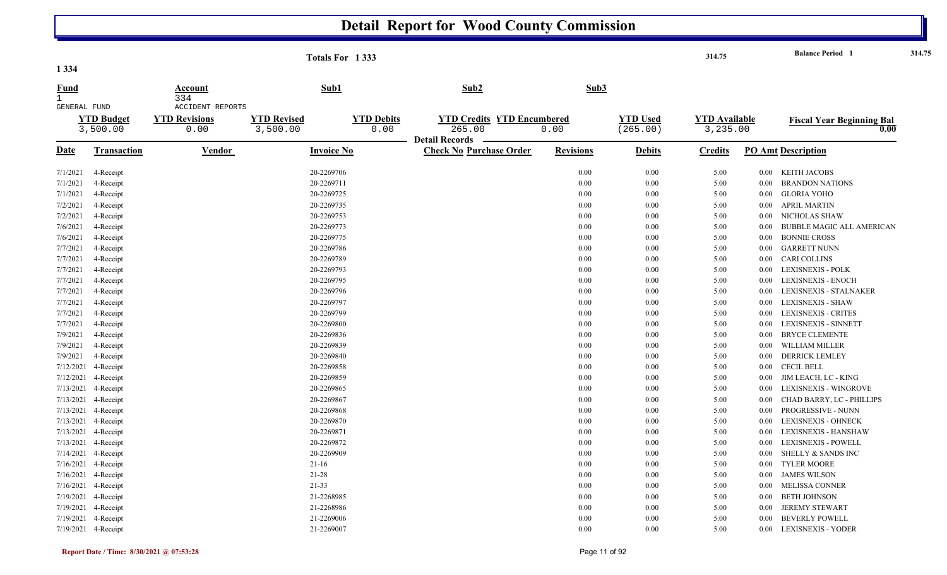| 1 3 3 4                     |                               |                                                         |                                | Totals For 1333           |                                                         |                  |                             | 314.75                           |          | <b>Balance Period</b> 1                  | 314.75 |
|-----------------------------|-------------------------------|---------------------------------------------------------|--------------------------------|---------------------------|---------------------------------------------------------|------------------|-----------------------------|----------------------------------|----------|------------------------------------------|--------|
| <b>Fund</b><br>$\mathbf{1}$ |                               | Account<br>334                                          | Sub1                           |                           | Sub2                                                    | Sub3             |                             |                                  |          |                                          |        |
| GENERAL FUND                | <b>YTD Budget</b><br>3,500.00 | <b>ACCIDENT REPORTS</b><br><b>YTD Revisions</b><br>0.00 | <b>YTD Revised</b><br>3,500.00 | <b>YTD Debits</b><br>0.00 | <b>YTD Credits YTD Encumbered</b><br>265.00             | 0.00             | <b>YTD Used</b><br>(265.00) | <b>YTD Available</b><br>3,235.00 |          | <b>Fiscal Year Beginning Bal</b><br>0.00 |        |
| <u>Date</u>                 | <b>Transaction</b>            | Vendor                                                  | <b>Invoice No</b>              |                           | <b>Detail Records</b><br><b>Check No Purchase Order</b> | <b>Revisions</b> | <b>Debits</b>               | Credits                          |          | <b>PO Amt Description</b>                |        |
| 7/1/2021                    | 4-Receipt                     |                                                         | 20-2269706                     |                           |                                                         | 0.00             | 0.00                        | 5.00                             |          | 0.00 KEITH JACOBS                        |        |
| 7/1/2021                    | 4-Receipt                     |                                                         | 20-2269711                     |                           |                                                         | 0.00             | 0.00                        | 5.00                             | 0.00     | <b>BRANDON NATIONS</b>                   |        |
| 7/1/2021                    | 4-Receipt                     |                                                         | 20-2269725                     |                           |                                                         | 0.00             | 0.00                        | 5.00                             | 0.00     | <b>GLORIA YOHO</b>                       |        |
| 7/2/2021                    | 4-Receipt                     |                                                         | 20-2269735                     |                           |                                                         | 0.00             | 0.00                        | 5.00                             | $0.00\,$ | <b>APRIL MARTIN</b>                      |        |
| 7/2/2021                    | 4-Receipt                     |                                                         | 20-2269753                     |                           |                                                         | 0.00             | 0.00                        | 5.00                             | 0.00     | NICHOLAS SHAW                            |        |
| 7/6/2021                    | 4-Receipt                     |                                                         | 20-2269773                     |                           |                                                         | 0.00             | 0.00                        | 5.00                             | 0.00     | <b>BUBBLE MAGIC ALL AMERICAN</b>         |        |
| 7/6/2021                    | 4-Receipt                     |                                                         | 20-2269775                     |                           |                                                         | 0.00             | 0.00                        | 5.00                             | 0.00     | <b>BONNIE CROSS</b>                      |        |
| 7/7/2021                    | 4-Receipt                     |                                                         | 20-2269786                     |                           |                                                         | 0.00             | 0.00                        | 5.00                             | 0.00     | <b>GARRETT NUNN</b>                      |        |
| 7/7/2021                    | 4-Receipt                     |                                                         | 20-2269789                     |                           |                                                         | 0.00             | 0.00                        | 5.00                             | 0.00     | <b>CARI COLLINS</b>                      |        |
| 7/7/2021                    | 4-Receipt                     |                                                         | 20-2269793                     |                           |                                                         | 0.00             | 0.00                        | 5.00                             | 0.00     | LEXISNEXIS - POLK                        |        |
| 7/7/2021                    | 4-Receipt                     |                                                         | 20-2269795                     |                           |                                                         | 0.00             | 0.00                        | 5.00                             | 0.00     | LEXISNEXIS - ENOCH                       |        |
| 7/7/2021                    | 4-Receipt                     |                                                         | 20-2269796                     |                           |                                                         | 0.00             | 0.00                        | 5.00                             | 0.00     | LEXISNEXIS - STALNAKER                   |        |
| 7/7/2021                    | 4-Receipt                     |                                                         | 20-2269797                     |                           |                                                         | 0.00             | 0.00                        | 5.00                             | 0.00     | LEXISNEXIS - SHAW                        |        |
| 7/7/2021                    | 4-Receipt                     |                                                         | 20-2269799                     |                           |                                                         | 0.00             | 0.00                        | 5.00                             | 0.00     | <b>LEXISNEXIS - CRITES</b>               |        |
| 7/7/2021                    | 4-Receipt                     |                                                         | 20-2269800                     |                           |                                                         | 0.00             | 0.00                        | 5.00                             | 0.00     | LEXISNEXIS - SINNETT                     |        |
| 7/9/2021                    | 4-Receipt                     |                                                         | 20-2269836                     |                           |                                                         | 0.00             | 0.00                        | 5.00                             | 0.00     | <b>BRYCE CLEMENTE</b>                    |        |
| 7/9/2021                    | 4-Receipt                     |                                                         | 20-2269839                     |                           |                                                         | 0.00             | 0.00                        | 5.00                             | 0.00     | WILLIAM MILLER                           |        |
| 7/9/2021                    | 4-Receipt                     |                                                         | 20-2269840                     |                           |                                                         | 0.00             | 0.00                        | 5.00                             | 0.00     | <b>DERRICK LEMLEY</b>                    |        |
| 7/12/2021                   | 4-Receipt                     |                                                         | 20-2269858                     |                           |                                                         | 0.00             | 0.00                        | 5.00                             | $0.00\,$ | <b>CECIL BELL</b>                        |        |
| 7/12/2021                   | 4-Receipt                     |                                                         | 20-2269859                     |                           |                                                         | 0.00             | 0.00                        | 5.00                             | 0.00     | JIM LEACH, LC - KING                     |        |
| 7/13/2021                   | 4-Receipt                     |                                                         | 20-2269865                     |                           |                                                         | 0.00             | 0.00                        | 5.00                             | 0.00     | LEXISNEXIS - WINGROVE                    |        |
| 7/13/2021                   | 4-Receipt                     |                                                         | 20-2269867                     |                           |                                                         | 0.00             | 0.00                        | 5.00                             | 0.00     | CHAD BARRY, LC - PHILLIPS                |        |
| 7/13/2021                   | 4-Receipt                     |                                                         | 20-2269868                     |                           |                                                         | 0.00             | 0.00                        | 5.00                             | 0.00     | PROGRESSIVE - NUNN                       |        |
|                             | 7/13/2021 4-Receipt           |                                                         | 20-2269870                     |                           |                                                         | 0.00             | 0.00                        | 5.00                             | 0.00     | <b>LEXISNEXIS - OHNECK</b>               |        |
| 7/13/2021                   | 4-Receipt                     |                                                         | 20-2269871                     |                           |                                                         | 0.00             | 0.00                        | 5.00                             | 0.00     | LEXISNEXIS - HANSHAW                     |        |
| 7/13/2021                   | 4-Receipt                     |                                                         | 20-2269872                     |                           |                                                         | 0.00             | 0.00                        | 5.00                             | 0.00     | LEXISNEXIS - POWELL                      |        |
|                             | 7/14/2021 4-Receipt           |                                                         | 20-2269909                     |                           |                                                         | 0.00             | 0.00                        | 5.00                             | 0.00     | <b>SHELLY &amp; SANDS INC</b>            |        |
| 7/16/2021                   | 4-Receipt                     |                                                         | $21 - 16$                      |                           |                                                         | 0.00             | 0.00                        | 5.00                             | 0.00     | <b>TYLER MOORE</b>                       |        |
| 7/16/2021                   | 4-Receipt                     |                                                         | $21 - 28$                      |                           |                                                         | 0.00             | 0.00                        | 5.00                             | 0.00     | <b>JAMES WILSON</b>                      |        |
|                             | 7/16/2021 4-Receipt           |                                                         | $21 - 33$                      |                           |                                                         | 0.00             | 0.00                        | 5.00                             | 0.00     | MELISSA CONNER                           |        |
| 7/19/2021                   | 4-Receipt                     |                                                         | 21-2268985                     |                           |                                                         | 0.00             | 0.00                        | 5.00                             | 0.00     | BETH JOHNSON                             |        |
| 7/19/2021                   | 4-Receipt                     |                                                         | 21-2268986                     |                           |                                                         | 0.00             | 0.00                        | 5.00                             | 0.00     | <b>JEREMY STEWART</b>                    |        |
|                             | 7/19/2021 4-Receipt           |                                                         | 21-2269006                     |                           |                                                         | 0.00             | 0.00                        | 5.00                             | 0.00     | <b>BEVERLY POWELL</b>                    |        |
|                             | 7/19/2021 4-Receipt           |                                                         | 21-2269007                     |                           |                                                         | 0.00             | 0.00                        | 5.00                             | 0.00     | <b>LEXISNEXIS - YODER</b>                |        |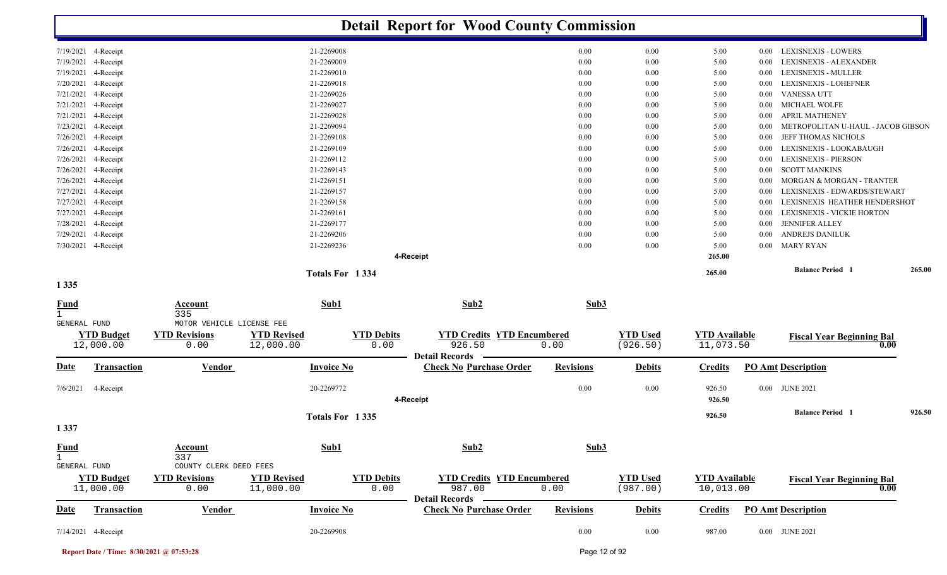|                                                    |                                |                                                        |                                 |                   |                           |                                                    |                                   | <b>Detail Report for Wood County Commission</b> |                             |                                   |          |                                    |        |
|----------------------------------------------------|--------------------------------|--------------------------------------------------------|---------------------------------|-------------------|---------------------------|----------------------------------------------------|-----------------------------------|-------------------------------------------------|-----------------------------|-----------------------------------|----------|------------------------------------|--------|
|                                                    | 7/19/2021 4-Receipt            |                                                        |                                 | 21-2269008        |                           |                                                    |                                   | $0.00\,$                                        | 0.00                        | 5.00                              | $0.00\,$ | <b>LEXISNEXIS - LOWERS</b>         |        |
| 7/19/2021                                          | 4-Receipt                      |                                                        |                                 | 21-2269009        |                           |                                                    |                                   | 0.00                                            | 0.00                        | 5.00                              | 0.00     | LEXISNEXIS - ALEXANDER             |        |
| 7/19/2021                                          | 4-Receipt                      |                                                        |                                 | 21-2269010        |                           |                                                    |                                   | 0.00                                            | 0.00                        | 5.00                              | 0.00     | LEXISNEXIS - MULLER                |        |
| 7/20/2021                                          | 4-Receipt                      |                                                        |                                 | 21-2269018        |                           |                                                    |                                   | 0.00                                            | 0.00                        | 5.00                              | $0.00\,$ | LEXISNEXIS - LOHEFNER              |        |
| 7/21/2021                                          | 4-Receipt                      |                                                        |                                 | 21-2269026        |                           |                                                    |                                   | 0.00                                            | 0.00                        | 5.00                              | $0.00\,$ | <b>VANESSA UTT</b>                 |        |
| 7/21/2021                                          | 4-Receipt                      |                                                        |                                 | 21-2269027        |                           |                                                    |                                   | 0.00                                            | 0.00                        | 5.00                              | 0.00     | <b>MICHAEL WOLFE</b>               |        |
| 7/21/2021                                          | 4-Receipt                      |                                                        |                                 | 21-2269028        |                           |                                                    |                                   | 0.00                                            | 0.00                        | 5.00                              | $0.00\,$ | <b>APRIL MATHENEY</b>              |        |
| 7/23/2021                                          | 4-Receipt                      |                                                        |                                 | 21-2269094        |                           |                                                    |                                   | 0.00                                            | 0.00                        | 5.00                              | 0.00     | METROPOLITAN U-HAUL - JACOB GIBSON |        |
| 7/26/2021                                          | 4-Receipt                      |                                                        |                                 | 21-2269108        |                           |                                                    |                                   | 0.00                                            | 0.00                        | 5.00                              | $0.00\,$ | JEFF THOMAS NICHOLS                |        |
| 7/26/2021                                          | 4-Receipt                      |                                                        |                                 | 21-2269109        |                           |                                                    |                                   | 0.00                                            | 0.00                        | 5.00                              | $0.00\,$ | LEXISNEXIS - LOOKABAUGH            |        |
| 7/26/2021                                          | 4-Receipt                      |                                                        |                                 | 21-2269112        |                           |                                                    |                                   | 0.00                                            | 0.00                        | 5.00                              | $0.00\,$ | <b>LEXISNEXIS - PIERSON</b>        |        |
| 7/26/2021                                          | 4-Receipt                      |                                                        |                                 | 21-2269143        |                           |                                                    |                                   | 0.00                                            | 0.00                        | 5.00                              | $0.00\,$ | <b>SCOTT MANKINS</b>               |        |
| 7/26/2021                                          | 4-Receipt                      |                                                        |                                 | 21-2269151        |                           |                                                    |                                   | 0.00                                            | $0.00\,$                    | 5.00                              | $0.00\,$ | MORGAN & MORGAN - TRANTER          |        |
| 7/27/2021                                          | 4-Receipt                      |                                                        |                                 | 21-2269157        |                           |                                                    |                                   | 0.00                                            | $0.00\,$                    | 5.00                              | $0.00\,$ | LEXISNEXIS - EDWARDS/STEWART       |        |
| 7/27/2021                                          | 4-Receipt                      |                                                        |                                 | 21-2269158        |                           |                                                    |                                   | 0.00                                            | 0.00                        | 5.00                              | 0.00     | LEXISNEXIS HEATHER HENDERSHOT      |        |
| 7/27/2021                                          | 4-Receipt                      |                                                        |                                 | 21-2269161        |                           |                                                    |                                   | 0.00                                            | 0.00                        | 5.00                              | $0.00\,$ | LEXISNEXIS - VICKIE HORTON         |        |
| 7/28/2021                                          | 4-Receipt                      |                                                        |                                 | 21-2269177        |                           |                                                    |                                   | 0.00                                            | 0.00                        | 5.00                              | $0.00\,$ | <b>JENNIFER ALLEY</b>              |        |
| 7/29/2021                                          | 4-Receipt                      |                                                        |                                 | 21-2269206        |                           |                                                    |                                   | 0.00                                            | 0.00                        | 5.00                              | 0.00     | ANDREJS DANILUK                    |        |
| 7/30/2021                                          | 4-Receipt                      |                                                        |                                 | 21-2269236        |                           |                                                    |                                   | 0.00                                            | 0.00                        | 5.00                              | $0.00\,$ | <b>MARY RYAN</b>                   |        |
|                                                    |                                |                                                        |                                 |                   | 4-Receipt                 |                                                    |                                   |                                                 |                             | 265.00                            |          |                                    |        |
|                                                    |                                |                                                        |                                 | Totals For 1334   |                           |                                                    |                                   |                                                 |                             | 265.00                            |          | <b>Balance Period 1</b>            | 265.00 |
| 1 3 3 5                                            |                                |                                                        |                                 |                   |                           |                                                    |                                   |                                                 |                             |                                   |          |                                    |        |
| <u>Fund</u><br>$\mathbf{1}$                        |                                | <b>Account</b><br>335                                  |                                 | Sub1              |                           | Sub2                                               |                                   | Sub3                                            |                             |                                   |          |                                    |        |
| GENERAL FUND                                       |                                | MOTOR VEHICLE LICENSE FEE                              |                                 |                   |                           |                                                    |                                   |                                                 |                             |                                   |          |                                    |        |
|                                                    | <b>YTD Budget</b><br>12,000.00 | <b>YTD Revisions</b><br>0.00                           | <b>YTD Revised</b><br>12,000.00 |                   | <b>YTD Debits</b><br>0.00 | 926.50<br><b>Detail Records</b>                    | <b>YTD Credits YTD Encumbered</b> | 0.00                                            | <b>YTD Used</b><br>(926.50) | <b>YTD Available</b><br>11,073.50 |          | <b>Fiscal Year Beginning Bal</b>   | 0.00   |
| Date                                               | <b>Transaction</b>             | <b>Vendor</b>                                          |                                 | <b>Invoice No</b> |                           | <b>Check No Purchase Order</b>                     |                                   | <b>Revisions</b>                                | <b>Debits</b>               | <b>Credits</b>                    |          | <b>PO Amt Description</b>          |        |
| 7/6/2021                                           | 4-Receipt                      |                                                        |                                 | 20-2269772        | 4-Receipt                 |                                                    |                                   | 0.00                                            | 0.00                        | 926.50<br>926.50                  |          | 0.00 JUNE 2021                     |        |
|                                                    |                                |                                                        |                                 | Totals For 1335   |                           |                                                    |                                   |                                                 |                             | 926.50                            |          | <b>Balance Period 1</b>            | 926.50 |
|                                                    |                                |                                                        |                                 |                   |                           |                                                    |                                   |                                                 |                             |                                   |          |                                    |        |
| 1 3 3 7                                            |                                |                                                        |                                 |                   |                           |                                                    |                                   |                                                 |                             |                                   |          |                                    |        |
| <b>Fund</b><br>$\mathbf{1}$<br><b>GENERAL FUND</b> |                                | Account<br>337                                         |                                 | Sub1              |                           | Sub2                                               |                                   | Sub3                                            |                             |                                   |          |                                    |        |
|                                                    | <b>YTD Budget</b><br>11,000.00 | COUNTY CLERK DEED FEES<br><b>YTD Revisions</b><br>0.00 | <b>YTD Revised</b><br>11,000.00 |                   | <b>YTD Debits</b><br>0.00 | 987.00                                             | <b>YTD Credits YTD Encumbered</b> | 0.00                                            | <b>YTD Used</b><br>(987.00) | <b>YTD Available</b><br>10,013.00 |          | <b>Fiscal Year Beginning Bal</b>   | 0.00   |
| Date                                               | <b>Transaction</b>             | <b>Vendor</b>                                          |                                 | <b>Invoice No</b> |                           | Detail Records —<br><b>Check No Purchase Order</b> |                                   | <b>Revisions</b>                                | <b>Debits</b>               | <b>Credits</b>                    |          | <b>PO Amt Description</b>          |        |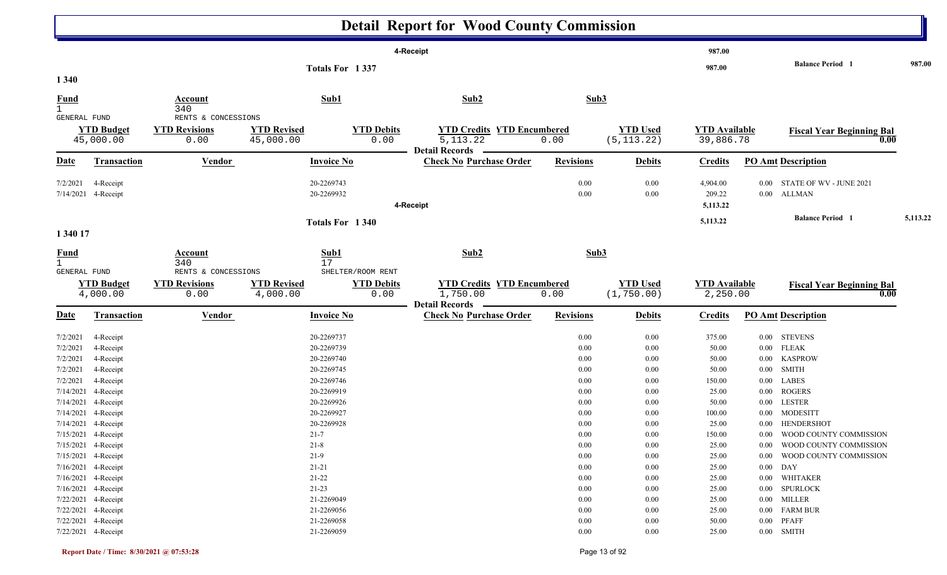|                                                          |                                                                                                                 |                                                     |                                                                    |                                                | <b>Detail Report for Wood County Commission</b>                          |                                          |                                          |                                             |                                                          |                                                                                                   |          |
|----------------------------------------------------------|-----------------------------------------------------------------------------------------------------------------|-----------------------------------------------------|--------------------------------------------------------------------|------------------------------------------------|--------------------------------------------------------------------------|------------------------------------------|------------------------------------------|---------------------------------------------|----------------------------------------------------------|---------------------------------------------------------------------------------------------------|----------|
|                                                          |                                                                                                                 |                                                     |                                                                    |                                                | 4-Receipt                                                                |                                          |                                          | 987.00                                      |                                                          |                                                                                                   |          |
| 1 3 4 0                                                  |                                                                                                                 |                                                     | Totals For 1337                                                    |                                                |                                                                          |                                          |                                          | 987.00                                      |                                                          | <b>Balance Period</b> 1                                                                           | 987.00   |
| <b>Fund</b><br>$\mathbf{1}$                              |                                                                                                                 | Account<br>340                                      | Sub1                                                               |                                                | Sub2                                                                     | Sub3                                     |                                          |                                             |                                                          |                                                                                                   |          |
| <b>GENERAL FUND</b>                                      | <b>YTD Budget</b><br>45,000.00                                                                                  | RENTS & CONCESSIONS<br><b>YTD Revisions</b><br>0.00 | <b>YTD Revised</b><br>45,000.00                                    | <b>YTD Debits</b><br>0.00                      | <b>YTD Credits YTD Encumbered</b><br>5, 113. 22<br><b>Detail Records</b> | 0.00                                     | <b>YTD Used</b><br>(5, 113.22)           | <b>YTD Available</b><br>39,886.78           |                                                          | <b>Fiscal Year Beginning Bal</b><br>0.00                                                          |          |
| <u>Date</u>                                              | <b>Transaction</b>                                                                                              | <b>Vendor</b>                                       | <b>Invoice No</b>                                                  |                                                | <b>Check No Purchase Order</b>                                           | <b>Revisions</b>                         | <b>Debits</b>                            | <b>Credits</b>                              |                                                          | <b>PO Amt Description</b>                                                                         |          |
| 7/2/2021<br>7/14/2021                                    | 4-Receipt<br>4-Receipt                                                                                          |                                                     | 20-2269743<br>20-2269932                                           |                                                | 4-Receipt                                                                | 0.00<br>0.00                             | 0.00<br>0.00                             | 4,904.00<br>209.22<br>5,113.22              | $0.00\,$                                                 | STATE OF WV - JUNE 2021<br>0.00 ALLMAN                                                            |          |
| 1 340 17                                                 |                                                                                                                 |                                                     | Totals For 1340                                                    |                                                |                                                                          |                                          |                                          | 5,113.22                                    |                                                          | <b>Balance Period</b> 1                                                                           | 5,113.22 |
| <b>Fund</b>                                              |                                                                                                                 | <b>Account</b><br>340                               | Sub1<br>17                                                         |                                                | Sub2                                                                     | Sub3                                     |                                          |                                             |                                                          |                                                                                                   |          |
| GENERAL FUND                                             | <b>YTD Budget</b><br>4,000.00                                                                                   | RENTS & CONCESSIONS<br><b>YTD Revisions</b><br>0.00 | <b>YTD Revised</b><br>4,000.00                                     | SHELTER/ROOM RENT<br><b>YTD Debits</b><br>0.00 | <b>YTD Credits YTD Encumbered</b><br>1,750.00<br><b>Detail Records</b>   | 0.00                                     | <b>YTD Used</b><br>(1, 750.00)           | <b>YTD Available</b><br>2,250.00            |                                                          | <b>Fiscal Year Beginning Bal</b><br>0.00                                                          |          |
| <b>Date</b>                                              | <b>Transaction</b>                                                                                              | <b>Vendor</b>                                       | <b>Invoice No</b>                                                  |                                                | <b>Check No Purchase Order</b>                                           | <b>Revisions</b>                         | <b>Debits</b>                            | <b>Credits</b>                              |                                                          | <b>PO Amt Description</b>                                                                         |          |
| 7/2/2021<br>7/2/2021<br>7/2/2021<br>7/2/2021<br>7/2/2021 | 4-Receipt<br>4-Receipt<br>4-Receipt<br>4-Receipt<br>4-Receipt                                                   |                                                     | 20-2269737<br>20-2269739<br>20-2269740<br>20-2269745<br>20-2269746 |                                                |                                                                          | 0.00<br>0.00<br>0.00<br>0.00<br>0.00     | 0.00<br>0.00<br>0.00<br>0.00<br>0.00     | 375.00<br>50.00<br>50.00<br>50.00<br>150.00 | $0.00\,$<br>$0.00\,$<br>$0.00\,$<br>$0.00\,$<br>$0.00\,$ | <b>STEVENS</b><br><b>FLEAK</b><br><b>KASPROW</b><br><b>SMITH</b><br><b>LABES</b>                  |          |
|                                                          | 7/14/2021 4-Receipt<br>7/14/2021 4-Receipt<br>7/14/2021 4-Receipt<br>7/14/2021 4-Receipt<br>7/15/2021 4-Receipt |                                                     | 20-2269919<br>20-2269926<br>20-2269927<br>20-2269928<br>$21 - 7$   |                                                |                                                                          | 0.00<br>0.00<br>0.00<br>0.00<br>$0.00\,$ | 0.00<br>0.00<br>0.00<br>0.00<br>$0.00\,$ | 25.00<br>50.00<br>100.00<br>25.00<br>150.00 | $0.00\,$<br>$0.00\,$                                     | <b>ROGERS</b><br><b>LESTER</b><br>0.00 MODESITT<br>0.00 HENDERSHOT<br>0.00 WOOD COUNTY COMMISSION |          |
|                                                          | 7/15/2021 4-Receipt<br>7/15/2021 4-Receipt<br>7/16/2021 4-Receipt<br>7/16/2021 4-Receipt                        |                                                     | $21 - 8$<br>$21-9$<br>$21 - 21$<br>$21 - 22$                       |                                                |                                                                          | 0.00<br>0.00<br>0.00<br>0.00             | 0.00<br>0.00<br>0.00<br>0.00             | 25.00<br>25.00<br>25.00<br>25.00            | $0.00\,$<br>$0.00$ DAY                                   | 0.00 WOOD COUNTY COMMISSION<br>WOOD COUNTY COMMISSION<br>0.00 WHITAKER                            |          |
|                                                          | 7/16/2021 4-Receipt<br>7/22/2021 4-Receipt<br>7/22/2021 4-Receipt<br>7/22/2021 4-Receipt<br>7/22/2021 4-Receipt |                                                     | $21 - 23$<br>21-2269049<br>21-2269056<br>21-2269058<br>21-2269059  |                                                |                                                                          | 0.00<br>0.00<br>0.00<br>0.00<br>0.00     | 0.00<br>0.00<br>0.00<br>0.00<br>0.00     | 25.00<br>25.00<br>25.00<br>50.00<br>25.00   |                                                          | 0.00 SPURLOCK<br>0.00 MILLER<br>0.00 FARM BUR<br>$0.00$ PFAFF<br>$0.00$ SMITH                     |          |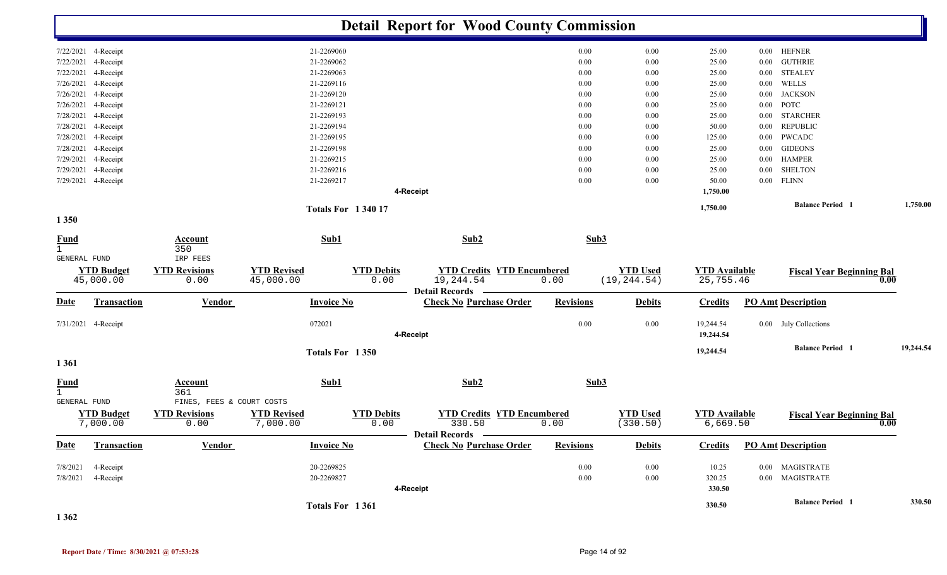|                                             |                                            |                                                    |                                 |                          |                           |                       | <b>Detail Report for Wood County Commission</b> |                  |                                 |                                   |              |                                    |      |           |
|---------------------------------------------|--------------------------------------------|----------------------------------------------------|---------------------------------|--------------------------|---------------------------|-----------------------|-------------------------------------------------|------------------|---------------------------------|-----------------------------------|--------------|------------------------------------|------|-----------|
|                                             | 7/22/2021 4-Receipt                        |                                                    |                                 | 21-2269060               |                           |                       |                                                 | 0.00             | 0.00                            | 25.00                             |              | 0.00 HEFNER                        |      |           |
|                                             | 7/22/2021 4-Receipt                        |                                                    |                                 | 21-2269062               |                           |                       |                                                 | 0.00             | 0.00                            | 25.00                             | 0.00         | <b>GUTHRIE</b>                     |      |           |
| 7/22/2021                                   | 4-Receipt                                  |                                                    |                                 | 21-2269063               |                           |                       |                                                 | 0.00             | 0.00                            | 25.00                             | 0.00         | <b>STEALEY</b>                     |      |           |
|                                             | 7/26/2021 4-Receipt                        |                                                    |                                 | 21-2269116               |                           |                       |                                                 | 0.00             | 0.00                            | 25.00                             | 0.00         | WELLS                              |      |           |
|                                             | 7/26/2021 4-Receipt                        |                                                    |                                 | 21-2269120               |                           |                       |                                                 | 0.00             | 0.00                            | 25.00                             | 0.00         | <b>JACKSON</b>                     |      |           |
|                                             | 7/26/2021 4-Receipt                        |                                                    |                                 | 21-2269121               |                           |                       |                                                 | 0.00             | 0.00                            | 25.00                             | 0.00         | POTC                               |      |           |
|                                             | 7/28/2021 4-Receipt<br>7/28/2021 4-Receipt |                                                    |                                 | 21-2269193<br>21-2269194 |                           |                       |                                                 | 0.00<br>0.00     | 0.00<br>0.00                    | 25.00<br>50.00                    | 0.00<br>0.00 | <b>STARCHER</b><br><b>REPUBLIC</b> |      |           |
|                                             | 7/28/2021 4-Receipt                        |                                                    |                                 | 21-2269195               |                           |                       |                                                 | 0.00             | 0.00                            | 125.00                            | 0.00         | PWCADC                             |      |           |
|                                             | 7/28/2021 4-Receipt                        |                                                    |                                 | 21-2269198               |                           |                       |                                                 | 0.00             | 0.00                            | 25.00                             | $0.00\,$     | <b>GIDEONS</b>                     |      |           |
|                                             | 7/29/2021 4-Receipt                        |                                                    |                                 | 21-2269215               |                           |                       |                                                 | 0.00             | 0.00                            | 25.00                             |              | 0.00 HAMPER                        |      |           |
| 7/29/2021                                   | 4-Receipt                                  |                                                    |                                 | 21-2269216               |                           |                       |                                                 | 0.00             | 0.00                            | 25.00                             | 0.00         | <b>SHELTON</b>                     |      |           |
|                                             | 7/29/2021 4-Receipt                        |                                                    |                                 | 21-2269217               |                           |                       |                                                 | 0.00             | 0.00                            | 50.00                             |              | $0.00$ FLINN                       |      |           |
|                                             |                                            |                                                    |                                 |                          |                           | 4-Receipt             |                                                 |                  |                                 | 1,750.00                          |              |                                    |      |           |
| 1 3 5 0                                     |                                            |                                                    |                                 | <b>Totals For 134017</b> |                           |                       |                                                 |                  |                                 | 1,750.00                          |              | <b>Balance Period</b> 1            |      | 1,750.00  |
|                                             |                                            |                                                    |                                 |                          |                           |                       |                                                 |                  |                                 |                                   |              |                                    |      |           |
| <b>Fund</b><br>$\mathbf{1}$                 |                                            | Account<br>350                                     |                                 | Sub1                     |                           |                       | Sub2                                            | Sub3             |                                 |                                   |              |                                    |      |           |
| GENERAL FUND                                |                                            | IRP FEES                                           |                                 |                          |                           |                       |                                                 |                  |                                 |                                   |              |                                    |      |           |
|                                             | <b>YTD Budget</b><br>45,000.00             | <b>YTD Revisions</b><br>0.00                       | <b>YTD Revised</b><br>45,000.00 |                          | <b>YTD Debits</b><br>0.00 | 19,244.54             | <b>YTD Credits YTD Encumbered</b>               | 0.00             | <b>YTD Used</b><br>(19, 244.54) | <b>YTD</b> Available<br>25,755.46 |              | <b>Fiscal Year Beginning Bal</b>   | 0.00 |           |
|                                             |                                            |                                                    |                                 |                          |                           | <b>Detail Records</b> |                                                 |                  |                                 |                                   |              |                                    |      |           |
| <u>Date</u>                                 | Transaction                                | <b>Vendor</b>                                      |                                 | <b>Invoice No</b>        |                           |                       | <b>Check No Purchase Order</b>                  | <b>Revisions</b> | <b>Debits</b>                   | <b>Credits</b>                    |              | <b>PO Amt Description</b>          |      |           |
|                                             | 7/31/2021 4-Receipt                        |                                                    |                                 | 072021                   |                           | 4-Receipt             |                                                 | 0.00             | 0.00                            | 19,244.54<br>19,244.54            |              | 0.00 July Collections              |      |           |
|                                             |                                            |                                                    |                                 | Totals For 1350          |                           |                       |                                                 |                  |                                 | 19,244.54                         |              | <b>Balance Period</b> 1            |      | 19,244.54 |
| 1361                                        |                                            |                                                    |                                 |                          |                           |                       |                                                 |                  |                                 |                                   |              |                                    |      |           |
| <b>Fund</b><br>$\mathbf{1}$<br>GENERAL FUND |                                            | <b>Account</b><br>361<br>FINES, FEES & COURT COSTS |                                 | Sub1                     |                           |                       | Sub2                                            | Sub3             |                                 |                                   |              |                                    |      |           |
|                                             | <b>YTD Budget</b><br>7,000.00              | <b>YTD Revisions</b><br>0.00                       | <b>YTD Revised</b><br>7,000.00  |                          | <b>YTD Debits</b><br>0.00 |                       | <b>YTD Credits YTD Encumbered</b><br>330.50     | 0.00             | <b>YTD Used</b><br>(330.50)     | <b>YTD Available</b><br>6,669.50  |              | <b>Fiscal Year Beginning Bal</b>   | 0.00 |           |
| <u>Date</u>                                 | <b>Transaction</b>                         | <b>Vendor</b>                                      |                                 | <b>Invoice No</b>        |                           | Detail Records —      | <b>Check No Purchase Order</b>                  | <b>Revisions</b> | <b>Debits</b>                   | <b>Credits</b>                    |              | <b>PO Amt Description</b>          |      |           |
| 7/8/2021                                    | 4-Receipt                                  |                                                    |                                 | 20-2269825               |                           |                       |                                                 | 0.00             | 0.00                            | 10.25                             |              | 0.00 MAGISTRATE                    |      |           |
| 7/8/2021                                    | 4-Receipt                                  |                                                    |                                 | 20-2269827               |                           |                       |                                                 | 0.00             | 0.00                            | 320.25                            |              | 0.00 MAGISTRATE                    |      |           |
|                                             |                                            |                                                    |                                 |                          |                           | 4-Receipt             |                                                 |                  |                                 | 330.50                            |              |                                    |      |           |
|                                             |                                            |                                                    |                                 |                          |                           |                       |                                                 |                  |                                 |                                   |              | <b>Balance Period</b> 1            |      | 330.50    |
|                                             |                                            |                                                    |                                 | Totals For 1361          |                           |                       |                                                 |                  |                                 | 330.50                            |              |                                    |      |           |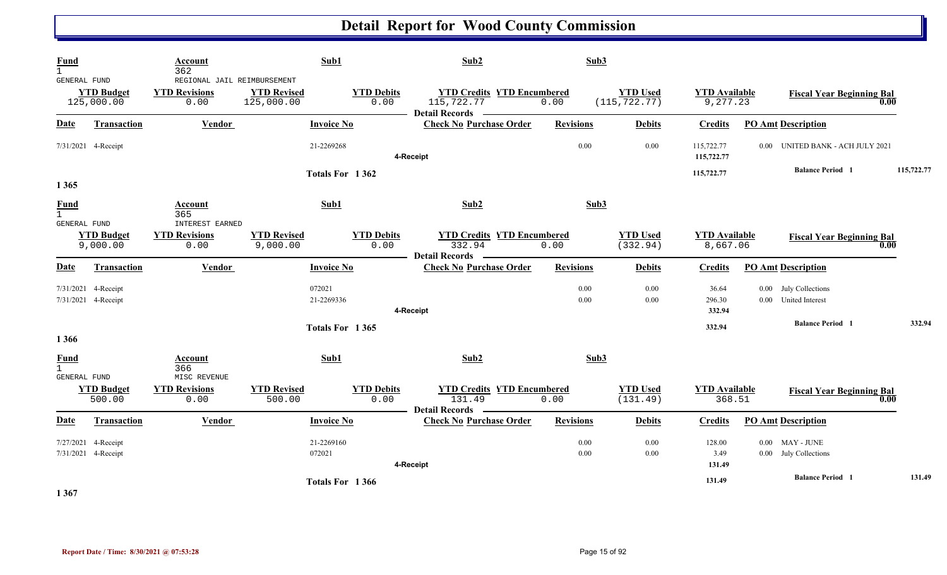| Fund<br>$\mathbf{1}$                                 | Account<br>362                                              | Sub1                             |                           | Sub2                            |                                           | Sub3                             |                                  |                                               |            |
|------------------------------------------------------|-------------------------------------------------------------|----------------------------------|---------------------------|---------------------------------|-------------------------------------------|----------------------------------|----------------------------------|-----------------------------------------------|------------|
| GENERAL FUND<br><b>YTD Budget</b><br>125,000.00      | REGIONAL JAIL REIMBURSEMENT<br><b>YTD Revisions</b><br>0.00 | <b>YTD Revised</b><br>125,000.00 | <b>YTD Debits</b><br>0.00 | 115,722.77<br>Detail Records -  | <b>YTD Credits YTD Encumbered</b><br>0.00 | <b>YTD Used</b><br>(115, 722.77) | <b>YTD Available</b><br>9,277.23 | <b>Fiscal Year Beginning Bal</b>              | 0.00       |
| <b>Transaction</b><br><b>Date</b>                    | Vendor                                                      | <b>Invoice No</b>                |                           | <b>Check No Purchase Order</b>  | <b>Revisions</b>                          | <b>Debits</b>                    | <b>Credits</b>                   | <b>PO Amt Description</b>                     |            |
| 7/31/2021 4-Receipt                                  |                                                             | 21-2269268                       |                           | 4-Receipt                       |                                           | 0.00<br>0.00                     | 115,722.77<br>115,722.77         | UNITED BANK - ACH JULY 2021<br>$0.00 -$       |            |
| 1 3 6 5                                              |                                                             | Totals For 1362                  |                           |                                 |                                           |                                  | 115,722.77                       | <b>Balance Period</b> 1                       | 115,722.77 |
| <b>Fund</b><br>$\mathbf{1}$                          | Account<br>365                                              | Sub1                             |                           | Sub2                            |                                           | Sub3                             |                                  |                                               |            |
| <b>GENERAL FUND</b><br><b>YTD Budget</b><br>9,000.00 | <b>INTEREST EARNED</b><br><b>YTD Revisions</b><br>0.00      | <b>YTD Revised</b><br>9,000.00   | <b>YTD Debits</b><br>0.00 | 332.94<br>Detail Records —      | <b>YTD Credits YTD Encumbered</b><br>0.00 | <b>YTD Used</b><br>(332.94)      | <b>YTD Available</b><br>8,667.06 | <b>Fiscal Year Beginning Bal</b>              | 0.00       |
| <b>Date</b><br>Transaction                           | Vendor                                                      | <b>Invoice No</b>                |                           | <b>Check No Purchase Order</b>  | <b>Revisions</b>                          | <b>Debits</b>                    | <b>Credits</b>                   | <b>PO Amt Description</b>                     |            |
| 7/31/2021<br>4-Receipt<br>7/31/2021 4-Receipt        |                                                             | 072021<br>21-2269336             |                           | 4-Receipt                       |                                           | 0.00<br>0.00<br>0.00<br>0.00     | 36.64<br>296.30<br>332.94        | 0.00 July Collections<br>0.00 United Interest |            |
| 1 3 6 6                                              |                                                             | Totals For 1365                  |                           |                                 |                                           |                                  | 332.94                           | <b>Balance Period 1</b>                       | 332.94     |
| <b>Fund</b><br>$\mathbf{1}$<br><b>GENERAL FUND</b>   | Account<br>366<br>MISC REVENUE                              | Sub1                             |                           | Sub2                            |                                           | Sub3                             |                                  |                                               |            |
| <b>YTD Budget</b><br>500.00                          | <b>YTD Revisions</b><br>0.00                                | <b>YTD Revised</b><br>500.00     | <b>YTD Debits</b><br>0.00 | 131.49<br><b>Detail Records</b> | <b>YTD Credits YTD Encumbered</b><br>0.00 | <b>YTD Used</b><br>(131.49)      | <b>YTD Available</b><br>368.51   | <b>Fiscal Year Beginning Bal</b>              | 0.00       |
| <b>Date</b><br><b>Transaction</b>                    | Vendor                                                      | <b>Invoice No</b>                |                           | <b>Check No Purchase Order</b>  | <b>Revisions</b>                          | <b>Debits</b>                    | <b>Credits</b>                   | <b>PO Amt Description</b>                     |            |
| 7/27/2021<br>4-Receipt<br>7/31/2021 4-Receipt        |                                                             | 21-2269160<br>072021             |                           | 4-Receipt                       |                                           | 0.00<br>0.00<br>0.00<br>0.00     | 128.00<br>3.49<br>131.49         | $0.00$ MAY - JUNE<br>0.00 July Collections    |            |
|                                                      |                                                             | Totals For 1366                  |                           |                                 |                                           |                                  | 131.49                           | <b>Balance Period</b> 1                       | 131.49     |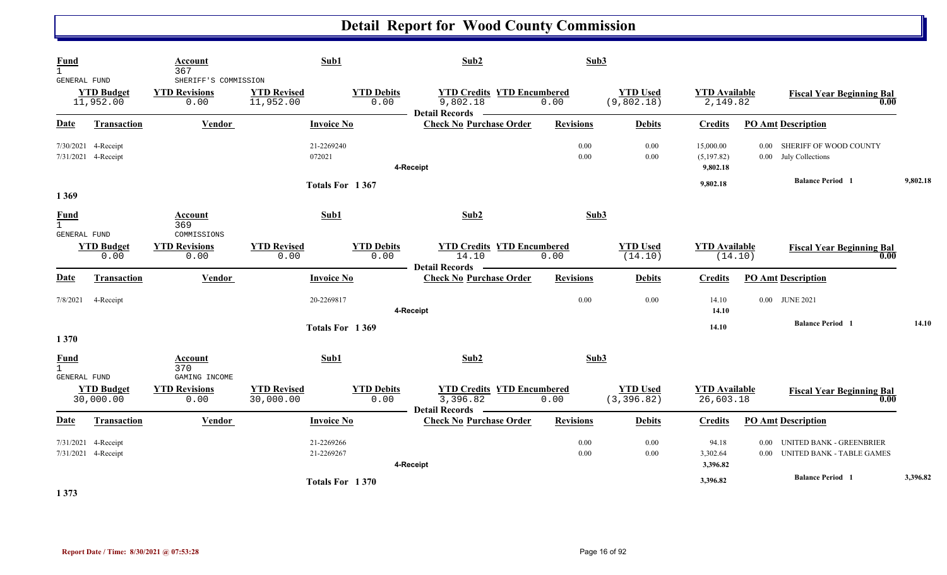| <b>Fund</b><br>$\mathbf{1}$<br>GENERAL FUND |                                | Account<br>367<br>SHERIFF'S COMMISSION        | Sub1                            |                           | Sub2                              |                                           | Sub3                           |                                     |                                                                                  |          |
|---------------------------------------------|--------------------------------|-----------------------------------------------|---------------------------------|---------------------------|-----------------------------------|-------------------------------------------|--------------------------------|-------------------------------------|----------------------------------------------------------------------------------|----------|
|                                             | <b>YTD Budget</b><br>11,952.00 | <b>YTD Revisions</b><br>0.00                  | <b>YTD Revised</b><br>11,952.00 | <b>YTD Debits</b><br>0.00 | 9,802.18<br><b>Detail Records</b> | <b>YTD Credits YTD Encumbered</b><br>0.00 | <b>YTD Used</b><br>(9,802.18)  | <b>YTD Available</b><br>2,149.82    | <b>Fiscal Year Beginning Bal</b>                                                 | 0.00     |
| Date                                        | <b>Transaction</b>             | Vendor                                        | <b>Invoice No</b>               |                           | <b>Check No Purchase Order</b>    | <b>Revisions</b>                          | <b>Debits</b>                  | <b>Credits</b>                      | <b>PO Amt Description</b>                                                        |          |
| 7/31/2021 4-Receipt                         | 7/30/2021 4-Receipt            |                                               | 21-2269240<br>072021            |                           | 4-Receipt                         | 0.00                                      | 0.00<br>0.00<br>0.00           | 15,000.00<br>(5,197.82)<br>9,802.18 | SHERIFF OF WOOD COUNTY<br>0.00 <sub>1</sub><br>0.00 July Collections             |          |
|                                             |                                |                                               | Totals For 1367                 |                           |                                   |                                           |                                | 9,802.18                            | <b>Balance Period</b> 1                                                          | 9,802.18 |
| 1 3 6 9                                     |                                |                                               |                                 |                           |                                   |                                           |                                |                                     |                                                                                  |          |
| <b>Fund</b><br>$\mathbf{1}$<br>GENERAL FUND |                                | Account<br>369<br>COMMISSIONS                 | Sub1                            |                           | Sub2                              |                                           | Sub3                           |                                     |                                                                                  |          |
|                                             | <b>YTD Budget</b><br>0.00      | <b>YTD Revisions</b><br>0.00                  | <b>YTD Revised</b><br>0.00      | <b>YTD Debits</b><br>0.00 | 14.10<br><b>Detail Records</b>    | <b>YTD Credits YTD Encumbered</b><br>0.00 | <b>YTD Used</b><br>(14.10)     | <b>YTD Available</b>                | <b>Fiscal Year Beginning Bal</b><br>(14.10)                                      | 0.00     |
| <b>Date</b>                                 | <b>Transaction</b>             | Vendor                                        | <b>Invoice No</b>               |                           | <b>Check No Purchase Order</b>    | <b>Revisions</b>                          | <b>Debits</b>                  | <b>Credits</b>                      | <b>PO Amt Description</b>                                                        |          |
| 7/8/2021                                    | 4-Receipt                      |                                               | 20-2269817                      |                           | 4-Receipt                         |                                           | 0.00<br>0.00                   | 14.10<br>14.10                      | 0.00 JUNE 2021                                                                   |          |
| 1 3 7 0                                     |                                |                                               | Totals For 1369                 |                           |                                   |                                           |                                | 14.10                               | <b>Balance Period 1</b>                                                          | 14.10    |
| <b>Fund</b><br>$\mathbf{1}$                 |                                | Account<br>370                                | Sub1                            |                           | Sub2                              |                                           | Sub3                           |                                     |                                                                                  |          |
| GENERAL FUND                                | <b>YTD Budget</b><br>30,000.00 | GAMING INCOME<br><b>YTD Revisions</b><br>0.00 | <b>YTD Revised</b><br>30,000.00 | <b>YTD Debits</b><br>0.00 | 3,396.82<br>Detail Records —      | <b>YTD Credits YTD Encumbered</b><br>0.00 | <b>YTD Used</b><br>(3, 396.82) | <b>YTD Available</b><br>26,603.18   | <b>Fiscal Year Beginning Bal</b>                                                 | 0.00     |
| Date                                        | Transaction                    | Vendor                                        | <b>Invoice No</b>               |                           | <b>Check No Purchase Order</b>    | <b>Revisions</b>                          | <b>Debits</b>                  | <b>Credits</b>                      | <b>PO Amt Description</b>                                                        |          |
| 7/31/2021 4-Receipt<br>7/31/2021 4-Receipt  |                                |                                               | 21-2269266<br>21-2269267        |                           | 4-Receipt                         | 0.00                                      | 0.00<br>0.00<br>0.00           | 94.18<br>3,302.64<br>3,396.82       | UNITED BANK - GREENBRIER<br>0.00<br><b>UNITED BANK - TABLE GAMES</b><br>$0.00\,$ |          |
|                                             |                                |                                               | Totals For 1370                 |                           |                                   |                                           |                                | 3,396.82                            | <b>Balance Period</b> 1                                                          | 3,396.82 |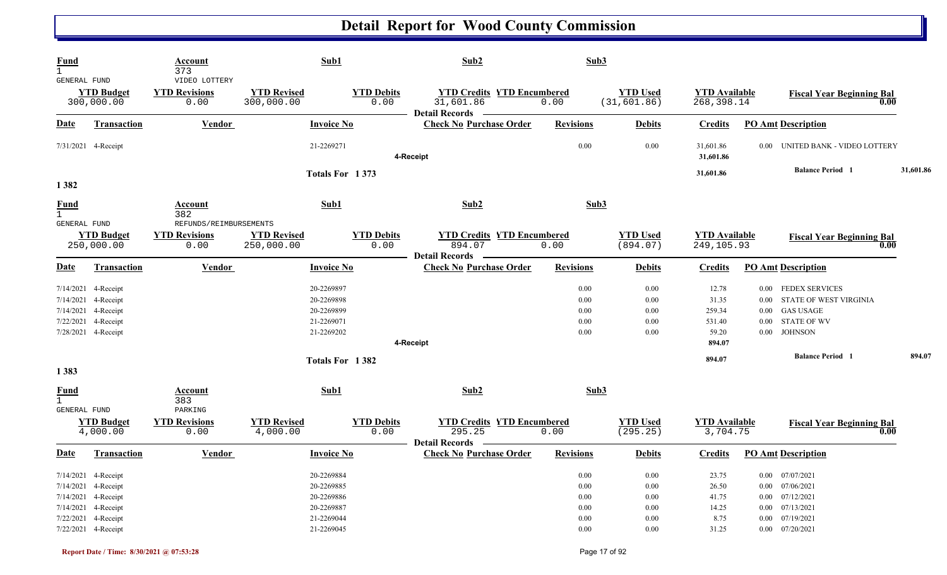| <b>Fund</b><br>$\mathbf{1}$<br>GENERAL FUND        |                                                                                                                                        | Account<br>373<br>VIDEO LOTTERY          |                                  | Sub1                                                                             | Sub2                                                                    |                                                                  | Sub3                                                                 |                                                   |                                                                                                                                                             |           |
|----------------------------------------------------|----------------------------------------------------------------------------------------------------------------------------------------|------------------------------------------|----------------------------------|----------------------------------------------------------------------------------|-------------------------------------------------------------------------|------------------------------------------------------------------|----------------------------------------------------------------------|---------------------------------------------------|-------------------------------------------------------------------------------------------------------------------------------------------------------------|-----------|
|                                                    | <b>YTD Budget</b><br>300,000.00                                                                                                        | <b>YTD Revisions</b><br>0.00             | <b>YTD Revised</b><br>300,000.00 | <b>YTD Debits</b><br>0.00                                                        | <b>YTD Credits YTD Encumbered</b><br>31,601.86<br><b>Detail Records</b> | 0.00                                                             | <b>YTD</b> Used<br>(31, 601.86)                                      | <b>YTD Available</b><br>268,398.14                | <b>Fiscal Year Beginning Bal</b><br>0.00                                                                                                                    |           |
| <u>Date</u>                                        | <b>Transaction</b>                                                                                                                     | <b>Vendor</b>                            |                                  | <b>Invoice No</b>                                                                | <b>Check No Purchase Order</b>                                          | <b>Revisions</b>                                                 | <b>Debits</b>                                                        | <b>Credits</b>                                    | <b>PO Amt Description</b>                                                                                                                                   |           |
|                                                    | 7/31/2021 4-Receipt                                                                                                                    |                                          |                                  | 21-2269271                                                                       | 4-Receipt                                                               | 0.00                                                             | 0.00                                                                 | 31,601.86<br>31,601.86                            | UNITED BANK - VIDEO LOTTERY<br>0.00                                                                                                                         |           |
| 1382                                               |                                                                                                                                        |                                          |                                  | Totals For 1373                                                                  |                                                                         |                                                                  |                                                                      | 31,601.86                                         | <b>Balance Period 1</b>                                                                                                                                     | 31,601.86 |
| <b>Fund</b><br>$\mathbf{1}$<br><b>GENERAL FUND</b> |                                                                                                                                        | Account<br>382<br>REFUNDS/REIMBURSEMENTS |                                  | Sub1                                                                             | Sub2                                                                    |                                                                  | Sub3                                                                 |                                                   |                                                                                                                                                             |           |
|                                                    | <b>YTD Budget</b><br>250,000.00                                                                                                        | <b>YTD Revisions</b><br>0.00             | <b>YTD Revised</b><br>250,000.00 | <b>YTD Debits</b><br>0.00                                                        | <b>YTD Credits YTD Encumbered</b><br>894.07<br><b>Detail Records</b>    | 0.00                                                             | <b>YTD Used</b><br>(894.07)                                          | <b>YTD Available</b><br>249,105.93                | <b>Fiscal Year Beginning Bal</b><br>0.00                                                                                                                    |           |
| <b>Date</b>                                        | <b>Transaction</b>                                                                                                                     | Vendor                                   |                                  | <b>Invoice No</b>                                                                | <b>Check No Purchase Order</b>                                          | <b>Revisions</b>                                                 | <b>Debits</b>                                                        | <b>Credits</b>                                    | <b>PO Amt Description</b>                                                                                                                                   |           |
| 7/14/2021<br>7/14/2021<br>7/22/2021                | 7/14/2021 4-Receipt<br>4-Receipt<br>4-Receipt<br>4-Receipt<br>7/28/2021 4-Receipt                                                      |                                          |                                  | 20-2269897<br>20-2269898<br>20-2269899<br>21-2269071<br>21-2269202               |                                                                         | 0.00<br>0.00<br>0.00<br>0.00<br>0.00                             | 0.00<br>0.00<br>0.00<br>0.00<br>0.00                                 | 12.78<br>31.35<br>259.34<br>531.40<br>59.20       | <b>FEDEX SERVICES</b><br>$0.00\,$<br>STATE OF WEST VIRGINIA<br>0.00<br><b>GAS USAGE</b><br>0.00<br><b>STATE OF WV</b><br>$0.00\,$<br><b>JOHNSON</b><br>0.00 |           |
|                                                    |                                                                                                                                        |                                          |                                  |                                                                                  | 4-Receipt                                                               |                                                                  |                                                                      | 894.07                                            |                                                                                                                                                             |           |
| 1383                                               |                                                                                                                                        |                                          |                                  | Totals For 1382                                                                  |                                                                         |                                                                  |                                                                      | 894.07                                            | <b>Balance Period 1</b>                                                                                                                                     | 894.07    |
| <b>Fund</b><br>$\mathbf{1}$<br><b>GENERAL FUND</b> |                                                                                                                                        | Account<br>383<br>PARKING                |                                  | Sub1                                                                             | Sub2                                                                    |                                                                  | Sub3                                                                 |                                                   |                                                                                                                                                             |           |
|                                                    | <b>YTD Budget</b><br>4,000.00                                                                                                          | <b>YTD Revisions</b><br>0.00             | <b>YTD Revised</b><br>4,000.00   | <b>YTD Debits</b><br>0.00                                                        | <b>YTD Credits YTD Encumbered</b><br>295.25<br><b>Detail Records</b>    | 0.00                                                             | <b>YTD Used</b><br>(295.25)                                          | <b>YTD Available</b><br>3,704.75                  | <b>Fiscal Year Beginning Bal</b><br>0.00                                                                                                                    |           |
| <b>Date</b>                                        | Transaction                                                                                                                            | Vendor                                   |                                  | <b>Invoice No</b>                                                                | <b>Check No Purchase Order</b>                                          | <b>Revisions</b>                                                 | <b>Debits</b>                                                        | <b>Credits</b>                                    | <b>PO Amt Description</b>                                                                                                                                   |           |
|                                                    | 7/14/2021 4-Receipt<br>7/14/2021 4-Receipt<br>7/14/2021 4-Receipt<br>7/14/2021 4-Receipt<br>7/22/2021 4-Receipt<br>7/22/2021 4-Receipt |                                          |                                  | 20-2269884<br>20-2269885<br>20-2269886<br>20-2269887<br>21-2269044<br>21-2269045 |                                                                         | 0.00<br>$0.00\,$<br>$0.00\,$<br>$0.00\,$<br>$0.00\,$<br>$0.00\,$ | $0.00\,$<br>$0.00\,$<br>$0.00\,$<br>$0.00\,$<br>$0.00\,$<br>$0.00\,$ | 23.75<br>26.50<br>41.75<br>14.25<br>8.75<br>31.25 | 0.00 07/07/2021<br>0.00 07/06/2021<br>$0.00$ $07/12/2021$<br>$0.00$ $07/13/2021$<br>$0.00$ $07/19/2021$<br>$0.00$ $07/20/2021$                              |           |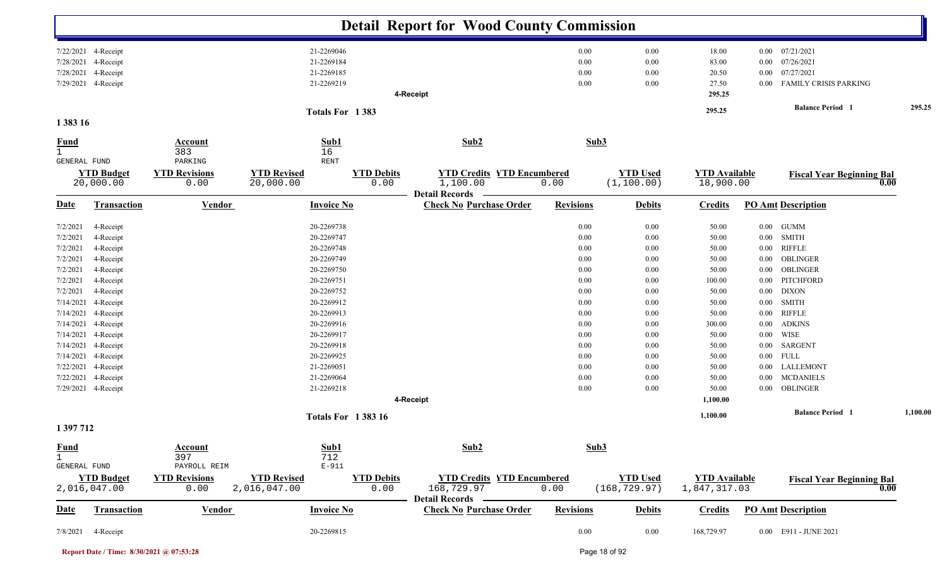|                              |                                   |                              |                                    |                           | <b>Detail Report for Wood County Commission</b>    |                  |                                  |                                      |          |                                                 |          |
|------------------------------|-----------------------------------|------------------------------|------------------------------------|---------------------------|----------------------------------------------------|------------------|----------------------------------|--------------------------------------|----------|-------------------------------------------------|----------|
|                              | 7/22/2021 4-Receipt               |                              | 21-2269046                         |                           |                                                    | 0.00             | 0.00                             | 18.00                                | $0.00\,$ | 07/21/2021                                      |          |
|                              | 7/28/2021 4-Receipt               |                              | 21-2269184                         |                           |                                                    | 0.00             | 0.00                             | 83.00                                | $0.00\,$ | 07/26/2021                                      |          |
| 7/28/2021                    | 4-Receipt                         |                              | 21-2269185                         |                           |                                                    | 0.00             | 0.00                             | 20.50                                | 0.00     | 07/27/2021                                      |          |
|                              | 7/29/2021 4-Receipt               |                              | 21-2269219                         |                           |                                                    | 0.00             | 0.00                             | 27.50                                | $0.00\,$ | <b>FAMILY CRISIS PARKING</b>                    |          |
|                              |                                   |                              |                                    |                           | 4-Receipt                                          |                  |                                  | 295.25                               |          |                                                 |          |
|                              |                                   |                              |                                    | Totals For 1383           |                                                    |                  |                                  | 295.25                               |          | <b>Balance Period</b> 1                         | 295.25   |
| 1 3 8 3 1 6                  |                                   |                              |                                    |                           |                                                    |                  |                                  |                                      |          |                                                 |          |
| $\frac{Fund}{1}$             |                                   | Account<br>383               | 16                                 | Sub1                      | Sub2                                               | Sub3             |                                  |                                      |          |                                                 |          |
| GENERAL FUND                 |                                   | PARKING                      | <b>RENT</b>                        |                           |                                                    |                  |                                  |                                      |          |                                                 |          |
|                              | <b>YTD Budget</b><br>20,000.00    | <b>YTD Revisions</b><br>0.00 | <b>YTD Revised</b><br>20,000.00    | <b>YTD Debits</b><br>0.00 | <b>YTD Credits YTD Encumbered</b><br>1,100.00      | 0.00             | <b>YTD Used</b><br>(1, 100.00)   | <b>YTD Available</b><br>18,900.00    |          | <b>Fiscal Year Beginning Bal</b><br>0.00        |          |
|                              |                                   |                              |                                    |                           | <b>Detail Records</b>                              |                  |                                  |                                      |          |                                                 |          |
| <b>Date</b>                  | <b>Transaction</b>                | <b>Vendor</b>                |                                    | <b>Invoice No</b>         | <b>Check No Purchase Order</b>                     | <b>Revisions</b> | <b>Debits</b>                    | <b>Credits</b>                       |          | <b>PO Amt Description</b>                       |          |
| 7/2/2021                     | 4-Receipt                         |                              | 20-2269738                         |                           |                                                    | 0.00             | 0.00                             | 50.00                                | $0.00\,$ | <b>GUMM</b>                                     |          |
| 7/2/2021                     | 4-Receipt                         |                              | 20-2269747                         |                           |                                                    | 0.00             | 0.00                             | 50.00                                | $0.00\,$ | <b>SMITH</b>                                    |          |
| 7/2/2021                     | 4-Receipt                         |                              | 20-2269748                         |                           |                                                    | 0.00             | 0.00                             | 50.00                                | 0.00     | <b>RIFFLE</b>                                   |          |
| 7/2/2021                     | 4-Receipt                         |                              | 20-2269749                         |                           |                                                    | 0.00             | 0.00                             | 50.00                                | 0.00     | OBLINGER                                        |          |
| 7/2/2021                     | 4-Receipt                         |                              | 20-2269750                         |                           |                                                    | 0.00             | 0.00                             | 50.00                                | 0.00     | OBLINGER                                        |          |
| 7/2/2021                     | 4-Receipt                         |                              | 20-2269751                         |                           |                                                    | 0.00             | 0.00                             | 100.00                               | $0.00\,$ | PITCHFORD                                       |          |
| 7/2/2021                     | 4-Receipt                         |                              | 20-2269752                         |                           |                                                    | 0.00             | 0.00                             | 50.00                                | $0.00\,$ | <b>DIXON</b>                                    |          |
| 7/14/2021                    | 4-Receipt                         |                              | 20-2269912                         |                           |                                                    | 0.00             | 0.00                             | 50.00                                | $0.00\,$ | <b>SMITH</b>                                    |          |
| 7/14/2021                    | 4-Receipt                         |                              | 20-2269913                         |                           |                                                    | 0.00             | 0.00                             | 50.00                                | $0.00\,$ | <b>RIFFLE</b>                                   |          |
|                              | 7/14/2021 4-Receipt               |                              | 20-2269916                         |                           |                                                    | 0.00             | 0.00                             | 300.00                               | $0.00\,$ | <b>ADKINS</b>                                   |          |
|                              | 7/14/2021 4-Receipt               |                              | 20-2269917                         |                           |                                                    | 0.00             | 0.00                             | 50.00                                | $0.00\,$ | WISE                                            |          |
| 7/14/2021                    | 4-Receipt                         |                              | 20-2269918                         |                           |                                                    | 0.00             | 0.00                             | 50.00                                | $0.00\,$ | SARGENT                                         |          |
| 7/14/2021                    | 4-Receipt                         |                              | 20-2269925                         |                           |                                                    | 0.00             | 0.00                             | 50.00                                |          | $0.00$ FULL                                     |          |
| 7/22/2021                    | 4-Receipt                         |                              | 21-2269051                         |                           |                                                    | 0.00             | 0.00                             | 50.00                                | $0.00\,$ | LALLEMONT                                       |          |
| 7/22/2021                    | 4-Receipt                         |                              | 21-2269064                         |                           |                                                    | 0.00             | 0.00                             | 50.00                                | $0.00\,$ | <b>MCDANIELS</b>                                |          |
|                              | 7/29/2021 4-Receipt               |                              | 21-2269218                         |                           | 4-Receipt                                          | 0.00             | 0.00                             | 50.00<br>1,100.00                    | $0.00\,$ | OBLINGER                                        |          |
|                              |                                   |                              |                                    | <b>Totals For 138316</b>  |                                                    |                  |                                  | 1,100.00                             |          | <b>Balance Period</b> 1                         | 1,100.00 |
| 1 397 712                    |                                   |                              |                                    |                           |                                                    |                  |                                  |                                      |          |                                                 |          |
| <b>Fund</b>                  |                                   | Account                      |                                    | Sub1                      | Sub2                                               | Sub3             |                                  |                                      |          |                                                 |          |
| $\mathbf{1}$<br>GENERAL FUND |                                   | 397<br>PAYROLL REIM          | 712                                | $E-911$                   |                                                    |                  |                                  |                                      |          |                                                 |          |
|                              | <b>YTD Budget</b><br>2,016,047.00 | <b>YTD Revisions</b><br>0.00 | <b>YTD Revised</b><br>2,016,047.00 | <b>YTD Debits</b><br>0.00 | <b>YTD Credits YTD Encumbered</b><br>168,729.97    | 0.00             | <b>YTD Used</b><br>(168, 729.97) | <b>YTD Available</b><br>1,847,317.03 |          | <b>Fiscal Year Beginning Bal</b><br>$\bf{0.00}$ |          |
| <u>Date</u>                  | <b>Transaction</b>                | <b>Vendor</b>                |                                    | <b>Invoice No</b>         | Detail Records –<br><b>Check No Purchase Order</b> | <b>Revisions</b> | <b>Debits</b>                    | <b>Credits</b>                       |          | <b>PO Amt Description</b>                       |          |
|                              |                                   |                              |                                    |                           |                                                    |                  |                                  |                                      |          |                                                 |          |
| 7/8/2021                     | 4-Receipt                         |                              | 20-2269815                         |                           |                                                    | $0.00\,$         | 0.00                             | 168,729.97                           |          | 0.00 E911 - JUNE 2021                           |          |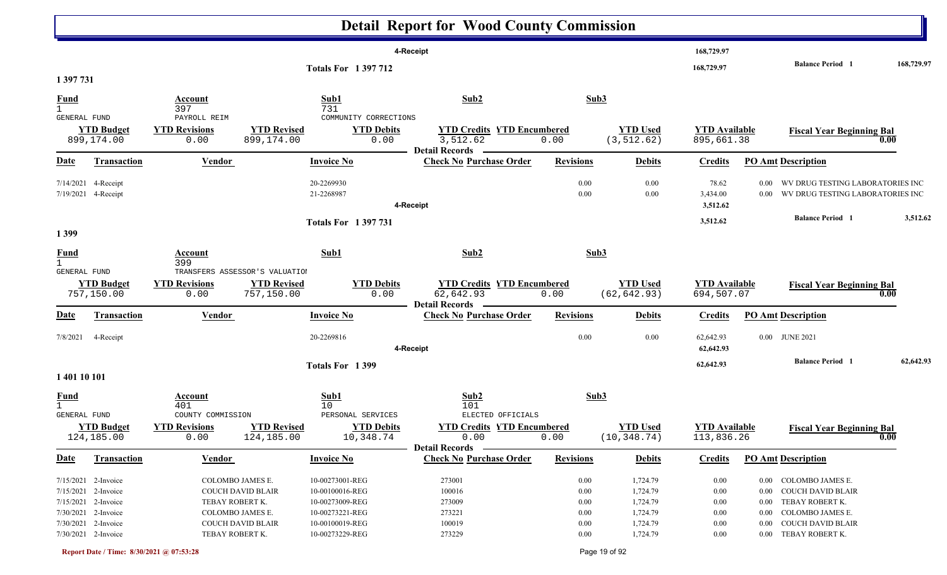|                                              |                                                                                                                                        |                                                                                                                      |                                        |                                                                                                                | <b>Detail Report for Wood County Commission</b>                               |                                                  |                                                                      |                                                  |                                  |                                                                                                                                     |            |
|----------------------------------------------|----------------------------------------------------------------------------------------------------------------------------------------|----------------------------------------------------------------------------------------------------------------------|----------------------------------------|----------------------------------------------------------------------------------------------------------------|-------------------------------------------------------------------------------|--------------------------------------------------|----------------------------------------------------------------------|--------------------------------------------------|----------------------------------|-------------------------------------------------------------------------------------------------------------------------------------|------------|
| 1 397 731                                    |                                                                                                                                        |                                                                                                                      |                                        | <b>Totals For 1397712</b>                                                                                      | 4-Receipt                                                                     |                                                  |                                                                      | 168,729.97<br>168,729.97                         |                                  | <b>Balance Period</b> 1                                                                                                             | 168,729.97 |
| $\frac{Fund}{1}$                             |                                                                                                                                        | Account<br>397                                                                                                       |                                        | Sub1<br>731                                                                                                    | Sub2                                                                          | Sub3                                             |                                                                      |                                                  |                                  |                                                                                                                                     |            |
| <b>GENERAL FUND</b>                          | <b>YTD Budget</b><br>899,174.00                                                                                                        | PAYROLL REIM<br><b>YTD Revisions</b><br>0.00                                                                         | <b>YTD Revised</b><br>899,174.00       | COMMUNITY CORRECTIONS<br><b>YTD Debits</b><br>0.00                                                             | <b>YTD Credits YTD Encumbered</b><br>3,512.62<br><b>Detail Records</b>        | 0.00                                             | <b>YTD Used</b><br>(3, 512.62)                                       | <b>YTD</b> Available<br>895,661.38               |                                  | <b>Fiscal Year Beginning Bal</b><br>0.00                                                                                            |            |
| <u>Date</u>                                  | <b>Transaction</b>                                                                                                                     | <b>Vendor</b>                                                                                                        |                                        | <b>Invoice No</b>                                                                                              | <b>Check No Purchase Order</b>                                                | <b>Revisions</b>                                 | <b>Debits</b>                                                        | <b>Credits</b>                                   |                                  | <b>PO Amt Description</b>                                                                                                           |            |
| 7/14/2021                                    | 4-Receipt<br>7/19/2021 4-Receipt                                                                                                       |                                                                                                                      | 20-2269930<br>21-2268987               |                                                                                                                | 4-Receipt                                                                     | 0.00<br>0.00                                     | 0.00<br>0.00                                                         | 78.62<br>3,434.00<br>3,512.62                    | $0.00\,$                         | WV DRUG TESTING LABORATORIES INC<br>0.00 WV DRUG TESTING LABORATORIES INC                                                           |            |
| 1399                                         |                                                                                                                                        |                                                                                                                      |                                        | <b>Totals For 1397731</b>                                                                                      |                                                                               |                                                  |                                                                      | 3,512.62                                         |                                  | <b>Balance Period</b> 1                                                                                                             | 3,512.62   |
| $rac{\text{Fund}}{1}$<br><b>GENERAL FUND</b> |                                                                                                                                        | Account<br>399<br>TRANSFERS ASSESSOR'S VALUATION                                                                     |                                        | Sub1                                                                                                           | Sub2                                                                          | Sub3                                             |                                                                      |                                                  |                                  |                                                                                                                                     |            |
|                                              | <b>YTD Budget</b><br>757,150.00                                                                                                        | <b>YTD Revisions</b><br>0.00                                                                                         | <b>YTD Revised</b><br>757,150.00       | <b>YTD Debits</b><br>0.00                                                                                      | <b>YTD Credits YTD Encumbered</b><br>62,642.93<br><b>Detail Records</b>       | 0.00                                             | <b>YTD Used</b><br>(62, 642.93)                                      | <b>YTD</b> Available<br>694,507.07               |                                  | <b>Fiscal Year Beginning Bal</b><br>0.00                                                                                            |            |
| <u>Date</u>                                  | <b>Transaction</b>                                                                                                                     | <b>Vendor</b>                                                                                                        |                                        | <b>Invoice No</b>                                                                                              | <b>Check No Purchase Order</b>                                                | <b>Revisions</b>                                 | <b>Debits</b>                                                        | <b>Credits</b>                                   |                                  | <b>PO Amt Description</b>                                                                                                           |            |
| 7/8/2021                                     | 4-Receipt                                                                                                                              |                                                                                                                      | 20-2269816                             |                                                                                                                | 4-Receipt                                                                     | 0.00                                             | 0.00                                                                 | 62,642.93<br>62,642.93                           |                                  | 0.00 JUNE 2021                                                                                                                      |            |
|                                              |                                                                                                                                        |                                                                                                                      |                                        | Totals For 1399                                                                                                |                                                                               |                                                  |                                                                      | 62,642.93                                        |                                  | <b>Balance Period</b> 1                                                                                                             | 62,642.93  |
| 1 401 10 101<br><u>Fund</u><br>GENERAL FUND  | <b>YTD Budget</b><br>124,185.00                                                                                                        | <b>Account</b><br>401<br>COUNTY COMMISSION<br><b>YTD Revisions</b><br>0.00                                           | 10<br><b>YTD Revised</b><br>124,185.00 | Sub1<br>PERSONAL SERVICES<br><b>YTD Debits</b><br>10,348.74                                                    | Sub2<br>101<br>ELECTED OFFICIALS<br><b>YTD Credits YTD Encumbered</b><br>0.00 | Sub3<br>0.00                                     | <b>YTD Used</b><br>(10, 348.74)                                      | <b>YTD</b> Available<br>113,836.26               |                                  | <b>Fiscal Year Beginning Bal</b><br>0.00                                                                                            |            |
| <u>Date</u>                                  | <b>Transaction</b>                                                                                                                     | <b>Vendor</b>                                                                                                        |                                        | <b>Invoice No</b>                                                                                              | Detail Records -<br><b>Check No Purchase Order</b>                            | <b>Revisions</b>                                 | <b>Debits</b>                                                        | <b>Credits</b>                                   |                                  | <b>PO Amt Description</b>                                                                                                           |            |
|                                              | 7/15/2021 2-Invoice<br>7/15/2021 2-Invoice<br>7/15/2021 2-Invoice<br>7/30/2021 2-Invoice<br>7/30/2021 2-Invoice<br>7/30/2021 2-Invoice | COLOMBO JAMES E.<br>COUCH DAVID BLAIR<br>TEBAY ROBERT K.<br>COLOMBO JAMES E.<br>COUCH DAVID BLAIR<br>TEBAY ROBERT K. |                                        | 10-00273001-REG<br>10-00100016-REG<br>10-00273009-REG<br>10-00273221-REG<br>10-00100019-REG<br>10-00273229-REG | 273001<br>100016<br>273009<br>273221<br>100019<br>273229                      | 0.00<br>0.00<br>0.00<br>0.00<br>0.00<br>$0.00\,$ | 1,724.79<br>1,724.79<br>1,724.79<br>1,724.79<br>1,724.79<br>1,724.79 | 0.00<br>0.00<br>0.00<br>0.00<br>0.00<br>$0.00\,$ | $0.00\,$<br>$0.00\,$<br>$0.00\,$ | 0.00 COLOMBO JAMES E.<br>0.00 COUCH DAVID BLAIR<br>TEBAY ROBERT K.<br>COLOMBO JAMES E.<br>COUCH DAVID BLAIR<br>0.00 TEBAY ROBERT K. |            |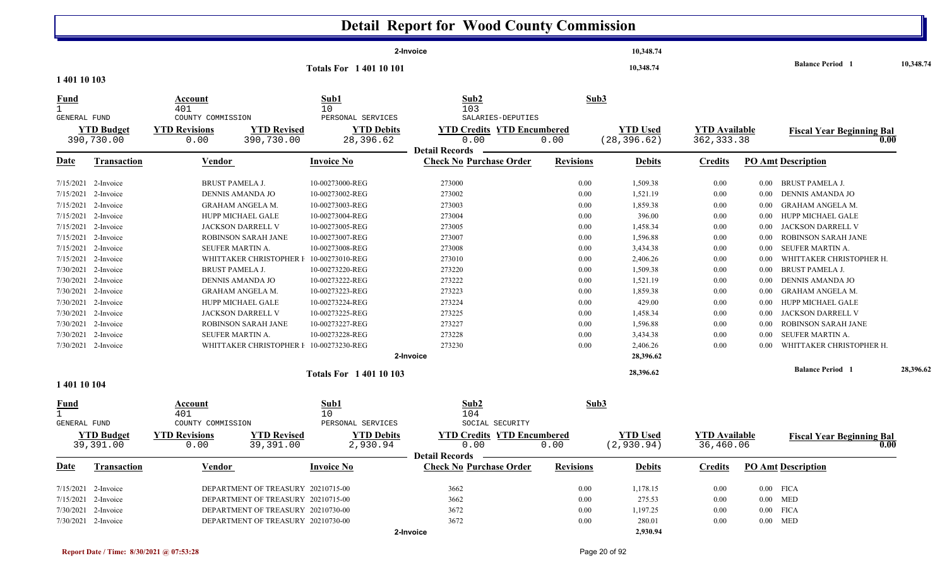|                                                    |                                 |                                                                  |                                 | <b>Detail Report for Wood County Commission</b>                    |                  |                                 |                                     |          |                                          |           |
|----------------------------------------------------|---------------------------------|------------------------------------------------------------------|---------------------------------|--------------------------------------------------------------------|------------------|---------------------------------|-------------------------------------|----------|------------------------------------------|-----------|
|                                                    |                                 |                                                                  |                                 | 2-Invoice                                                          |                  | 10,348.74                       |                                     |          |                                          |           |
|                                                    |                                 |                                                                  | <b>Totals For 140110101</b>     |                                                                    |                  | 10,348.74                       |                                     |          | <b>Balance Period 1</b>                  | 10,348.74 |
| 1 401 10 103                                       |                                 |                                                                  |                                 |                                                                    |                  |                                 |                                     |          |                                          |           |
| <u>Fund</u><br>$\mathbf{1}$                        |                                 | Account<br>401                                                   | Sub1<br>10                      | Sub2<br>103                                                        | Sub3             |                                 |                                     |          |                                          |           |
| GENERAL FUND                                       |                                 | COUNTY COMMISSION                                                | PERSONAL SERVICES               | SALARIES-DEPUTIES                                                  |                  |                                 |                                     |          |                                          |           |
|                                                    | <b>YTD Budget</b><br>390,730.00 | <b>YTD Revised</b><br><b>YTD Revisions</b><br>0.00<br>390,730.00 | <b>YTD Debits</b><br>28,396.62  | <b>YTD Credits YTD Encumbered</b><br>0.00                          | 0.00             | <b>YTD Used</b><br>(28, 396.62) | <b>YTD</b> Available<br>362, 333.38 |          | <b>Fiscal Year Beginning Bal</b><br>0.00 |           |
|                                                    |                                 |                                                                  |                                 | <b>Detail Records</b>                                              |                  |                                 |                                     |          |                                          |           |
| <u>Date</u>                                        | <b>Transaction</b>              | <b>Vendor</b>                                                    | <b>Invoice No</b>               | <b>Check No Purchase Order</b>                                     | <b>Revisions</b> | <b>Debits</b>                   | <b>Credits</b>                      |          | <b>PO Amt Description</b>                |           |
|                                                    | 7/15/2021 2-Invoice             | <b>BRUST PAMELA J.</b>                                           | 10-00273000-REG                 | 273000                                                             | 0.00             | 1,509.38                        | 0.00                                | $0.00\,$ | BRUST PAMELA J.                          |           |
| 7/15/2021                                          | 2-Invoice                       | DENNIS AMANDA JO                                                 | 10-00273002-REG                 | 273002                                                             | 0.00             | 1,521.19                        | 0.00                                | $0.00\,$ | <b>DENNIS AMANDA JO</b>                  |           |
| 7/15/2021                                          | 2-Invoice                       | <b>GRAHAM ANGELA M.</b>                                          | 10-00273003-REG                 | 273003                                                             | 0.00             | 1,859.38                        | 0.00                                | $0.00\,$ | <b>GRAHAM ANGELA M.</b>                  |           |
| 7/15/2021                                          | 2-Invoice                       | HUPP MICHAEL GALE                                                | 10-00273004-REG                 | 273004                                                             | 0.00             | 396.00                          | 0.00                                | $0.00\,$ | HUPP MICHAEL GALE                        |           |
| 7/15/2021                                          | 2-Invoice                       | JACKSON DARRELL V                                                | 10-00273005-REG                 | 273005                                                             | 0.00             | 1,458.34                        | 0.00                                | $0.00\,$ | JACKSON DARRELL V                        |           |
| 7/15/2021                                          | 2-Invoice                       | <b>ROBINSON SARAH JANE</b>                                       | 10-00273007-REG                 | 273007                                                             | 0.00             | 1,596.88                        | 0.00                                | $0.00\,$ | <b>ROBINSON SARAH JANE</b>               |           |
| 7/15/2021                                          | 2-Invoice                       | SEUFER MARTIN A.                                                 | 10-00273008-REG                 | 273008                                                             | 0.00             | 3,434.38                        | $0.00\,$                            | 0.00     | SEUFER MARTIN A.                         |           |
|                                                    | 7/15/2021 2-Invoice             | WHITTAKER CHRISTOPHER I                                          | 10-00273010-REG                 | 273010                                                             | 0.00             | 2,406.26                        | 0.00                                | 0.00     | WHITTAKER CHRISTOPHER H.                 |           |
| 7/30/2021                                          | 2-Invoice                       | <b>BRUST PAMELA J.</b>                                           | 10-00273220-REG                 | 273220                                                             | 0.00             | 1,509.38                        | 0.00                                | $0.00\,$ | <b>BRUST PAMELA J.</b>                   |           |
| 7/30/2021                                          | 2-Invoice                       | DENNIS AMANDA JO                                                 | 10-00273222-REG                 | 273222                                                             | 0.00             | 1,521.19                        | 0.00                                | 0.00     | <b>DENNIS AMANDA JO</b>                  |           |
|                                                    | 7/30/2021 2-Invoice             | GRAHAM ANGELA M.                                                 | 10-00273223-REG                 | 273223                                                             | 0.00             | 1,859.38                        | 0.00                                | $0.00\,$ | <b>GRAHAM ANGELA M.</b>                  |           |
|                                                    | 7/30/2021 2-Invoice             | HUPP MICHAEL GALE                                                | 10-00273224-REG                 | 273224                                                             | 0.00             | 429.00                          | $0.00\,$                            | $0.00\,$ | HUPP MICHAEL GALE                        |           |
| 7/30/2021                                          | 2-Invoice                       | JACKSON DARRELL V                                                | 10-00273225-REG                 | 273225                                                             | 0.00             | 1,458.34                        | 0.00                                | 0.00     | JACKSON DARRELL V                        |           |
|                                                    | 7/30/2021 2-Invoice             | <b>ROBINSON SARAH JANE</b>                                       | 10-00273227-REG                 | 273227                                                             | 0.00             | 1,596.88                        | 0.00                                | $0.00\,$ | <b>ROBINSON SARAH JANE</b>               |           |
|                                                    | 7/30/2021 2-Invoice             | SEUFER MARTIN A.                                                 | 10-00273228-REG                 | 273228                                                             | 0.00             | 3,434.38                        | 0.00                                | $0.00\,$ | SEUFER MARTIN A.                         |           |
|                                                    | 7/30/2021 2-Invoice             | WHITTAKER CHRISTOPHER I 10-00273230-REG                          |                                 | 273230                                                             | 0.00             | 2,406.26                        | 0.00                                | 0.00     | WHITTAKER CHRISTOPHER H.                 |           |
|                                                    |                                 |                                                                  |                                 | 2-Invoice                                                          |                  | 28,396.62                       |                                     |          |                                          |           |
|                                                    |                                 |                                                                  | <b>Totals For 140110103</b>     |                                                                    |                  | 28,396.62                       |                                     |          | <b>Balance Period 1</b>                  | 28.396.62 |
| 1 401 10 104                                       |                                 |                                                                  |                                 |                                                                    |                  |                                 |                                     |          |                                          |           |
| <b>Fund</b><br>$\mathbf{1}$<br><b>GENERAL FUND</b> |                                 | Account<br>401<br>COUNTY COMMISSION                              | Sub1<br>10<br>PERSONAL SERVICES | Sub2<br>104<br>SOCIAL SECURITY                                     | Sub3             |                                 |                                     |          |                                          |           |
|                                                    | <b>YTD Budget</b><br>39,391.00  | <b>YTD Revisions</b><br><b>YTD Revised</b><br>0.00<br>39,391.00  | <b>YTD Debits</b><br>2,930.94   | <b>YTD Credits YTD Encumbered</b><br>0.00<br><b>Detail Records</b> | 0.00             | <b>YTD Used</b><br>(2, 930.94)  | <b>YTD</b> Available<br>36,460.06   |          | <b>Fiscal Year Beginning Bal</b><br>0.00 |           |
| <u>Date</u>                                        | <b>Transaction</b>              | Vendor                                                           | <b>Invoice No</b>               | <b>Check No Purchase Order</b>                                     | <b>Revisions</b> | <b>Debits</b>                   | Credits                             |          | <b>PO Amt Description</b>                |           |
|                                                    | 7/15/2021 2-Invoice             | DEPARTMENT OF TREASURY 20210715-00                               |                                 | 3662                                                               | 0.00             | 1,178.15                        | 0.00                                |          | $0.00$ FICA                              |           |

2-Invoice 20210715-00 0.00 DEPARTMENT OF TREASUR Y 3662 275.53 0.00 0.00 MED

2-Invoice 20210730-00 0.00 DEPARTMENT OF TREASUR Y 3672 1,197.25 0.00 0.00 FICA

2-Invoice 20210730-00 0.00 DEPARTMENT OF TREASUR Y 3672 280.01 0.00 0.00 MED

**2-Invoice**

7/15/2021 2-Invoice

7/30/2021 2-Invoice

7/30/2021 2-Invoice

**2,930.94**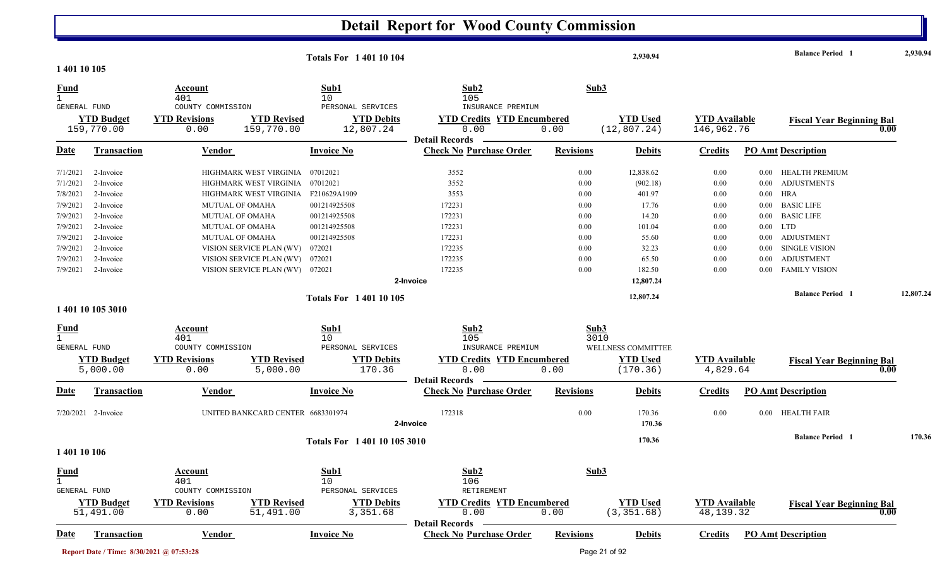| 2,930.94<br><b>Totals For 140110104</b><br>1 401 10 105                                                                                                                                                                                                                                                                                                                                         | <b>Balance Period 1</b><br>2,930.94      |
|-------------------------------------------------------------------------------------------------------------------------------------------------------------------------------------------------------------------------------------------------------------------------------------------------------------------------------------------------------------------------------------------------|------------------------------------------|
| Sub2<br>Sub3<br>Sub1<br><b>Fund</b><br>Account<br>$\mathbf{1}$                                                                                                                                                                                                                                                                                                                                  |                                          |
| 401<br>10<br>105<br>GENERAL FUND<br>COUNTY COMMISSION<br>PERSONAL SERVICES<br>INSURANCE PREMIUM<br><b>YTD Revised</b><br><b>YTD Debits</b><br><b>YTD Credits YTD Encumbered</b><br><b>YTD</b> Used<br><b>YTD Budget</b><br><b>YTD Revisions</b><br><b>YTD</b> Available<br>159,770.00<br>12,807.24<br>0.00<br>(12, 807.24)<br>146,962.76<br>0.00<br>159,770.00<br>0.00<br><b>Detail Records</b> | <b>Fiscal Year Beginning Bal</b><br>0.00 |
| <b>Check No Purchase Order</b><br><b>Date</b><br><b>Invoice No</b><br><b>Revisions</b><br><b>PO Amt Description</b><br><b>Transaction</b><br><b>Debits</b><br><b>Credits</b><br>Vendor                                                                                                                                                                                                          |                                          |
| 2-Invoice<br>HIGHMARK WEST VIRGINIA<br>07012021<br>3552<br>0.00<br>12,838.62<br>0.00<br>7/1/2021<br>0.00                                                                                                                                                                                                                                                                                        | HEALTH PREMIUM                           |
| 07012021<br>3552<br>7/1/2021<br>2-Invoice<br>HIGHMARK WEST VIRGINIA<br>(902.18)<br>0.00<br>0.00<br>$0.00\,$                                                                                                                                                                                                                                                                                     | <b>ADJUSTMENTS</b>                       |
| 7/8/2021<br>2-Invoice<br>HIGHMARK WEST VIRGINIA<br>F210629A1909<br>3553<br>401.97<br>$0.00\,$<br>HRA<br>0.00<br>0.00                                                                                                                                                                                                                                                                            |                                          |
| 7/9/2021<br>2-Invoice<br>001214925508<br>172231<br><b>MUTUAL OF OMAHA</b><br>0.00<br>17.76<br>0.00<br>$0.00\,$                                                                                                                                                                                                                                                                                  | <b>BASIC LIFE</b>                        |
| 172231<br>2-Invoice<br>001214925508<br>14.20<br>7/9/2021<br><b>MUTUAL OF OMAHA</b><br>0.00<br>0.00<br>$0.00\,$                                                                                                                                                                                                                                                                                  | <b>BASIC LIFE</b>                        |
| 172231<br><b>LTD</b><br>001214925508<br>0.00<br>101.04<br>$0.00\,$<br>7/9/2021<br>2-Invoice<br><b>MUTUAL OF OMAHA</b><br>0.00                                                                                                                                                                                                                                                                   |                                          |
| 001214925508<br>172231<br>55.60<br>7/9/2021<br>2-Invoice<br><b>MUTUAL OF OMAHA</b><br>0.00<br>0.00<br>$0.00\,$                                                                                                                                                                                                                                                                                  | <b>ADJUSTMENT</b>                        |
| 172235<br>32.23<br>7/9/2021<br>2-Invoice<br>VISION SERVICE PLAN (WV)<br>072021<br>0.00<br>0.00<br>$0.00\,$                                                                                                                                                                                                                                                                                      | <b>SINGLE VISION</b>                     |
| 172235<br>7/9/2021<br>VISION SERVICE PLAN (WV)<br>072021<br>0.00<br>65.50<br>0.00<br>2-Invoice<br>0.00                                                                                                                                                                                                                                                                                          | <b>ADJUSTMENT</b>                        |
| 172235<br>7/9/2021<br>2-Invoice<br>VISION SERVICE PLAN (WV) 072021<br>0.00<br>182.50<br>0.00<br>0.00                                                                                                                                                                                                                                                                                            | <b>FAMILY VISION</b>                     |
| 2-Invoice<br>12,807.24                                                                                                                                                                                                                                                                                                                                                                          |                                          |
| 12,807.24<br><b>Totals For 140110105</b>                                                                                                                                                                                                                                                                                                                                                        | <b>Balance Period</b> 1<br>12,807.24     |
| 1 401 10 105 3010                                                                                                                                                                                                                                                                                                                                                                               |                                          |
| Sub2<br>Sub3<br>Sub1<br><b>Fund</b><br><b>Account</b>                                                                                                                                                                                                                                                                                                                                           |                                          |
| $\mathbf{1}$<br>3010<br>401<br>10<br>105                                                                                                                                                                                                                                                                                                                                                        |                                          |
| GENERAL FUND<br>COUNTY COMMISSION<br>PERSONAL SERVICES<br>INSURANCE PREMIUM<br>WELLNESS COMMITTEE                                                                                                                                                                                                                                                                                               |                                          |
| <b>YTD Budget</b><br><b>YTD Revisions</b><br><b>YTD Revised</b><br><b>YTD Debits</b><br><b>YTD Credits YTD Encumbered</b><br><b>YTD Used</b><br><b>YTD</b> Available                                                                                                                                                                                                                            | <b>Fiscal Year Beginning Bal</b>         |
| 5,000.00<br>170.36<br>0.00<br>4,829.64<br>0.00<br>5,000.00<br>0.00<br>(170.36)                                                                                                                                                                                                                                                                                                                  | 0.00                                     |
| <b>Detail Records</b>                                                                                                                                                                                                                                                                                                                                                                           |                                          |
| <b>Revisions</b><br><b>PO Amt Description</b><br>Transaction<br><b>Invoice No</b><br><b>Check No Purchase Order</b><br>Vendor<br><b>Debits</b><br><b>Credits</b><br>Date                                                                                                                                                                                                                        |                                          |
| 172318<br>UNITED BANKCARD CENTER 6683301974<br>0.00<br>0.00<br>$7/20/2021$ 2-Invoice<br>170.36<br>2-Invoice<br>170.36                                                                                                                                                                                                                                                                           | 0.00 HEALTH FAIR                         |
| 170.36<br>Totals For 1 401 10 105 3010                                                                                                                                                                                                                                                                                                                                                          | <b>Balance Period 1</b><br>170.36        |
| 1 401 10 106                                                                                                                                                                                                                                                                                                                                                                                    |                                          |
| Sub3<br>Sub1<br><b>Fund</b><br>Sub2<br><b>Account</b>                                                                                                                                                                                                                                                                                                                                           |                                          |
| $\mathbf{1}$<br>401<br>10<br>106<br>RETIREMENT<br>COUNTY COMMISSION<br>PERSONAL SERVICES<br>GENERAL FUND                                                                                                                                                                                                                                                                                        |                                          |
| <b>YTD Revisions</b><br><b>YTD Revised</b><br><b>YTD Debits</b><br><b>YTD Used</b><br><b>YTD Available</b><br><b>YTD Budget</b><br><b>YTD Credits YTD Encumbered</b>                                                                                                                                                                                                                            | <b>Fiscal Year Beginning Bal</b>         |
| (3, 351.68)<br>51,491.00<br>0.00<br>51,491.00<br>3,351.68<br>0.00<br>0.00<br>48, 139. 32                                                                                                                                                                                                                                                                                                        | 0.00                                     |
| <b>Detail Records</b><br><b>Check No Purchase Order</b><br><b>Invoice No</b><br><b>Revisions</b><br><b>PO Amt Description</b><br>Transaction<br>Vendor<br><b>Debits</b><br><b>Credits</b><br><b>Date</b>                                                                                                                                                                                        |                                          |
|                                                                                                                                                                                                                                                                                                                                                                                                 |                                          |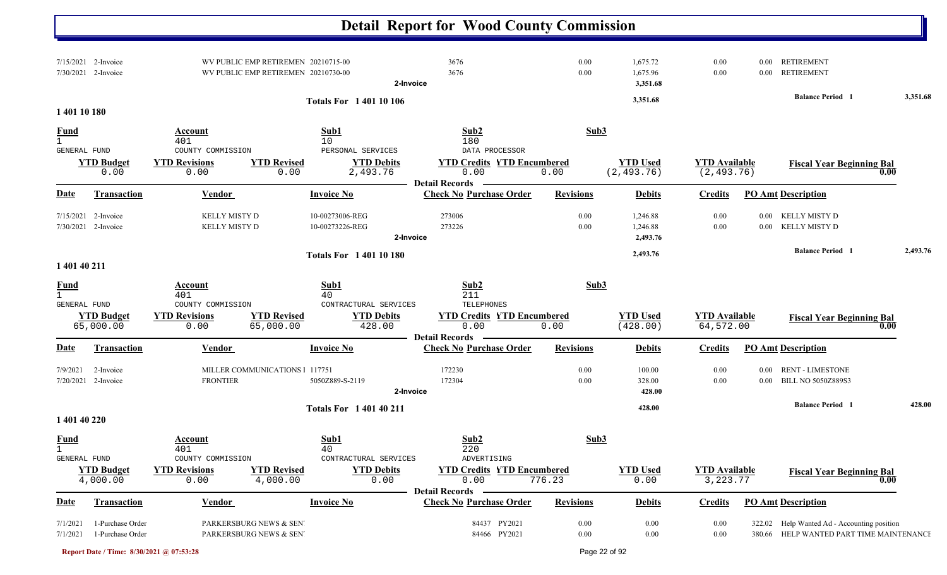|                                             |                                            |                                            |                                                                            |                                                 | <b>Detail Report for Wood County Commission</b>                    |                  |                                  |                                     |          |                                                                                         |          |
|---------------------------------------------|--------------------------------------------|--------------------------------------------|----------------------------------------------------------------------------|-------------------------------------------------|--------------------------------------------------------------------|------------------|----------------------------------|-------------------------------------|----------|-----------------------------------------------------------------------------------------|----------|
|                                             | 7/15/2021 2-Invoice<br>7/30/2021 2-Invoice |                                            | WV PUBLIC EMP RETIREMEN 20210715-00<br>WV PUBLIC EMP RETIREMEN 20210730-00 | 2-Invoice                                       | 3676<br>3676                                                       | 0.00<br>0.00     | 1,675.72<br>1,675.96<br>3,351.68 | 0.00<br>0.00                        | $0.00\,$ | <b>RETIREMENT</b><br>0.00 RETIREMENT                                                    |          |
| 1 401 10 180                                |                                            |                                            |                                                                            | <b>Totals For 140110106</b>                     |                                                                    |                  | 3,351.68                         |                                     |          | <b>Balance Period 1</b>                                                                 | 3,351.68 |
| <b>Fund</b>                                 |                                            | Account                                    |                                                                            | Sub1                                            | Sub2                                                               | Sub3             |                                  |                                     |          |                                                                                         |          |
| GENERAL FUND                                |                                            | 401<br>COUNTY COMMISSION                   |                                                                            | 10<br>PERSONAL SERVICES                         | 180<br>DATA PROCESSOR                                              |                  |                                  |                                     |          |                                                                                         |          |
|                                             | <b>YTD Budget</b><br>0.00                  | <b>YTD Revisions</b><br>0.00               | <b>YTD Revised</b><br>0.00                                                 | <b>YTD Debits</b><br>2,493.76                   | <b>YTD Credits YTD Encumbered</b><br>0.00<br><b>Detail Records</b> | 0.00             | <b>YTD Used</b><br>(2, 493.76)   | <b>YTD Available</b><br>(2, 493.76) |          | <b>Fiscal Year Beginning Bal</b><br>$\boldsymbol{0.00}$                                 |          |
| <u>Date</u>                                 | <b>Transaction</b>                         | <b>Vendor</b>                              |                                                                            | <b>Invoice No</b>                               | <b>Check No Purchase Order</b>                                     | <b>Revisions</b> | <b>Debits</b>                    | <b>Credits</b>                      |          | <b>PO Amt Description</b>                                                               |          |
|                                             | 7/15/2021 2-Invoice<br>7/30/2021 2-Invoice | KELLY MISTY D<br><b>KELLY MISTY D</b>      |                                                                            | 10-00273006-REG<br>10-00273226-REG<br>2-Invoice | 273006<br>273226                                                   | 0.00<br>0.00     | 1,246.88<br>1,246.88<br>2,493.76 | 0.00<br>0.00                        |          | 0.00 KELLY MISTY D<br>0.00 KELLY MISTY D                                                |          |
|                                             |                                            |                                            |                                                                            | <b>Totals For 140110180</b>                     |                                                                    |                  | 2,493.76                         |                                     |          | <b>Balance Period</b> 1                                                                 | 2,493.76 |
| 1 401 40 211                                |                                            |                                            |                                                                            |                                                 |                                                                    |                  |                                  |                                     |          |                                                                                         |          |
| <u>Fund</u><br>1<br><b>GENERAL FUND</b>     |                                            | Account<br>401<br>COUNTY COMMISSION        |                                                                            | Sub1<br>40<br>CONTRACTURAL SERVICES             | Sub2<br>211<br>TELEPHONES                                          | Sub3             |                                  |                                     |          |                                                                                         |          |
|                                             | <b>YTD Budget</b><br>65,000.00             | <b>YTD Revisions</b><br>0.00               | <b>YTD Revised</b><br>65,000.00                                            | <b>YTD Debits</b><br>428.00                     | <b>YTD Credits YTD Encumbered</b><br>0.00<br><b>Detail Records</b> | 0.00             | <b>YTD Used</b><br>(428.00)      | <b>YTD Available</b><br>64,572.00   |          | <b>Fiscal Year Beginning Bal</b><br>$\boldsymbol{0.00}$                                 |          |
| Date                                        | <b>Transaction</b>                         | <b>Vendor</b>                              |                                                                            | <b>Invoice No</b>                               | <b>Check No Purchase Order</b>                                     | <b>Revisions</b> | <b>Debits</b>                    | <b>Credits</b>                      |          | <b>PO Amt Description</b>                                                               |          |
| 7/9/2021                                    | 2-Invoice<br>7/20/2021 2-Invoice           | <b>FRONTIER</b>                            | MILLER COMMUNICATIONS 1 117751                                             | 5050Z889-S-2119<br>2-Invoice                    | 172230<br>172304                                                   | 0.00<br>0.00     | 100.00<br>328.00<br>428.00       | 0.00<br>0.00                        |          | 0.00 RENT - LIMESTONE<br>0.00 BILL NO 5050Z889S3                                        |          |
|                                             |                                            |                                            |                                                                            | <b>Totals For 140140211</b>                     |                                                                    |                  | 428.00                           |                                     |          | <b>Balance Period 1</b>                                                                 | 428.00   |
| 1 401 40 220                                |                                            |                                            |                                                                            |                                                 |                                                                    |                  |                                  |                                     |          |                                                                                         |          |
| <u>Fund</u><br>$\mathbf{1}$<br>GENERAL FUND |                                            | <b>Account</b><br>401<br>COUNTY COMMISSION |                                                                            | <b>Sub1</b><br>40<br>CONTRACTURAL SERVICES      | Sub2<br>220<br>ADVERTISING                                         | Sub3             |                                  |                                     |          |                                                                                         |          |
|                                             | <b>YTD Budget</b><br>4,000.00              | <b>YTD Revisions</b><br>0.00               | <b>YTD Revised</b><br>4,000.00                                             | <b>YTD Debits</b><br>0.00                       | <b>YTD Credits YTD Encumbered</b><br>0.00<br><b>Detail Records</b> | 776.23           | <b>YTD Used</b><br>0.00          | <b>YTD Available</b><br>3, 223. 77  |          | <b>Fiscal Year Beginning Bal</b><br>0.00                                                |          |
| Date                                        | <b>Transaction</b>                         | <b>Vendor</b>                              |                                                                            | <b>Invoice No</b>                               | <b>Check No Purchase Order</b>                                     | <b>Revisions</b> | <b>Debits</b>                    | <b>Credits</b>                      |          | <b>PO Amt Description</b>                                                               |          |
| 7/1/2021<br>7/1/2021                        | 1-Purchase Order<br>1-Purchase Order       |                                            | PARKERSBURG NEWS & SEN<br>PARKERSBURG NEWS & SEN'                          |                                                 | 84437 PY2021<br>84466 PY2021                                       | 0.00<br>0.00     | 0.00<br>$0.00\,$                 | 0.00<br>0.00                        |          | 322.02 Help Wanted Ad - Accounting position<br>380.66 HELP WANTED PART TIME MAINTENANCI |          |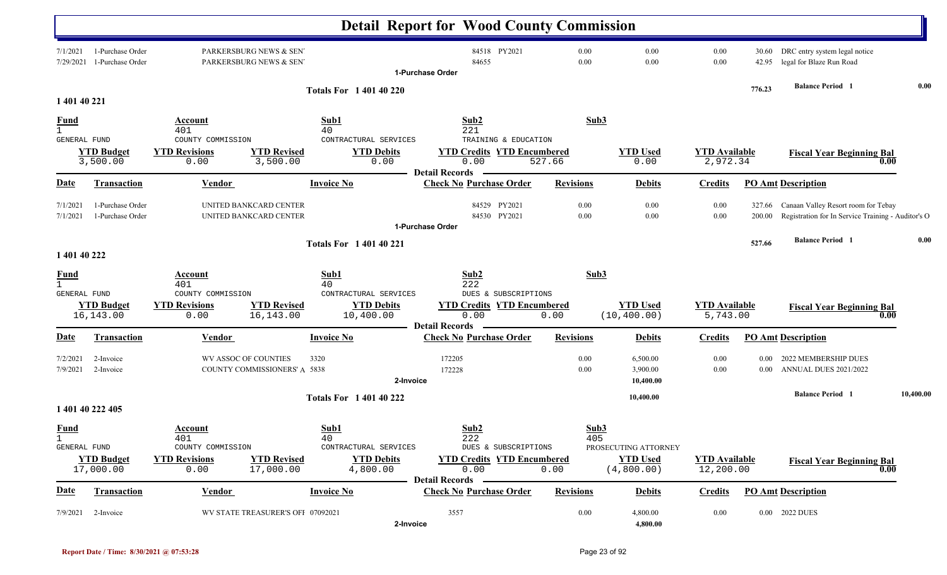|                             |                                      |                                                                                       |                                                         | <b>Detail Report for Wood County Commission</b>                    |                  |                                   |                                   |                |                                                                                                  |           |
|-----------------------------|--------------------------------------|---------------------------------------------------------------------------------------|---------------------------------------------------------|--------------------------------------------------------------------|------------------|-----------------------------------|-----------------------------------|----------------|--------------------------------------------------------------------------------------------------|-----------|
| 7/1/2021<br>7/29/2021       | 1-Purchase Order<br>1-Purchase Order | PARKERSBURG NEWS & SEN<br>PARKERSBURG NEWS & SEN                                      |                                                         | 84518 PY2021<br>84655<br>1-Purchase Order                          | 0.00<br>0.00     | 0.00<br>0.00                      | 0.00<br>0.00                      | 30.60<br>42.95 | DRC entry system legal notice<br>legal for Blaze Run Road                                        |           |
|                             |                                      |                                                                                       | <b>Totals For 140140220</b>                             |                                                                    |                  |                                   |                                   | 776.23         | <b>Balance Period 1</b>                                                                          | 0.00      |
| 1 401 40 221                |                                      |                                                                                       |                                                         |                                                                    |                  |                                   |                                   |                |                                                                                                  |           |
| <u>Fund</u><br>$\mathbf{1}$ |                                      | Account<br>401                                                                        | Sub1<br>40                                              | Sub2<br>221                                                        | Sub3             |                                   |                                   |                |                                                                                                  |           |
| GENERAL FUND                | <b>YTD Budget</b><br>3,500.00        | COUNTY COMMISSION<br><b>YTD Revisions</b><br><b>YTD Revised</b><br>0.00<br>3,500.00   | CONTRACTURAL SERVICES<br><b>YTD Debits</b><br>0.00      | TRAINING & EDUCATION<br><b>YTD Credits YTD Encumbered</b><br>0.00  | 527.66           | <b>YTD Used</b><br>0.00           | <b>YTD</b> Available<br>2,972.34  |                | <b>Fiscal Year Beginning Bal</b><br>0.00                                                         |           |
| Date                        | Transaction                          | <b>Vendor</b>                                                                         | <b>Invoice No</b>                                       | <b>Detail Records</b><br><b>Check No Purchase Order</b>            | <b>Revisions</b> | <b>Debits</b>                     | <b>Credits</b>                    |                | <b>PO Amt Description</b>                                                                        |           |
| 7/1/2021<br>7/1/2021        | 1-Purchase Order<br>1-Purchase Order | UNITED BANKCARD CENTER<br>UNITED BANKCARD CENTER                                      |                                                         | 84529<br>PY2021<br>84530 PY2021                                    | 0.00<br>$0.00\,$ | 0.00<br>0.00                      | 0.00<br>0.00                      | 200.00         | 327.66 Canaan Valley Resort room for Tebay<br>Registration for In Service Training - Auditor's O |           |
|                             |                                      |                                                                                       |                                                         | 1-Purchase Order                                                   |                  |                                   |                                   |                |                                                                                                  |           |
|                             |                                      |                                                                                       | <b>Totals For 140140221</b>                             |                                                                    |                  |                                   |                                   | 527.66         | <b>Balance Period</b> 1                                                                          | 0.00      |
| 1 401 40 222                |                                      |                                                                                       |                                                         |                                                                    |                  |                                   |                                   |                |                                                                                                  |           |
| <u>Fund</u><br>$\mathbf{1}$ |                                      | Account<br>401                                                                        | Sub1<br>40                                              | Sub2<br>222                                                        | Sub3             |                                   |                                   |                |                                                                                                  |           |
| <b>GENERAL FUND</b>         | <b>YTD Budget</b><br>16,143.00       | COUNTY COMMISSION<br><b>YTD Revised</b><br><b>YTD Revisions</b><br>16, 143.00<br>0.00 | CONTRACTURAL SERVICES<br><b>YTD Debits</b><br>10,400.00 | DUES & SUBSCRIPTIONS<br><b>YTD Credits YTD Encumbered</b><br>0.00  | 0.00             | <b>YTD</b> Used<br>(10, 400.00)   | <b>YTD Available</b><br>5,743.00  |                | <b>Fiscal Year Beginning Bal</b><br>0.00                                                         |           |
| Date                        | Transaction                          | <u>Vendor</u>                                                                         | <b>Invoice No</b>                                       | <b>Detail Records</b><br><b>Check No Purchase Order</b>            | <b>Revisions</b> | <b>Debits</b>                     | <b>Credits</b>                    |                | <b>PO Amt Description</b>                                                                        |           |
| 7/2/2021<br>7/9/2021        | 2-Invoice<br>2-Invoice               | WV ASSOC OF COUNTIES<br><b>COUNTY COMMISSIONERS' A 5838</b>                           | 3320                                                    | 172205<br>172228<br>2-Invoice                                      | 0.00<br>0.00     | 6,500.00<br>3,900.00<br>10,400.00 | 0.00<br>0.00                      | $0.00\,$       | 2022 MEMBERSHIP DUES<br>0.00 ANNUAL DUES 2021/2022                                               |           |
|                             |                                      |                                                                                       | <b>Totals For 1 401 40 222</b>                          |                                                                    |                  | 10,400.00                         |                                   |                | <b>Balance Period 1</b>                                                                          | 10,400.00 |
|                             | 1 401 40 222 405                     |                                                                                       |                                                         |                                                                    |                  |                                   |                                   |                |                                                                                                  |           |
| <b>Fund</b><br>GENERAL FUND |                                      | <b>Account</b><br>401<br>COUNTY COMMISSION                                            | Sub1<br>40<br>CONTRACTURAL SERVICES                     | Sub2<br>222<br>DUES & SUBSCRIPTIONS                                | Sub3<br>405      | PROSECUTING ATTORNEY              |                                   |                |                                                                                                  |           |
|                             | <b>YTD Budget</b><br>17,000.00       | <b>YTD Revisions</b><br><b>YTD Revised</b><br>0.00<br>17,000.00                       | <b>YTD Debits</b><br>4,800.00                           | <b>YTD Credits YTD Encumbered</b><br>0.00<br><b>Detail Records</b> | 0.00             | <b>YTD</b> Used<br>(4,800.00)     | <b>YTD Available</b><br>12,200.00 |                | <b>Fiscal Year Beginning Bal</b><br>0.00                                                         |           |
| <u>Date</u>                 | Transaction                          | <b>Vendor</b>                                                                         | <b>Invoice No</b>                                       | <b>Check No Purchase Order</b>                                     | <b>Revisions</b> | <b>Debits</b>                     | <b>Credits</b>                    |                | <b>PO Amt Description</b>                                                                        |           |
| 7/9/2021                    | 2-Invoice                            | WV STATE TREASURER'S OFI 07092021                                                     |                                                         | 3557<br>2-Invoice                                                  | 0.00             | 4,800.00<br>4,800.00              | 0.00                              |                | 0.00 2022 DUES                                                                                   |           |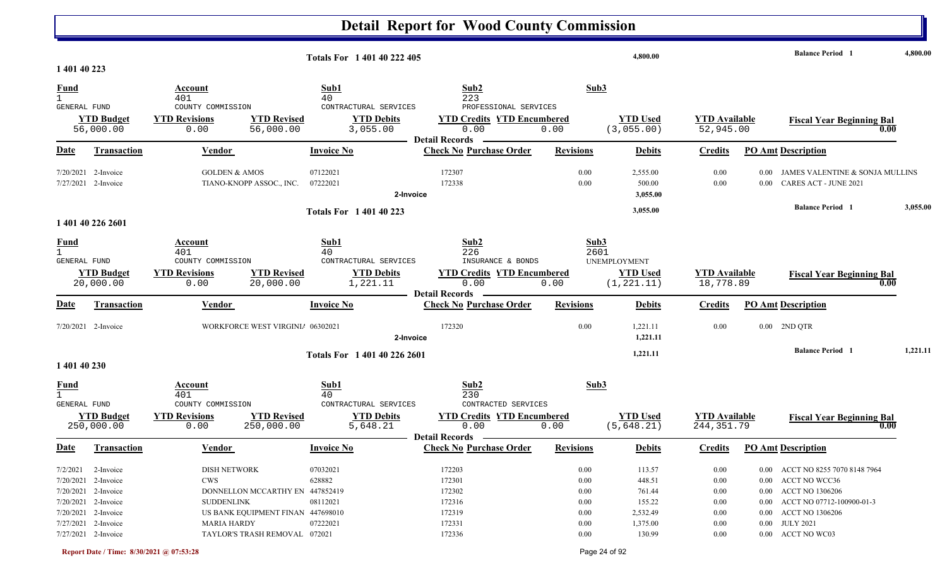|                                             |                                                                     |                                                                                                        | Totals For 1 401 40 222 405                                          |                                                                               |                              | 4,800.00                                       |                                     |                               | <b>Balance Period</b> 1                                                        | 4,800.00 |
|---------------------------------------------|---------------------------------------------------------------------|--------------------------------------------------------------------------------------------------------|----------------------------------------------------------------------|-------------------------------------------------------------------------------|------------------------------|------------------------------------------------|-------------------------------------|-------------------------------|--------------------------------------------------------------------------------|----------|
| 1 401 40 223<br><b>Fund</b>                 |                                                                     | Account                                                                                                | Sub1                                                                 | Sub2                                                                          | Sub3                         |                                                |                                     |                               |                                                                                |          |
| $\mathbf{1}$                                |                                                                     | 401                                                                                                    | 40                                                                   | 223                                                                           |                              |                                                |                                     |                               |                                                                                |          |
| GENERAL FUND                                | <b>YTD Budget</b><br>56,000.00                                      | COUNTY COMMISSION<br><b>YTD Revised</b><br><b>YTD Revisions</b><br>0.00<br>56,000.00                   | CONTRACTURAL SERVICES<br><b>YTD Debits</b><br>3,055.00               | PROFESSIONAL SERVICES<br><b>YTD Credits YTD Encumbered</b><br>0.00            | 0.00                         | <b>YTD Used</b><br>(3,055.00)                  | <b>YTD</b> Available<br>52,945.00   |                               | <b>Fiscal Year Beginning Bal</b><br>0.00                                       |          |
| <b>Date</b>                                 | Transaction                                                         | Vendor                                                                                                 | <b>Invoice No</b>                                                    | <b>Detail Records</b><br><b>Check No Purchase Order</b>                       | <b>Revisions</b>             | <b>Debits</b>                                  | <b>Credits</b>                      |                               | <b>PO Amt Description</b>                                                      |          |
|                                             | 7/20/2021 2-Invoice<br>7/27/2021 2-Invoice                          | <b>GOLDEN &amp; AMOS</b><br>TIANO-KNOPP ASSOC., INC.                                                   | 07122021<br>07222021<br>2-Invoice                                    | 172307<br>172338                                                              | 0.00<br>0.00                 | 2,555.00<br>500.00<br>3,055.00                 | 0.00<br>0.00                        | 0.00 <sub>1</sub><br>$0.00\,$ | JAMES VALENTINE & SONJA MULLINS<br><b>CARES ACT - JUNE 2021</b>                |          |
|                                             | 1 401 40 226 2601                                                   |                                                                                                        | <b>Totals For 1 401 40 223</b>                                       |                                                                               |                              | 3,055.00                                       |                                     |                               | <b>Balance Period</b> 1                                                        | 3,055.00 |
| <b>Fund</b><br>$\mathbf{1}$<br>GENERAL FUND | <b>YTD Budget</b><br>20,000.00                                      | Account<br>401<br>COUNTY COMMISSION<br><b>YTD Revisions</b><br><b>YTD Revised</b><br>20,000.00<br>0.00 | Sub1<br>40<br>CONTRACTURAL SERVICES<br><b>YTD Debits</b><br>1,221.11 | Sub2<br>226<br>INSURANCE & BONDS<br><b>YTD Credits YTD Encumbered</b><br>0.00 | Sub3<br>2601<br>0.00         | UNEMPLOYMENT<br><b>YTD Used</b><br>(1, 221.11) | <b>YTD</b> Available<br>18,778.89   |                               | <b>Fiscal Year Beginning Bal</b><br>0.00                                       |          |
|                                             |                                                                     |                                                                                                        |                                                                      | <b>Detail Records</b>                                                         |                              |                                                |                                     |                               |                                                                                |          |
| <b>Date</b>                                 | <b>Transaction</b>                                                  | Vendor                                                                                                 | <b>Invoice No</b>                                                    | <b>Check No Purchase Order</b>                                                | <b>Revisions</b>             | <b>Debits</b>                                  | <b>Credits</b>                      |                               | <b>PO Amt Description</b>                                                      |          |
|                                             | 7/20/2021 2-Invoice                                                 | WORKFORCE WEST VIRGINI/ 06302021                                                                       | 2-Invoice                                                            | 172320                                                                        | 0.00                         | 1,221.11<br>1,221.11                           | 0.00                                | $0.00\,$                      | 2ND QTR                                                                        |          |
| 1 401 40 230                                |                                                                     |                                                                                                        | Totals For 1 401 40 226 2601                                         |                                                                               |                              | 1,221.11                                       |                                     |                               | <b>Balance Period</b> 1                                                        | 1,221.11 |
| <b>Fund</b>                                 |                                                                     | Account<br>401                                                                                         | Sub1<br>40                                                           | Sub2<br>230                                                                   | Sub3                         |                                                |                                     |                               |                                                                                |          |
| GENERAL FUND                                | <b>YTD Budget</b><br>250,000.00                                     | COUNTY COMMISSION<br><b>YTD Revisions</b><br><b>YTD Revised</b><br>250,000.00<br>0.00                  | CONTRACTURAL SERVICES<br><b>YTD Debits</b><br>5,648.21               | CONTRACTED SERVICES<br><b>YTD Credits YTD Encumbered</b><br>0.00              | 0.00                         | <b>YTD Used</b><br>(5, 648.21)                 | <b>YTD Available</b><br>244, 351.79 |                               | <b>Fiscal Year Beginning Bal</b><br>0.00                                       |          |
| <u>Date</u>                                 | <b>Transaction</b>                                                  | Vendor                                                                                                 | <b>Invoice No</b>                                                    | <b>Detail Records</b><br><b>Check No Purchase Order</b>                       | <b>Revisions</b>             | <b>Debits</b>                                  | <b>Credits</b>                      |                               | <b>PO Amt Description</b>                                                      |          |
|                                             | 7/2/2021 2-Invoice<br>$7/20/2021$ 2-Invoice<br>7/20/2021 2-Invoice  | DISH NETWORK<br><b>CWS</b><br>DONNELLON MCCARTHY EN 447852419                                          | 07032021<br>628882                                                   | 172203<br>172301<br>172302                                                    | $0.00\,$<br>$0.00\,$<br>0.00 | 113.57<br>448.51<br>761.44                     | 0.00<br>0.00<br>0.00                |                               | 0.00 ACCT NO 8255 7070 8148 7964<br>0.00 ACCT NO WCC36<br>0.00 ACCT NO 1306206 |          |
|                                             | 7/20/2021 2-Invoice<br>$7/20/2021$ 2-Invoice<br>7/27/2021 2-Invoice | <b>SUDDENLINK</b><br>US BANK EQUIPMENT FINAN 447698010<br>MARIA HARDY                                  | 08112021<br>07222021                                                 | 172316<br>172319<br>172331                                                    | $0.00\,$<br>0.00<br>0.00     | 155.22<br>2,532.49<br>1,375.00                 | 0.00<br>0.00<br>0.00                |                               | $0.00$ ACCT NO 07712-100900-01-3<br>0.00 ACCT NO 1306206<br>0.00 JULY 2021     |          |
|                                             | 7/27/2021 2-Invoice                                                 | TAYLOR'S TRASH REMOVAL 072021                                                                          |                                                                      | 172336                                                                        | $0.00\,$                     | 130.99                                         | 0.00                                |                               | 0.00 ACCT NO WC03                                                              |          |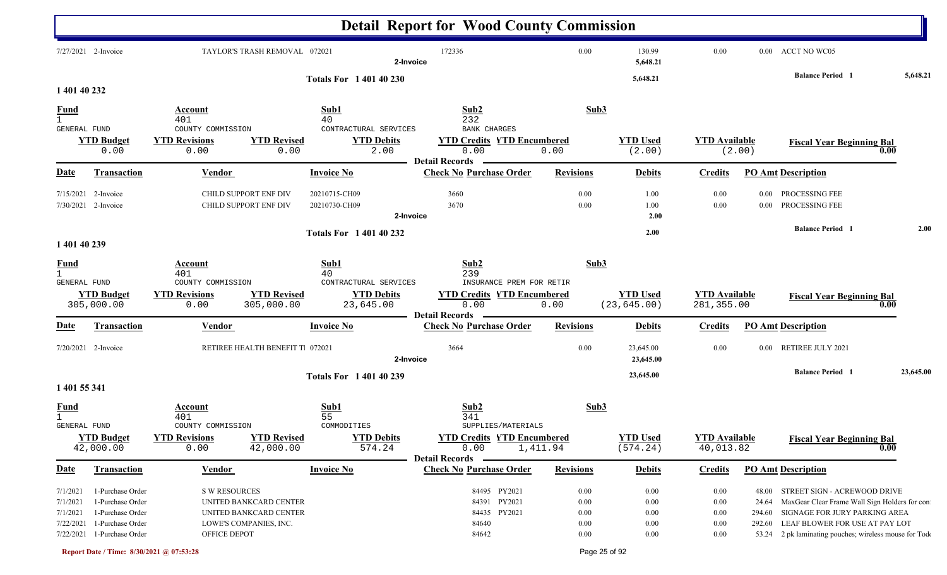|                             |                                 |                              |                                  |                                | <b>Detail Report for Wood County Commission</b>                    |                  |                                 |                                     |          |                                                        |           |
|-----------------------------|---------------------------------|------------------------------|----------------------------------|--------------------------------|--------------------------------------------------------------------|------------------|---------------------------------|-------------------------------------|----------|--------------------------------------------------------|-----------|
|                             | 7/27/2021 2-Invoice             |                              | TAYLOR'S TRASH REMOVAL 072021    | 2-Invoice                      | 172336                                                             | 0.00             | 130.99<br>5,648.21              | 0.00                                |          | 0.00 ACCT NO WC05                                      |           |
| 1 401 40 232                |                                 |                              |                                  | <b>Totals For 1 401 40 230</b> |                                                                    |                  | 5,648.21                        |                                     |          | <b>Balance Period</b> 1                                | 5,648.21  |
|                             |                                 |                              |                                  |                                |                                                                    |                  |                                 |                                     |          |                                                        |           |
| $\frac{Fund}{1}$            |                                 | Account<br>401               |                                  | Sub1<br>40                     | Sub2<br>232                                                        | Sub3             |                                 |                                     |          |                                                        |           |
| GENERAL FUND                |                                 | COUNTY COMMISSION            |                                  | CONTRACTURAL SERVICES          | <b>BANK CHARGES</b>                                                |                  |                                 |                                     |          |                                                        |           |
|                             | <b>YTD Budget</b>               | <b>YTD Revisions</b>         | <b>YTD Revised</b>               | <b>YTD Debits</b>              | <b>YTD Credits YTD Encumbered</b>                                  |                  | <b>YTD Used</b>                 | <b>YTD Available</b>                |          | <b>Fiscal Year Beginning Bal</b>                       |           |
|                             | 0.00                            | 0.00                         | 0.00                             | 2.00                           | 0.00                                                               | 0.00             | (2.00)                          |                                     | (2.00)   | 0.00                                                   |           |
| <u>Date</u>                 | Transaction                     | Vendor                       |                                  | <b>Invoice No</b>              | <b>Detail Records</b><br><b>Check No Purchase Order</b>            | <b>Revisions</b> | <b>Debits</b>                   | <b>Credits</b>                      |          | <b>PO Amt Description</b>                              |           |
|                             |                                 |                              |                                  |                                |                                                                    |                  |                                 |                                     |          |                                                        |           |
| 7/15/2021                   | 2-Invoice                       |                              | CHILD SUPPORT ENF DIV            | 20210715-CH09                  | 3660                                                               | 0.00             | 1.00                            | 0.00                                | 0.00     | PROCESSING FEE                                         |           |
|                             | 7/30/2021 2-Invoice             |                              | CHILD SUPPORT ENF DIV            | 20210730-CH09                  | 3670                                                               | 0.00             | 1.00                            | 0.00                                | 0.00     | PROCESSING FEE                                         |           |
|                             |                                 |                              |                                  | 2-Invoice                      |                                                                    |                  | 2.00                            |                                     |          |                                                        |           |
|                             |                                 |                              |                                  | <b>Totals For 140140232</b>    |                                                                    |                  | 2.00                            |                                     |          | <b>Balance Period</b> 1                                | 2.00      |
| 1 401 40 239                |                                 |                              |                                  |                                |                                                                    |                  |                                 |                                     |          |                                                        |           |
| <u>Fund</u><br>$\mathbf{1}$ |                                 | Account<br>401               |                                  | Sub1<br>40                     | Sub2<br>239                                                        | Sub3             |                                 |                                     |          |                                                        |           |
| GENERAL FUND                |                                 | COUNTY COMMISSION            |                                  | CONTRACTURAL SERVICES          | INSURANCE PREM FOR RETIR                                           |                  |                                 |                                     |          |                                                        |           |
|                             | <b>YTD Budget</b><br>305,000.00 | <b>YTD Revisions</b><br>0.00 | <b>YTD Revised</b><br>305,000.00 | <b>YTD Debits</b><br>23,645.00 | <b>YTD Credits YTD Encumbered</b><br>0.00<br><b>Detail Records</b> | 0.00             | <b>YTD Used</b><br>(23, 645.00) | <b>YTD Available</b><br>281, 355.00 |          | <b>Fiscal Year Beginning Bal</b><br>0.00               |           |
| Date                        | Transaction                     | Vendor                       |                                  | <b>Invoice No</b>              | <b>Check No Purchase Order</b>                                     | <b>Revisions</b> | <b>Debits</b>                   | <b>Credits</b>                      |          | <b>PO Amt Description</b>                              |           |
|                             | 7/20/2021 2-Invoice             |                              | RETIREE HEALTH BENEFIT T. 072021 | 2-Invoice                      | 3664                                                               | 0.00             | 23,645.00<br>23,645.00          | 0.00                                | $0.00\,$ | RETIREE JULY 2021                                      |           |
|                             |                                 |                              |                                  | <b>Totals For 1 401 40 239</b> |                                                                    |                  | 23,645.00                       |                                     |          | <b>Balance Period</b> 1                                | 23,645.00 |
| 1 401 55 341                |                                 |                              |                                  |                                |                                                                    |                  |                                 |                                     |          |                                                        |           |
| <u>Fund</u>                 |                                 | Account                      |                                  | Sub1                           | Sub2                                                               | Sub3             |                                 |                                     |          |                                                        |           |
|                             |                                 | 401                          |                                  | 55                             | 341                                                                |                  |                                 |                                     |          |                                                        |           |
| GENERAL FUND                |                                 | COUNTY COMMISSION            |                                  | COMMODITIES                    | SUPPLIES/MATERIALS                                                 |                  |                                 |                                     |          |                                                        |           |
|                             | <b>YTD Budget</b><br>42,000.00  | <b>YTD Revisions</b><br>0.00 | <b>YTD Revised</b><br>42,000.00  | <b>YTD Debits</b><br>574.24    | <b>YTD Credits YTD Encumbered</b><br>0.00                          | 1,411.94         | <b>YTD Used</b><br>(574.24)     | <b>YTD Available</b><br>40,013.82   |          | <b>Fiscal Year Beginning Bal</b><br>$\overline{0.00}$  |           |
| <u>Date</u>                 | <b>Transaction</b>              | <b>Vendor</b>                |                                  | <b>Invoice No</b>              | <b>Detail Records</b><br><b>Check No Purchase Order</b>            | <b>Revisions</b> | <b>Debits</b>                   | <b>Credits</b>                      |          | <b>PO Amt Description</b>                              |           |
| 7/1/2021                    | 1-Purchase Order                | <b>S W RESOURCES</b>         |                                  |                                | 84495 PY2021                                                       | $0.00\,$         | 0.00                            | 0.00                                | 48.00    | STREET SIGN - ACREWOOD DRIVE                           |           |
| 7/1/2021                    | 1-Purchase Order                |                              | UNITED BANKCARD CENTER           |                                | 84391 PY2021                                                       | 0.00             | 0.00                            | $0.00\,$                            | 24.64    | MaxGear Clear Frame Wall Sign Holders for con          |           |
| 7/1/2021                    | 1-Purchase Order                |                              | UNITED BANKCARD CENTER           |                                | 84435 PY2021                                                       | $0.00\,$         | 0.00                            | $0.00\,$                            | 294.60   | SIGNAGE FOR JURY PARKING AREA                          |           |
| 7/22/2021                   | 1-Purchase Order                |                              | LOWE'S COMPANIES, INC.           |                                | 84640                                                              | $0.00\,$         | 0.00                            | 0.00                                | 292.60   | LEAF BLOWER FOR USE AT PAY LOT                         |           |
|                             | 7/22/2021 1-Purchase Order      | OFFICE DEPOT                 |                                  |                                | 84642                                                              | 0.00             | 0.00                            | 0.00                                |          | 53.24 2 pk laminating pouches; wireless mouse for Tode |           |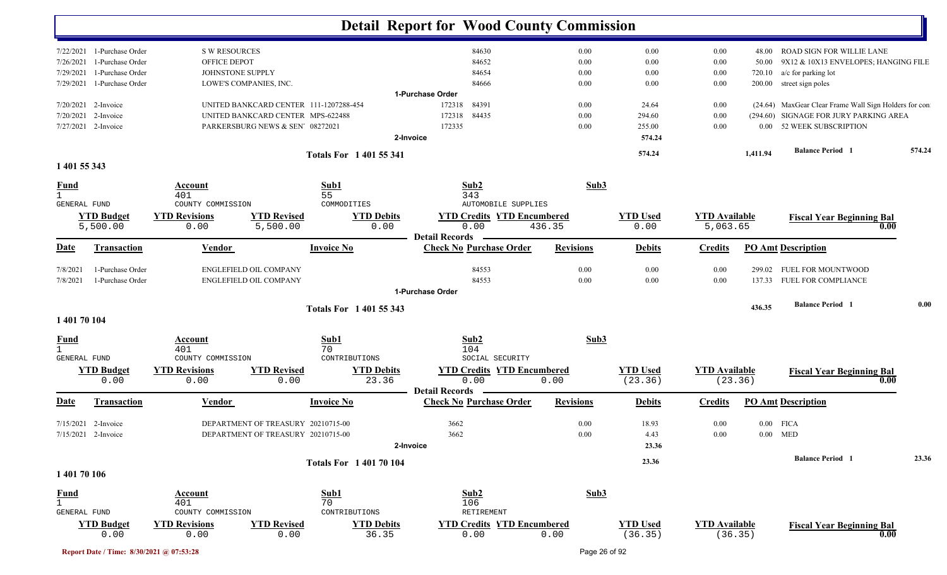|                                     |                            |                          |                                        |                                | <b>Detail Report for Wood County Commission</b> |                            |                  |                 |                      |          |                                                       |        |
|-------------------------------------|----------------------------|--------------------------|----------------------------------------|--------------------------------|-------------------------------------------------|----------------------------|------------------|-----------------|----------------------|----------|-------------------------------------------------------|--------|
|                                     | 7/22/2021 1-Purchase Order | <b>S W RESOURCES</b>     |                                        |                                | 84630                                           |                            | 0.00             | 0.00            | $0.00\,$             | 48.00    | <b>ROAD SIGN FOR WILLIE LANE</b>                      |        |
| 7/26/2021                           | 1-Purchase Order           | OFFICE DEPOT             |                                        |                                | 84652                                           |                            | 0.00             | 0.00            | 0.00                 | 50.00    | 9X12 & 10X13 ENVELOPES; HANGING FILE                  |        |
| 7/29/2021                           | 1-Purchase Order           | JOHNSTONE SUPPLY         |                                        |                                | 84654                                           |                            | 0.00             | 0.00            | 0.00                 | 720.10   | a/c for parking lot                                   |        |
|                                     | 7/29/2021 1-Purchase Order |                          | LOWE'S COMPANIES, INC.                 |                                | 84666                                           |                            | 0.00             | 0.00            | $0.00\,$             | 200.00   | street sign poles                                     |        |
|                                     |                            |                          |                                        |                                | 1-Purchase Order                                |                            |                  |                 |                      |          |                                                       |        |
|                                     | 7/20/2021 2-Invoice        |                          | UNITED BANKCARD CENTER 111-1207288-454 |                                | 172318<br>84391                                 |                            | 0.00             | 24.64           | 0.00                 |          | (24.64) MaxGear Clear Frame Wall Sign Holders for con |        |
| 7/20/2021                           | 2-Invoice                  |                          | UNITED BANKCARD CENTER MPS-622488      |                                | 172318<br>84435                                 |                            | 0.00             | 294.60          | 0.00                 |          | (294.60) SIGNAGE FOR JURY PARKING AREA                |        |
|                                     | 7/27/2021 2-Invoice        |                          | PARKERSBURG NEWS & SEN' 08272021       |                                | 172335                                          |                            | 0.00             | 255.00          | 0.00                 |          | 0.00 52 WEEK SUBSCRIPTION                             |        |
|                                     |                            |                          |                                        |                                | 2-Invoice                                       |                            |                  | 574.24          |                      |          |                                                       |        |
|                                     |                            |                          |                                        | <b>Totals For 140155341</b>    |                                                 |                            |                  | 574.24          |                      | 1,411.94 | <b>Balance Period</b> 1                               | 574.24 |
| 1 401 55 343                        |                            |                          |                                        |                                |                                                 |                            |                  |                 |                      |          |                                                       |        |
| <b>Fund</b>                         |                            | Account                  |                                        | Sub1                           | Sub2                                            |                            | Sub3             |                 |                      |          |                                                       |        |
| $\mathbf{1}$<br><b>GENERAL FUND</b> |                            | 401<br>COUNTY COMMISSION |                                        | 55<br>COMMODITIES              | 343                                             | <b>AUTOMOBILE SUPPLIES</b> |                  |                 |                      |          |                                                       |        |
|                                     | <b>YTD Budget</b>          | <b>YTD Revisions</b>     | <b>YTD Revised</b>                     | <b>YTD Debits</b>              | <b>YTD Credits YTD Encumbered</b>               |                            |                  | <b>YTD</b> Used | <b>YTD Available</b> |          |                                                       |        |
|                                     | 5,500.00                   | 0.00                     | 5,500.00                               | 0.00                           | 0.00                                            | 436.35                     |                  | 0.00            | 5,063.65             |          | <b>Fiscal Year Beginning Bal</b><br>0.00              |        |
|                                     |                            |                          |                                        |                                | <b>Detail Records</b>                           |                            |                  |                 |                      |          |                                                       |        |
| Date                                | <b>Transaction</b>         | <b>Vendor</b>            |                                        | <b>Invoice No</b>              | <b>Check No Purchase Order</b>                  |                            | <b>Revisions</b> | <b>Debits</b>   | <b>Credits</b>       |          | <b>PO Amt Description</b>                             |        |
| 7/8/2021                            | 1-Purchase Order           |                          | ENGLEFIELD OIL COMPANY                 |                                | 84553                                           |                            | 0.00             | 0.00            | 0.00                 |          | 299.02 FUEL FOR MOUNTWOOD                             |        |
| 7/8/2021                            | 1-Purchase Order           |                          | ENGLEFIELD OIL COMPANY                 |                                | 84553                                           |                            | 0.00             | 0.00            | 0.00                 |          | 137.33 FUEL FOR COMPLIANCE                            |        |
|                                     |                            |                          |                                        |                                | 1-Purchase Order                                |                            |                  |                 |                      |          |                                                       |        |
|                                     |                            |                          |                                        | Totals For 1 401 55 343        |                                                 |                            |                  |                 |                      | 436.35   | <b>Balance Period 1</b>                               | 0.00   |
| 1 401 70 104                        |                            |                          |                                        |                                |                                                 |                            |                  |                 |                      |          |                                                       |        |
| <b>Fund</b>                         |                            | <u>Account</u>           |                                        | Sub1                           | Sub2                                            |                            | Sub3             |                 |                      |          |                                                       |        |
| $\mathbf{1}$                        |                            | 401                      |                                        | 70                             | 104                                             |                            |                  |                 |                      |          |                                                       |        |
| GENERAL FUND                        |                            | COUNTY COMMISSION        |                                        | CONTRIBUTIONS                  | SOCIAL SECURITY                                 |                            |                  |                 |                      |          |                                                       |        |
|                                     | <b>YTD Budget</b>          | <b>YTD Revisions</b>     | <b>YTD Revised</b>                     | <b>YTD Debits</b>              | <b>YTD Credits YTD Encumbered</b>               |                            |                  | <b>YTD Used</b> | <b>YTD Available</b> |          | <b>Fiscal Year Beginning Bal</b>                      |        |
|                                     | 0.00                       | 0.00                     | 0.00                                   | 23.36                          | 0.00<br><b>Detail Records</b>                   | 0.00                       |                  | (23.36)         | (23.36)              |          | 0.00                                                  |        |
| <u>Date</u>                         | <b>Transaction</b>         | <b>Vendor</b>            |                                        | <b>Invoice No</b>              | <b>Check No Purchase Order</b>                  |                            | <b>Revisions</b> | <b>Debits</b>   | <b>Credits</b>       |          | <b>PO Amt Description</b>                             |        |
|                                     | 7/15/2021 2-Invoice        |                          | DEPARTMENT OF TREASURY 20210715-00     |                                | 3662                                            |                            | 0.00             | 18.93           | 0.00                 |          | $0.00$ FICA                                           |        |
|                                     | 7/15/2021 2-Invoice        |                          | DEPARTMENT OF TREASURY 20210715-00     |                                | 3662                                            |                            | 0.00             | 4.43            | $0.00\,$             |          | $0.00$ MED                                            |        |
|                                     |                            |                          |                                        |                                | 2-Invoice                                       |                            |                  | 23.36           |                      |          |                                                       |        |
|                                     |                            |                          |                                        | <b>Totals For 1 401 70 104</b> |                                                 |                            |                  | 23.36           |                      |          | <b>Balance Period</b> 1                               | 23.36  |
| 1 401 70 106                        |                            |                          |                                        |                                |                                                 |                            |                  |                 |                      |          |                                                       |        |
| <b>Fund</b>                         |                            | Account                  |                                        | Sub1                           | Sub2                                            |                            | Sub3             |                 |                      |          |                                                       |        |
| $\mathbf{1}$                        |                            | 401                      |                                        | 70                             | 106                                             |                            |                  |                 |                      |          |                                                       |        |
| GENERAL FUND                        |                            | COUNTY COMMISSION        |                                        | CONTRIBUTIONS                  | RETIREMENT                                      |                            |                  |                 |                      |          |                                                       |        |
|                                     | <b>YTD Budget</b>          | <b>YTD Revisions</b>     | <b>YTD Revised</b>                     | <b>YTD Debits</b>              | <b>YTD Credits YTD Encumbered</b>               |                            |                  | <b>YTD Used</b> | <b>YTD Available</b> |          | <b>Fiscal Year Beginning Bal</b>                      |        |
|                                     | 0.00                       | 0.00                     | 0.00                                   | 36.35                          | 0.00                                            | 0.00                       |                  | (36.35)         | (36.35)              |          | 0.00                                                  |        |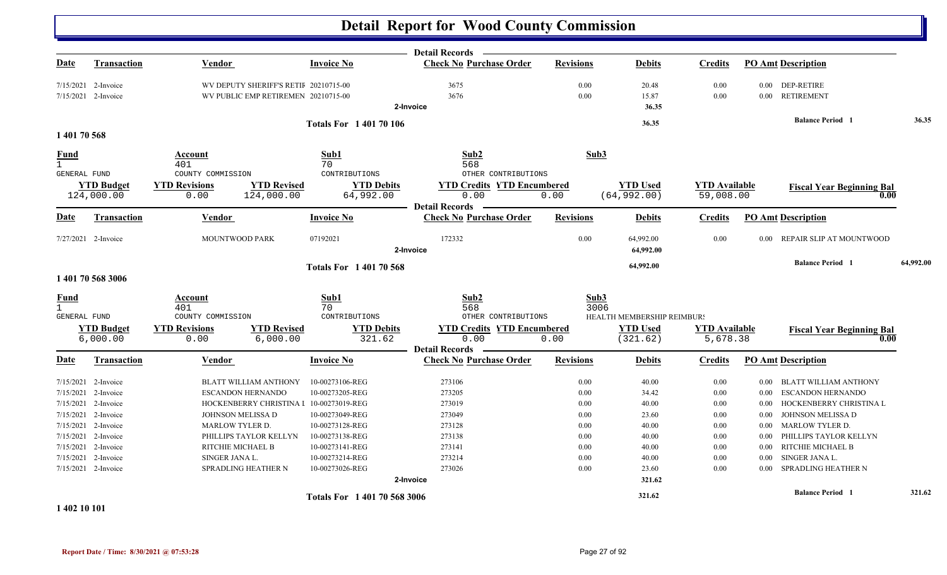|              |                                 |                                            |                                                      | <b>Detail Records</b>                     |                  |                                 |                                   |          |                                          |           |
|--------------|---------------------------------|--------------------------------------------|------------------------------------------------------|-------------------------------------------|------------------|---------------------------------|-----------------------------------|----------|------------------------------------------|-----------|
| Date         | <b>Transaction</b>              | Vendor                                     | <b>Invoice No</b>                                    | <b>Check No Purchase Order</b>            | <b>Revisions</b> | <b>Debits</b>                   | <b>Credits</b>                    |          | <b>PO Amt Description</b>                |           |
|              | 7/15/2021 2-Invoice             | WV DEPUTY SHERIFF'S RETII 20210715-00      |                                                      | 3675                                      | 0.00             | 20.48                           | 0.00                              |          | 0.00 DEP-RETIRE                          |           |
|              | 7/15/2021 2-Invoice             | WV PUBLIC EMP RETIREMEN 20210715-00        |                                                      | 3676                                      | 0.00             | 15.87                           | 0.00                              |          | 0.00 RETIREMENT                          |           |
|              |                                 |                                            |                                                      | 2-Invoice                                 |                  | 36.35                           |                                   |          |                                          |           |
|              |                                 |                                            | <b>Totals For 140170106</b>                          |                                           |                  | 36.35                           |                                   |          | <b>Balance Period 1</b>                  | 36.35     |
| 1 401 70 568 |                                 |                                            |                                                      |                                           |                  |                                 |                                   |          |                                          |           |
| <b>Fund</b>  |                                 | Account                                    | Sub1                                                 | Sub2                                      | Sub3             |                                 |                                   |          |                                          |           |
| $\mathbf{1}$ |                                 | 401                                        | 70                                                   | 568                                       |                  |                                 |                                   |          |                                          |           |
| GENERAL FUND |                                 | COUNTY COMMISSION                          | CONTRIBUTIONS                                        | OTHER CONTRIBUTIONS                       |                  |                                 |                                   |          |                                          |           |
|              | <b>YTD Budget</b><br>124,000.00 | <b>YTD Revisions</b><br>0.00<br>124,000.00 | <b>YTD Revised</b><br><b>YTD Debits</b><br>64,992.00 | <b>YTD Credits YTD Encumbered</b><br>0.00 | 0.00             | <b>YTD Used</b><br>(64, 992.00) | <b>YTD Available</b><br>59,008.00 |          | <b>Fiscal Year Beginning Bal</b><br>0.00 |           |
|              |                                 |                                            |                                                      | <b>Detail Records</b>                     |                  |                                 |                                   |          |                                          |           |
| Date         | <b>Transaction</b>              | <b>Vendor</b>                              | <b>Invoice No</b>                                    | <b>Check No Purchase Order</b>            | <b>Revisions</b> | <b>Debits</b>                   | <b>Credits</b>                    |          | <b>PO Amt Description</b>                |           |
|              | $7/27/2021$ 2-Invoice           | <b>MOUNTWOOD PARK</b>                      | 07192021                                             | 172332<br>2-Invoice                       | 0.00             | 64,992.00<br>64,992.00          | 0.00                              | 0.00     | REPAIR SLIP AT MOUNTWOOD                 |           |
|              |                                 |                                            | <b>Totals For 140170568</b>                          |                                           |                  | 64,992.00                       |                                   |          | <b>Balance Period</b> 1                  | 64,992.00 |
|              | 1 401 70 568 3006               |                                            |                                                      |                                           |                  |                                 |                                   |          |                                          |           |
| <b>Fund</b>  |                                 | Account                                    | Sub1                                                 | Sub <sub>2</sub>                          | Sub3             |                                 |                                   |          |                                          |           |
| $\mathbf{1}$ |                                 | 401                                        | 70                                                   | 568                                       | 3006             |                                 |                                   |          |                                          |           |
| GENERAL FUND |                                 | COUNTY COMMISSION                          | CONTRIBUTIONS                                        | OTHER CONTRIBUTIONS                       |                  | HEALTH MEMBERSHIP REIMBUR!      |                                   |          |                                          |           |
|              | <b>YTD Budget</b>               | <b>YTD Revisions</b>                       | <b>YTD Revised</b><br><b>YTD Debits</b>              | <b>YTD Credits YTD Encumbered</b>         |                  | <b>YTD Used</b>                 | <b>YTD</b> Available              |          | <b>Fiscal Year Beginning Bal</b>         |           |
|              | 6,000.00                        | 0.00                                       | 6,000.00<br>321.62                                   | 0.00<br><b>Detail Records</b>             | 0.00             | (321.62)                        | 5,678.38                          |          | 0.00                                     |           |
| <b>Date</b>  | Transaction                     | Vendor                                     | <b>Invoice No</b>                                    | <b>Check No Purchase Order</b>            | <b>Revisions</b> | <b>Debits</b>                   | <b>Credits</b>                    |          | <b>PO Amt Description</b>                |           |
|              | 7/15/2021 2-Invoice             | BLATT WILLIAM ANTHONY                      | 10-00273106-REG                                      | 273106                                    | 0.00             | 40.00                           | 0.00                              | $0.00\,$ | BLATT WILLIAM ANTHONY                    |           |
| 7/15/2021    | 2-Invoice                       | <b>ESCANDON HERNANDO</b>                   | 10-00273205-REG                                      | 273205                                    | 0.00             | 34.42                           | 0.00                              | 0.00     | <b>ESCANDON HERNANDO</b>                 |           |
|              | 7/15/2021 2-Invoice             |                                            | HOCKENBERRY CHRISTINA I 10-00273019-REG              | 273019                                    | 0.00             | 40.00                           | 0.00                              | $0.00\,$ | HOCKENBERRY CHRISTINA L                  |           |
|              | 7/15/2021 2-Invoice             | JOHNSON MELISSA D                          | 10-00273049-REG                                      | 273049                                    | 0.00             | 23.60                           | 0.00                              | 0.00     | JOHNSON MELISSA D                        |           |
|              | 7/15/2021 2-Invoice             | MARLOW TYLER D.                            | 10-00273128-REG                                      | 273128                                    | 0.00             | 40.00                           | 0.00                              | 0.00     | <b>MARLOW TYLER D.</b>                   |           |
| 7/15/2021    | 2-Invoice                       | PHILLIPS TAYLOR KELLYN                     | 10-00273138-REG                                      | 273138                                    | 0.00             | 40.00                           | 0.00                              | 0.00     | PHILLIPS TAYLOR KELLYN                   |           |
|              | 7/15/2021 2-Invoice             | RITCHIE MICHAEL B                          | 10-00273141-REG                                      | 273141                                    | 0.00             | 40.00                           | 0.00                              | 0.00     | RITCHIE MICHAEL B                        |           |
|              | 7/15/2021 2-Invoice             | SINGER JANA L.                             | 10-00273214-REG                                      | 273214                                    | 0.00             | 40.00                           | 0.00                              | 0.00     | SINGER JANA L.                           |           |
|              | 7/15/2021 2-Invoice             | SPRADLING HEATHER N                        | 10-00273026-REG                                      | 273026                                    | 0.00             | 23.60                           | 0.00                              | 0.00     | SPRADLING HEATHER N                      |           |
|              |                                 |                                            |                                                      | 2-Invoice                                 |                  | 321.62                          |                                   |          |                                          |           |
|              |                                 |                                            | Totals For 1 401 70 568 3006                         |                                           |                  | 321.62                          |                                   |          | <b>Balance Period 1</b>                  | 321.62    |

**1 402 10 101**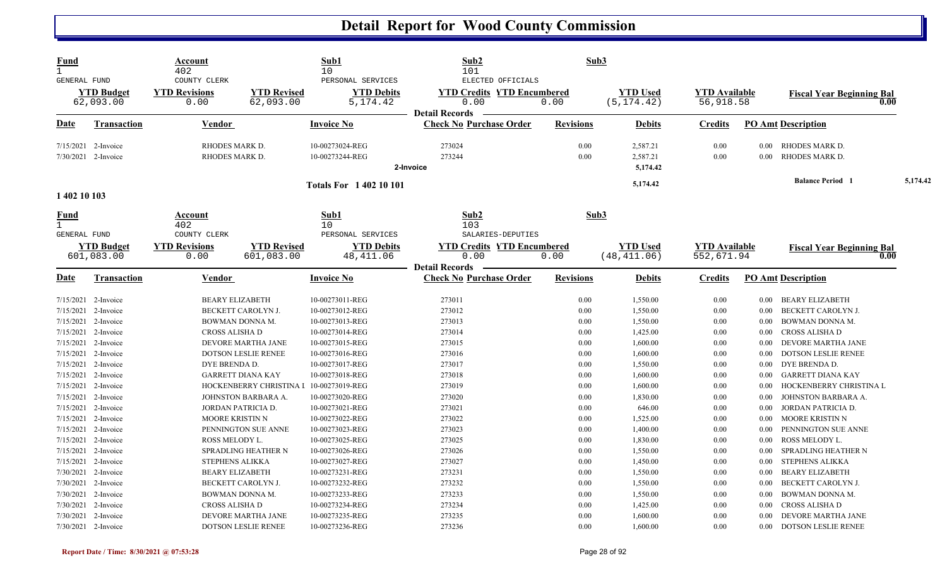| <b>Fund</b><br>$\mathbf{1}$ |                                 | Account<br>402                       |                                         | Sub1<br>10                             | Sub2<br>101                                             | Sub3             |                 |                      |          |                                          |          |
|-----------------------------|---------------------------------|--------------------------------------|-----------------------------------------|----------------------------------------|---------------------------------------------------------|------------------|-----------------|----------------------|----------|------------------------------------------|----------|
| <b>GENERAL FUND</b>         |                                 | COUNTY CLERK                         |                                         | PERSONAL SERVICES                      | ELECTED OFFICIALS                                       |                  |                 |                      |          |                                          |          |
|                             | <b>YTD</b> Budget               | <b>YTD Revisions</b>                 | <b>YTD Revised</b>                      | <b>YTD Debits</b>                      | <b>YTD Credits YTD Encumbered</b>                       |                  | <b>YTD Used</b> | <b>YTD</b> Available |          | <b>Fiscal Year Beginning Bal</b>         |          |
|                             | 62,093.00                       | 0.00                                 | 62,093.00                               | 5, 174.42                              | 0.00                                                    | 0.00             | (5, 174.42)     | 56,918.58            |          | 0.00                                     |          |
| Date                        | <b>Transaction</b>              | Vendor                               |                                         | <b>Invoice No</b>                      | <b>Detail Records</b><br><b>Check No Purchase Order</b> | <b>Revisions</b> | <b>Debits</b>   | <b>Credits</b>       |          | <b>PO Amt Description</b>                |          |
|                             |                                 |                                      |                                         |                                        |                                                         |                  |                 |                      |          |                                          |          |
|                             | 7/15/2021 2-Invoice             | RHODES MARK D.                       |                                         | 10-00273024-REG                        | 273024                                                  | 0.00             | 2,587.21        | 0.00                 | 0.00     | RHODES MARK D.                           |          |
|                             | 7/30/2021 2-Invoice             | RHODES MARK D.                       |                                         | 10-00273244-REG                        | 273244                                                  | 0.00             | 2,587.21        | 0.00                 | $0.00\,$ | RHODES MARK D.                           |          |
|                             |                                 |                                      |                                         |                                        | 2-Invoice                                               |                  | 5,174.42        |                      |          |                                          |          |
|                             |                                 |                                      |                                         | <b>Totals For 140210101</b>            |                                                         |                  | 5,174.42        |                      |          | <b>Balance Period 1</b>                  | 5,174.42 |
| 1 402 10 103                |                                 |                                      |                                         |                                        |                                                         |                  |                 |                      |          |                                          |          |
| Fund                        |                                 | Account                              |                                         | Sub1                                   | Sub2                                                    | Sub3             |                 |                      |          |                                          |          |
| $\mathbf{1}$                |                                 | 402                                  |                                         | 10                                     | 103                                                     |                  |                 |                      |          |                                          |          |
| GENERAL FUND                |                                 | COUNTY CLERK<br><b>YTD Revisions</b> | <b>YTD Revised</b>                      | PERSONAL SERVICES<br><b>YTD Debits</b> | SALARIES-DEPUTIES<br><b>YTD Credits YTD Encumbered</b>  |                  | <b>YTD Used</b> | <b>YTD Available</b> |          |                                          |          |
|                             | <b>YTD Budget</b><br>601,083.00 | 0.00                                 | 601,083.00                              | 48, 411.06                             | 0.00                                                    | 0.00             | (48, 411.06)    | 552,671.94           |          | <b>Fiscal Year Beginning Bal</b><br>0.00 |          |
|                             |                                 |                                      |                                         |                                        | <b>Detail Records</b>                                   |                  |                 |                      |          |                                          |          |
| Date                        | <b>Transaction</b>              | Vendor                               |                                         | <b>Invoice No</b>                      | <b>Check No Purchase Order</b>                          | <b>Revisions</b> | <b>Debits</b>   | <b>Credits</b>       |          | <b>PO Amt Description</b>                |          |
|                             | 7/15/2021 2-Invoice             | <b>BEARY ELIZABETH</b>               |                                         | 10-00273011-REG                        | 273011                                                  | 0.00             | 1,550.00        | 0.00                 | $0.00\,$ | BEARY ELIZABETH                          |          |
|                             | 7/15/2021 2-Invoice             |                                      | BECKETT CAROLYN J.                      | 10-00273012-REG                        | 273012                                                  | 0.00             | 1,550.00        | 0.00                 | $0.00\,$ | BECKETT CAROLYN J.                       |          |
| 7/15/2021                   | 2-Invoice                       | BOWMAN DONNA M.                      |                                         | 10-00273013-REG                        | 273013                                                  | 0.00             | 1,550.00        | 0.00                 | $0.00\,$ | BOWMAN DONNA M.                          |          |
|                             | 7/15/2021 2-Invoice             | CROSS ALISHA D                       |                                         | 10-00273014-REG                        | 273014                                                  | 0.00             | 1,425.00        | 0.00                 | $0.00\,$ | CROSS ALISHA D                           |          |
|                             | 7/15/2021 2-Invoice             |                                      | DEVORE MARTHA JANE                      | 10-00273015-REG                        | 273015                                                  | 0.00             | 1,600.00        | 0.00                 | $0.00\,$ | DEVORE MARTHA JANE                       |          |
| 7/15/2021                   | 2-Invoice                       |                                      | DOTSON LESLIE RENEE                     | 10-00273016-REG                        | 273016                                                  | 0.00             | 1,600.00        | 0.00                 | $0.00\,$ | DOTSON LESLIE RENEE                      |          |
|                             | 7/15/2021 2-Invoice             | DYE BRENDA D.                        |                                         | 10-00273017-REG                        | 273017                                                  | 0.00             | 1,550.00        | 0.00                 | $0.00\,$ | DYE BRENDA D.                            |          |
|                             | 7/15/2021 2-Invoice             |                                      | <b>GARRETT DIANA KAY</b>                | 10-00273018-REG                        | 273018                                                  | 0.00             | 1,600.00        | 0.00                 | $0.00\,$ | GARRETT DIANA KAY                        |          |
|                             | 7/15/2021 2-Invoice             |                                      | HOCKENBERRY CHRISTINA I 10-00273019-REG |                                        | 273019                                                  | 0.00             | 1,600.00        | 0.00                 | $0.00\,$ | HOCKENBERRY CHRISTINA L                  |          |
|                             | 7/15/2021 2-Invoice             |                                      | JOHNSTON BARBARA A.                     | 10-00273020-REG                        | 273020                                                  | 0.00             | 1,830.00        | 0.00                 | 0.00     | JOHNSTON BARBARA A.                      |          |
|                             | 7/15/2021 2-Invoice             | JORDAN PATRICIA D.                   |                                         | 10-00273021-REG                        | 273021                                                  | 0.00             | 646.00          | 0.00                 | $0.00\,$ | JORDAN PATRICIA D.                       |          |
|                             | 7/15/2021 2-Invoice             | MOORE KRISTIN N                      |                                         | 10-00273022-REG                        | 273022                                                  | 0.00             | 1,525.00        | 0.00                 | $0.00\,$ | MOORE KRISTIN N                          |          |
|                             | 7/15/2021 2-Invoice             |                                      | PENNINGTON SUE ANNE                     | 10-00273023-REG                        | 273023                                                  | 0.00             | 1,400.00        | 0.00                 | 0.00     | PENNINGTON SUE ANNE                      |          |
|                             | 7/15/2021 2-Invoice             | ROSS MELODY L.                       |                                         | 10-00273025-REG                        | 273025                                                  | 0.00             | 1,830.00        | 0.00                 | 0.00     | ROSS MELODY L.                           |          |
|                             | 7/15/2021 2-Invoice             |                                      | SPRADLING HEATHER N                     | 10-00273026-REG                        | 273026                                                  | 0.00             | 1,550.00        | 0.00                 | $0.00\,$ | SPRADLING HEATHER N                      |          |
|                             | 7/15/2021 2-Invoice             | <b>STEPHENS ALIKKA</b>               |                                         | 10-00273027-REG                        | 273027                                                  | 0.00             | 1,450.00        | 0.00                 | $0.00\,$ | STEPHENS ALIKKA                          |          |
|                             | 7/30/2021 2-Invoice             | <b>BEARY ELIZABETH</b>               |                                         | 10-00273231-REG                        | 273231                                                  | 0.00             | 1,550.00        | 0.00                 | $0.00\,$ | <b>BEARY ELIZABETH</b>                   |          |
|                             | 7/30/2021 2-Invoice             |                                      | BECKETT CAROLYN J.                      | 10-00273232-REG                        | 273232                                                  | 0.00             | 1,550.00        | 0.00                 | $0.00\,$ | <b>BECKETT CAROLYN J.</b>                |          |
|                             | 7/30/2021 2-Invoice             | BOWMAN DONNA M.                      |                                         | 10-00273233-REG                        | 273233                                                  | 0.00             | 1,550.00        | 0.00                 | 0.00     | BOWMAN DONNA M.                          |          |
|                             | 7/30/2021 2-Invoice             | CROSS ALISHA D                       |                                         | 10-00273234-REG                        | 273234                                                  | 0.00             | 1,425.00        | 0.00                 | $0.00\,$ | CROSS ALISHA D                           |          |
|                             | 7/30/2021 2-Invoice             |                                      | DEVORE MARTHA JANE                      | 10-00273235-REG                        | 273235                                                  | 0.00             | 1,600.00        | 0.00                 | $0.00\,$ | DEVORE MARTHA JANE                       |          |
|                             | 7/30/2021 2-Invoice             |                                      | DOTSON LESLIE RENEE                     | 10-00273236-REG                        | 273236                                                  | 0.00             | 1,600.00        | 0.00                 | 0.00     | <b>DOTSON LESLIE RENEE</b>               |          |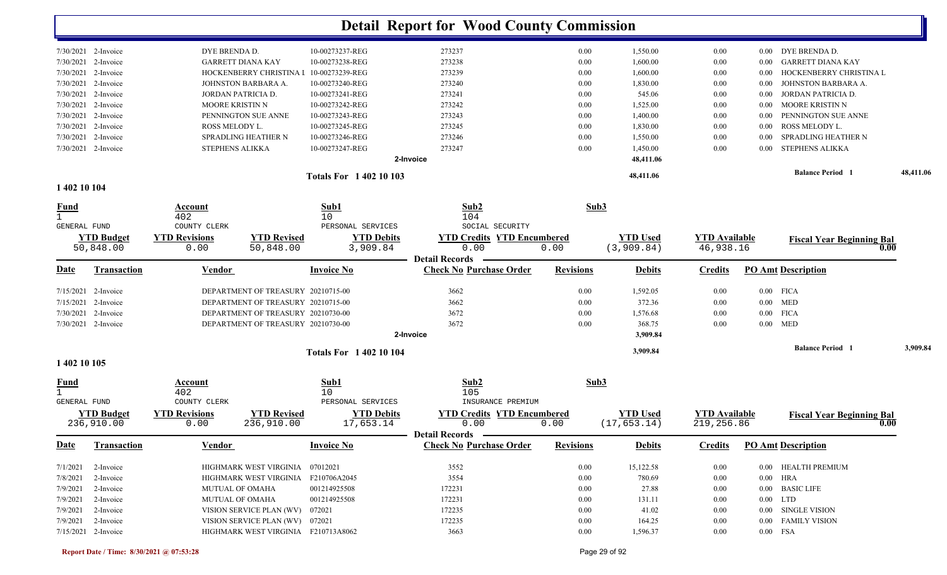|                       |                          | Totals For 1402 10 103 |           |      | 48,411.06 |      | <b>Balance Period</b>           | 48,411.06 |
|-----------------------|--------------------------|------------------------|-----------|------|-----------|------|---------------------------------|-----------|
|                       |                          |                        | 2-Invoice |      | 48,411.06 |      |                                 |           |
| 7/30/2021 2-Invoice   | STEPHENS ALIKKA          | 10-00273247-REG        | 273247    | 0.00 | 1,450.00  | 0.00 | STEPHENS ALIKKA<br>0.00         |           |
| $7/30/2021$ 2-Invoice | SPRADLING HEATHER N      | 10-00273246-REG        | 273246    | 0.00 | 1,550.00  | 0.00 | SPRADLING HEATHER N<br>-0.00    |           |
| $7/30/2021$ 2-Invoice | ROSS MELODY L.           | 10-00273245-REG        | 273245    | 0.00 | 1,830.00  | 0.00 | ROSS MELODY L.<br>0.00          |           |
| $7/30/2021$ 2-Invoice | PENNINGTON SUE ANNE      | 10-00273243-REG        | 273243    | 0.00 | 1,400.00  | 0.00 | PENNINGTON SUE ANNE<br>-0.00    |           |
| $7/30/2021$ 2-Invoice | MOORE KRISTIN N          | 10-00273242-REG        | 273242    | 0.00 | 1,525.00  | 0.00 | MOORE KRISTIN N<br>0.00         |           |
| $7/30/2021$ 2-Invoice | JORDAN PATRICIA D.       | 10-00273241-REG        | 273241    | 0.00 | 545.06    | 0.00 | JORDAN PATRICIA D.<br>0.00      |           |
| $7/30/2021$ 2-Invoice | JOHNSTON BARBARA A.      | 10-00273240-REG        | 273240    | 0.00 | 1,830.00  | 0.00 | JOHNSTON BARBARA A.<br>0.00     |           |
| $7/30/2021$ 2-Invoice | HOCKENBERRY CHRISTINA I  | 10-00273239-REG        | 273239    | 0.00 | 1,600.00  | 0.00 | HOCKENBERRY CHRISTINA L<br>0.00 |           |
| $7/30/2021$ 2-Invoice | <b>GARRETT DIANA KAY</b> | 10-00273238-REG        | 273238    | 0.00 | 1,600.00  | 0.00 | GARRETT DIANA KAY<br>0.00       |           |
| $7/30/2021$ 2-Invoice | DYE BRENDA D.            | 10-00273237-REG        | 273237    | 0.00 | 1,550.00  | 0.00 | DYE BRENDA D.<br>0.00           |           |
|                       |                          |                        |           |      |           |      |                                 |           |

#### **1 402 10 104**

| $\frac{Fund}{1}$    |                                 | Account<br>402               |                                     | Sub1<br>10 <sup>°</sup>        | Sub2<br>104                               | Sub3             |                                 |                                    |          |                                  |          |
|---------------------|---------------------------------|------------------------------|-------------------------------------|--------------------------------|-------------------------------------------|------------------|---------------------------------|------------------------------------|----------|----------------------------------|----------|
| <b>GENERAL FUND</b> |                                 | COUNTY CLERK                 |                                     | PERSONAL SERVICES              | SOCIAL SECURITY                           |                  |                                 |                                    |          |                                  |          |
|                     | <b>YTD Budget</b>               | <b>YTD Revisions</b>         | <b>YTD Revised</b>                  | <b>YTD Debits</b>              | <b>YTD Credits YTD Encumbered</b>         |                  | <b>YTD Used</b>                 | <b>YTD</b> Available               |          | <b>Fiscal Year Beginning Bal</b> |          |
|                     | 50,848.00                       | 0.00                         | 50,848.00                           | 3,909.84                       | 0.00<br><b>Detail Records</b>             | 0.00             | (3,909.84)                      | 46,938.16                          |          |                                  | 0.00     |
| <u>Date</u>         | <b>Transaction</b>              | Vendor                       |                                     | <b>Invoice No</b>              | <b>Check No Purchase Order</b>            | <b>Revisions</b> | <b>Debits</b>                   | <b>Credits</b>                     |          | <b>PO Amt Description</b>        |          |
|                     | 7/15/2021 2-Invoice             |                              | DEPARTMENT OF TREASURY 20210715-00  |                                | 3662                                      | 0.00             | 1,592.05                        | 0.00                               |          | $0.00$ FICA                      |          |
| 7/15/2021           | 2-Invoice                       |                              | DEPARTMENT OF TREASURY 20210715-00  |                                | 3662                                      | 0.00             | 372.36                          | 0.00                               |          | $0.00$ MED                       |          |
| 7/30/2021           | 2-Invoice                       |                              | DEPARTMENT OF TREASURY 20210730-00  |                                | 3672                                      | 0.00             | 1,576.68                        | 0.00                               |          | $0.00$ FICA                      |          |
|                     | 7/30/2021 2-Invoice             |                              | DEPARTMENT OF TREASURY 20210730-00  |                                | 3672                                      | 0.00             | 368.75                          | 0.00                               |          | $0.00$ MED                       |          |
|                     |                                 |                              |                                     |                                | 2-Invoice                                 |                  | 3,909.84                        |                                    |          |                                  |          |
|                     |                                 |                              |                                     | <b>Totals For 1 402 10 104</b> |                                           |                  | 3,909.84                        |                                    |          | <b>Balance Period</b> 1          | 3,909.84 |
| 1 402 10 105        |                                 |                              |                                     |                                |                                           |                  |                                 |                                    |          |                                  |          |
| <u>Fund</u>         |                                 | Account                      |                                     | Sub1                           | Sub2                                      | Sub3             |                                 |                                    |          |                                  |          |
|                     |                                 | 402                          |                                     | 10                             | 105                                       |                  |                                 |                                    |          |                                  |          |
| <b>GENERAL FUND</b> |                                 | COUNTY CLERK                 |                                     | PERSONAL SERVICES              | INSURANCE PREMIUM                         |                  |                                 |                                    |          |                                  |          |
|                     | <b>YTD Budget</b><br>236,910.00 | <b>YTD Revisions</b><br>0.00 | <b>YTD Revised</b><br>236,910.00    | <b>YTD Debits</b><br>17,653.14 | <b>YTD Credits YTD Encumbered</b><br>0.00 | 0.00             | <b>YTD</b> Used<br>(17, 653.14) | <b>YTD</b> Available<br>219,256.86 |          | <b>Fiscal Year Beginning Bal</b> | 0.00     |
|                     |                                 |                              |                                     |                                | <b>Detail Records</b>                     |                  |                                 |                                    |          |                                  |          |
| <b>Date</b>         | <b>Transaction</b>              | Vendor                       |                                     | <b>Invoice No</b>              | <b>Check No Purchase Order</b>            | <b>Revisions</b> | <b>Debits</b>                   | <b>Credits</b>                     |          | <b>PO Amt Description</b>        |          |
| 7/1/2021            | 2-Invoice                       |                              | HIGHMARK WEST VIRGINIA              | 07012021                       | 3552                                      | 0.00             | 15,122.58                       | 0.00                               | 0.00     | <b>HEALTH PREMIUM</b>            |          |
| 7/8/2021            | 2-Invoice                       |                              | HIGHMARK WEST VIRGINIA              | F210706A2045                   | 3554                                      | 0.00             | 780.69                          | 0.00                               | $0.00\,$ | HRA                              |          |
| 7/9/2021            | 2-Invoice                       | <b>MUTUAL OF OMAHA</b>       |                                     | 001214925508                   | 172231                                    | 0.00             | 27.88                           | 0.00                               | $0.00\,$ | <b>BASIC LIFE</b>                |          |
| 7/9/2021            | 2-Invoice                       | <b>MUTUAL OF OMAHA</b>       |                                     | 001214925508                   | 172231                                    | 0.00             | 131.11                          | 0.00                               |          | $0.00$ LTD                       |          |
| 7/9/2021            | 2-Invoice                       |                              | VISION SERVICE PLAN (WV)            | 072021                         | 172235                                    | 0.00             | 41.02                           | 0.00                               | 0.00     | <b>SINGLE VISION</b>             |          |
| 7/9/2021            | 2-Invoice                       |                              | VISION SERVICE PLAN (WV)            | 072021                         | 172235                                    | 0.00             | 164.25                          | 0.00                               | 0.00     | <b>FAMILY VISION</b>             |          |
|                     | 7/15/2021 2-Invoice             |                              | HIGHMARK WEST VIRGINIA F210713A8062 |                                | 3663                                      | 0.00             | 1,596.37                        | 0.00                               |          | 0.00 FSA                         |          |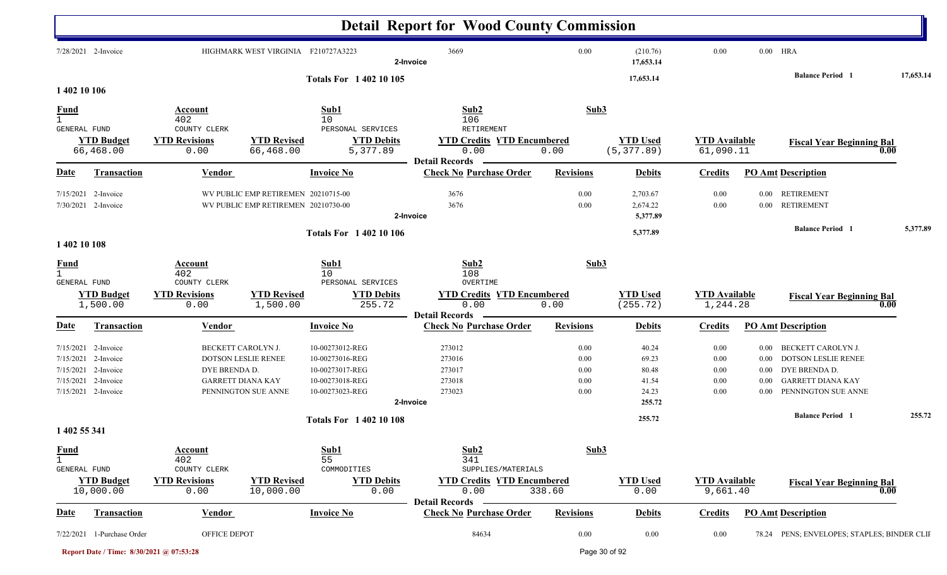|                                                  |                                                                         |                                                                 |                                                                            |                                                                                             | <b>Detail Report for Wood County Commission</b>                                |                                      |                                                     |                                      |                                                      |                                                                                                                                                 |           |
|--------------------------------------------------|-------------------------------------------------------------------------|-----------------------------------------------------------------|----------------------------------------------------------------------------|---------------------------------------------------------------------------------------------|--------------------------------------------------------------------------------|--------------------------------------|-----------------------------------------------------|--------------------------------------|------------------------------------------------------|-------------------------------------------------------------------------------------------------------------------------------------------------|-----------|
|                                                  | 7/28/2021 2-Invoice                                                     |                                                                 | HIGHMARK WEST VIRGINIA F210727A3223                                        |                                                                                             | 3669<br>2-Invoice                                                              | $0.00\,$                             | (210.76)<br>17,653.14                               | 0.00                                 |                                                      | $0.00$ HRA                                                                                                                                      |           |
| 1 402 10 106                                     |                                                                         |                                                                 |                                                                            | <b>Totals For 140210105</b>                                                                 |                                                                                |                                      | 17,653.14                                           |                                      |                                                      | <b>Balance Period 1</b>                                                                                                                         | 17,653.14 |
| $\frac{Fund}{1}$<br>GENERAL FUND                 |                                                                         | Account<br>402<br>COUNTY CLERK                                  |                                                                            | Sub1<br>10<br>PERSONAL SERVICES                                                             | Sub2<br>106<br><b>RETIREMENT</b>                                               | Sub3                                 |                                                     |                                      |                                                      |                                                                                                                                                 |           |
|                                                  | <b>YTD Budget</b><br>66,468.00                                          | <b>YTD Revisions</b><br>0.00                                    | <b>YTD Revised</b><br>66,468.00                                            | <b>YTD Debits</b><br>5,377.89                                                               | <b>YTD Credits YTD Encumbered</b><br>0.00<br><b>Detail Records</b>             | 0.00                                 | <b>YTD Used</b><br>(5, 377.89)                      | <b>YTD Available</b><br>61,090.11    |                                                      | <b>Fiscal Year Beginning Bal</b><br>0.00                                                                                                        |           |
| <u>Date</u>                                      | Transaction                                                             | <b>Vendor</b>                                                   |                                                                            | <b>Invoice No</b>                                                                           | <b>Check No Purchase Order</b>                                                 | <b>Revisions</b>                     | <b>Debits</b>                                       | <b>Credits</b>                       |                                                      | <b>PO Amt Description</b>                                                                                                                       |           |
| 7/15/2021                                        | 2-Invoice<br>7/30/2021 2-Invoice                                        |                                                                 | WV PUBLIC EMP RETIREMEN 20210715-00<br>WV PUBLIC EMP RETIREMEN 20210730-00 |                                                                                             | 3676<br>3676<br>2-Invoice                                                      | 0.00<br>0.00                         | 2,703.67<br>2,674.22<br>5,377.89                    | 0.00<br>0.00                         | $0.00\,$                                             | <b>RETIREMENT</b><br>0.00 RETIREMENT                                                                                                            |           |
| 1 402 10 108                                     |                                                                         |                                                                 |                                                                            | <b>Totals For 1 402 10 106</b>                                                              |                                                                                |                                      | 5,377.89                                            |                                      |                                                      | <b>Balance Period</b> 1                                                                                                                         | 5,377.89  |
| <b>Fund</b><br>$\mathbf{1}$<br>GENERAL FUND      |                                                                         | Account<br>402<br>COUNTY CLERK                                  |                                                                            | Sub1<br>10<br>PERSONAL SERVICES                                                             | Sub2<br>108<br>OVERTIME                                                        | Sub3                                 |                                                     |                                      |                                                      |                                                                                                                                                 |           |
|                                                  | <b>YTD Budget</b><br>1,500.00                                           | <b>YTD Revisions</b><br>0.00                                    | <b>YTD Revised</b><br>1,500.00                                             | <b>YTD Debits</b><br>255.72                                                                 | <b>YTD Credits YTD Encumbered</b><br>0.00<br><b>Detail Records</b>             | 0.00                                 | <b>YTD Used</b><br>(255.72)                         | <b>YTD Available</b><br>1,244.28     |                                                      | <b>Fiscal Year Beginning Bal</b><br>0.00                                                                                                        |           |
| <b>Date</b>                                      | Transaction                                                             | <b>Vendor</b>                                                   |                                                                            | <b>Invoice No</b>                                                                           | <b>Check No Purchase Order</b>                                                 | <b>Revisions</b>                     | <b>Debits</b>                                       | <b>Credits</b>                       |                                                      | <b>PO Amt Description</b>                                                                                                                       |           |
| 7/15/2021<br>7/15/2021<br>7/15/2021<br>7/15/2021 | 2-Invoice<br>2-Invoice<br>2-Invoice<br>2-Invoice<br>7/15/2021 2-Invoice | BECKETT CAROLYN J.<br>DYE BRENDA D.<br><b>GARRETT DIANA KAY</b> | DOTSON LESLIE RENEE<br>PENNINGTON SUE ANNE                                 | 10-00273012-REG<br>10-00273016-REG<br>10-00273017-REG<br>10-00273018-REG<br>10-00273023-REG | 273012<br>273016<br>273017<br>273018<br>273023<br>2-Invoice                    | 0.00<br>0.00<br>0.00<br>0.00<br>0.00 | 40.24<br>69.23<br>80.48<br>41.54<br>24.23<br>255.72 | 0.00<br>0.00<br>0.00<br>0.00<br>0.00 | $0.00\,$<br>$0.00\,$<br>$0.00\,$<br>0.00<br>$0.00\,$ | BECKETT CAROLYN J.<br><b>DOTSON LESLIE RENEE</b><br>DYE BRENDA D.<br><b>GARRETT DIANA KAY</b><br>PENNINGTON SUE ANNE<br><b>Balance Period 1</b> | 255.72    |
| 1 402 55 341                                     |                                                                         |                                                                 |                                                                            | <b>Totals For 1 402 10 108</b>                                                              |                                                                                |                                      | 255.72                                              |                                      |                                                      |                                                                                                                                                 |           |
| <b>Fund</b><br>$\mathbf{1}$<br>GENERAL FUND      | <b>YTD Budget</b><br>10,000.00                                          | Account<br>402<br>COUNTY CLERK<br><b>YTD Revisions</b><br>0.00  | <b>YTD Revised</b><br>10,000.00                                            | Sub1<br>55<br>COMMODITIES<br><b>YTD Debits</b><br>0.00                                      | Sub2<br>341<br>SUPPLIES/MATERIALS<br><b>YTD Credits YTD Encumbered</b><br>0.00 | Sub3<br>338.60                       | <b>YTD Used</b><br>0.00                             | <b>YTD Available</b><br>9,661.40     |                                                      | <b>Fiscal Year Beginning Bal</b><br>0.00                                                                                                        |           |
| <b>Date</b>                                      | <b>Transaction</b>                                                      | <b>Vendor</b>                                                   |                                                                            | <b>Invoice No</b>                                                                           | <b>Detail Records</b><br><b>Check No Purchase Order</b>                        | <b>Revisions</b>                     | <b>Debits</b>                                       | <b>Credits</b>                       |                                                      | <b>PO Amt Description</b>                                                                                                                       |           |
|                                                  | 7/22/2021 1-Purchase Order                                              | OFFICE DEPOT                                                    |                                                                            |                                                                                             | 84634                                                                          | 0.00                                 | 0.00                                                | 0.00                                 |                                                      | 78.24 PENS; ENVELOPES; STAPLES; BINDER CLII                                                                                                     |           |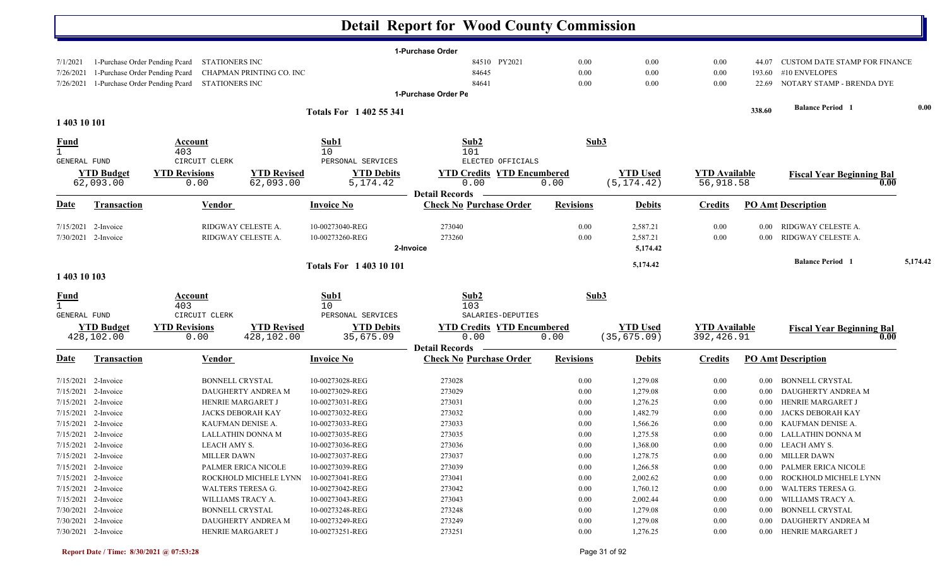|                     |                                |                                               |                          |                               | <b>Detail Report for Wood County Commission</b> |                  |                 |                      |          |                                      |          |
|---------------------|--------------------------------|-----------------------------------------------|--------------------------|-------------------------------|-------------------------------------------------|------------------|-----------------|----------------------|----------|--------------------------------------|----------|
|                     |                                |                                               |                          |                               | 1-Purchase Order                                |                  |                 |                      |          |                                      |          |
| 7/1/2021            | 1-Purchase Order Pending Pcard | STATIONERS INC                                |                          |                               | 84510 PY2021                                    | 0.00             | 0.00            | 0.00                 | 44.07    | <b>CUSTOM DATE STAMP FOR FINANCE</b> |          |
| 7/26/2021           | 1-Purchase Order Pending Pcard |                                               | CHAPMAN PRINTING CO. INC |                               | 84645                                           | 0.00             | 0.00            | 0.00                 | 193.60   | #10 ENVELOPES                        |          |
| 7/26/2021           |                                | 1-Purchase Order Pending Pcard STATIONERS INC |                          |                               | 84641                                           | 0.00             | 0.00            | 0.00                 | 22.69    | NOTARY STAMP - BRENDA DYE            |          |
|                     |                                |                                               |                          |                               | 1-Purchase Order Pe                             |                  |                 |                      |          |                                      |          |
|                     |                                |                                               |                          | <b>Totals For 1402 55 341</b> |                                                 |                  |                 |                      | 338.60   | <b>Balance Period</b> 1              | 0.00     |
| 1 403 10 101        |                                |                                               |                          |                               |                                                 |                  |                 |                      |          |                                      |          |
| <u>Fund</u>         |                                | <b>Account</b>                                |                          | Sub1                          | Sub2                                            | Sub3             |                 |                      |          |                                      |          |
| $\mathbf{1}$        |                                | 403                                           |                          | 10                            | 101                                             |                  |                 |                      |          |                                      |          |
| <b>GENERAL FUND</b> |                                | CIRCUIT CLERK                                 |                          | PERSONAL SERVICES             | ELECTED OFFICIALS                               |                  |                 |                      |          |                                      |          |
|                     | <b>YTD Budget</b>              | <b>YTD Revisions</b>                          | <b>YTD Revised</b>       | <b>YTD Debits</b>             | <b>YTD Credits YTD Encumbered</b>               |                  | <b>YTD Used</b> | <b>YTD Available</b> |          | <b>Fiscal Year Beginning Bal</b>     |          |
|                     | 62,093.00                      | 0.00                                          | 62,093.00                | 5, 174.42                     | 0.00                                            | 0.00             | (5, 174.42)     | 56,918.58            |          | 0.00                                 |          |
|                     |                                |                                               |                          |                               | <b>Detail Records</b>                           |                  |                 |                      |          |                                      |          |
| <b>Date</b>         | <b>Transaction</b>             | Vendor                                        |                          | <b>Invoice No</b>             | <b>Check No Purchase Order</b>                  | <b>Revisions</b> | <b>Debits</b>   | <b>Credits</b>       |          | <b>PO Amt Description</b>            |          |
|                     | $7/15/2021$ 2-Invoice          |                                               | RIDGWAY CELESTE A.       | 10-00273040-REG               | 273040                                          | 0.00             | 2,587.21        | 0.00                 | 0.00     | RIDGWAY CELESTE A.                   |          |
|                     | 7/30/2021 2-Invoice            |                                               | RIDGWAY CELESTE A.       | 10-00273260-REG               | 273260                                          | 0.00             | 2,587.21        | 0.00                 | 0.00     | RIDGWAY CELESTE A.                   |          |
|                     |                                |                                               |                          |                               | 2-Invoice                                       |                  | 5,174.42        |                      |          |                                      |          |
|                     |                                |                                               |                          | <b>Totals For 140310101</b>   |                                                 |                  | 5,174.42        |                      |          | <b>Balance Period</b> 1              | 5,174.42 |
| 1 403 10 103        |                                |                                               |                          |                               |                                                 |                  |                 |                      |          |                                      |          |
|                     |                                | Account                                       |                          | Sub1                          | Sub2                                            | Sub3             |                 |                      |          |                                      |          |
| $\frac{Fund}{1}$    |                                | 403                                           |                          | 10                            | 103                                             |                  |                 |                      |          |                                      |          |
| GENERAL FUND        |                                | CIRCUIT CLERK                                 |                          | PERSONAL SERVICES             | SALARIES-DEPUTIES                               |                  |                 |                      |          |                                      |          |
|                     | <b>YTD Budget</b>              | <b>YTD Revisions</b>                          | <b>YTD Revised</b>       | <b>YTD Debits</b>             | <b>YTD Credits YTD Encumbered</b>               |                  | <b>YTD Used</b> | <b>YTD Available</b> |          | <b>Fiscal Year Beginning Bal</b>     |          |
|                     | 428,102.00                     | 0.00                                          | 428,102.00               | 35,675.09                     | 0.00                                            | 0.00             | (35, 675.09)    | 392,426.91           |          | 0.00                                 |          |
|                     |                                |                                               |                          |                               | <b>Detail Records</b>                           |                  |                 |                      |          |                                      |          |
| <u>Date</u>         | <b>Transaction</b>             | <b>Vendor</b>                                 |                          | <b>Invoice No</b>             | <b>Check No Purchase Order</b>                  | <b>Revisions</b> | <b>Debits</b>   | <b>Credits</b>       |          | <b>PO Amt Description</b>            |          |
| 7/15/2021           | 2-Invoice                      |                                               | <b>BONNELL CRYSTAL</b>   | 10-00273028-REG               | 273028                                          | 0.00             | 1,279.08        | 0.00                 | $0.00\,$ | BONNELL CRYSTAL                      |          |
| 7/15/2021           | 2-Invoice                      |                                               | DAUGHERTY ANDREA M       | 10-00273029-REG               | 273029                                          | 0.00             | 1,279.08        | 0.00                 | $0.00\,$ | DAUGHERTY ANDREA M                   |          |
| 7/15/2021           | 2-Invoice                      |                                               | HENRIE MARGARET J        | 10-00273031-REG               | 273031                                          | 0.00             | 1,276.25        | 0.00                 | $0.00\,$ | HENRIE MARGARET J                    |          |
| 7/15/2021           | 2-Invoice                      |                                               | <b>JACKS DEBORAH KAY</b> | 10-00273032-REG               | 273032                                          | 0.00             | 1,482.79        | 0.00                 | 0.00     | JACKS DEBORAH KAY                    |          |
|                     | 7/15/2021 2-Invoice            |                                               | KAUFMAN DENISE A.        | 10-00273033-REG               | 273033                                          | 0.00             | 1,566.26        | 0.00                 | $0.00\,$ | KAUFMAN DENISE A.                    |          |
|                     | 7/15/2021 2-Invoice            |                                               | LALLATHIN DONNA M        | 10-00273035-REG               | 273035                                          | $0.00\,$         | 1,275.58        | 0.00                 |          | 0.00 LALLATHIN DONNA M               |          |
|                     | $7/15/2021$ 2-Invoice          | LEACH AMY S.                                  |                          | 10-00273036-REG               | 273036                                          | 0.00             | 1,368.00        | 0.00                 |          | 0.00 LEACH AMY S.                    |          |
|                     | 7/15/2021 2-Invoice            | <b>MILLER DAWN</b>                            |                          | 10-00273037-REG               | 273037                                          | 0.00             | 1,278.75        | 0.00                 |          | 0.00 MILLER DAWN                     |          |
|                     | $7/15/2021$ 2-Invoice          |                                               | PALMER ERICA NICOLE      | 10-00273039-REG               | 273039                                          | 0.00             | 1,266.58        | 0.00                 |          | 0.00 PALMER ERICA NICOLE             |          |
|                     | $7/15/2021$ 2-Invoice          |                                               | ROCKHOLD MICHELE LYNN    | 10-00273041-REG               | 273041                                          | 0.00             | 2,002.62        | $0.00\,$             |          | 0.00 ROCKHOLD MICHELE LYNN           |          |
|                     | $7/15/2021$ 2-Invoice          |                                               | WALTERS TERESA G.        | 10-00273042-REG               | 273042                                          | 0.00             | 1,760.12        | $0.00\,$             |          | 0.00 WALTERS TERESA G.               |          |
|                     | 7/15/2021 2-Invoice            |                                               | WILLIAMS TRACY A.        | 10-00273043-REG               | 273043                                          | 0.00             | 2,002.44        | 0.00                 |          | 0.00 WILLIAMS TRACY A.               |          |
|                     | $7/30/2021$ 2-Invoice          |                                               | <b>BONNELL CRYSTAL</b>   | 10-00273248-REG               | 273248                                          | 0.00             | 1,279.08        | 0.00                 |          | 0.00 BONNELL CRYSTAL                 |          |
|                     | 7/30/2021 2-Invoice            |                                               | DAUGHERTY ANDREA M       | 10-00273249-REG               | 273249                                          | 0.00             | 1,279.08        | 0.00                 |          | 0.00 DAUGHERTY ANDREA M              |          |
|                     | 7/30/2021 2-Invoice            |                                               | HENRIE MARGARET J        | 10-00273251-REG               | 273251                                          | $0.00\,$         | 1,276.25        | 0.00                 |          | 0.00 HENRIE MARGARET J               |          |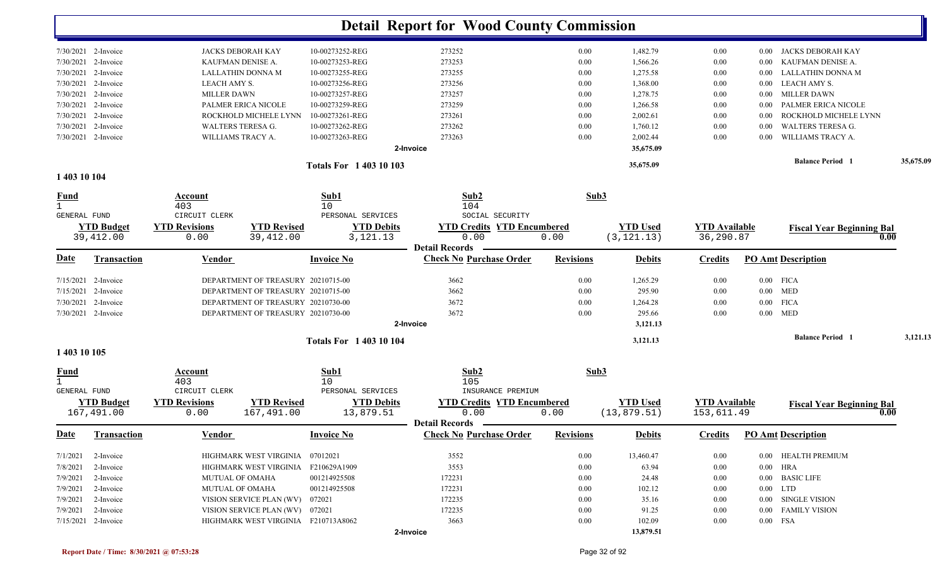|                             |                                 |                                                                  |                                | <b>Detail Report for Wood County Commission</b> |                  |                                 |                                    |          |                                          |           |
|-----------------------------|---------------------------------|------------------------------------------------------------------|--------------------------------|-------------------------------------------------|------------------|---------------------------------|------------------------------------|----------|------------------------------------------|-----------|
|                             | 7/30/2021 2-Invoice             | <b>JACKS DEBORAH KAY</b>                                         | 10-00273252-REG                | 273252                                          | 0.00             | 1,482.79                        | 0.00                               | $0.00\,$ | JACKS DEBORAH KAY                        |           |
| 7/30/2021                   | 2-Invoice                       | KAUFMAN DENISE A.                                                | 10-00273253-REG                | 273253                                          | 0.00             | 1,566.26                        | 0.00                               | 0.00     | KAUFMAN DENISE A.                        |           |
| 7/30/2021                   | 2-Invoice                       | LALLATHIN DONNA M                                                | 10-00273255-REG                | 273255                                          | 0.00             | 1,275.58                        | 0.00                               | 0.00     | <b>LALLATHIN DONNA M</b>                 |           |
| 7/30/2021                   | 2-Invoice                       | LEACH AMY S.                                                     | 10-00273256-REG                | 273256                                          | 0.00             | 1,368.00                        | 0.00                               | 0.00     | LEACH AMY S.                             |           |
| 7/30/2021                   | 2-Invoice                       | <b>MILLER DAWN</b>                                               | 10-00273257-REG                | 273257                                          | 0.00             | 1,278.75                        | 0.00                               | 0.00     | <b>MILLER DAWN</b>                       |           |
| 7/30/2021                   | 2-Invoice                       | PALMER ERICA NICOLE                                              | 10-00273259-REG                | 273259                                          | 0.00             | 1,266.58                        | 0.00                               | 0.00     | PALMER ERICA NICOLE                      |           |
| 7/30/2021                   | 2-Invoice                       | ROCKHOLD MICHELE LYNN                                            | 10-00273261-REG                | 273261                                          | 0.00             | 2,002.61                        | 0.00                               | 0.00     | ROCKHOLD MICHELE LYNN                    |           |
| 7/30/2021                   | 2-Invoice                       | <b>WALTERS TERESA G.</b>                                         | 10-00273262-REG                | 273262                                          | 0.00             | 1,760.12                        | 0.00                               | 0.00     | <b>WALTERS TERESA G.</b>                 |           |
|                             | 7/30/2021 2-Invoice             | WILLIAMS TRACY A.                                                | 10-00273263-REG                | 273263                                          | 0.00             | 2,002.44                        | 0.00                               | 0.00     | WILLIAMS TRACY A.                        |           |
|                             |                                 |                                                                  |                                | 2-Invoice                                       |                  | 35,675.09                       |                                    |          |                                          |           |
|                             |                                 |                                                                  | <b>Totals For 140310103</b>    |                                                 |                  | 35,675.09                       |                                    |          | <b>Balance Period</b> 1                  | 35,675.09 |
| 1 403 10 104                |                                 |                                                                  |                                |                                                 |                  |                                 |                                    |          |                                          |           |
| <b>Fund</b><br>$\mathbf{1}$ |                                 | Account<br>403                                                   | Sub1<br>10                     | Sub2<br>104                                     | Sub3             |                                 |                                    |          |                                          |           |
| GENERAL FUND                |                                 | CIRCUIT CLERK                                                    | PERSONAL SERVICES              | SOCIAL SECURITY                                 |                  |                                 |                                    |          |                                          |           |
|                             | <b>YTD Budget</b><br>39,412.00  | <b>YTD Revisions</b><br><b>YTD Revised</b><br>39,412.00<br>0.00  | <b>YTD Debits</b><br>3,121.13  | <b>YTD Credits YTD Encumbered</b><br>0.00       | 0.00             | <b>YTD Used</b><br>(3, 121.13)  | <b>YTD Available</b><br>36,290.87  |          | <b>Fiscal Year Beginning Bal</b><br>0.00 |           |
|                             |                                 |                                                                  |                                | <b>Detail Records</b>                           |                  |                                 |                                    |          |                                          |           |
| <u>Date</u>                 | <b>Transaction</b>              | <b>Vendor</b>                                                    | <b>Invoice No</b>              | <b>Check No Purchase Order</b>                  | <b>Revisions</b> | <b>Debits</b>                   | <b>Credits</b>                     |          | <b>PO Amt Description</b>                |           |
| 7/15/2021                   | 2-Invoice                       | DEPARTMENT OF TREASURY 20210715-00                               |                                | 3662                                            | 0.00             | 1,265.29                        | 0.00                               |          | $0.00$ FICA                              |           |
| 7/15/2021                   | 2-Invoice                       | DEPARTMENT OF TREASURY 20210715-00                               |                                | 3662                                            | 0.00             | 295.90                          | 0.00                               |          | $0.00$ MED                               |           |
| 7/30/2021                   | 2-Invoice                       | DEPARTMENT OF TREASURY 20210730-00                               |                                | 3672                                            | 0.00             | 1,264.28                        | 0.00                               | $0.00\,$ | <b>FICA</b>                              |           |
|                             | 7/30/2021 2-Invoice             | DEPARTMENT OF TREASURY 20210730-00                               |                                | 3672                                            | 0.00             | 295.66                          | 0.00                               |          | $0.00$ MED                               |           |
|                             |                                 |                                                                  |                                | 2-Invoice                                       |                  | 3,121.13                        |                                    |          |                                          |           |
|                             |                                 |                                                                  | <b>Totals For 140310104</b>    |                                                 |                  | 3,121.13                        |                                    |          | <b>Balance Period</b> 1                  | 3,121.13  |
| 1 403 10 105                |                                 |                                                                  |                                |                                                 |                  |                                 |                                    |          |                                          |           |
| <b>Fund</b>                 |                                 | Account<br>403                                                   | Sub1<br>10                     | Sub2<br>105                                     |                  | Sub3                            |                                    |          |                                          |           |
| GENERAL FUND                |                                 | CIRCUIT CLERK                                                    | PERSONAL SERVICES              | INSURANCE PREMIUM                               |                  |                                 |                                    |          |                                          |           |
|                             | <b>YTD Budget</b><br>167,491.00 | <b>YTD Revisions</b><br><b>YTD Revised</b><br>167,491.00<br>0.00 | <b>YTD Debits</b><br>13,879.51 | <b>YTD Credits YTD Encumbered</b><br>0.00       | 0.00             | <b>YTD</b> Used<br>(13, 879.51) | <b>YTD Available</b><br>153,611.49 |          | <b>Fiscal Year Beginning Bal</b><br>0.00 |           |
|                             |                                 |                                                                  |                                | <b>Detail Records</b>                           |                  |                                 |                                    |          |                                          |           |
|                             | Date Transaction                | <b>Vendor</b>                                                    | <b>Invoice No</b>              | <b>Check No Purchase Order</b>                  | <b>Revisions</b> | <b>Debits</b>                   |                                    |          | <b>Credits</b> PO Amt Description        |           |
| 7/1/2021                    | 2-Invoice                       | HIGHMARK WEST VIRGINIA 07012021                                  |                                | 3552                                            | $0.00\,$         | 13,460.47                       | 0.00                               |          | 0.00 HEALTH PREMIUM                      |           |
| 7/8/2021                    | 2-Invoice                       | HIGHMARK WEST VIRGINIA F210629A1909                              |                                | 3553                                            | $0.00\,$         | 63.94                           | $0.00\,$                           |          | $0.00$ HRA                               |           |
| 7/9/2021                    | 2-Invoice                       | <b>MUTUAL OF OMAHA</b>                                           | 001214925508                   | 172231                                          | $0.00\,$         | 24.48                           | 0.00                               |          | 0.00 BASIC LIFE                          |           |
| 7/9/2021                    | 2-Invoice                       | MUTUAL OF OMAHA                                                  | 001214925508                   | 172231                                          | $0.00\,$         | 102.12                          | 0.00                               |          | $0.00$ LTD                               |           |
| 7/9/2021                    | 2-Invoice                       | VISION SERVICE PLAN (WV) 072021                                  |                                | 172235                                          | $0.00\,$         | 35.16                           | 0.00                               |          | 0.00 SINGLE VISION                       |           |
|                             | $7/9/2021$ 2-Invoice            | VISION SERVICE PLAN (WV) 072021                                  |                                | 172235                                          | $0.00\,$         | 91.25                           | 0.00                               |          | 0.00 FAMILY VISION                       |           |
|                             | 7/15/2021 2-Invoice             | HIGHMARK WEST VIRGINIA F210713A8062                              |                                | 3663                                            | $0.00\,$         | 102.09                          | 0.00                               |          | $0.00$ FSA                               |           |
|                             |                                 |                                                                  |                                | 2-Invoice                                       |                  | 13,879.51                       |                                    |          |                                          |           |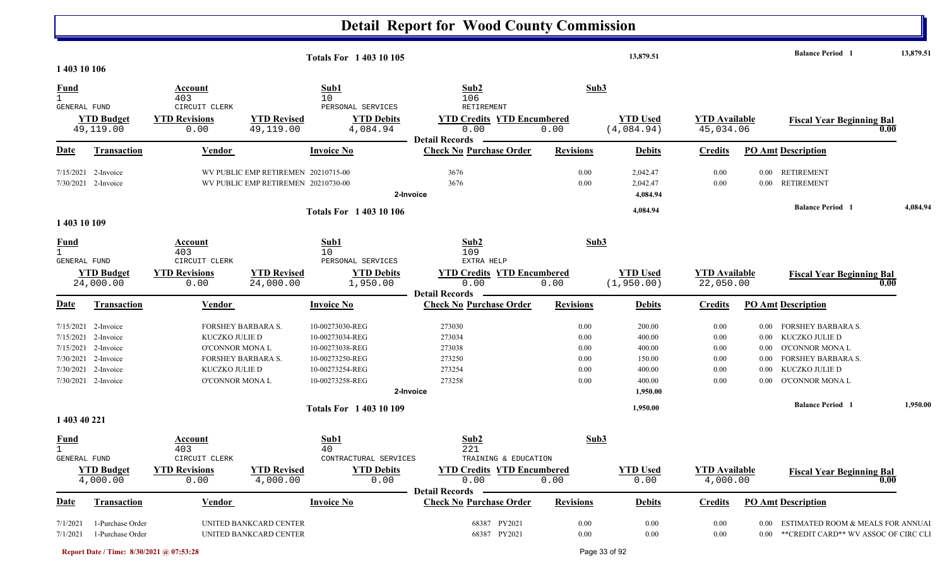|                                             |                                              |                                 |                                                                            | <b>Totals For 140310105</b>         |                                                                    |                  | 13,879.51                        |                                   |          | <b>Balance Period 1</b>                                                         | 13,879.51 |
|---------------------------------------------|----------------------------------------------|---------------------------------|----------------------------------------------------------------------------|-------------------------------------|--------------------------------------------------------------------|------------------|----------------------------------|-----------------------------------|----------|---------------------------------------------------------------------------------|-----------|
| 1 403 10 106                                |                                              |                                 |                                                                            |                                     |                                                                    |                  |                                  |                                   |          |                                                                                 |           |
| $\frac{Fund}{1}$<br>GENERAL FUND            |                                              | Account<br>403<br>CIRCUIT CLERK |                                                                            | Sub1<br>10<br>PERSONAL SERVICES     | Sub2<br>106<br><b>RETIREMENT</b>                                   | Sub3             |                                  |                                   |          |                                                                                 |           |
|                                             | <b>YTD Budget</b><br>49,119.00               | <b>YTD Revisions</b><br>0.00    | <b>YTD Revised</b><br>49,119.00                                            | <b>YTD Debits</b><br>4,084.94       | <b>YTD Credits YTD Encumbered</b><br>0.00<br><b>Detail Records</b> | 0.00             | <b>YTD Used</b><br>(4,084.94)    | <b>YTD</b> Available<br>45,034.06 |          | <b>Fiscal Year Beginning Bal</b><br>0.00                                        |           |
| <b>Date</b>                                 | Transaction                                  | Vendor                          |                                                                            | <b>Invoice No</b>                   | <b>Check No Purchase Order</b>                                     | <b>Revisions</b> | <b>Debits</b>                    | <b>Credits</b>                    |          | <b>PO Amt Description</b>                                                       |           |
|                                             | $7/15/2021$ 2-Invoice<br>7/30/2021 2-Invoice |                                 | WV PUBLIC EMP RETIREMEN 20210715-00<br>WV PUBLIC EMP RETIREMEN 20210730-00 |                                     | 3676<br>3676<br>2-Invoice                                          | 0.00<br>0.00     | 2,042.47<br>2,042.47<br>4,084.94 | 0.00<br>$0.00\,$                  |          | 0.00 RETIREMENT<br>0.00 RETIREMENT                                              |           |
|                                             |                                              |                                 |                                                                            | <b>Totals For 1 403 10 106</b>      |                                                                    |                  | 4,084.94                         |                                   |          | <b>Balance Period 1</b>                                                         | 4,084.94  |
| 1 403 10 109                                |                                              |                                 |                                                                            |                                     |                                                                    |                  |                                  |                                   |          |                                                                                 |           |
| <b>Fund</b><br>$\mathbf{1}$<br>GENERAL FUND |                                              | Account<br>403<br>CIRCUIT CLERK |                                                                            | Sub1<br>10<br>PERSONAL SERVICES     | Sub2<br>109<br>EXTRA HELP                                          | Sub3             |                                  |                                   |          |                                                                                 |           |
|                                             | <b>YTD Budget</b><br>24,000.00               | <b>YTD Revisions</b><br>0.00    | <b>YTD Revised</b><br>24,000.00                                            | <b>YTD Debits</b><br>1,950.00       | <b>YTD Credits YTD Encumbered</b><br>0.00                          | 0.00             | <b>YTD Used</b><br>(1,950.00)    | <b>YTD</b> Available<br>22,050.00 |          | <b>Fiscal Year Beginning Bal</b><br>0.00                                        |           |
| Date                                        | <b>Transaction</b>                           | Vendor                          |                                                                            | <b>Invoice No</b>                   | <b>Detail Records</b><br><b>Check No Purchase Order</b>            | <b>Revisions</b> | <b>Debits</b>                    | <b>Credits</b>                    |          | <b>PO Amt Description</b>                                                       |           |
|                                             | 7/15/2021 2-Invoice                          | <b>FORSHEY BARBARA S.</b>       |                                                                            | 10-00273030-REG                     | 273030                                                             | $0.00\,$         | 200.00                           | $0.00\,$                          | $0.00\,$ | <b>FORSHEY BARBARA S.</b>                                                       |           |
| 7/15/2021                                   | 2-Invoice                                    | KUCZKO JULIE D                  |                                                                            | 10-00273034-REG                     | 273034                                                             | 0.00             | 400.00                           | $0.00\,$                          | $0.00\,$ | KUCZKO JULIE D                                                                  |           |
|                                             | 7/15/2021 2-Invoice                          | O'CONNOR MONA L                 |                                                                            | 10-00273038-REG                     | 273038                                                             | 0.00             | 400.00                           | $0.00\,$                          | $0.00\,$ | O'CONNOR MONA L                                                                 |           |
|                                             | 7/30/2021 2-Invoice                          | FORSHEY BARBARA S.              |                                                                            | 10-00273250-REG                     | 273250                                                             | $0.00\,$         | 150.00                           | $0.00\,$                          | $0.00\,$ | <b>FORSHEY BARBARA S.</b>                                                       |           |
| 7/30/2021                                   | 2-Invoice                                    | KUCZKO JULIE D                  |                                                                            | 10-00273254-REG                     | 273254                                                             | 0.00             | 400.00                           | $0.00\,$                          | $0.00\,$ | KUCZKO JULIE D                                                                  |           |
|                                             | 7/30/2021 2-Invoice                          | O'CONNOR MONA L                 |                                                                            | 10-00273258-REG                     | 273258<br>2-Invoice                                                | 0.00             | 400.00<br>1,950.00               | $0.00\,$                          | $0.00\,$ | O'CONNOR MONA L                                                                 |           |
|                                             |                                              |                                 |                                                                            | <b>Totals For 140310109</b>         |                                                                    |                  | 1,950.00                         |                                   |          | <b>Balance Period 1</b>                                                         | 1,950.00  |
| 1 403 40 221                                |                                              |                                 |                                                                            |                                     |                                                                    |                  |                                  |                                   |          |                                                                                 |           |
| <u>Fund</u><br>$\mathbf{1}$<br>GENERAL FUND |                                              | Account<br>403<br>CIRCUIT CLERK |                                                                            | Sub1<br>40<br>CONTRACTURAL SERVICES | Sub2<br>221<br>TRAINING & EDUCATION                                | Sub3             |                                  |                                   |          |                                                                                 |           |
|                                             | <b>YTD Budget</b><br>4,000.00                | <b>YTD Revisions</b><br>0.00    | <b>YTD Revised</b><br>4,000.00                                             | <b>YTD Debits</b><br>0.00           | <b>YTD Credits YTD Encumbered</b><br>0.00<br><b>Detail Records</b> | 0.00             | <b>YTD Used</b><br>0.00          | <b>YTD</b> Available<br>4,000.00  |          | <b>Fiscal Year Beginning Bal</b><br>0.00                                        |           |
| <b>Date</b>                                 | <b>Transaction</b>                           | <u>Vendor</u>                   |                                                                            | <b>Invoice No</b>                   | <b>Check No Purchase Order</b>                                     | <b>Revisions</b> | <b>Debits</b>                    | <b>Credits</b>                    |          | <b>PO Amt Description</b>                                                       |           |
| 7/1/2021<br>7/1/2021                        | 1-Purchase Order<br>1-Purchase Order         |                                 | UNITED BANKCARD CENTER<br>UNITED BANKCARD CENTER                           |                                     | 68387 PY2021<br>68387 PY2021                                       | $0.00\,$<br>0.00 | $0.00\,$<br>$0.00\,$             | $0.00\,$<br>$0.00\,$              | $0.00\,$ | ESTIMATED ROOM & MEALS FOR ANNUAl<br>0.00 ** CREDIT CARD** WV ASSOC OF CIRC CLI |           |

**Report Date / Time: 8/30/2021 @ 07:53:28** Page 33 of 92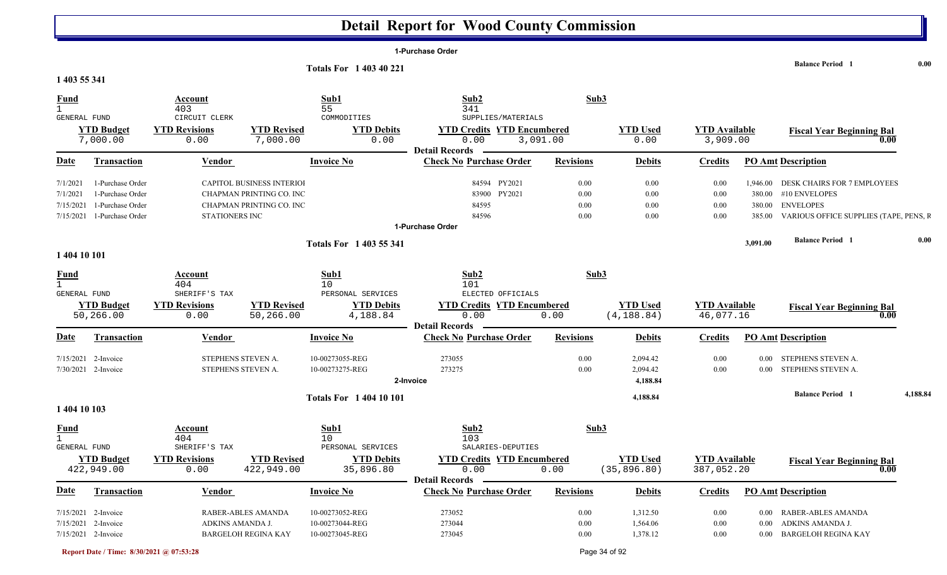|                                         |                                              |                                          |                                  |                                    | 1-Purchase Order                                                   |                  |                                  |                                    |          |                                               |          |
|-----------------------------------------|----------------------------------------------|------------------------------------------|----------------------------------|------------------------------------|--------------------------------------------------------------------|------------------|----------------------------------|------------------------------------|----------|-----------------------------------------------|----------|
|                                         |                                              |                                          |                                  | <b>Totals For 1 403 40 221</b>     |                                                                    |                  |                                  |                                    |          | <b>Balance Period</b> 1                       | 0.00     |
| 1 403 55 341                            |                                              |                                          |                                  |                                    |                                                                    |                  |                                  |                                    |          |                                               |          |
| <b>Fund</b><br>1<br>GENERAL FUND        |                                              | Account<br>403<br>CIRCUIT CLERK          |                                  | Sub1<br>55<br>COMMODITIES          | Sub2<br>341<br>SUPPLIES/MATERIALS                                  | Sub3             |                                  |                                    |          |                                               |          |
|                                         | <b>YTD Budget</b><br>7,000.00                | <b>YTD Revisions</b><br>0.00             | <b>YTD Revised</b><br>7,000.00   | <b>YTD Debits</b><br>0.00          | <b>YTD Credits YTD Encumbered</b><br>0.00                          | 3,091.00         | <b>YTD Used</b><br>0.00          | <b>YTD</b> Available<br>3,909.00   |          | <b>Fiscal Year Beginning Bal</b>              | 0.00     |
| <b>Date</b>                             | <b>Transaction</b>                           | <b>Vendor</b>                            |                                  | <b>Invoice No</b>                  | <b>Detail Records</b><br><b>Check No Purchase Order</b>            | <b>Revisions</b> | <b>Debits</b>                    | <b>Credits</b>                     |          | <b>PO Amt Description</b>                     |          |
| 7/1/2021                                | 1-Purchase Order                             |                                          | <b>CAPITOL BUSINESS INTERIOI</b> |                                    | 84594 PY2021                                                       | 0.00             | 0.00                             | 0.00                               | 1,946.00 | DESK CHAIRS FOR 7 EMPLOYEES                   |          |
| 7/1/2021                                | 1-Purchase Order                             |                                          | CHAPMAN PRINTING CO. INC         |                                    | 83900<br>PY2021                                                    | 0.00             | 0.00                             | 0.00                               | 380.00   | #10 ENVELOPES                                 |          |
| 7/15/2021                               | 1-Purchase Order                             |                                          | CHAPMAN PRINTING CO. INC         |                                    | 84595                                                              | 0.00             | 0.00                             | 0.00                               | 380.00   | <b>ENVELOPES</b>                              |          |
| 7/15/2021                               | 1-Purchase Order                             | STATIONERS INC                           |                                  |                                    | 84596<br>1-Purchase Order                                          | 0.00             | 0.00                             | 0.00                               | 385.00   | VARIOUS OFFICE SUPPLIES (TAPE, PENS, F        |          |
|                                         |                                              |                                          |                                  | <b>Totals For 1403 55 341</b>      |                                                                    |                  |                                  |                                    | 3,091.00 | <b>Balance Period 1</b>                       | 0.00     |
| 1 404 10 101                            |                                              |                                          |                                  |                                    |                                                                    |                  |                                  |                                    |          |                                               |          |
| $\frac{Fund}{1}$<br><b>GENERAL FUND</b> |                                              | Account<br>404<br>SHERIFF'S TAX          |                                  | Sub1<br>10<br>PERSONAL SERVICES    | Sub2<br>101<br>ELECTED OFFICIALS                                   | Sub <sub>3</sub> |                                  |                                    |          |                                               |          |
|                                         | <b>YTD Budget</b><br>50,266.00               | <b>YTD Revisions</b><br>0.00             | <b>YTD Revised</b><br>50,266.00  | <b>YTD Debits</b><br>4,188.84      | <b>YTD Credits YTD Encumbered</b><br>0.00<br><b>Detail Records</b> | 0.00             | <b>YTD Used</b><br>(4, 188.84)   | <b>YTD Available</b><br>46,077.16  |          | <b>Fiscal Year Beginning Bal</b>              | 0.00     |
| Date                                    | <b>Transaction</b>                           | Vendor                                   |                                  | <b>Invoice No</b>                  | <b>Check No Purchase Order</b>                                     | <b>Revisions</b> | <b>Debits</b>                    | <b>Credits</b>                     |          | <b>PO Amt Description</b>                     |          |
|                                         | $7/15/2021$ 2-Invoice<br>7/30/2021 2-Invoice | STEPHENS STEVEN A.<br>STEPHENS STEVEN A. |                                  | 10-00273055-REG<br>10-00273275-REG | 273055<br>273275<br>2-Invoice                                      | 0.00<br>0.00     | 2,094.42<br>2,094.42<br>4,188.84 | 0.00<br>0.00                       | $0.00\,$ | STEPHENS STEVEN A.<br>0.00 STEPHENS STEVEN A. |          |
|                                         |                                              |                                          |                                  | <b>Totals For 1 404 10 101</b>     |                                                                    |                  | 4,188.84                         |                                    |          | <b>Balance Period 1</b>                       | 4,188.84 |
| 1 404 10 103                            |                                              |                                          |                                  |                                    |                                                                    |                  |                                  |                                    |          |                                               |          |
| $\frac{Fund}{1}$                        |                                              | Account<br>404                           |                                  | Sub1<br>10                         | Sub2<br>103                                                        | Sub3             |                                  |                                    |          |                                               |          |
| <b>GENERAL FUND</b>                     |                                              | SHERIFF'S TAX                            |                                  | PERSONAL SERVICES                  | SALARIES-DEPUTIES                                                  |                  |                                  |                                    |          |                                               |          |
|                                         | <b>YTD Budget</b><br>422,949.00              | <b>YTD Revisions</b><br>0.00             | <b>YTD Revised</b><br>422,949.00 | <b>YTD Debits</b><br>35,896.80     | <b>YTD Credits YTD Encumbered</b><br>0.00                          | 0.00             | <b>YTD Used</b><br>(35, 896.80)  | <b>YTD</b> Available<br>387,052.20 |          | <b>Fiscal Year Beginning Bal</b>              | 0.00     |
| <u>Date</u>                             | <b>Transaction</b>                           | Vendor                                   |                                  | <b>Invoice No</b>                  | <b>Detail Records</b><br><b>Check No Purchase Order</b>            | <b>Revisions</b> | <b>Debits</b>                    | <b>Credits</b>                     |          | <b>PO Amt Description</b>                     |          |
|                                         | 7/15/2021 2-Invoice                          |                                          | RABER-ABLES AMANDA               | 10-00273052-REG                    | 273052                                                             | 0.00             | 1,312.50                         | 0.00                               |          | 0.00 RABER-ABLES AMANDA                       |          |
|                                         | 7/15/2021 2-Invoice                          | ADKINS AMANDA J.                         |                                  | 10-00273044-REG                    | 273044                                                             | 0.00             | 1,564.06                         | 0.00                               | $0.00\,$ | ADKINS AMANDA J.                              |          |
|                                         | 7/15/2021 2-Invoice                          |                                          | <b>BARGELOH REGINA KAY</b>       | 10-00273045-REG                    | 273045                                                             | 0.00             | 1,378.12                         | 0.00                               |          | 0.00 BARGELOH REGINA KAY                      |          |

**Report Date / Time: 8/30/2021 @ 07:53:28** Page 34 of 92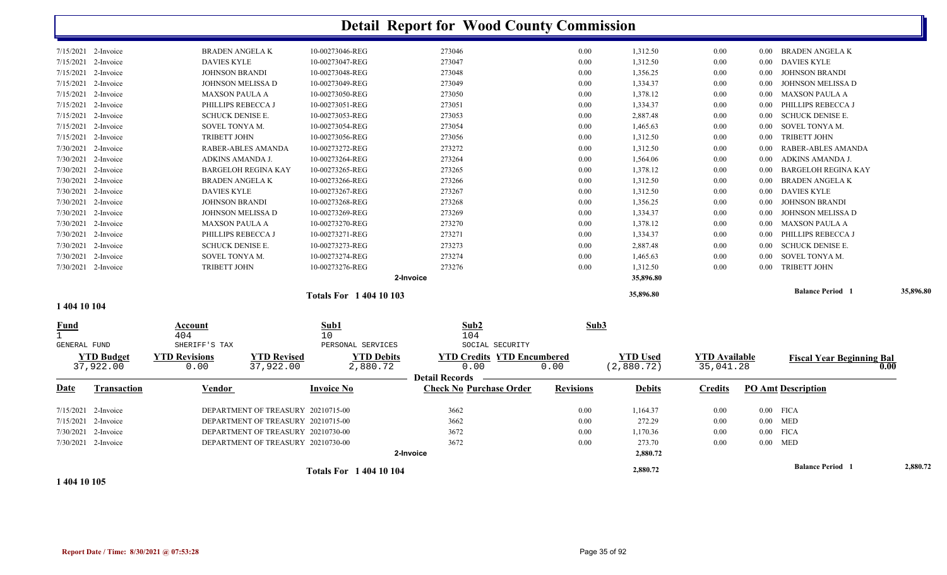|                                             |                                |                                 |                                    |                                |                               | <b>Detail Report for Wood County Commission</b>                    |                  |                               |                                   |          |                                  |           |
|---------------------------------------------|--------------------------------|---------------------------------|------------------------------------|--------------------------------|-------------------------------|--------------------------------------------------------------------|------------------|-------------------------------|-----------------------------------|----------|----------------------------------|-----------|
|                                             | 7/15/2021 2-Invoice            | <b>BRADEN ANGELA K</b>          |                                    | 10-00273046-REG                |                               | 273046                                                             | 0.00             | 1,312.50                      | 0.00                              |          | 0.00 BRADEN ANGELAK              |           |
| 7/15/2021                                   | 2-Invoice                      | <b>DAVIES KYLE</b>              |                                    | 10-00273047-REG                |                               | 273047                                                             | 0.00             | 1,312.50                      | 0.00                              | $0.00\,$ | <b>DAVIES KYLE</b>               |           |
| 7/15/2021                                   | 2-Invoice                      | <b>JOHNSON BRANDI</b>           |                                    | 10-00273048-REG                |                               | 273048                                                             | 0.00             | 1,356.25                      | 0.00                              | 0.00     | <b>JOHNSON BRANDI</b>            |           |
|                                             | 7/15/2021 2-Invoice            | JOHNSON MELISSA D               |                                    | 10-00273049-REG                |                               | 273049                                                             | 0.00             | 1,334.37                      | 0.00                              | 0.00     | JOHNSON MELISSA D                |           |
| 7/15/2021                                   | 2-Invoice                      | <b>MAXSON PAULA A</b>           |                                    | 10-00273050-REG                |                               | 273050                                                             | 0.00             | 1,378.12                      | 0.00                              | $0.00\,$ | <b>MAXSON PAULA A</b>            |           |
| 7/15/2021                                   | 2-Invoice                      | PHILLIPS REBECCA J              |                                    | 10-00273051-REG                |                               | 273051                                                             | 0.00             | 1,334.37                      | 0.00                              | 0.00     | PHILLIPS REBECCA J               |           |
| 7/15/2021                                   | 2-Invoice                      | <b>SCHUCK DENISE E.</b>         |                                    | 10-00273053-REG                |                               | 273053                                                             | 0.00             | 2,887.48                      | 0.00                              | 0.00     | <b>SCHUCK DENISE E.</b>          |           |
|                                             | 7/15/2021 2-Invoice            | SOVEL TONYA M.                  |                                    | 10-00273054-REG                |                               | 273054                                                             | 0.00             | 1,465.63                      | 0.00                              | 0.00     | SOVEL TONYA M.                   |           |
| 7/15/2021                                   | 2-Invoice                      | <b>TRIBETT JOHN</b>             |                                    | 10-00273056-REG                |                               | 273056                                                             | 0.00             | 1,312.50                      | 0.00                              | 0.00     | <b>TRIBETT JOHN</b>              |           |
|                                             | $7/30/2021$ 2-Invoice          |                                 | RABER-ABLES AMANDA                 | 10-00273272-REG                |                               | 273272                                                             | 0.00             | 1,312.50                      | 0.00                              | 0.00     | <b>RABER-ABLES AMANDA</b>        |           |
|                                             | 7/30/2021 2-Invoice            | ADKINS AMANDA J.                |                                    | 10-00273264-REG                |                               | 273264                                                             | 0.00             | 1,564.06                      | 0.00                              | 0.00     | ADKINS AMANDA J.                 |           |
|                                             | $7/30/2021$ 2-Invoice          |                                 | <b>BARGELOH REGINA KAY</b>         | 10-00273265-REG                |                               | 273265                                                             | 0.00             | 1,378.12                      | 0.00                              | 0.00     | <b>BARGELOH REGINA KAY</b>       |           |
|                                             | 7/30/2021 2-Invoice            | <b>BRADEN ANGELA K</b>          |                                    | 10-00273266-REG                |                               | 273266                                                             | 0.00             | 1,312.50                      | 0.00                              | 0.00     | <b>BRADEN ANGELA K</b>           |           |
| 7/30/2021                                   | 2-Invoice                      | <b>DAVIES KYLE</b>              |                                    | 10-00273267-REG                |                               | 273267                                                             | 0.00             | 1,312.50                      | 0.00                              | $0.00\,$ | <b>DAVIES KYLE</b>               |           |
|                                             | 7/30/2021 2-Invoice            | <b>JOHNSON BRANDI</b>           |                                    | 10-00273268-REG                |                               | 273268                                                             | 0.00             | 1,356.25                      | 0.00                              | 0.00     | <b>JOHNSON BRANDI</b>            |           |
|                                             | $7/30/2021$ 2-Invoice          | JOHNSON MELISSA D               |                                    | 10-00273269-REG                |                               | 273269                                                             | 0.00             | 1,334.37                      | 0.00                              | 0.00     | JOHNSON MELISSA D                |           |
|                                             | 7/30/2021 2-Invoice            | <b>MAXSON PAULA A</b>           |                                    | 10-00273270-REG                |                               | 273270                                                             | $0.00\,$         | 1,378.12                      | 0.00                              | $0.00\,$ | <b>MAXSON PAULA A</b>            |           |
| 7/30/2021                                   | 2-Invoice                      | PHILLIPS REBECCA J              |                                    | 10-00273271-REG                |                               | 273271                                                             | 0.00             | 1,334.37                      | 0.00                              | 0.00     | PHILLIPS REBECCA J               |           |
|                                             | 7/30/2021 2-Invoice            | <b>SCHUCK DENISE E.</b>         |                                    | 10-00273273-REG                |                               | 273273                                                             | 0.00             | 2,887.48                      | 0.00                              | 0.00     | <b>SCHUCK DENISE E.</b>          |           |
| 7/30/2021                                   | 2-Invoice                      | SOVEL TONYA M.                  |                                    | 10-00273274-REG                |                               | 273274                                                             | 0.00             | 1,465.63                      | 0.00                              | 0.00     | SOVEL TONYA M.                   |           |
|                                             | 7/30/2021 2-Invoice            | <b>TRIBETT JOHN</b>             |                                    | 10-00273276-REG                |                               | 273276                                                             | 0.00             | 1,312.50                      | 0.00                              | 0.00     | <b>TRIBETT JOHN</b>              |           |
|                                             |                                |                                 |                                    |                                | 2-Invoice                     |                                                                    |                  | 35,896.80                     |                                   |          |                                  |           |
|                                             |                                |                                 |                                    | <b>Totals For 1 404 10 103</b> |                               |                                                                    |                  | 35,896.80                     |                                   |          | <b>Balance Period 1</b>          | 35,896.80 |
| 1 404 10 104                                |                                |                                 |                                    |                                |                               |                                                                    |                  |                               |                                   |          |                                  |           |
| Fund<br>$\mathbf{1}$<br><b>GENERAL FUND</b> |                                | Account<br>404<br>SHERIFF'S TAX |                                    | Sub1<br>10                     | PERSONAL SERVICES             | Sub2<br>104<br>SOCIAL SECURITY                                     | Sub3             |                               |                                   |          |                                  |           |
|                                             | <b>YTD Budget</b><br>37,922.00 | <b>YTD Revisions</b><br>0.00    | <b>YTD Revised</b><br>37,922.00    |                                | <b>YTD Debits</b><br>2,880.72 | <b>YTD Credits YTD Encumbered</b><br>0.00<br><b>Detail Records</b> | 0.00             | <b>YTD Used</b><br>(2,880.72) | <b>YTD Available</b><br>35,041.28 |          | <b>Fiscal Year Beginning Bal</b> | 0.00      |
| Date                                        | <b>Transaction</b>             | Vendor                          |                                    | <b>Invoice No</b>              |                               | <b>Check No Purchase Order</b>                                     | <b>Revisions</b> | <b>Debits</b>                 | <b>Credits</b>                    |          | <b>PO Amt Description</b>        |           |
| 7/15/2021                                   | 2-Invoice                      |                                 | DEPARTMENT OF TREASURY 20210715-00 |                                |                               | 3662                                                               | 0.00             | 1,164.37                      | 0.00                              |          | $0.00$ FICA                      |           |
| 7/15/2021                                   | 2-Invoice                      |                                 | DEPARTMENT OF TREASURY 20210715-00 |                                |                               | 3662                                                               | 0.00             | 272.29                        | 0.00                              | $0.00\,$ | MED                              |           |
|                                             | 7/30/2021 2-Invoice            |                                 | DEPARTMENT OF TREASURY 20210730-00 |                                |                               | 3672                                                               | 0.00             | 1,170.36                      | 0.00                              |          | $0.00$ FICA                      |           |
|                                             | 7/30/2021 2-Invoice            |                                 | DEPARTMENT OF TREASURY 20210730-00 |                                |                               | 3672                                                               | 0.00             | 273.70                        | 0.00                              |          | $0.00$ MED                       |           |
|                                             |                                |                                 |                                    |                                | 2-Invoice                     |                                                                    |                  | 2,880.72                      |                                   |          |                                  |           |
|                                             |                                |                                 |                                    | <b>Totals For 1 404 10 104</b> |                               |                                                                    |                  | 2,880.72                      |                                   |          | <b>Balance Period 1</b>          | 2,880.72  |

**1 404 10 105**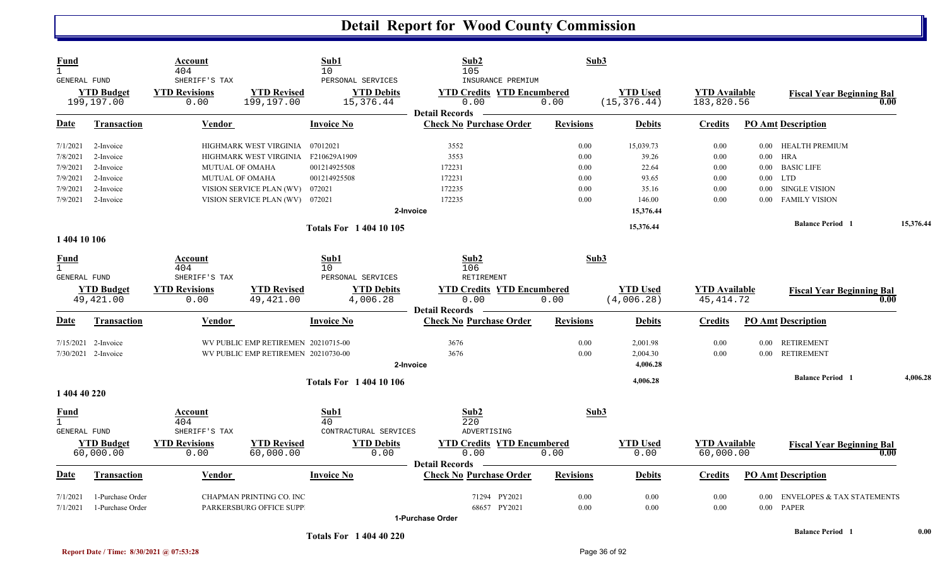| Fund<br>GENERAL FUND<br><b>YTD Budget</b><br>199,197.00 |                                | Account<br>404<br>SHERIFF'S TAX                                 | Sub1<br>10<br>PERSONAL SERVICES     |                                              |                               | Sub2<br>105<br>INSURANCE PREMIUM                                       | Sub3             |                                 |                                    |          |                                          |      |           |
|---------------------------------------------------------|--------------------------------|-----------------------------------------------------------------|-------------------------------------|----------------------------------------------|-------------------------------|------------------------------------------------------------------------|------------------|---------------------------------|------------------------------------|----------|------------------------------------------|------|-----------|
|                                                         |                                | <b>YTD Revisions</b><br>0.00                                    | <b>YTD Revised</b><br>199,197.00    | <b>YTD Debits</b><br>15,376.44               |                               | <b>YTD Credits YTD Encumbered</b><br>0.00<br><b>Detail Records</b>     | 0.00             | <b>YTD Used</b><br>(15, 376.44) | <b>YTD Available</b><br>183,820.56 |          | <b>Fiscal Year Beginning Bal</b><br>0.00 |      |           |
| Date                                                    | Transaction                    | Vendor                                                          |                                     | Invoice No                                   |                               | <b>Check No Purchase Order</b>                                         | <b>Revisions</b> | <b>Debits</b>                   | Credits                            |          | <b>PO Amt Description</b>                |      |           |
| 7/1/2021                                                | 2-Invoice                      |                                                                 | HIGHMARK WEST VIRGINIA              | 07012021                                     |                               | 3552                                                                   | 0.00             | 15,039.73                       | 0.00                               | $0.00\,$ | HEALTH PREMIUM                           |      |           |
| 7/8/2021                                                | 2-Invoice                      |                                                                 | HIGHMARK WEST VIRGINIA              | F210629A1909                                 |                               | 3553                                                                   | 0.00             | 39.26                           | 0.00                               | $0.00\,$ | <b>HRA</b>                               |      |           |
| 7/9/2021                                                | 2-Invoice                      | MUTUAL OF OMAHA                                                 |                                     | 001214925508                                 |                               | 172231                                                                 | 0.00             | 22.64                           | 0.00                               | $0.00\,$ | <b>BASIC LIFE</b>                        |      |           |
| 7/9/2021                                                | 2-Invoice                      | <b>MUTUAL OF OMAHA</b>                                          |                                     | 001214925508                                 |                               | 172231                                                                 | 0.00             | 93.65                           | 0.00                               | $0.00\,$ | <b>LTD</b>                               |      |           |
| 7/9/2021                                                | 2-Invoice                      |                                                                 | VISION SERVICE PLAN (WV)            | 072021                                       |                               | 172235                                                                 | 0.00             | 35.16                           | 0.00                               | $0.00\,$ | SINGLE VISION                            |      |           |
| 7/9/2021                                                | 2-Invoice                      |                                                                 | VISION SERVICE PLAN (WV) 072021     |                                              |                               | 172235                                                                 | 0.00             | 146.00                          | 0.00                               | 0.00     | <b>FAMILY VISION</b>                     |      |           |
|                                                         |                                |                                                                 |                                     |                                              | 2-Invoice                     |                                                                        |                  | 15,376.44                       |                                    |          |                                          |      |           |
| 1 404 10 106                                            |                                |                                                                 |                                     | <b>Totals For 140410105</b>                  |                               |                                                                        |                  | 15,376.44                       |                                    |          | <b>Balance Period</b> 1                  |      | 15,376.44 |
| <b>Fund</b><br><b>GENERAL FUND</b>                      | <b>YTD Budget</b><br>49,421.00 | Account<br>404<br>SHERIFF'S TAX<br><b>YTD Revisions</b><br>0.00 | <b>YTD Revised</b><br>49, 421.00    | Sub1<br>10 <sup>°</sup><br>PERSONAL SERVICES | <b>YTD Debits</b><br>4,006.28 | Sub2<br>106<br>RETIREMENT<br><b>YTD Credits YTD Encumbered</b><br>0.00 | Sub3<br>0.00     | <b>YTD Used</b><br>(4,006.28)   | <b>YTD</b> Available<br>45, 414.72 |          | <b>Fiscal Year Beginning Bal</b>         | 0.00 |           |
| <u>Date</u>                                             | <b>Transaction</b>             | Vendor                                                          |                                     | <b>Invoice No</b>                            |                               | <b>Detail Records</b><br><b>Check No Purchase Order</b>                | <b>Revisions</b> | <b>Debits</b>                   | <b>Credits</b>                     |          | <b>PO Amt Description</b>                |      |           |
| 7/15/2021                                               | 2-Invoice                      |                                                                 | WV PUBLIC EMP RETIREMEN 20210715-00 |                                              |                               | 3676                                                                   | 0.00             | 2,001.98                        | 0.00                               | $0.00\,$ | <b>RETIREMENT</b>                        |      |           |
|                                                         | 7/30/2021 2-Invoice            |                                                                 | WV PUBLIC EMP RETIREMEN 20210730-00 |                                              |                               | 3676                                                                   | 0.00             | 2,004.30                        | 0.00                               | $0.00\,$ | <b>RETIREMENT</b>                        |      |           |
|                                                         |                                |                                                                 |                                     |                                              | 2-Invoice                     |                                                                        |                  | 4,006.28                        |                                    |          |                                          |      |           |
|                                                         |                                |                                                                 |                                     | <b>Totals For 1 404 10 106</b>               |                               |                                                                        |                  | 4,006.28                        |                                    |          | <b>Balance Period 1</b>                  |      | 4,006.28  |
| 1 404 40 220                                            |                                |                                                                 |                                     |                                              |                               |                                                                        |                  |                                 |                                    |          |                                          |      |           |
| Fund<br>$\mathbf{1}$<br>GENERAL FUND                    |                                | Account<br>404<br>SHERIFF'S TAX                                 |                                     | Sub1<br>40<br>CONTRACTURAL SERVICES          |                               | Sub2<br>220<br>ADVERTISING                                             | Sub3             |                                 |                                    |          |                                          |      |           |
|                                                         |                                |                                                                 |                                     |                                              |                               |                                                                        |                  |                                 |                                    |          |                                          |      |           |
|                                                         | <b>YTD Budget</b><br>60,000.00 | <b>YTD Revisions</b><br>0.00                                    | <b>YTD Revised</b><br>60,000.00     |                                              | <b>YTD Debits</b><br>0.00     | <b>YTD Credits YTD Encumbered</b><br>0.00                              | 0.00             | <b>YTD Used</b><br>0.00         | <b>YTD Available</b><br>60,000.00  |          | <b>Fiscal Year Beginning Bal</b>         | 0.00 |           |
| <u>Date</u>                                             | <b>Transaction</b>             | <b>Vendor</b>                                                   |                                     | <b>Invoice No</b>                            |                               | <b>Detail Records</b><br><b>Check No Purchase Order</b>                | <b>Revisions</b> | <b>Debits</b>                   | <b>Credits</b>                     |          | <b>PO Amt Description</b>                |      |           |
| 7/1/2021                                                | 1-Purchase Order               |                                                                 | CHAPMAN PRINTING CO. INC            |                                              |                               | 71294 PY2021                                                           | 0.00             | 0.00                            | 0.00                               | 0.00     | <b>ENVELOPES &amp; TAX STATEMENTS</b>    |      |           |
| 7/1/2021                                                | 1-Purchase Order               |                                                                 | <b>PARKERSBURG OFFICE SUPP</b>      |                                              |                               | 68657 PY2021                                                           | 0.00             | 0.00                            | 0.00                               | 0.00     | PAPER                                    |      |           |
|                                                         |                                |                                                                 |                                     |                                              |                               | <b>4 Durchoon Order</b>                                                |                  |                                 |                                    |          |                                          |      |           |

**1-Purchase Order**

**<sup>1</sup> Totals For 1 404 40 220** 

**Balance Period 1** 0.00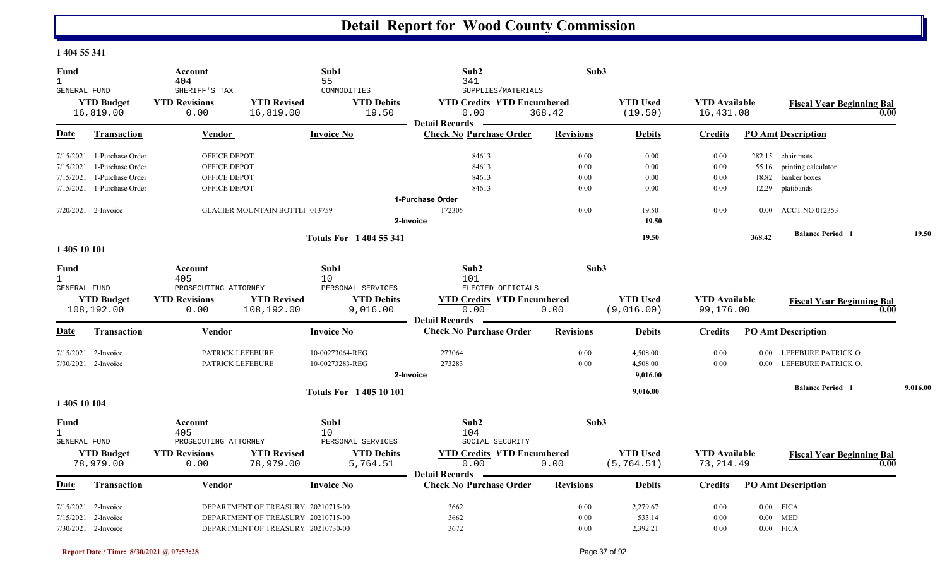#### **1 404 55 341**

| <b>Fund</b><br>$\mathbf{1}$ |                     | Account<br>404          |                                       | Sub1<br>55                    | Sub2<br>341                       | Sub3             |                 |                      |          |                                          |          |
|-----------------------------|---------------------|-------------------------|---------------------------------------|-------------------------------|-----------------------------------|------------------|-----------------|----------------------|----------|------------------------------------------|----------|
| GENERAL FUND                |                     | SHERIFF'S TAX           |                                       | COMMODITIES                   | SUPPLIES/MATERIALS                |                  |                 |                      |          |                                          |          |
|                             | <b>YTD Budget</b>   | <b>YTD Revisions</b>    | <b>YTD Revised</b>                    | <b>YTD Debits</b>             | <b>YTD Credits YTD Encumbered</b> |                  | <b>YTD Used</b> | <b>YTD</b> Available |          | <b>Fiscal Year Beginning Bal</b>         |          |
|                             | 16,819.00           | 0.00                    | 16,819.00                             | 19.50                         | 0.00                              | 368.42           | (19.50)         | 16,431.08            |          | 0.00                                     |          |
|                             |                     |                         |                                       |                               | <b>Detail Records</b>             |                  |                 |                      |          |                                          |          |
| Date                        | <b>Transaction</b>  | Vendor                  |                                       | <b>Invoice No</b>             | <b>Check No Purchase Order</b>    | <b>Revisions</b> | <b>Debits</b>   | <b>Credits</b>       |          | <b>PO Amt Description</b>                |          |
| 7/15/2021                   | 1-Purchase Order    | <b>OFFICE DEPOT</b>     |                                       |                               | 84613                             | 0.00             | 0.00            | 0.00                 |          | 282.15 chair mats                        |          |
| 7/15/2021                   | 1-Purchase Order    | OFFICE DEPOT            |                                       |                               | 84613                             | 0.00             | 0.00            | 0.00                 | 55.16    | printing calculator                      |          |
| 7/15/2021                   | 1-Purchase Order    | OFFICE DEPOT            |                                       |                               | 84613                             | 0.00             | 0.00            | 0.00                 | 18.82    | banker boxes                             |          |
| 7/15/2021                   | 1-Purchase Order    | <b>OFFICE DEPOT</b>     |                                       |                               | 84613                             | 0.00             | 0.00            | 0.00                 | 12.29    | platibands                               |          |
|                             |                     |                         |                                       |                               | 1-Purchase Order                  |                  |                 |                      |          |                                          |          |
|                             | 7/20/2021 2-Invoice |                         | <b>GLACIER MOUNTAIN BOTTLI 013759</b> |                               | 172305                            | 0.00             | 19.50           | 0.00                 | $0.00\,$ | <b>ACCT NO 012353</b>                    |          |
|                             |                     |                         |                                       |                               | 2-Invoice                         |                  | 19.50           |                      |          |                                          |          |
|                             |                     |                         |                                       | <b>Totals For 1404 55 341</b> |                                   |                  | 19.50           |                      | 368.42   | <b>Balance Period 1</b>                  | 19.50    |
| 1 405 10 101                |                     |                         |                                       |                               |                                   |                  |                 |                      |          |                                          |          |
| <b>Fund</b><br>$\mathbf{1}$ |                     | Account<br>405          |                                       | Sub1                          | Sub2                              | Sub3             |                 |                      |          |                                          |          |
| GENERAL FUND                |                     | PROSECUTING ATTORNEY    |                                       | 10<br>PERSONAL SERVICES       | 101<br>ELECTED OFFICIALS          |                  |                 |                      |          |                                          |          |
|                             | <b>YTD Budget</b>   | <b>YTD Revisions</b>    | <b>YTD Revised</b>                    | <b>YTD Debits</b>             | <b>YTD Credits YTD Encumbered</b> |                  | <b>YTD</b> Used | <b>YTD</b> Available |          |                                          |          |
|                             | 108,192.00          | 0.00                    | 108,192.00                            | 9,016.00                      | 0.00                              | 0.00             | (9,016.00)      | 99,176.00            |          | <b>Fiscal Year Beginning Bal</b><br>0.00 |          |
|                             |                     |                         |                                       |                               | <b>Detail Records</b>             |                  |                 |                      |          |                                          |          |
| Date                        | <b>Transaction</b>  | <b>Vendor</b>           |                                       | <b>Invoice No</b>             | <b>Check No Purchase Order</b>    | <b>Revisions</b> | <b>Debits</b>   | <b>Credits</b>       |          | <b>PO Amt Description</b>                |          |
| 7/15/2021                   | 2-Invoice           | PATRICK LEFEBURE        |                                       | 10-00273064-REG               | 273064                            | 0.00             | 4,508.00        | 0.00                 | 0.00     | LEFEBURE PATRICK O.                      |          |
|                             | 7/30/2021 2-Invoice | <b>PATRICK LEFEBURE</b> |                                       | 10-00273283-REG               | 273283                            | 0.00             | 4,508.00        | 0.00                 | 0.00     | LEFEBURE PATRICK O.                      |          |
|                             |                     |                         |                                       |                               | 2-Invoice                         |                  | 9,016.00        |                      |          |                                          |          |
|                             |                     |                         |                                       | <b>Totals For 140510101</b>   |                                   |                  | 9,016.00        |                      |          | <b>Balance Period 1</b>                  | 9,016.00 |
| 1 405 10 104                |                     |                         |                                       |                               |                                   |                  |                 |                      |          |                                          |          |
| Fund<br>$\mathbf{1}$        |                     | Account<br>405          |                                       | Sub1<br>10                    | Sub2<br>104                       | Sub3             |                 |                      |          |                                          |          |
| GENERAL FUND                |                     | PROSECUTING ATTORNEY    |                                       | PERSONAL SERVICES             | SOCIAL SECURITY                   |                  |                 |                      |          |                                          |          |
|                             | <b>YTD Budget</b>   | <b>YTD Revisions</b>    | <b>YTD Revised</b>                    | <b>YTD Debits</b>             | <b>YTD Credits YTD Encumbered</b> |                  | <b>YTD Used</b> | <b>YTD</b> Available |          |                                          |          |
|                             | 78,979.00           | 0.00                    | 78,979.00                             | 5,764.51                      | 0.00                              | 0.00             | (5, 764.51)     | 73, 214.49           |          | <b>Fiscal Year Beginning Bal</b><br>0.00 |          |
|                             |                     |                         |                                       |                               | <b>Detail Records</b>             |                  |                 |                      |          |                                          |          |
| Date                        | Transaction         | Vendor                  |                                       | <b>Invoice No</b>             | <b>Check No Purchase Order</b>    | <b>Revisions</b> | <b>Debits</b>   | <b>Credits</b>       |          | <b>PO Amt Description</b>                |          |
|                             |                     |                         |                                       |                               |                                   |                  |                 |                      |          |                                          |          |
|                             | 7/15/2021 2-Invoice |                         | DEPARTMENT OF TREASURY 20210715-00    |                               | 3662                              | 0.00             | 2,279.67        | 0.00                 |          | $0.00$ FICA                              |          |
|                             | 7/15/2021 2-Invoice |                         | DEPARTMENT OF TREASURY 20210715-00    |                               | 3662                              | 0.00             | 533.14          | 0.00                 |          | $0.00$ MED                               |          |
|                             | 7/30/2021 2-Invoice |                         | DEPARTMENT OF TREASURY 20210730-00    |                               | 3672                              | 0.00             | 2,392.21        | 0.00                 |          | $0.00$ FICA                              |          |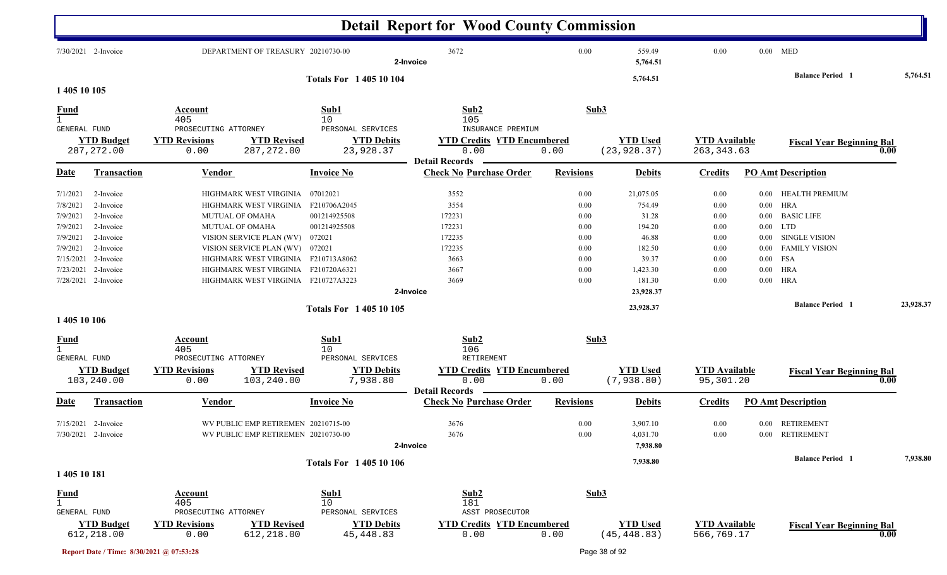|                                                                                                             |                                                                                                                   |                                                                                                                                                    |                                                                                                                                                                                                    | <b>Detail Report for Wood County Commission</b>                              |                                                                          |                                                                                          |                                                                      |                                                                                  |                                                                                                                                                    |      |           |
|-------------------------------------------------------------------------------------------------------------|-------------------------------------------------------------------------------------------------------------------|----------------------------------------------------------------------------------------------------------------------------------------------------|----------------------------------------------------------------------------------------------------------------------------------------------------------------------------------------------------|------------------------------------------------------------------------------|--------------------------------------------------------------------------|------------------------------------------------------------------------------------------|----------------------------------------------------------------------|----------------------------------------------------------------------------------|----------------------------------------------------------------------------------------------------------------------------------------------------|------|-----------|
|                                                                                                             | 7/30/2021 2-Invoice                                                                                               |                                                                                                                                                    | DEPARTMENT OF TREASURY 20210730-00                                                                                                                                                                 | 3672<br>2-Invoice                                                            | 0.00                                                                     | 559.49<br>5,764.51                                                                       | 0.00                                                                 |                                                                                  | $0.00$ MED                                                                                                                                         |      |           |
| 1 405 10 105                                                                                                |                                                                                                                   |                                                                                                                                                    | <b>Totals For 140510104</b>                                                                                                                                                                        |                                                                              |                                                                          | 5,764.51                                                                                 |                                                                      |                                                                                  | <b>Balance Period</b> 1                                                                                                                            |      | 5,764.51  |
| Fund                                                                                                        |                                                                                                                   | Account<br>405                                                                                                                                     | Sub1<br>10                                                                                                                                                                                         | Sub2<br>105                                                                  |                                                                          | Sub3                                                                                     |                                                                      |                                                                                  |                                                                                                                                                    |      |           |
| GENERAL FUND                                                                                                | <b>YTD Budget</b><br>287, 272.00                                                                                  | PROSECUTING ATTORNEY<br><b>YTD Revisions</b><br>0.00                                                                                               | PERSONAL SERVICES<br><b>YTD Revised</b><br><b>YTD Debits</b><br>23,928.37<br>287, 272.00                                                                                                           | INSURANCE PREMIUM<br><b>YTD Credits YTD Encumbered</b><br>0.00               | 0.00                                                                     | <b>YTD</b> Used<br>(23, 928.37)                                                          | <b>YTD Available</b><br>263, 343.63                                  |                                                                                  | <b>Fiscal Year Beginning Bal</b>                                                                                                                   | 0.00 |           |
| Date                                                                                                        | <b>Transaction</b>                                                                                                | Vendor                                                                                                                                             | <b>Invoice No</b>                                                                                                                                                                                  | <b>Detail Records</b><br><b>Check No Purchase Order</b>                      | <b>Revisions</b>                                                         | <b>Debits</b>                                                                            | <b>Credits</b>                                                       |                                                                                  | <b>PO Amt Description</b>                                                                                                                          |      |           |
| 7/1/2021<br>7/8/2021<br>7/9/2021<br>7/9/2021<br>7/9/2021<br>7/9/2021<br>7/15/2021<br>7/23/2021<br>7/28/2021 | 2-Invoice<br>2-Invoice<br>2-Invoice<br>2-Invoice<br>2-Invoice<br>2-Invoice<br>2-Invoice<br>2-Invoice<br>2-Invoice | HIGHMARK WEST VIRGINIA 07012021<br><b>MUTUAL OF OMAHA</b><br><b>MUTUAL OF OMAHA</b><br>VISION SERVICE PLAN (WV)<br>VISION SERVICE PLAN (WV) 072021 | HIGHMARK WEST VIRGINIA F210706A2045<br>001214925508<br>001214925508<br>072021<br>HIGHMARK WEST VIRGINIA F210713A8062<br>HIGHMARK WEST VIRGINIA F210720A6321<br>HIGHMARK WEST VIRGINIA F210727A3223 | 3552<br>3554<br>172231<br>172231<br>172235<br>172235<br>3663<br>3667<br>3669 | 0.00<br>0.00<br>0.00<br>0.00<br>0.00<br>0.00<br>0.00<br>$0.00\,$<br>0.00 | 21,075.05<br>754.49<br>31.28<br>194.20<br>46.88<br>182.50<br>39.37<br>1,423.30<br>181.30 | 0.00<br>0.00<br>0.00<br>0.00<br>0.00<br>0.00<br>0.00<br>0.00<br>0.00 | $0.00\,$<br>$0.00\,$<br>$0.00\,$<br>$0.00\,$<br>$0.00\,$<br>$0.00\,$<br>$0.00\,$ | HEALTH PREMIUM<br>$0.00$ HRA<br><b>BASIC LIFE</b><br>$0.00$ LTD<br><b>SINGLE VISION</b><br><b>FAMILY VISION</b><br>FSA<br><b>HRA</b><br><b>HRA</b> |      |           |
|                                                                                                             |                                                                                                                   |                                                                                                                                                    | Totals For 1 405 10 105                                                                                                                                                                            | 2-Invoice                                                                    |                                                                          | 23,928.37<br>23,928.37                                                                   |                                                                      |                                                                                  | <b>Balance Period</b> 1                                                                                                                            |      | 23,928.37 |
| 1 405 10 106                                                                                                |                                                                                                                   |                                                                                                                                                    |                                                                                                                                                                                                    |                                                                              |                                                                          |                                                                                          |                                                                      |                                                                                  |                                                                                                                                                    |      |           |
| <u>Fund</u><br>$\mathbf{1}$<br><b>GENERAL FUND</b>                                                          | <b>YTD Budget</b><br>103,240.00                                                                                   | Account<br>405<br>PROSECUTING ATTORNEY<br><b>YTD Revisions</b><br>0.00                                                                             | Sub1<br>10<br>PERSONAL SERVICES<br><b>YTD Revised</b><br><b>YTD Debits</b><br>7,938.80<br>103,240.00                                                                                               | Sub2<br>106<br>RETIREMENT<br><b>YTD Credits YTD Encumbered</b><br>0.00       | Sub3<br>0.00                                                             | <b>YTD Used</b><br>(7,938.80)                                                            | <b>YTD Available</b><br>95,301.20                                    |                                                                                  | <b>Fiscal Year Beginning Bal</b>                                                                                                                   | 0.00 |           |
| Date                                                                                                        | <b>Transaction</b>                                                                                                | Vendor                                                                                                                                             | <b>Invoice No</b>                                                                                                                                                                                  | <b>Detail Records</b><br><b>Check No Purchase Order</b>                      | <b>Revisions</b>                                                         | <b>Debits</b>                                                                            | <b>Credits</b>                                                       |                                                                                  | <b>PO Amt Description</b>                                                                                                                          |      |           |
|                                                                                                             | $7/15/2021$ 2-Invoice<br>7/30/2021 2-Invoice                                                                      |                                                                                                                                                    | WV PUBLIC EMP RETIREMEN 20210715-00<br>WV PUBLIC EMP RETIREMEN 20210730-00                                                                                                                         | 3676<br>3676<br>2-Invoice                                                    | 0.00<br>$0.00\,$                                                         | 3,907.10<br>4,031.70<br>7,938.80                                                         | 0.00<br>0.00                                                         |                                                                                  | 0.00 RETIREMENT<br>0.00 RETIREMENT                                                                                                                 |      |           |
| 1 405 10 181                                                                                                |                                                                                                                   |                                                                                                                                                    | <b>Totals For 140510106</b>                                                                                                                                                                        |                                                                              |                                                                          | 7,938.80                                                                                 |                                                                      |                                                                                  | <b>Balance Period</b> 1                                                                                                                            |      | 7,938.80  |
| <b>Fund</b><br>$\mathbf{1}$<br>GENERAL FUND                                                                 | <b>YTD Budget</b><br>612,218.00                                                                                   | <b>Account</b><br>405<br>PROSECUTING ATTORNEY<br><b>YTD Revisions</b><br>0.00                                                                      | Sub1<br>10<br>PERSONAL SERVICES<br><b>YTD Revised</b><br><b>YTD Debits</b><br>612,218.00<br>45, 448.83                                                                                             | Sub2<br>181<br>ASST PROSECUTOR<br><b>YTD Credits YTD Encumbered</b><br>0.00  | 0.00                                                                     | Sub3<br><b>YTD Used</b><br>(45, 448.83)                                                  | <b>YTD Available</b><br>566,769.17                                   |                                                                                  | <b>Fiscal Year Beginning Bal</b>                                                                                                                   | 0.00 |           |

**Report Date / Time: 8/30/2021 @ 07:53:28** Page 38 of 92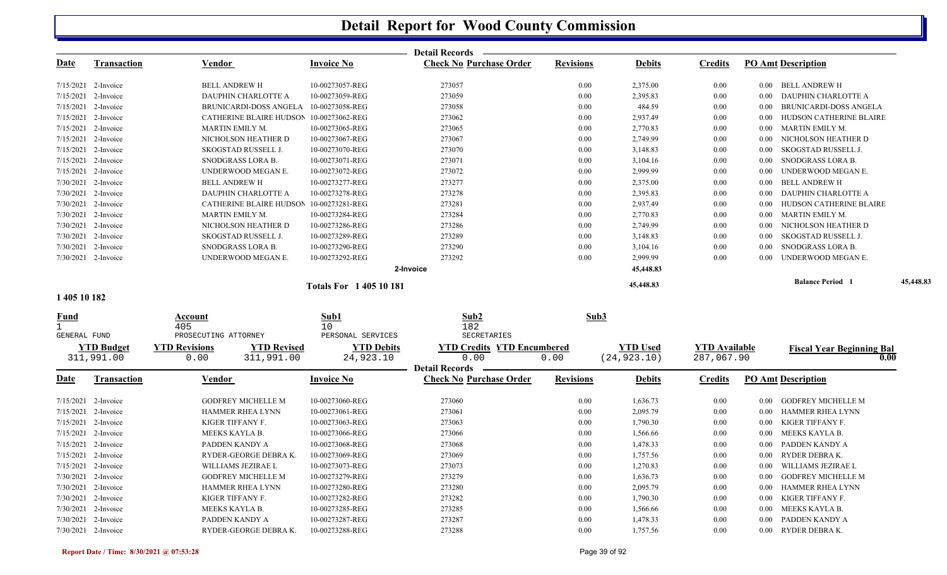|              |                                 |                                                                  |                                | <b>Detail Records</b>                     |                  |                                 |                                    |          |                                          |           |
|--------------|---------------------------------|------------------------------------------------------------------|--------------------------------|-------------------------------------------|------------------|---------------------------------|------------------------------------|----------|------------------------------------------|-----------|
| <u>Date</u>  | <b>Transaction</b>              | <b>Vendor</b>                                                    | <b>Invoice No</b>              | <b>Check No Purchase Order</b>            | <b>Revisions</b> | <b>Debits</b>                   | <b>Credits</b>                     |          | <b>PO Amt Description</b>                |           |
|              | 7/15/2021 2-Invoice             | <b>BELL ANDREW H</b>                                             | 10-00273057-REG                | 273057                                    | 0.00             | 2,375.00                        | 0.00                               |          | 0.00 BELL ANDREW H                       |           |
|              | 7/15/2021 2-Invoice             | DAUPHIN CHARLOTTE A                                              | 10-00273059-REG                | 273059                                    | 0.00             | 2,395.83                        | 0.00                               |          | 0.00 DAUPHIN CHARLOTTE A                 |           |
|              | 7/15/2021 2-Invoice             | <b>BRUNICARDI-DOSS ANGELA</b>                                    | 10-00273058-REG                | 273058                                    | 0.00             | 484.59                          | 0.00                               | 0.00     | BRUNICARDI-DOSS ANGELA                   |           |
|              | 7/15/2021 2-Invoice             | CATHERINE BLAIRE HUDSON                                          | 10-00273062-REG                | 273062                                    | 0.00             | 2,937.49                        | 0.00                               | 0.00     | HUDSON CATHERINE BLAIRE                  |           |
|              | 7/15/2021 2-Invoice             | MARTIN EMILY M.                                                  | 10-00273065-REG                | 273065                                    | 0.00             | 2,770.83                        | 0.00                               |          | 0.00 MARTIN EMILY M.                     |           |
|              | 7/15/2021 2-Invoice             | NICHOLSON HEATHER D                                              | 10-00273067-REG                | 273067                                    | 0.00             | 2,749.99                        | 0.00                               | 0.00     | NICHOLSON HEATHER D                      |           |
|              | 7/15/2021 2-Invoice             | SKOGSTAD RUSSELL J.                                              | 10-00273070-REG                | 273070                                    | 0.00             | 3,148.83                        | 0.00                               | 0.00     | SKOGSTAD RUSSELL J.                      |           |
|              | 7/15/2021 2-Invoice             | SNODGRASS LORA B.                                                | 10-00273071-REG                | 273071                                    | 0.00             | 3,104.16                        | 0.00                               | 0.00     | SNODGRASS LORA B.                        |           |
|              | 7/15/2021 2-Invoice             | UNDERWOOD MEGAN E.                                               | 10-00273072-REG                | 273072                                    | 0.00             | 2,999.99                        | 0.00                               | 0.00     | UNDERWOOD MEGAN E.                       |           |
|              | 7/30/2021 2-Invoice             | <b>BELL ANDREW H</b>                                             | 10-00273277-REG                | 273277                                    | 0.00             | 2,375.00                        | 0.00                               | 0.00     | BELL ANDREW H                            |           |
|              | 7/30/2021 2-Invoice             | DAUPHIN CHARLOTTE A                                              | 10-00273278-REG                | 273278                                    | 0.00             | 2,395.83                        | 0.00                               | 0.00     | DAUPHIN CHARLOTTE A                      |           |
|              | 7/30/2021 2-Invoice             | CATHERINE BLAIRE HUDSON                                          | 10-00273281-REG                | 273281                                    | 0.00             | 2,937.49                        | 0.00                               | 0.00     | HUDSON CATHERINE BLAIRE                  |           |
|              | 7/30/2021 2-Invoice             | MARTIN EMILY M.                                                  | 10-00273284-REG                | 273284                                    | 0.00             | 2,770.83                        | 0.00                               | $0.00\,$ | MARTIN EMILY M.                          |           |
|              | 7/30/2021 2-Invoice             | NICHOLSON HEATHER D                                              | 10-00273286-REG                | 273286                                    | 0.00             | 2,749.99                        | 0.00                               | $0.00\,$ | NICHOLSON HEATHER D                      |           |
|              | 7/30/2021 2-Invoice             | SKOGSTAD RUSSELL J.                                              | 10-00273289-REG                | 273289                                    | 0.00             | 3,148.83                        | 0.00                               | 0.00     | <b>SKOGSTAD RUSSELL J.</b>               |           |
|              | 7/30/2021 2-Invoice             | SNODGRASS LORA B.                                                | 10-00273290-REG                | 273290                                    | 0.00             | 3,104.16                        | 0.00                               | 0.00     | SNODGRASS LORA B.                        |           |
|              | 7/30/2021 2-Invoice             | UNDERWOOD MEGAN E.                                               | 10-00273292-REG                | 273292                                    | 0.00             | 2,999.99                        | 0.00                               | 0.00     | UNDERWOOD MEGAN E.                       |           |
|              |                                 |                                                                  |                                | 2-Invoice                                 |                  | 45,448.83                       |                                    |          |                                          |           |
|              |                                 |                                                                  | <b>Totals For 140510181</b>    |                                           |                  | 45,448.83                       |                                    |          | <b>Balance Period 1</b>                  | 45,448.83 |
| 1 405 10 182 |                                 |                                                                  |                                |                                           |                  |                                 |                                    |          |                                          |           |
| <b>Fund</b>  |                                 | Account                                                          | Sub1                           | Sub2                                      | Sub3             |                                 |                                    |          |                                          |           |
|              |                                 | 405                                                              | 10                             | 182                                       |                  |                                 |                                    |          |                                          |           |
| GENERAL FUND |                                 | PROSECUTING ATTORNEY                                             | PERSONAL SERVICES              | SECRETARIES                               |                  |                                 |                                    |          |                                          |           |
|              | <b>YTD Budget</b><br>311,991.00 | <b>YTD Revisions</b><br><b>YTD Revised</b><br>0.00<br>311,991.00 | <b>YTD Debits</b><br>24,923.10 | <b>YTD Credits YTD Encumbered</b><br>0.00 | 0.00             | <b>YTD Used</b><br>(24, 923.10) | <b>YTD Available</b><br>287,067.90 |          | <b>Fiscal Year Beginning Bal</b><br>0.00 |           |
|              |                                 |                                                                  |                                | <b>Detail Records</b>                     |                  |                                 |                                    |          |                                          |           |
| <u>Date</u>  | <b>Transaction</b>              | Vendor                                                           | Invoice No                     | <b>Check No Purchase Order</b>            | <b>Revisions</b> | <b>Debits</b>                   | <b>Credits</b>                     |          | <b>PO Amt Description</b>                |           |
|              | 7/15/2021 2-Invoice             | <b>GODFREY MICHELLE M</b>                                        | 10-00273060-REG                | 273060                                    | 0.00             | 1,636.73                        | 0.00                               | $0.00\,$ | <b>GODFREY MICHELLE M</b>                |           |
|              | 7/15/2021 2-Invoice             | HAMMER RHEA LYNN                                                 | 10-00273061-REG                | 273061                                    | 0.00             | 2,095.79                        | 0.00                               | $0.00\,$ | HAMMER RHEA LYNN                         |           |
|              | 7/15/2021 2-Invoice             | KIGER TIFFANY F.                                                 | 10-00273063-REG                | 273063                                    | 0.00             | 1,790.30                        | 0.00                               | $0.00\,$ | KIGER TIFFANY F.                         |           |
|              | 7/15/2021 2-Invoice             | MEEKS KAYLA B.                                                   | 10-00273066-REG                | 273066                                    | 0.00             | 1,566.66                        | 0.00                               | $0.00\,$ | MEEKS KAYLA B.                           |           |
|              | 7/15/2021 2-Invoice             | PADDEN KANDY A                                                   | 10-00273068-REG                | 273068                                    | 0.00             | 1,478.33                        | 0.00                               | $0.00\,$ | PADDEN KANDY A                           |           |
|              | 7/15/2021 2-Invoice             | RYDER-GEORGE DEBRA K.                                            | 10-00273069-REG                | 273069                                    | 0.00             | 1,757.56                        | 0.00                               | 0.00     | RYDER DEBRA K.                           |           |
|              | 7/15/2021 2-Invoice             | WILLIAMS JEZIRAE L                                               | 10-00273073-REG                | 273073                                    | 0.00             | 1,270.83                        | 0.00                               | 0.00     | WILLIAMS JEZIRAE L                       |           |
|              | 7/30/2021 2-Invoice             | <b>GODFREY MICHELLE M</b>                                        | 10-00273279-REG                | 273279                                    | 0.00             | 1,636.73                        | 0.00                               | 0.00     | <b>GODFREY MICHELLE M</b>                |           |
|              | 7/30/2021 2-Invoice             | HAMMER RHEA LYNN                                                 | 10-00273280-REG                | 273280                                    | 0.00             | 2,095.79                        | 0.00                               | 0.00     | HAMMER RHEA LYNN                         |           |
|              | 7/30/2021 2-Invoice             | KIGER TIFFANY F.                                                 | 10-00273282-REG                | 273282                                    | 0.00             | 1,790.30                        | 0.00                               | 0.00     | KIGER TIFFANY F.                         |           |
|              | 7/30/2021 2-Invoice             | MEEKS KAYLA B.                                                   | 10-00273285-REG                | 273285                                    | 0.00             | 1,566.66                        | 0.00                               | 0.00     | MEEKS KAYLA B.                           |           |
|              | 7/30/2021 2-Invoice             | PADDEN KANDY A                                                   | 10-00273287-REG                | 273287                                    | 0.00             | 1,478.33                        | 0.00                               | 0.00     | PADDEN KANDY A                           |           |
|              | 7/30/2021 2-Invoice             | RYDER-GEORGE DEBRAK.                                             | 10-00273288-REG                | 273288                                    | 0.00             | 1,757.56                        | 0.00                               |          | 0.00 RYDER DEBRAK.                       |           |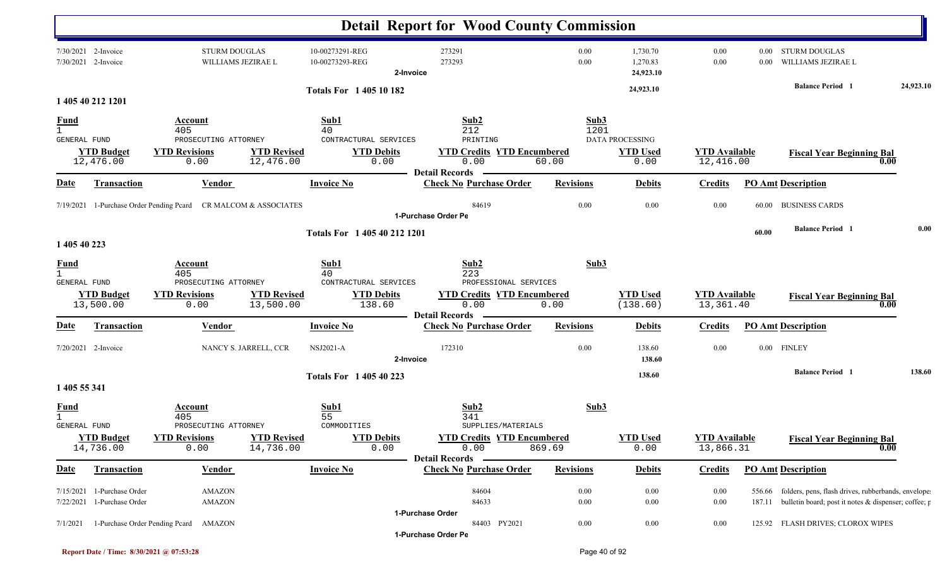|                     |                                                          |                                                                 |                                 |                                                          | <b>Detail Report for Wood County Commission</b>                                          |                  |                                            |                                   |                  |                                                                                                                          |           |
|---------------------|----------------------------------------------------------|-----------------------------------------------------------------|---------------------------------|----------------------------------------------------------|------------------------------------------------------------------------------------------|------------------|--------------------------------------------|-----------------------------------|------------------|--------------------------------------------------------------------------------------------------------------------------|-----------|
| 7/30/2021           | 7/30/2021 2-Invoice<br>2-Invoice                         | <b>STURM DOUGLAS</b><br>WILLIAMS JEZIRAE L                      |                                 | 10-00273291-REG<br>10-00273293-REG                       | 273291<br>273293<br>2-Invoice                                                            | 0.00<br>0.00     | 1,730.70<br>1,270.83<br>24,923.10          | 0.00<br>0.00                      | 0.00<br>$0.00\,$ | <b>STURM DOUGLAS</b><br>WILLIAMS JEZIRAE L                                                                               |           |
|                     | 1 405 40 212 1201                                        |                                                                 |                                 | <b>Totals For 140510182</b>                              |                                                                                          |                  | 24,923.10                                  |                                   |                  | <b>Balance Period 1</b>                                                                                                  | 24,923.10 |
| $\frac{Fund}{1}$    |                                                          | Account                                                         |                                 | Sub1                                                     | Sub2                                                                                     | Sub3             |                                            |                                   |                  |                                                                                                                          |           |
| GENERAL FUND        | <b>YTD Budget</b><br>12,476.00                           | 405<br>PROSECUTING ATTORNEY<br><b>YTD Revisions</b><br>0.00     | <b>YTD Revised</b><br>12,476.00 | 40<br>CONTRACTURAL SERVICES<br><b>YTD Debits</b><br>0.00 | 212<br>PRINTING<br><b>YTD Credits YTD Encumbered</b><br>0.00<br><b>Detail Records</b>    | 1201<br>60.00    | DATA PROCESSING<br><b>YTD Used</b><br>0.00 | <b>YTD</b> Available<br>12,416.00 |                  | <b>Fiscal Year Beginning Bal</b><br>0.00                                                                                 |           |
| <b>Date</b>         | <b>Transaction</b>                                       | Vendor                                                          |                                 | <b>Invoice No</b>                                        | <b>Check No Purchase Order</b>                                                           | <b>Revisions</b> | <b>Debits</b>                              | <b>Credits</b>                    |                  | <b>PO Amt Description</b>                                                                                                |           |
|                     |                                                          | 7/19/2021 1-Purchase Order Pending Pcard CR MALCOM & ASSOCIATES |                                 |                                                          | 84619<br>1-Purchase Order Pe                                                             | 0.00             | 0.00                                       | 0.00                              | 60.00            | <b>BUSINESS CARDS</b>                                                                                                    |           |
| 1 405 40 223        |                                                          |                                                                 |                                 | Totals For 1 405 40 212 1201                             |                                                                                          |                  |                                            |                                   | 60.00            | <b>Balance Period 1</b>                                                                                                  | 0.00      |
| $\frac{Fund}{1}$    |                                                          | Account<br>405                                                  |                                 | Sub1<br>40                                               | Sub2<br>223                                                                              | Sub3             |                                            |                                   |                  |                                                                                                                          |           |
| GENERAL FUND        | <b>YTD Budget</b><br>13,500.00                           | PROSECUTING ATTORNEY<br><b>YTD Revisions</b><br>0.00            | <b>YTD Revised</b><br>13,500.00 | CONTRACTURAL SERVICES<br><b>YTD Debits</b><br>138.60     | PROFESSIONAL SERVICES<br><b>YTD Credits YTD Encumbered</b><br>0.00                       | 0.00             | <b>YTD Used</b><br>(138.60)                | <b>YTD</b> Available<br>13,361.40 |                  | <b>Fiscal Year Beginning Bal</b><br>0.00                                                                                 |           |
| <b>Date</b>         | Transaction                                              | Vendor                                                          |                                 | <b>Invoice No</b>                                        | <b>Detail Records</b><br><b>Check No Purchase Order</b>                                  | <b>Revisions</b> | <b>Debits</b>                              | <b>Credits</b>                    |                  | <b>PO Amt Description</b>                                                                                                |           |
|                     | 7/20/2021 2-Invoice                                      |                                                                 | NANCY S. JARRELL, CCR           | <b>NSJ2021-A</b>                                         | 172310<br>2-Invoice                                                                      | 0.00             | 138.60<br>138.60                           | 0.00                              | $0.00\,$         | <b>FINLEY</b>                                                                                                            |           |
| 1 405 55 341        |                                                          |                                                                 |                                 | Totals For 1 405 40 223                                  |                                                                                          |                  | 138.60                                     |                                   |                  | <b>Balance Period</b> 1                                                                                                  | 138.60    |
| <u>Fund</u>         |                                                          | Account<br>405                                                  |                                 | Sub1<br>55                                               | Sub2<br>341                                                                              | Sub3             |                                            |                                   |                  |                                                                                                                          |           |
| <b>GENERAL FUND</b> | <b>YTD Budget</b><br>14,736.00                           | PROSECUTING ATTORNEY<br><b>YTD Revisions</b><br>0.00            | <b>YTD Revised</b><br>14,736.00 | COMMODITIES<br><b>YTD Debits</b><br>0.00                 | SUPPLIES/MATERIALS<br><b>YTD Credits YTD Encumbered</b><br>0.00<br><b>Detail Records</b> | 869.69           | <b>YTD Used</b><br>0.00                    | <b>YTD</b> Available<br>13,866.31 |                  | <b>Fiscal Year Beginning Bal</b><br>0.00                                                                                 |           |
| <u>Date</u>         | <b>Transaction</b>                                       | <b>Vendor</b>                                                   |                                 | <b>Invoice No</b>                                        | <b>Check No Purchase Order</b>                                                           | <b>Revisions</b> | <b>Debits</b>                              | <b>Credits</b>                    |                  | <b>PO Amt Description</b>                                                                                                |           |
|                     | 7/15/2021 1-Purchase Order<br>7/22/2021 1-Purchase Order | AMAZON<br>AMAZON                                                |                                 |                                                          | 84604<br>84633                                                                           | 0.00<br>0.00     | 0.00<br>0.00                               | 0.00<br>0.00                      |                  | 556.66 folders, pens, flash drives, rubberbands, envelope<br>187.11 bulletin board; post it notes & dispenser; coffee; p |           |
| 7/1/2021            | 1-Purchase Order Pending Pcard                           | AMAZON                                                          |                                 |                                                          | 1-Purchase Order<br>84403 PY2021<br>1-Purchase Order Pe                                  | 0.00             | $0.00\,$                                   | $0.00\,$                          |                  | 125.92 FLASH DRIVES; CLOROX WIPES                                                                                        |           |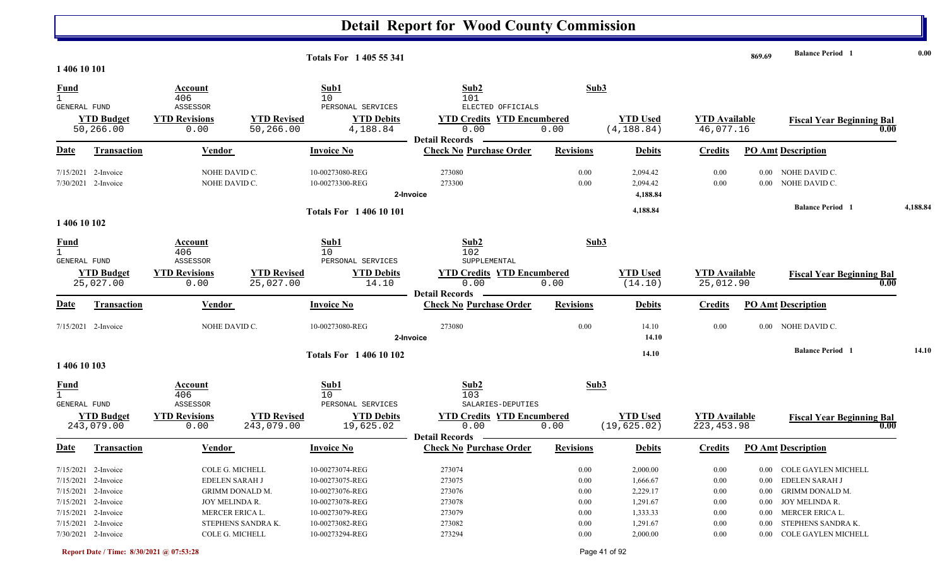|                                                    |                                  |                                |                                  | <b>Totals For 1405 55 341</b>      |                                                                    |                  |                                  |                                     | 869.69       | <b>Balance Period 1</b>                  | 0.00     |
|----------------------------------------------------|----------------------------------|--------------------------------|----------------------------------|------------------------------------|--------------------------------------------------------------------|------------------|----------------------------------|-------------------------------------|--------------|------------------------------------------|----------|
| 1 406 10 101                                       |                                  |                                |                                  |                                    |                                                                    |                  |                                  |                                     |              |                                          |          |
| <b>Fund</b><br>GENERAL FUND                        |                                  | Account<br>406<br>ASSESSOR     |                                  | Sub1<br>10<br>PERSONAL SERVICES    | Sub2<br>101<br>ELECTED OFFICIALS                                   |                  | Sub3                             |                                     |              |                                          |          |
|                                                    | <b>YTD Budget</b><br>50,266.00   | <b>YTD Revisions</b><br>0.00   | <b>YTD Revised</b><br>50,266.00  | <b>YTD Debits</b><br>4,188.84      | <b>YTD Credits YTD Encumbered</b><br>0.00<br><b>Detail Records</b> | 0.00             | <b>YTD Used</b><br>(4, 188.84)   | <b>YTD Available</b><br>46,077.16   |              | <b>Fiscal Year Beginning Bal</b><br>0.00 |          |
| <b>Date</b>                                        | <b>Transaction</b>               | <b>Vendor</b>                  |                                  | <b>Invoice No</b>                  | <b>Check No Purchase Order</b>                                     | <b>Revisions</b> | <b>Debits</b>                    | <b>Credits</b>                      |              | <b>PO Amt Description</b>                |          |
| 7/15/2021                                          | 2-Invoice<br>7/30/2021 2-Invoice | NOHE DAVID C.<br>NOHE DAVID C. |                                  | 10-00273080-REG<br>10-00273300-REG | 273080<br>273300<br>2-Invoice                                      | 0.00<br>0.00     | 2,094.42<br>2,094.42<br>4,188.84 | 0.00<br>0.00                        | 0.00<br>0.00 | NOHE DAVID C.<br>NOHE DAVID C.           |          |
|                                                    |                                  |                                |                                  | <b>Totals For 140610101</b>        |                                                                    |                  | 4,188.84                         |                                     |              | <b>Balance Period 1</b>                  | 4,188.84 |
| 1 406 10 102                                       |                                  |                                |                                  |                                    |                                                                    |                  |                                  |                                     |              |                                          |          |
| <u>Fund</u><br>$\mathbf{1}$<br><b>GENERAL FUND</b> |                                  | Account<br>406<br>ASSESSOR     |                                  | Sub1<br>10<br>PERSONAL SERVICES    | Sub2<br>102<br>SUPPLEMENTAL                                        |                  | Sub3                             |                                     |              |                                          |          |
|                                                    | <b>YTD Budget</b><br>25,027.00   | <b>YTD Revisions</b><br>0.00   | <b>YTD Revised</b><br>25,027.00  | <b>YTD Debits</b><br>14.10         | <b>YTD Credits YTD Encumbered</b><br>0.00<br><b>Detail Records</b> | 0.00             | <b>YTD Used</b><br>(14.10)       | <b>YTD</b> Available<br>25,012.90   |              | <b>Fiscal Year Beginning Bal</b><br>0.00 |          |
| <b>Date</b>                                        | Transaction                      | Vendor                         |                                  | <b>Invoice No</b>                  | <b>Check No Purchase Order</b>                                     | <b>Revisions</b> | <b>Debits</b>                    | <b>Credits</b>                      |              | <b>PO Amt Description</b>                |          |
|                                                    | 7/15/2021 2-Invoice              | NOHE DAVID C.                  |                                  | 10-00273080-REG                    | 273080<br>2-Invoice                                                | 0.00             | 14.10<br>14.10                   | 0.00                                | $0.00\,$     | NOHE DAVID C.                            |          |
| 1 406 10 103                                       |                                  |                                |                                  | <b>Totals For 1 406 10 102</b>     |                                                                    |                  | 14.10                            |                                     |              | <b>Balance Period 1</b>                  | 14.10    |
| $\frac{Fund}{1}$<br>GENERAL FUND                   |                                  | Account<br>406<br>ASSESSOR     |                                  | Sub1<br>10<br>PERSONAL SERVICES    | Sub2<br>103<br>SALARIES-DEPUTIES                                   |                  | Sub3                             |                                     |              |                                          |          |
|                                                    | <b>YTD Budget</b><br>243,079.00  | <b>YTD Revisions</b><br>0.00   | <b>YTD Revised</b><br>243,079.00 | <b>YTD Debits</b><br>19,625.02     | <b>YTD Credits YTD Encumbered</b><br>0.00<br><b>Detail Records</b> | 0.00             | <b>YTD Used</b><br>(19, 625.02)  | <b>YTD Available</b><br>223, 453.98 |              | <b>Fiscal Year Beginning Bal</b><br>0.00 |          |
| <u>Date</u>                                        | <b>Transaction</b>               | <b>Vendor</b>                  |                                  | <b>Invoice No</b>                  | <b>Check No Purchase Order</b>                                     | <b>Revisions</b> | <b>Debits</b>                    | <b>Credits</b>                      |              | <b>PO Amt Description</b>                |          |
|                                                    | 7/15/2021 2-Invoice              | COLE G. MICHELL                |                                  | 10-00273074-REG                    | 273074                                                             | 0.00             | 2,000.00                         | 0.00                                |              | 0.00 COLE GAYLEN MICHELL                 |          |
|                                                    | 7/15/2021 2-Invoice              | EDELEN SARAH J                 |                                  | 10-00273075-REG                    | 273075                                                             | 0.00             | 1,666.67                         | 0.00                                | $0.00\,$     | EDELEN SARAH J                           |          |
|                                                    | 7/15/2021 2-Invoice              | GRIMM DONALD M.                |                                  | 10-00273076-REG                    | 273076                                                             | 0.00             | 2,229.17                         | 0.00                                | $0.00\,$     | GRIMM DONALD M.                          |          |
|                                                    | $7/15/2021$ 2-Invoice            | JOY MELINDA R.                 |                                  | 10-00273078-REG                    | 273078                                                             | 0.00             | 1,291.67                         | 0.00                                |              | 0.00 JOY MELINDA R.                      |          |
|                                                    | $7/15/2021$ 2-Invoice            | MERCER ERICA L.                |                                  | 10-00273079-REG                    | 273079                                                             | 0.00             | 1,333.33                         | 0.00                                |              | 0.00 MERCER ERICA L.                     |          |
|                                                    | 7/15/2021 2-Invoice              |                                | STEPHENS SANDRA K.               | 10-00273082-REG                    | 273082                                                             | $0.00\,$         | 1,291.67                         | 0.00                                | $0.00\,$     | STEPHENS SANDRA K.                       |          |
|                                                    | 7/30/2021 2-Invoice              | COLE G. MICHELL                |                                  | 10-00273294-REG                    | 273294                                                             | 0.00             | 2,000.00                         | 0.00                                |              | 0.00 COLE GAYLEN MICHELL                 |          |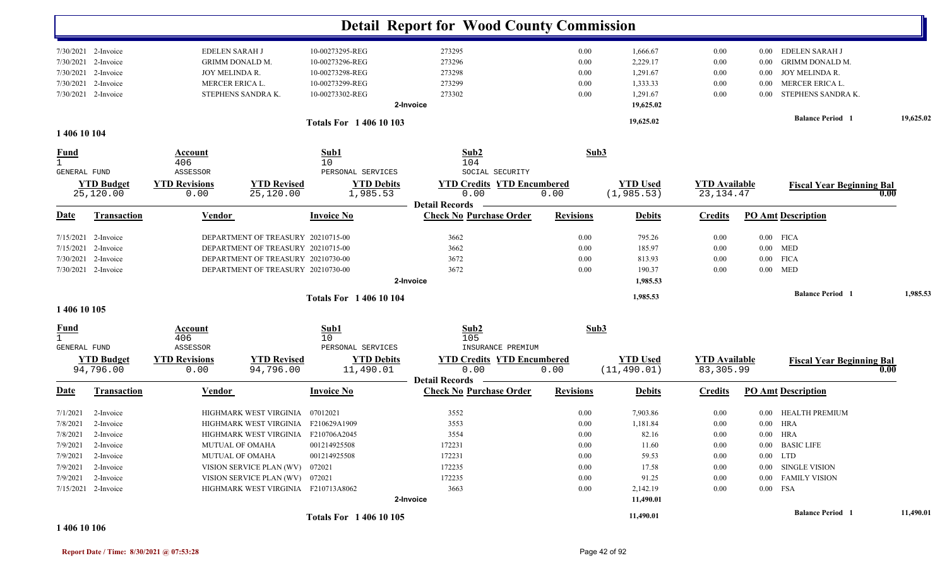|                             |                                |                              |                                     |                                        | <b>Detail Report for Wood County Commission</b>         |                  |                                |                                     |                                  |           |
|-----------------------------|--------------------------------|------------------------------|-------------------------------------|----------------------------------------|---------------------------------------------------------|------------------|--------------------------------|-------------------------------------|----------------------------------|-----------|
|                             | 7/30/2021 2-Invoice            | EDELEN SARAH J               |                                     | 10-00273295-REG                        | 273295                                                  | 0.00             | 1,666.67                       | 0.00                                | EDELEN SARAH J<br>$0.00\,$       |           |
| 7/30/2021                   | 2-Invoice                      | <b>GRIMM DONALD M.</b>       |                                     | 10-00273296-REG                        | 273296                                                  | 0.00             | 2,229.17                       | 0.00                                | <b>GRIMM DONALD M.</b><br>0.00   |           |
| 7/30/2021                   | 2-Invoice                      | JOY MELINDA R.               |                                     | 10-00273298-REG                        | 273298                                                  | 0.00             | 1,291.67                       | 0.00                                | JOY MELINDA R.<br>$0.00\,$       |           |
| 7/30/2021                   | 2-Invoice                      | MERCER ERICA L.              |                                     | 10-00273299-REG                        | 273299                                                  | 0.00             | 1,333.33                       | 0.00                                | MERCER ERICA L.<br>0.00          |           |
|                             | 7/30/2021 2-Invoice            |                              | STEPHENS SANDRA K.                  | 10-00273302-REG                        | 273302                                                  | 0.00             | 1,291.67                       | 0.00                                | STEPHENS SANDRA K.<br>0.00       |           |
|                             |                                |                              |                                     |                                        | 2-Invoice                                               |                  | 19,625.02                      |                                     |                                  |           |
|                             |                                |                              |                                     | <b>Totals For 140610103</b>            |                                                         |                  | 19,625.02                      |                                     | <b>Balance Period</b> 1          | 19,625.02 |
| 1 406 10 104                |                                |                              |                                     |                                        |                                                         |                  |                                |                                     |                                  |           |
| <u>Fund</u><br>1            |                                | Account<br>406               |                                     | Sub1<br>10                             | Sub2<br>104                                             | Sub3             |                                |                                     |                                  |           |
| GENERAL FUND                |                                | ASSESSOR                     |                                     | PERSONAL SERVICES                      | SOCIAL SECURITY                                         |                  |                                |                                     |                                  |           |
|                             | <b>YTD Budget</b><br>25,120.00 | <b>YTD Revisions</b><br>0.00 | <b>YTD Revised</b><br>25,120.00     | <b>YTD Debits</b><br>1,985.53          | <b>YTD Credits YTD Encumbered</b><br>0.00               | 0.00             | <b>YTD Used</b><br>(1, 985.53) | <b>YTD Available</b><br>23, 134. 47 | <b>Fiscal Year Beginning Bal</b> | 0.00      |
|                             |                                |                              |                                     |                                        | <b>Detail Records</b>                                   |                  |                                |                                     |                                  |           |
| <b>Date</b>                 | <b>Transaction</b>             | <b>Vendor</b>                |                                     | <b>Invoice No</b>                      | <b>Check No Purchase Order</b>                          | <b>Revisions</b> | <b>Debits</b>                  | <b>Credits</b>                      | <b>PO Amt Description</b>        |           |
|                             | 7/15/2021 2-Invoice            |                              | DEPARTMENT OF TREASURY 20210715-00  |                                        | 3662                                                    | 0.00             | 795.26                         | 0.00                                | $0.00$ FICA                      |           |
| 7/15/2021                   | 2-Invoice                      |                              | DEPARTMENT OF TREASURY 20210715-00  |                                        | 3662                                                    | $0.00\,$         | 185.97                         | 0.00                                | $0.00$ MED                       |           |
| 7/30/2021                   | 2-Invoice                      |                              | DEPARTMENT OF TREASURY 20210730-00  |                                        | 3672                                                    | 0.00             | 813.93                         | 0.00                                | <b>FICA</b><br>$0.00\,$          |           |
|                             | 7/30/2021 2-Invoice            |                              | DEPARTMENT OF TREASURY 20210730-00  |                                        | 3672                                                    | 0.00             | 190.37                         | 0.00                                | $0.00$ MED                       |           |
|                             |                                |                              |                                     |                                        | 2-Invoice                                               |                  | 1,985.53                       |                                     |                                  |           |
|                             |                                |                              |                                     | <b>Totals For 140610104</b>            |                                                         |                  | 1,985.53                       |                                     | <b>Balance Period</b> 1          | 1,985.53  |
| 1 406 10 105                |                                |                              |                                     |                                        |                                                         |                  |                                |                                     |                                  |           |
| <u>Fund</u><br>$\mathbf{1}$ |                                | Account<br>406<br>ASSESSOR   |                                     | Sub1<br>10                             | Sub2<br>105<br>INSURANCE PREMIUM                        | Sub3             |                                |                                     |                                  |           |
| GENERAL FUND                | <b>YTD Budget</b>              | <b>YTD Revisions</b>         | <b>YTD Revised</b>                  | PERSONAL SERVICES<br><b>YTD Debits</b> | <b>YTD Credits YTD Encumbered</b>                       |                  | <b>YTD Used</b>                | <b>YTD</b> Available                | <b>Fiscal Year Beginning Bal</b> |           |
|                             | 94,796.00                      | 0.00                         | 94,796.00                           | 11,490.01                              | 0.00                                                    | 0.00             | (11, 490.01)                   | 83,305.99                           |                                  | 0.00      |
| <u>Date</u>                 | <b>Transaction</b>             | Vendor                       |                                     | <b>Invoice No</b>                      | <b>Detail Records</b><br><b>Check No Purchase Order</b> | <b>Revisions</b> | <b>Debits</b>                  | <b>Credits</b>                      | <b>PO Amt Description</b>        |           |
| 7/1/2021                    | 2-Invoice                      |                              | HIGHMARK WEST VIRGINIA 07012021     |                                        | 3552                                                    | 0.00             | 7,903.86                       | 0.00                                | 0.00 HEALTH PREMIUM              |           |
|                             | 7/8/2021 2-Invoice             |                              | HIGHMARK WEST VIRGINIA F210629A1909 |                                        | 3553                                                    | 0.00             | 1,181.84                       | $0.00\,$                            | $0.00$ HRA                       |           |
|                             | 7/8/2021 2-Invoice             |                              | HIGHMARK WEST VIRGINIA F210706A2045 |                                        | 3554                                                    | $0.00\,$         | 82.16                          | $0.00\,$                            | $0.00$ HRA                       |           |
|                             | $7/9/2021$ 2-Invoice           |                              | <b>MUTUAL OF OMAHA</b>              | 001214925508                           | 172231                                                  | $0.00\,$         | 11.60                          | 0.00                                | 0.00 BASIC LIFE                  |           |
|                             | 7/9/2021 2-Invoice             | MUTUAL OF OMAHA              |                                     | 001214925508                           | 172231                                                  | 0.00             | 59.53                          | 0.00                                | $0.00$ LTD                       |           |
| 7/9/2021                    | 2-Invoice                      |                              | VISION SERVICE PLAN (WV) 072021     |                                        | 172235                                                  | $0.00\,$         | 17.58                          | 0.00                                | 0.00 SINGLE VISION               |           |
|                             | $7/9/2021$ 2-Invoice           |                              | VISION SERVICE PLAN (WV) 072021     |                                        | 172235                                                  | $0.00\,$         | 91.25                          | 0.00                                | 0.00 FAMILY VISION               |           |
|                             | 7/15/2021 2-Invoice            |                              | HIGHMARK WEST VIRGINIA F210713A8062 |                                        | 3663                                                    | 0.00             | 2,142.19                       | 0.00                                | $0.00$ FSA                       |           |
|                             |                                |                              |                                     |                                        | 2-Invoice                                               |                  | 11,490.01                      |                                     |                                  |           |
|                             |                                |                              |                                     | <b>Totals For 140610105</b>            |                                                         |                  | 11,490.01                      |                                     | <b>Balance Period</b> 1          | 11,490.01 |

**1 406 10 106**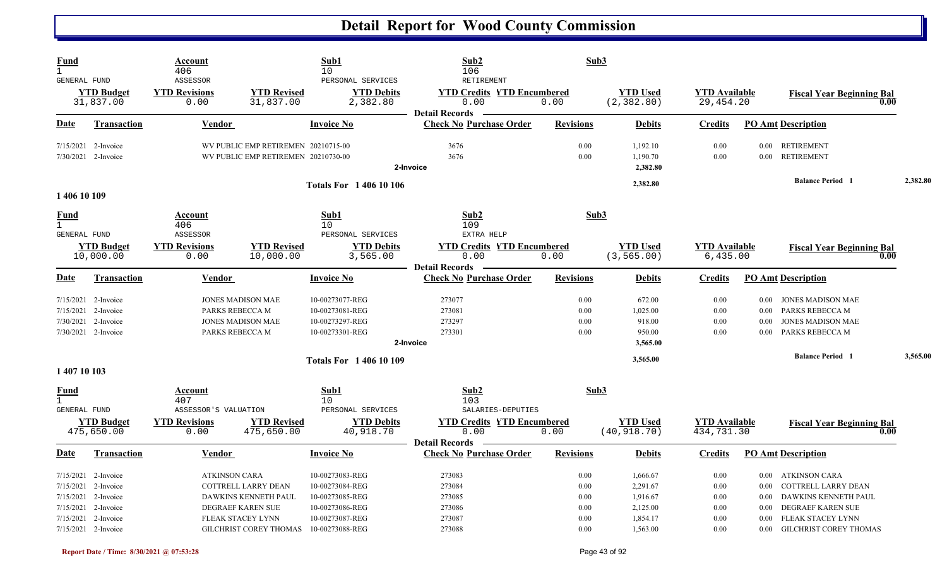| Fund<br>$\mathbf{1}$<br>GENERAL FUND               |                                                                                                       | Account<br>406<br>ASSESSOR                                     |                                                                                            | Sub1<br>10<br>PERSONAL SERVICES                                                             | Sub2<br>106<br>RETIREMENT                                             | Sub3                                 |                                                          |                                      |                                  |                                                                                                             |          |
|----------------------------------------------------|-------------------------------------------------------------------------------------------------------|----------------------------------------------------------------|--------------------------------------------------------------------------------------------|---------------------------------------------------------------------------------------------|-----------------------------------------------------------------------|--------------------------------------|----------------------------------------------------------|--------------------------------------|----------------------------------|-------------------------------------------------------------------------------------------------------------|----------|
|                                                    | <b>YTD Budget</b><br>31,837.00                                                                        | <b>YTD Revisions</b><br>0.00                                   | <b>YTD Revised</b><br>31,837.00                                                            | <b>YTD Debits</b><br>2,382.80                                                               | <b>YTD Credits YTD Encumbered</b><br>0.00<br><b>Detail Records</b>    | 0.00                                 | <b>YTD Used</b><br>(2, 382.80)                           | <b>YTD</b> Available<br>29,454.20    |                                  | <b>Fiscal Year Beginning Bal</b><br>0.00                                                                    |          |
| Date                                               | <b>Transaction</b>                                                                                    | <b>Vendor</b>                                                  |                                                                                            | <b>Invoice No</b>                                                                           | <b>Check No Purchase Order</b>                                        | <b>Revisions</b>                     | <b>Debits</b>                                            | <b>Credits</b>                       |                                  | <b>PO Amt Description</b>                                                                                   |          |
|                                                    | 7/15/2021 2-Invoice<br>7/30/2021 2-Invoice                                                            |                                                                | WV PUBLIC EMP RETIREMEN 20210715-00<br>WV PUBLIC EMP RETIREMEN 20210730-00                 |                                                                                             | 3676<br>3676<br>2-Invoice                                             | 0.00<br>0.00                         | 1,192.10<br>1,190.70<br>2,382.80                         | 0.00<br>0.00                         | 0.00                             | 0.00 RETIREMENT<br><b>RETIREMENT</b>                                                                        |          |
| 1 406 10 109                                       |                                                                                                       |                                                                |                                                                                            | <b>Totals For 140610106</b>                                                                 |                                                                       |                                      | 2,382.80                                                 |                                      |                                  | <b>Balance Period</b> 1                                                                                     | 2,382.80 |
| <b>Fund</b><br>$\mathbf{1}$<br>GENERAL FUND        |                                                                                                       | Account<br>406<br>ASSESSOR                                     |                                                                                            | Sub1<br>10<br>PERSONAL SERVICES                                                             | Sub2<br>109<br>EXTRA HELP                                             | Sub3                                 |                                                          |                                      |                                  |                                                                                                             |          |
|                                                    | <b>YTD Budget</b><br>10,000.00                                                                        | <b>YTD Revisions</b><br>0.00                                   | <b>YTD Revised</b><br>10,000.00                                                            | <b>YTD Debits</b><br>3,565.00                                                               | <b>YTD Credits YTD Encumbered</b><br>0.00<br><b>Detail Records</b>    | 0.00                                 | <b>YTD Used</b><br>(3, 565.00)                           | <b>YTD Available</b><br>6,435.00     |                                  | <b>Fiscal Year Beginning Bal</b><br>0.00                                                                    |          |
| Date                                               | <b>Transaction</b>                                                                                    | <b>Vendor</b>                                                  |                                                                                            | <b>Invoice No</b>                                                                           | <b>Check No Purchase Order</b>                                        | <b>Revisions</b>                     | <b>Debits</b>                                            | <b>Credits</b>                       |                                  | <b>PO Amt Description</b>                                                                                   |          |
|                                                    | $7/15/2021$ 2-Invoice<br>7/15/2021 2-Invoice<br>7/30/2021 2-Invoice<br>7/30/2021 2-Invoice            |                                                                | <b>JONES MADISON MAE</b><br>PARKS REBECCA M<br><b>JONES MADISON MAE</b><br>PARKS REBECCA M | 10-00273077-REG<br>10-00273081-REG<br>10-00273297-REG<br>10-00273301-REG                    | 273077<br>273081<br>273297<br>273301<br>2-Invoice                     | 0.00<br>0.00<br>0.00<br>0.00         | 672.00<br>1,025.00<br>918.00<br>950.00<br>3,565.00       | 0.00<br>0.00<br>0.00<br>0.00         | $0.00\,$<br>0.00<br>0.00<br>0.00 | JONES MADISON MAE<br>PARKS REBECCA M<br><b>JONES MADISON MAE</b><br>PARKS REBECCA M                         |          |
| 1 407 10 103                                       |                                                                                                       |                                                                |                                                                                            | <b>Totals For 140610109</b>                                                                 |                                                                       |                                      | 3,565.00                                                 |                                      |                                  | <b>Balance Period 1</b>                                                                                     | 3,565.00 |
| <u>Fund</u><br>$\mathbf{1}$<br><b>GENERAL FUND</b> | <b>YTD Budget</b>                                                                                     | Account<br>407<br>ASSESSOR'S VALUATION<br><b>YTD Revisions</b> | <b>YTD Revised</b>                                                                         | Sub1<br>10<br>PERSONAL SERVICES<br><b>YTD Debits</b>                                        | Sub2<br>103<br>SALARIES-DEPUTIES<br><b>YTD Credits YTD Encumbered</b> | Sub3                                 | <b>YTD Used</b>                                          | <b>YTD</b> Available                 |                                  | <b>Fiscal Year Beginning Bal</b>                                                                            |          |
|                                                    | 475,650.00                                                                                            | 0.00                                                           | 475,650.00                                                                                 | 40,918.70                                                                                   | 0.00<br><b>Detail Records</b>                                         | 0.00                                 | (40, 918.70)                                             | 434,731.30                           |                                  | 0.00                                                                                                        |          |
| Date                                               | Transaction                                                                                           | <b>Vendor</b>                                                  |                                                                                            | <b>Invoice No</b>                                                                           | <b>Check No Purchase Order</b>                                        | <b>Revisions</b>                     | <b>Debits</b>                                            | <b>Credits</b>                       |                                  | <b>PO Amt Description</b>                                                                                   |          |
| 7/15/2021                                          | 7/15/2021 2-Invoice<br>7/15/2021 2-Invoice<br>7/15/2021 2-Invoice<br>7/15/2021 2-Invoice<br>2-Invoice | <b>ATKINSON CARA</b>                                           | COTTRELL LARRY DEAN<br>DAWKINS KENNETH PAUL<br>DEGRAEF KAREN SUE<br>FLEAK STACEY LYNN      | 10-00273083-REG<br>10-00273084-REG<br>10-00273085-REG<br>10-00273086-REG<br>10-00273087-REG | 273083<br>273084<br>273085<br>273086<br>273087                        | 0.00<br>0.00<br>0.00<br>0.00<br>0.00 | 1,666.67<br>2,291.67<br>1,916.67<br>2,125.00<br>1,854.17 | 0.00<br>0.00<br>0.00<br>0.00<br>0.00 | 0.00<br>0.00<br>0.00<br>0.00     | 0.00 ATKINSON CARA<br>COTTRELL LARRY DEAN<br>DAWKINS KENNETH PAUL<br>DEGRAEF KAREN SUE<br>FLEAK STACEY LYNN |          |
|                                                    | 7/15/2021 2-Invoice                                                                                   |                                                                | GILCHRIST COREY THOMAS                                                                     | 10-00273088-REG                                                                             | 273088                                                                | 0.00                                 | 1,563.00                                                 | 0.00                                 | $0.00\,$                         | <b>GILCHRIST COREY THOMAS</b>                                                                               |          |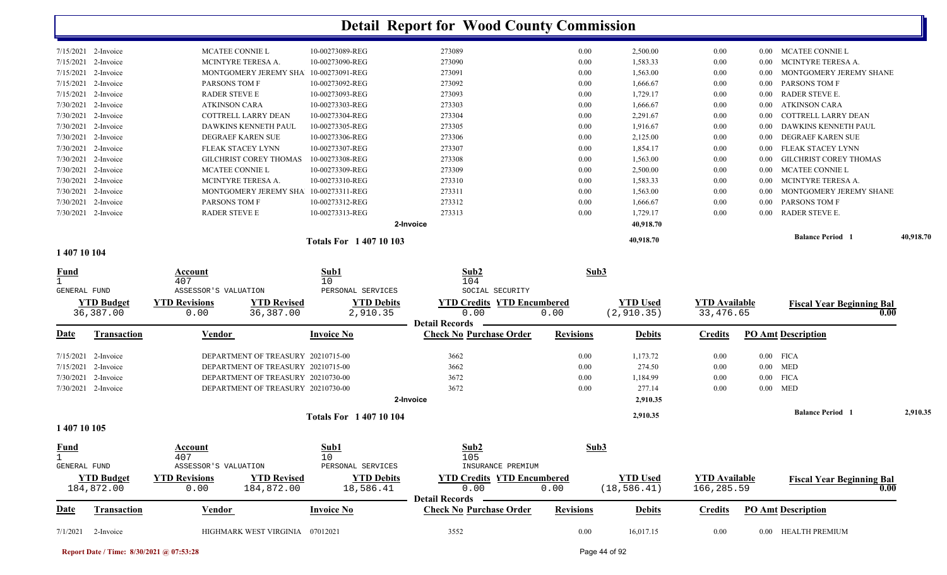|           |                               |                 |                                    |           | 40,918.70 |      |                             | <b>Balance Period</b>         | 40,918.70 |
|-----------|-------------------------------|-----------------|------------------------------------|-----------|-----------|------|-----------------------------|-------------------------------|-----------|
|           |                               |                 |                                    |           | 40,918.70 |      |                             |                               |           |
| 2-Invoice | <b>RADER STEVE E</b>          | 10-00273313-REG | 273313                             | 0.00      | 1,729.17  | 0.00 | 0.00                        | <b>RADER STEVE E.</b>         |           |
| 2-Invoice | PARSONS TOM F                 | 10-00273312-REG | 273312                             | 0.00      | 1,666.67  | 0.00 | 0.00                        | PARSONS TOM F                 |           |
| 2-Invoice | MONTGOMERY JEREMY SHA         |                 | 273311                             | 0.00      | 1,563.00  | 0.00 | -0.00                       | MONTGOMERY JEREMY SHANE       |           |
| 2-Invoice | MCINTYRE TERESA A.            | 10-00273310-REG | 273310                             | 0.00      | 1,583.33  | 0.00 | 0.00                        | MCINTYRE TERESA A.            |           |
| 2-Invoice | <b>MCATEE CONNIE L</b>        | 10-00273309-REG | 273309                             | 0.00      | 2,500.00  | 0.00 | 0.00                        | MCATEE CONNIE L               |           |
| 2-Invoice | <b>GILCHRIST COREY THOMAS</b> | 10-00273308-REG | 273308                             | 0.00      | 1,563.00  | 0.00 | 0.00                        | <b>GILCHRIST COREY THOMAS</b> |           |
| 2-Invoice | FLEAK STACEY LYNN             | 10-00273307-REG | 273307                             | 0.00      | 1,854.17  | 0.00 | 0.00                        | FLEAK STACEY LYNN             |           |
| 2-Invoice | DEGRAEF KAREN SUE             | 10-00273306-REG | 273306                             | 0.00      | 2,125.00  | 0.00 | -0.00                       | DEGRAEF KAREN SUE             |           |
| 2-Invoice | DAWKINS KENNETH PAUL          | 10-00273305-REG | 273305                             | 0.00      | 1,916.67  | 0.00 | -0.00                       | DAWKINS KENNETH PAUL          |           |
| 2-Invoice | COTTRELL LARRY DEAN           | 10-00273304-REG | 273304                             | 0.00      | 2,291.67  | 0.00 | -0.00                       | COTTRELL LARRY DEAN           |           |
| 2-Invoice | <b>ATKINSON CARA</b>          | 10-00273303-REG | 273303                             | 0.00      | 1,666.67  | 0.00 | 0.00                        | <b>ATKINSON CARA</b>          |           |
| 2-Invoice | <b>RADER STEVE E</b>          | 10-00273093-REG | 273093                             | 0.00      | 1,729.17  | 0.00 | 0.00                        | RADER STEVE E.                |           |
| 2-Invoice | PARSONS TOM F                 | 10-00273092-REG | 273092                             | 0.00      | 1,666.67  | 0.00 | 0.00                        | PARSONS TOM F                 |           |
| 2-Invoice | MONTGOMERY JEREMY SHA         |                 | 273091                             | 0.00      | 1,563.00  | 0.00 | -0.00                       | MONTGOMERY JEREMY SHANE       |           |
| 2-Invoice | MCINTYRE TERESA A.            | 10-00273090-REG | 273090                             | 0.00      | 1,583.33  | 0.00 | -0.00                       | MCINTYRE TERESA A.            |           |
| 2-Invoice | <b>MCATEE CONNIE L</b>        | 10-00273089-REG | 273089                             | 0.00      | 2,500.00  | 0.00 | 0.00                        | MCATEE CONNIE L               |           |
|           | 7/15/2021                     |                 | 10-00273091-REG<br>10-00273311-REG | 2-Invoice |           |      | <b>Totals For 140710103</b> |                               |           |

#### **1 407 10 104**

| <b>Fund</b>                        |                                 | Account<br>407                         |                                    | Sub1<br>10                      | Sub2<br>104                                                        | Sub3             |                                 |                                    |      |                                  |          |
|------------------------------------|---------------------------------|----------------------------------------|------------------------------------|---------------------------------|--------------------------------------------------------------------|------------------|---------------------------------|------------------------------------|------|----------------------------------|----------|
| <b>GENERAL FUND</b>                |                                 | ASSESSOR'S VALUATION                   |                                    | PERSONAL SERVICES               | SOCIAL SECURITY                                                    |                  |                                 |                                    |      |                                  |          |
|                                    | <b>YTD Budget</b><br>36,387.00  | <b>YTD Revisions</b><br>0.00           | <b>YTD Revised</b><br>36,387.00    | <b>YTD Debits</b><br>2,910.35   | <b>YTD Credits YTD Encumbered</b><br>0.00<br><b>Detail Records</b> | 0.00             | <b>YTD</b> Used<br>(2, 910.35)  | <b>YTD</b> Available<br>33,476.65  |      | <b>Fiscal Year Beginning Bal</b> | 0.00     |
| Date                               | <b>Transaction</b>              | <b>Vendor</b>                          |                                    | <b>Invoice No</b>               | <b>Check No Purchase Order</b>                                     | <b>Revisions</b> | <b>Debits</b>                   | <b>Credits</b>                     |      | <b>PO Amt Description</b>        |          |
| 7/15/2021                          | 2-Invoice                       |                                        | DEPARTMENT OF TREASURY 20210715-00 |                                 | 3662                                                               | 0.00             | 1,173.72                        | 0.00                               |      | $0.00$ FICA                      |          |
| 7/15/2021                          | 2-Invoice                       |                                        | DEPARTMENT OF TREASURY 20210715-00 |                                 | 3662                                                               | 0.00             | 274.50                          | 0.00                               |      | $0.00$ MED                       |          |
| 7/30/2021                          | 2-Invoice                       |                                        | DEPARTMENT OF TREASURY 20210730-00 |                                 | 3672                                                               | 0.00             | 1,184.99                        | 0.00                               |      | $0.00$ FICA                      |          |
| 7/30/2021                          | 2-Invoice                       |                                        | DEPARTMENT OF TREASURY 20210730-00 |                                 | 3672                                                               | 0.00             | 277.14                          | 0.00                               |      | $0.00$ MED                       |          |
|                                    |                                 |                                        |                                    |                                 | 2-Invoice                                                          |                  | 2,910.35                        |                                    |      |                                  |          |
| 1 407 10 105                       |                                 |                                        |                                    | Totals For 1 407 10 104         |                                                                    |                  | 2,910.35                        |                                    |      | <b>Balance Period</b>            | 2,910.35 |
| <b>Fund</b><br><b>GENERAL FUND</b> |                                 | Account<br>407<br>ASSESSOR'S VALUATION |                                    | Sub1<br>10<br>PERSONAL SERVICES | Sub2<br>105<br>INSURANCE PREMIUM                                   | Sub3             |                                 |                                    |      |                                  |          |
|                                    | <b>YTD Budget</b><br>184,872.00 | <b>YTD Revisions</b><br>0.00           | <b>YTD Revised</b><br>184,872.00   | <b>YTD Debits</b><br>18,586.41  | <b>YTD Credits YTD Encumbered</b><br>0.00<br><b>Detail Records</b> | 0.00             | <b>YTD Used</b><br>(18, 586.41) | <b>YTD</b> Available<br>166,285.59 |      | <b>Fiscal Year Beginning Bal</b> | 0.00     |
| Date                               | <b>Transaction</b>              | Vendor                                 |                                    | <b>Invoice No</b>               | <b>Check No Purchase Order</b>                                     | <b>Revisions</b> | <b>Debits</b>                   | <b>Credits</b>                     |      | <b>PO Amt Description</b>        |          |
| 7/1/2021                           | 2-Invoice                       |                                        | HIGHMARK WEST VIRGINIA             | 07012021                        | 3552                                                               | 0.00             | 16,017.15                       | 0.00                               | 0.00 | <b>HEALTH PREMIUM</b>            |          |

**Report Date / Time: 8/30/2021 @ 07:53:28** Page 44 of 92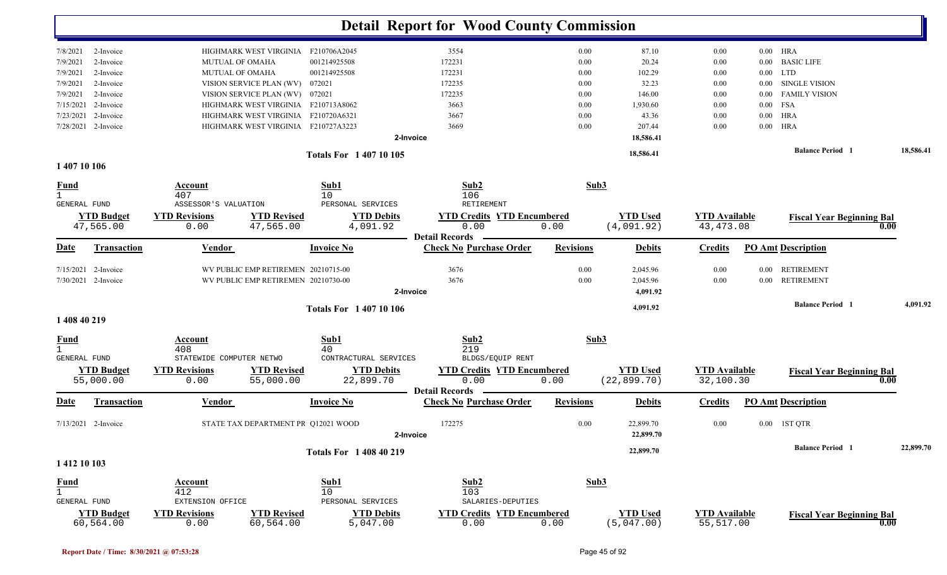|                                   |                                              |                                                                   | <b>Detail Report for Wood County Commission</b>         |                  |                                 |                                   |            |                                  |           |
|-----------------------------------|----------------------------------------------|-------------------------------------------------------------------|---------------------------------------------------------|------------------|---------------------------------|-----------------------------------|------------|----------------------------------|-----------|
| 2-Invoice<br>7/8/2021             | HIGHMARK WEST VIRGINIA                       | F210706A2045                                                      | 3554                                                    | 0.00             | 87.10                           | $0.00\,$                          | $0.00$ HRA |                                  |           |
| 7/9/2021<br>2-Invoice             | MUTUAL OF OMAHA                              | 001214925508                                                      | 172231                                                  | 0.00             | 20.24                           | 0.00                              | $0.00\,$   | <b>BASIC LIFE</b>                |           |
| 7/9/2021<br>2-Invoice             | <b>MUTUAL OF OMAHA</b>                       | 001214925508                                                      | 172231                                                  | 0.00             | 102.29                          | $0.00\,$                          | $0.00$ LTD |                                  |           |
| 2-Invoice<br>7/9/2021             | VISION SERVICE PLAN (WV) 072021              |                                                                   | 172235                                                  | 0.00             | 32.23                           | $0.00\,$                          | $0.00\,$   | <b>SINGLE VISION</b>             |           |
| 2-Invoice<br>7/9/2021             | VISION SERVICE PLAN (WV) 072021              |                                                                   | 172235                                                  | 0.00             | 146.00                          | $0.00\,$                          | $0.00\,$   | <b>FAMILY VISION</b>             |           |
| 7/15/2021<br>2-Invoice            |                                              | HIGHMARK WEST VIRGINIA F210713A8062                               | 3663                                                    | 0.00             | 1,930.60                        | $0.00\,$                          | $0.00$ FSA |                                  |           |
| 2-Invoice<br>7/23/2021            |                                              | HIGHMARK WEST VIRGINIA F210720A6321                               | 3667                                                    | 0.00             | 43.36                           | $0.00\,$                          | $0.00\,$   | <b>HRA</b>                       |           |
| 7/28/2021<br>2-Invoice            |                                              | HIGHMARK WEST VIRGINIA F210727A3223                               | 3669                                                    | 0.00             | 207.44                          | 0.00                              | $0.00\,$   | HRA                              |           |
|                                   |                                              |                                                                   | 2-Invoice                                               |                  | 18,586.41                       |                                   |            |                                  |           |
|                                   |                                              | <b>Totals For 140710105</b>                                       |                                                         |                  | 18,586.41                       |                                   |            | <b>Balance Period</b> 1          | 18,586.41 |
| 1 407 10 106                      |                                              |                                                                   |                                                         |                  |                                 |                                   |            |                                  |           |
| <b>Fund</b><br>$\mathbf{1}$       | Account<br>407                               | Sub1<br>10                                                        | Sub2<br>106                                             | Sub3             |                                 |                                   |            |                                  |           |
| GENERAL FUND<br><b>YTD Budget</b> | ASSESSOR'S VALUATION<br><b>YTD Revisions</b> | PERSONAL SERVICES<br><b>YTD Revised</b><br><b>YTD Debits</b>      | RETIREMENT<br><b>YTD Credits YTD Encumbered</b>         |                  | <b>YTD Used</b>                 | <b>YTD Available</b>              |            | <b>Fiscal Year Beginning Bal</b> |           |
| 47,565.00                         | 0.00                                         | 47,565.00<br>4,091.92                                             | 0.00<br><b>Detail Records</b>                           | 0.00             | (4,091.92)                      | 43, 473.08                        |            |                                  | 0.00      |
| Transaction<br>Date               | <u>Vendor</u>                                | <b>Invoice No</b>                                                 | <b>Check No Purchase Order</b>                          | <b>Revisions</b> | <b>Debits</b>                   | <b>Credits</b>                    |            | <b>PO Amt Description</b>        |           |
| 7/15/2021 2-Invoice               |                                              | WV PUBLIC EMP RETIREMEN 20210715-00                               | 3676                                                    | 0.00             | 2,045.96                        | 0.00                              |            | 0.00 RETIREMENT                  |           |
| 7/30/2021 2-Invoice               |                                              | WV PUBLIC EMP RETIREMEN 20210730-00                               | 3676<br>2-Invoice                                       | 0.00             | 2,045.96<br>4,091.92            | 0.00                              |            | 0.00 RETIREMENT                  |           |
|                                   |                                              | <b>Totals For 140710106</b>                                       |                                                         |                  | 4,091.92                        |                                   |            | <b>Balance Period</b> 1          | 4,091.92  |
| 1 408 40 219                      |                                              |                                                                   |                                                         |                  |                                 |                                   |            |                                  |           |
| <b>Fund</b>                       | Account<br>408                               | Sub1<br>40                                                        | Sub2<br>219                                             | Sub3             |                                 |                                   |            |                                  |           |
| GENERAL FUND                      | STATEWIDE COMPUTER NETWO                     | CONTRACTURAL SERVICES                                             | BLDGS/EQUIP RENT                                        |                  |                                 |                                   |            |                                  |           |
| <b>YTD Budget</b><br>55,000.00    | <b>YTD Revisions</b><br>0.00                 | <b>YTD Revised</b><br><b>YTD Debits</b><br>22,899.70<br>55,000.00 | <b>YTD Credits YTD Encumbered</b><br>0.00               | 0.00             | <b>YTD Used</b><br>(22, 899.70) | <b>YTD</b> Available<br>32,100.30 |            | <b>Fiscal Year Beginning Bal</b> | 0.00      |
| Transaction<br>Date               | Vendor                                       | <b>Invoice No</b>                                                 | <b>Detail Records</b><br><b>Check No Purchase Order</b> | <b>Revisions</b> | <b>Debits</b>                   | <b>Credits</b>                    |            | <b>PO Amt Description</b>        |           |
| 7/13/2021 2-Invoice               |                                              | STATE TAX DEPARTMENT PR Q12021 WOOD                               | 172275                                                  | 0.00             | 22,899.70                       | 0.00                              |            | 0.00 1ST QTR                     |           |
|                                   |                                              |                                                                   | 2-Invoice                                               |                  | 22,899.70                       |                                   |            |                                  |           |
|                                   |                                              | <b>Totals For 1 408 40 219</b>                                    |                                                         |                  | 22,899.70                       |                                   |            | <b>Balance Period</b> 1          | 22,899.70 |
| 1 412 10 103                      |                                              |                                                                   |                                                         |                  |                                 |                                   |            |                                  |           |
| <u>Fund</u>                       | <b>Account</b>                               | Sub1                                                              | Sub2                                                    | Sub3             |                                 |                                   |            |                                  |           |
|                                   | 412                                          | 10                                                                | 103                                                     |                  |                                 |                                   |            |                                  |           |
| <b>GENERAL FUND</b>               | EXTENSION OFFICE                             | PERSONAL SERVICES                                                 | SALARIES-DEPUTIES                                       |                  |                                 |                                   |            |                                  |           |
| <b>YTD Budget</b><br>60,564.00    | <b>YTD Revisions</b><br>0.00                 | <b>YTD Debits</b><br><b>YTD Revised</b><br>60,564.00<br>5,047.00  | <b>YTD Credits YTD Encumbered</b><br>0.00               | 0.00             | <b>YTD Used</b><br>(5,047.00)   | <b>YTD</b> Available<br>55,517.00 |            | <b>Fiscal Year Beginning Bal</b> | 0.00      |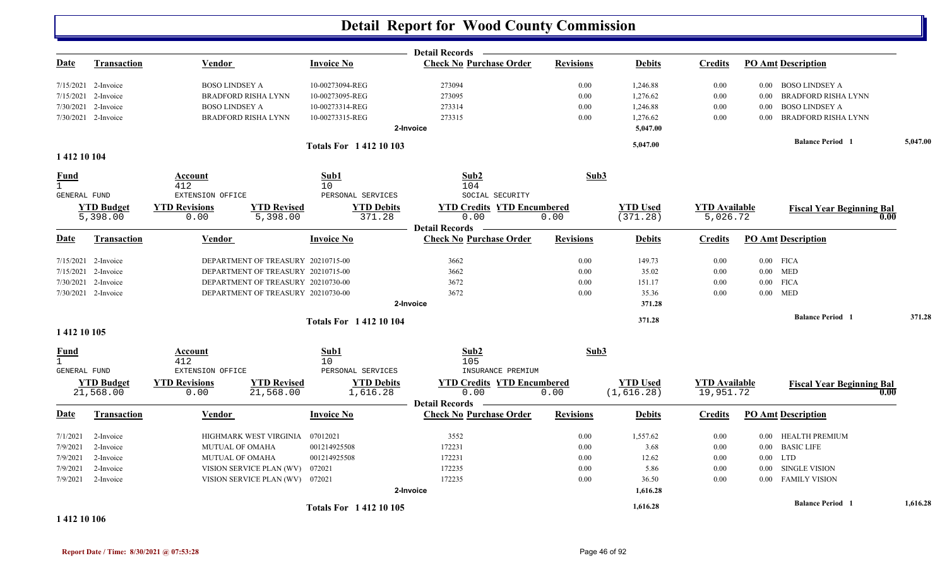|                     |                                |                              |                                    |                               | <b>Detail Records</b>                                   |                  |                               |                                   |          |                                          |          |
|---------------------|--------------------------------|------------------------------|------------------------------------|-------------------------------|---------------------------------------------------------|------------------|-------------------------------|-----------------------------------|----------|------------------------------------------|----------|
| <b>Date</b>         | <b>Transaction</b>             | Vendor                       |                                    | <b>Invoice No</b>             | <b>Check No Purchase Order</b>                          | <b>Revisions</b> | <b>Debits</b>                 | <b>Credits</b>                    |          | <b>PO Amt Description</b>                |          |
|                     | $7/15/2021$ 2-Invoice          | <b>BOSO LINDSEY A</b>        |                                    | 10-00273094-REG               | 273094                                                  | 0.00             | 1,246.88                      | 0.00                              | $0.00\,$ | <b>BOSO LINDSEY A</b>                    |          |
|                     | 7/15/2021 2-Invoice            |                              | <b>BRADFORD RISHA LYNN</b>         | 10-00273095-REG               | 273095                                                  | 0.00             | 1,276.62                      | 0.00                              | 0.00     | <b>BRADFORD RISHA LYNN</b>               |          |
|                     | 7/30/2021 2-Invoice            | <b>BOSO LINDSEY A</b>        |                                    | 10-00273314-REG               | 273314                                                  | 0.00             | 1,246.88                      | 0.00                              | 0.00     | <b>BOSO LINDSEY A</b>                    |          |
|                     | 7/30/2021 2-Invoice            |                              | <b>BRADFORD RISHA LYNN</b>         | 10-00273315-REG               | 273315                                                  | 0.00             | 1,276.62                      | 0.00                              | 0.00     | BRADFORD RISHA LYNN                      |          |
|                     |                                |                              |                                    |                               | 2-Invoice                                               |                  | 5,047.00                      |                                   |          |                                          |          |
|                     |                                |                              |                                    | <b>Totals For 141210103</b>   |                                                         |                  | 5,047.00                      |                                   |          | <b>Balance Period 1</b>                  | 5,047.00 |
| 1 412 10 104        |                                |                              |                                    |                               |                                                         |                  |                               |                                   |          |                                          |          |
| <b>Fund</b>         |                                | Account                      |                                    | Sub1                          | Sub2                                                    | Sub3             |                               |                                   |          |                                          |          |
| $\mathbf{1}$        |                                | 412                          |                                    | 10                            | 104                                                     |                  |                               |                                   |          |                                          |          |
| GENERAL FUND        |                                | EXTENSION OFFICE             |                                    | PERSONAL SERVICES             | SOCIAL SECURITY                                         |                  |                               |                                   |          |                                          |          |
|                     | <b>YTD Budget</b>              | <b>YTD Revisions</b>         | <b>YTD Revised</b>                 | <b>YTD Debits</b>             | <b>YTD Credits YTD Encumbered</b>                       |                  | <b>YTD Used</b>               | <b>YTD Available</b>              |          | <b>Fiscal Year Beginning Bal</b>         |          |
|                     | 5,398.00                       | 0.00                         | 5,398.00                           | 371.28                        | 0.00<br><b>Detail Records</b>                           | 0.00             | (371.28)                      | 5,026.72                          |          | 0.00                                     |          |
| <b>Date</b>         | Transaction                    | Vendor                       |                                    | <b>Invoice No</b>             | <b>Check No Purchase Order</b>                          | <b>Revisions</b> | <b>Debits</b>                 | <b>Credits</b>                    |          | <b>PO Amt Description</b>                |          |
|                     | 7/15/2021 2-Invoice            |                              | DEPARTMENT OF TREASURY 20210715-00 |                               | 3662                                                    | 0.00             | 149.73                        | 0.00                              |          | $0.00$ FICA                              |          |
|                     | 7/15/2021 2-Invoice            |                              | DEPARTMENT OF TREASURY 20210715-00 |                               | 3662                                                    | 0.00             | 35.02                         | 0.00                              |          | $0.00$ MED                               |          |
|                     | 7/30/2021 2-Invoice            |                              | DEPARTMENT OF TREASURY 20210730-00 |                               | 3672                                                    | 0.00             | 151.17                        | 0.00                              |          | $0.00$ FICA                              |          |
|                     | 7/30/2021 2-Invoice            |                              | DEPARTMENT OF TREASURY 20210730-00 |                               | 3672                                                    | 0.00             | 35.36                         | 0.00                              |          | $0.00$ MED                               |          |
|                     |                                |                              |                                    |                               | 2-Invoice                                               |                  | 371.28                        |                                   |          |                                          |          |
|                     |                                |                              |                                    | <b>Totals For 141210104</b>   |                                                         |                  | 371.28                        |                                   |          | <b>Balance Period</b> 1                  | 371.28   |
| 1 412 10 105        |                                |                              |                                    |                               |                                                         |                  |                               |                                   |          |                                          |          |
| <b>Fund</b>         |                                | Account                      |                                    | Sub1                          | Sub2                                                    | Sub3             |                               |                                   |          |                                          |          |
| $\mathbf{1}$        |                                | 412                          |                                    | 10                            | 105                                                     |                  |                               |                                   |          |                                          |          |
| <b>GENERAL FUND</b> |                                | EXTENSION OFFICE             |                                    | PERSONAL SERVICES             | INSURANCE PREMIUM                                       |                  |                               |                                   |          |                                          |          |
|                     | <b>YTD Budget</b><br>21,568.00 | <b>YTD Revisions</b><br>0.00 | <b>YTD Revised</b><br>21,568.00    | <b>YTD Debits</b><br>1,616.28 | <b>YTD Credits YTD Encumbered</b><br>0.00               | 0.00             | <b>YTD Used</b><br>(1,616.28) | <b>YTD</b> Available<br>19,951.72 |          | <b>Fiscal Year Beginning Bal</b><br>0.00 |          |
| <b>Date</b>         | <b>Transaction</b>             | <b>Vendor</b>                |                                    | <b>Invoice No</b>             | <b>Detail Records</b><br><b>Check No Purchase Order</b> | <b>Revisions</b> | <b>Debits</b>                 | <b>Credits</b>                    |          | <b>PO Amt Description</b>                |          |
| 7/1/2021            | 2-Invoice                      |                              | HIGHMARK WEST VIRGINIA             | 07012021                      | 3552                                                    | 0.00             | 1,557.62                      | 0.00                              |          | 0.00 HEALTH PREMIUM                      |          |
| 7/9/2021            | 2-Invoice                      | <b>MUTUAL OF OMAHA</b>       |                                    | 001214925508                  | 172231                                                  | 0.00             | 3.68                          | 0.00                              |          | 0.00 BASIC LIFE                          |          |
| 7/9/2021            | 2-Invoice                      | <b>MUTUAL OF OMAHA</b>       |                                    | 001214925508                  | 172231                                                  | 0.00             | 12.62                         | 0.00                              | $0.00\,$ | <b>LTD</b>                               |          |
| 7/9/2021            | 2-Invoice                      |                              | VISION SERVICE PLAN (WV)           | 072021                        | 172235                                                  | 0.00             | 5.86                          | 0.00                              | $0.00\,$ | SINGLE VISION                            |          |
| 7/9/2021            | 2-Invoice                      |                              | VISION SERVICE PLAN (WV) 072021    |                               | 172235                                                  | 0.00             | 36.50                         | 0.00                              |          | 0.00 FAMILY VISION                       |          |
|                     |                                |                              |                                    |                               | 2-Invoice                                               |                  | 1,616.28                      |                                   |          |                                          |          |
|                     |                                |                              |                                    | <b>Totals For 141210105</b>   |                                                         |                  | 1,616.28                      |                                   |          | <b>Balance Period</b> 1                  | 1,616.28 |
|                     |                                |                              |                                    |                               |                                                         |                  |                               |                                   |          |                                          |          |

#### **1 412 10 106**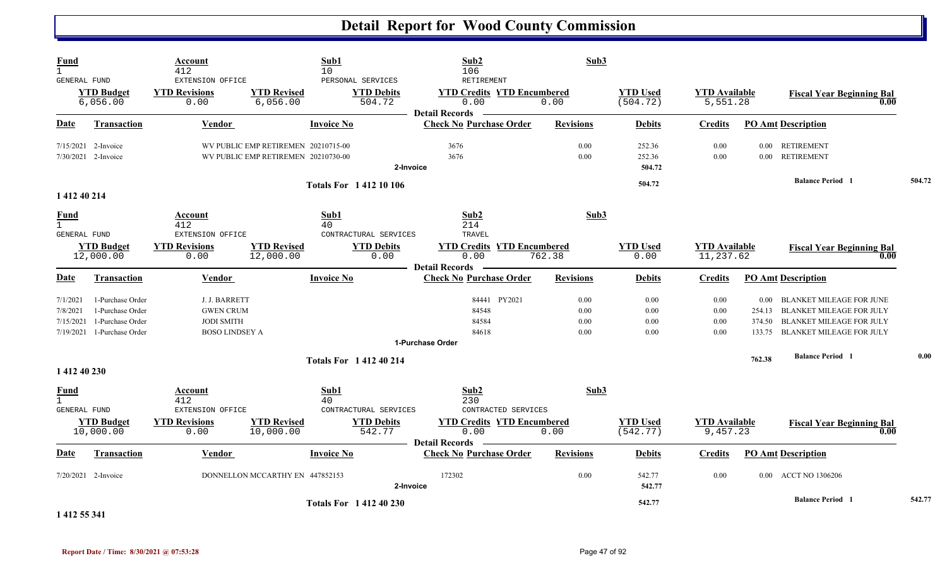| <b>Fund</b><br>$\mathbf{1}$<br>GENERAL FUND        |                                                                              | Account<br>412<br>EXTENSION OFFICE                                              | 10                                                                         | Sub1<br>PERSONAL SERVICES      | Sub2<br>106<br>RETIREMENT                                          | Sub3                         |                              |                                   |                  |                                                                                                                                        |        |
|----------------------------------------------------|------------------------------------------------------------------------------|---------------------------------------------------------------------------------|----------------------------------------------------------------------------|--------------------------------|--------------------------------------------------------------------|------------------------------|------------------------------|-----------------------------------|------------------|----------------------------------------------------------------------------------------------------------------------------------------|--------|
|                                                    | <b>YTD Budget</b><br>6,056.00                                                | <b>YTD Revisions</b><br>0.00                                                    | <b>YTD Revised</b><br>6,056.00                                             | <b>YTD Debits</b><br>504.72    | <b>YTD Credits YTD Encumbered</b><br>0.00<br><b>Detail Records</b> | 0.00                         | <b>YTD Used</b><br>(504.72)  | <b>YTD Available</b><br>5,551.28  |                  | <b>Fiscal Year Beginning Bal</b><br>0.00                                                                                               |        |
| <b>Date</b>                                        | <b>Transaction</b>                                                           | Vendor                                                                          |                                                                            | <b>Invoice No</b>              | <b>Check No Purchase Order</b>                                     | <b>Revisions</b>             | <b>Debits</b>                | <b>Credits</b>                    |                  | <b>PO</b> Amt Description                                                                                                              |        |
|                                                    | $7/15/2021$ 2-Invoice<br>7/30/2021 2-Invoice                                 |                                                                                 | WV PUBLIC EMP RETIREMEN 20210715-00<br>WV PUBLIC EMP RETIREMEN 20210730-00 | 2-Invoice                      | 3676<br>3676                                                       | 0.00<br>0.00                 | 252.36<br>252.36<br>504.72   | 0.00<br>0.00                      |                  | 0.00 RETIREMENT<br>0.00 RETIREMENT                                                                                                     |        |
|                                                    |                                                                              |                                                                                 |                                                                            | <b>Totals For 141210106</b>    |                                                                    |                              | 504.72                       |                                   |                  | <b>Balance Period 1</b>                                                                                                                | 504.72 |
| 1 412 40 214                                       |                                                                              |                                                                                 |                                                                            |                                |                                                                    |                              |                              |                                   |                  |                                                                                                                                        |        |
| <b>Fund</b><br>$\mathbf{1}$<br><b>GENERAL FUND</b> |                                                                              | Account<br>412<br>EXTENSION OFFICE                                              | 40                                                                         | Sub1<br>CONTRACTURAL SERVICES  | Sub2<br>214<br>TRAVEL                                              | Sub3                         |                              |                                   |                  |                                                                                                                                        |        |
|                                                    | <b>YTD Budget</b><br>12,000.00                                               | <b>YTD Revisions</b><br>0.00                                                    | <b>YTD Revised</b><br>12,000.00                                            | <b>YTD Debits</b><br>0.00      | <b>YTD Credits YTD Encumbered</b><br>0.00<br><b>Detail Records</b> | 762.38                       | <b>YTD Used</b><br>0.00      | <b>YTD Available</b><br>11,237.62 |                  | <b>Fiscal Year Beginning Bal</b><br>0.00                                                                                               |        |
| Date                                               | <b>Transaction</b>                                                           | Vendor                                                                          |                                                                            | <b>Invoice No</b>              | <b>Check No Purchase Order</b>                                     | <b>Revisions</b>             | <b>Debits</b>                | <b>Credits</b>                    |                  | <b>PO Amt Description</b>                                                                                                              |        |
| 7/1/2021<br>7/8/2021<br>7/15/2021<br>7/19/2021     | 1-Purchase Order<br>1-Purchase Order<br>1-Purchase Order<br>1-Purchase Order | J. J. BARRETT<br><b>GWEN CRUM</b><br><b>JODI SMITH</b><br><b>BOSO LINDSEY A</b> |                                                                            |                                | 84441 PY2021<br>84548<br>84584<br>84618<br>1-Purchase Order        | 0.00<br>0.00<br>0.00<br>0.00 | 0.00<br>0.00<br>0.00<br>0.00 | 0.00<br>0.00<br>0.00<br>0.00      | 374.50<br>133.75 | 0.00 BLANKET MILEAGE FOR JUNE<br>254.13 BLANKET MILEAGE FOR JULY<br><b>BLANKET MILEAGE FOR JULY</b><br><b>BLANKET MILEAGE FOR JULY</b> |        |
| 1 412 40 230                                       |                                                                              |                                                                                 |                                                                            | <b>Totals For 141240214</b>    |                                                                    |                              |                              |                                   | 762.38           | <b>Balance Period 1</b>                                                                                                                | 0.00   |
| <b>Fund</b><br>$\mathbf{1}$<br><b>GENERAL FUND</b> |                                                                              | Account<br>412<br>EXTENSION OFFICE                                              | 40                                                                         | Sub1<br>CONTRACTURAL SERVICES  | Sub2<br>230<br>CONTRACTED SERVICES                                 | Sub3                         |                              |                                   |                  |                                                                                                                                        |        |
|                                                    | <b>YTD Budget</b><br>10,000.00                                               | <b>YTD Revisions</b><br>0.00                                                    | <b>YTD Revised</b><br>10,000.00                                            | <b>YTD Debits</b><br>542.77    | <b>YTD Credits YTD Encumbered</b><br>0.00<br><b>Detail Records</b> | 0.00                         | <b>YTD Used</b><br>(542.77)  | <b>YTD Available</b><br>9,457.23  |                  | <b>Fiscal Year Beginning Bal</b><br>0.00                                                                                               |        |
| Date                                               | <b>Transaction</b>                                                           | Vendor                                                                          |                                                                            | <b>Invoice No</b>              | <b>Check No Purchase Order</b>                                     | <b>Revisions</b>             | <b>Debits</b>                | <b>Credits</b>                    |                  | <b>PO Amt Description</b>                                                                                                              |        |
|                                                    | $7/20/2021$ 2-Invoice                                                        |                                                                                 | DONNELLON MCCARTHY EN 447852153                                            | 2-Invoice                      | 172302                                                             | 0.00                         | 542.77<br>542.77             | 0.00                              |                  | 0.00 ACCT NO 1306206                                                                                                                   |        |
| . <b>.</b>                                         |                                                                              |                                                                                 |                                                                            | <b>Totals For 1 412 40 230</b> |                                                                    |                              | 542.77                       |                                   |                  | <b>Balance Period 1</b>                                                                                                                | 542.77 |

**1 412 55 341**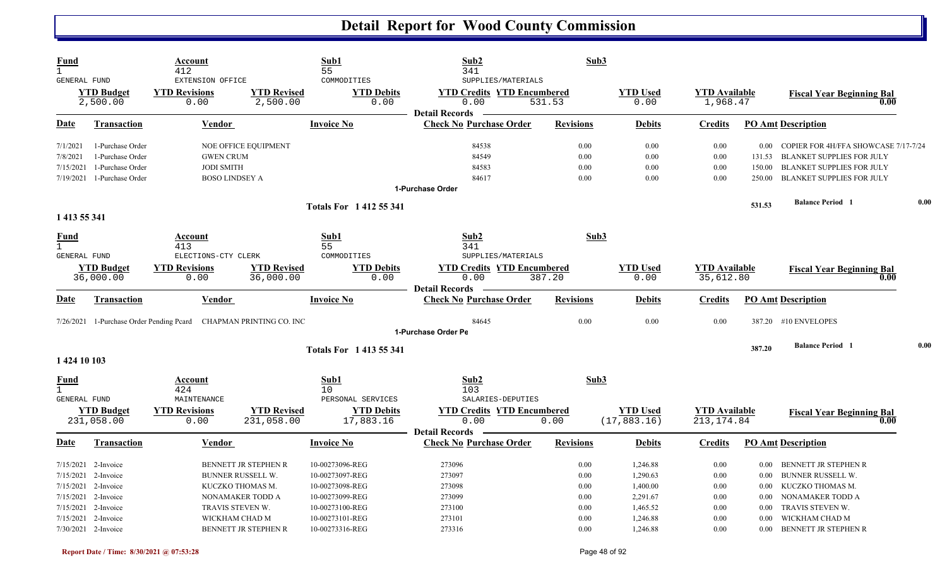| Fund<br>$\mathbf{1}$                 |                                 | Account<br>412                                                    |                                  | Sub1<br>55                               | Sub2<br>341                                                                              | Sub3             |                                  |                                     |          |                                           |      |
|--------------------------------------|---------------------------------|-------------------------------------------------------------------|----------------------------------|------------------------------------------|------------------------------------------------------------------------------------------|------------------|----------------------------------|-------------------------------------|----------|-------------------------------------------|------|
| GENERAL FUND                         | <b>YTD Budget</b><br>2,500.00   | EXTENSION OFFICE<br><b>YTD Revisions</b><br>0.00                  | <b>YTD Revised</b><br>2,500.00   | COMMODITIES<br><b>YTD Debits</b><br>0.00 | SUPPLIES/MATERIALS<br><b>YTD Credits YTD Encumbered</b><br>0.00<br><b>Detail Records</b> | 531.53           | <b>YTD Used</b><br>0.00          | <b>YTD</b> Available<br>1,968.47    |          | <b>Fiscal Year Beginning Bal</b><br>0.00  |      |
| Date                                 | <b>Transaction</b>              | Vendor                                                            |                                  | <b>Invoice No</b>                        | <b>Check No Purchase Order</b>                                                           | <b>Revisions</b> | <b>Debits</b>                    | <b>Credits</b>                      |          | <b>PO Amt Description</b>                 |      |
| 7/1/2021                             | 1-Purchase Order                |                                                                   | NOE OFFICE EQUIPMENT             |                                          | 84538                                                                                    | 0.00             | 0.00                             | 0.00                                |          | 0.00 COPIER FOR 4H/FFA SHOWCASE 7/17-7/24 |      |
| 7/8/2021                             | 1-Purchase Order                | <b>GWEN CRUM</b>                                                  |                                  |                                          | 84549                                                                                    | 0.00             | 0.00                             | 0.00                                | 131.53   | <b>BLANKET SUPPLIES FOR JULY</b>          |      |
| 7/15/2021                            | 1-Purchase Order                | <b>JODI SMITH</b>                                                 |                                  |                                          | 84583                                                                                    | 0.00             | 0.00                             | 0.00                                | 150.00   | <b>BLANKET SUPPLIES FOR JULY</b>          |      |
|                                      | 7/19/2021 1-Purchase Order      | <b>BOSO LINDSEY A</b>                                             |                                  |                                          | 84617                                                                                    | 0.00             | 0.00                             | 0.00                                | 250.00   | <b>BLANKET SUPPLIES FOR JULY</b>          |      |
|                                      |                                 |                                                                   |                                  |                                          | 1-Purchase Order                                                                         |                  |                                  |                                     |          |                                           |      |
| 1 413 55 341                         |                                 |                                                                   |                                  | <b>Totals For 141255341</b>              |                                                                                          |                  |                                  |                                     | 531.53   | <b>Balance Period 1</b>                   | 0.00 |
| <u>Fund</u><br>$\mathbf{1}$          |                                 | Account<br>413                                                    |                                  | Sub1<br>55                               | Sub <sub>2</sub><br>341                                                                  | Sub3             |                                  |                                     |          |                                           |      |
| GENERAL FUND                         |                                 | ELECTIONS-CTY CLERK                                               |                                  | COMMODITIES                              | SUPPLIES/MATERIALS                                                                       |                  |                                  |                                     |          |                                           |      |
|                                      | <b>YTD Budget</b><br>36,000.00  | <b>YTD Revisions</b><br>0.00                                      | <b>YTD Revised</b><br>36,000.00  | <b>YTD Debits</b><br>0.00                | <b>YTD Credits YTD Encumbered</b><br>0.00                                                | 387.20           | <b>YTD Used</b><br>0.00          | <b>YTD</b> Available<br>35,612.80   |          | <b>Fiscal Year Beginning Bal</b><br>0.00  |      |
| Date                                 | <b>Transaction</b>              | Vendor                                                            |                                  | <b>Invoice No</b>                        | <b>Detail Records</b><br><b>Check No Purchase Order</b>                                  | <b>Revisions</b> | <b>Debits</b>                    | <b>Credits</b>                      |          | <b>PO Amt Description</b>                 |      |
|                                      |                                 | 7/26/2021 1-Purchase Order Pending Pcard CHAPMAN PRINTING CO. INC |                                  |                                          | 84645<br>1-Purchase Order Pe                                                             | 0.00             | 0.00                             | 0.00                                |          | 387.20 #10 ENVELOPES                      |      |
|                                      |                                 |                                                                   |                                  |                                          |                                                                                          |                  |                                  |                                     |          |                                           |      |
| 1 424 10 103                         |                                 |                                                                   |                                  | <b>Totals For 1413 55 341</b>            |                                                                                          |                  |                                  |                                     | 387.20   | <b>Balance Period 1</b>                   | 0.00 |
| Fund<br>$\mathbf{1}$<br>GENERAL FUND |                                 | Account<br>424<br>MAINTENANCE                                     |                                  | Sub1<br>10<br>PERSONAL SERVICES          | Sub2<br>103<br>SALARIES-DEPUTIES                                                         | Sub3             |                                  |                                     |          |                                           |      |
|                                      | <b>YTD Budget</b><br>231,058.00 | <b>YTD Revisions</b><br>0.00                                      | <b>YTD Revised</b><br>231,058.00 | <b>YTD Debits</b><br>17,883.16           | <b>YTD Credits YTD Encumbered</b><br>0.00<br><b>Detail Records</b>                       | 0.00             | <b>YTD Used</b><br>(17, 883, 16) | <b>YTD Available</b><br>213, 174.84 |          | <b>Fiscal Year Beginning Bal</b><br>0.00  |      |
| Date                                 | <b>Transaction</b>              | <b>Vendor</b>                                                     |                                  | <b>Invoice No</b>                        | <b>Check No Purchase Order</b>                                                           | <b>Revisions</b> | <b>Debits</b>                    | <b>Credits</b>                      |          | <b>PO Amt Description</b>                 |      |
|                                      | $7/15/2021$ 2-Invoice           |                                                                   | <b>BENNETT JR STEPHEN R</b>      | 10-00273096-REG                          | 273096                                                                                   | 0.00             | 1,246.88                         | 0.00                                | 0.00     | BENNETT JR STEPHEN R                      |      |
|                                      | 7/15/2021 2-Invoice             |                                                                   | <b>BUNNER RUSSELL W.</b>         | 10-00273097-REG                          | 273097                                                                                   | 0.00             | 1,290.63                         | 0.00                                | 0.00     | <b>BUNNER RUSSELL W.</b>                  |      |
|                                      | 7/15/2021 2-Invoice             |                                                                   | KUCZKO THOMAS M.                 | 10-00273098-REG                          | 273098                                                                                   | 0.00             | 1,400.00                         | 0.00                                | 0.00     | KUCZKO THOMAS M.                          |      |
|                                      | 7/15/2021 2-Invoice             |                                                                   | NONAMAKER TODD A                 | 10-00273099-REG                          | 273099                                                                                   | 0.00             | 2,291.67                         | 0.00                                | 0.00     | NONAMAKER TODD A                          |      |
|                                      | 7/15/2021 2-Invoice             | TRAVIS STEVEN W.                                                  |                                  | 10-00273100-REG                          | 273100                                                                                   | 0.00             | 1,465.52                         | 0.00                                | 0.00     | TRAVIS STEVEN W.                          |      |
| 7/15/2021                            | 2-Invoice                       | WICKHAM CHAD M                                                    |                                  | 10-00273101-REG                          | 273101                                                                                   | 0.00             | 1,246.88                         | 0.00                                | 0.00     | WICKHAM CHAD M                            |      |
|                                      | 7/30/2021 2-Invoice             |                                                                   | BENNETT JR STEPHEN R             | 10-00273316-REG                          | 273316                                                                                   | 0.00             | 1,246.88                         | 0.00                                | $0.00\,$ | <b>BENNETT JR STEPHEN R</b>               |      |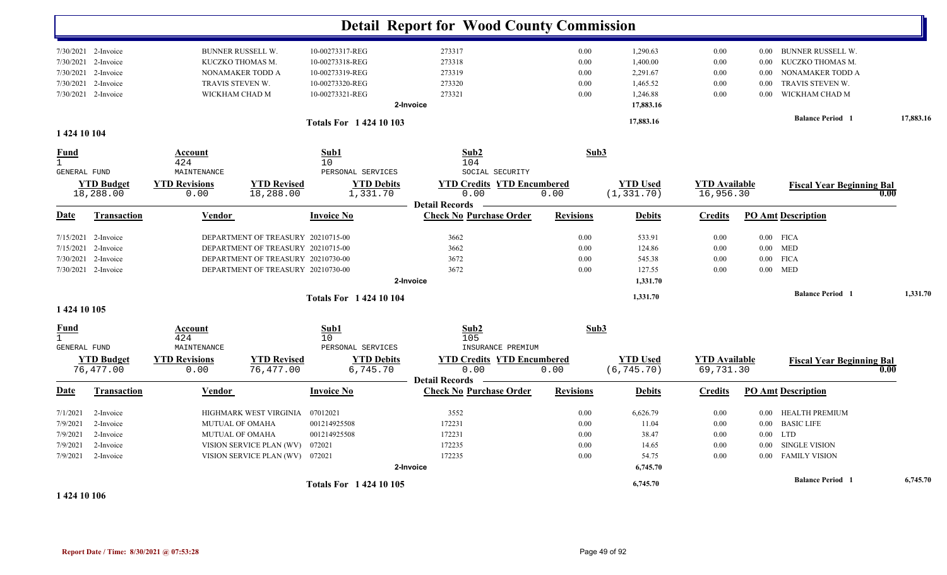|                      |                                |                              |                                    |                               | <b>Detail Report for Wood County Commission</b>         |                  |                                |                                   |          |                                  |           |
|----------------------|--------------------------------|------------------------------|------------------------------------|-------------------------------|---------------------------------------------------------|------------------|--------------------------------|-----------------------------------|----------|----------------------------------|-----------|
|                      |                                |                              |                                    |                               |                                                         |                  |                                |                                   |          |                                  |           |
|                      | $7/30/2021$ 2-Invoice          |                              | <b>BUNNER RUSSELL W.</b>           | 10-00273317-REG               | 273317                                                  | 0.00             | 1,290.63                       | 0.00                              | $0.00\,$ | <b>BUNNER RUSSELL W.</b>         |           |
| 7/30/2021            | 2-Invoice                      |                              | KUCZKO THOMAS M.                   | 10-00273318-REG               | 273318                                                  | 0.00             | 1,400.00                       | 0.00                              | 0.00     | KUCZKO THOMAS M.                 |           |
| 7/30/2021            | 2-Invoice                      |                              | NONAMAKER TODD A                   | 10-00273319-REG               | 273319                                                  | 0.00             | 2,291.67                       | 0.00                              | 0.00     | NONAMAKER TODD A                 |           |
| 7/30/2021            | 2-Invoice                      |                              | TRAVIS STEVEN W.                   | 10-00273320-REG               | 273320                                                  | 0.00             | 1,465.52                       | 0.00                              | 0.00     | TRAVIS STEVEN W.                 |           |
| 7/30/2021            | 2-Invoice                      |                              | WICKHAM CHAD M                     | 10-00273321-REG               | 273321                                                  | 0.00             | 1,246.88                       | 0.00                              | 0.00     | WICKHAM CHAD M                   |           |
|                      |                                |                              |                                    |                               | 2-Invoice                                               |                  | 17,883.16                      |                                   |          |                                  |           |
|                      |                                |                              |                                    | <b>Totals For 142410103</b>   |                                                         |                  | 17,883.16                      |                                   |          | <b>Balance Period</b> 1          | 17,883.16 |
| 1 424 10 104         |                                |                              |                                    |                               |                                                         |                  |                                |                                   |          |                                  |           |
| Fund<br>$\mathbf{1}$ |                                | Account<br>424               |                                    | Sub1<br>10                    | Sub2<br>104                                             | Sub3             |                                |                                   |          |                                  |           |
| GENERAL FUND         |                                | MAINTENANCE                  |                                    | PERSONAL SERVICES             | SOCIAL SECURITY                                         |                  |                                |                                   |          |                                  |           |
|                      | <b>YTD Budget</b>              | <b>YTD Revisions</b>         | <b>YTD Revised</b>                 | <b>YTD Debits</b>             | <b>YTD Credits YTD Encumbered</b>                       |                  | <b>YTD Used</b>                | <b>YTD Available</b>              |          | <b>Fiscal Year Beginning Bal</b> |           |
|                      | 18,288.00                      | 0.00                         | 18,288.00                          | 1,331.70                      | 0.00                                                    | 0.00             | (1, 331.70)                    | 16,956.30                         |          |                                  | 0.00      |
| Date                 | <b>Transaction</b>             | Vendor                       |                                    | <b>Invoice No</b>             | <b>Detail Records</b><br><b>Check No Purchase Order</b> | <b>Revisions</b> | <b>Debits</b>                  | <b>Credits</b>                    |          | <b>PO Amt Description</b>        |           |
|                      |                                |                              |                                    |                               |                                                         |                  |                                |                                   |          |                                  |           |
| 7/15/2021            | 2-Invoice                      |                              | DEPARTMENT OF TREASURY 20210715-00 |                               | 3662                                                    | 0.00             | 533.91                         | 0.00                              |          | $0.00$ FICA                      |           |
| 7/15/2021            | 2-Invoice                      |                              | DEPARTMENT OF TREASURY 20210715-00 |                               | 3662                                                    | 0.00             | 124.86                         | 0.00                              | $0.00\,$ | <b>MED</b>                       |           |
| 7/30/2021            | 2-Invoice                      |                              | DEPARTMENT OF TREASURY 20210730-00 |                               | 3672                                                    | 0.00             | 545.38                         | 0.00                              | $0.00\,$ | <b>FICA</b>                      |           |
|                      | 7/30/2021 2-Invoice            |                              | DEPARTMENT OF TREASURY 20210730-00 |                               | 3672                                                    | 0.00             | 127.55                         | 0.00                              |          | $0.00$ MED                       |           |
|                      |                                |                              |                                    |                               | 2-Invoice                                               |                  | 1,331.70                       |                                   |          |                                  |           |
|                      |                                |                              |                                    | <b>Totals For 142410104</b>   |                                                         |                  | 1,331.70                       |                                   |          | <b>Balance Period 1</b>          | 1,331.70  |
| 1 424 10 105         |                                |                              |                                    |                               |                                                         |                  |                                |                                   |          |                                  |           |
| <b>Fund</b>          |                                | Account                      |                                    | Sub1                          | Sub2                                                    | Sub3             |                                |                                   |          |                                  |           |
| $\mathbf{1}$         |                                | 424                          |                                    | 10                            | 105                                                     |                  |                                |                                   |          |                                  |           |
| GENERAL FUND         |                                | MAINTENANCE                  |                                    | PERSONAL SERVICES             | INSURANCE PREMIUM                                       |                  |                                |                                   |          |                                  |           |
|                      | <b>YTD Budget</b><br>76,477.00 | <b>YTD Revisions</b><br>0.00 | <b>YTD Revised</b><br>76,477.00    | <b>YTD Debits</b><br>6,745.70 | <b>YTD Credits YTD Encumbered</b><br>0.00               | 0.00             | <b>YTD Used</b><br>(6, 745.70) | <b>YTD Available</b><br>69,731.30 |          | <b>Fiscal Year Beginning Bal</b> | 0.00      |
|                      |                                |                              |                                    |                               | <b>Detail Records</b>                                   |                  |                                |                                   |          |                                  |           |
| Date                 | <b>Transaction</b>             | Vendor                       |                                    | <b>Invoice No</b>             | <b>Check No Purchase Order</b>                          | <b>Revisions</b> | <b>Debits</b>                  | <b>Credits</b>                    |          | <b>PO Amt Description</b>        |           |
| 7/1/2021             | 2-Invoice                      |                              | HIGHMARK WEST VIRGINIA             | 07012021                      | 3552                                                    | 0.00             | 6,626.79                       | 0.00                              | 0.00     | <b>HEALTH PREMIUM</b>            |           |
| 7/9/2021             | 2-Invoice                      |                              | <b>MUTUAL OF OMAHA</b>             | 001214925508                  | 172231                                                  | 0.00             | 11.04                          | 0.00                              | $0.00\,$ | <b>BASIC LIFE</b>                |           |
| 7/9/2021             | 2-Invoice                      |                              | <b>MUTUAL OF OMAHA</b>             | 001214925508                  | 172231                                                  | 0.00             | 38.47                          | 0.00                              | $0.00\,$ | <b>LTD</b>                       |           |
| 7/9/2021             | 2-Invoice                      |                              | VISION SERVICE PLAN (WV)           | 072021                        | 172235                                                  | 0.00             | 14.65                          | 0.00                              | $0.00\,$ | SINGLE VISION                    |           |
| 7/9/2021             | 2-Invoice                      |                              | VISION SERVICE PLAN (WV) 072021    |                               | 172235                                                  | 0.00             | 54.75                          | 0.00                              | $0.00\,$ | <b>FAMILY VISION</b>             |           |
|                      |                                |                              |                                    |                               | 2-Invoice                                               |                  | 6,745.70                       |                                   |          |                                  |           |
|                      |                                |                              |                                    | <b>Totals For 142410105</b>   |                                                         |                  | 6,745.70                       |                                   |          | <b>Balance Period</b> 1          | 6,745.70  |

**1 424 10 106**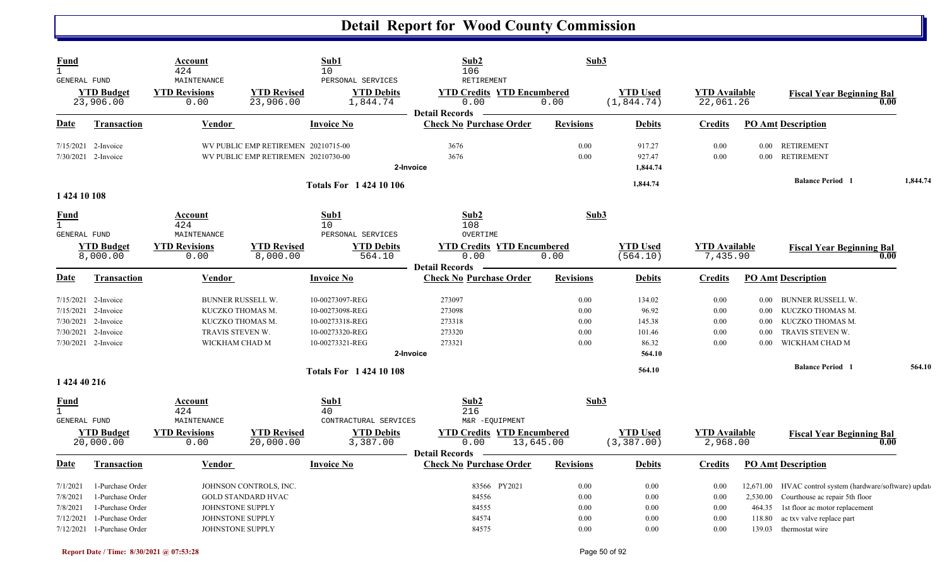| <b>Fund</b><br>$\mathbf{1}$<br>GENERAL FUND |                                | <b>Account</b><br>424<br>MAINTENANCE |                                     | Sub1<br>10<br>PERSONAL SERVICES | Sub2<br>106<br><b>RETIREMENT</b>                                   | Sub3             |                                |                                   |          |                                                         |          |
|---------------------------------------------|--------------------------------|--------------------------------------|-------------------------------------|---------------------------------|--------------------------------------------------------------------|------------------|--------------------------------|-----------------------------------|----------|---------------------------------------------------------|----------|
|                                             | <b>YTD</b> Budget<br>23,906.00 | <b>YTD Revisions</b><br>0.00         | <b>YTD Revised</b><br>23,906.00     | <b>YTD Debits</b><br>1,844.74   | <b>YTD Credits YTD Encumbered</b><br>0.00<br><b>Detail Records</b> | 0.00             | <b>YTD Used</b><br>(1, 844.74) | <b>YTD Available</b><br>22,061.26 |          | <b>Fiscal Year Beginning Bal</b><br>0.00                |          |
| Date                                        | <b>Transaction</b>             | Vendor                               |                                     | <b>Invoice No</b>               | <b>Check No Purchase Order</b>                                     | <b>Revisions</b> | <b>Debits</b>                  | <b>Credits</b>                    |          | <b>PO Amt Description</b>                               |          |
| 7/15/2021                                   | 2-Invoice                      |                                      | WV PUBLIC EMP RETIREMEN 20210715-00 |                                 | 3676                                                               | 0.00             | 917.27                         | 0.00                              |          | 0.00 RETIREMENT                                         |          |
|                                             | 7/30/2021 2-Invoice            |                                      | WV PUBLIC EMP RETIREMEN 20210730-00 | 2-Invoice                       | 3676                                                               | 0.00             | 927.47<br>1,844.74             | 0.00                              | $0.00\,$ | <b>RETIREMENT</b>                                       |          |
| 1 424 10 108                                |                                |                                      |                                     | <b>Totals For 142410106</b>     |                                                                    |                  | 1,844.74                       |                                   |          | <b>Balance Period 1</b>                                 | 1,844.74 |
| Fund<br>$\mathbf{1}$<br><b>GENERAL FUND</b> |                                | Account<br>424<br>MAINTENANCE        |                                     | Sub1<br>10<br>PERSONAL SERVICES | Sub2<br>108<br>OVERTIME                                            | Sub3             |                                |                                   |          |                                                         |          |
|                                             | <b>YTD Budget</b><br>8,000.00  | <b>YTD Revisions</b><br>0.00         | <b>YTD Revised</b><br>8,000.00      | <b>YTD Debits</b><br>564.10     | <b>YTD Credits YTD Encumbered</b><br>0.00<br><b>Detail Records</b> | 0.00             | <b>YTD Used</b><br>(564.10)    | <b>YTD Available</b><br>7,435.90  |          | <b>Fiscal Year Beginning Bal</b><br>0.00                |          |
| Date                                        | <b>Transaction</b>             | Vendor                               |                                     | <b>Invoice No</b>               | <b>Check No Purchase Order</b>                                     | <b>Revisions</b> | <b>Debits</b>                  | <b>Credits</b>                    |          | <b>PO Amt Description</b>                               |          |
| 7/15/2021                                   | 2-Invoice                      | <b>BUNNER RUSSELL W.</b>             |                                     | 10-00273097-REG                 | 273097                                                             | 0.00             | 134.02                         | 0.00                              | 0.00     | <b>BUNNER RUSSELL W.</b>                                |          |
| 7/15/2021                                   | 2-Invoice                      | KUCZKO THOMAS M.                     |                                     | 10-00273098-REG                 | 273098                                                             | 0.00             | 96.92                          | 0.00                              | 0.00     | KUCZKO THOMAS M.                                        |          |
| 7/30/2021                                   | 2-Invoice                      | KUCZKO THOMAS M.                     |                                     | 10-00273318-REG                 | 273318                                                             | 0.00             | 145.38                         | 0.00                              | $0.00\,$ | KUCZKO THOMAS M.                                        |          |
| 7/30/2021                                   | 2-Invoice                      | TRAVIS STEVEN W.                     |                                     | 10-00273320-REG                 | 273320                                                             | 0.00             | 101.46                         | 0.00                              | 0.00     | TRAVIS STEVEN W.                                        |          |
|                                             | 7/30/2021 2-Invoice            | WICKHAM CHAD M                       |                                     | 10-00273321-REG                 | 273321                                                             | 0.00             | 86.32                          | 0.00                              | 0.00     | WICKHAM CHAD M                                          |          |
|                                             |                                |                                      |                                     | 2-Invoice                       |                                                                    |                  | 564.10                         |                                   |          |                                                         |          |
| 1 424 40 216                                |                                |                                      |                                     | <b>Totals For 142410108</b>     |                                                                    |                  | 564.10                         |                                   |          | <b>Balance Period 1</b>                                 | 564.10   |
| <b>Fund</b>                                 |                                | Account                              |                                     | Sub1                            | Sub2                                                               | Sub3             |                                |                                   |          |                                                         |          |
| $\mathbf{1}$<br><b>GENERAL FUND</b>         |                                | 424<br>MAINTENANCE                   |                                     | 40<br>CONTRACTURAL SERVICES     | 216<br>M&R -EQUIPMENT                                              |                  |                                |                                   |          |                                                         |          |
|                                             | <b>YTD Budget</b>              | <b>YTD Revisions</b>                 | <b>YTD Revised</b>                  | <b>YTD Debits</b>               | <b>YTD Credits YTD Encumbered</b>                                  |                  | <b>YTD Used</b>                | <b>YTD Available</b>              |          | <b>Fiscal Year Beginning Bal</b>                        |          |
|                                             | 20,000.00                      | 0.00                                 | 20,000.00                           | 3,387.00                        | 0.00<br><b>Detail Records</b>                                      | 13,645.00        | (3, 387.00)                    | 2,968.00                          |          | 0.00                                                    |          |
| <b>Date</b>                                 | <b>Transaction</b>             | <b>Vendor</b>                        |                                     | <b>Invoice No</b>               | <b>Check No Purchase Order</b>                                     | <b>Revisions</b> | <b>Debits</b>                  | <b>Credits</b>                    |          | <b>PO Amt Description</b>                               |          |
| 7/1/2021                                    | 1-Purchase Order               |                                      | JOHNSON CONTROLS, INC.              |                                 | 83566 PY2021                                                       | 0.00             | 0.00                           | 0.00                              |          | 12,671.00 HVAC control system (hardware/software) updat |          |
| 7/8/2021                                    | 1-Purchase Order               |                                      | <b>GOLD STANDARD HVAC</b>           |                                 | 84556                                                              | 0.00             | 0.00                           | 0.00                              | 2,530.00 | Courthouse ac repair 5th floor                          |          |
| 7/8/2021                                    | 1-Purchase Order               | JOHNSTONE SUPPLY                     |                                     |                                 | 84555                                                              | 0.00             | 0.00                           | 0.00                              | 464.35   | 1st floor ac motor replacement                          |          |
| 7/12/2021                                   | 1-Purchase Order               | JOHNSTONE SUPPLY                     |                                     |                                 | 84574                                                              | 0.00             | 0.00                           | 0.00                              | 118.80   | ac txv valve replace part                               |          |
|                                             | $7/12/2021$ 1-Purchase Order   | JOHNSTONE SUPPLY                     |                                     |                                 | 84575                                                              | 0.00             | 0.00                           | 0.00                              | 139.03   | thermostat wire                                         |          |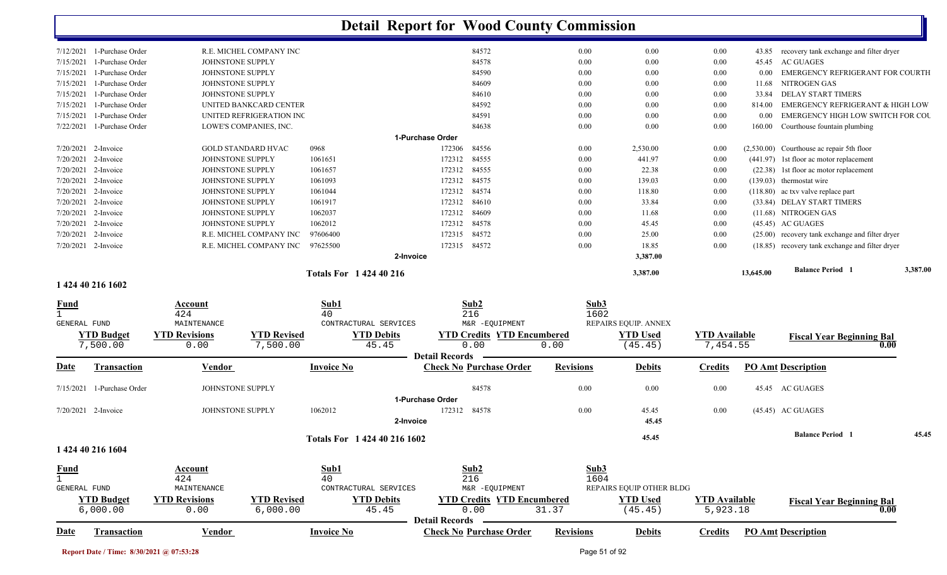|                     |                            |                      |                           |                              | <b>Detail Report for Wood County Commission</b> |                                   |                  |                          |                      |           |                                                 |      |          |
|---------------------|----------------------------|----------------------|---------------------------|------------------------------|-------------------------------------------------|-----------------------------------|------------------|--------------------------|----------------------|-----------|-------------------------------------------------|------|----------|
|                     | 7/12/2021 1-Purchase Order |                      | R.E. MICHEL COMPANY INC   |                              |                                                 | 84572                             | 0.00             | 0.00                     | 0.00                 | 43.85     | recovery tank exchange and filter dryer         |      |          |
| 7/15/2021           | 1-Purchase Order           |                      | JOHNSTONE SUPPLY          |                              |                                                 | 84578                             | 0.00             | 0.00                     | 0.00                 | 45.45     | <b>AC GUAGES</b>                                |      |          |
| 7/15/2021           | 1-Purchase Order           |                      | JOHNSTONE SUPPLY          |                              |                                                 | 84590                             | 0.00             | 0.00                     | 0.00                 | 0.00      | EMERGENCY REFRIGERANT FOR COURTH                |      |          |
| 7/15/2021           | 1-Purchase Order           |                      | JOHNSTONE SUPPLY          |                              |                                                 | 84609                             | 0.00             | 0.00                     | 0.00                 | 11.68     | NITROGEN GAS                                    |      |          |
| 7/15/2021           | 1-Purchase Order           |                      | JOHNSTONE SUPPLY          |                              |                                                 | 84610                             | 0.00             | 0.00                     | 0.00                 | 33.84     | <b>DELAY START TIMERS</b>                       |      |          |
| 7/15/2021           | 1-Purchase Order           |                      | UNITED BANKCARD CENTER    |                              |                                                 | 84592                             | 0.00             | 0.00                     | 0.00                 | 814.00    | <b>EMERGENCY REFRIGERANT &amp; HIGH LOW</b>     |      |          |
| 7/15/2021           | 1-Purchase Order           |                      | UNITED REFRIGERATION INC  |                              |                                                 | 84591                             | 0.00             | 0.00                     | 0.00                 | 0.00      | EMERGENCY HIGH LOW SWITCH FOR COU               |      |          |
| 7/22/2021           | 1-Purchase Order           |                      | LOWE'S COMPANIES, INC.    |                              |                                                 | 84638                             | 0.00             | 0.00                     | 0.00                 | 160.00    | Courthouse fountain plumbing                    |      |          |
|                     |                            |                      |                           |                              | 1-Purchase Order                                |                                   |                  |                          |                      |           |                                                 |      |          |
|                     | 7/20/2021 2-Invoice        |                      | <b>GOLD STANDARD HVAC</b> | 0968                         | 172306                                          | 84556                             | 0.00             | 2,530.00                 | 0.00                 |           | (2,530.00) Courthouse ac repair 5th floor       |      |          |
| 7/20/2021           | 2-Invoice                  |                      | JOHNSTONE SUPPLY          | 1061651                      | 172312                                          | 84555                             |                  | 441.97                   | 0.00                 |           |                                                 |      |          |
|                     |                            |                      |                           |                              |                                                 |                                   | 0.00             |                          |                      |           | (441.97) 1st floor ac motor replacement         |      |          |
| 7/20/2021           | 2-Invoice                  |                      | JOHNSTONE SUPPLY          | 1061657                      | 172312                                          | 84555                             | 0.00             | 22.38                    | 0.00                 |           | (22.38) 1st floor ac motor replacement          |      |          |
|                     | 7/20/2021 2-Invoice        |                      | JOHNSTONE SUPPLY          | 1061093                      | 172312                                          | 84575                             | 0.00             | 139.03                   | 0.00                 |           | $(139.03)$ thermostat wire                      |      |          |
| 7/20/2021           | 2-Invoice                  |                      | JOHNSTONE SUPPLY          | 1061044                      | 172312                                          | 84574                             | 0.00             | 118.80                   | 0.00                 |           | (118.80) ac txv valve replace part              |      |          |
| 7/20/2021           | 2-Invoice                  |                      | JOHNSTONE SUPPLY          | 1061917                      | 172312                                          | 84610                             | 0.00             | 33.84                    | 0.00                 |           | (33.84) DELAY START TIMERS                      |      |          |
| 7/20/2021           | 2-Invoice                  |                      | JOHNSTONE SUPPLY          | 1062037                      | 172312                                          | 84609                             | 0.00             | 11.68                    | 0.00                 |           | (11.68) NITROGEN GAS                            |      |          |
| 7/20/2021           | 2-Invoice                  |                      | JOHNSTONE SUPPLY          | 1062012                      | 172312                                          | 84578                             | 0.00             | 45.45                    | 0.00                 |           | $(45.45)$ AC GUAGES                             |      |          |
| 7/20/2021           | 2-Invoice                  |                      | R.E. MICHEL COMPANY INC   | 97606400                     | 172315 84572                                    |                                   | 0.00             | 25.00                    | 0.00                 |           | (25.00) recovery tank exchange and filter dryer |      |          |
|                     | 7/20/2021 2-Invoice        |                      | R.E. MICHEL COMPANY INC   | 97625500                     | 172315 84572                                    |                                   | 0.00             | 18.85                    | 0.00                 |           | (18.85) recovery tank exchange and filter dryer |      |          |
|                     |                            |                      |                           |                              | 2-Invoice                                       |                                   |                  | 3,387.00                 |                      |           |                                                 |      |          |
|                     |                            |                      |                           | <b>Totals For 142440216</b>  |                                                 |                                   |                  | 3,387.00                 |                      | 13,645.00 | <b>Balance Period 1</b>                         |      | 3,387.00 |
|                     | 1 424 40 216 1602          |                      |                           |                              |                                                 |                                   |                  |                          |                      |           |                                                 |      |          |
| Fund                |                            | Account              |                           | Sub1                         |                                                 | Sub2                              |                  | Sub3                     |                      |           |                                                 |      |          |
|                     |                            | 424                  |                           | 40                           |                                                 | 216                               |                  | 1602                     |                      |           |                                                 |      |          |
| <b>GENERAL FUND</b> |                            | MAINTENANCE          |                           | CONTRACTURAL SERVICES        |                                                 | M&R -EQUIPMENT                    |                  | REPAIRS EQUIP. ANNEX     |                      |           |                                                 |      |          |
|                     | <b>YTD Budget</b>          | <b>YTD Revisions</b> | <b>YTD Revised</b>        | <b>YTD Debits</b>            |                                                 | <b>YTD Credits YTD Encumbered</b> |                  | <b>YTD</b> Used          | <b>YTD</b> Available |           | <b>Fiscal Year Beginning Bal</b>                |      |          |
|                     | 7,500.00                   | 0.00                 | 7,500.00                  | 45.45                        |                                                 | 0.00                              | 0.00             | (45.45)                  | 7,454.55             |           |                                                 | 0.00 |          |
|                     |                            |                      |                           |                              | <b>Detail Records</b>                           |                                   |                  |                          |                      |           |                                                 |      |          |
| Date                | Transaction                | Vendor               |                           | <b>Invoice No</b>            |                                                 | <b>Check No Purchase Order</b>    | <b>Revisions</b> | <b>Debits</b>            | <b>Credits</b>       |           | <b>PO Amt Description</b>                       |      |          |
| 7/15/2021           | 1-Purchase Order           |                      | JOHNSTONE SUPPLY          |                              |                                                 | 84578                             | 0.00             | 0.00                     | 0.00                 |           | 45.45 AC GUAGES                                 |      |          |
|                     |                            |                      |                           |                              | 1-Purchase Order                                |                                   |                  |                          |                      |           |                                                 |      |          |
|                     | 7/20/2021 2-Invoice        |                      | JOHNSTONE SUPPLY          | 1062012                      | 172312                                          | 84578                             | 0.00             | 45.45                    | 0.00                 |           | $(45.45)$ AC GUAGES                             |      |          |
|                     |                            |                      |                           |                              | 2-Invoice                                       |                                   |                  | 45.45                    |                      |           |                                                 |      |          |
|                     |                            |                      |                           |                              |                                                 |                                   |                  |                          |                      |           |                                                 |      |          |
|                     |                            |                      |                           | Totals For 1 424 40 216 1602 |                                                 |                                   |                  | 45.45                    |                      |           | <b>Balance Period</b> 1                         |      | 45.45    |
|                     | 1 424 40 216 1604          |                      |                           |                              |                                                 |                                   |                  |                          |                      |           |                                                 |      |          |
| <b>Fund</b>         |                            | <b>Account</b>       |                           | Sub1                         |                                                 | Sub2                              |                  | Sub3                     |                      |           |                                                 |      |          |
| $\overline{1}$      |                            | 424                  |                           | 40                           |                                                 | 216                               |                  | 1604                     |                      |           |                                                 |      |          |
| <b>GENERAL FUND</b> |                            | MAINTENANCE          |                           | CONTRACTURAL SERVICES        |                                                 | M&R -EQUIPMENT                    |                  | REPAIRS EQUIP OTHER BLDG |                      |           |                                                 |      |          |
|                     | <b>YTD Budget</b>          | <b>YTD Revisions</b> | <b>YTD Revised</b>        | <b>YTD Debits</b>            |                                                 | <b>YTD Credits YTD Encumbered</b> |                  | <b>YTD Used</b>          | <b>YTD Available</b> |           | <b>Fiscal Year Beginning Bal</b>                |      |          |
|                     | 6,000.00                   | 0.00                 | 6,000.00                  | 45.45                        |                                                 | 0.00                              | 31.37            | (45.45)                  | 5,923.18             |           |                                                 | 0.00 |          |
|                     |                            |                      |                           |                              | <b>Detail Records</b>                           |                                   |                  |                          |                      |           |                                                 |      |          |
| <b>Date</b>         | Transaction                | <b>Vendor</b>        |                           | <b>Invoice No</b>            |                                                 | <b>Check No Purchase Order</b>    | <b>Revisions</b> | <b>Debits</b>            | <b>Credits</b>       |           | <b>PO Amt Description</b>                       |      |          |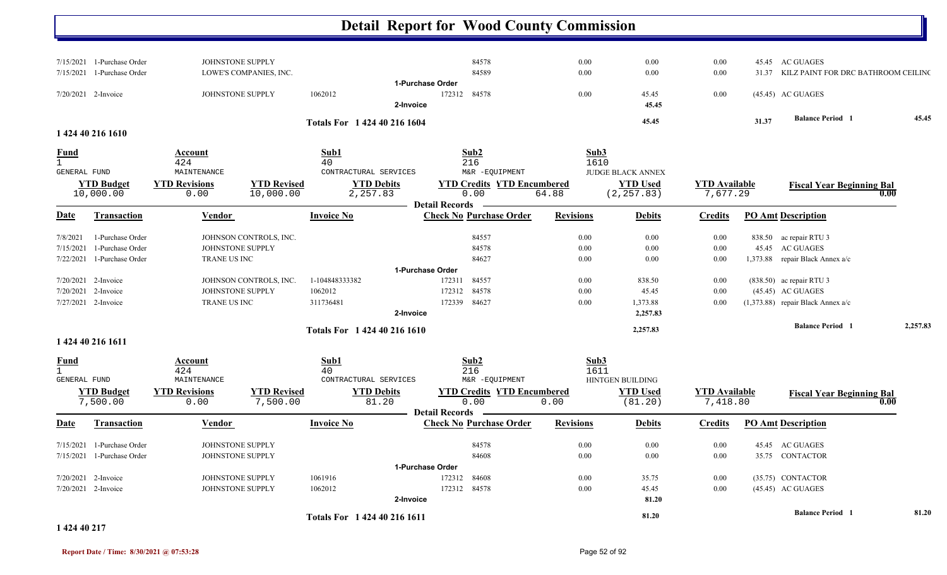|                                                                |                                                                                |                                                        | <b>Detail Report for Wood County Commission</b>             |                  |                                                            |                                  |       |                                                        |          |
|----------------------------------------------------------------|--------------------------------------------------------------------------------|--------------------------------------------------------|-------------------------------------------------------------|------------------|------------------------------------------------------------|----------------------------------|-------|--------------------------------------------------------|----------|
| 1-Purchase Order<br>7/15/2021<br>7/15/2021<br>1-Purchase Order | JOHNSTONE SUPPLY<br>LOWE'S COMPANIES, INC.                                     |                                                        | 84578<br>84589                                              | 0.00<br>0.00     | 0.00<br>0.00                                               | 0.00<br>0.00                     | 31.37 | 45.45 AC GUAGES<br>KILZ PAINT FOR DRC BATHROOM CEILING |          |
| 7/20/2021 2-Invoice                                            | JOHNSTONE SUPPLY                                                               | 1062012                                                | 1-Purchase Order<br>84578<br>172312<br>2-Invoice            | 0.00             | 45.45<br>45.45                                             | 0.00                             |       | (45.45) AC GUAGES                                      |          |
|                                                                |                                                                                | Totals For 1 424 40 216 1604                           |                                                             |                  | 45.45                                                      |                                  | 31.37 | <b>Balance Period 1</b>                                | 45.45    |
| 1 424 40 216 1610                                              |                                                                                |                                                        |                                                             |                  |                                                            |                                  |       |                                                        |          |
| <b>Fund</b>                                                    | Account<br>424                                                                 | Sub1<br>40                                             | Sub2<br>216                                                 | Sub3<br>1610     |                                                            |                                  |       |                                                        |          |
| GENERAL FUND<br><b>YTD Budget</b><br>10,000.00                 | MAINTENANCE<br><b>YTD Revisions</b><br><b>YTD Revised</b><br>10,000.00<br>0.00 | CONTRACTURAL SERVICES<br><b>YTD Debits</b><br>2,257.83 | M&R -EQUIPMENT<br><b>YTD Credits YTD Encumbered</b><br>0.00 | 64.88            | <b>JUDGE BLACK ANNEX</b><br><b>YTD Used</b><br>(2, 257.83) | <b>YTD Available</b><br>7,677.29 |       | <b>Fiscal Year Beginning Bal</b><br>0.00               |          |
| Date<br><b>Transaction</b>                                     | <b>Vendor</b>                                                                  | <b>Invoice No</b>                                      | <b>Detail Records</b><br><b>Check No Purchase Order</b>     | <b>Revisions</b> | <b>Debits</b>                                              | <b>Credits</b>                   |       | <b>PO Amt Description</b>                              |          |
| 7/8/2021<br>1-Purchase Order                                   | JOHNSON CONTROLS, INC.                                                         |                                                        | 84557                                                       | 0.00             | 0.00                                                       | 0.00                             |       | 838.50 ac repair RTU 3                                 |          |
| 7/15/2021<br>1-Purchase Order                                  | JOHNSTONE SUPPLY                                                               |                                                        | 84578                                                       | 0.00             | 0.00                                                       | 0.00                             |       | 45.45 AC GUAGES                                        |          |
| 7/22/2021<br>1-Purchase Order                                  | TRANE US INC                                                                   |                                                        | 84627                                                       | 0.00             | 0.00                                                       | 0.00                             |       | 1,373.88 repair Black Annex a/c                        |          |
|                                                                |                                                                                |                                                        | 1-Purchase Order                                            |                  |                                                            |                                  |       |                                                        |          |
| 7/20/2021 2-Invoice                                            | JOHNSON CONTROLS, INC.                                                         | 1-104848333382                                         | 84557<br>172311                                             | $0.00\,$         | 838.50                                                     | 0.00                             |       | (838.50) ac repair RTU 3                               |          |
| 2-Invoice<br>7/20/2021                                         | JOHNSTONE SUPPLY                                                               | 1062012                                                | 84578<br>172312                                             | 0.00             | 45.45                                                      | 0.00                             |       | (45.45) AC GUAGES                                      |          |
| 7/27/2021 2-Invoice                                            | TRANE US INC                                                                   | 311736481                                              | 84627<br>172339                                             | 0.00             | 1,373.88                                                   | 0.00                             |       | (1,373.88) repair Black Annex a/c                      |          |
|                                                                |                                                                                |                                                        | 2-Invoice                                                   |                  | 2,257.83                                                   |                                  |       |                                                        |          |
|                                                                |                                                                                | Totals For 1 424 40 216 1610                           |                                                             |                  | 2,257.83                                                   |                                  |       | <b>Balance Period 1</b>                                | 2,257.83 |
| 1 424 40 216 1611                                              |                                                                                |                                                        |                                                             |                  |                                                            |                                  |       |                                                        |          |
| <b>Fund</b>                                                    | <b>Account</b><br>424                                                          | Sub1<br>40                                             | Sub <sub>2</sub><br>216                                     | Sub3<br>1611     |                                                            |                                  |       |                                                        |          |
| GENERAL FUND                                                   | MAINTENANCE                                                                    | CONTRACTURAL SERVICES                                  | M&R -EQUIPMENT                                              |                  | HINTGEN BUILDING                                           |                                  |       |                                                        |          |
| <b>YTD Budget</b>                                              | <b>YTD Revisions</b><br><b>YTD Revised</b>                                     | <b>YTD Debits</b>                                      | <b>YTD Credits YTD Encumbered</b>                           |                  | <b>YTD Used</b>                                            | <b>YTD</b> Available             |       | <b>Fiscal Year Beginning Bal</b>                       |          |
| 7,500.00                                                       | 7,500.00<br>0.00                                                               | 81.20                                                  | 0.00<br><b>Detail Records</b>                               | 0.00             | (81.20)                                                    | 7,418.80                         |       | 0.00                                                   |          |
| <b>Transaction</b><br>Date                                     | Vendor                                                                         | <b>Invoice No</b>                                      | <b>Check No Purchase Order</b>                              | <b>Revisions</b> | <b>Debits</b>                                              | <b>Credits</b>                   |       | <b>PO Amt Description</b>                              |          |
| 7/15/2021 1-Purchase Order                                     | JOHNSTONE SUPPLY                                                               |                                                        | 84578                                                       | 0.00             | 0.00                                                       | 0.00                             |       | 45.45 AC GUAGES                                        |          |
| 7/15/2021 1-Purchase Order                                     | JOHNSTONE SUPPLY                                                               |                                                        | 84608                                                       | 0.00             | $0.00\,$                                                   | $0.00\,$                         |       | 35.75 CONTACTOR                                        |          |
|                                                                |                                                                                |                                                        | 1-Purchase Order                                            |                  |                                                            |                                  |       |                                                        |          |
| 7/20/2021 2-Invoice                                            | JOHNSTONE SUPPLY                                                               | 1061916                                                | 172312<br>84608                                             | $0.00\,$         | 35.75                                                      | $0.00\,$                         |       | (35.75) CONTACTOR                                      |          |
| 7/20/2021 2-Invoice                                            | JOHNSTONE SUPPLY                                                               | 1062012                                                | 172312 84578                                                | $0.00\,$         | 45.45                                                      | $0.00\,$                         |       | (45.45) AC GUAGES                                      |          |
|                                                                |                                                                                |                                                        | 2-Invoice                                                   |                  | 81.20                                                      |                                  |       |                                                        |          |
|                                                                |                                                                                | Totals For 1 424 40 216 1611                           |                                                             |                  | 81.20                                                      |                                  |       | <b>Balance Period</b> 1                                | 81.20    |

#### **1 424 40 217**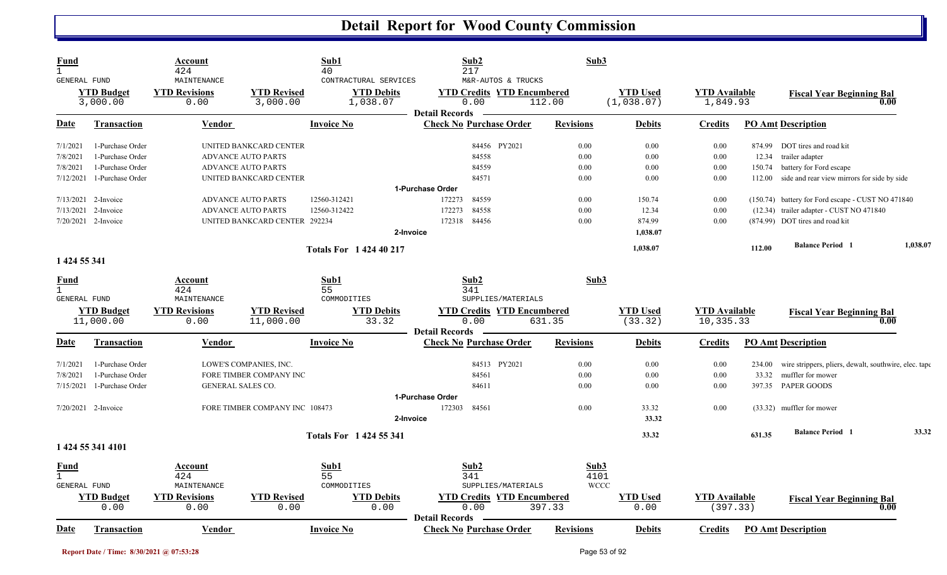| Fund<br><b>GENERAL FUND</b>         |                               | Account<br>424<br>MAINTENANCE |                                | Sub1<br>40<br>CONTRACTURAL SERVICES | Sub2<br>217<br>M&R-AUTOS & TRUCKS                                  | Sub3             |                               |                                  |        |                                                       |          |
|-------------------------------------|-------------------------------|-------------------------------|--------------------------------|-------------------------------------|--------------------------------------------------------------------|------------------|-------------------------------|----------------------------------|--------|-------------------------------------------------------|----------|
|                                     | <b>YTD Budget</b><br>3,000.00 | <b>YTD Revisions</b><br>0.00  | <b>YTD Revised</b><br>3,000.00 | <b>YTD Debits</b><br>1,038.07       | <b>YTD Credits YTD Encumbered</b><br>0.00<br><b>Detail Records</b> | 112.00           | <b>YTD Used</b><br>(1,038.07) | <b>YTD</b> Available<br>1,849.93 |        | <b>Fiscal Year Beginning Bal</b><br>0.00              |          |
| <u>Date</u>                         | <b>Transaction</b>            | Vendor                        |                                | <b>Invoice No</b>                   | <b>Check No Purchase Order</b>                                     | <b>Revisions</b> | <b>Debits</b>                 | <b>Credits</b>                   |        | <b>PO Amt Description</b>                             |          |
| 7/1/2021                            | 1-Purchase Order              |                               | UNITED BANKCARD CENTER         |                                     | 84456 PY2021                                                       | 0.00             | 0.00                          | 0.00                             | 874.99 | DOT tires and road kit                                |          |
| 7/8/2021                            | 1-Purchase Order              |                               | <b>ADVANCE AUTO PARTS</b>      |                                     | 84558                                                              | 0.00             | 0.00                          | 0.00                             | 12.34  | trailer adapter                                       |          |
| 7/8/2021                            | 1-Purchase Order              |                               | <b>ADVANCE AUTO PARTS</b>      |                                     | 84559                                                              | 0.00             | 0.00                          | 0.00                             | 150.74 | battery for Ford escape                               |          |
| 7/12/2021                           | 1-Purchase Order              |                               | UNITED BANKCARD CENTER         |                                     | 84571                                                              | 0.00             | 0.00                          | 0.00                             | 112.00 | side and rear view mirrors for side by side           |          |
|                                     |                               |                               |                                |                                     | 1-Purchase Order                                                   |                  |                               |                                  |        |                                                       |          |
| 7/13/2021                           | 2-Invoice                     |                               | <b>ADVANCE AUTO PARTS</b>      | 12560-312421                        | 84559<br>172273                                                    | 0.00             | 150.74                        | 0.00                             |        | (150.74) battery for Ford escape - CUST NO 471840     |          |
| 7/13/2021                           | 2-Invoice                     |                               | <b>ADVANCE AUTO PARTS</b>      | 12560-312422                        | 172273<br>84558                                                    | 0.00             | 12.34                         | 0.00                             |        | (12.34) trailer adapter - CUST NO 471840              |          |
|                                     | 7/20/2021 2-Invoice           |                               | UNITED BANKCARD CENTER 292234  |                                     | 84456<br>172318                                                    | 0.00             | 874.99                        | 0.00                             |        | (874.99) DOT tires and road kit                       |          |
|                                     |                               |                               |                                | 2-Invoice                           |                                                                    |                  | 1.038.07                      |                                  |        |                                                       |          |
|                                     |                               |                               |                                | <b>Totals For 142440217</b>         |                                                                    |                  | 1,038.07                      |                                  | 112.00 | <b>Balance Period</b> 1                               | 1,038.07 |
| 1 424 55 341                        |                               |                               |                                |                                     |                                                                    |                  |                               |                                  |        |                                                       |          |
| Fund<br>$\mathbf{1}$                |                               | Account<br>424                |                                | Sub1<br>55                          | Sub2<br>341                                                        | Sub3             |                               |                                  |        |                                                       |          |
| <b>GENERAL FUND</b>                 |                               | MAINTENANCE                   |                                | COMMODITIES                         | SUPPLIES/MATERIALS                                                 |                  |                               |                                  |        |                                                       |          |
|                                     | <b>YTD Budget</b>             | <b>YTD Revisions</b>          | <b>YTD Revised</b>             | <b>YTD Debits</b>                   | <b>YTD Credits YTD Encumbered</b>                                  |                  | <b>YTD Used</b>               | <b>YTD</b> Available             |        | <b>Fiscal Year Beginning Bal</b>                      |          |
|                                     | 11,000.00                     | 0.00                          | 11,000.00                      | 33.32                               | 0.00                                                               | 631.35           | (33.32)                       | 10,335.33                        |        | 0.00                                                  |          |
|                                     |                               |                               |                                |                                     | <b>Detail Records</b>                                              |                  |                               |                                  |        |                                                       |          |
| Date                                | <b>Transaction</b>            | Vendor                        |                                | <b>Invoice No</b>                   | <b>Check No Purchase Order</b>                                     | <b>Revisions</b> | <b>Debits</b>                 | <b>Credits</b>                   |        | <b>PO Amt Description</b>                             |          |
| 7/1/2021                            | 1-Purchase Order              |                               | LOWE'S COMPANIES, INC.         |                                     | 84513 PY2021                                                       | 0.00             | 0.00                          | 0.00                             | 234.00 | wire strippers, pliers, dewalt, southwire, elec. tape |          |
| 7/8/2021                            | 1-Purchase Order              |                               | FORE TIMBER COMPANY INC        |                                     | 84561                                                              | 0.00             | 0.00                          | 0.00                             | 33.32  | muffler for mower                                     |          |
| 7/15/2021                           | 1-Purchase Order              | GENERAL SALES CO.             |                                |                                     | 84611                                                              | 0.00             | 0.00                          | 0.00                             | 397.35 | PAPER GOODS                                           |          |
|                                     |                               |                               |                                |                                     | 1-Purchase Order                                                   |                  |                               |                                  |        |                                                       |          |
|                                     | 7/20/2021 2-Invoice           |                               | FORE TIMBER COMPANY INC 108473 |                                     | 84561<br>172303                                                    | 0.00             | 33.32                         | 0.00                             |        | (33.32) muffler for mower                             |          |
|                                     |                               |                               |                                | 2-Invoice                           |                                                                    |                  | 33.32                         |                                  |        |                                                       |          |
|                                     |                               |                               |                                | <b>Totals For 1424 55 341</b>       |                                                                    |                  | 33.32                         |                                  | 631.35 | <b>Balance Period</b> 1                               | 33.32    |
|                                     | 1 424 55 341 4101             |                               |                                |                                     |                                                                    |                  |                               |                                  |        |                                                       |          |
| Fund                                |                               | Account                       |                                | Sub1                                | Sub2                                                               | Sub3             |                               |                                  |        |                                                       |          |
| $\mathbf{1}$<br><b>GENERAL FUND</b> |                               | 424<br>MAINTENANCE            |                                | 55<br>COMMODITIES                   | 341<br>SUPPLIES/MATERIALS                                          | 4101             |                               |                                  |        |                                                       |          |
|                                     |                               |                               |                                |                                     |                                                                    |                  | <b>WCCC</b>                   |                                  |        |                                                       |          |
|                                     | <b>YTD Budget</b>             | <b>YTD Revisions</b>          | <b>YTD Revised</b>             | <b>YTD Debits</b><br>0.00           | <b>YTD Credits YTD Encumbered</b><br>0.00                          |                  | <b>YTD</b> Used               | <b>YTD Available</b>             |        | <b>Fiscal Year Beginning Bal</b><br>0.00              |          |
|                                     | 0.00                          | 0.00                          | 0.00                           |                                     | <b>Detail Records</b>                                              | 397.33           | 0.00                          | (397.33)                         |        |                                                       |          |
| <u>Date</u>                         | <b>Transaction</b>            | Vendor                        |                                | <b>Invoice No</b>                   | <b>Check No Purchase Order</b>                                     | <b>Revisions</b> | <b>Debits</b>                 | <b>Credits</b>                   |        | <b>PO Amt Description</b>                             |          |
|                                     |                               |                               |                                |                                     |                                                                    |                  |                               |                                  |        |                                                       |          |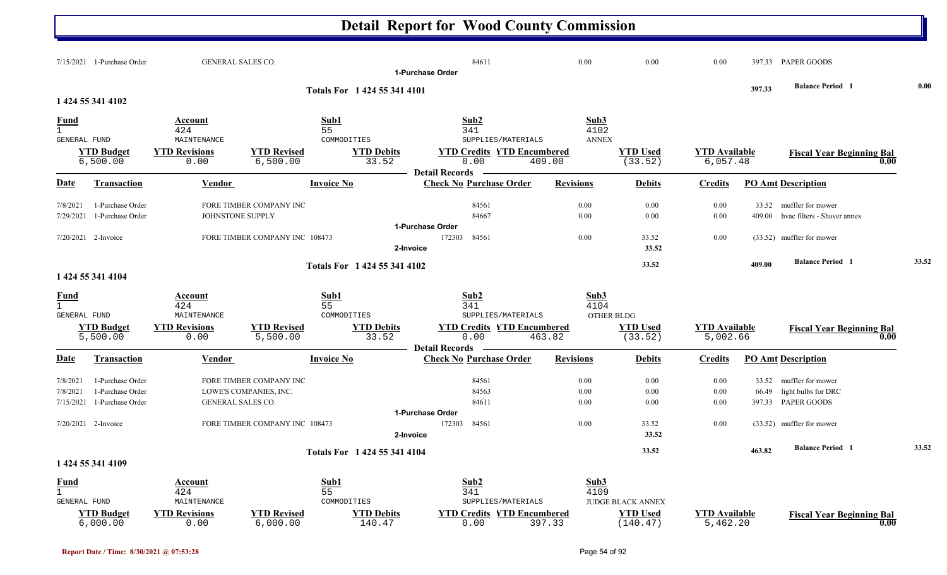|                                                    | $7/15/2021$ 1-Purchase Order                             | <b>GENERAL SALES CO.</b>      |                                                   |                              | 84611<br>1-Purchase Order                                          | 0.00                         | 0.00                        | 0.00                             |                | 397.33 PAPER GOODS                                             |       |
|----------------------------------------------------|----------------------------------------------------------|-------------------------------|---------------------------------------------------|------------------------------|--------------------------------------------------------------------|------------------------------|-----------------------------|----------------------------------|----------------|----------------------------------------------------------------|-------|
|                                                    | 1 424 55 341 4102                                        |                               |                                                   | Totals For 1 424 55 341 4101 |                                                                    |                              |                             |                                  | 397.33         | <b>Balance Period 1</b>                                        | 0.00  |
| <b>Fund</b><br>$\mathbf{1}$<br><b>GENERAL FUND</b> |                                                          | Account<br>424<br>MAINTENANCE |                                                   | Sub1<br>55<br>COMMODITIES    | Sub2<br>341<br>SUPPLIES/MATERIALS                                  | Sub3<br>4102<br><b>ANNEX</b> |                             |                                  |                |                                                                |       |
|                                                    | <b>YTD Budget</b><br>6,500.00                            | <b>YTD Revisions</b><br>0.00  | <b>YTD Revised</b><br>6,500.00                    | <b>YTD Debits</b><br>33.52   | <b>YTD Credits YTD Encumbered</b><br>0.00<br><b>Detail Records</b> | 409.00                       | <b>YTD Used</b><br>(33.52)  | <b>YTD</b> Available<br>6,057.48 |                | <b>Fiscal Year Beginning Bal</b><br>0.00                       |       |
| <b>Date</b>                                        | <b>Transaction</b>                                       | Vendor                        |                                                   | <b>Invoice No</b>            | <b>Check No Purchase Order</b>                                     | <b>Revisions</b>             | <b>Debits</b>               | <b>Credits</b>                   |                | <b>PO Amt Description</b>                                      |       |
| 7/8/2021<br>7/29/2021                              | 1-Purchase Order<br>1-Purchase Order                     | JOHNSTONE SUPPLY              | FORE TIMBER COMPANY INC                           |                              | 84561<br>84667                                                     | 0.00<br>0.00                 | 0.00<br>0.00                | 0.00<br>0.00                     | 409.00         | 33.52 muffler for mower<br>hvac filters - Shaver annex         |       |
|                                                    | 7/20/2021 2-Invoice                                      |                               | FORE TIMBER COMPANY INC 108473                    | 2-Invoice                    | 1-Purchase Order<br>172303<br>84561                                | 0.00                         | 33.52<br>33.52              | 0.00                             |                | (33.52) muffler for mower                                      |       |
|                                                    |                                                          |                               |                                                   | Totals For 1 424 55 341 4102 |                                                                    |                              | 33.52                       |                                  | 409.00         | <b>Balance Period 1</b>                                        | 33.52 |
|                                                    | 1 424 55 341 4104                                        |                               |                                                   |                              |                                                                    |                              |                             |                                  |                |                                                                |       |
| <b>Fund</b><br>$\mathbf{1}$<br>GENERAL FUND        |                                                          | Account<br>424<br>MAINTENANCE |                                                   | Sub1<br>55<br>COMMODITIES    | Sub <sub>2</sub><br>341<br>SUPPLIES/MATERIALS                      | Sub3<br>4104                 | <b>OTHER BLDG</b>           |                                  |                |                                                                |       |
|                                                    | <b>YTD Budget</b><br>5,500.00                            | <b>YTD Revisions</b><br>0.00  | <b>YTD Revised</b><br>5,500.00                    | <b>YTD Debits</b><br>33.52   | <b>YTD Credits YTD Encumbered</b><br>0.00                          | 463.82                       | <b>YTD Used</b><br>(33.52)  | <b>YTD Available</b><br>5,002.66 |                | <b>Fiscal Year Beginning Bal</b><br>0.00                       |       |
| Date                                               | <b>Transaction</b>                                       | Vendor                        |                                                   | <b>Invoice No</b>            | <b>Detail Records</b><br><b>Check No Purchase Order</b>            | <b>Revisions</b>             | <b>Debits</b>               | <b>Credits</b>                   |                | <b>PO Amt Description</b>                                      |       |
| 7/8/2021<br>7/8/2021<br>7/15/2021                  | 1-Purchase Order<br>1-Purchase Order<br>1-Purchase Order | GENERAL SALES CO.             | FORE TIMBER COMPANY INC<br>LOWE'S COMPANIES, INC. |                              | 84561<br>84563<br>84611                                            | 0.00<br>0.00<br>0.00         | 0.00<br>0.00<br>0.00        | 0.00<br>0.00<br>0.00             | 33.52<br>66.49 | muffler for mower<br>light bulbs for DRC<br>397.33 PAPER GOODS |       |
|                                                    | $7/20/2021$ 2-Invoice                                    |                               | FORE TIMBER COMPANY INC 108473                    | 2-Invoice                    | 1-Purchase Order<br>84561<br>172303                                | 0.00                         | 33.52<br>33.52              | 0.00                             |                | (33.52) muffler for mower                                      |       |
|                                                    | 1 424 55 341 4109                                        |                               |                                                   | Totals For 1 424 55 341 4104 |                                                                    |                              | 33.52                       |                                  | 463.82         | <b>Balance Period</b> 1                                        | 33.52 |
| <u>Fund</u><br>$\mathbf{1}$<br>GENERAL FUND        |                                                          | Account<br>424<br>MAINTENANCE |                                                   | Sub1<br>55<br>COMMODITIES    | Sub2<br>341<br>SUPPLIES/MATERIALS                                  | Sub3<br>4109                 | <b>JUDGE BLACK ANNEX</b>    |                                  |                |                                                                |       |
|                                                    | <b>YTD Budget</b><br>6,000.00                            | <b>YTD Revisions</b><br>0.00  | <b>YTD Revised</b><br>6,000.00                    | <b>YTD Debits</b><br>140.47  | <b>YTD Credits YTD Encumbered</b><br>0.00                          | 397.33                       | <b>YTD Used</b><br>(140.47) | <b>YTD Available</b><br>5,462.20 |                | <b>Fiscal Year Beginning Bal</b><br>0.00                       |       |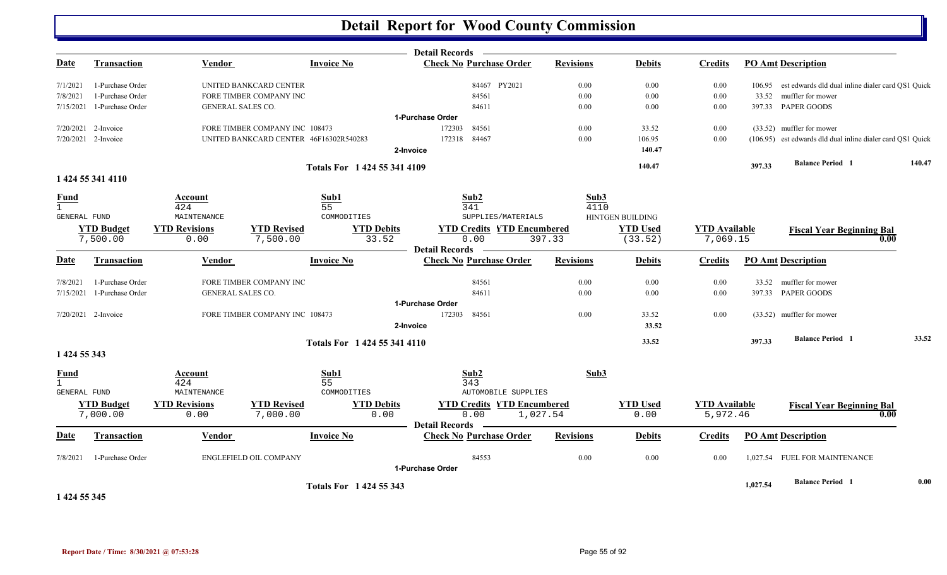|              |                               |                              |                                        |                              | Detail Records –                                        |                  |                            |                                  |                           |                                                            |        |
|--------------|-------------------------------|------------------------------|----------------------------------------|------------------------------|---------------------------------------------------------|------------------|----------------------------|----------------------------------|---------------------------|------------------------------------------------------------|--------|
| <u>Date</u>  | <b>Transaction</b>            | Vendor                       |                                        | <b>Invoice No</b>            | <b>Check No Purchase Order</b>                          | <b>Revisions</b> | <b>Debits</b>              | <b>Credits</b>                   | <b>PO Amt Description</b> |                                                            |        |
| 7/1/2021     | 1-Purchase Order              |                              | UNITED BANKCARD CENTER                 |                              | 84467 PY2021                                            | 0.00             | 0.00                       | 0.00                             |                           | 106.95 est edwards dld dual inline dialer card QS1 Quick   |        |
| 7/8/2021     | 1-Purchase Order              |                              | FORE TIMBER COMPANY INC                |                              | 84561                                                   | 0.00             | 0.00                       | 0.00                             |                           | 33.52 muffler for mower                                    |        |
|              | 7/15/2021 1-Purchase Order    | GENERAL SALES CO.            |                                        |                              | 84611                                                   | 0.00             | 0.00                       | 0.00                             |                           | 397.33 PAPER GOODS                                         |        |
|              |                               |                              |                                        |                              | 1-Purchase Order                                        |                  |                            |                                  |                           |                                                            |        |
|              | 7/20/2021 2-Invoice           |                              | FORE TIMBER COMPANY INC 108473         |                              | 172303<br>84561                                         | 0.00             | 33.52                      | 0.00                             |                           | (33.52) muffler for mower                                  |        |
|              | 7/20/2021 2-Invoice           |                              | UNITED BANKCARD CENTER 46F16302R540283 |                              | 172318 84467                                            | 0.00             | 106.95                     | 0.00                             |                           | (106.95) est edwards dld dual inline dialer card QS1 Quick |        |
|              |                               |                              |                                        |                              | 2-Invoice                                               |                  | 140.47                     |                                  |                           |                                                            |        |
|              |                               |                              |                                        | Totals For 1 424 55 341 4109 |                                                         |                  | 140.47                     |                                  | 397.33                    | <b>Balance Period 1</b>                                    | 140.47 |
|              | 1 424 55 341 4110             |                              |                                        |                              |                                                         |                  |                            |                                  |                           |                                                            |        |
| <b>Fund</b>  |                               | Account                      |                                        | Sub1                         | Sub2                                                    | Sub3             |                            |                                  |                           |                                                            |        |
| $\mathbf{1}$ |                               | 424                          |                                        | 55                           | 341                                                     | 4110             |                            |                                  |                           |                                                            |        |
| GENERAL FUND |                               | MAINTENANCE                  |                                        | COMMODITIES                  | SUPPLIES/MATERIALS                                      |                  | HINTGEN BUILDING           |                                  |                           |                                                            |        |
|              | <b>YTD Budget</b><br>7,500.00 | <b>YTD Revisions</b><br>0.00 | <b>YTD Revised</b><br>7,500.00         | <b>YTD Debits</b><br>33.52   | <b>YTD Credits YTD Encumbered</b><br>0.00               | 397.33           | <b>YTD Used</b><br>(33.52) | <b>YTD</b> Available<br>7,069.15 |                           | <b>Fiscal Year Beginning Bal</b><br>0.00                   |        |
|              |                               |                              |                                        |                              | <b>Detail Records</b>                                   |                  |                            |                                  |                           |                                                            |        |
| <b>Date</b>  | Transaction                   | Vendor                       |                                        | <b>Invoice No</b>            | <b>Check No Purchase Order</b>                          | <b>Revisions</b> | <b>Debits</b>              | <b>Credits</b>                   | <b>PO Amt Description</b> |                                                            |        |
| 7/8/2021     | 1-Purchase Order              |                              | FORE TIMBER COMPANY INC                |                              | 84561                                                   | 0.00             | 0.00                       | 0.00                             |                           | 33.52 muffler for mower                                    |        |
|              | 7/15/2021 1-Purchase Order    | GENERAL SALES CO.            |                                        |                              | 84611                                                   | 0.00             | 0.00                       | 0.00                             |                           | 397.33 PAPER GOODS                                         |        |
|              |                               |                              |                                        |                              | 1-Purchase Order                                        |                  |                            |                                  |                           |                                                            |        |
|              | 7/20/2021 2-Invoice           |                              | FORE TIMBER COMPANY INC 108473         |                              | 172303 84561                                            | 0.00             | 33.52                      | 0.00                             |                           | (33.52) muffler for mower                                  |        |
|              |                               |                              |                                        |                              | 2-Invoice                                               |                  | 33.52                      |                                  |                           |                                                            |        |
|              |                               |                              |                                        |                              |                                                         |                  | 33.52                      |                                  | 397.33                    | <b>Balance Period 1</b>                                    | 33.52  |
| 1 424 55 343 |                               |                              |                                        | Totals For 1 424 55 341 4110 |                                                         |                  |                            |                                  |                           |                                                            |        |
| <b>Fund</b>  |                               | Account                      |                                        | Sub1                         | Sub2                                                    | Sub3             |                            |                                  |                           |                                                            |        |
| $\mathbf{1}$ |                               | 424                          |                                        | 55                           | 343                                                     |                  |                            |                                  |                           |                                                            |        |
| GENERAL FUND |                               | MAINTENANCE                  |                                        | COMMODITIES                  | <b>AUTOMOBILE SUPPLIES</b>                              |                  |                            |                                  |                           |                                                            |        |
|              | <b>YTD Budget</b>             | <b>YTD Revisions</b>         | <b>YTD Revised</b>                     | <b>YTD Debits</b>            | <b>YTD Credits YTD Encumbered</b>                       |                  | <b>YTD Used</b>            | <b>YTD</b> Available             |                           | <b>Fiscal Year Beginning Bal</b>                           |        |
|              | 7,000.00                      | 0.00                         | 7,000.00                               | 0.00                         | 0.00                                                    | 1,027.54         | 0.00                       | 5,972.46                         |                           | 0.00                                                       |        |
| <u>Date</u>  | <b>Transaction</b>            | <b>Vendor</b>                |                                        | <b>Invoice No</b>            | <b>Detail Records</b><br><b>Check No Purchase Order</b> | <b>Revisions</b> | <b>Debits</b>              |                                  | <b>PO Amt Description</b> |                                                            |        |
|              |                               |                              |                                        |                              |                                                         |                  |                            | <b>Credits</b>                   |                           |                                                            |        |
| 7/8/2021     | 1-Purchase Order              |                              | <b>ENGLEFIELD OIL COMPANY</b>          |                              | 84553                                                   | 0.00             | $0.00\,$                   | 0.00                             |                           | 1,027.54 FUEL FOR MAINTENANCE                              |        |
|              |                               |                              |                                        |                              | 1-Purchase Order                                        |                  |                            |                                  |                           |                                                            |        |
|              |                               |                              |                                        | Totals For 1 424 55 343      |                                                         |                  |                            |                                  | 1,027.54                  | <b>Balance Period 1</b>                                    | 0.00   |
| 1 424 55 345 |                               |                              |                                        |                              |                                                         |                  |                            |                                  |                           |                                                            |        |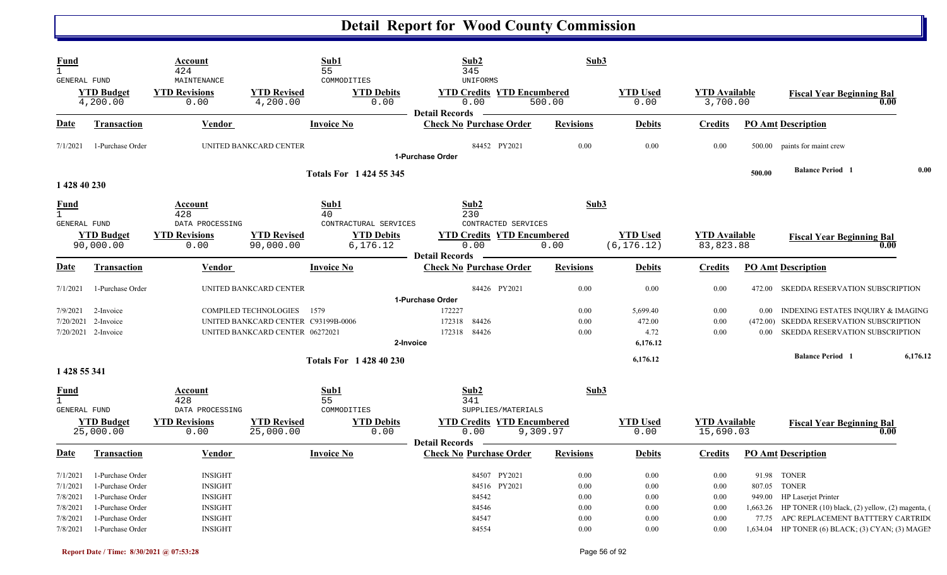| <b>Fund</b><br>$\mathbf{1}$<br>GENERAL FUND        |                                                                              | Account<br>424<br>MAINTENANCE                                        |                                                                                                        | Sub1<br>55<br>COMMODITIES                              | Sub2<br>345<br><b>UNIFORMS</b>                                     | Sub3                         |                                        |                                   |                      |                                                                                                                       |
|----------------------------------------------------|------------------------------------------------------------------------------|----------------------------------------------------------------------|--------------------------------------------------------------------------------------------------------|--------------------------------------------------------|--------------------------------------------------------------------|------------------------------|----------------------------------------|-----------------------------------|----------------------|-----------------------------------------------------------------------------------------------------------------------|
|                                                    | <b>YTD Budget</b><br>4,200.00                                                | <b>YTD Revisions</b><br>0.00                                         | <b>YTD Revised</b><br>4,200.00                                                                         | <b>YTD Debits</b><br>0.00                              | <b>YTD Credits YTD Encumbered</b><br>0.00<br><b>Detail Records</b> | 500.00                       | <b>YTD Used</b><br>0.00                | <b>YTD Available</b><br>3,700.00  |                      | <b>Fiscal Year Beginning Bal</b><br>0.00                                                                              |
| Date                                               | <b>Transaction</b>                                                           | <b>Vendor</b>                                                        |                                                                                                        | <b>Invoice No</b>                                      | <b>Check No Purchase Order</b>                                     | <b>Revisions</b>             | <u>Debits</u>                          | <b>Credits</b>                    |                      | <b>PO Amt Description</b>                                                                                             |
| 7/1/2021                                           | 1-Purchase Order                                                             |                                                                      | UNITED BANKCARD CENTER                                                                                 |                                                        | 84452 PY2021<br>1-Purchase Order                                   | 0.00                         | 0.00                                   | 0.00                              |                      | 500.00 paints for maint crew                                                                                          |
| 1 428 40 230                                       |                                                                              |                                                                      |                                                                                                        | <b>Totals For 1424 55 345</b>                          |                                                                    |                              |                                        |                                   | 500.00               | 0.00<br><b>Balance Period 1</b>                                                                                       |
| <b>Fund</b><br>$\mathbf{1}$                        |                                                                              | <b>Account</b><br>428                                                |                                                                                                        | Sub1<br>40                                             | Sub2<br>230                                                        | Sub3                         |                                        |                                   |                      |                                                                                                                       |
| <b>GENERAL FUND</b>                                | <b>YTD Budget</b><br>90,000.00                                               | DATA PROCESSING<br><b>YTD Revisions</b><br>0.00                      | <b>YTD Revised</b><br>90,000.00                                                                        | CONTRACTURAL SERVICES<br><b>YTD Debits</b><br>6,176.12 | CONTRACTED SERVICES<br><b>YTD Credits YTD Encumbered</b><br>0.00   | 0.00                         | <b>YTD</b> Used<br>(6, 176.12)         | <b>YTD</b> Available<br>83,823.88 |                      | <b>Fiscal Year Beginning Bal</b><br>0.00                                                                              |
| Date                                               | Transaction                                                                  | Vendor                                                               |                                                                                                        | <b>Invoice No</b>                                      | <b>Detail Records</b><br><b>Check No Purchase Order</b>            | <b>Revisions</b>             | <b>Debits</b>                          | <b>Credits</b>                    |                      | <b>PO Amt Description</b>                                                                                             |
| 7/1/2021                                           | 1-Purchase Order                                                             |                                                                      | UNITED BANKCARD CENTER                                                                                 |                                                        | 84426 PY2021<br>1-Purchase Order                                   | $0.00\,$                     | 0.00                                   | 0.00                              |                      | 472.00 SKEDDA RESERVATION SUBSCRIPTION                                                                                |
| 7/9/2021<br>7/20/2021                              | 2-Invoice<br>2-Invoice<br>7/20/2021 2-Invoice                                |                                                                      | <b>COMPILED TECHNOLOGIES</b><br>UNITED BANKCARD CENTER C93199B-0006<br>UNITED BANKCARD CENTER 06272021 | 1579<br>2-Invoice                                      | 172227<br>84426<br>172318<br>84426<br>172318                       | 0.00<br>0.00<br>0.00         | 5,699.40<br>472.00<br>4.72<br>6,176.12 | 0.00<br>0.00<br>0.00              | $0.00\,$<br>$0.00 -$ | INDEXING ESTATES INQUIRY & IMAGING<br>(472.00) SKEDDA RESERVATION SUBSCRIPTION<br>SKEDDA RESERVATION SUBSCRIPTION     |
| 1 428 55 341                                       |                                                                              |                                                                      |                                                                                                        | <b>Totals For 1428 40 230</b>                          |                                                                    |                              | 6,176.12                               |                                   |                      | <b>Balance Period 1</b><br>6,176.12                                                                                   |
| <u>Fund</u><br>$\mathbf{1}$<br><b>GENERAL FUND</b> |                                                                              | Account<br>428<br>DATA PROCESSING                                    |                                                                                                        | Sub1<br>55<br>COMMODITIES                              | Sub2<br>341<br>SUPPLIES/MATERIALS                                  | Sub3                         |                                        |                                   |                      |                                                                                                                       |
|                                                    | <b>YTD Budget</b><br>25,000.00                                               | <b>YTD Revisions</b><br>0.00                                         | <b>YTD Revised</b><br>25,000.00                                                                        | <b>YTD Debits</b><br>0.00                              | <b>YTD Credits YTD Encumbered</b><br>0.00<br><b>Detail Records</b> | 9,309.97                     | <b>YTD Used</b><br>0.00                | <b>YTD Available</b><br>15,690.03 |                      | <b>Fiscal Year Beginning Bal</b><br>0.00                                                                              |
| <b>Date</b>                                        | <b>Transaction</b>                                                           | Vendor                                                               |                                                                                                        | <b>Invoice No</b>                                      | <b>Check No Purchase Order</b>                                     | <b>Revisions</b>             | <b>Debits</b>                          | <b>Credits</b>                    |                      | <b>PO Amt Description</b>                                                                                             |
| 7/1/2021<br>7/1/2021<br>7/8/2021<br>7/8/2021       | 1-Purchase Order<br>1-Purchase Order<br>1-Purchase Order<br>1-Purchase Order | <b>INSIGHT</b><br><b>INSIGHT</b><br><b>INSIGHT</b><br><b>INSIGHT</b> |                                                                                                        |                                                        | PY2021<br>84507<br>84516 PY2021<br>84542<br>84546                  | 0.00<br>0.00<br>0.00<br>0.00 | 0.00<br>0.00<br>0.00<br>0.00           | 0.00<br>0.00<br>0.00<br>0.00      |                      | 91.98 TONER<br>807.05 TONER<br>949.00 HP Laserjet Printer<br>1,663.26 HP TONER (10) black, (2) yellow, (2) magenta, ( |
| 7/8/2021<br>7/8/2021                               | 1-Purchase Order<br>1-Purchase Order                                         | <b>INSIGHT</b><br><b>INSIGHT</b>                                     |                                                                                                        |                                                        | 84547<br>84554                                                     | 0.00<br>0.00                 | 0.00<br>0.00                           | 0.00<br>0.00                      |                      | 77.75 APC REPLACEMENT BATTTERY CARTRIDO<br>1,634.04 HP TONER (6) BLACK; (3) CYAN; (3) MAGEI                           |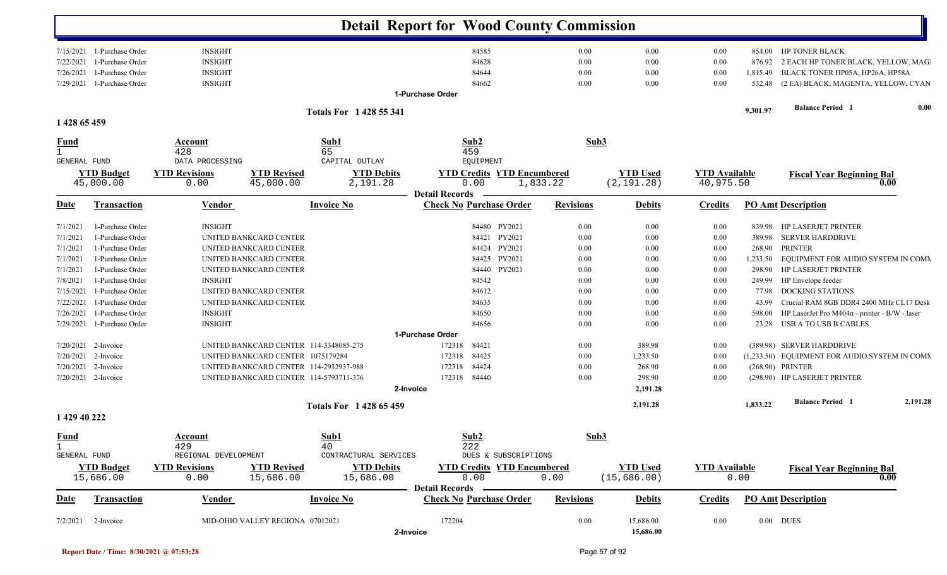|                             |                                                                    |                                                    |                                        |                                                 |                       | <b>Detail Report for Wood County Commission</b>        |                      |                                |                                   |                              |                                                                                         |          |
|-----------------------------|--------------------------------------------------------------------|----------------------------------------------------|----------------------------------------|-------------------------------------------------|-----------------------|--------------------------------------------------------|----------------------|--------------------------------|-----------------------------------|------------------------------|-----------------------------------------------------------------------------------------|----------|
| 7/22/2021<br>7/26/2021      | 7/15/2021 1-Purchase Order<br>1-Purchase Order<br>1-Purchase Order | <b>INSIGHT</b><br><b>INSIGHT</b><br><b>INSIGHT</b> |                                        |                                                 |                       | 84585<br>84628<br>84644                                | 0.00<br>0.00<br>0.00 | $0.00\,$<br>0.00<br>0.00       | $0.00\,$<br>0.00<br>0.00          | 854.00<br>876.92<br>1,815.49 | HP TONER BLACK<br>2 EACH HP TONER BLACK, YELLOW, MAG<br>BLACK TONER HP05A, HP26A, HP58A |          |
| 7/29/2021                   | 1-Purchase Order                                                   | <b>INSIGHT</b>                                     |                                        |                                                 |                       | 84662                                                  | 0.00                 | $0.00\,$                       | 0.00                              |                              | 532.48 (2 EA) BLACK, MAGENTA, YELLOW, CYAN                                              |          |
|                             |                                                                    |                                                    |                                        |                                                 | 1-Purchase Order      |                                                        |                      |                                |                                   |                              |                                                                                         |          |
|                             |                                                                    |                                                    |                                        | <b>Totals For 1428 55 341</b>                   |                       |                                                        |                      |                                |                                   | 9,301.97                     | <b>Balance Period</b> 1                                                                 | 0.00     |
| 1 428 65 459                |                                                                    |                                                    |                                        |                                                 |                       |                                                        |                      |                                |                                   |                              |                                                                                         |          |
| <u>Fund</u><br>$\mathbf{1}$ |                                                                    | Account<br>428                                     |                                        | Sub1<br>65                                      |                       | Sub2<br>459                                            | Sub3                 |                                |                                   |                              |                                                                                         |          |
| <b>GENERAL FUND</b>         | <b>YTD Budget</b><br>45,000.00                                     | DATA PROCESSING<br><b>YTD Revisions</b><br>0.00    | <b>YTD Revised</b><br>45,000.00        | CAPITAL OUTLAY<br><b>YTD Debits</b><br>2,191.28 |                       | EQUIPMENT<br><b>YTD Credits YTD Encumbered</b><br>0.00 | 1,833.22             | <b>YTD Used</b><br>(2, 191.28) | <b>YTD</b> Available<br>40,975.50 |                              | <b>Fiscal Year Beginning Bal</b>                                                        | 0.00     |
| Date                        | <b>Transaction</b>                                                 | <b>Vendor</b>                                      |                                        | <b>Invoice No</b>                               | <b>Detail Records</b> | <b>Check No Purchase Order</b>                         | <b>Revisions</b>     | <b>Debits</b>                  | <b>Credits</b>                    |                              | <b>PO Amt Description</b>                                                               |          |
| 7/1/2021                    | 1-Purchase Order                                                   | <b>INSIGHT</b>                                     |                                        |                                                 |                       | PY2021<br>84480                                        | 0.00                 | 0.00                           | 0.00                              | 839.98                       | <b>HP LASERJET PRINTER</b>                                                              |          |
| 7/1/2021                    | 1-Purchase Order                                                   |                                                    | UNITED BANKCARD CENTER                 |                                                 |                       | PY2021<br>84421                                        | 0.00                 | $0.00\,$                       | $0.00\,$                          | 389.98                       | <b>SERVER HARDDRIVE</b>                                                                 |          |
| 7/1/2021                    | 1-Purchase Order                                                   |                                                    | UNITED BANKCARD CENTER                 |                                                 |                       | PY2021<br>84424                                        | 0.00                 | 0.00                           | $0.00\,$                          | 268.90                       | <b>PRINTER</b>                                                                          |          |
| 7/1/2021                    | 1-Purchase Order                                                   |                                                    | UNITED BANKCARD CENTER                 |                                                 |                       | 84425 PY2021                                           | 0.00                 | 0.00                           | 0.00                              | 1,233.50                     | EQUIPMENT FOR AUDIO SYSTEM IN COMM                                                      |          |
| 7/1/2021                    | 1-Purchase Order                                                   |                                                    | UNITED BANKCARD CENTER                 |                                                 |                       | 84440 PY2021                                           | 0.00                 | $0.00\,$                       | $0.00\,$                          | 298.90                       | <b>HP LASERJET PRINTER</b>                                                              |          |
| 7/8/2021                    | 1-Purchase Order                                                   | <b>INSIGHT</b>                                     |                                        |                                                 |                       | 84542                                                  | 0.00                 | $0.00\,$                       | $0.00\,$                          | 249.99                       | HP Envelope feeder                                                                      |          |
| 7/15/2021                   | 1-Purchase Order                                                   |                                                    | UNITED BANKCARD CENTER                 |                                                 |                       | 84612                                                  | 0.00                 | $0.00\,$                       | $0.00\,$                          | 77.98                        | <b>DOCKING STATIONS</b>                                                                 |          |
| 7/22/2021                   | 1-Purchase Order                                                   |                                                    | UNITED BANKCARD CENTER                 |                                                 |                       | 84635                                                  | 0.00                 | $0.00\,$                       | $0.00\,$                          | 43.99                        | Crucial RAM 8GB DDR4 2400 MHz CL17 Desk                                                 |          |
| 7/26/2021                   | 1-Purchase Order                                                   | <b>INSIGHT</b>                                     |                                        |                                                 |                       | 84650                                                  | 0.00                 | 0.00                           | $0.00\,$                          | 598.00                       | HP LaserJet Pro M404n - printer - B/W - laser                                           |          |
| 7/29/2021                   | 1-Purchase Order                                                   | <b>INSIGHT</b>                                     |                                        |                                                 |                       | 84656                                                  | 0.00                 | 0.00                           | 0.00                              | 23.28                        | USB A TO USB B CABLES                                                                   |          |
|                             |                                                                    |                                                    |                                        |                                                 | 1-Purchase Order      |                                                        |                      |                                |                                   |                              |                                                                                         |          |
| 7/20/2021                   | 2-Invoice                                                          |                                                    | UNITED BANKCARD CENTER 114-3348085-275 |                                                 | 172318                | 84421                                                  | 0.00                 | 389.98                         | 0.00                              |                              | (389.98) SERVER HARDDRIVE                                                               |          |
| 7/20/2021                   | 2-Invoice                                                          |                                                    | UNITED BANKCARD CENTER 1075179284      |                                                 | 172318                | 84425                                                  | 0.00                 | 1,233.50                       | 0.00                              |                              | (1,233.50) EQUIPMENT FOR AUDIO SYSTEM IN COMM                                           |          |
| 7/20/2021                   | 2-Invoice                                                          |                                                    | UNITED BANKCARD CENTER 114-2932937-988 |                                                 | 172318                | 84424                                                  | 0.00                 | 268.90                         | 0.00                              |                              | (268.90) PRINTER                                                                        |          |
|                             | 7/20/2021 2-Invoice                                                |                                                    | UNITED BANKCARD CENTER 114-5793711-376 |                                                 | 172318                | 84440                                                  | 0.00                 | 298.90                         | 0.00                              |                              | (298.90) HP LASERJET PRINTER                                                            |          |
|                             |                                                                    |                                                    |                                        | <b>Totals For 1428 65 459</b>                   | 2-Invoice             |                                                        |                      | 2,191.28<br>2,191.28           |                                   | 1,833.22                     | <b>Balance Period 1</b>                                                                 | 2,191.28 |
| 1 429 40 222                |                                                                    |                                                    |                                        |                                                 |                       |                                                        |                      |                                |                                   |                              |                                                                                         |          |
| <b>Fund</b><br>$\mathbf{1}$ |                                                                    | Account<br>429                                     |                                        | Sub1<br>40                                      |                       | Sub2<br>222                                            | Sub3                 |                                |                                   |                              |                                                                                         |          |
| GENERAL FUND                |                                                                    | REGIONAL DEVELOPMENT                               |                                        | CONTRACTURAL SERVICES                           |                       | DUES & SUBSCRIPTIONS                                   |                      |                                |                                   |                              |                                                                                         |          |
|                             | <b>YTD Budget</b>                                                  | <b>YTD Revisions</b>                               | <b>YTD Revised</b>                     | <b>YTD Debits</b>                               |                       | <b>YTD Credits YTD Encumbered</b>                      |                      | <b>YTD Used</b>                | <b>YTD Available</b>              |                              | <b>Fiscal Year Beginning Bal</b>                                                        |          |
|                             | 15,686.00                                                          | 0.00                                               | 15,686.00                              | 15,686.00                                       | <b>Detail Records</b> | 0.00                                                   | 0.00                 | (15, 686.00)                   |                                   | 0.00                         |                                                                                         | 0.00     |
| <b>Date</b>                 | <b>Transaction</b>                                                 | <b>Vendor</b>                                      |                                        | <b>Invoice No</b>                               |                       | <b>Check No Purchase Order</b>                         | <b>Revisions</b>     | <b>Debits</b>                  | <b>Credits</b>                    |                              | <b>PO Amt Description</b>                                                               |          |
| 7/2/2021                    | 2-Invoice                                                          |                                                    | MID-OHIO VALLEY REGIONA 07012021       |                                                 | 172204<br>2-Invoice   |                                                        | 0.00                 | 15,686.00<br>15,686.00         | $0.00\,$                          |                              | $0.00$ DUES                                                                             |          |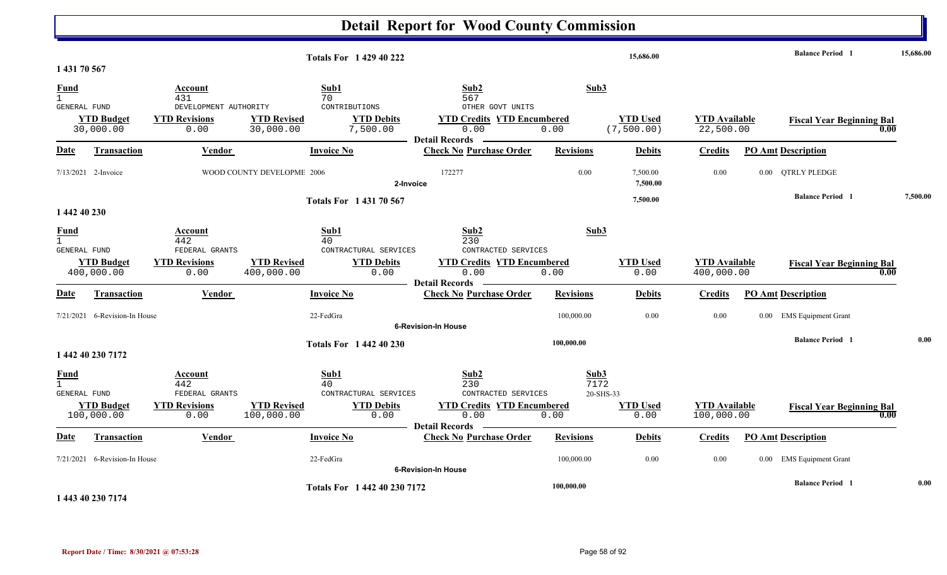|                                                    |                                 |                                                       |                                  | <b>Totals For 142940222</b>                    |                                                                                        |                           | 15,686.00                      |                                    |          | <b>Balance Period 1</b>                  | 15,686.00 |
|----------------------------------------------------|---------------------------------|-------------------------------------------------------|----------------------------------|------------------------------------------------|----------------------------------------------------------------------------------------|---------------------------|--------------------------------|------------------------------------|----------|------------------------------------------|-----------|
| 1 431 70 567                                       |                                 |                                                       |                                  |                                                |                                                                                        |                           |                                |                                    |          |                                          |           |
| <b>Fund</b><br>$\mathbf{1}$                        |                                 | Account<br>431                                        | 70                               | Sub1                                           | Sub2<br>567                                                                            | Sub3                      |                                |                                    |          |                                          |           |
| GENERAL FUND                                       | <b>YTD Budget</b><br>30,000.00  | DEVELOPMENT AUTHORITY<br><b>YTD Revisions</b><br>0.00 | <b>YTD Revised</b><br>30,000.00  | CONTRIBUTIONS<br><b>YTD Debits</b><br>7,500.00 | OTHER GOVT UNITS<br><b>YTD Credits YTD Encumbered</b><br>0.00<br><b>Detail Records</b> | 0.00                      | <b>YTD Used</b><br>(7, 500.00) | <b>YTD Available</b><br>22,500.00  |          | <b>Fiscal Year Beginning Bal</b><br>0.00 |           |
| Date                                               | Transaction                     | Vendor                                                |                                  | <b>Invoice No</b>                              | <b>Check No Purchase Order</b>                                                         | <b>Revisions</b>          | <b>Debits</b>                  | <b>Credits</b>                     |          | <b>PO Amt Description</b>                |           |
|                                                    | 7/13/2021 2-Invoice             |                                                       | WOOD COUNTY DEVELOPME 2006       | 2-Invoice                                      | 172277                                                                                 | 0.00                      | 7,500.00<br>7,500.00           | 0.00                               |          | 0.00 QTRLY PLEDGE                        |           |
|                                                    |                                 |                                                       |                                  | <b>Totals For 143170567</b>                    |                                                                                        |                           | 7,500.00                       |                                    |          | <b>Balance Period 1</b>                  | 7,500.00  |
| 1 442 40 230                                       |                                 |                                                       |                                  |                                                |                                                                                        |                           |                                |                                    |          |                                          |           |
| <b>Fund</b><br>$\mathbf{1}$<br><b>GENERAL FUND</b> |                                 | Account<br>442<br>FEDERAL GRANTS                      | 40                               | Sub1<br>CONTRACTURAL SERVICES                  | Sub2<br>230<br>CONTRACTED SERVICES                                                     | Sub3                      |                                |                                    |          |                                          |           |
|                                                    | <b>YTD Budget</b><br>400,000.00 | <b>YTD Revisions</b><br>0.00                          | <b>YTD Revised</b><br>400,000.00 | <b>YTD Debits</b><br>0.00                      | <b>YTD Credits YTD Encumbered</b><br>0.00                                              | 0.00                      | <b>YTD Used</b><br>0.00        | <b>YTD Available</b><br>400,000.00 |          | <b>Fiscal Year Beginning Bal</b><br>0.00 |           |
| Date                                               | Transaction                     | Vendor                                                |                                  | <b>Invoice No</b>                              | <b>Detail Records</b><br><b>Check No Purchase Order</b>                                | <b>Revisions</b>          | <b>Debits</b>                  | <b>Credits</b>                     |          | <b>PO Amt Description</b>                |           |
|                                                    | 7/21/2021 6-Revision-In House   |                                                       | 22-FedGra                        |                                                | <b>6-Revision-In House</b>                                                             | 100,000.00                | 0.00                           | 0.00                               |          | 0.00 EMS Equipment Grant                 |           |
|                                                    |                                 |                                                       |                                  | <b>Totals For 1 442 40 230</b>                 |                                                                                        | 100,000.00                |                                |                                    |          | <b>Balance Period 1</b>                  | 0.00      |
|                                                    | 1 442 40 230 7172               |                                                       |                                  |                                                |                                                                                        |                           |                                |                                    |          |                                          |           |
| <b>Fund</b><br>$\mathbf{1}$<br><b>GENERAL FUND</b> |                                 | <b>Account</b><br>442<br>FEDERAL GRANTS               | 40                               | Sub1<br>CONTRACTURAL SERVICES                  | Sub2<br>230<br>CONTRACTED SERVICES                                                     | Sub3<br>7172<br>20-SHS-33 |                                |                                    |          |                                          |           |
|                                                    | <b>YTD Budget</b><br>100,000.00 | <b>YTD Revisions</b><br>0.00                          | <b>YTD Revised</b><br>100,000.00 | <b>YTD Debits</b><br>0.00                      | <b>YTD Credits YTD Encumbered</b><br>0.00                                              | 0.00                      | <b>YTD Used</b><br>0.00        | <b>YTD Available</b><br>100,000.00 |          | <b>Fiscal Year Beginning Bal</b><br>0.00 |           |
| Date                                               | <b>Transaction</b>              | <b>Vendor</b>                                         |                                  | <b>Invoice No</b>                              | <b>Detail Records</b><br><b>Check No Purchase Order</b>                                | <b>Revisions</b>          | <b>Debits</b>                  | <b>Credits</b>                     |          | <b>PO Amt Description</b>                |           |
|                                                    | $7/21/2021$ 6-Revision-In House |                                                       | 22-FedGra                        |                                                | <b>6-Revision-In House</b>                                                             | 100,000.00                | 0.00                           | 0.00                               | $0.00\,$ | <b>EMS</b> Equipment Grant               |           |
|                                                    | 1 443 40 230 7174               |                                                       |                                  | Totals For 1 442 40 230 7172                   |                                                                                        | 100,000.00                |                                |                                    |          | <b>Balance Period 1</b>                  | 0.00      |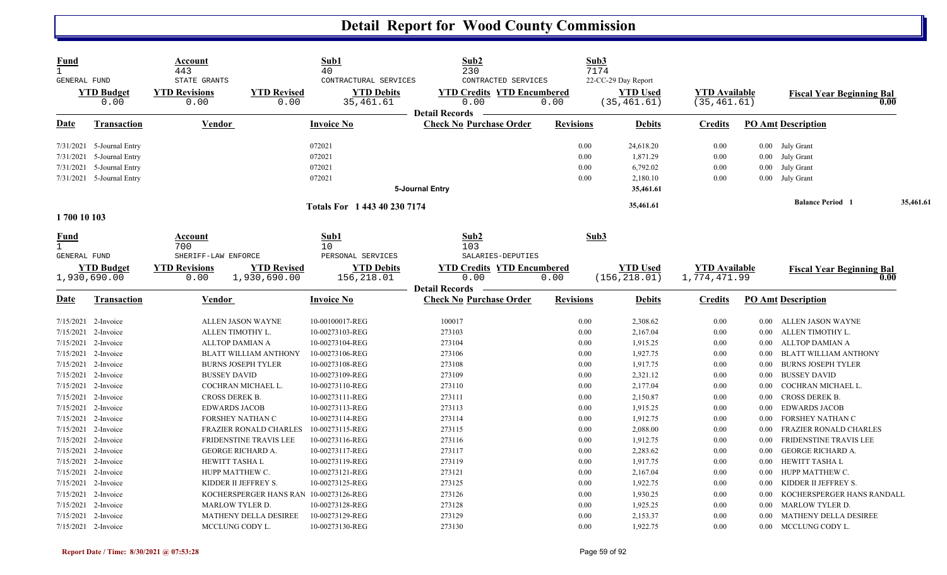| <b>Fund</b><br>$\mathbf{1}$<br>GENERAL FUND                       | <b>YTD Budget</b><br>0.00                                                                    | Account<br>443<br>STATE GRANTS<br><b>YTD Revisions</b><br>0.00 | <b>YTD Revised</b><br>0.00                                | Sub1<br>40<br>CONTRACTURAL SERVICES<br><b>YTD Debits</b><br>35,461.61 | Sub2<br>230<br>CONTRACTED SERVICES<br><b>YTD Credits YTD Encumbered</b><br>0.00<br><b>Detail Records</b> | 0.00                         | Sub3<br>7174<br>22-CC-29 Day Report<br><b>YTD Used</b><br>(35, 461.61) | <b>YTD</b> Available<br>(35, 461.61) |                              | <b>Fiscal Year Beginning Bal</b><br>0.00                              |           |
|-------------------------------------------------------------------|----------------------------------------------------------------------------------------------|----------------------------------------------------------------|-----------------------------------------------------------|-----------------------------------------------------------------------|----------------------------------------------------------------------------------------------------------|------------------------------|------------------------------------------------------------------------|--------------------------------------|------------------------------|-----------------------------------------------------------------------|-----------|
| Date                                                              | <b>Transaction</b>                                                                           | <b>Vendor</b>                                                  |                                                           | <b>Invoice No</b>                                                     | <b>Check No Purchase Order</b>                                                                           | <b>Revisions</b>             | <b>Debits</b>                                                          | <b>Credits</b>                       |                              | <b>PO Amt Description</b>                                             |           |
| 7/31/2021<br>7/31/2021                                            | 7/31/2021 5-Journal Entry<br>5-Journal Entry<br>5-Journal Entry<br>7/31/2021 5-Journal Entry |                                                                |                                                           | 072021<br>072021<br>072021<br>072021                                  |                                                                                                          | 0.00<br>0.00<br>0.00<br>0.00 | 24,618.20<br>1,871.29<br>6,792.02<br>2,180.10                          | 0.00<br>0.00<br>0.00<br>0.00         | $0.00\,$<br>$0.00\,$         | 0.00 July Grant<br>0.00 July Grant<br>July Grant<br>July Grant        |           |
|                                                                   |                                                                                              |                                                                |                                                           | Totals For 1 443 40 230 7174                                          | 5-Journal Entry                                                                                          |                              | 35,461.61<br>35,461.61                                                 |                                      |                              | <b>Balance Period 1</b>                                               | 35,461.61 |
| 1700 10 103                                                       |                                                                                              |                                                                |                                                           |                                                                       |                                                                                                          |                              |                                                                        |                                      |                              |                                                                       |           |
| <u>Fund</u><br>$\mathbf{1}$<br>GENERAL FUND                       |                                                                                              | Account<br>700<br>SHERIFF-LAW ENFORCE                          |                                                           | Sub1<br>10<br>PERSONAL SERVICES                                       | Sub2<br>103<br>SALARIES-DEPUTIES                                                                         |                              | Sub3                                                                   |                                      |                              |                                                                       |           |
|                                                                   | <b>YTD</b> Budget<br>1,930,690.00                                                            | <b>YTD Revisions</b><br>0.00                                   | <b>YTD Revised</b><br>1,930,690.00                        | <b>YTD Debits</b><br>156,218.01                                       | <b>YTD Credits YTD Encumbered</b><br>0.00<br><b>Detail Records</b>                                       | 0.00                         | <b>YTD</b> Used<br>(156, 218.01)                                       | <b>YTD</b> Available<br>1,774,471.99 |                              | <b>Fiscal Year Beginning Bal</b><br>0.00                              |           |
| <b>Date</b>                                                       | Transaction                                                                                  | Vendor                                                         |                                                           | <b>Invoice No</b>                                                     | <b>Check No Purchase Order</b>                                                                           | <b>Revisions</b>             | <b>Debits</b>                                                          | <b>Credits</b>                       |                              | <b>PO Amt Description</b>                                             |           |
| 7/15/2021 2-Invoice                                               | 7/15/2021 2-Invoice                                                                          | ALLEN TIMOTHY L.                                               | ALLEN JASON WAYNE                                         | 10-00100017-REG<br>10-00273103-REG                                    | 100017<br>273103                                                                                         | 0.00<br>0.00                 | 2,308.62<br>2,167.04                                                   | 0.00<br>0.00                         | 0.00<br>0.00                 | ALLEN JASON WAYNE<br>ALLEN TIMOTHY L.                                 |           |
| 7/15/2021 2-Invoice                                               | 7/15/2021 2-Invoice<br>7/15/2021 2-Invoice                                                   | ALLTOP DAMIAN A                                                | <b>BLATT WILLIAM ANTHONY</b><br><b>BURNS JOSEPH TYLER</b> | 10-00273104-REG<br>10-00273106-REG<br>10-00273108-REG                 | 273104<br>273106<br>273108                                                                               | 0.00<br>0.00<br>0.00         | 1,915.25<br>1,927.75<br>1,917.75                                       | $0.00\,$<br>0.00<br>0.00             | $0.00\,$<br>$0.00\,$<br>0.00 | ALLTOP DAMIAN A<br>BLATT WILLIAM ANTHONY<br><b>BURNS JOSEPH TYLER</b> |           |
| 7/15/2021 2-Invoice<br>7/15/2021 2-Invoice<br>7/15/2021 2-Invoice |                                                                                              | <b>BUSSEY DAVID</b><br>CROSS DEREK B.                          | COCHRAN MICHAEL L.                                        | 10-00273109-REG<br>10-00273110-REG<br>10-00273111-REG                 | 273109<br>273110<br>273111                                                                               | 0.00<br>0.00<br>0.00         | 2,321.12<br>2,177.04<br>2,150.87                                       | $0.00\,$<br>0.00<br>0.00             | $0.00\,$<br>$0.00\,$<br>0.00 | <b>BUSSEY DAVID</b><br>COCHRAN MICHAEL L.<br>CROSS DEREK B.           |           |
| 7/15/2021 2-Invoice<br>7/15/2021                                  | 7/15/2021 2-Invoice<br>2-Invoice                                                             | <b>EDWARDS JACOB</b><br>FORSHEY NATHAN C                       | <b>FRAZIER RONALD CHARLES</b>                             | 10-00273113-REG<br>10-00273114-REG<br>10-00273115-REG                 | 273113<br>273114<br>273115                                                                               | 0.00<br>0.00<br>0.00         | 1,915.25<br>1,912.75<br>2,088.00                                       | $0.00\,$<br>$0.00\,$<br>0.00         | 0.00<br>0.00<br>$0.00\,$     | <b>EDWARDS JACOB</b><br>FORSHEY NATHAN C<br>FRAZIER RONALD CHARLES    |           |
| 7/15/2021 2-Invoice<br>7/15/2021                                  | 7/15/2021 2-Invoice<br>2-Invoice                                                             | <b>GEORGE RICHARD A.</b><br>HEWITT TASHA L                     | FRIDENSTINE TRAVIS LEE                                    | 10-00273116-REG<br>10-00273117-REG<br>10-00273119-REG                 | 273116<br>273117<br>273119                                                                               | 0.00<br>0.00<br>0.00         | 1,912.75<br>2,283.62<br>1,917.75                                       | 0.00<br>0.00<br>0.00                 | 0.00<br>0.00<br>$0.00\,$     | FRIDENSTINE TRAVIS LEE<br>GEORGE RICHARD A.<br>HEWITT TASHA L         |           |
| 7/15/2021 2-Invoice<br>7/15/2021 2-Invoice<br>7/15/2021           | 2-Invoice                                                                                    | HUPP MATTHEW C.<br>KIDDER II JEFFREY S.                        | KOCHERSPERGER HANS RAN 10-00273126-REG                    | 10-00273121-REG<br>10-00273125-REG                                    | 273121<br>273125<br>273126                                                                               | 0.00<br>0.00<br>0.00         | 2,167.04<br>1,922.75<br>1,930.25                                       | 0.00<br>0.00<br>0.00                 | $0.00\,$<br>0.00<br>$0.00\,$ | HUPP MATTHEW C.<br>KIDDER II JEFFREY S.<br>KOCHERSPERGER HANS RANDALL |           |
| 7/15/2021 2-Invoice                                               | 7/15/2021 2-Invoice<br>7/15/2021 2-Invoice                                                   | <b>MARLOW TYLER D.</b><br>MCCLUNG CODY L.                      | MATHENY DELLA DESIREE                                     | 10-00273128-REG<br>10-00273129-REG<br>10-00273130-REG                 | 273128<br>273129<br>273130                                                                               | 0.00<br>0.00<br>0.00         | 1,925.25<br>2,153.37<br>1,922.75                                       | 0.00<br>0.00<br>0.00                 | $0.00\,$<br>0.00<br>0.00     | <b>MARLOW TYLER D.</b><br>MATHENY DELLA DESIREE<br>MCCLUNG CODY L.    |           |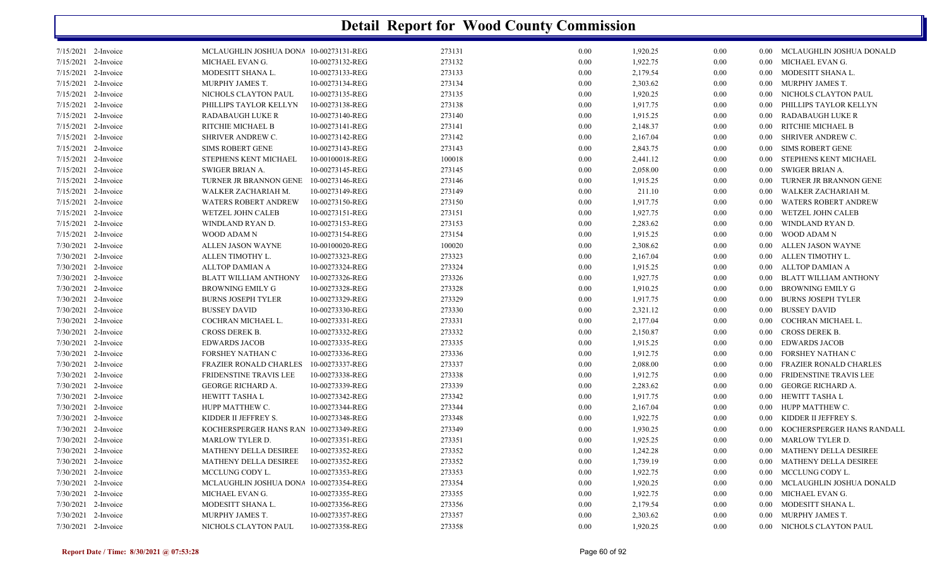| 273131<br>1,920.25<br>0.00<br>7/15/2021 2-Invoice<br>MCLAUGHLIN JOSHUA DONA 10-00273131-REG<br>0.00<br>0.00 MCLAUGHLIN JOSHUA DONALD<br>1,922.75<br>7/15/2021 2-Invoice<br>10-00273132-REG<br>273132<br>0.00<br>0.00 MICHAEL EVAN G.<br>MICHAEL EVAN G.<br>0.00<br>2,179.54<br>7/15/2021 2-Invoice<br>MODESITT SHANA L.<br>10-00273133-REG<br>273133<br>0.00<br>0.00 MODESITT SHANA L.<br>$0.00\,$<br>2,303.62<br>7/15/2021 2-Invoice<br>MURPHY JAMES T.<br>10-00273134-REG<br>273134<br>0.00<br>0.00<br>0.00 MURPHY JAMES T.<br>1,920.25<br>7/15/2021 2-Invoice<br>NICHOLS CLAYTON PAUL<br>10-00273135-REG<br>273135<br>0.00<br>0.00<br>NICHOLS CLAYTON PAUL<br>$0.00\,$<br>7/15/2021 2-Invoice<br>10-00273138-REG<br>273138<br>1,917.75<br>0.00<br>PHILLIPS TAYLOR KELLYN<br>PHILLIPS TAYLOR KELLYN<br>0.00<br>$0.00\,$<br>7/15/2021 2-Invoice<br>10-00273140-REG<br>273140<br>1,915.25<br>0.00<br>0.00 RADABAUGH LUKE R<br>RADABAUGH LUKE R<br>$0.00\,$<br>2,148.37<br>7/15/2021 2-Invoice<br>RITCHIE MICHAEL B<br>10-00273141-REG<br>273141<br>0.00<br>RITCHIE MICHAEL B<br>$0.00\,$<br>$0.00\,$<br>7/15/2021 2-Invoice<br>10-00273142-REG<br>273142<br>2,167.04<br>0.00<br>SHRIVER ANDREW C.<br>SHRIVER ANDREW C.<br>0.00<br>$0.00 -$<br>2,843.75<br>7/15/2021 2-Invoice<br><b>SIMS ROBERT GENE</b><br>10-00273143-REG<br>273143<br>0.00<br>0.00<br>0.00 SIMS ROBERT GENE<br>7/15/2021 2-Invoice<br>STEPHENS KENT MICHAEL<br>10-00100018-REG<br>100018<br>2,441.12<br>0.00<br>STEPHENS KENT MICHAEL<br>$0.00\,$<br>$0.00\,$<br>2,058.00<br>7/15/2021 2-Invoice<br>SWIGER BRIAN A.<br>10-00273145-REG<br>273145<br>0.00<br>0.00<br>0.00 SWIGER BRIAN A.<br>1,915.25<br>7/15/2021 2-Invoice<br>TURNER JR BRANNON GENE 10-00273146-REG<br>273146<br>0.00<br>0.00<br>0.00 TURNER JR BRANNON GENE<br>7/15/2021 2-Invoice<br>10-00273149-REG<br>273149<br>0.00<br>211.10<br>0.00<br>WALKER ZACHARIAH M.<br>WALKER ZACHARIAH M.<br>0.00 <sub>1</sub><br>7/15/2021 2-Invoice<br><b>WATERS ROBERT ANDREW</b><br>10-00273150-REG<br>273150<br>1,917.75<br>0.00<br><b>WATERS ROBERT ANDREW</b><br>$0.00\,$<br>$0.00\,$<br>1,927.75<br>7/15/2021 2-Invoice<br>10-00273151-REG<br>273151<br>0.00<br>0.00<br>WETZEL JOHN CALEB<br>WETZEL JOHN CALEB<br>$0.00\,$<br>2,283.62<br>7/15/2021 2-Invoice<br>WINDLAND RYAN D.<br>10-00273153-REG<br>273153<br>0.00<br>0.00<br>0.00<br>WINDLAND RYAN D.<br>7/15/2021 2-Invoice<br>10-00273154-REG<br>1,915.25<br>WOOD ADAM N<br>WOOD ADAM N<br>273154<br>0.00<br>0.00<br>$0.00\,$<br>2,308.62<br>7/30/2021 2-Invoice<br>10-00100020-REG<br>100020<br>0.00<br>ALLEN JASON WAYNE<br>ALLEN JASON WAYNE<br>$0.00\,$<br>$0.00\,$<br>2,167.04<br>7/30/2021 2-Invoice<br>ALLEN TIMOTHY L.<br>10-00273323-REG<br>273323<br>0.00<br>0.00<br>ALLEN TIMOTHY L.<br>$0.00\,$<br>7/30/2021 2-Invoice<br>10-00273324-REG<br>273324<br>1,915.25<br>0.00 ALLTOP DAMIAN A<br>ALLTOP DAMIAN A<br>0.00<br>0.00<br>7/30/2021 2-Invoice<br>10-00273326-REG<br>273326<br>1,927.75<br><b>BLATT WILLIAM ANTHONY</b><br>BLATT WILLIAM ANTHONY<br>0.00<br>0.00<br>$0.00\,$<br>7/30/2021 2-Invoice<br>10-00273328-REG<br>273328<br>1,910.25<br>0.00<br>BROWNING EMILY G<br><b>BROWNING EMILY G</b><br>$0.00\,$<br>$0.00\,$<br>7/30/2021 2-Invoice<br>10-00273329-REG<br>273329<br>1,917.75<br><b>BURNS JOSEPH TYLER</b><br>0.00<br>0.00<br>BURNS JOSEPH TYLER<br>$0.00\,$<br>10-00273330-REG<br>273330<br>2,321.12<br><b>BUSSEY DAVID</b><br>7/30/2021 2-Invoice<br><b>BUSSEY DAVID</b><br>0.00<br>0.00<br>$0.00\,$<br>2,177.04<br>7/30/2021 2-Invoice<br>10-00273331-REG<br>273331<br>0.00<br>COCHRAN MICHAEL L.<br>COCHRAN MICHAEL L.<br>0.00<br>0.00 <sub>1</sub><br>2,150.87<br>7/30/2021 2-Invoice<br>CROSS DEREK B.<br>10-00273332-REG<br>273332<br>0.00<br>0.00<br>0.00 CROSS DEREK B.<br>10-00273335-REG<br>273335<br>1,915.25<br>7/30/2021 2-Invoice<br><b>EDWARDS JACOB</b><br>0.00<br><b>EDWARDS JACOB</b><br>$0.00\,$<br>$0.00\,$<br>7/30/2021 2-Invoice<br>10-00273336-REG<br>273336<br>1,912.75<br>FORSHEY NATHAN C<br>FORSHEY NATHAN C<br>0.00<br>0.00<br>$0.00^{\circ}$<br>7/30/2021 2-Invoice<br>10-00273337-REG<br>273337<br>2,088.00<br>0.00<br>FRAZIER RONALD CHARLES<br>0.00<br>FRAZIER RONALD CHARLES<br>$0.00\,$<br>1,912.75<br>7/30/2021 2-Invoice<br>FRIDENSTINE TRAVIS LEE<br>10-00273338-REG<br>273338<br>0.00<br>FRIDENSTINE TRAVIS LEE<br>$0.00\,$<br>0.00<br>2,283.62<br>7/30/2021 2-Invoice<br><b>GEORGE RICHARD A.</b><br>10-00273339-REG<br>273339<br>0.00<br>0.00<br>0.00 GEORGE RICHARD A.<br>1,917.75<br>7/30/2021 2-Invoice<br>HEWITT TASHA L<br>10-00273342-REG<br>273342<br>0.00<br>0.00<br>0.00 HEWITT TASHA L<br>7/30/2021 2-Invoice<br>10-00273344-REG<br>273344<br>2,167.04<br>0.00<br>0.00 HUPP MATTHEW C.<br>HUPP MATTHEW C.<br>0.00<br>1,922.75<br>7/30/2021 2-Invoice<br>KIDDER II JEFFREY S.<br>10-00273348-REG<br>273348<br>0.00<br>KIDDER II JEFFREY S.<br>$0.00\,$<br>$0.00\,$<br>1,930.25<br>7/30/2021 2-Invoice<br>KOCHERSPERGER HANS RAN 10-00273349-REG<br>273349<br>0.00<br>0.00<br>KOCHERSPERGER HANS RANDALL<br>$0.00\,$<br>10-00273351-REG<br>273351<br>1,925.25<br>7/30/2021 2-Invoice<br>MARLOW TYLER D.<br>0.00<br>0.00<br>0.00 MARLOW TYLER D.<br>7/30/2021 2-Invoice<br>MATHENY DELLA DESIREE<br>10-00273352-REG<br>273352<br>1,242.28<br>0.00 MATHENY DELLA DESIREE<br>0.00<br>0.00<br>273352<br>7/30/2021 2-Invoice<br>MATHENY DELLA DESIREE<br>10-00273352-REG<br>1,739.19<br>0.00<br>MATHENY DELLA DESIREE<br>$0.00\,$<br>$0.00\,$<br>1,922.75<br>7/30/2021 2-Invoice<br>MCCLUNG CODY L.<br>10-00273353-REG<br>273353<br>0.00<br>0.00<br>0.00 MCCLUNG CODY L.<br>MCLAUGHLIN JOSHUA DONA 10-00273354-REG<br>273354<br>1,920.25<br>0.00 MCLAUGHLIN JOSHUA DONALD<br>7/30/2021 2-Invoice<br>0.00<br>$0.00\,$<br>1,922.75<br>7/30/2021 2-Invoice<br>10-00273355-REG<br>273355<br>0.00<br>0.00 MICHAEL EVAN G.<br>MICHAEL EVAN G.<br>0.00<br>7/30/2021 2-Invoice<br>273356<br>2,179.54<br>0.00<br>MODESITT SHANA L.<br>MODESITT SHANA L.<br>10-00273356-REG<br>$0.00\,$<br>$0.00\,$<br>7/30/2021 2-Invoice<br>10-00273357-REG<br>273357<br>2,303.62<br>0.00 MURPHY JAMES T.<br>MURPHY JAMES T.<br>0.00<br>0.00<br>7/30/2021 2-Invoice<br>10-00273358-REG<br>273358<br>0.00<br>1,920.25<br>0.00<br>0.00 NICHOLS CLAYTON PAUL<br>NICHOLS CLAYTON PAUL |  |  |  |  |  |
|-----------------------------------------------------------------------------------------------------------------------------------------------------------------------------------------------------------------------------------------------------------------------------------------------------------------------------------------------------------------------------------------------------------------------------------------------------------------------------------------------------------------------------------------------------------------------------------------------------------------------------------------------------------------------------------------------------------------------------------------------------------------------------------------------------------------------------------------------------------------------------------------------------------------------------------------------------------------------------------------------------------------------------------------------------------------------------------------------------------------------------------------------------------------------------------------------------------------------------------------------------------------------------------------------------------------------------------------------------------------------------------------------------------------------------------------------------------------------------------------------------------------------------------------------------------------------------------------------------------------------------------------------------------------------------------------------------------------------------------------------------------------------------------------------------------------------------------------------------------------------------------------------------------------------------------------------------------------------------------------------------------------------------------------------------------------------------------------------------------------------------------------------------------------------------------------------------------------------------------------------------------------------------------------------------------------------------------------------------------------------------------------------------------------------------------------------------------------------------------------------------------------------------------------------------------------------------------------------------------------------------------------------------------------------------------------------------------------------------------------------------------------------------------------------------------------------------------------------------------------------------------------------------------------------------------------------------------------------------------------------------------------------------------------------------------------------------------------------------------------------------------------------------------------------------------------------------------------------------------------------------------------------------------------------------------------------------------------------------------------------------------------------------------------------------------------------------------------------------------------------------------------------------------------------------------------------------------------------------------------------------------------------------------------------------------------------------------------------------------------------------------------------------------------------------------------------------------------------------------------------------------------------------------------------------------------------------------------------------------------------------------------------------------------------------------------------------------------------------------------------------------------------------------------------------------------------------------------------------------------------------------------------------------------------------------------------------------------------------------------------------------------------------------------------------------------------------------------------------------------------------------------------------------------------------------------------------------------------------------------------------------------------------------------------------------------------------------------------------------------------------------------------------------------------------------------------------------------------------------------------------------------------------------------------------------------------------------------------------------------------------------------------------------------------------------------------------------------------------------------------------------------------------------------------------------------------------------------------------------------------------------------------------------------------------------------------------------------------------------------------------------------------------------------------------------------------------------------------------------------------------------------------------------------------------------------------------------------------------------------------------------------------------------------------------------------------------------------------------------------------------------------------------------------------------------------------------------------------------------------------------------------------------------------------------------------------------------------------------------------------------------------------------------------------------------------------------------------------------------------------------------------------------------------------------------------------------------------------------------------------------------------------------------------------------------------------|--|--|--|--|--|
|                                                                                                                                                                                                                                                                                                                                                                                                                                                                                                                                                                                                                                                                                                                                                                                                                                                                                                                                                                                                                                                                                                                                                                                                                                                                                                                                                                                                                                                                                                                                                                                                                                                                                                                                                                                                                                                                                                                                                                                                                                                                                                                                                                                                                                                                                                                                                                                                                                                                                                                                                                                                                                                                                                                                                                                                                                                                                                                                                                                                                                                                                                                                                                                                                                                                                                                                                                                                                                                                                                                                                                                                                                                                                                                                                                                                                                                                                                                                                                                                                                                                                                                                                                                                                                                                                                                                                                                                                                                                                                                                                                                                                                                                                                                                                                                                                                                                                                                                                                                                                                                                                                                                                                                                                                                                                                                                                                                                                                                                                                                                                                                                                                                                                                                                                                                                                                                                                                                                                                                                                                                                                                                                                                                                                                                                                                                       |  |  |  |  |  |
|                                                                                                                                                                                                                                                                                                                                                                                                                                                                                                                                                                                                                                                                                                                                                                                                                                                                                                                                                                                                                                                                                                                                                                                                                                                                                                                                                                                                                                                                                                                                                                                                                                                                                                                                                                                                                                                                                                                                                                                                                                                                                                                                                                                                                                                                                                                                                                                                                                                                                                                                                                                                                                                                                                                                                                                                                                                                                                                                                                                                                                                                                                                                                                                                                                                                                                                                                                                                                                                                                                                                                                                                                                                                                                                                                                                                                                                                                                                                                                                                                                                                                                                                                                                                                                                                                                                                                                                                                                                                                                                                                                                                                                                                                                                                                                                                                                                                                                                                                                                                                                                                                                                                                                                                                                                                                                                                                                                                                                                                                                                                                                                                                                                                                                                                                                                                                                                                                                                                                                                                                                                                                                                                                                                                                                                                                                                       |  |  |  |  |  |
|                                                                                                                                                                                                                                                                                                                                                                                                                                                                                                                                                                                                                                                                                                                                                                                                                                                                                                                                                                                                                                                                                                                                                                                                                                                                                                                                                                                                                                                                                                                                                                                                                                                                                                                                                                                                                                                                                                                                                                                                                                                                                                                                                                                                                                                                                                                                                                                                                                                                                                                                                                                                                                                                                                                                                                                                                                                                                                                                                                                                                                                                                                                                                                                                                                                                                                                                                                                                                                                                                                                                                                                                                                                                                                                                                                                                                                                                                                                                                                                                                                                                                                                                                                                                                                                                                                                                                                                                                                                                                                                                                                                                                                                                                                                                                                                                                                                                                                                                                                                                                                                                                                                                                                                                                                                                                                                                                                                                                                                                                                                                                                                                                                                                                                                                                                                                                                                                                                                                                                                                                                                                                                                                                                                                                                                                                                                       |  |  |  |  |  |
|                                                                                                                                                                                                                                                                                                                                                                                                                                                                                                                                                                                                                                                                                                                                                                                                                                                                                                                                                                                                                                                                                                                                                                                                                                                                                                                                                                                                                                                                                                                                                                                                                                                                                                                                                                                                                                                                                                                                                                                                                                                                                                                                                                                                                                                                                                                                                                                                                                                                                                                                                                                                                                                                                                                                                                                                                                                                                                                                                                                                                                                                                                                                                                                                                                                                                                                                                                                                                                                                                                                                                                                                                                                                                                                                                                                                                                                                                                                                                                                                                                                                                                                                                                                                                                                                                                                                                                                                                                                                                                                                                                                                                                                                                                                                                                                                                                                                                                                                                                                                                                                                                                                                                                                                                                                                                                                                                                                                                                                                                                                                                                                                                                                                                                                                                                                                                                                                                                                                                                                                                                                                                                                                                                                                                                                                                                                       |  |  |  |  |  |
|                                                                                                                                                                                                                                                                                                                                                                                                                                                                                                                                                                                                                                                                                                                                                                                                                                                                                                                                                                                                                                                                                                                                                                                                                                                                                                                                                                                                                                                                                                                                                                                                                                                                                                                                                                                                                                                                                                                                                                                                                                                                                                                                                                                                                                                                                                                                                                                                                                                                                                                                                                                                                                                                                                                                                                                                                                                                                                                                                                                                                                                                                                                                                                                                                                                                                                                                                                                                                                                                                                                                                                                                                                                                                                                                                                                                                                                                                                                                                                                                                                                                                                                                                                                                                                                                                                                                                                                                                                                                                                                                                                                                                                                                                                                                                                                                                                                                                                                                                                                                                                                                                                                                                                                                                                                                                                                                                                                                                                                                                                                                                                                                                                                                                                                                                                                                                                                                                                                                                                                                                                                                                                                                                                                                                                                                                                                       |  |  |  |  |  |
|                                                                                                                                                                                                                                                                                                                                                                                                                                                                                                                                                                                                                                                                                                                                                                                                                                                                                                                                                                                                                                                                                                                                                                                                                                                                                                                                                                                                                                                                                                                                                                                                                                                                                                                                                                                                                                                                                                                                                                                                                                                                                                                                                                                                                                                                                                                                                                                                                                                                                                                                                                                                                                                                                                                                                                                                                                                                                                                                                                                                                                                                                                                                                                                                                                                                                                                                                                                                                                                                                                                                                                                                                                                                                                                                                                                                                                                                                                                                                                                                                                                                                                                                                                                                                                                                                                                                                                                                                                                                                                                                                                                                                                                                                                                                                                                                                                                                                                                                                                                                                                                                                                                                                                                                                                                                                                                                                                                                                                                                                                                                                                                                                                                                                                                                                                                                                                                                                                                                                                                                                                                                                                                                                                                                                                                                                                                       |  |  |  |  |  |
|                                                                                                                                                                                                                                                                                                                                                                                                                                                                                                                                                                                                                                                                                                                                                                                                                                                                                                                                                                                                                                                                                                                                                                                                                                                                                                                                                                                                                                                                                                                                                                                                                                                                                                                                                                                                                                                                                                                                                                                                                                                                                                                                                                                                                                                                                                                                                                                                                                                                                                                                                                                                                                                                                                                                                                                                                                                                                                                                                                                                                                                                                                                                                                                                                                                                                                                                                                                                                                                                                                                                                                                                                                                                                                                                                                                                                                                                                                                                                                                                                                                                                                                                                                                                                                                                                                                                                                                                                                                                                                                                                                                                                                                                                                                                                                                                                                                                                                                                                                                                                                                                                                                                                                                                                                                                                                                                                                                                                                                                                                                                                                                                                                                                                                                                                                                                                                                                                                                                                                                                                                                                                                                                                                                                                                                                                                                       |  |  |  |  |  |
|                                                                                                                                                                                                                                                                                                                                                                                                                                                                                                                                                                                                                                                                                                                                                                                                                                                                                                                                                                                                                                                                                                                                                                                                                                                                                                                                                                                                                                                                                                                                                                                                                                                                                                                                                                                                                                                                                                                                                                                                                                                                                                                                                                                                                                                                                                                                                                                                                                                                                                                                                                                                                                                                                                                                                                                                                                                                                                                                                                                                                                                                                                                                                                                                                                                                                                                                                                                                                                                                                                                                                                                                                                                                                                                                                                                                                                                                                                                                                                                                                                                                                                                                                                                                                                                                                                                                                                                                                                                                                                                                                                                                                                                                                                                                                                                                                                                                                                                                                                                                                                                                                                                                                                                                                                                                                                                                                                                                                                                                                                                                                                                                                                                                                                                                                                                                                                                                                                                                                                                                                                                                                                                                                                                                                                                                                                                       |  |  |  |  |  |
|                                                                                                                                                                                                                                                                                                                                                                                                                                                                                                                                                                                                                                                                                                                                                                                                                                                                                                                                                                                                                                                                                                                                                                                                                                                                                                                                                                                                                                                                                                                                                                                                                                                                                                                                                                                                                                                                                                                                                                                                                                                                                                                                                                                                                                                                                                                                                                                                                                                                                                                                                                                                                                                                                                                                                                                                                                                                                                                                                                                                                                                                                                                                                                                                                                                                                                                                                                                                                                                                                                                                                                                                                                                                                                                                                                                                                                                                                                                                                                                                                                                                                                                                                                                                                                                                                                                                                                                                                                                                                                                                                                                                                                                                                                                                                                                                                                                                                                                                                                                                                                                                                                                                                                                                                                                                                                                                                                                                                                                                                                                                                                                                                                                                                                                                                                                                                                                                                                                                                                                                                                                                                                                                                                                                                                                                                                                       |  |  |  |  |  |
|                                                                                                                                                                                                                                                                                                                                                                                                                                                                                                                                                                                                                                                                                                                                                                                                                                                                                                                                                                                                                                                                                                                                                                                                                                                                                                                                                                                                                                                                                                                                                                                                                                                                                                                                                                                                                                                                                                                                                                                                                                                                                                                                                                                                                                                                                                                                                                                                                                                                                                                                                                                                                                                                                                                                                                                                                                                                                                                                                                                                                                                                                                                                                                                                                                                                                                                                                                                                                                                                                                                                                                                                                                                                                                                                                                                                                                                                                                                                                                                                                                                                                                                                                                                                                                                                                                                                                                                                                                                                                                                                                                                                                                                                                                                                                                                                                                                                                                                                                                                                                                                                                                                                                                                                                                                                                                                                                                                                                                                                                                                                                                                                                                                                                                                                                                                                                                                                                                                                                                                                                                                                                                                                                                                                                                                                                                                       |  |  |  |  |  |
|                                                                                                                                                                                                                                                                                                                                                                                                                                                                                                                                                                                                                                                                                                                                                                                                                                                                                                                                                                                                                                                                                                                                                                                                                                                                                                                                                                                                                                                                                                                                                                                                                                                                                                                                                                                                                                                                                                                                                                                                                                                                                                                                                                                                                                                                                                                                                                                                                                                                                                                                                                                                                                                                                                                                                                                                                                                                                                                                                                                                                                                                                                                                                                                                                                                                                                                                                                                                                                                                                                                                                                                                                                                                                                                                                                                                                                                                                                                                                                                                                                                                                                                                                                                                                                                                                                                                                                                                                                                                                                                                                                                                                                                                                                                                                                                                                                                                                                                                                                                                                                                                                                                                                                                                                                                                                                                                                                                                                                                                                                                                                                                                                                                                                                                                                                                                                                                                                                                                                                                                                                                                                                                                                                                                                                                                                                                       |  |  |  |  |  |
|                                                                                                                                                                                                                                                                                                                                                                                                                                                                                                                                                                                                                                                                                                                                                                                                                                                                                                                                                                                                                                                                                                                                                                                                                                                                                                                                                                                                                                                                                                                                                                                                                                                                                                                                                                                                                                                                                                                                                                                                                                                                                                                                                                                                                                                                                                                                                                                                                                                                                                                                                                                                                                                                                                                                                                                                                                                                                                                                                                                                                                                                                                                                                                                                                                                                                                                                                                                                                                                                                                                                                                                                                                                                                                                                                                                                                                                                                                                                                                                                                                                                                                                                                                                                                                                                                                                                                                                                                                                                                                                                                                                                                                                                                                                                                                                                                                                                                                                                                                                                                                                                                                                                                                                                                                                                                                                                                                                                                                                                                                                                                                                                                                                                                                                                                                                                                                                                                                                                                                                                                                                                                                                                                                                                                                                                                                                       |  |  |  |  |  |
|                                                                                                                                                                                                                                                                                                                                                                                                                                                                                                                                                                                                                                                                                                                                                                                                                                                                                                                                                                                                                                                                                                                                                                                                                                                                                                                                                                                                                                                                                                                                                                                                                                                                                                                                                                                                                                                                                                                                                                                                                                                                                                                                                                                                                                                                                                                                                                                                                                                                                                                                                                                                                                                                                                                                                                                                                                                                                                                                                                                                                                                                                                                                                                                                                                                                                                                                                                                                                                                                                                                                                                                                                                                                                                                                                                                                                                                                                                                                                                                                                                                                                                                                                                                                                                                                                                                                                                                                                                                                                                                                                                                                                                                                                                                                                                                                                                                                                                                                                                                                                                                                                                                                                                                                                                                                                                                                                                                                                                                                                                                                                                                                                                                                                                                                                                                                                                                                                                                                                                                                                                                                                                                                                                                                                                                                                                                       |  |  |  |  |  |
|                                                                                                                                                                                                                                                                                                                                                                                                                                                                                                                                                                                                                                                                                                                                                                                                                                                                                                                                                                                                                                                                                                                                                                                                                                                                                                                                                                                                                                                                                                                                                                                                                                                                                                                                                                                                                                                                                                                                                                                                                                                                                                                                                                                                                                                                                                                                                                                                                                                                                                                                                                                                                                                                                                                                                                                                                                                                                                                                                                                                                                                                                                                                                                                                                                                                                                                                                                                                                                                                                                                                                                                                                                                                                                                                                                                                                                                                                                                                                                                                                                                                                                                                                                                                                                                                                                                                                                                                                                                                                                                                                                                                                                                                                                                                                                                                                                                                                                                                                                                                                                                                                                                                                                                                                                                                                                                                                                                                                                                                                                                                                                                                                                                                                                                                                                                                                                                                                                                                                                                                                                                                                                                                                                                                                                                                                                                       |  |  |  |  |  |
|                                                                                                                                                                                                                                                                                                                                                                                                                                                                                                                                                                                                                                                                                                                                                                                                                                                                                                                                                                                                                                                                                                                                                                                                                                                                                                                                                                                                                                                                                                                                                                                                                                                                                                                                                                                                                                                                                                                                                                                                                                                                                                                                                                                                                                                                                                                                                                                                                                                                                                                                                                                                                                                                                                                                                                                                                                                                                                                                                                                                                                                                                                                                                                                                                                                                                                                                                                                                                                                                                                                                                                                                                                                                                                                                                                                                                                                                                                                                                                                                                                                                                                                                                                                                                                                                                                                                                                                                                                                                                                                                                                                                                                                                                                                                                                                                                                                                                                                                                                                                                                                                                                                                                                                                                                                                                                                                                                                                                                                                                                                                                                                                                                                                                                                                                                                                                                                                                                                                                                                                                                                                                                                                                                                                                                                                                                                       |  |  |  |  |  |
|                                                                                                                                                                                                                                                                                                                                                                                                                                                                                                                                                                                                                                                                                                                                                                                                                                                                                                                                                                                                                                                                                                                                                                                                                                                                                                                                                                                                                                                                                                                                                                                                                                                                                                                                                                                                                                                                                                                                                                                                                                                                                                                                                                                                                                                                                                                                                                                                                                                                                                                                                                                                                                                                                                                                                                                                                                                                                                                                                                                                                                                                                                                                                                                                                                                                                                                                                                                                                                                                                                                                                                                                                                                                                                                                                                                                                                                                                                                                                                                                                                                                                                                                                                                                                                                                                                                                                                                                                                                                                                                                                                                                                                                                                                                                                                                                                                                                                                                                                                                                                                                                                                                                                                                                                                                                                                                                                                                                                                                                                                                                                                                                                                                                                                                                                                                                                                                                                                                                                                                                                                                                                                                                                                                                                                                                                                                       |  |  |  |  |  |
|                                                                                                                                                                                                                                                                                                                                                                                                                                                                                                                                                                                                                                                                                                                                                                                                                                                                                                                                                                                                                                                                                                                                                                                                                                                                                                                                                                                                                                                                                                                                                                                                                                                                                                                                                                                                                                                                                                                                                                                                                                                                                                                                                                                                                                                                                                                                                                                                                                                                                                                                                                                                                                                                                                                                                                                                                                                                                                                                                                                                                                                                                                                                                                                                                                                                                                                                                                                                                                                                                                                                                                                                                                                                                                                                                                                                                                                                                                                                                                                                                                                                                                                                                                                                                                                                                                                                                                                                                                                                                                                                                                                                                                                                                                                                                                                                                                                                                                                                                                                                                                                                                                                                                                                                                                                                                                                                                                                                                                                                                                                                                                                                                                                                                                                                                                                                                                                                                                                                                                                                                                                                                                                                                                                                                                                                                                                       |  |  |  |  |  |
|                                                                                                                                                                                                                                                                                                                                                                                                                                                                                                                                                                                                                                                                                                                                                                                                                                                                                                                                                                                                                                                                                                                                                                                                                                                                                                                                                                                                                                                                                                                                                                                                                                                                                                                                                                                                                                                                                                                                                                                                                                                                                                                                                                                                                                                                                                                                                                                                                                                                                                                                                                                                                                                                                                                                                                                                                                                                                                                                                                                                                                                                                                                                                                                                                                                                                                                                                                                                                                                                                                                                                                                                                                                                                                                                                                                                                                                                                                                                                                                                                                                                                                                                                                                                                                                                                                                                                                                                                                                                                                                                                                                                                                                                                                                                                                                                                                                                                                                                                                                                                                                                                                                                                                                                                                                                                                                                                                                                                                                                                                                                                                                                                                                                                                                                                                                                                                                                                                                                                                                                                                                                                                                                                                                                                                                                                                                       |  |  |  |  |  |
|                                                                                                                                                                                                                                                                                                                                                                                                                                                                                                                                                                                                                                                                                                                                                                                                                                                                                                                                                                                                                                                                                                                                                                                                                                                                                                                                                                                                                                                                                                                                                                                                                                                                                                                                                                                                                                                                                                                                                                                                                                                                                                                                                                                                                                                                                                                                                                                                                                                                                                                                                                                                                                                                                                                                                                                                                                                                                                                                                                                                                                                                                                                                                                                                                                                                                                                                                                                                                                                                                                                                                                                                                                                                                                                                                                                                                                                                                                                                                                                                                                                                                                                                                                                                                                                                                                                                                                                                                                                                                                                                                                                                                                                                                                                                                                                                                                                                                                                                                                                                                                                                                                                                                                                                                                                                                                                                                                                                                                                                                                                                                                                                                                                                                                                                                                                                                                                                                                                                                                                                                                                                                                                                                                                                                                                                                                                       |  |  |  |  |  |
|                                                                                                                                                                                                                                                                                                                                                                                                                                                                                                                                                                                                                                                                                                                                                                                                                                                                                                                                                                                                                                                                                                                                                                                                                                                                                                                                                                                                                                                                                                                                                                                                                                                                                                                                                                                                                                                                                                                                                                                                                                                                                                                                                                                                                                                                                                                                                                                                                                                                                                                                                                                                                                                                                                                                                                                                                                                                                                                                                                                                                                                                                                                                                                                                                                                                                                                                                                                                                                                                                                                                                                                                                                                                                                                                                                                                                                                                                                                                                                                                                                                                                                                                                                                                                                                                                                                                                                                                                                                                                                                                                                                                                                                                                                                                                                                                                                                                                                                                                                                                                                                                                                                                                                                                                                                                                                                                                                                                                                                                                                                                                                                                                                                                                                                                                                                                                                                                                                                                                                                                                                                                                                                                                                                                                                                                                                                       |  |  |  |  |  |
|                                                                                                                                                                                                                                                                                                                                                                                                                                                                                                                                                                                                                                                                                                                                                                                                                                                                                                                                                                                                                                                                                                                                                                                                                                                                                                                                                                                                                                                                                                                                                                                                                                                                                                                                                                                                                                                                                                                                                                                                                                                                                                                                                                                                                                                                                                                                                                                                                                                                                                                                                                                                                                                                                                                                                                                                                                                                                                                                                                                                                                                                                                                                                                                                                                                                                                                                                                                                                                                                                                                                                                                                                                                                                                                                                                                                                                                                                                                                                                                                                                                                                                                                                                                                                                                                                                                                                                                                                                                                                                                                                                                                                                                                                                                                                                                                                                                                                                                                                                                                                                                                                                                                                                                                                                                                                                                                                                                                                                                                                                                                                                                                                                                                                                                                                                                                                                                                                                                                                                                                                                                                                                                                                                                                                                                                                                                       |  |  |  |  |  |
|                                                                                                                                                                                                                                                                                                                                                                                                                                                                                                                                                                                                                                                                                                                                                                                                                                                                                                                                                                                                                                                                                                                                                                                                                                                                                                                                                                                                                                                                                                                                                                                                                                                                                                                                                                                                                                                                                                                                                                                                                                                                                                                                                                                                                                                                                                                                                                                                                                                                                                                                                                                                                                                                                                                                                                                                                                                                                                                                                                                                                                                                                                                                                                                                                                                                                                                                                                                                                                                                                                                                                                                                                                                                                                                                                                                                                                                                                                                                                                                                                                                                                                                                                                                                                                                                                                                                                                                                                                                                                                                                                                                                                                                                                                                                                                                                                                                                                                                                                                                                                                                                                                                                                                                                                                                                                                                                                                                                                                                                                                                                                                                                                                                                                                                                                                                                                                                                                                                                                                                                                                                                                                                                                                                                                                                                                                                       |  |  |  |  |  |
|                                                                                                                                                                                                                                                                                                                                                                                                                                                                                                                                                                                                                                                                                                                                                                                                                                                                                                                                                                                                                                                                                                                                                                                                                                                                                                                                                                                                                                                                                                                                                                                                                                                                                                                                                                                                                                                                                                                                                                                                                                                                                                                                                                                                                                                                                                                                                                                                                                                                                                                                                                                                                                                                                                                                                                                                                                                                                                                                                                                                                                                                                                                                                                                                                                                                                                                                                                                                                                                                                                                                                                                                                                                                                                                                                                                                                                                                                                                                                                                                                                                                                                                                                                                                                                                                                                                                                                                                                                                                                                                                                                                                                                                                                                                                                                                                                                                                                                                                                                                                                                                                                                                                                                                                                                                                                                                                                                                                                                                                                                                                                                                                                                                                                                                                                                                                                                                                                                                                                                                                                                                                                                                                                                                                                                                                                                                       |  |  |  |  |  |
|                                                                                                                                                                                                                                                                                                                                                                                                                                                                                                                                                                                                                                                                                                                                                                                                                                                                                                                                                                                                                                                                                                                                                                                                                                                                                                                                                                                                                                                                                                                                                                                                                                                                                                                                                                                                                                                                                                                                                                                                                                                                                                                                                                                                                                                                                                                                                                                                                                                                                                                                                                                                                                                                                                                                                                                                                                                                                                                                                                                                                                                                                                                                                                                                                                                                                                                                                                                                                                                                                                                                                                                                                                                                                                                                                                                                                                                                                                                                                                                                                                                                                                                                                                                                                                                                                                                                                                                                                                                                                                                                                                                                                                                                                                                                                                                                                                                                                                                                                                                                                                                                                                                                                                                                                                                                                                                                                                                                                                                                                                                                                                                                                                                                                                                                                                                                                                                                                                                                                                                                                                                                                                                                                                                                                                                                                                                       |  |  |  |  |  |
|                                                                                                                                                                                                                                                                                                                                                                                                                                                                                                                                                                                                                                                                                                                                                                                                                                                                                                                                                                                                                                                                                                                                                                                                                                                                                                                                                                                                                                                                                                                                                                                                                                                                                                                                                                                                                                                                                                                                                                                                                                                                                                                                                                                                                                                                                                                                                                                                                                                                                                                                                                                                                                                                                                                                                                                                                                                                                                                                                                                                                                                                                                                                                                                                                                                                                                                                                                                                                                                                                                                                                                                                                                                                                                                                                                                                                                                                                                                                                                                                                                                                                                                                                                                                                                                                                                                                                                                                                                                                                                                                                                                                                                                                                                                                                                                                                                                                                                                                                                                                                                                                                                                                                                                                                                                                                                                                                                                                                                                                                                                                                                                                                                                                                                                                                                                                                                                                                                                                                                                                                                                                                                                                                                                                                                                                                                                       |  |  |  |  |  |
|                                                                                                                                                                                                                                                                                                                                                                                                                                                                                                                                                                                                                                                                                                                                                                                                                                                                                                                                                                                                                                                                                                                                                                                                                                                                                                                                                                                                                                                                                                                                                                                                                                                                                                                                                                                                                                                                                                                                                                                                                                                                                                                                                                                                                                                                                                                                                                                                                                                                                                                                                                                                                                                                                                                                                                                                                                                                                                                                                                                                                                                                                                                                                                                                                                                                                                                                                                                                                                                                                                                                                                                                                                                                                                                                                                                                                                                                                                                                                                                                                                                                                                                                                                                                                                                                                                                                                                                                                                                                                                                                                                                                                                                                                                                                                                                                                                                                                                                                                                                                                                                                                                                                                                                                                                                                                                                                                                                                                                                                                                                                                                                                                                                                                                                                                                                                                                                                                                                                                                                                                                                                                                                                                                                                                                                                                                                       |  |  |  |  |  |
|                                                                                                                                                                                                                                                                                                                                                                                                                                                                                                                                                                                                                                                                                                                                                                                                                                                                                                                                                                                                                                                                                                                                                                                                                                                                                                                                                                                                                                                                                                                                                                                                                                                                                                                                                                                                                                                                                                                                                                                                                                                                                                                                                                                                                                                                                                                                                                                                                                                                                                                                                                                                                                                                                                                                                                                                                                                                                                                                                                                                                                                                                                                                                                                                                                                                                                                                                                                                                                                                                                                                                                                                                                                                                                                                                                                                                                                                                                                                                                                                                                                                                                                                                                                                                                                                                                                                                                                                                                                                                                                                                                                                                                                                                                                                                                                                                                                                                                                                                                                                                                                                                                                                                                                                                                                                                                                                                                                                                                                                                                                                                                                                                                                                                                                                                                                                                                                                                                                                                                                                                                                                                                                                                                                                                                                                                                                       |  |  |  |  |  |
|                                                                                                                                                                                                                                                                                                                                                                                                                                                                                                                                                                                                                                                                                                                                                                                                                                                                                                                                                                                                                                                                                                                                                                                                                                                                                                                                                                                                                                                                                                                                                                                                                                                                                                                                                                                                                                                                                                                                                                                                                                                                                                                                                                                                                                                                                                                                                                                                                                                                                                                                                                                                                                                                                                                                                                                                                                                                                                                                                                                                                                                                                                                                                                                                                                                                                                                                                                                                                                                                                                                                                                                                                                                                                                                                                                                                                                                                                                                                                                                                                                                                                                                                                                                                                                                                                                                                                                                                                                                                                                                                                                                                                                                                                                                                                                                                                                                                                                                                                                                                                                                                                                                                                                                                                                                                                                                                                                                                                                                                                                                                                                                                                                                                                                                                                                                                                                                                                                                                                                                                                                                                                                                                                                                                                                                                                                                       |  |  |  |  |  |
|                                                                                                                                                                                                                                                                                                                                                                                                                                                                                                                                                                                                                                                                                                                                                                                                                                                                                                                                                                                                                                                                                                                                                                                                                                                                                                                                                                                                                                                                                                                                                                                                                                                                                                                                                                                                                                                                                                                                                                                                                                                                                                                                                                                                                                                                                                                                                                                                                                                                                                                                                                                                                                                                                                                                                                                                                                                                                                                                                                                                                                                                                                                                                                                                                                                                                                                                                                                                                                                                                                                                                                                                                                                                                                                                                                                                                                                                                                                                                                                                                                                                                                                                                                                                                                                                                                                                                                                                                                                                                                                                                                                                                                                                                                                                                                                                                                                                                                                                                                                                                                                                                                                                                                                                                                                                                                                                                                                                                                                                                                                                                                                                                                                                                                                                                                                                                                                                                                                                                                                                                                                                                                                                                                                                                                                                                                                       |  |  |  |  |  |
|                                                                                                                                                                                                                                                                                                                                                                                                                                                                                                                                                                                                                                                                                                                                                                                                                                                                                                                                                                                                                                                                                                                                                                                                                                                                                                                                                                                                                                                                                                                                                                                                                                                                                                                                                                                                                                                                                                                                                                                                                                                                                                                                                                                                                                                                                                                                                                                                                                                                                                                                                                                                                                                                                                                                                                                                                                                                                                                                                                                                                                                                                                                                                                                                                                                                                                                                                                                                                                                                                                                                                                                                                                                                                                                                                                                                                                                                                                                                                                                                                                                                                                                                                                                                                                                                                                                                                                                                                                                                                                                                                                                                                                                                                                                                                                                                                                                                                                                                                                                                                                                                                                                                                                                                                                                                                                                                                                                                                                                                                                                                                                                                                                                                                                                                                                                                                                                                                                                                                                                                                                                                                                                                                                                                                                                                                                                       |  |  |  |  |  |
|                                                                                                                                                                                                                                                                                                                                                                                                                                                                                                                                                                                                                                                                                                                                                                                                                                                                                                                                                                                                                                                                                                                                                                                                                                                                                                                                                                                                                                                                                                                                                                                                                                                                                                                                                                                                                                                                                                                                                                                                                                                                                                                                                                                                                                                                                                                                                                                                                                                                                                                                                                                                                                                                                                                                                                                                                                                                                                                                                                                                                                                                                                                                                                                                                                                                                                                                                                                                                                                                                                                                                                                                                                                                                                                                                                                                                                                                                                                                                                                                                                                                                                                                                                                                                                                                                                                                                                                                                                                                                                                                                                                                                                                                                                                                                                                                                                                                                                                                                                                                                                                                                                                                                                                                                                                                                                                                                                                                                                                                                                                                                                                                                                                                                                                                                                                                                                                                                                                                                                                                                                                                                                                                                                                                                                                                                                                       |  |  |  |  |  |
|                                                                                                                                                                                                                                                                                                                                                                                                                                                                                                                                                                                                                                                                                                                                                                                                                                                                                                                                                                                                                                                                                                                                                                                                                                                                                                                                                                                                                                                                                                                                                                                                                                                                                                                                                                                                                                                                                                                                                                                                                                                                                                                                                                                                                                                                                                                                                                                                                                                                                                                                                                                                                                                                                                                                                                                                                                                                                                                                                                                                                                                                                                                                                                                                                                                                                                                                                                                                                                                                                                                                                                                                                                                                                                                                                                                                                                                                                                                                                                                                                                                                                                                                                                                                                                                                                                                                                                                                                                                                                                                                                                                                                                                                                                                                                                                                                                                                                                                                                                                                                                                                                                                                                                                                                                                                                                                                                                                                                                                                                                                                                                                                                                                                                                                                                                                                                                                                                                                                                                                                                                                                                                                                                                                                                                                                                                                       |  |  |  |  |  |
|                                                                                                                                                                                                                                                                                                                                                                                                                                                                                                                                                                                                                                                                                                                                                                                                                                                                                                                                                                                                                                                                                                                                                                                                                                                                                                                                                                                                                                                                                                                                                                                                                                                                                                                                                                                                                                                                                                                                                                                                                                                                                                                                                                                                                                                                                                                                                                                                                                                                                                                                                                                                                                                                                                                                                                                                                                                                                                                                                                                                                                                                                                                                                                                                                                                                                                                                                                                                                                                                                                                                                                                                                                                                                                                                                                                                                                                                                                                                                                                                                                                                                                                                                                                                                                                                                                                                                                                                                                                                                                                                                                                                                                                                                                                                                                                                                                                                                                                                                                                                                                                                                                                                                                                                                                                                                                                                                                                                                                                                                                                                                                                                                                                                                                                                                                                                                                                                                                                                                                                                                                                                                                                                                                                                                                                                                                                       |  |  |  |  |  |
|                                                                                                                                                                                                                                                                                                                                                                                                                                                                                                                                                                                                                                                                                                                                                                                                                                                                                                                                                                                                                                                                                                                                                                                                                                                                                                                                                                                                                                                                                                                                                                                                                                                                                                                                                                                                                                                                                                                                                                                                                                                                                                                                                                                                                                                                                                                                                                                                                                                                                                                                                                                                                                                                                                                                                                                                                                                                                                                                                                                                                                                                                                                                                                                                                                                                                                                                                                                                                                                                                                                                                                                                                                                                                                                                                                                                                                                                                                                                                                                                                                                                                                                                                                                                                                                                                                                                                                                                                                                                                                                                                                                                                                                                                                                                                                                                                                                                                                                                                                                                                                                                                                                                                                                                                                                                                                                                                                                                                                                                                                                                                                                                                                                                                                                                                                                                                                                                                                                                                                                                                                                                                                                                                                                                                                                                                                                       |  |  |  |  |  |
|                                                                                                                                                                                                                                                                                                                                                                                                                                                                                                                                                                                                                                                                                                                                                                                                                                                                                                                                                                                                                                                                                                                                                                                                                                                                                                                                                                                                                                                                                                                                                                                                                                                                                                                                                                                                                                                                                                                                                                                                                                                                                                                                                                                                                                                                                                                                                                                                                                                                                                                                                                                                                                                                                                                                                                                                                                                                                                                                                                                                                                                                                                                                                                                                                                                                                                                                                                                                                                                                                                                                                                                                                                                                                                                                                                                                                                                                                                                                                                                                                                                                                                                                                                                                                                                                                                                                                                                                                                                                                                                                                                                                                                                                                                                                                                                                                                                                                                                                                                                                                                                                                                                                                                                                                                                                                                                                                                                                                                                                                                                                                                                                                                                                                                                                                                                                                                                                                                                                                                                                                                                                                                                                                                                                                                                                                                                       |  |  |  |  |  |
|                                                                                                                                                                                                                                                                                                                                                                                                                                                                                                                                                                                                                                                                                                                                                                                                                                                                                                                                                                                                                                                                                                                                                                                                                                                                                                                                                                                                                                                                                                                                                                                                                                                                                                                                                                                                                                                                                                                                                                                                                                                                                                                                                                                                                                                                                                                                                                                                                                                                                                                                                                                                                                                                                                                                                                                                                                                                                                                                                                                                                                                                                                                                                                                                                                                                                                                                                                                                                                                                                                                                                                                                                                                                                                                                                                                                                                                                                                                                                                                                                                                                                                                                                                                                                                                                                                                                                                                                                                                                                                                                                                                                                                                                                                                                                                                                                                                                                                                                                                                                                                                                                                                                                                                                                                                                                                                                                                                                                                                                                                                                                                                                                                                                                                                                                                                                                                                                                                                                                                                                                                                                                                                                                                                                                                                                                                                       |  |  |  |  |  |
|                                                                                                                                                                                                                                                                                                                                                                                                                                                                                                                                                                                                                                                                                                                                                                                                                                                                                                                                                                                                                                                                                                                                                                                                                                                                                                                                                                                                                                                                                                                                                                                                                                                                                                                                                                                                                                                                                                                                                                                                                                                                                                                                                                                                                                                                                                                                                                                                                                                                                                                                                                                                                                                                                                                                                                                                                                                                                                                                                                                                                                                                                                                                                                                                                                                                                                                                                                                                                                                                                                                                                                                                                                                                                                                                                                                                                                                                                                                                                                                                                                                                                                                                                                                                                                                                                                                                                                                                                                                                                                                                                                                                                                                                                                                                                                                                                                                                                                                                                                                                                                                                                                                                                                                                                                                                                                                                                                                                                                                                                                                                                                                                                                                                                                                                                                                                                                                                                                                                                                                                                                                                                                                                                                                                                                                                                                                       |  |  |  |  |  |
|                                                                                                                                                                                                                                                                                                                                                                                                                                                                                                                                                                                                                                                                                                                                                                                                                                                                                                                                                                                                                                                                                                                                                                                                                                                                                                                                                                                                                                                                                                                                                                                                                                                                                                                                                                                                                                                                                                                                                                                                                                                                                                                                                                                                                                                                                                                                                                                                                                                                                                                                                                                                                                                                                                                                                                                                                                                                                                                                                                                                                                                                                                                                                                                                                                                                                                                                                                                                                                                                                                                                                                                                                                                                                                                                                                                                                                                                                                                                                                                                                                                                                                                                                                                                                                                                                                                                                                                                                                                                                                                                                                                                                                                                                                                                                                                                                                                                                                                                                                                                                                                                                                                                                                                                                                                                                                                                                                                                                                                                                                                                                                                                                                                                                                                                                                                                                                                                                                                                                                                                                                                                                                                                                                                                                                                                                                                       |  |  |  |  |  |
|                                                                                                                                                                                                                                                                                                                                                                                                                                                                                                                                                                                                                                                                                                                                                                                                                                                                                                                                                                                                                                                                                                                                                                                                                                                                                                                                                                                                                                                                                                                                                                                                                                                                                                                                                                                                                                                                                                                                                                                                                                                                                                                                                                                                                                                                                                                                                                                                                                                                                                                                                                                                                                                                                                                                                                                                                                                                                                                                                                                                                                                                                                                                                                                                                                                                                                                                                                                                                                                                                                                                                                                                                                                                                                                                                                                                                                                                                                                                                                                                                                                                                                                                                                                                                                                                                                                                                                                                                                                                                                                                                                                                                                                                                                                                                                                                                                                                                                                                                                                                                                                                                                                                                                                                                                                                                                                                                                                                                                                                                                                                                                                                                                                                                                                                                                                                                                                                                                                                                                                                                                                                                                                                                                                                                                                                                                                       |  |  |  |  |  |
|                                                                                                                                                                                                                                                                                                                                                                                                                                                                                                                                                                                                                                                                                                                                                                                                                                                                                                                                                                                                                                                                                                                                                                                                                                                                                                                                                                                                                                                                                                                                                                                                                                                                                                                                                                                                                                                                                                                                                                                                                                                                                                                                                                                                                                                                                                                                                                                                                                                                                                                                                                                                                                                                                                                                                                                                                                                                                                                                                                                                                                                                                                                                                                                                                                                                                                                                                                                                                                                                                                                                                                                                                                                                                                                                                                                                                                                                                                                                                                                                                                                                                                                                                                                                                                                                                                                                                                                                                                                                                                                                                                                                                                                                                                                                                                                                                                                                                                                                                                                                                                                                                                                                                                                                                                                                                                                                                                                                                                                                                                                                                                                                                                                                                                                                                                                                                                                                                                                                                                                                                                                                                                                                                                                                                                                                                                                       |  |  |  |  |  |
|                                                                                                                                                                                                                                                                                                                                                                                                                                                                                                                                                                                                                                                                                                                                                                                                                                                                                                                                                                                                                                                                                                                                                                                                                                                                                                                                                                                                                                                                                                                                                                                                                                                                                                                                                                                                                                                                                                                                                                                                                                                                                                                                                                                                                                                                                                                                                                                                                                                                                                                                                                                                                                                                                                                                                                                                                                                                                                                                                                                                                                                                                                                                                                                                                                                                                                                                                                                                                                                                                                                                                                                                                                                                                                                                                                                                                                                                                                                                                                                                                                                                                                                                                                                                                                                                                                                                                                                                                                                                                                                                                                                                                                                                                                                                                                                                                                                                                                                                                                                                                                                                                                                                                                                                                                                                                                                                                                                                                                                                                                                                                                                                                                                                                                                                                                                                                                                                                                                                                                                                                                                                                                                                                                                                                                                                                                                       |  |  |  |  |  |
|                                                                                                                                                                                                                                                                                                                                                                                                                                                                                                                                                                                                                                                                                                                                                                                                                                                                                                                                                                                                                                                                                                                                                                                                                                                                                                                                                                                                                                                                                                                                                                                                                                                                                                                                                                                                                                                                                                                                                                                                                                                                                                                                                                                                                                                                                                                                                                                                                                                                                                                                                                                                                                                                                                                                                                                                                                                                                                                                                                                                                                                                                                                                                                                                                                                                                                                                                                                                                                                                                                                                                                                                                                                                                                                                                                                                                                                                                                                                                                                                                                                                                                                                                                                                                                                                                                                                                                                                                                                                                                                                                                                                                                                                                                                                                                                                                                                                                                                                                                                                                                                                                                                                                                                                                                                                                                                                                                                                                                                                                                                                                                                                                                                                                                                                                                                                                                                                                                                                                                                                                                                                                                                                                                                                                                                                                                                       |  |  |  |  |  |
|                                                                                                                                                                                                                                                                                                                                                                                                                                                                                                                                                                                                                                                                                                                                                                                                                                                                                                                                                                                                                                                                                                                                                                                                                                                                                                                                                                                                                                                                                                                                                                                                                                                                                                                                                                                                                                                                                                                                                                                                                                                                                                                                                                                                                                                                                                                                                                                                                                                                                                                                                                                                                                                                                                                                                                                                                                                                                                                                                                                                                                                                                                                                                                                                                                                                                                                                                                                                                                                                                                                                                                                                                                                                                                                                                                                                                                                                                                                                                                                                                                                                                                                                                                                                                                                                                                                                                                                                                                                                                                                                                                                                                                                                                                                                                                                                                                                                                                                                                                                                                                                                                                                                                                                                                                                                                                                                                                                                                                                                                                                                                                                                                                                                                                                                                                                                                                                                                                                                                                                                                                                                                                                                                                                                                                                                                                                       |  |  |  |  |  |
|                                                                                                                                                                                                                                                                                                                                                                                                                                                                                                                                                                                                                                                                                                                                                                                                                                                                                                                                                                                                                                                                                                                                                                                                                                                                                                                                                                                                                                                                                                                                                                                                                                                                                                                                                                                                                                                                                                                                                                                                                                                                                                                                                                                                                                                                                                                                                                                                                                                                                                                                                                                                                                                                                                                                                                                                                                                                                                                                                                                                                                                                                                                                                                                                                                                                                                                                                                                                                                                                                                                                                                                                                                                                                                                                                                                                                                                                                                                                                                                                                                                                                                                                                                                                                                                                                                                                                                                                                                                                                                                                                                                                                                                                                                                                                                                                                                                                                                                                                                                                                                                                                                                                                                                                                                                                                                                                                                                                                                                                                                                                                                                                                                                                                                                                                                                                                                                                                                                                                                                                                                                                                                                                                                                                                                                                                                                       |  |  |  |  |  |
|                                                                                                                                                                                                                                                                                                                                                                                                                                                                                                                                                                                                                                                                                                                                                                                                                                                                                                                                                                                                                                                                                                                                                                                                                                                                                                                                                                                                                                                                                                                                                                                                                                                                                                                                                                                                                                                                                                                                                                                                                                                                                                                                                                                                                                                                                                                                                                                                                                                                                                                                                                                                                                                                                                                                                                                                                                                                                                                                                                                                                                                                                                                                                                                                                                                                                                                                                                                                                                                                                                                                                                                                                                                                                                                                                                                                                                                                                                                                                                                                                                                                                                                                                                                                                                                                                                                                                                                                                                                                                                                                                                                                                                                                                                                                                                                                                                                                                                                                                                                                                                                                                                                                                                                                                                                                                                                                                                                                                                                                                                                                                                                                                                                                                                                                                                                                                                                                                                                                                                                                                                                                                                                                                                                                                                                                                                                       |  |  |  |  |  |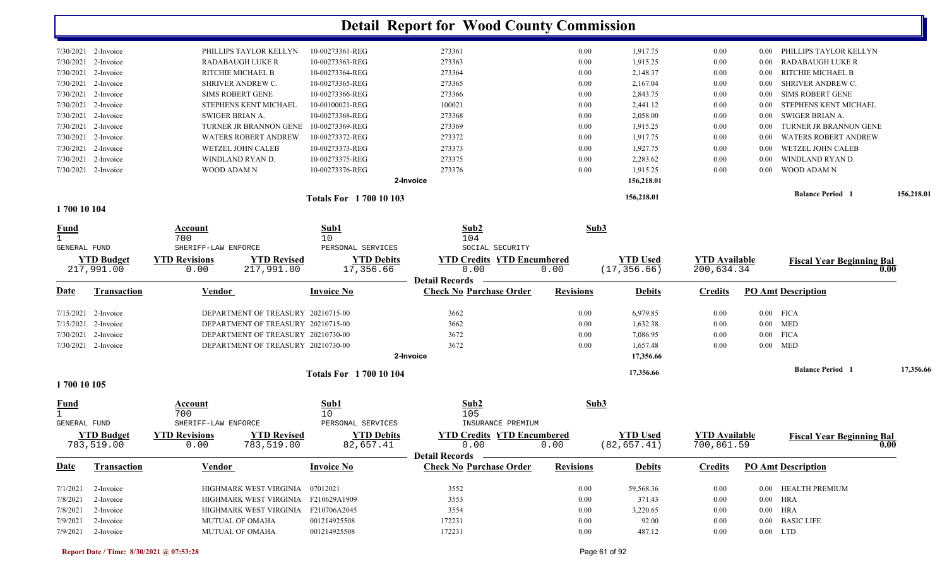|                     |                     |                         |                                     |                               | <b>Detail Report for Wood County Commission</b> |                  |                 |                      |          |                                          |            |
|---------------------|---------------------|-------------------------|-------------------------------------|-------------------------------|-------------------------------------------------|------------------|-----------------|----------------------|----------|------------------------------------------|------------|
|                     | 7/30/2021 2-Invoice |                         | PHILLIPS TAYLOR KELLYN              | 10-00273361-REG               | 273361                                          | 0.00             | 1,917.75        | $0.00\,$             | $0.00\,$ | PHILLIPS TAYLOR KELLYN                   |            |
| 7/30/2021           | 2-Invoice           | <b>RADABAUGH LUKE R</b> |                                     | 10-00273363-REG               | 273363                                          | 0.00             | 1,915.25        | 0.00                 | $0.00\,$ | <b>RADABAUGH LUKE R</b>                  |            |
| 7/30/2021           | 2-Invoice           | RITCHIE MICHAEL B       |                                     | 10-00273364-REG               | 273364                                          | 0.00             | 2,148.37        | 0.00                 | $0.00\,$ | RITCHIE MICHAEL B                        |            |
| 7/30/2021           | 2-Invoice           | SHRIVER ANDREW C.       |                                     | 10-00273365-REG               | 273365                                          | 0.00             | 2,167.04        | 0.00                 | 0.00     | SHRIVER ANDREW C.                        |            |
| 7/30/2021           | 2-Invoice           | <b>SIMS ROBERT GENE</b> |                                     | 10-00273366-REG               | 273366                                          | 0.00             | 2,843.75        | 0.00                 | 0.00     | <b>SIMS ROBERT GENE</b>                  |            |
| 7/30/2021           | 2-Invoice           |                         | STEPHENS KENT MICHAEL               | 10-00100021-REG               | 100021                                          | 0.00             | 2,441.12        | 0.00                 | 0.00     | STEPHENS KENT MICHAEL                    |            |
| 7/30/2021           | 2-Invoice           | SWIGER BRIAN A.         |                                     | 10-00273368-REG               | 273368                                          | 0.00             | 2,058.00        | 0.00                 | $0.00\,$ | SWIGER BRIAN A.                          |            |
| 7/30/2021           | 2-Invoice           |                         | TURNER JR BRANNON GENE              | 10-00273369-REG               | 273369                                          | 0.00             | 1,915.25        | 0.00                 | $0.00\,$ | TURNER JR BRANNON GENE                   |            |
| 7/30/2021           | 2-Invoice           |                         | WATERS ROBERT ANDREW                | 10-00273372-REG               | 273372                                          | 0.00             | 1,917.75        | 0.00                 | 0.00     | <b>WATERS ROBERT ANDREW</b>              |            |
| 7/30/2021           | 2-Invoice           | WETZEL JOHN CALEB       |                                     | 10-00273373-REG               | 273373                                          | 0.00             | 1,927.75        | 0.00                 | 0.00     | WETZEL JOHN CALEB                        |            |
| 7/30/2021           | 2-Invoice           | WINDLAND RYAN D.        |                                     | 10-00273375-REG               | 273375                                          | 0.00             | 2,283.62        | 0.00                 | 0.00     | WINDLAND RYAN D.                         |            |
| 7/30/2021           | 2-Invoice           | WOOD ADAM N             |                                     | 10-00273376-REG               | 273376                                          | 0.00             | 1,915.25        | 0.00                 | 0.00     | WOOD ADAM N                              |            |
|                     |                     |                         |                                     |                               | 2-Invoice                                       |                  | 156,218.01      |                      |          |                                          |            |
|                     |                     |                         |                                     |                               |                                                 |                  |                 |                      |          | <b>Balance Period</b>                    | 156,218.01 |
| 1700 10 104         |                     |                         |                                     | <b>Totals For 1700 10 103</b> |                                                 |                  | 156,218.01      |                      |          |                                          |            |
|                     |                     | Account                 |                                     | Sub1                          | Sub2                                            | Sub3             |                 |                      |          |                                          |            |
| <u>Fund</u>         |                     | 700                     |                                     | 10                            | 104                                             |                  |                 |                      |          |                                          |            |
| <b>GENERAL FUND</b> |                     | SHERIFF-LAW ENFORCE     |                                     | PERSONAL SERVICES             | SOCIAL SECURITY                                 |                  |                 |                      |          |                                          |            |
|                     | <b>YTD Budget</b>   | <b>YTD Revisions</b>    | <b>YTD Revised</b>                  | <b>YTD Debits</b>             | <b>YTD Credits YTD Encumbered</b>               |                  | <b>YTD Used</b> | <b>YTD Available</b> |          | <b>Fiscal Year Beginning Bal</b>         |            |
|                     | 217,991.00          | 0.00                    | 217,991.00                          | 17,356.66                     | 0.00<br><b>Detail Records</b>                   | 0.00             | (17, 356.66)    | 200,634.34           |          | 0.00                                     |            |
| <u>Date</u>         | <b>Transaction</b>  | <b>Vendor</b>           |                                     | <b>Invoice No</b>             | <b>Check No Purchase Order</b>                  | <b>Revisions</b> | <b>Debits</b>   | <b>Credits</b>       |          | <b>PO Amt Description</b>                |            |
| 7/15/2021           | 2-Invoice           |                         | DEPARTMENT OF TREASURY 20210715-00  |                               | 3662                                            | 0.00             | 6,979.85        | 0.00                 |          | $0.00$ FICA                              |            |
| 7/15/2021           | 2-Invoice           |                         | DEPARTMENT OF TREASURY 20210715-00  |                               | 3662                                            | 0.00             | 1,632.38        | 0.00                 |          | $0.00$ MED                               |            |
| 7/30/2021           | 2-Invoice           |                         | DEPARTMENT OF TREASURY 20210730-00  |                               | 3672                                            | 0.00             | 7,086.95        | 0.00                 |          | $0.00$ FICA                              |            |
|                     | 7/30/2021 2-Invoice |                         | DEPARTMENT OF TREASURY 20210730-00  |                               | 3672                                            | 0.00             | 1,657.48        | 0.00                 |          | $0.00$ MED                               |            |
|                     |                     |                         |                                     |                               | 2-Invoice                                       |                  | 17,356.66       |                      |          |                                          |            |
|                     |                     |                         |                                     |                               |                                                 |                  |                 |                      |          |                                          |            |
| 1700 10 105         |                     |                         |                                     | <b>Totals For 170010104</b>   |                                                 |                  | 17,356.66       |                      |          | <b>Balance Period 1</b>                  | 17,356.66  |
|                     |                     |                         |                                     |                               |                                                 |                  |                 |                      |          |                                          |            |
| <u>Fund</u><br>1.   |                     | Account<br>700          |                                     | Sub1<br>10                    | Sub2<br>105                                     | Sub3             |                 |                      |          |                                          |            |
| <b>GENERAL FUND</b> |                     | SHERIFF-LAW ENFORCE     |                                     | PERSONAL SERVICES             | INSURANCE PREMIUM                               |                  |                 |                      |          |                                          |            |
|                     | <b>YTD Budget</b>   | <b>YTD Revisions</b>    | <b>YTD Revised</b>                  | <b>YTD Debits</b>             | <b>YTD Credits YTD Encumbered</b>               |                  | <b>YTD Used</b> | <b>YTD Available</b> |          |                                          |            |
|                     | 783,519.00          | 0.00                    | 783,519.00                          | 82,657.41                     | 0.00                                            | 0.00             | (82, 657.41)    | 700,861.59           |          | <b>Fiscal Year Beginning Bal</b><br>0.00 |            |
|                     |                     |                         |                                     |                               | <b>Detail Records</b>                           |                  |                 |                      |          |                                          |            |
| Date                | Transaction         | <b>Vendor</b>           |                                     | <b>Invoice No</b>             | <b>Check No Purchase Order</b>                  | <b>Revisions</b> | <b>Debits</b>   | <b>Credits</b>       |          | <b>PO Amt Description</b>                |            |
| 7/1/2021            | 2-Invoice           |                         | HIGHMARK WEST VIRGINIA 07012021     |                               | 3552                                            | 0.00             | 59,568.36       | $0.00\,$             |          | 0.00 HEALTH PREMIUM                      |            |
| 7/8/2021            | 2-Invoice           |                         | HIGHMARK WEST VIRGINIA F210629A1909 |                               | 3553                                            | 0.00             | 371.43          | $0.00\,$             |          | $0.00$ HRA                               |            |
| 7/8/2021            | 2-Invoice           |                         | HIGHMARK WEST VIRGINIA F210706A2045 |                               | 3554                                            | $0.00\,$         | 3,220.65        | $0.00\,$             |          | $0.00$ HRA                               |            |
| 7/9/2021            | 2-Invoice           | MUTUAL OF OMAHA         |                                     | 001214925508                  | 172231                                          | $0.00\,$         | 92.00           | $0.00\,$             |          | 0.00 BASIC LIFE                          |            |
|                     |                     |                         |                                     |                               |                                                 |                  |                 |                      |          |                                          |            |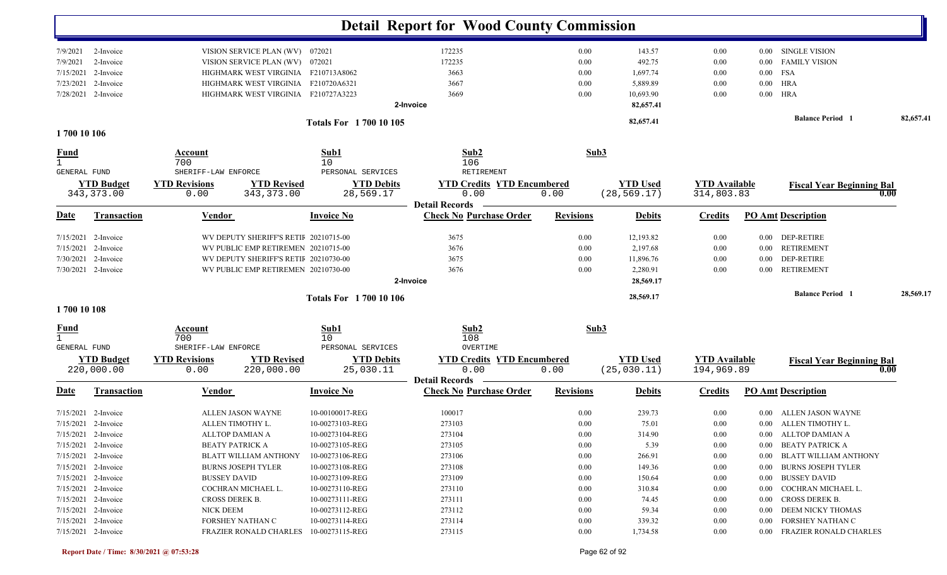| 172235<br><b>SINGLE VISION</b><br>VISION SERVICE PLAN (WV) 072021<br>0.00<br>143.57<br>0.00<br>7/9/2021<br>2-Invoice<br>$0.00\,$<br>172235<br>492.75<br>VISION SERVICE PLAN (WV) 072021<br>0.00<br>0.00<br><b>FAMILY VISION</b><br>7/9/2021<br>2-Invoice<br>0.00<br>FSA<br>7/15/2021<br>2-Invoice<br>HIGHMARK WEST VIRGINIA F210713A8062<br>3663<br>0.00<br>1,697.74<br>$0.00\,$<br>0.00<br>HRA<br>7/23/2021<br>2-Invoice<br>HIGHMARK WEST VIRGINIA F210720A6321<br>3667<br>5,889.89<br>$0.00\,$<br>0.00<br>0.00<br>10,693.90<br>HRA<br>7/28/2021 2-Invoice<br>HIGHMARK WEST VIRGINIA F210727A3223<br>3669<br>0.00<br>$0.00\,$<br>0.00<br>82,657.41<br>2-Invoice<br><b>Balance Period 1</b><br>82,657.41<br>82,657.41<br><b>Totals For 1700 10 105</b><br>1700 10 106<br>Sub1<br>Sub2<br>Sub3<br>Account<br>700<br>10<br>106<br>SHERIFF-LAW ENFORCE<br>PERSONAL SERVICES<br>RETIREMENT<br><b>GENERAL FUND</b><br><b>YTD Budget</b><br><b>YTD Revisions</b><br><b>YTD Revised</b><br><b>YTD Debits</b><br><b>YTD Credits YTD Encumbered</b><br><b>YTD Used</b><br><b>YTD</b> Available<br><b>Fiscal Year Beginning Bal</b><br>(28, 569.17)<br>343, 373.00<br>0.00<br>343, 373.00<br>28,569.17<br>0.00<br>0.00<br>314,803.83<br>0.00<br><b>Detail Records</b><br><b>Check No Purchase Order</b><br><b>PO Amt Description</b><br>Date<br><b>Transaction</b><br><b>Vendor</b><br><b>Invoice No</b><br><b>Revisions</b><br><b>Credits</b><br><b>Debits</b><br>WV DEPUTY SHERIFF'S RETIF 20210715-00<br>3675<br>12,193.82<br>DEP-RETIRE<br>$7/15/2021$ 2-Invoice<br>0.00<br>0.00<br>$0.00\,$<br>2-Invoice<br>WV PUBLIC EMP RETIREMEN 20210715-00<br>3676<br>0.00<br>2,197.68<br><b>RETIREMENT</b><br>7/15/2021<br>0.00<br>$0.00\,$<br>3675<br><b>DEP-RETIRE</b><br>7/30/2021<br>2-Invoice<br>WV DEPUTY SHERIFF'S RETIF 20210730-00<br>0.00<br>11,896.76<br>0.00<br>0.00<br>7/30/2021 2-Invoice<br>WV PUBLIC EMP RETIREMEN 20210730-00<br>3676<br>0.00<br>2,280.91<br>0.00<br><b>RETIREMENT</b><br>0.00<br>2-Invoice<br>28,569.17<br><b>Balance Period 1</b><br>28,569.17<br>28,569.17<br><b>Totals For 1700 10 106</b><br>1700 10 108<br>Sub2<br>Sub3<br>Sub1<br>Account<br>$\mathbf{1}$<br>108<br>700<br>10<br>GENERAL FUND<br>SHERIFF-LAW ENFORCE<br>PERSONAL SERVICES<br>OVERTIME<br><b>YTD Revisions</b><br><b>YTD Debits</b><br><b>YTD Used</b><br><b>YTD Available</b><br><b>YTD Budget</b><br><b>YTD Revised</b><br><b>YTD Credits YTD Encumbered</b><br><b>Fiscal Year Beginning Bal</b><br>220,000.00<br>0.00<br>(25, 030.11)<br>194,969.89<br>220,000.00<br>25,030.11<br>0.00<br>0.00<br>0.00<br><b>Detail Records</b><br><b>Check No Purchase Order</b><br><b>Revisions</b><br><b>PO Amt Description</b><br><b>Transaction</b><br><b>Vendor</b><br><b>Invoice No</b><br><b>Debits</b><br><b>Credits</b><br><u>Date</u><br>239.73<br>$7/15/2021$ 2-Invoice<br>ALLEN JASON WAYNE<br>10-00100017-REG<br>100017<br>0.00<br>0.00<br>ALLEN JASON WAYNE<br>0.00<br>0.00 ALLEN TIMOTHY L.<br>7/15/2021 2-Invoice<br>ALLEN TIMOTHY L.<br>10-00273103-REG<br>273103<br>0.00<br>75.01<br>0.00<br>7/15/2021 2-Invoice<br>ALLTOP DAMIAN A<br>10-00273104-REG<br>273104<br>$0.00\,$<br>314.90<br>$0.00\,$<br>0.00 ALLTOP DAMIAN A<br>7/15/2021 2-Invoice<br><b>BEATY PATRICK A</b><br>10-00273105-REG<br>273105<br>0.00<br>5.39<br>0.00 BEATY PATRICK A<br>$0.00\,$<br>7/15/2021 2-Invoice<br>273106<br>$0.00\,$<br>266.91<br>BLATT WILLIAM ANTHONY<br>10-00273106-REG<br>$0.00\,$<br><b>BLATT WILLIAM ANTHONY</b><br>$0.00\,$<br>$7/15/2021$ 2-Invoice<br><b>BURNS JOSEPH TYLER</b><br>10-00273108-REG<br>273108<br>$0.00\,$<br>149.36<br>$0.00\,$<br><b>BURNS JOSEPH TYLER</b><br>$0.00\,$<br><b>BUSSEY DAVID</b><br>$7/15/2021$ 2-Invoice<br><b>BUSSEY DAVID</b><br>10-00273109-REG<br>273109<br>0.00<br>150.64<br>$0.00\,$<br>$0.00\,$<br>7/15/2021 2-Invoice<br>10-00273110-REG<br>273110<br>COCHRAN MICHAEL L.<br>310.84<br>$0.00\,$<br>COCHRAN MICHAEL L.<br>0.00<br>$0.00\,$<br>273111<br>$7/15/2021$ 2-Invoice<br>CROSS DEREK B.<br>10-00273111-REG<br>0.00<br>74.45<br>$0.00\,$<br>0.00 CROSS DEREK B.<br>$7/15/2021$ 2-Invoice<br>NICK DEEM<br>10-00273112-REG<br>273112<br>0.00<br>59.34<br>0.00 DEEM NICKY THOMAS<br>$0.00\,$<br>10-00273114-REG<br>273114<br>$7/15/2021$ 2-Invoice<br>FORSHEY NATHAN C<br>0.00<br>339.32<br>FORSHEY NATHAN C<br>$0.00\,$<br>$0.00\,$<br>7/15/2021 2-Invoice<br>273115<br>$0.00\,$<br>1,734.58<br>FRAZIER RONALD CHARLES 10-00273115-REG<br>$0.00\,$<br>0.00 FRAZIER RONALD CHARLES |             |  |  | <b>Detail Report for Wood County Commission</b> |  |  |  |
|-------------------------------------------------------------------------------------------------------------------------------------------------------------------------------------------------------------------------------------------------------------------------------------------------------------------------------------------------------------------------------------------------------------------------------------------------------------------------------------------------------------------------------------------------------------------------------------------------------------------------------------------------------------------------------------------------------------------------------------------------------------------------------------------------------------------------------------------------------------------------------------------------------------------------------------------------------------------------------------------------------------------------------------------------------------------------------------------------------------------------------------------------------------------------------------------------------------------------------------------------------------------------------------------------------------------------------------------------------------------------------------------------------------------------------------------------------------------------------------------------------------------------------------------------------------------------------------------------------------------------------------------------------------------------------------------------------------------------------------------------------------------------------------------------------------------------------------------------------------------------------------------------------------------------------------------------------------------------------------------------------------------------------------------------------------------------------------------------------------------------------------------------------------------------------------------------------------------------------------------------------------------------------------------------------------------------------------------------------------------------------------------------------------------------------------------------------------------------------------------------------------------------------------------------------------------------------------------------------------------------------------------------------------------------------------------------------------------------------------------------------------------------------------------------------------------------------------------------------------------------------------------------------------------------------------------------------------------------------------------------------------------------------------------------------------------------------------------------------------------------------------------------------------------------------------------------------------------------------------------------------------------------------------------------------------------------------------------------------------------------------------------------------------------------------------------------------------------------------------------------------------------------------------------------------------------------------------------------------------------------------------------------------------------------------------------------------------------------------------------------------------------------------------------------------------------------------------------------------------------------------------------------------------------------------------------------------------------------------------------------------------------------------------------------------------------------------------------------------------------------------------------------------------------------------------------------------------------------------------------------------------------------------------------------------------------------------------------------------------------------------------------------------------------------------------------------------------------------------------------------------------------------|-------------|--|--|-------------------------------------------------|--|--|--|
|                                                                                                                                                                                                                                                                                                                                                                                                                                                                                                                                                                                                                                                                                                                                                                                                                                                                                                                                                                                                                                                                                                                                                                                                                                                                                                                                                                                                                                                                                                                                                                                                                                                                                                                                                                                                                                                                                                                                                                                                                                                                                                                                                                                                                                                                                                                                                                                                                                                                                                                                                                                                                                                                                                                                                                                                                                                                                                                                                                                                                                                                                                                                                                                                                                                                                                                                                                                                                                                                                                                                                                                                                                                                                                                                                                                                                                                                                                                                                                                                                                                                                                                                                                                                                                                                                                                                                                                                                                                                                                                         |             |  |  |                                                 |  |  |  |
|                                                                                                                                                                                                                                                                                                                                                                                                                                                                                                                                                                                                                                                                                                                                                                                                                                                                                                                                                                                                                                                                                                                                                                                                                                                                                                                                                                                                                                                                                                                                                                                                                                                                                                                                                                                                                                                                                                                                                                                                                                                                                                                                                                                                                                                                                                                                                                                                                                                                                                                                                                                                                                                                                                                                                                                                                                                                                                                                                                                                                                                                                                                                                                                                                                                                                                                                                                                                                                                                                                                                                                                                                                                                                                                                                                                                                                                                                                                                                                                                                                                                                                                                                                                                                                                                                                                                                                                                                                                                                                                         |             |  |  |                                                 |  |  |  |
|                                                                                                                                                                                                                                                                                                                                                                                                                                                                                                                                                                                                                                                                                                                                                                                                                                                                                                                                                                                                                                                                                                                                                                                                                                                                                                                                                                                                                                                                                                                                                                                                                                                                                                                                                                                                                                                                                                                                                                                                                                                                                                                                                                                                                                                                                                                                                                                                                                                                                                                                                                                                                                                                                                                                                                                                                                                                                                                                                                                                                                                                                                                                                                                                                                                                                                                                                                                                                                                                                                                                                                                                                                                                                                                                                                                                                                                                                                                                                                                                                                                                                                                                                                                                                                                                                                                                                                                                                                                                                                                         |             |  |  |                                                 |  |  |  |
|                                                                                                                                                                                                                                                                                                                                                                                                                                                                                                                                                                                                                                                                                                                                                                                                                                                                                                                                                                                                                                                                                                                                                                                                                                                                                                                                                                                                                                                                                                                                                                                                                                                                                                                                                                                                                                                                                                                                                                                                                                                                                                                                                                                                                                                                                                                                                                                                                                                                                                                                                                                                                                                                                                                                                                                                                                                                                                                                                                                                                                                                                                                                                                                                                                                                                                                                                                                                                                                                                                                                                                                                                                                                                                                                                                                                                                                                                                                                                                                                                                                                                                                                                                                                                                                                                                                                                                                                                                                                                                                         |             |  |  |                                                 |  |  |  |
|                                                                                                                                                                                                                                                                                                                                                                                                                                                                                                                                                                                                                                                                                                                                                                                                                                                                                                                                                                                                                                                                                                                                                                                                                                                                                                                                                                                                                                                                                                                                                                                                                                                                                                                                                                                                                                                                                                                                                                                                                                                                                                                                                                                                                                                                                                                                                                                                                                                                                                                                                                                                                                                                                                                                                                                                                                                                                                                                                                                                                                                                                                                                                                                                                                                                                                                                                                                                                                                                                                                                                                                                                                                                                                                                                                                                                                                                                                                                                                                                                                                                                                                                                                                                                                                                                                                                                                                                                                                                                                                         |             |  |  |                                                 |  |  |  |
|                                                                                                                                                                                                                                                                                                                                                                                                                                                                                                                                                                                                                                                                                                                                                                                                                                                                                                                                                                                                                                                                                                                                                                                                                                                                                                                                                                                                                                                                                                                                                                                                                                                                                                                                                                                                                                                                                                                                                                                                                                                                                                                                                                                                                                                                                                                                                                                                                                                                                                                                                                                                                                                                                                                                                                                                                                                                                                                                                                                                                                                                                                                                                                                                                                                                                                                                                                                                                                                                                                                                                                                                                                                                                                                                                                                                                                                                                                                                                                                                                                                                                                                                                                                                                                                                                                                                                                                                                                                                                                                         |             |  |  |                                                 |  |  |  |
|                                                                                                                                                                                                                                                                                                                                                                                                                                                                                                                                                                                                                                                                                                                                                                                                                                                                                                                                                                                                                                                                                                                                                                                                                                                                                                                                                                                                                                                                                                                                                                                                                                                                                                                                                                                                                                                                                                                                                                                                                                                                                                                                                                                                                                                                                                                                                                                                                                                                                                                                                                                                                                                                                                                                                                                                                                                                                                                                                                                                                                                                                                                                                                                                                                                                                                                                                                                                                                                                                                                                                                                                                                                                                                                                                                                                                                                                                                                                                                                                                                                                                                                                                                                                                                                                                                                                                                                                                                                                                                                         |             |  |  |                                                 |  |  |  |
|                                                                                                                                                                                                                                                                                                                                                                                                                                                                                                                                                                                                                                                                                                                                                                                                                                                                                                                                                                                                                                                                                                                                                                                                                                                                                                                                                                                                                                                                                                                                                                                                                                                                                                                                                                                                                                                                                                                                                                                                                                                                                                                                                                                                                                                                                                                                                                                                                                                                                                                                                                                                                                                                                                                                                                                                                                                                                                                                                                                                                                                                                                                                                                                                                                                                                                                                                                                                                                                                                                                                                                                                                                                                                                                                                                                                                                                                                                                                                                                                                                                                                                                                                                                                                                                                                                                                                                                                                                                                                                                         |             |  |  |                                                 |  |  |  |
|                                                                                                                                                                                                                                                                                                                                                                                                                                                                                                                                                                                                                                                                                                                                                                                                                                                                                                                                                                                                                                                                                                                                                                                                                                                                                                                                                                                                                                                                                                                                                                                                                                                                                                                                                                                                                                                                                                                                                                                                                                                                                                                                                                                                                                                                                                                                                                                                                                                                                                                                                                                                                                                                                                                                                                                                                                                                                                                                                                                                                                                                                                                                                                                                                                                                                                                                                                                                                                                                                                                                                                                                                                                                                                                                                                                                                                                                                                                                                                                                                                                                                                                                                                                                                                                                                                                                                                                                                                                                                                                         | <u>Fund</u> |  |  |                                                 |  |  |  |
|                                                                                                                                                                                                                                                                                                                                                                                                                                                                                                                                                                                                                                                                                                                                                                                                                                                                                                                                                                                                                                                                                                                                                                                                                                                                                                                                                                                                                                                                                                                                                                                                                                                                                                                                                                                                                                                                                                                                                                                                                                                                                                                                                                                                                                                                                                                                                                                                                                                                                                                                                                                                                                                                                                                                                                                                                                                                                                                                                                                                                                                                                                                                                                                                                                                                                                                                                                                                                                                                                                                                                                                                                                                                                                                                                                                                                                                                                                                                                                                                                                                                                                                                                                                                                                                                                                                                                                                                                                                                                                                         |             |  |  |                                                 |  |  |  |
|                                                                                                                                                                                                                                                                                                                                                                                                                                                                                                                                                                                                                                                                                                                                                                                                                                                                                                                                                                                                                                                                                                                                                                                                                                                                                                                                                                                                                                                                                                                                                                                                                                                                                                                                                                                                                                                                                                                                                                                                                                                                                                                                                                                                                                                                                                                                                                                                                                                                                                                                                                                                                                                                                                                                                                                                                                                                                                                                                                                                                                                                                                                                                                                                                                                                                                                                                                                                                                                                                                                                                                                                                                                                                                                                                                                                                                                                                                                                                                                                                                                                                                                                                                                                                                                                                                                                                                                                                                                                                                                         |             |  |  |                                                 |  |  |  |
|                                                                                                                                                                                                                                                                                                                                                                                                                                                                                                                                                                                                                                                                                                                                                                                                                                                                                                                                                                                                                                                                                                                                                                                                                                                                                                                                                                                                                                                                                                                                                                                                                                                                                                                                                                                                                                                                                                                                                                                                                                                                                                                                                                                                                                                                                                                                                                                                                                                                                                                                                                                                                                                                                                                                                                                                                                                                                                                                                                                                                                                                                                                                                                                                                                                                                                                                                                                                                                                                                                                                                                                                                                                                                                                                                                                                                                                                                                                                                                                                                                                                                                                                                                                                                                                                                                                                                                                                                                                                                                                         |             |  |  |                                                 |  |  |  |
|                                                                                                                                                                                                                                                                                                                                                                                                                                                                                                                                                                                                                                                                                                                                                                                                                                                                                                                                                                                                                                                                                                                                                                                                                                                                                                                                                                                                                                                                                                                                                                                                                                                                                                                                                                                                                                                                                                                                                                                                                                                                                                                                                                                                                                                                                                                                                                                                                                                                                                                                                                                                                                                                                                                                                                                                                                                                                                                                                                                                                                                                                                                                                                                                                                                                                                                                                                                                                                                                                                                                                                                                                                                                                                                                                                                                                                                                                                                                                                                                                                                                                                                                                                                                                                                                                                                                                                                                                                                                                                                         |             |  |  |                                                 |  |  |  |
|                                                                                                                                                                                                                                                                                                                                                                                                                                                                                                                                                                                                                                                                                                                                                                                                                                                                                                                                                                                                                                                                                                                                                                                                                                                                                                                                                                                                                                                                                                                                                                                                                                                                                                                                                                                                                                                                                                                                                                                                                                                                                                                                                                                                                                                                                                                                                                                                                                                                                                                                                                                                                                                                                                                                                                                                                                                                                                                                                                                                                                                                                                                                                                                                                                                                                                                                                                                                                                                                                                                                                                                                                                                                                                                                                                                                                                                                                                                                                                                                                                                                                                                                                                                                                                                                                                                                                                                                                                                                                                                         |             |  |  |                                                 |  |  |  |
|                                                                                                                                                                                                                                                                                                                                                                                                                                                                                                                                                                                                                                                                                                                                                                                                                                                                                                                                                                                                                                                                                                                                                                                                                                                                                                                                                                                                                                                                                                                                                                                                                                                                                                                                                                                                                                                                                                                                                                                                                                                                                                                                                                                                                                                                                                                                                                                                                                                                                                                                                                                                                                                                                                                                                                                                                                                                                                                                                                                                                                                                                                                                                                                                                                                                                                                                                                                                                                                                                                                                                                                                                                                                                                                                                                                                                                                                                                                                                                                                                                                                                                                                                                                                                                                                                                                                                                                                                                                                                                                         |             |  |  |                                                 |  |  |  |
|                                                                                                                                                                                                                                                                                                                                                                                                                                                                                                                                                                                                                                                                                                                                                                                                                                                                                                                                                                                                                                                                                                                                                                                                                                                                                                                                                                                                                                                                                                                                                                                                                                                                                                                                                                                                                                                                                                                                                                                                                                                                                                                                                                                                                                                                                                                                                                                                                                                                                                                                                                                                                                                                                                                                                                                                                                                                                                                                                                                                                                                                                                                                                                                                                                                                                                                                                                                                                                                                                                                                                                                                                                                                                                                                                                                                                                                                                                                                                                                                                                                                                                                                                                                                                                                                                                                                                                                                                                                                                                                         |             |  |  |                                                 |  |  |  |
|                                                                                                                                                                                                                                                                                                                                                                                                                                                                                                                                                                                                                                                                                                                                                                                                                                                                                                                                                                                                                                                                                                                                                                                                                                                                                                                                                                                                                                                                                                                                                                                                                                                                                                                                                                                                                                                                                                                                                                                                                                                                                                                                                                                                                                                                                                                                                                                                                                                                                                                                                                                                                                                                                                                                                                                                                                                                                                                                                                                                                                                                                                                                                                                                                                                                                                                                                                                                                                                                                                                                                                                                                                                                                                                                                                                                                                                                                                                                                                                                                                                                                                                                                                                                                                                                                                                                                                                                                                                                                                                         |             |  |  |                                                 |  |  |  |
|                                                                                                                                                                                                                                                                                                                                                                                                                                                                                                                                                                                                                                                                                                                                                                                                                                                                                                                                                                                                                                                                                                                                                                                                                                                                                                                                                                                                                                                                                                                                                                                                                                                                                                                                                                                                                                                                                                                                                                                                                                                                                                                                                                                                                                                                                                                                                                                                                                                                                                                                                                                                                                                                                                                                                                                                                                                                                                                                                                                                                                                                                                                                                                                                                                                                                                                                                                                                                                                                                                                                                                                                                                                                                                                                                                                                                                                                                                                                                                                                                                                                                                                                                                                                                                                                                                                                                                                                                                                                                                                         |             |  |  |                                                 |  |  |  |
|                                                                                                                                                                                                                                                                                                                                                                                                                                                                                                                                                                                                                                                                                                                                                                                                                                                                                                                                                                                                                                                                                                                                                                                                                                                                                                                                                                                                                                                                                                                                                                                                                                                                                                                                                                                                                                                                                                                                                                                                                                                                                                                                                                                                                                                                                                                                                                                                                                                                                                                                                                                                                                                                                                                                                                                                                                                                                                                                                                                                                                                                                                                                                                                                                                                                                                                                                                                                                                                                                                                                                                                                                                                                                                                                                                                                                                                                                                                                                                                                                                                                                                                                                                                                                                                                                                                                                                                                                                                                                                                         |             |  |  |                                                 |  |  |  |
|                                                                                                                                                                                                                                                                                                                                                                                                                                                                                                                                                                                                                                                                                                                                                                                                                                                                                                                                                                                                                                                                                                                                                                                                                                                                                                                                                                                                                                                                                                                                                                                                                                                                                                                                                                                                                                                                                                                                                                                                                                                                                                                                                                                                                                                                                                                                                                                                                                                                                                                                                                                                                                                                                                                                                                                                                                                                                                                                                                                                                                                                                                                                                                                                                                                                                                                                                                                                                                                                                                                                                                                                                                                                                                                                                                                                                                                                                                                                                                                                                                                                                                                                                                                                                                                                                                                                                                                                                                                                                                                         |             |  |  |                                                 |  |  |  |
|                                                                                                                                                                                                                                                                                                                                                                                                                                                                                                                                                                                                                                                                                                                                                                                                                                                                                                                                                                                                                                                                                                                                                                                                                                                                                                                                                                                                                                                                                                                                                                                                                                                                                                                                                                                                                                                                                                                                                                                                                                                                                                                                                                                                                                                                                                                                                                                                                                                                                                                                                                                                                                                                                                                                                                                                                                                                                                                                                                                                                                                                                                                                                                                                                                                                                                                                                                                                                                                                                                                                                                                                                                                                                                                                                                                                                                                                                                                                                                                                                                                                                                                                                                                                                                                                                                                                                                                                                                                                                                                         | <u>Fund</u> |  |  |                                                 |  |  |  |
|                                                                                                                                                                                                                                                                                                                                                                                                                                                                                                                                                                                                                                                                                                                                                                                                                                                                                                                                                                                                                                                                                                                                                                                                                                                                                                                                                                                                                                                                                                                                                                                                                                                                                                                                                                                                                                                                                                                                                                                                                                                                                                                                                                                                                                                                                                                                                                                                                                                                                                                                                                                                                                                                                                                                                                                                                                                                                                                                                                                                                                                                                                                                                                                                                                                                                                                                                                                                                                                                                                                                                                                                                                                                                                                                                                                                                                                                                                                                                                                                                                                                                                                                                                                                                                                                                                                                                                                                                                                                                                                         |             |  |  |                                                 |  |  |  |
|                                                                                                                                                                                                                                                                                                                                                                                                                                                                                                                                                                                                                                                                                                                                                                                                                                                                                                                                                                                                                                                                                                                                                                                                                                                                                                                                                                                                                                                                                                                                                                                                                                                                                                                                                                                                                                                                                                                                                                                                                                                                                                                                                                                                                                                                                                                                                                                                                                                                                                                                                                                                                                                                                                                                                                                                                                                                                                                                                                                                                                                                                                                                                                                                                                                                                                                                                                                                                                                                                                                                                                                                                                                                                                                                                                                                                                                                                                                                                                                                                                                                                                                                                                                                                                                                                                                                                                                                                                                                                                                         |             |  |  |                                                 |  |  |  |
|                                                                                                                                                                                                                                                                                                                                                                                                                                                                                                                                                                                                                                                                                                                                                                                                                                                                                                                                                                                                                                                                                                                                                                                                                                                                                                                                                                                                                                                                                                                                                                                                                                                                                                                                                                                                                                                                                                                                                                                                                                                                                                                                                                                                                                                                                                                                                                                                                                                                                                                                                                                                                                                                                                                                                                                                                                                                                                                                                                                                                                                                                                                                                                                                                                                                                                                                                                                                                                                                                                                                                                                                                                                                                                                                                                                                                                                                                                                                                                                                                                                                                                                                                                                                                                                                                                                                                                                                                                                                                                                         |             |  |  |                                                 |  |  |  |
|                                                                                                                                                                                                                                                                                                                                                                                                                                                                                                                                                                                                                                                                                                                                                                                                                                                                                                                                                                                                                                                                                                                                                                                                                                                                                                                                                                                                                                                                                                                                                                                                                                                                                                                                                                                                                                                                                                                                                                                                                                                                                                                                                                                                                                                                                                                                                                                                                                                                                                                                                                                                                                                                                                                                                                                                                                                                                                                                                                                                                                                                                                                                                                                                                                                                                                                                                                                                                                                                                                                                                                                                                                                                                                                                                                                                                                                                                                                                                                                                                                                                                                                                                                                                                                                                                                                                                                                                                                                                                                                         |             |  |  |                                                 |  |  |  |
|                                                                                                                                                                                                                                                                                                                                                                                                                                                                                                                                                                                                                                                                                                                                                                                                                                                                                                                                                                                                                                                                                                                                                                                                                                                                                                                                                                                                                                                                                                                                                                                                                                                                                                                                                                                                                                                                                                                                                                                                                                                                                                                                                                                                                                                                                                                                                                                                                                                                                                                                                                                                                                                                                                                                                                                                                                                                                                                                                                                                                                                                                                                                                                                                                                                                                                                                                                                                                                                                                                                                                                                                                                                                                                                                                                                                                                                                                                                                                                                                                                                                                                                                                                                                                                                                                                                                                                                                                                                                                                                         |             |  |  |                                                 |  |  |  |
|                                                                                                                                                                                                                                                                                                                                                                                                                                                                                                                                                                                                                                                                                                                                                                                                                                                                                                                                                                                                                                                                                                                                                                                                                                                                                                                                                                                                                                                                                                                                                                                                                                                                                                                                                                                                                                                                                                                                                                                                                                                                                                                                                                                                                                                                                                                                                                                                                                                                                                                                                                                                                                                                                                                                                                                                                                                                                                                                                                                                                                                                                                                                                                                                                                                                                                                                                                                                                                                                                                                                                                                                                                                                                                                                                                                                                                                                                                                                                                                                                                                                                                                                                                                                                                                                                                                                                                                                                                                                                                                         |             |  |  |                                                 |  |  |  |
|                                                                                                                                                                                                                                                                                                                                                                                                                                                                                                                                                                                                                                                                                                                                                                                                                                                                                                                                                                                                                                                                                                                                                                                                                                                                                                                                                                                                                                                                                                                                                                                                                                                                                                                                                                                                                                                                                                                                                                                                                                                                                                                                                                                                                                                                                                                                                                                                                                                                                                                                                                                                                                                                                                                                                                                                                                                                                                                                                                                                                                                                                                                                                                                                                                                                                                                                                                                                                                                                                                                                                                                                                                                                                                                                                                                                                                                                                                                                                                                                                                                                                                                                                                                                                                                                                                                                                                                                                                                                                                                         |             |  |  |                                                 |  |  |  |
|                                                                                                                                                                                                                                                                                                                                                                                                                                                                                                                                                                                                                                                                                                                                                                                                                                                                                                                                                                                                                                                                                                                                                                                                                                                                                                                                                                                                                                                                                                                                                                                                                                                                                                                                                                                                                                                                                                                                                                                                                                                                                                                                                                                                                                                                                                                                                                                                                                                                                                                                                                                                                                                                                                                                                                                                                                                                                                                                                                                                                                                                                                                                                                                                                                                                                                                                                                                                                                                                                                                                                                                                                                                                                                                                                                                                                                                                                                                                                                                                                                                                                                                                                                                                                                                                                                                                                                                                                                                                                                                         |             |  |  |                                                 |  |  |  |
|                                                                                                                                                                                                                                                                                                                                                                                                                                                                                                                                                                                                                                                                                                                                                                                                                                                                                                                                                                                                                                                                                                                                                                                                                                                                                                                                                                                                                                                                                                                                                                                                                                                                                                                                                                                                                                                                                                                                                                                                                                                                                                                                                                                                                                                                                                                                                                                                                                                                                                                                                                                                                                                                                                                                                                                                                                                                                                                                                                                                                                                                                                                                                                                                                                                                                                                                                                                                                                                                                                                                                                                                                                                                                                                                                                                                                                                                                                                                                                                                                                                                                                                                                                                                                                                                                                                                                                                                                                                                                                                         |             |  |  |                                                 |  |  |  |
|                                                                                                                                                                                                                                                                                                                                                                                                                                                                                                                                                                                                                                                                                                                                                                                                                                                                                                                                                                                                                                                                                                                                                                                                                                                                                                                                                                                                                                                                                                                                                                                                                                                                                                                                                                                                                                                                                                                                                                                                                                                                                                                                                                                                                                                                                                                                                                                                                                                                                                                                                                                                                                                                                                                                                                                                                                                                                                                                                                                                                                                                                                                                                                                                                                                                                                                                                                                                                                                                                                                                                                                                                                                                                                                                                                                                                                                                                                                                                                                                                                                                                                                                                                                                                                                                                                                                                                                                                                                                                                                         |             |  |  |                                                 |  |  |  |
|                                                                                                                                                                                                                                                                                                                                                                                                                                                                                                                                                                                                                                                                                                                                                                                                                                                                                                                                                                                                                                                                                                                                                                                                                                                                                                                                                                                                                                                                                                                                                                                                                                                                                                                                                                                                                                                                                                                                                                                                                                                                                                                                                                                                                                                                                                                                                                                                                                                                                                                                                                                                                                                                                                                                                                                                                                                                                                                                                                                                                                                                                                                                                                                                                                                                                                                                                                                                                                                                                                                                                                                                                                                                                                                                                                                                                                                                                                                                                                                                                                                                                                                                                                                                                                                                                                                                                                                                                                                                                                                         |             |  |  |                                                 |  |  |  |
|                                                                                                                                                                                                                                                                                                                                                                                                                                                                                                                                                                                                                                                                                                                                                                                                                                                                                                                                                                                                                                                                                                                                                                                                                                                                                                                                                                                                                                                                                                                                                                                                                                                                                                                                                                                                                                                                                                                                                                                                                                                                                                                                                                                                                                                                                                                                                                                                                                                                                                                                                                                                                                                                                                                                                                                                                                                                                                                                                                                                                                                                                                                                                                                                                                                                                                                                                                                                                                                                                                                                                                                                                                                                                                                                                                                                                                                                                                                                                                                                                                                                                                                                                                                                                                                                                                                                                                                                                                                                                                                         |             |  |  |                                                 |  |  |  |
|                                                                                                                                                                                                                                                                                                                                                                                                                                                                                                                                                                                                                                                                                                                                                                                                                                                                                                                                                                                                                                                                                                                                                                                                                                                                                                                                                                                                                                                                                                                                                                                                                                                                                                                                                                                                                                                                                                                                                                                                                                                                                                                                                                                                                                                                                                                                                                                                                                                                                                                                                                                                                                                                                                                                                                                                                                                                                                                                                                                                                                                                                                                                                                                                                                                                                                                                                                                                                                                                                                                                                                                                                                                                                                                                                                                                                                                                                                                                                                                                                                                                                                                                                                                                                                                                                                                                                                                                                                                                                                                         |             |  |  |                                                 |  |  |  |
|                                                                                                                                                                                                                                                                                                                                                                                                                                                                                                                                                                                                                                                                                                                                                                                                                                                                                                                                                                                                                                                                                                                                                                                                                                                                                                                                                                                                                                                                                                                                                                                                                                                                                                                                                                                                                                                                                                                                                                                                                                                                                                                                                                                                                                                                                                                                                                                                                                                                                                                                                                                                                                                                                                                                                                                                                                                                                                                                                                                                                                                                                                                                                                                                                                                                                                                                                                                                                                                                                                                                                                                                                                                                                                                                                                                                                                                                                                                                                                                                                                                                                                                                                                                                                                                                                                                                                                                                                                                                                                                         |             |  |  |                                                 |  |  |  |
|                                                                                                                                                                                                                                                                                                                                                                                                                                                                                                                                                                                                                                                                                                                                                                                                                                                                                                                                                                                                                                                                                                                                                                                                                                                                                                                                                                                                                                                                                                                                                                                                                                                                                                                                                                                                                                                                                                                                                                                                                                                                                                                                                                                                                                                                                                                                                                                                                                                                                                                                                                                                                                                                                                                                                                                                                                                                                                                                                                                                                                                                                                                                                                                                                                                                                                                                                                                                                                                                                                                                                                                                                                                                                                                                                                                                                                                                                                                                                                                                                                                                                                                                                                                                                                                                                                                                                                                                                                                                                                                         |             |  |  |                                                 |  |  |  |
|                                                                                                                                                                                                                                                                                                                                                                                                                                                                                                                                                                                                                                                                                                                                                                                                                                                                                                                                                                                                                                                                                                                                                                                                                                                                                                                                                                                                                                                                                                                                                                                                                                                                                                                                                                                                                                                                                                                                                                                                                                                                                                                                                                                                                                                                                                                                                                                                                                                                                                                                                                                                                                                                                                                                                                                                                                                                                                                                                                                                                                                                                                                                                                                                                                                                                                                                                                                                                                                                                                                                                                                                                                                                                                                                                                                                                                                                                                                                                                                                                                                                                                                                                                                                                                                                                                                                                                                                                                                                                                                         |             |  |  |                                                 |  |  |  |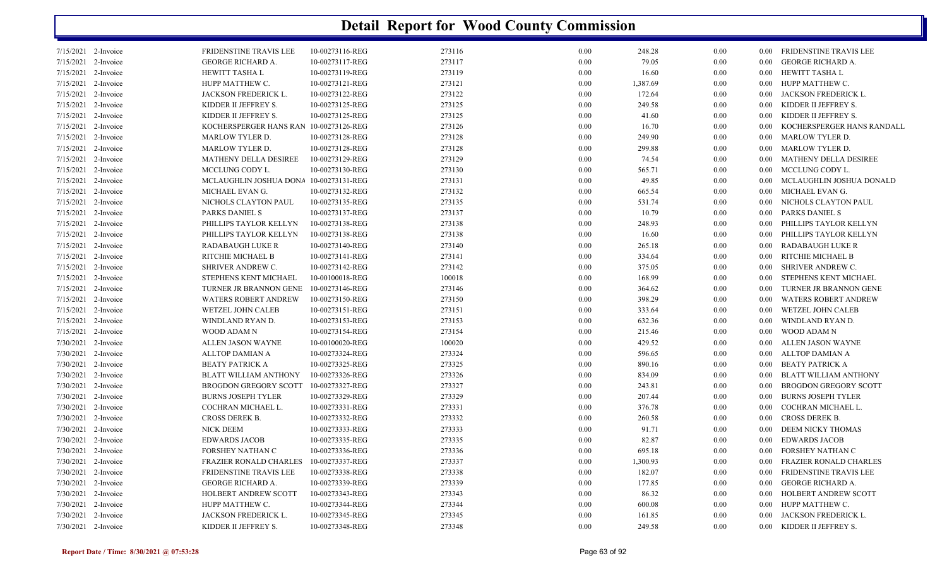| 7/15/2021 2-Invoice   | FRIDENSTINE TRAVIS LEE                 | 10-00273116-REG | 273116 | 0.00 | 248.28   | 0.00 |          | 0.00 FRIDENSTINE TRAVIS LEE   |
|-----------------------|----------------------------------------|-----------------|--------|------|----------|------|----------|-------------------------------|
| 7/15/2021 2-Invoice   | <b>GEORGE RICHARD A.</b>               | 10-00273117-REG | 273117 | 0.00 | 79.05    | 0.00 | 0.00     | <b>GEORGE RICHARD A.</b>      |
| 7/15/2021 2-Invoice   | HEWITT TASHA L                         | 10-00273119-REG | 273119 | 0.00 | 16.60    | 0.00 | $0.00\,$ | HEWITT TASHA L                |
| $7/15/2021$ 2-Invoice | HUPP MATTHEW C.                        | 10-00273121-REG | 273121 | 0.00 | 1,387.69 | 0.00 | $0.00\,$ | HUPP MATTHEW C.               |
| 7/15/2021 2-Invoice   | JACKSON FREDERICK L.                   | 10-00273122-REG | 273122 | 0.00 | 172.64   | 0.00 | 0.00     | JACKSON FREDERICK L.          |
| 7/15/2021 2-Invoice   | KIDDER II JEFFREY S.                   | 10-00273125-REG | 273125 | 0.00 | 249.58   | 0.00 | 0.00     | KIDDER II JEFFREY S.          |
| $7/15/2021$ 2-Invoice | KIDDER II JEFFREY S.                   | 10-00273125-REG | 273125 | 0.00 | 41.60    | 0.00 | $0.00\,$ | KIDDER II JEFFREY S.          |
| 7/15/2021 2-Invoice   | KOCHERSPERGER HANS RAN 10-00273126-REG |                 | 273126 | 0.00 | 16.70    | 0.00 | 0.00     | KOCHERSPERGER HANS RANDALL    |
| 7/15/2021 2-Invoice   | MARLOW TYLER D.                        | 10-00273128-REG | 273128 | 0.00 | 249.90   | 0.00 | $0.00\,$ | <b>MARLOW TYLER D.</b>        |
| 7/15/2021 2-Invoice   | <b>MARLOW TYLER D.</b>                 | 10-00273128-REG | 273128 | 0.00 | 299.88   | 0.00 | $0.00\,$ | <b>MARLOW TYLER D.</b>        |
| 7/15/2021 2-Invoice   | MATHENY DELLA DESIREE                  | 10-00273129-REG | 273129 | 0.00 | 74.54    | 0.00 | $0.00\,$ | MATHENY DELLA DESIREE         |
| 7/15/2021 2-Invoice   | MCCLUNG CODY L.                        | 10-00273130-REG | 273130 | 0.00 | 565.71   | 0.00 | $0.00\,$ | MCCLUNG CODY L.               |
| 7/15/2021 2-Invoice   | MCLAUGHLIN JOSHUA DONA 10-00273131-REG |                 | 273131 | 0.00 | 49.85    | 0.00 | $0.00\,$ | MCLAUGHLIN JOSHUA DONALD      |
| 7/15/2021 2-Invoice   | MICHAEL EVAN G.                        | 10-00273132-REG | 273132 | 0.00 | 665.54   | 0.00 | 0.00     | MICHAEL EVAN G.               |
| 7/15/2021 2-Invoice   | NICHOLS CLAYTON PAUL                   | 10-00273135-REG | 273135 | 0.00 | 531.74   | 0.00 | $0.00\,$ | NICHOLS CLAYTON PAUL          |
| 7/15/2021 2-Invoice   | PARKS DANIEL S                         | 10-00273137-REG | 273137 | 0.00 | 10.79    | 0.00 | $0.00\,$ | PARKS DANIEL S                |
| 7/15/2021 2-Invoice   | PHILLIPS TAYLOR KELLYN                 | 10-00273138-REG | 273138 | 0.00 | 248.93   | 0.00 | 0.00     | PHILLIPS TAYLOR KELLYN        |
| 7/15/2021 2-Invoice   | PHILLIPS TAYLOR KELLYN                 | 10-00273138-REG | 273138 | 0.00 | 16.60    | 0.00 | 0.00     | PHILLIPS TAYLOR KELLYN        |
| 7/15/2021 2-Invoice   | <b>RADABAUGH LUKE R</b>                | 10-00273140-REG | 273140 | 0.00 | 265.18   | 0.00 | 0.00     | RADABAUGH LUKE R              |
| 7/15/2021 2-Invoice   | RITCHIE MICHAEL B                      | 10-00273141-REG | 273141 | 0.00 | 334.64   | 0.00 | $0.00\,$ | RITCHIE MICHAEL B             |
| 7/15/2021 2-Invoice   | SHRIVER ANDREW C.                      | 10-00273142-REG | 273142 | 0.00 | 375.05   | 0.00 | $0.00\,$ | SHRIVER ANDREW C.             |
| 7/15/2021 2-Invoice   | STEPHENS KENT MICHAEL                  | 10-00100018-REG | 100018 | 0.00 | 168.99   | 0.00 | 0.00     | STEPHENS KENT MICHAEL         |
| 7/15/2021 2-Invoice   | TURNER JR BRANNON GENE                 | 10-00273146-REG | 273146 | 0.00 | 364.62   | 0.00 | $0.00\,$ | TURNER JR BRANNON GENE        |
| 7/15/2021 2-Invoice   | <b>WATERS ROBERT ANDREW</b>            | 10-00273150-REG | 273150 | 0.00 | 398.29   | 0.00 | 0.00     | <b>WATERS ROBERT ANDREW</b>   |
| 7/15/2021 2-Invoice   | WETZEL JOHN CALEB                      | 10-00273151-REG | 273151 | 0.00 | 333.64   | 0.00 | 0.00     | WETZEL JOHN CALEB             |
| 7/15/2021 2-Invoice   | WINDLAND RYAN D.                       | 10-00273153-REG | 273153 | 0.00 | 632.36   | 0.00 | 0.00     | WINDLAND RYAN D.              |
| 7/15/2021 2-Invoice   | WOOD ADAM N                            | 10-00273154-REG | 273154 | 0.00 | 215.46   | 0.00 | $0.00\,$ | WOOD ADAM N                   |
| 7/30/2021 2-Invoice   | ALLEN JASON WAYNE                      | 10-00100020-REG | 100020 | 0.00 | 429.52   | 0.00 | $0.00\,$ | ALLEN JASON WAYNE             |
| 7/30/2021 2-Invoice   | ALLTOP DAMIAN A                        | 10-00273324-REG | 273324 | 0.00 | 596.65   | 0.00 | $0.00\,$ | ALLTOP DAMIAN A               |
| 7/30/2021 2-Invoice   | <b>BEATY PATRICK A</b>                 | 10-00273325-REG | 273325 | 0.00 | 890.16   | 0.00 | $0.00\,$ | BEATY PATRICK A               |
| 7/30/2021 2-Invoice   | <b>BLATT WILLIAM ANTHONY</b>           | 10-00273326-REG | 273326 | 0.00 | 834.09   | 0.00 | 0.00     | BLATT WILLIAM ANTHONY         |
| 7/30/2021 2-Invoice   | BROGDON GREGORY SCOTT 10-00273327-REG  |                 | 273327 | 0.00 | 243.81   | 0.00 | 0.00     | BROGDON GREGORY SCOTT         |
| 7/30/2021 2-Invoice   | <b>BURNS JOSEPH TYLER</b>              | 10-00273329-REG | 273329 | 0.00 | 207.44   | 0.00 | 0.00     | <b>BURNS JOSEPH TYLER</b>     |
| 7/30/2021 2-Invoice   | COCHRAN MICHAEL L.                     | 10-00273331-REG | 273331 | 0.00 | 376.78   | 0.00 | $0.00\,$ | COCHRAN MICHAEL L.            |
| 7/30/2021 2-Invoice   | CROSS DEREK B.                         | 10-00273332-REG | 273332 | 0.00 | 260.58   | 0.00 | $0.00\,$ | CROSS DEREK B.                |
| 7/30/2021 2-Invoice   | <b>NICK DEEM</b>                       | 10-00273333-REG | 273333 | 0.00 | 91.71    | 0.00 | 0.00     | DEEM NICKY THOMAS             |
| 7/30/2021 2-Invoice   | <b>EDWARDS JACOB</b>                   | 10-00273335-REG | 273335 | 0.00 | 82.87    | 0.00 | 0.00     | <b>EDWARDS JACOB</b>          |
| 7/30/2021 2-Invoice   | FORSHEY NATHAN C                       | 10-00273336-REG | 273336 | 0.00 | 695.18   | 0.00 | 0.00     | FORSHEY NATHAN C              |
| 7/30/2021 2-Invoice   | <b>FRAZIER RONALD CHARLES</b>          | 10-00273337-REG | 273337 | 0.00 | 1,300.93 | 0.00 | 0.00     | <b>FRAZIER RONALD CHARLES</b> |
| 7/30/2021 2-Invoice   | FRIDENSTINE TRAVIS LEE                 | 10-00273338-REG | 273338 | 0.00 | 182.07   | 0.00 | 0.00     | FRIDENSTINE TRAVIS LEE        |
| 7/30/2021 2-Invoice   | GEORGE RICHARD A.                      | 10-00273339-REG | 273339 | 0.00 | 177.85   | 0.00 | 0.00     | GEORGE RICHARD A.             |
| 7/30/2021 2-Invoice   | HOLBERT ANDREW SCOTT                   | 10-00273343-REG | 273343 | 0.00 | 86.32    | 0.00 | 0.00     | HOLBERT ANDREW SCOTT          |
| 7/30/2021 2-Invoice   | HUPP MATTHEW C.                        | 10-00273344-REG | 273344 | 0.00 | 600.08   | 0.00 | $0.00\,$ | HUPP MATTHEW C.               |
| 7/30/2021 2-Invoice   | JACKSON FREDERICK L.                   | 10-00273345-REG | 273345 | 0.00 | 161.85   | 0.00 | 0.00     | JACKSON FREDERICK L.          |
| 7/30/2021 2-Invoice   | KIDDER II JEFFREY S.                   | 10-00273348-REG | 273348 | 0.00 | 249.58   | 0.00 |          | 0.00 KIDDER II JEFFREY S.     |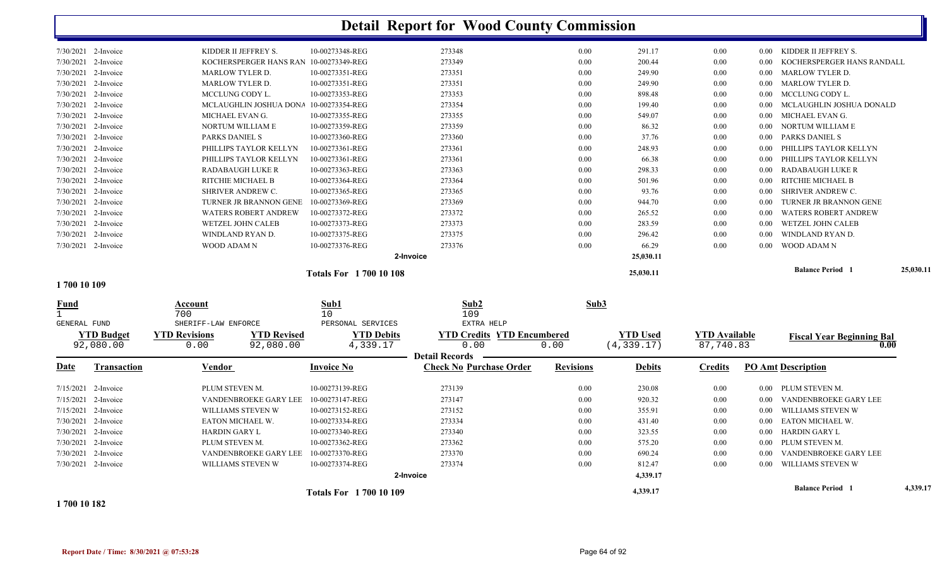|                             | 7/30/2021 2-Invoice |                                       | KIDDER II JEFFREY S.                   | 10-00273348-REG                 | 273348                            | 0.00             | 291.17          | 0.00                 | $0.00\,$ | KIDDER II JEFFREY S.             |           |
|-----------------------------|---------------------|---------------------------------------|----------------------------------------|---------------------------------|-----------------------------------|------------------|-----------------|----------------------|----------|----------------------------------|-----------|
|                             | 7/30/2021 2-Invoice |                                       | KOCHERSPERGER HANS RAN 10-00273349-REG |                                 | 273349                            | 0.00             | 200.44          | 0.00                 | 0.00     | KOCHERSPERGER HANS RANDALL       |           |
|                             | 7/30/2021 2-Invoice | <b>MARLOW TYLER D.</b>                |                                        | 10-00273351-REG                 | 273351                            | 0.00             | 249.90          | 0.00                 | $0.00\,$ | <b>MARLOW TYLER D.</b>           |           |
|                             | 7/30/2021 2-Invoice | <b>MARLOW TYLER D.</b>                |                                        | 10-00273351-REG                 | 273351                            | 0.00             | 249.90          | 0.00                 | $0.00\,$ | <b>MARLOW TYLER D.</b>           |           |
|                             | 7/30/2021 2-Invoice | MCCLUNG CODY L.                       |                                        | 10-00273353-REG                 | 273353                            | 0.00             | 898.48          | 0.00                 | 0.00     | MCCLUNG CODY L.                  |           |
|                             | 7/30/2021 2-Invoice |                                       | MCLAUGHLIN JOSHUA DONA                 | 10-00273354-REG                 | 273354                            | 0.00             | 199.40          | 0.00                 | 0.00     | MCLAUGHLIN JOSHUA DONALD         |           |
|                             | 7/30/2021 2-Invoice | MICHAEL EVAN G.                       |                                        | 10-00273355-REG                 | 273355                            | 0.00             | 549.07          | 0.00                 | 0.00     | MICHAEL EVAN G.                  |           |
|                             | 7/30/2021 2-Invoice |                                       | NORTUM WILLIAM E                       | 10-00273359-REG                 | 273359                            | 0.00             | 86.32           | 0.00                 | 0.00     | NORTUM WILLIAM E                 |           |
|                             | 7/30/2021 2-Invoice | PARKS DANIEL S                        |                                        | 10-00273360-REG                 | 273360                            | 0.00             | 37.76           | 0.00                 | 0.00     | <b>PARKS DANIEL S</b>            |           |
|                             | 7/30/2021 2-Invoice |                                       | PHILLIPS TAYLOR KELLYN                 | 10-00273361-REG                 | 273361                            | 0.00             | 248.93          | 0.00                 | 0.00     | PHILLIPS TAYLOR KELLYN           |           |
|                             | 7/30/2021 2-Invoice |                                       | PHILLIPS TAYLOR KELLYN                 | 10-00273361-REG                 | 273361                            | 0.00             | 66.38           | 0.00                 | 0.00     | PHILLIPS TAYLOR KELLYN           |           |
|                             | 7/30/2021 2-Invoice |                                       | <b>RADABAUGH LUKE R</b>                | 10-00273363-REG                 | 273363                            | 0.00             | 298.33          | 0.00                 | $0.00\,$ | RADABAUGH LUKE R                 |           |
|                             | 7/30/2021 2-Invoice |                                       | RITCHIE MICHAEL B                      | 10-00273364-REG                 | 273364                            | 0.00             | 501.96          | 0.00                 | $0.00\,$ | RITCHIE MICHAEL B                |           |
|                             | 7/30/2021 2-Invoice |                                       | SHRIVER ANDREW C.                      | 10-00273365-REG                 | 273365                            | 0.00             | 93.76           | 0.00                 | 0.00     | SHRIVER ANDREW C.                |           |
|                             | 7/30/2021 2-Invoice |                                       | TURNER JR BRANNON GENE                 | 10-00273369-REG                 | 273369                            | 0.00             | 944.70          | 0.00                 | 0.00     | TURNER JR BRANNON GENE           |           |
|                             | 7/30/2021 2-Invoice |                                       | <b>WATERS ROBERT ANDREW</b>            | 10-00273372-REG                 | 273372                            | 0.00             | 265.52          | 0.00                 | 0.00     | <b>WATERS ROBERT ANDREW</b>      |           |
|                             | 7/30/2021 2-Invoice |                                       | <b>WETZEL JOHN CALEB</b>               | 10-00273373-REG                 | 273373                            | 0.00             | 283.59          | 0.00                 | 0.00     | <b>WETZEL JOHN CALEB</b>         |           |
|                             | 7/30/2021 2-Invoice |                                       | WINDLAND RYAN D.                       | 10-00273375-REG                 | 273375                            | 0.00             | 296.42          | 0.00                 | 0.00     | WINDLAND RYAN D.                 |           |
|                             | 7/30/2021 2-Invoice | WOOD ADAM N                           |                                        | 10-00273376-REG                 | 273376                            | 0.00             | 66.29           | 0.00                 | 0.00     | WOOD ADAM N                      |           |
|                             |                     |                                       |                                        |                                 | 2-Invoice                         |                  | 25,030.11       |                      |          |                                  |           |
|                             |                     |                                       |                                        | <b>Totals For 170010108</b>     |                                   |                  | 25,030.11       |                      |          | <b>Balance Period</b> 1          | 25,030.11 |
| 1700 10 109                 |                     |                                       |                                        |                                 |                                   |                  |                 |                      |          |                                  |           |
| <b>Fund</b><br>GENERAL FUND |                     | Account<br>700<br>SHERIFF-LAW ENFORCE |                                        | Sub1<br>10<br>PERSONAL SERVICES | Sub2<br>109<br>EXTRA HELP         | Sub3             |                 |                      |          |                                  |           |
|                             | <b>YTD Budget</b>   | <b>YTD Revisions</b>                  | <b>YTD Revised</b>                     | <b>YTD Debits</b>               | <b>YTD Credits YTD Encumbered</b> |                  | <b>YTD Used</b> | <b>YTD Available</b> |          | <b>Fiscal Year Beginning Bal</b> |           |
|                             | 92,080.00           | 0.00                                  | 92,080.00                              | 4,339.17                        | 0.00                              | 0.00             | (4, 339.17)     | 87,740.83            |          | 0.00                             |           |
|                             |                     |                                       |                                        |                                 | <b>Detail Records</b>             |                  |                 |                      |          |                                  |           |
| <u>Date</u>                 | <b>Transaction</b>  | Vendor                                |                                        | <b>Invoice No</b>               | <b>Check No Purchase Order</b>    | <b>Revisions</b> | <b>Debits</b>   | <b>Credits</b>       |          | <b>PO Amt Description</b>        |           |
|                             | 7/15/2021 2-Invoice | PLUM STEVEN M.                        |                                        | 10-00273139-REG                 | 273139                            | 0.00             | 230.08          | 0.00                 | 0.00     | PLUM STEVEN M.                   |           |
|                             | 7/15/2021 2-Invoice |                                       | VANDENBROEKE GARY LEE                  | 10-00273147-REG                 | 273147                            | 0.00             | 920.32          | 0.00                 | 0.00     | VANDENBROEKE GARY LEE            |           |
|                             | 7/15/2021 2-Invoice |                                       | WILLIAMS STEVEN W                      | 10-00273152-REG                 | 273152                            | 0.00             | 355.91          | 0.00                 | 0.00     | WILLIAMS STEVEN W                |           |
|                             | 7/30/2021 2-Invoice |                                       | EATON MICHAEL W.                       | 10-00273334-REG                 | 273334                            | 0.00             | 431.40          | 0.00                 |          | 0.00 EATON MICHAEL W.            |           |

2-Invoice 10-00273340-REG 0.00 HARDIN GARY L 273340 323.55 0.00 0.00 HARDIN GARY L

PLUM STEVEN M.  $10-00273362$ -REG 273362  $2-3362$  0.00 575.20 0.00 0.00 PLUM STEVEN M.

**2-Invoice**

2-Invoice 10-00273374-REG 0.00 WILLIAMS STEVEN W 273374 812.47 0.00 0.00 WILLIAMS STEVEN W

 $273370 \qquad 273370 \qquad 0.00 \qquad 690.24 \qquad 0.00 \qquad 0.00 \qquad 0.00 \qquad 0.00 \qquad 0.00$ 

| 1700 10 182 |  |  |  |
|-------------|--|--|--|
|             |  |  |  |
|             |  |  |  |
|             |  |  |  |

7/30/2021 2-Invoice

7/30/2021 2-Invoice

7/30/2021 2-Invoice

7/30/2021 2-Invoice

**4,339.17 Balance Period 4,339.17 <sup>1</sup> Totals For 1 700 10 109** 

**4,339.17**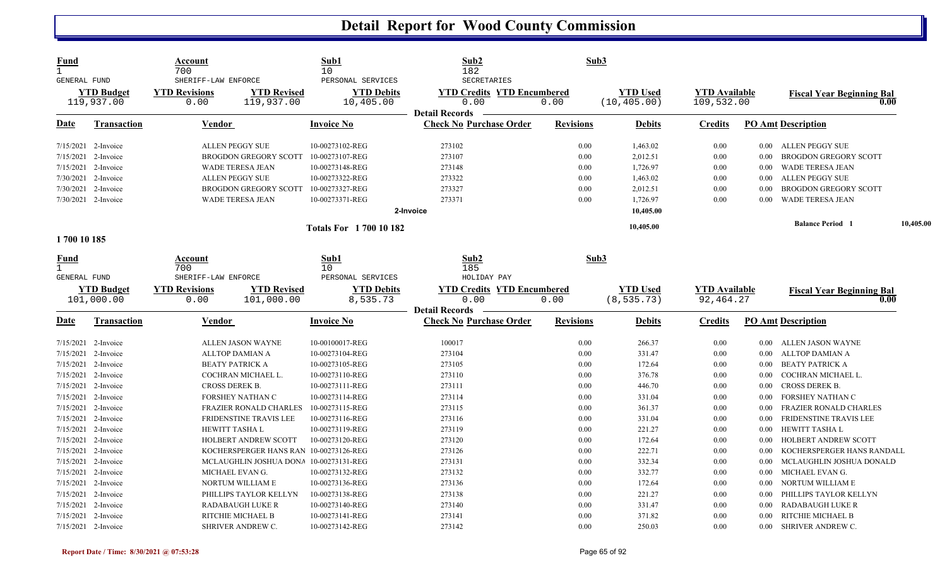| Fund<br>$\mathbf{1}$<br><b>GENERAL FUND</b> |                                 | Account<br>700<br>SHERIFF-LAW ENFORCE |                                  | Sub1<br>10<br>PERSONAL SERVICES        | Sub2<br>182<br><b>SECRETARIES</b>                       | Sub3             |                                 |                                    |          |                                          |           |
|---------------------------------------------|---------------------------------|---------------------------------------|----------------------------------|----------------------------------------|---------------------------------------------------------|------------------|---------------------------------|------------------------------------|----------|------------------------------------------|-----------|
|                                             | <b>YTD Budget</b><br>119,937.00 | <b>YTD Revisions</b><br>0.00          | <b>YTD Revised</b><br>119,937.00 | <b>YTD Debits</b><br>10,405.00         | <b>YTD Credits YTD Encumbered</b><br>0.00               | 0.00             | <b>YTD Used</b><br>(10, 405.00) | <b>YTD Available</b><br>109,532.00 |          | <b>Fiscal Year Beginning Bal</b><br>0.00 |           |
| <u>Date</u>                                 | <b>Transaction</b>              | Vendor                                |                                  | <b>Invoice No</b>                      | <b>Detail Records</b><br><b>Check No Purchase Order</b> | <b>Revisions</b> | <b>Debits</b>                   | <b>Credits</b>                     |          | <b>PO Amt Description</b>                |           |
|                                             | 7/15/2021 2-Invoice             | <b>ALLEN PEGGY SUE</b>                |                                  | 10-00273102-REG                        | 273102                                                  | 0.00             | 1,463.02                        | 0.00                               | $0.00\,$ | ALLEN PEGGY SUE                          |           |
| 7/15/2021                                   | 2-Invoice                       | <b>BROGDON GREGORY SCOTT</b>          |                                  | 10-00273107-REG                        | 273107                                                  | 0.00             | 2,012.51                        | 0.00                               | 0.00     | <b>BROGDON GREGORY SCOTT</b>             |           |
| 7/15/2021                                   | 2-Invoice                       | <b>WADE TERESA JEAN</b>               |                                  | 10-00273148-REG                        | 273148                                                  | 0.00             | 1,726.97                        | 0.00                               | 0.00     | <b>WADE TERESA JEAN</b>                  |           |
|                                             | 7/30/2021 2-Invoice             | ALLEN PEGGY SUE                       |                                  | 10-00273322-REG                        | 273322                                                  | 0.00             | 1,463.02                        | 0.00                               | 0.00     | <b>ALLEN PEGGY SUE</b>                   |           |
|                                             | 7/30/2021 2-Invoice             | <b>BROGDON GREGORY SCOTT</b>          |                                  | 10-00273327-REG                        | 273327                                                  | 0.00             | 2,012.51                        | 0.00                               | 0.00     | <b>BROGDON GREGORY SCOTT</b>             |           |
|                                             | 7/30/2021 2-Invoice             | <b>WADE TERESA JEAN</b>               |                                  | 10-00273371-REG                        | 273371                                                  | 0.00             | 1,726.97                        | 0.00                               | 0.00     | <b>WADE TERESA JEAN</b>                  |           |
|                                             |                                 |                                       |                                  |                                        | 2-Invoice                                               |                  | 10,405.00                       |                                    |          |                                          |           |
|                                             |                                 |                                       |                                  | <b>Totals For 170010182</b>            |                                                         |                  | 10,405.00                       |                                    |          | <b>Balance Period</b>                    | 10,405.00 |
| 1700 10 185                                 |                                 |                                       |                                  |                                        |                                                         |                  |                                 |                                    |          |                                          |           |
| <b>Fund</b><br>$\mathbf{1}$<br>GENERAL FUND |                                 | Account<br>700<br>SHERIFF-LAW ENFORCE |                                  | Sub1<br>10<br>PERSONAL SERVICES        | Sub2<br>185<br>HOLIDAY PAY                              | Sub3             |                                 |                                    |          |                                          |           |
|                                             | <b>YTD Budget</b>               | <b>YTD Revisions</b>                  | <b>YTD Revised</b>               | <b>YTD Debits</b>                      | <b>YTD Credits YTD Encumbered</b>                       |                  | <b>YTD Used</b>                 | <b>YTD Available</b>               |          |                                          |           |
|                                             | 101,000.00                      | 0.00                                  | 101,000.00                       | 8,535.73                               | 0.00                                                    | 0.00             | (8, 535.73)                     | 92, 464.27                         |          | <b>Fiscal Year Beginning Bal</b><br>0.00 |           |
|                                             |                                 |                                       |                                  |                                        | <b>Detail Records</b>                                   |                  |                                 |                                    |          |                                          |           |
| <u>Date</u>                                 | <b>Transaction</b>              | Vendor                                |                                  | <b>Invoice No</b>                      | <b>Check No Purchase Order</b>                          | <b>Revisions</b> | <b>Debits</b>                   | <b>Credits</b>                     |          | <b>PO Amt Description</b>                |           |
|                                             | $7/15/2021$ 2-Invoice           | ALLEN JASON WAYNE                     |                                  | 10-00100017-REG                        | 100017                                                  | 0.00             | 266.37                          | 0.00                               | $0.00\,$ | ALLEN JASON WAYNE                        |           |
| 7/15/2021                                   | 2-Invoice                       | <b>ALLTOP DAMIAN A</b>                |                                  | 10-00273104-REG                        | 273104                                                  | 0.00             | 331.47                          | 0.00                               | 0.00     | ALLTOP DAMIAN A                          |           |
| 7/15/2021                                   | 2-Invoice                       | <b>BEATY PATRICK A</b>                |                                  | 10-00273105-REG                        | 273105                                                  | 0.00             | 172.64                          | 0.00                               | 0.00     | <b>BEATY PATRICK A</b>                   |           |
|                                             | 7/15/2021 2-Invoice             | COCHRAN MICHAEL L.                    |                                  | 10-00273110-REG                        | 273110                                                  | 0.00             | 376.78                          | 0.00                               | 0.00     | COCHRAN MICHAEL L.                       |           |
| 7/15/2021                                   | 2-Invoice                       | <b>CROSS DEREK B.</b>                 |                                  | 10-00273111-REG                        | 273111                                                  | 0.00             | 446.70                          | 0.00                               | 0.00     | <b>CROSS DEREK B.</b>                    |           |
|                                             | 7/15/2021 2-Invoice             | FORSHEY NATHAN C                      |                                  | 10-00273114-REG                        | 273114                                                  | 0.00             | 331.04                          | 0.00                               | 0.00     | FORSHEY NATHAN C                         |           |
| 7/15/2021                                   | 2-Invoice                       | <b>FRAZIER RONALD CHARLES</b>         |                                  | 10-00273115-REG                        | 273115                                                  | 0.00             | 361.37                          | 0.00                               | 0.00     | <b>FRAZIER RONALD CHARLES</b>            |           |
| 7/15/2021                                   | 2-Invoice                       | FRIDENSTINE TRAVIS LEE                |                                  | 10-00273116-REG                        | 273116                                                  | 0.00             | 331.04                          | 0.00                               | 0.00     | <b>FRIDENSTINE TRAVIS LEE</b>            |           |
| 7/15/2021                                   | 2-Invoice                       | HEWITT TASHA L                        |                                  | 10-00273119-REG                        | 273119                                                  | 0.00             | 221.27                          | 0.00                               | 0.00     | HEWITT TASHA L                           |           |
| 7/15/2021                                   | 2-Invoice                       | HOLBERT ANDREW SCOTT                  |                                  | 10-00273120-REG                        | 273120                                                  | 0.00             | 172.64                          | 0.00                               | 0.00     | <b>HOLBERT ANDREW SCOTT</b>              |           |
| 7/15/2021                                   | 2-Invoice                       |                                       |                                  | KOCHERSPERGER HANS RAN 10-00273126-REG | 273126                                                  | 0.00             | 222.71                          | 0.00                               | 0.00     | KOCHERSPERGER HANS RANDALL               |           |
| 7/15/2021                                   | 2-Invoice                       |                                       |                                  | MCLAUGHLIN JOSHUA DONA 10-00273131-REG | 273131                                                  | 0.00             | 332.34                          | 0.00                               | 0.00     | MCLAUGHLIN JOSHUA DONALD                 |           |
|                                             | 7/15/2021 2-Invoice             | MICHAEL EVAN G.                       |                                  | 10-00273132-REG                        | 273132                                                  | 0.00             | 332.77                          | 0.00                               | $0.00\,$ | MICHAEL EVAN G.                          |           |
| 7/15/2021                                   | 2-Invoice                       | NORTUM WILLIAM E                      |                                  | 10-00273136-REG                        | 273136                                                  | 0.00             | 172.64                          | 0.00                               | 0.00     | NORTUM WILLIAM E                         |           |
| 7/15/2021                                   | 2-Invoice                       | PHILLIPS TAYLOR KELLYN                |                                  | 10-00273138-REG                        | 273138                                                  | 0.00             | 221.27                          | 0.00                               | 0.00     | PHILLIPS TAYLOR KELLYN                   |           |
|                                             | $7/15/2021$ 2-Invoice           | <b>RADABAUGH LUKE R</b>               |                                  | 10-00273140-REG                        | 273140                                                  | 0.00             | 331.47                          | 0.00                               | 0.00     | <b>RADABAUGH LUKE R</b>                  |           |
| 7/15/2021                                   | 2-Invoice                       | RITCHIE MICHAEL B                     |                                  | 10-00273141-REG                        | 273141                                                  | 0.00             | 371.82                          | 0.00                               | 0.00     | RITCHIE MICHAEL B                        |           |
|                                             | 7/15/2021 2-Invoice             | SHRIVER ANDREW C.                     |                                  | 10-00273142-REG                        | 273142                                                  | 0.00             | 250.03                          | 0.00                               | $0.00\,$ | SHRIVER ANDREW C.                        |           |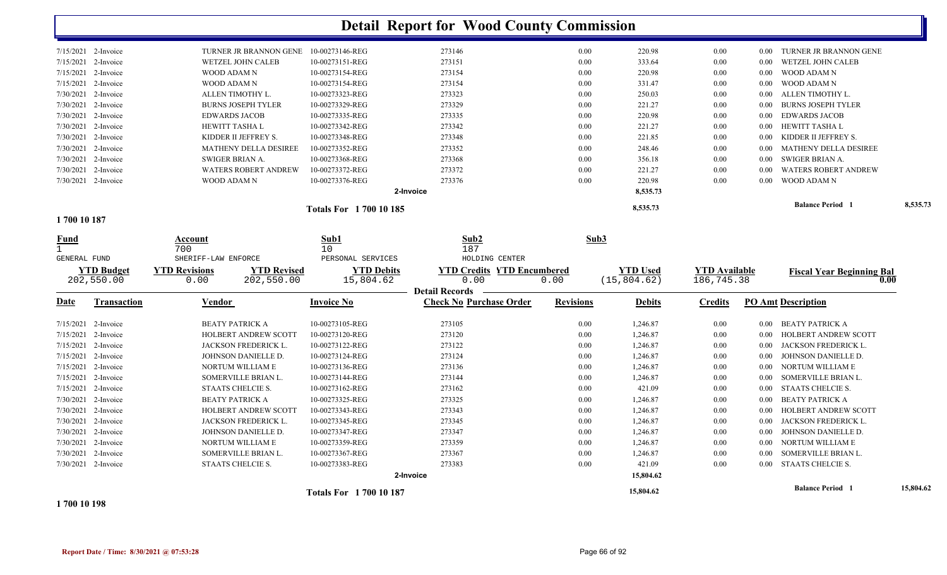|                                   |                                            |                                | <b>Detail Report for Wood County Commission</b> |                  |                 |                      |                                     |           |
|-----------------------------------|--------------------------------------------|--------------------------------|-------------------------------------------------|------------------|-----------------|----------------------|-------------------------------------|-----------|
| 7/15/2021 2-Invoice               | TURNER JR BRANNON GENE                     | 10-00273146-REG                | 273146                                          | 0.00             | 220.98          | 0.00                 | TURNER JR BRANNON GENE<br>$0.00\,$  |           |
| 7/15/2021 2-Invoice               | WETZEL JOHN CALEB                          | 10-00273151-REG                | 273151                                          | 0.00             | 333.64          | 0.00                 | WETZEL JOHN CALEB<br>0.00           |           |
| 7/15/2021 2-Invoice               | WOOD ADAM N                                | 10-00273154-REG                | 273154                                          | 0.00             | 220.98          | 0.00                 | <b>WOOD ADAM N</b><br>0.00          |           |
| 7/15/2021 2-Invoice               | WOOD ADAM N                                | 10-00273154-REG                | 273154                                          | 0.00             | 331.47          | $0.00\,$             | WOOD ADAM N<br>$0.00\,$             |           |
| 7/30/2021 2-Invoice               | ALLEN TIMOTHY L.                           | 10-00273323-REG                | 273323                                          | 0.00             | 250.03          | 0.00                 | ALLEN TIMOTHY L.<br>0.00            |           |
| 7/30/2021 2-Invoice               | <b>BURNS JOSEPH TYLER</b>                  | 10-00273329-REG                | 273329                                          | 0.00             | 221.27          | 0.00                 | <b>BURNS JOSEPH TYLER</b><br>0.00   |           |
| 7/30/2021 2-Invoice               | <b>EDWARDS JACOB</b>                       | 10-00273335-REG                | 273335                                          | 0.00             | 220.98          | $0.00\,$             | <b>EDWARDS JACOB</b><br>0.00        |           |
| 7/30/2021 2-Invoice               | HEWITT TASHA L                             | 10-00273342-REG                | 273342                                          | 0.00             | 221.27          | 0.00                 | HEWITT TASHA L<br>0.00              |           |
| 7/30/2021 2-Invoice               | KIDDER II JEFFREY S.                       | 10-00273348-REG                | 273348                                          | 0.00             | 221.85          | 0.00                 | KIDDER II JEFFREY S.<br>0.00        |           |
| 7/30/2021 2-Invoice               | MATHENY DELLA DESIREE                      | 10-00273352-REG                | 273352                                          | 0.00             | 248.46          | $0.00\,$             | MATHENY DELLA DESIREE<br>$0.00\,$   |           |
| 7/30/2021<br>2-Invoice            | <b>SWIGER BRIAN A.</b>                     | 10-00273368-REG                | 273368                                          | 0.00             | 356.18          | 0.00                 | <b>SWIGER BRIAN A.</b><br>0.00      |           |
| 7/30/2021<br>2-Invoice            | <b>WATERS ROBERT ANDREW</b>                | 10-00273372-REG                | 273372                                          | 0.00             | 221.27          | 0.00                 | <b>WATERS ROBERT ANDREW</b><br>0.00 |           |
| 7/30/2021 2-Invoice               | WOOD ADAM N                                | 10-00273376-REG                | 273376                                          | 0.00             | 220.98          | 0.00                 | <b>WOOD ADAM N</b><br>0.00          |           |
|                                   |                                            |                                | 2-Invoice                                       |                  | 8,535.73        |                      |                                     |           |
|                                   |                                            | <b>Totals For 1700 10 185</b>  |                                                 |                  | 8,535.73        |                      | <b>Balance Period</b> 1             | 8,535.73  |
| 1700 10 187                       |                                            |                                |                                                 |                  |                 |                      |                                     |           |
| <u>Fund</u><br>$\mathbf{1}$       | Account<br>700                             | Sub1<br>10                     | Sub <sub>2</sub><br>187                         | Sub3             |                 |                      |                                     |           |
| GENERAL FUND                      | SHERIFF-LAW ENFORCE                        | PERSONAL SERVICES              | HOLDING CENTER                                  |                  |                 |                      |                                     |           |
| <b>YTD Budget</b>                 | <b>YTD Revisions</b><br><b>YTD Revised</b> | <b>YTD Debits</b>              | <b>YTD Credits YTD Encumbered</b>               |                  | <b>YTD Used</b> | <b>YTD</b> Available | <b>Fiscal Year Beginning Bal</b>    |           |
| 202,550.00                        | 0.00<br>202,550.00                         | 15,804.62                      | 0.00<br><b>Detail Records</b>                   | 0.00             | (15, 804.62)    | 186,745.38           | 0.00                                |           |
| <b>Date</b><br><b>Transaction</b> | Vendor                                     | <b>Invoice No</b>              | <b>Check No Purchase Order</b>                  | <b>Revisions</b> | <b>Debits</b>   | <b>Credits</b>       | <b>PO Amt Description</b>           |           |
| $7/15/2021$ 2-Invoice             | <b>BEATY PATRICK A</b>                     | 10-00273105-REG                | 273105                                          | 0.00             | 1,246.87        | 0.00                 | <b>BEATY PATRICK A</b><br>0.00      |           |
| 7/15/2021 2-Invoice               | HOLBERT ANDREW SCOTT                       | 10-00273120-REG                | 273120                                          | 0.00             | 1,246.87        | 0.00                 | HOLBERT ANDREW SCOTT<br>0.00        |           |
| $7/15/2021$ 2-Invoice             | JACKSON FREDERICK L.                       | 10-00273122-REG                | 273122                                          | 0.00             | 1,246.87        | 0.00                 | JACKSON FREDERICK L.<br>0.00        |           |
| 7/15/2021 2-Invoice               | JOHNSON DANIELLE D.                        | 10-00273124-REG                | 273124                                          | 0.00             | 1,246.87        | 0.00                 | JOHNSON DANIELLE D.<br>0.00         |           |
| 7/15/2021 2-Invoice               | NORTUM WILLIAM E                           | 10-00273136-REG                | 273136                                          | 0.00             | 1,246.87        | 0.00                 | NORTUM WILLIAM E<br>0.00            |           |
| 7/15/2021 2-Invoice               | SOMERVILLE BRIAN L.                        | 10-00273144-REG                | 273144                                          | 0.00             | 1,246.87        | 0.00                 | SOMERVILLE BRIAN L.<br>0.00         |           |
| 7/15/2021 2-Invoice               | STAATS CHELCIE S.                          | 10-00273162-REG                | 273162                                          | 0.00             | 421.09          | 0.00                 | STAATS CHELCIE S.<br>0.00           |           |
| 7/30/2021 2-Invoice               | <b>BEATY PATRICK A</b>                     | 10-00273325-REG                | 273325                                          | 0.00             | 1,246.87        | 0.00                 | <b>BEATY PATRICK A</b><br>0.00      |           |
| 7/30/2021 2-Invoice               | HOLBERT ANDREW SCOTT                       | 10-00273343-REG                | 273343                                          | 0.00             | 1,246.87        | 0.00                 | HOLBERT ANDREW SCOTT<br>0.00        |           |
| 7/30/2021 2-Invoice               | JACKSON FREDERICK L.                       | 10-00273345-REG                | 273345                                          | 0.00             | 1,246.87        | 0.00                 | JACKSON FREDERICK L.<br>0.00        |           |
| 7/30/2021 2-Invoice               | JOHNSON DANIELLE D.                        | 10-00273347-REG                | 273347                                          | 0.00             | 1,246.87        | 0.00                 | JOHNSON DANIELLE D.<br>0.00         |           |
| 7/30/2021 2-Invoice               | NORTUM WILLIAM E                           | 10-00273359-REG                | 273359                                          | 0.00             | 1,246.87        | 0.00                 | NORTUM WILLIAM E<br>0.00            |           |
| 7/30/2021<br>2-Invoice            | SOMERVILLE BRIAN L.                        | 10-00273367-REG                | 273367                                          | 0.00             | 1,246.87        | 0.00                 | SOMERVILLE BRIAN L.<br>0.00         |           |
| 7/30/2021 2-Invoice               | STAATS CHELCIE S.                          | 10-00273383-REG                | 273383                                          | 0.00             | 421.09          | 0.00                 | <b>STAATS CHELCIE S.</b><br>0.00    |           |
|                                   |                                            |                                | 2-Invoice                                       |                  | 15,804.62       |                      |                                     |           |
|                                   |                                            | <b>Totals For 1 700 10 187</b> |                                                 |                  | 15,804.62       |                      | <b>Balance Period</b> 1             | 15,804.62 |

**1 700 10 198**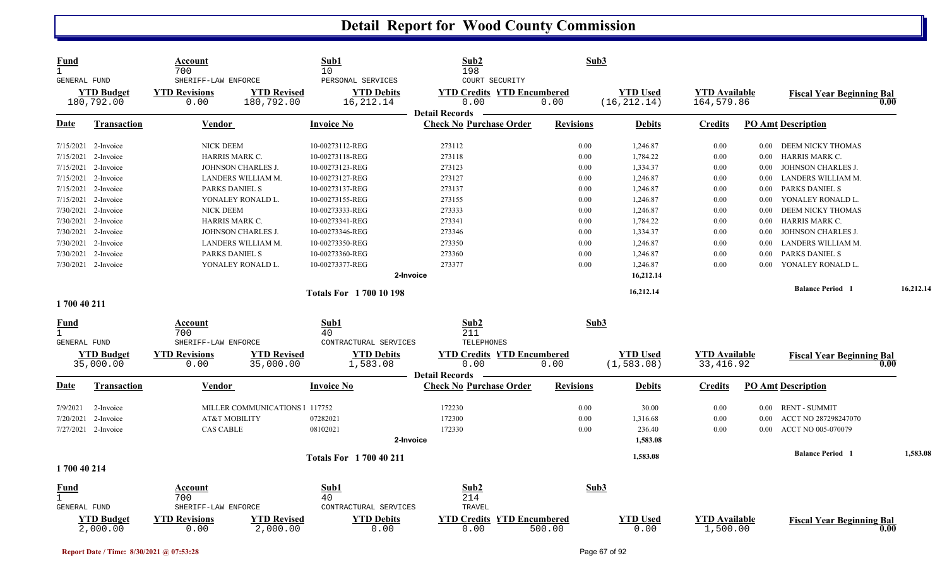| <b>Fund</b><br>$\mathbf{1}$ |                                 | Account<br>700                                      |                                  | Sub1<br>10                                            | Sub2<br>198                                                 |                  | Sub3                            |                                    |          |                                  |           |
|-----------------------------|---------------------------------|-----------------------------------------------------|----------------------------------|-------------------------------------------------------|-------------------------------------------------------------|------------------|---------------------------------|------------------------------------|----------|----------------------------------|-----------|
| GENERAL FUND                | <b>YTD Budget</b><br>180,792.00 | SHERIFF-LAW ENFORCE<br><b>YTD Revisions</b><br>0.00 | <b>YTD Revised</b><br>180,792.00 | PERSONAL SERVICES<br><b>YTD Debits</b><br>16, 212. 14 | COURT SECURITY<br><b>YTD Credits YTD Encumbered</b><br>0.00 | 0.00             | <b>YTD Used</b><br>(16, 212.14) | <b>YTD</b> Available<br>164,579.86 |          | <b>Fiscal Year Beginning Bal</b> | 0.00      |
| Date                        | <b>Transaction</b>              | <b>Vendor</b>                                       |                                  | <b>Invoice No</b>                                     | <b>Detail Records</b><br><b>Check No Purchase Order</b>     | <b>Revisions</b> | <b>Debits</b>                   | <b>Credits</b>                     |          | <b>PO Amt Description</b>        |           |
| 7/15/2021 2-Invoice         |                                 | <b>NICK DEEM</b>                                    |                                  | 10-00273112-REG                                       | 273112                                                      | 0.00             | 1,246.87                        | 0.00                               | $0.00\,$ | DEEM NICKY THOMAS                |           |
| 7/15/2021 2-Invoice         |                                 | HARRIS MARK C.                                      |                                  | 10-00273118-REG                                       | 273118                                                      | 0.00             | 1,784.22                        | 0.00                               | $0.00\,$ | HARRIS MARK C.                   |           |
| 7/15/2021 2-Invoice         |                                 |                                                     | JOHNSON CHARLES J.               | 10-00273123-REG                                       | 273123                                                      | 0.00             | 1,334.37                        | 0.00                               | 0.00     | JOHNSON CHARLES J.               |           |
| 7/15/2021 2-Invoice         |                                 |                                                     | LANDERS WILLIAM M.               | 10-00273127-REG                                       | 273127                                                      | 0.00             | 1,246.87                        | 0.00                               | 0.00     | LANDERS WILLIAM M.               |           |
| 7/15/2021 2-Invoice         |                                 | PARKS DANIEL S                                      |                                  | 10-00273137-REG                                       | 273137                                                      | 0.00             | 1,246.87                        | 0.00                               | 0.00     | PARKS DANIEL S                   |           |
| 7/15/2021 2-Invoice         |                                 |                                                     | YONALEY RONALD L.                | 10-00273155-REG                                       | 273155                                                      | 0.00             | 1,246.87                        | 0.00                               | 0.00     | YONALEY RONALD L.                |           |
| 7/30/2021 2-Invoice         |                                 | <b>NICK DEEM</b>                                    |                                  | 10-00273333-REG                                       | 273333                                                      | 0.00             | 1,246.87                        | 0.00                               | 0.00     | DEEM NICKY THOMAS                |           |
| 7/30/2021 2-Invoice         |                                 | HARRIS MARK C.                                      |                                  | 10-00273341-REG                                       | 273341                                                      | 0.00             | 1,784.22                        | 0.00                               | $0.00\,$ | HARRIS MARK C.                   |           |
|                             | 7/30/2021 2-Invoice             |                                                     | JOHNSON CHARLES J.               | 10-00273346-REG                                       | 273346                                                      | 0.00             | 1,334.37                        | 0.00                               | 0.00     | JOHNSON CHARLES J.               |           |
|                             | 7/30/2021 2-Invoice             |                                                     | LANDERS WILLIAM M.               | 10-00273350-REG                                       | 273350                                                      | 0.00             | 1,246.87                        | 0.00                               | 0.00     | LANDERS WILLIAM M.               |           |
| 7/30/2021 2-Invoice         |                                 | PARKS DANIEL S                                      |                                  | 10-00273360-REG                                       | 273360                                                      | 0.00             | 1,246.87                        | 0.00                               | 0.00     | PARKS DANIEL S                   |           |
|                             | 7/30/2021 2-Invoice             |                                                     | YONALEY RONALD L                 | 10-00273377-REG                                       | 273377                                                      | 0.00             | 1,246.87                        | 0.00                               | 0.00     | YONALEY RONALD L.                |           |
|                             |                                 |                                                     |                                  |                                                       | 2-Invoice                                                   |                  | 16,212.14                       |                                    |          |                                  |           |
|                             |                                 |                                                     |                                  |                                                       |                                                             |                  |                                 |                                    |          |                                  | 16,212.14 |
| 1700 40 211                 |                                 |                                                     |                                  | <b>Totals For 170010198</b>                           |                                                             |                  | 16,212.14                       |                                    |          | <b>Balance Period 1</b>          |           |
|                             |                                 |                                                     |                                  |                                                       |                                                             |                  |                                 |                                    |          |                                  |           |
| Fund<br>$\mathbf{1}$        |                                 | Account<br>700                                      |                                  | Sub1<br>40                                            | Sub2<br>211                                                 |                  | Sub3                            |                                    |          |                                  |           |
| GENERAL FUND                |                                 | SHERIFF-LAW ENFORCE                                 |                                  | CONTRACTURAL SERVICES                                 | <b>TELEPHONES</b>                                           |                  |                                 |                                    |          |                                  |           |
|                             | <b>YTD Budget</b><br>35,000.00  | <b>YTD Revisions</b><br>0.00                        | <b>YTD Revised</b><br>35,000.00  | <b>YTD Debits</b><br>1,583.08                         | <b>YTD Credits YTD Encumbered</b><br>0.00                   | 0.00             | <b>YTD</b> Used<br>(1, 583.08)  | <b>YTD Available</b><br>33, 416.92 |          | <b>Fiscal Year Beginning Bal</b> | 0.00      |
|                             |                                 |                                                     |                                  |                                                       | <b>Detail Records</b>                                       |                  |                                 |                                    |          |                                  |           |
| Date                        | <b>Transaction</b>              | Vendor                                              |                                  | <b>Invoice No</b>                                     | <b>Check No Purchase Order</b>                              | <b>Revisions</b> | <b>Debits</b>                   | <b>Credits</b>                     |          | <b>PO Amt Description</b>        |           |
| 7/9/2021                    | 2-Invoice                       |                                                     | MILLER COMMUNICATIONS 1 117752   |                                                       | 172230                                                      | 0.00             | 30.00                           | 0.00                               | $0.00\,$ | <b>RENT - SUMMIT</b>             |           |
| 7/20/2021 2-Invoice         |                                 | <b>AT&amp;T MOBILITY</b>                            |                                  | 07282021                                              | 172300                                                      | 0.00             | 1,316.68                        | 0.00                               | 0.00     | ACCT NO 287298247070             |           |
| 7/27/2021 2-Invoice         |                                 | <b>CAS CABLE</b>                                    |                                  | 08102021                                              | 172330                                                      | 0.00             | 236.40                          | 0.00                               | $0.00\,$ | ACCT NO 005-070079               |           |
|                             |                                 |                                                     |                                  |                                                       | 2-Invoice                                                   |                  | 1,583.08                        |                                    |          |                                  |           |
|                             |                                 |                                                     |                                  | <b>Totals For 1700 40 211</b>                         |                                                             |                  | 1,583.08                        |                                    |          | <b>Balance Period 1</b>          | 1,583.08  |
| 1700 40 214                 |                                 |                                                     |                                  |                                                       |                                                             |                  |                                 |                                    |          |                                  |           |
| <u>Fund</u>                 |                                 | Account                                             |                                  | Sub1                                                  | Sub2                                                        |                  | Sub3                            |                                    |          |                                  |           |
| $\mathbf{1}$                |                                 | 700                                                 |                                  | 40                                                    | 214                                                         |                  |                                 |                                    |          |                                  |           |
| GENERAL FUND                |                                 | SHERIFF-LAW ENFORCE                                 |                                  | CONTRACTURAL SERVICES                                 | TRAVEL                                                      |                  |                                 |                                    |          |                                  |           |
|                             | <b>YTD Budget</b><br>2,000.00   | <b>YTD Revisions</b><br>0.00                        | <b>YTD Revised</b><br>2,000.00   | <b>YTD Debits</b><br>0.00                             | <b>YTD Encumbered</b><br><b>YTD Credits</b><br>0.00         | 500.00           | <b>YTD</b> Used<br>0.00         | <b>YTD Available</b><br>1,500.00   |          | <b>Fiscal Year Beginning Bal</b> | 0.00      |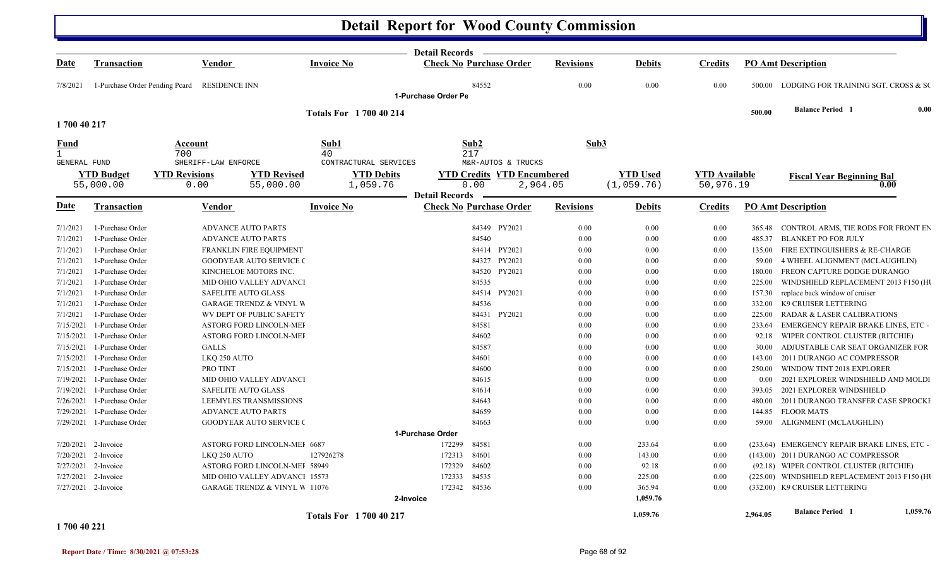|                                     |                                  |                                                                           |                    |                                | <b>Detail Records</b> |                                   |                  |                  |                      |          |                                               |          |
|-------------------------------------|----------------------------------|---------------------------------------------------------------------------|--------------------|--------------------------------|-----------------------|-----------------------------------|------------------|------------------|----------------------|----------|-----------------------------------------------|----------|
| Date                                | <b>Transaction</b>               | Vendor                                                                    | <b>Invoice No</b>  |                                |                       | <b>Check No Purchase Order</b>    | <b>Revisions</b> | <b>Debits</b>    | <b>Credits</b>       |          | <b>PO Amt Description</b>                     |          |
| 7/8/2021                            | 1-Purchase Order Pending Peard   | RESIDENCE INN                                                             |                    |                                | 1-Purchase Order Pe   | 84552                             | 0.00             | 0.00             | 0.00                 |          | 500.00 LODGING FOR TRAINING SGT. CROSS & SO   |          |
|                                     |                                  |                                                                           |                    |                                |                       |                                   |                  |                  |                      |          |                                               |          |
| 1700 40 217                         |                                  |                                                                           |                    | <b>Totals For 1700 40 214</b>  |                       |                                   |                  |                  |                      | 500.00   | <b>Balance Period 1</b>                       | 0.00     |
|                                     |                                  |                                                                           |                    |                                |                       |                                   |                  |                  |                      |          |                                               |          |
| <u>Fund</u>                         |                                  | Account                                                                   | Sub1               |                                | Sub2                  |                                   | Sub3             |                  |                      |          |                                               |          |
| $\mathbf{1}$<br><b>GENERAL FUND</b> |                                  | 700<br>SHERIFF-LAW ENFORCE                                                | 40                 | CONTRACTURAL SERVICES          | 217                   | M&R-AUTOS & TRUCKS                |                  |                  |                      |          |                                               |          |
|                                     | <b>YTD Budget</b>                | <b>YTD Revisions</b>                                                      | <b>YTD Revised</b> | <b>YTD Debits</b>              |                       | <b>YTD Credits YTD Encumbered</b> |                  | <b>YTD</b> Used  | <b>YTD</b> Available |          |                                               |          |
|                                     | 55,000.00                        | 0.00                                                                      | 55,000.00          | 1,059.76                       | 0.00                  | 2,964.05                          |                  | (1,059.76)       | 50,976.19            |          | <b>Fiscal Year Beginning Bal</b><br>0.00      |          |
|                                     |                                  |                                                                           |                    |                                | <b>Detail Records</b> |                                   |                  |                  |                      |          |                                               |          |
| Date                                | <b>Transaction</b>               | Vendor                                                                    | <b>Invoice No</b>  |                                |                       | <b>Check No Purchase Order</b>    | <b>Revisions</b> | <b>Debits</b>    | <b>Credits</b>       |          | <b>PO Amt Description</b>                     |          |
| 7/1/2021                            | 1-Purchase Order                 | <b>ADVANCE AUTO PARTS</b>                                                 |                    |                                |                       | 84349 PY2021                      | 0.00             | 0.00             | 0.00                 |          | 365.48 CONTROL ARMS, TIE RODS FOR FRONT EN    |          |
| 7/1/2021                            | 1-Purchase Order                 | <b>ADVANCE AUTO PARTS</b>                                                 |                    |                                |                       | 84540                             | 0.00             | 0.00             | 0.00                 | 485.37   | <b>BLANKET PO FOR JULY</b>                    |          |
| 7/1/2021                            | 1-Purchase Order                 | <b>FRANKLIN FIRE EQUIPMENT</b>                                            |                    |                                |                       | 84414 PY2021                      | 0.00             | 0.00             | 0.00                 | 135.00   | FIRE EXTINGUISHERS & RE-CHARGE                |          |
| 7/1/2021                            | 1-Purchase Order                 | <b>GOODYEAR AUTO SERVICE (</b>                                            |                    |                                |                       | 84327 PY2021                      | 0.00             | 0.00             | 0.00                 | 59.00    | 4 WHEEL ALIGNMENT (MCLAUGHLIN)                |          |
| 7/1/2021                            | 1-Purchase Order                 | KINCHELOE MOTORS INC.                                                     |                    |                                |                       | 84520 PY2021                      | 0.00             | 0.00             | 0.00                 | 180.00   | FREON CAPTURE DODGE DURANGO                   |          |
| 7/1/2021                            | 1-Purchase Order                 | MID OHIO VALLEY ADVANCI                                                   |                    |                                |                       | 84535                             | 0.00             | 0.00             | 0.00                 | 225.00   | WINDSHIELD REPLACEMENT 2013 F150 (H)          |          |
| 7/1/2021                            | 1-Purchase Order                 | <b>SAFELITE AUTO GLASS</b>                                                |                    |                                |                       | 84514 PY2021                      | 0.00             | 0.00             | 0.00                 | 157.30   | replace back window of cruiser                |          |
| 7/1/2021                            | 1-Purchase Order                 | <b>GARAGE TRENDZ &amp; VINYL W</b>                                        |                    |                                |                       | 84536                             | 0.00             | 0.00             | 0.00                 | 332.00   | K9 CRUISER LETTERING                          |          |
| 7/1/2021                            | 1-Purchase Order                 | WV DEPT OF PUBLIC SAFETY                                                  |                    |                                |                       | 84431 PY2021                      | 0.00             | 0.00             | 0.00                 | 225.00   | <b>RADAR &amp; LASER CALIBRATIONS</b>         |          |
| 7/15/2021                           | 1-Purchase Order                 | ASTORG FORD LINCOLN-MEI                                                   |                    |                                |                       | 84581                             | 0.00             | 0.00             | 0.00                 | 233.64   | EMERGENCY REPAIR BRAKE LINES, ETC -           |          |
| 7/15/2021                           | 1-Purchase Order                 | ASTORG FORD LINCOLN-MEI                                                   |                    |                                |                       | 84602                             | 0.00             | 0.00             | 0.00                 | 92.18    | WIPER CONTROL CLUSTER (RITCHIE)               |          |
| 7/15/2021                           | 1-Purchase Order                 | <b>GALLS</b>                                                              |                    |                                |                       | 84587                             | 0.00             | 0.00             | 0.00                 | 30.00    | ADJUSTABLE CAR SEAT ORGANIZER FOR             |          |
| 7/15/2021                           | 1-Purchase Order                 | LKQ 250 AUTO                                                              |                    |                                |                       | 84601                             | 0.00             | 0.00             | $0.00\,$             | 143.00   | 2011 DURANGO AC COMPRESSOR                    |          |
| 7/15/2021                           | 1-Purchase Order                 | PRO TINT                                                                  |                    |                                |                       | 84600                             | 0.00             | 0.00             | 0.00                 | 250.00   | WINDOW TINT 2018 EXPLORER                     |          |
| 7/19/2021                           | 1-Purchase Order                 | MID OHIO VALLEY ADVANCI                                                   |                    |                                |                       | 84615                             | 0.00             | 0.00             | 0.00                 | 0.00     | 2021 EXPLORER WINDSHIELD AND MOLDI            |          |
| 7/19/2021                           | 1-Purchase Order                 | <b>SAFELITE AUTO GLASS</b>                                                |                    |                                |                       | 84614                             | 0.00             | 0.00             | 0.00                 | 393.05   | 2021 EXPLORER WINDSHIELD                      |          |
| 7/26/2021                           | 1-Purchase Order                 | <b>LEEMYLES TRANSMISSIONS</b>                                             |                    |                                |                       | 84643                             | 0.00             | 0.00             | 0.00                 | 480.00   | 2011 DURANGO TRANSFER CASE SPROCKI            |          |
| 7/29/2021                           | 1-Purchase Order                 | <b>ADVANCE AUTO PARTS</b>                                                 |                    |                                |                       | 84659                             | 0.00             | 0.00             | 0.00                 | 144.85   | <b>FLOOR MATS</b>                             |          |
|                                     | 7/29/2021 1-Purchase Order       | <b>GOODYEAR AUTO SERVICE (</b>                                            |                    |                                |                       | 84663                             | 0.00             | 0.00             | 0.00                 |          | 59.00 ALIGNMENT (MCLAUGHLIN)                  |          |
|                                     |                                  |                                                                           |                    | 1-Purchase Order               |                       |                                   |                  |                  |                      |          |                                               |          |
|                                     | 7/20/2021 2-Invoice              | ASTORG FORD LINCOLN-MEI 6687                                              |                    |                                | 172299                | 84581                             | 0.00             | 233.64           | 0.00                 |          | (233.64) EMERGENCY REPAIR BRAKE LINES, ETC -  |          |
|                                     | 7/20/2021 2-Invoice              | LKQ 250 AUTO                                                              | 127926278          |                                | 172313                | 84601                             | 0.00             | 143.00           | 0.00                 |          | (143.00) 2011 DURANGO AC COMPRESSOR           |          |
|                                     | 7/27/2021 2-Invoice              | ASTORG FORD LINCOLN-MEI 58949                                             |                    |                                | 172329                | 84602<br>84535                    | 0.00             | 92.18            | $0.00\,$             |          | (92.18) WIPER CONTROL CLUSTER (RITCHIE)       |          |
| 7/27/2021                           | 2-Invoice<br>7/27/2021 2-Invoice | MID OHIO VALLEY ADVANCI 15573<br><b>GARAGE TRENDZ &amp; VINYL W 11076</b> |                    |                                | 172333<br>172342      | 84536                             | 0.00<br>0.00     | 225.00<br>365.94 | 0.00<br>0.00         |          | (225.00) WINDSHIELD REPLACEMENT 2013 F150 (H) |          |
|                                     |                                  |                                                                           |                    | 2-Invoice                      |                       |                                   |                  | 1,059.76         |                      |          | (332.00) K9 CRUISER LETTERING                 |          |
|                                     |                                  |                                                                           |                    | <b>Totals For 1 700 40 217</b> |                       |                                   |                  | 1,059.76         |                      | 2,964.05 | <b>Balance Period 1</b>                       | 1,059.76 |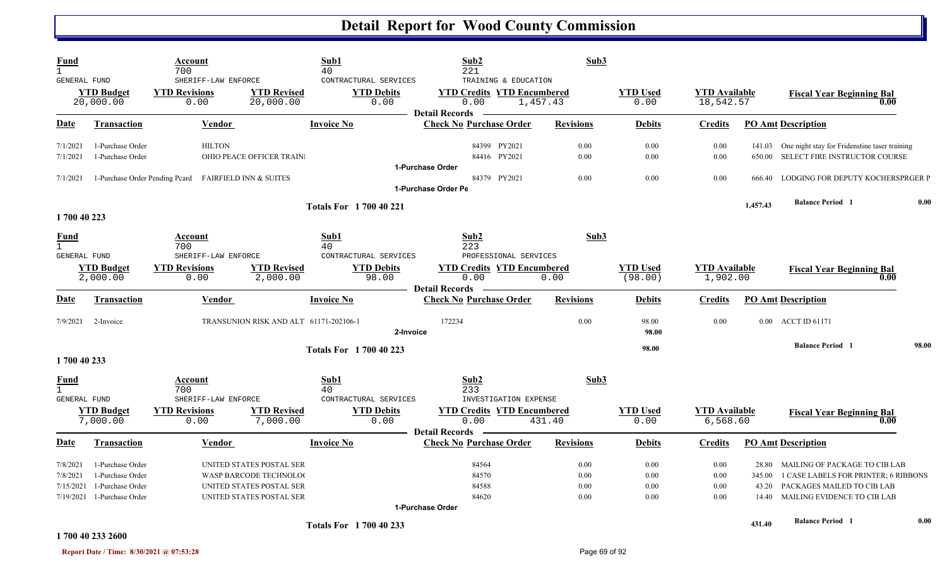| Fund<br>$\mathbf{1}$ |                               | Account<br>700                                        |                                        | Sub1<br>40                     | Sub2<br>221                                             | Sub3             |                            |                                  |          |                                                      |       |
|----------------------|-------------------------------|-------------------------------------------------------|----------------------------------------|--------------------------------|---------------------------------------------------------|------------------|----------------------------|----------------------------------|----------|------------------------------------------------------|-------|
| GENERAL FUND         |                               | SHERIFF-LAW ENFORCE                                   |                                        | CONTRACTURAL SERVICES          | TRAINING & EDUCATION                                    |                  |                            |                                  |          |                                                      |       |
|                      | <b>YTD Budget</b>             | <b>YTD Revisions</b>                                  | <b>YTD Revised</b>                     | <b>YTD Debits</b>              | <b>YTD Credits YTD Encumbered</b>                       |                  | <b>YTD Used</b>            | <b>YTD Available</b>             |          | <b>Fiscal Year Beginning Bal</b>                     |       |
|                      | 20,000.00                     | 0.00                                                  | 20,000.00                              | 0.00                           | 0.00<br><b>Detail Records</b>                           | 1,457.43         | 0.00                       | 18,542.57                        |          | 0.00                                                 |       |
| Date                 | <b>Transaction</b>            | <b>Vendor</b>                                         |                                        | <b>Invoice No</b>              | <b>Check No Purchase Order</b>                          | <b>Revisions</b> | <b>Debits</b>              | <u>Credits</u>                   |          | <b>PO Amt Description</b>                            |       |
| 7/1/2021             | 1-Purchase Order              | <b>HILTON</b>                                         |                                        |                                | 84399 PY2021                                            | 0.00             | 0.00                       | 0.00                             |          | 141.03 One night stay for Fridenstine taser training |       |
| 7/1/2021             | 1-Purchase Order              |                                                       | OHIO PEACE OFFICER TRAIN.              |                                | 84416 PY2021                                            | 0.00             | 0.00                       | 0.00                             | 650.00   | SELECT FIRE INSTRUCTOR COURSE                        |       |
|                      |                               |                                                       |                                        |                                | 1-Purchase Order                                        |                  |                            |                                  |          |                                                      |       |
| 7/1/2021             |                               | 1-Purchase Order Pending Peard FAIRFIELD INN & SUITES |                                        |                                | 84379 PY2021                                            | 0.00             | 0.00                       | 0.00                             |          | 666.40 LODGING FOR DEPUTY KOCHERSPRGER P             |       |
|                      |                               |                                                       |                                        |                                | 1-Purchase Order Pe                                     |                  |                            |                                  |          |                                                      |       |
|                      |                               |                                                       |                                        | <b>Totals For 1700 40 221</b>  |                                                         |                  |                            |                                  | 1,457.43 | <b>Balance Period 1</b>                              | 0.00  |
| 1700 40 223          |                               |                                                       |                                        |                                |                                                         |                  |                            |                                  |          |                                                      |       |
| Fund<br>$\mathbf{1}$ |                               | Account<br>700                                        |                                        | Sub1<br>40                     | Sub <sub>2</sub><br>223                                 | Sub3             |                            |                                  |          |                                                      |       |
| GENERAL FUND         |                               | SHERIFF-LAW ENFORCE                                   |                                        | CONTRACTURAL SERVICES          | PROFESSIONAL SERVICES                                   |                  |                            |                                  |          |                                                      |       |
|                      | <b>YTD Budget</b><br>2,000.00 | <b>YTD Revisions</b><br>0.00                          | <b>YTD Revised</b><br>2,000.00         | <b>YTD Debits</b><br>98.00     | <b>YTD Credits YTD Encumbered</b><br>0.00               | 0.00             | <b>YTD Used</b><br>(98.00) | <b>YTD</b> Available<br>1,902.00 |          | <b>Fiscal Year Beginning Bal</b><br>0.00             |       |
| Date                 | Transaction                   | <b>Vendor</b>                                         |                                        | <b>Invoice No</b>              | <b>Detail Records</b><br><b>Check No Purchase Order</b> | <b>Revisions</b> | <b>Debits</b>              | Credits                          |          | <b>PO Amt Description</b>                            |       |
| 7/9/2021             | 2-Invoice                     |                                                       | TRANSUNION RISK AND ALT 61171-202106-1 | 2-Invoice                      | 172234                                                  | 0.00             | 98.00<br>98.00             | 0.00                             |          | 0.00 ACCT ID 61171                                   |       |
|                      |                               |                                                       |                                        | <b>Totals For 1 700 40 223</b> |                                                         |                  | 98.00                      |                                  |          | <b>Balance Period 1</b>                              | 98.00 |
| 1700 40 233          |                               |                                                       |                                        |                                |                                                         |                  |                            |                                  |          |                                                      |       |
| Fund<br>$\mathbf{1}$ |                               | Account<br>700                                        |                                        | Sub1<br>40                     | Sub <sub>2</sub><br>233                                 | Sub3             |                            |                                  |          |                                                      |       |
| GENERAL FUND         |                               | SHERIFF-LAW ENFORCE                                   |                                        | CONTRACTURAL SERVICES          | INVESTIGATION EXPENSE                                   |                  |                            |                                  |          |                                                      |       |
|                      | <b>YTD Budget</b><br>7,000.00 | <b>YTD Revisions</b><br>0.00                          | <b>YTD Revised</b><br>7,000.00         | <b>YTD Debits</b><br>0.00      | <b>YTD Credits YTD Encumbered</b><br>0.00               | 431.40           | <b>YTD Used</b><br>0.00    | <b>YTD Available</b><br>6,568.60 |          | <b>Fiscal Year Beginning Bal</b><br>0.00             |       |
| <u>Date</u>          | <b>Transaction</b>            | Vendor                                                |                                        | <b>Invoice No</b>              | <b>Detail Records</b><br><b>Check No Purchase Order</b> | <b>Revisions</b> | <b>Debits</b>              | Credits                          |          | <b>PO Amt Description</b>                            |       |
|                      |                               |                                                       |                                        |                                |                                                         |                  |                            |                                  |          |                                                      |       |
| 7/8/2021             | 1-Purchase Order              |                                                       | UNITED STATES POSTAL SER               |                                | 84564                                                   | 0.00             | 0.00                       | 0.00                             | 28.80    | MAILING OF PACKAGE TO CIB LAB                        |       |
| 7/8/2021             | 1-Purchase Order              |                                                       | WASP BARCODE TECHNOLOG                 |                                | 84570                                                   | 0.00             | 0.00                       | 0.00                             | 345.00   | 1 CASE LABELS FOR PRINTER; 6 RIBBONS                 |       |
| 7/15/2021            | 1-Purchase Order              |                                                       | UNITED STATES POSTAL SER               |                                | 84588                                                   | 0.00             | 0.00                       | 0.00                             | 43.20    | PACKAGES MAILED TO CIB LAB                           |       |
| 7/19/2021            | 1-Purchase Order              |                                                       | UNITED STATES POSTAL SER               |                                | 84620                                                   | 0.00             | 0.00                       | 0.00                             |          | 14.40 MAILING EVIDENCE TO CIB LAB                    |       |
|                      |                               |                                                       |                                        |                                | 1-Purchase Order                                        |                  |                            |                                  |          |                                                      |       |
|                      | 1700 40 233 2600              |                                                       |                                        | <b>Totals For 1700 40 233</b>  |                                                         |                  |                            |                                  | 431.40   | <b>Balance Period 1</b>                              | 0.00  |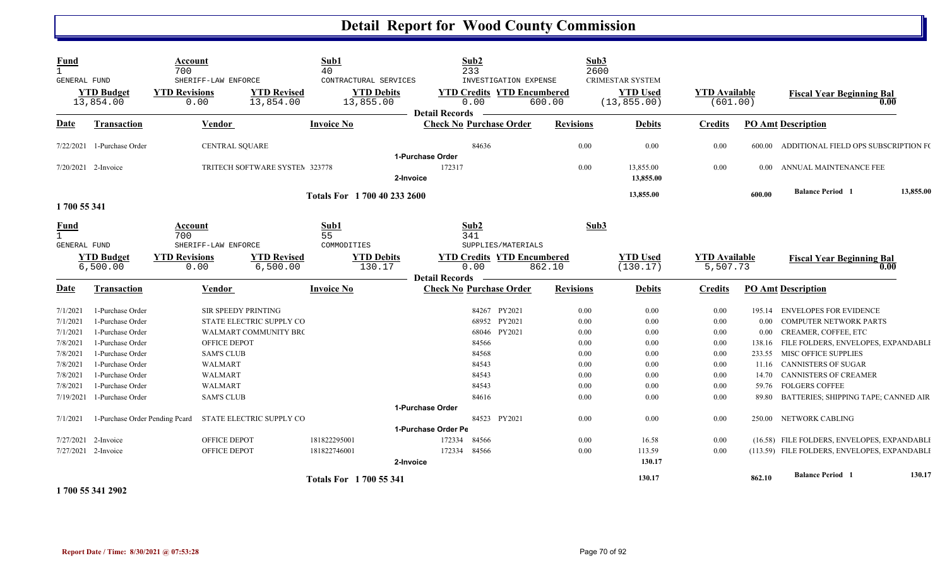| <b>Fund</b><br>$\mathbf{1}$         |                                | Account<br>700       |                                | Sub1<br>40                    |                       | Sub2<br>233                       | Sub3<br>2600     |                         |                      |          |                                              |           |
|-------------------------------------|--------------------------------|----------------------|--------------------------------|-------------------------------|-----------------------|-----------------------------------|------------------|-------------------------|----------------------|----------|----------------------------------------------|-----------|
| <b>GENERAL FUND</b>                 |                                |                      | SHERIFF-LAW ENFORCE            | CONTRACTURAL SERVICES         |                       | INVESTIGATION EXPENSE             |                  | <b>CRIMESTAR SYSTEM</b> |                      |          |                                              |           |
|                                     | <b>YTD Budget</b>              | <b>YTD Revisions</b> | <b>YTD Revised</b>             | <b>YTD Debits</b>             |                       | <b>YTD Credits YTD Encumbered</b> |                  | <b>YTD Used</b>         | <b>YTD Available</b> |          | <b>Fiscal Year Beginning Bal</b>             |           |
|                                     | 13,854.00                      | 0.00                 | 13,854.00                      | 13,855.00                     |                       | 0.00                              | 600.00           | (13, 855.00)            | (601.00)             |          | 0.00                                         |           |
|                                     |                                |                      |                                |                               | <b>Detail Records</b> |                                   |                  |                         |                      |          |                                              |           |
| Date                                | <b>Transaction</b>             |                      | <b>Vendor</b>                  | <b>Invoice No</b>             |                       | <b>Check No Purchase Order</b>    | <b>Revisions</b> | <b>Debits</b>           | <b>Credits</b>       |          | <b>PO Amt Description</b>                    |           |
|                                     | 7/22/2021 1-Purchase Order     |                      | <b>CENTRAL SQUARE</b>          |                               |                       | 84636                             | 0.00             | 0.00                    | 0.00                 | 600.00   | ADDITIONAL FIELD OPS SUBSCRIPTION F(         |           |
|                                     |                                |                      |                                |                               | 1-Purchase Order      |                                   |                  |                         |                      |          |                                              |           |
| $7/20/2021$ 2-Invoice               |                                |                      | TRITECH SOFTWARE SYSTEM 323778 |                               | 172317                |                                   | 0.00             | 13,855.00               | 0.00                 | $0.00 -$ | ANNUAL MAINTENANCE FEE                       |           |
|                                     |                                |                      |                                |                               | 2-Invoice             |                                   |                  | 13,855.00               |                      |          |                                              |           |
|                                     |                                |                      |                                | Totals For 1 700 40 233 2600  |                       |                                   |                  | 13,855.00               |                      | 600.00   | <b>Balance Period 1</b>                      | 13,855.00 |
| 1700 55 341                         |                                |                      |                                |                               |                       |                                   |                  |                         |                      |          |                                              |           |
| <b>Fund</b>                         |                                | Account              |                                | Sub1                          |                       | Sub2                              | Sub3             |                         |                      |          |                                              |           |
| $\mathbf{1}$<br><b>GENERAL FUND</b> |                                | 700                  | SHERIFF-LAW ENFORCE            | 55<br>COMMODITIES             |                       | 341<br>SUPPLIES/MATERIALS         |                  |                         |                      |          |                                              |           |
|                                     | <b>YTD Budget</b>              | <b>YTD Revisions</b> | <b>YTD Revised</b>             | <b>YTD Debits</b>             |                       | <b>YTD Credits YTD Encumbered</b> |                  | <b>YTD Used</b>         | <b>YTD</b> Available |          |                                              |           |
|                                     | 6,500.00                       | 0.00                 | 6,500.00                       | 130.17                        |                       | 0.00                              | 862.10           | (130.17)                | 5,507.73             |          | <b>Fiscal Year Beginning Bal</b><br>0.00     |           |
|                                     |                                |                      |                                |                               | <b>Detail Records</b> |                                   |                  |                         |                      |          |                                              |           |
| <b>Date</b>                         | <b>Transaction</b>             |                      | Vendor                         | <b>Invoice No</b>             |                       | <b>Check No Purchase Order</b>    | <b>Revisions</b> | <b>Debits</b>           | <b>Credits</b>       |          | <b>PO Amt Description</b>                    |           |
| 7/1/2021                            | 1-Purchase Order               |                      | SIR SPEEDY PRINTING            |                               |                       | 84267 PY2021                      | 0.00             | 0.00                    | 0.00                 | 195.14   | <b>ENVELOPES FOR EVIDENCE</b>                |           |
| 7/1/2021                            | 1-Purchase Order               |                      | STATE ELECTRIC SUPPLY CO       |                               |                       | 68952 PY2021                      | $0.00\,$         | $0.00\,$                | 0.00                 | 0.00     | <b>COMPUTER NETWORK PARTS</b>                |           |
| 7/1/2021                            | 1-Purchase Order               |                      | WALMART COMMUNITY BRC          |                               |                       | 68046 PY2021                      | 0.00             | 0.00                    | $0.00\,$             | $0.00\,$ | CREAMER, COFFEE, ETC                         |           |
| 7/8/2021                            | 1-Purchase Order               |                      | OFFICE DEPOT                   |                               |                       | 84566                             | 0.00             | 0.00                    | 0.00                 |          | 138.16 FILE FOLDERS, ENVELOPES, EXPANDABLI   |           |
| 7/8/2021                            | 1-Purchase Order               |                      | <b>SAM'S CLUB</b>              |                               |                       | 84568                             | $0.00\,$         | $0.00\,$                | 0.00                 |          | 233.55 MISC OFFICE SUPPLIES                  |           |
| 7/8/2021                            | 1-Purchase Order               |                      | <b>WALMART</b>                 |                               |                       | 84543                             | 0.00             | 0.00                    | 0.00                 |          | 11.16 CANNISTERS OF SUGAR                    |           |
| 7/8/2021                            | 1-Purchase Order               |                      | <b>WALMART</b>                 |                               |                       | 84543                             | 0.00             | $0.00\,$                | $0.00\,$             |          | 14.70 CANNISTERS OF CREAMER                  |           |
| 7/8/2021                            | 1-Purchase Order               |                      | <b>WALMART</b>                 |                               |                       | 84543                             | 0.00             | 0.00                    | 0.00                 | 59.76    | <b>FOLGERS COFFEE</b>                        |           |
| 7/19/2021                           | 1-Purchase Order               |                      | <b>SAM'S CLUB</b>              |                               |                       | 84616                             | 0.00             | 0.00                    | $0.00\,$             |          | 89.80 BATTERIES; SHIPPING TAPE; CANNED AIR   |           |
|                                     |                                |                      |                                |                               | 1-Purchase Order      |                                   |                  |                         |                      |          |                                              |           |
| 7/1/2021                            | 1-Purchase Order Pending Pcard |                      | STATE ELECTRIC SUPPLY CO       |                               |                       | 84523 PY2021                      | 0.00             | 0.00                    | $0.00\,$             | 250.00   | NETWORK CABLING                              |           |
|                                     |                                |                      |                                |                               | 1-Purchase Order Pe   |                                   |                  |                         |                      |          |                                              |           |
|                                     | 7/27/2021 2-Invoice            |                      | OFFICE DEPOT                   | 181822295001                  | 172334                | 84566                             | 0.00             | 16.58                   | $0.00\,$             |          | (16.58) FILE FOLDERS, ENVELOPES, EXPANDABLI  |           |
|                                     | 7/27/2021 2-Invoice            |                      | OFFICE DEPOT                   | 181822746001                  | 172334<br>2-Invoice   | 84566                             | 0.00             | 113.59<br>130.17        | 0.00                 |          | (113.59) FILE FOLDERS, ENVELOPES, EXPANDABLI |           |
|                                     |                                |                      |                                | <b>Totals For 1700 55 341</b> |                       |                                   |                  | 130.17                  |                      | 862.10   | <b>Balance Period 1</b>                      | 130.17    |
|                                     | 1 700 55 341 2902              |                      |                                |                               |                       |                                   |                  |                         |                      |          |                                              |           |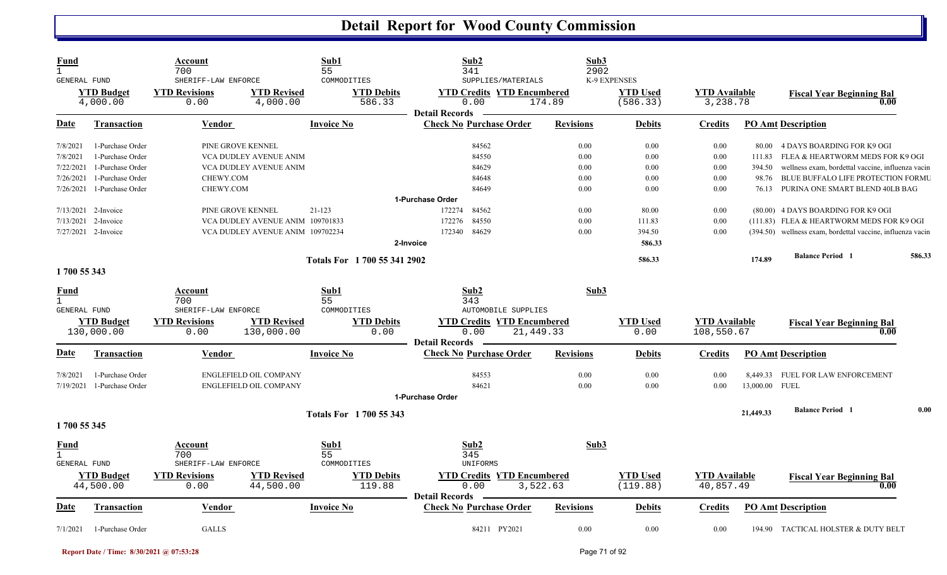| Fund<br>$\mathbf{1}$<br><b>GENERAL FUND</b>        |                                | Account<br>700<br>SHERIFF-LAW ENFORCE                          |                                  | Sub1<br>55<br>COMMODITIES     | Sub2<br>341<br>SUPPLIES/MATERIALS                                  | Sub3<br>2902     | K-9 EXPENSES                |                                   |                |                                                            |        |
|----------------------------------------------------|--------------------------------|----------------------------------------------------------------|----------------------------------|-------------------------------|--------------------------------------------------------------------|------------------|-----------------------------|-----------------------------------|----------------|------------------------------------------------------------|--------|
| <b>YTD Budget</b><br>4,000.00                      |                                | <b>YTD Revisions</b><br><b>YTD Revised</b><br>4,000.00<br>0.00 |                                  | <b>YTD Debits</b><br>586.33   | <b>YTD Credits YTD Encumbered</b><br>0.00<br><b>Detail Records</b> | 174.89           | <b>YTD</b> Used<br>(586.33) | <b>YTD Available</b><br>3,238.78  |                | <b>Fiscal Year Beginning Bal</b><br>0.00                   |        |
| Date                                               | <b>Transaction</b>             | <b>Vendor</b>                                                  |                                  | <b>Invoice No</b>             | <b>Check No Purchase Order</b>                                     | <b>Revisions</b> | <b>Debits</b>               | <b>Credits</b>                    |                | <b>PO Amt Description</b>                                  |        |
| 7/8/2021                                           | 1-Purchase Order               | PINE GROVE KENNEL                                              |                                  |                               | 84562                                                              | 0.00             | 0.00                        | 0.00                              | 80.00          | 4 DAYS BOARDING FOR K9 OGI                                 |        |
| 7/8/2021                                           | 1-Purchase Order               |                                                                | VCA DUDLEY AVENUE ANIM           |                               | 84550                                                              | 0.00             | 0.00                        | 0.00                              | 111.83         | FLEA & HEARTWORM MEDS FOR K9 OGI                           |        |
| 7/22/2021                                          | 1-Purchase Order               |                                                                | VCA DUDLEY AVENUE ANIM           |                               | 84629                                                              | 0.00             | 0.00                        | 0.00                              | 394.50         | wellness exam, bordettal vaccine, influenza vacin          |        |
| 7/26/2021                                          | 1-Purchase Order               | CHEWY.COM                                                      |                                  |                               | 84648                                                              | 0.00             | 0.00                        | 0.00                              | 98.76          | <b>BLUE BUFFALO LIFE PROTECTION FORMU</b>                  |        |
| 7/26/2021                                          | 1-Purchase Order               | CHEWY.COM                                                      |                                  |                               | 84649                                                              | 0.00             | 0.00                        | 0.00                              | 76.13          | PURINA ONE SMART BLEND 40LB BAG                            |        |
|                                                    |                                |                                                                |                                  |                               | 1-Purchase Order                                                   |                  |                             |                                   |                |                                                            |        |
|                                                    | 7/13/2021 2-Invoice            | PINE GROVE KENNEL                                              |                                  | $21 - 123$                    | 172274<br>84562                                                    | 0.00             | 80.00                       | 0.00                              |                | (80.00) 4 DAYS BOARDING FOR K9 OGI                         |        |
| 7/13/2021                                          | 2-Invoice                      |                                                                | VCA DUDLEY AVENUE ANIM 109701833 |                               | 172276<br>84550                                                    | 0.00             | 111.83                      | 0.00                              |                | (111.83) FLEA & HEARTWORM MEDS FOR K9 OGI                  |        |
|                                                    | $7/27/2021$ 2-Invoice          |                                                                | VCA DUDLEY AVENUE ANIM 109702234 |                               | 84629<br>172340                                                    | 0.00             | 394.50                      | 0.00                              |                | (394.50) wellness exam, bordettal vaccine, influenza vacin |        |
|                                                    |                                |                                                                |                                  |                               | 2-Invoice                                                          |                  | 586.33                      |                                   |                |                                                            |        |
|                                                    |                                |                                                                |                                  | Totals For 1 700 55 341 2902  |                                                                    |                  | 586.33                      |                                   | 174.89         | <b>Balance Period</b> 1                                    | 586.33 |
| 1700 55 343                                        |                                |                                                                |                                  |                               |                                                                    |                  |                             |                                   |                |                                                            |        |
| <u>Fund</u><br>$\mathbf{1}$                        |                                | Account<br>700                                                 |                                  | Sub1<br>55                    | Sub2<br>343                                                        | Sub3             |                             |                                   |                |                                                            |        |
| <b>GENERAL FUND</b>                                |                                | SHERIFF-LAW ENFORCE                                            |                                  | COMMODITIES                   | AUTOMOBILE SUPPLIES                                                |                  |                             |                                   |                |                                                            |        |
|                                                    | <b>YTD Budget</b>              | <b>YTD Revisions</b>                                           | <b>YTD Revised</b>               | <b>YTD Debits</b>             | <b>YTD Credits YTD Encumbered</b>                                  |                  | <b>YTD</b> Used             | <b>YTD</b> Available              |                | <b>Fiscal Year Beginning Bal</b>                           |        |
|                                                    | 130,000.00                     | 0.00                                                           | 130,000.00                       | 0.00                          | 0.00                                                               | 21,449.33        | 0.00                        | 108,550.67                        |                | 0.00                                                       |        |
|                                                    |                                |                                                                |                                  |                               | <b>Detail Records</b>                                              |                  |                             |                                   |                |                                                            |        |
| Date                                               | <b>Transaction</b>             | Vendor                                                         |                                  | <b>Invoice No</b>             | <b>Check No Purchase Order</b>                                     | <b>Revisions</b> | Debits                      | <b>Credits</b>                    |                | <b>PO Amt Description</b>                                  |        |
| 7/8/2021                                           | 1-Purchase Order               |                                                                | ENGLEFIELD OIL COMPANY           |                               | 84553                                                              | 0.00             | 0.00                        | 0.00                              |                | 8,449.33 FUEL FOR LAW ENFORCEMENT                          |        |
| 7/19/2021                                          | 1-Purchase Order               |                                                                | ENGLEFIELD OIL COMPANY           |                               | 84621                                                              | 0.00             | 0.00                        | 0.00                              | 13,000.00 FUEL |                                                            |        |
|                                                    |                                |                                                                |                                  |                               | 1-Purchase Order                                                   |                  |                             |                                   |                |                                                            |        |
|                                                    |                                |                                                                |                                  | <b>Totals For 1700 55 343</b> |                                                                    |                  |                             |                                   | 21,449.33      | <b>Balance Period 1</b>                                    | 0.00   |
| 1700 55 345                                        |                                |                                                                |                                  |                               |                                                                    |                  |                             |                                   |                |                                                            |        |
| <b>Fund</b><br>$\mathbf{1}$<br><b>GENERAL FUND</b> |                                | Account<br>700<br>SHERIFF-LAW ENFORCE                          |                                  | Sub1<br>55<br>COMMODITIES     | Sub2<br>345<br>UNIFORMS                                            | Sub3             |                             |                                   |                |                                                            |        |
|                                                    | <b>YTD Budget</b><br>44,500.00 | <b>YTD Revisions</b><br>0.00                                   | <b>YTD Revised</b><br>44,500.00  | <b>YTD Debits</b><br>119.88   | <b>YTD Credits YTD Encumbered</b><br>0.00<br><b>Detail Records</b> | 3,522.63         | <b>YTD Used</b><br>(119.88) | <b>YTD Available</b><br>40,857.49 |                | <b>Fiscal Year Beginning Bal</b><br>0.00                   |        |
| Date                                               | <b>Transaction</b>             | <b>Vendor</b>                                                  |                                  | <b>Invoice No</b>             | <b>Check No Purchase Order</b>                                     | <b>Revisions</b> | <b>Debits</b>               | <b>Credits</b>                    |                | <b>PO Amt Description</b>                                  |        |
| 7/1/2021                                           | 1-Purchase Order               | <b>GALLS</b>                                                   |                                  |                               | 84211 PY2021                                                       | 0.00             | 0.00                        | 0.00                              |                | 194.90 TACTICAL HOLSTER & DUTY BELT                        |        |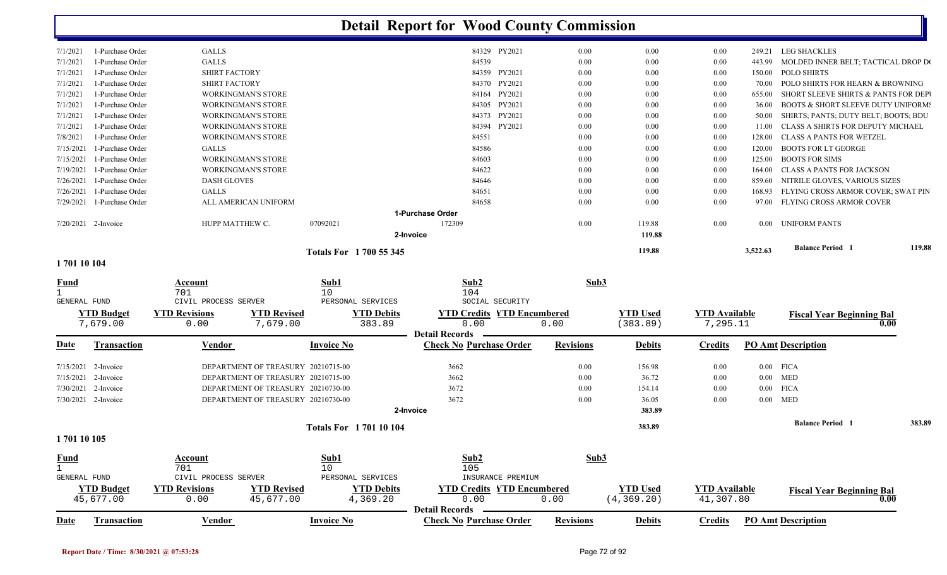|                     |                                |                              |                                    |                               | <b>Detail Report for Wood County Commission</b> |                  |                                |                                   |          |                                               |        |
|---------------------|--------------------------------|------------------------------|------------------------------------|-------------------------------|-------------------------------------------------|------------------|--------------------------------|-----------------------------------|----------|-----------------------------------------------|--------|
| 7/1/2021            | 1-Purchase Order               | <b>GALLS</b>                 |                                    |                               | 84329 PY2021                                    | 0.00             | $0.00\,$                       | $0.00\,$                          | 249.21   | LEG SHACKLES                                  |        |
| 7/1/2021            | 1-Purchase Order               | <b>GALLS</b>                 |                                    |                               | 84539                                           | 0.00             | 0.00                           | $0.00\,$                          | 443.99   | MOLDED INNER BELT; TACTICAL DROP DO           |        |
| 7/1/2021            | 1-Purchase Order               | <b>SHIRT FACTORY</b>         |                                    |                               | 84359 PY2021                                    | 0.00             | 0.00                           | 0.00                              | 150.00   | <b>POLO SHIRTS</b>                            |        |
| 7/1/2021            | 1-Purchase Order               | <b>SHIRT FACTORY</b>         |                                    |                               | 84370 PY2021                                    | 0.00             | 0.00                           | 0.00                              | 70.00    | POLO SHIRTS FOR HEARN & BROWNING              |        |
| 7/1/2021            | 1-Purchase Order               |                              | <b>WORKINGMAN'S STORE</b>          |                               | 84164 PY2021                                    | 0.00             | 0.00                           | $0.00\,$                          | 655.00   | SHORT SLEEVE SHIRTS & PANTS FOR DEP           |        |
| 7/1/2021            | 1-Purchase Order               |                              | <b>WORKINGMAN'S STORE</b>          |                               | PY2021<br>84305                                 | 0.00             | 0.00                           | 0.00                              | 36.00    | <b>BOOTS &amp; SHORT SLEEVE DUTY UNIFORM:</b> |        |
| 7/1/2021            | 1-Purchase Order               |                              | WORKINGMAN'S STORE                 |                               | PY2021<br>84373                                 | 0.00             | 0.00                           | $0.00\,$                          | 50.00    | SHIRTS; PANTS; DUTY BELT; BOOTS; BDU          |        |
| 7/1/2021            | 1-Purchase Order               |                              | <b>WORKINGMAN'S STORE</b>          |                               | PY2021<br>84394                                 | 0.00             | 0.00                           | $0.00\,$                          | 11.00    | CLASS A SHIRTS FOR DEPUTY MICHAEL             |        |
| 7/8/2021            | 1-Purchase Order               |                              | WORKINGMAN'S STORE                 |                               | 84551                                           | 0.00             | 0.00                           | 0.00                              | 128.00   | <b>CLASS A PANTS FOR WETZEL</b>               |        |
| 7/15/2021           | 1-Purchase Order               | <b>GALLS</b>                 |                                    |                               | 84586                                           | 0.00             | 0.00                           | 0.00                              | 120.00   | <b>BOOTS FOR LT GEORGE</b>                    |        |
| 7/15/2021           | 1-Purchase Order               |                              | <b>WORKINGMAN'S STORE</b>          |                               | 84603                                           | 0.00             | 0.00                           | $0.00\,$                          | 125.00   | <b>BOOTS FOR SIMS</b>                         |        |
| 7/19/2021           | 1-Purchase Order               |                              | WORKINGMAN'S STORE                 |                               | 84622                                           | 0.00             | 0.00                           | 0.00                              | 164.00   | <b>CLASS A PANTS FOR JACKSON</b>              |        |
| 7/26/2021           | 1-Purchase Order               | <b>DASH GLOVES</b>           |                                    |                               | 84646                                           | 0.00             | 0.00                           | 0.00                              | 859.60   | NITRILE GLOVES, VARIOUS SIZES                 |        |
| 7/26/2021           | 1-Purchase Order               | <b>GALLS</b>                 |                                    |                               | 84651                                           | 0.00             | $0.00\,$                       | $0.00\,$                          | 168.93   | FLYING CROSS ARMOR COVER; SWAT PIN            |        |
| 7/29/2021           | 1-Purchase Order               |                              | ALL AMERICAN UNIFORM               |                               | 84658                                           | 0.00             | 0.00                           | 0.00                              | 97.00    | FLYING CROSS ARMOR COVER                      |        |
|                     |                                |                              |                                    |                               | 1-Purchase Order                                |                  |                                |                                   |          |                                               |        |
|                     | 7/20/2021 2-Invoice            | HUPP MATTHEW C.              |                                    | 07092021                      | 172309<br>2-Invoice                             | 0.00             | 119.88<br>119.88               | 0.00                              | $0.00\,$ | <b>UNIFORM PANTS</b>                          |        |
|                     |                                |                              |                                    | <b>Totals For 1700 55 345</b> |                                                 |                  | 119.88                         |                                   | 3,522.63 | <b>Balance Period 1</b>                       | 119.88 |
| 170110104           |                                |                              |                                    |                               |                                                 |                  |                                |                                   |          |                                               |        |
| Fund                |                                | Account                      |                                    | Sub1                          | Sub2                                            | Sub3             |                                |                                   |          |                                               |        |
| $\mathbf{1}$        |                                | 701                          |                                    | 10 <sup>°</sup>               | 104                                             |                  |                                |                                   |          |                                               |        |
| GENERAL FUND        |                                | CIVIL PROCESS SERVER         |                                    | PERSONAL SERVICES             | SOCIAL SECURITY                                 |                  |                                |                                   |          |                                               |        |
|                     | <b>YTD Budget</b><br>7,679.00  | <b>YTD Revisions</b><br>0.00 | <b>YTD Revised</b><br>7,679.00     | <b>YTD Debits</b><br>383.89   | <b>YTD Credits YTD Encumbered</b><br>0.00       | 0.00             | <b>YTD Used</b><br>(383.89)    | <b>YTD</b> Available<br>7,295.11  |          | <b>Fiscal Year Beginning Bal</b>              | 0.00   |
|                     |                                |                              |                                    |                               | <b>Detail Records</b>                           |                  |                                |                                   |          |                                               |        |
| Date                | <b>Transaction</b>             | Vendor                       |                                    | <b>Invoice No</b>             | <b>Check No Purchase Order</b>                  | <b>Revisions</b> | <b>Debits</b>                  | <b>Credits</b>                    |          | <b>PO Amt Description</b>                     |        |
|                     | 7/15/2021 2-Invoice            |                              | DEPARTMENT OF TREASURY 20210715-00 |                               | 3662                                            | 0.00             | 156.98                         | 0.00                              |          | $0.00$ FICA                                   |        |
|                     | 7/15/2021 2-Invoice            |                              | DEPARTMENT OF TREASURY 20210715-00 |                               | 3662                                            | 0.00             | 36.72                          | $0.00\,$                          | $0.00\,$ | <b>MED</b>                                    |        |
|                     | 7/30/2021 2-Invoice            |                              | DEPARTMENT OF TREASURY 20210730-00 |                               | 3672                                            | 0.00             | 154.14                         | $0.00\,$                          | $0.00\,$ | <b>FICA</b>                                   |        |
|                     | 7/30/2021 2-Invoice            |                              | DEPARTMENT OF TREASURY 20210730-00 |                               | 3672                                            | 0.00             | 36.05                          | 0.00                              |          | $0.00$ MED                                    |        |
|                     |                                |                              |                                    |                               | 2-Invoice                                       |                  | 383.89                         |                                   |          |                                               |        |
|                     |                                |                              |                                    | <b>Totals For 170110104</b>   |                                                 |                  | 383.89                         |                                   |          | <b>Balance Period 1</b>                       | 383.89 |
| 1701 10 105         |                                |                              |                                    |                               |                                                 |                  |                                |                                   |          |                                               |        |
| <u>Fund</u>         |                                | <b>Account</b>               |                                    | Sub1                          | Sub2                                            | Sub3             |                                |                                   |          |                                               |        |
| $\mathbf{1}$        |                                | 701                          |                                    | 10                            | 105                                             |                  |                                |                                   |          |                                               |        |
| <b>GENERAL FUND</b> |                                | CIVIL PROCESS SERVER         |                                    | PERSONAL SERVICES             | INSURANCE PREMIUM                               |                  |                                |                                   |          |                                               |        |
|                     | <b>YTD Budget</b><br>45,677.00 | <b>YTD Revisions</b><br>0.00 | <b>YTD Revised</b><br>45,677.00    | <b>YTD Debits</b><br>4,369.20 | <b>YTD Credits YTD Encumbered</b><br>0.00       | 0.00             | <b>YTD Used</b><br>(4, 369.20) | <b>YTD</b> Available<br>41,307.80 |          | <b>Fiscal Year Beginning Bal</b>              | 0.00   |

|      | 677<br>.00 |                 | 260<br>$\sim$ $\sim$ $\sim$<br>.00<br>n<br>ـ . |  | $\sim$<br>.<br>il Records<br><b>Detail</b> | $0\,.\,00$       | 20<br>२६०<br>.<br>، د ۰ | $\bigcap$<br>$.8^\circ$ |                                       |
|------|------------|-----------------|------------------------------------------------|--|--------------------------------------------|------------------|-------------------------|-------------------------|---------------------------------------|
| Date | ransaction | $  -$<br>Vendor | Invoice No                                     |  | <b>Check No Purchase Order</b>             | <b>Revisions</b> | <b>Debits</b>           | $\cdots$<br>∠redit⊆     | P <sub>O</sub><br>t Description<br>Αm |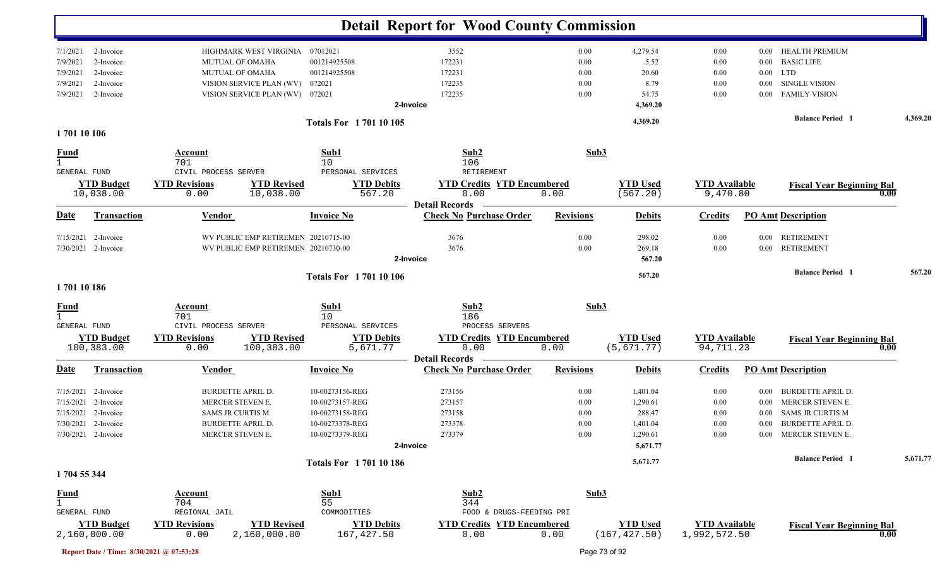|                  |                                   |                              |                                     |                                 | <b>Detail Report for Wood County Commission</b> |                  |                                  |                                      |          |                                  |      |          |
|------------------|-----------------------------------|------------------------------|-------------------------------------|---------------------------------|-------------------------------------------------|------------------|----------------------------------|--------------------------------------|----------|----------------------------------|------|----------|
| 7/1/2021         | 2-Invoice                         |                              | HIGHMARK WEST VIRGINIA              | 07012021                        | 3552                                            | 0.00             | 4,279.54                         | 0.00                                 | $0.00\,$ | <b>HEALTH PREMIUM</b>            |      |          |
| 7/9/2021         | 2-Invoice                         | MUTUAL OF OMAHA              |                                     | 001214925508                    | 172231                                          | 0.00             | 5.52                             | 0.00                                 | 0.00     | <b>BASIC LIFE</b>                |      |          |
| 7/9/2021         | 2-Invoice                         | MUTUAL OF OMAHA              |                                     | 001214925508                    | 172231                                          | 0.00             | 20.60                            | 0.00                                 | $0.00\,$ | LTD                              |      |          |
| 7/9/2021         | 2-Invoice                         |                              | VISION SERVICE PLAN (WV)            | 072021                          | 172235                                          | 0.00             | 8.79                             | 0.00                                 | $0.00\,$ | <b>SINGLE VISION</b>             |      |          |
| 7/9/2021         | 2-Invoice                         |                              | VISION SERVICE PLAN (WV) 072021     |                                 | 172235                                          | 0.00             | 54.75                            | 0.00                                 |          | 0.00 FAMILY VISION               |      |          |
|                  |                                   |                              |                                     |                                 | 2-Invoice                                       |                  | 4,369.20                         |                                      |          |                                  |      |          |
| 1701 10 106      |                                   |                              |                                     | <b>Totals For 170110105</b>     |                                                 |                  | 4,369.20                         |                                      |          | <b>Balance Period</b> 1          |      | 4,369.20 |
|                  |                                   |                              |                                     |                                 |                                                 |                  |                                  |                                      |          |                                  |      |          |
| <u>Fund</u>      |                                   | <b>Account</b>               |                                     | Sub1                            | Sub2                                            | Sub3             |                                  |                                      |          |                                  |      |          |
| $\mathbf{1}$     |                                   | 701                          |                                     | 10                              | 106                                             |                  |                                  |                                      |          |                                  |      |          |
| GENERAL FUND     |                                   | CIVIL PROCESS SERVER         |                                     | PERSONAL SERVICES               | RETIREMENT                                      |                  |                                  |                                      |          |                                  |      |          |
|                  | <b>YTD Budget</b>                 | <b>YTD Revisions</b>         | <b>YTD Revised</b>                  | <b>YTD Debits</b>               | <b>YTD Credits YTD Encumbered</b>               |                  | <b>YTD Used</b>                  | <b>YTD Available</b>                 |          | <b>Fiscal Year Beginning Bal</b> |      |          |
|                  | 10,038.00                         | 0.00                         | 10,038.00                           | 567.20                          | 0.00<br><b>Detail Records</b>                   | 0.00             | (567.20)                         | 9,470.80                             |          |                                  | 0.00 |          |
| <b>Date</b>      | <b>Transaction</b>                | <b>Vendor</b>                |                                     | <b>Invoice No</b>               | <b>Check No Purchase Order</b>                  | <b>Revisions</b> | <b>Debits</b>                    | <b>Credits</b>                       |          | <b>PO Amt Description</b>        |      |          |
|                  | 7/15/2021 2-Invoice               |                              | WV PUBLIC EMP RETIREMEN 20210715-00 |                                 | 3676                                            | 0.00             | 298.02                           | 0.00                                 | $0.00\,$ | <b>RETIREMENT</b>                |      |          |
|                  | 7/30/2021 2-Invoice               |                              | WV PUBLIC EMP RETIREMEN 20210730-00 |                                 | 3676                                            | 0.00             | 269.18                           | 0.00                                 | $0.00\,$ | <b>RETIREMENT</b>                |      |          |
|                  |                                   |                              |                                     |                                 | 2-Invoice                                       |                  | 567.20                           |                                      |          |                                  |      |          |
|                  |                                   |                              |                                     | <b>Totals For 170110106</b>     |                                                 |                  | 567.20                           |                                      |          | <b>Balance Period 1</b>          |      | 567.20   |
| 170110186        |                                   |                              |                                     |                                 |                                                 |                  |                                  |                                      |          |                                  |      |          |
| $\frac{Fund}{1}$ |                                   | <b>Account</b>               |                                     | Sub1                            | Sub2                                            | Sub3             |                                  |                                      |          |                                  |      |          |
|                  |                                   | 701                          |                                     | 10                              | 186<br>PROCESS SERVERS                          |                  |                                  |                                      |          |                                  |      |          |
| GENERAL FUND     |                                   | CIVIL PROCESS SERVER         |                                     | PERSONAL SERVICES               |                                                 |                  |                                  |                                      |          |                                  |      |          |
|                  | <b>YTD Budget</b><br>100,383.00   | <b>YTD Revisions</b><br>0.00 | <b>YTD Revised</b><br>100,383.00    | <b>YTD Debits</b><br>5,671.77   | <b>YTD Credits YTD Encumbered</b><br>0.00       | 0.00             | <b>YTD Used</b><br>(5, 671.77)   | <b>YTD Available</b><br>94,711.23    |          | <b>Fiscal Year Beginning Bal</b> | 0.00 |          |
|                  |                                   |                              |                                     |                                 | <b>Detail Records</b>                           |                  |                                  |                                      |          |                                  |      |          |
| <u>Date</u>      | <b>Transaction</b>                | <b>Vendor</b>                |                                     | <b>Invoice No</b>               | <b>Check No Purchase Order</b>                  | <b>Revisions</b> | <b>Debits</b>                    | <b>Credits</b>                       |          | <b>PO Amt Description</b>        |      |          |
|                  | $7/15/2021$ 2-Invoice             | <b>BURDETTE APRIL D.</b>     |                                     | 10-00273156-REG                 | 273156                                          | 0.00             | 1,401.04                         | 0.00                                 | $0.00\,$ | <b>BURDETTE APRIL D.</b>         |      |          |
| 7/15/2021        | 2-Invoice                         | MERCER STEVEN E.             |                                     | 10-00273157-REG                 | 273157                                          | 0.00             | 1,290.61                         | 0.00                                 | $0.00\,$ | MERCER STEVEN E.                 |      |          |
| 7/15/2021        | 2-Invoice                         | <b>SAMS JR CURTIS M</b>      |                                     | 10-00273158-REG                 | 273158                                          | 0.00             | 288.47                           | 0.00                                 | $0.00\,$ | <b>SAMS JR CURTIS M</b>          |      |          |
|                  | 7/30/2021 2-Invoice               | <b>BURDETTE APRIL D.</b>     |                                     | 10-00273378-REG                 | 273378                                          | 0.00             | 1,401.04                         | 0.00                                 | $0.00\,$ | <b>BURDETTE APRIL D.</b>         |      |          |
|                  | 7/30/2021 2-Invoice               | MERCER STEVEN E.             |                                     | 10-00273379-REG                 | 273379                                          | $0.00\,$         | 1,290.61                         | 0.00                                 |          | 0.00 MERCER STEVEN E.            |      |          |
|                  |                                   |                              |                                     |                                 | 2-Invoice                                       |                  | 5,671.77                         |                                      |          |                                  |      |          |
|                  |                                   |                              |                                     | <b>Totals For 170110186</b>     |                                                 |                  | 5,671.77                         |                                      |          | <b>Balance Period 1</b>          |      | 5,671.77 |
| 1704 55 344      |                                   |                              |                                     |                                 |                                                 |                  |                                  |                                      |          |                                  |      |          |
| <u>Fund</u>      |                                   | Account                      |                                     | Sub1                            | Sub2                                            | Sub3             |                                  |                                      |          |                                  |      |          |
| $\mathbf{1}$     |                                   | 704                          |                                     | 55                              | 344                                             |                  |                                  |                                      |          |                                  |      |          |
| GENERAL FUND     |                                   | REGIONAL JAIL                |                                     | COMMODITIES                     | FOOD & DRUGS-FEEDING PRI                        |                  |                                  |                                      |          |                                  |      |          |
|                  | <b>YTD Budget</b><br>2,160,000.00 | <b>YTD Revisions</b><br>0.00 | <b>YTD Revised</b><br>2,160,000.00  | <b>YTD Debits</b><br>167,427.50 | <b>YTD Credits YTD Encumbered</b><br>0.00       | 0.00             | <b>YTD</b> Used<br>(167, 427.50) | <b>YTD Available</b><br>1,992,572.50 |          | <b>Fiscal Year Beginning Bal</b> | 0.00 |          |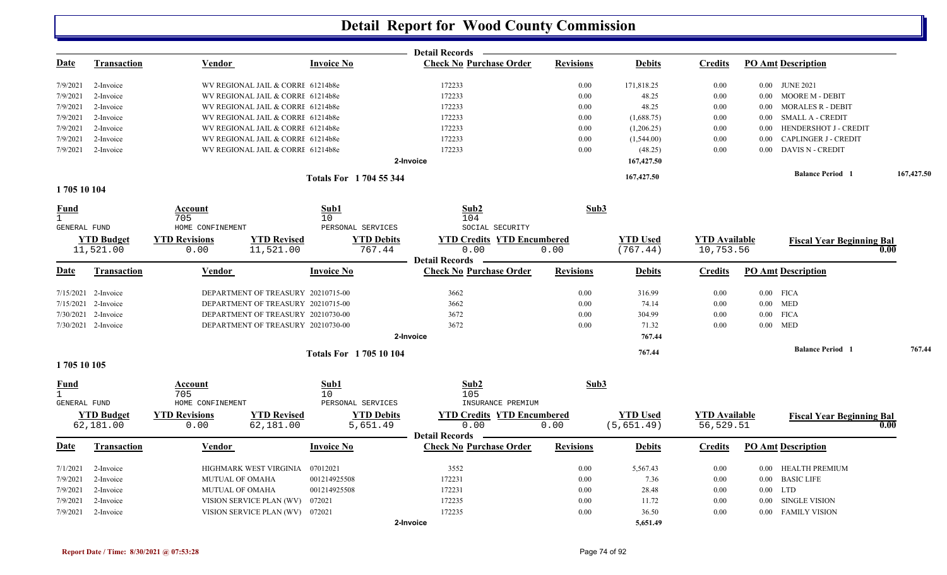|                             |                                |                              |                                    |                               |                               | <b>Detail Records</b>                                   |                  |                                |                                   |             |                                  |            |
|-----------------------------|--------------------------------|------------------------------|------------------------------------|-------------------------------|-------------------------------|---------------------------------------------------------|------------------|--------------------------------|-----------------------------------|-------------|----------------------------------|------------|
| <u>Date</u>                 | <u>Transaction</u>             | Vendor                       |                                    | <b>Invoice No</b>             |                               | <b>Check No Purchase Order</b>                          | <b>Revisions</b> | <b>Debits</b>                  | <b>Credits</b>                    |             | <b>PO Amt Description</b>        |            |
| 7/9/2021                    | 2-Invoice                      |                              | WV REGIONAL JAIL & CORRI 61214b8e  |                               |                               | 172233                                                  | 0.00             | 171,818.25                     | 0.00                              |             | 0.00 JUNE 2021                   |            |
| 7/9/2021                    | 2-Invoice                      |                              | WV REGIONAL JAIL & CORRI 61214b8e  |                               |                               | 172233                                                  | 0.00             | 48.25                          | 0.00                              | 0.00        | <b>MOORE M - DEBIT</b>           |            |
| 7/9/2021                    | 2-Invoice                      |                              | WV REGIONAL JAIL & CORRI 61214b8e  |                               |                               | 172233                                                  | 0.00             | 48.25                          | 0.00                              | 0.00        | <b>MORALES R - DEBIT</b>         |            |
| 7/9/2021                    | 2-Invoice                      |                              | WV REGIONAL JAIL & CORRI 61214b8e  |                               |                               | 172233                                                  | 0.00             | (1,688.75)                     | 0.00                              | 0.00        | <b>SMALL A - CREDIT</b>          |            |
| 7/9/2021                    | 2-Invoice                      |                              | WV REGIONAL JAIL & CORRI 61214b8e  |                               |                               | 172233                                                  | 0.00             | (1,206.25)                     | 0.00                              | 0.00        | HENDERSHOT J - CREDIT            |            |
| 7/9/2021                    | 2-Invoice                      |                              | WV REGIONAL JAIL & CORRI 61214b8e  |                               |                               | 172233                                                  | 0.00             | (1,544.00)                     | 0.00                              | 0.00        | <b>CAPLINGER J - CREDIT</b>      |            |
| 7/9/2021                    | 2-Invoice                      |                              | WV REGIONAL JAIL & CORRI 61214b8e  |                               |                               | 172233                                                  | 0.00             | (48.25)                        | 0.00                              | $0.00\,$    | <b>DAVIS N - CREDIT</b>          |            |
|                             |                                |                              |                                    |                               |                               | 2-Invoice                                               |                  | 167,427.50                     |                                   |             |                                  |            |
|                             |                                |                              |                                    | <b>Totals For 1704 55 344</b> |                               |                                                         |                  | 167,427.50                     |                                   |             | <b>Balance Period</b> 1          | 167,427.50 |
| 1705 10 104                 |                                |                              |                                    |                               |                               |                                                         |                  |                                |                                   |             |                                  |            |
| Fund                        |                                | Account<br>705               |                                    | Sub1<br>10                    |                               | Sub2<br>104                                             | Sub3             |                                |                                   |             |                                  |            |
| GENERAL FUND                |                                | HOME CONFINEMENT             |                                    |                               | PERSONAL SERVICES             | SOCIAL SECURITY                                         |                  |                                |                                   |             |                                  |            |
|                             | <b>YTD Budget</b>              | <b>YTD Revisions</b>         | <b>YTD Revised</b>                 |                               | <b>YTD Debits</b>             | <b>YTD Credits YTD Encumbered</b>                       |                  | <b>YTD Used</b>                | <b>YTD Available</b>              |             | <b>Fiscal Year Beginning Bal</b> |            |
|                             | 11,521.00                      | 0.00                         | 11,521.00                          |                               | 767.44                        | 0.00<br><b>Detail Records</b>                           | 0.00             | (767.44)                       | 10,753.56                         |             |                                  | 0.00       |
| Date                        | <b>Transaction</b>             | Vendor                       |                                    | <b>Invoice No</b>             |                               | <b>Check No Purchase Order</b>                          | <b>Revisions</b> | <b>Debits</b>                  | Credits                           |             | <b>PO Amt Description</b>        |            |
|                             |                                |                              |                                    |                               |                               |                                                         |                  |                                |                                   |             |                                  |            |
|                             | 7/15/2021 2-Invoice            |                              | DEPARTMENT OF TREASURY 20210715-00 |                               |                               | 3662                                                    | 0.00             | 316.99                         | 0.00                              | $0.00$ FICA |                                  |            |
|                             | 7/15/2021 2-Invoice            |                              | DEPARTMENT OF TREASURY 20210715-00 |                               |                               | 3662                                                    | 0.00             | 74.14                          | 0.00                              | $0.00$ MED  |                                  |            |
| 7/30/2021                   | 2-Invoice                      |                              | DEPARTMENT OF TREASURY 20210730-00 |                               |                               | 3672                                                    | 0.00             | 304.99                         | 0.00                              | $0.00\,$    | <b>FICA</b>                      |            |
|                             | 7/30/2021 2-Invoice            |                              | DEPARTMENT OF TREASURY 20210730-00 |                               |                               | 3672                                                    | 0.00             | 71.32                          | 0.00                              | $0.00$ MED  |                                  |            |
|                             |                                |                              |                                    |                               |                               | 2-Invoice                                               |                  | 767.44                         |                                   |             |                                  |            |
|                             |                                |                              |                                    | <b>Totals For 170510104</b>   |                               |                                                         |                  | 767.44                         |                                   |             | <b>Balance Period</b> 1          | 767.44     |
| 1705 10 105                 |                                |                              |                                    |                               |                               |                                                         |                  |                                |                                   |             |                                  |            |
| <u>Fund</u><br>$\mathbf{1}$ |                                | Account<br>705               |                                    | Sub1<br>10                    |                               | Sub2<br>105                                             | Sub3             |                                |                                   |             |                                  |            |
| <b>GENERAL FUND</b>         |                                | HOME CONFINEMENT             |                                    |                               | PERSONAL SERVICES             | INSURANCE PREMIUM                                       |                  |                                |                                   |             |                                  |            |
|                             | <b>YTD Budget</b><br>62,181.00 | <b>YTD Revisions</b><br>0.00 | <b>YTD Revised</b><br>62,181.00    |                               | <b>YTD Debits</b><br>5,651.49 | <b>YTD Credits YTD Encumbered</b><br>0.00               | 0.00             | <b>YTD Used</b><br>(5, 651.49) | <b>YTD</b> Available<br>56,529.51 |             | <b>Fiscal Year Beginning Bal</b> | 0.00       |
| Date                        | Transaction                    | Vendor                       |                                    | <b>Invoice No</b>             |                               | <b>Detail Records</b><br><b>Check No Purchase Order</b> | <b>Revisions</b> | <b>Debits</b>                  | Credits                           |             | <b>PO Amt Description</b>        |            |
| 7/1/2021                    | 2-Invoice                      |                              | HIGHMARK WEST VIRGINIA             | 07012021                      |                               | 3552                                                    | 0.00             | 5,567.43                       | 0.00                              | 0.00        | HEALTH PREMIUM                   |            |
| 7/9/2021                    | 2-Invoice                      | MUTUAL OF OMAHA              |                                    | 001214925508                  |                               | 172231                                                  | 0.00             | 7.36                           | 0.00                              | 0.00        | <b>BASIC LIFE</b>                |            |
| 7/9/2021                    | 2-Invoice                      | MUTUAL OF OMAHA              |                                    | 001214925508                  |                               | 172231                                                  | 0.00             | 28.48                          | 0.00                              | $0.00\,$    | <b>LTD</b>                       |            |
| 7/9/2021                    | 2-Invoice                      |                              | VISION SERVICE PLAN (WV)           | 072021                        |                               | 172235                                                  | 0.00             | 11.72                          | 0.00                              | 0.00        | <b>SINGLE VISION</b>             |            |
| 7/9/2021                    | 2-Invoice                      |                              | VISION SERVICE PLAN (WV)           | 072021                        |                               | 172235                                                  | 0.00             | 36.50                          | 0.00                              | $0.00\,$    | <b>FAMILY VISION</b>             |            |
|                             |                                |                              |                                    |                               |                               | 2-Invoice                                               |                  | 5,651.49                       |                                   |             |                                  |            |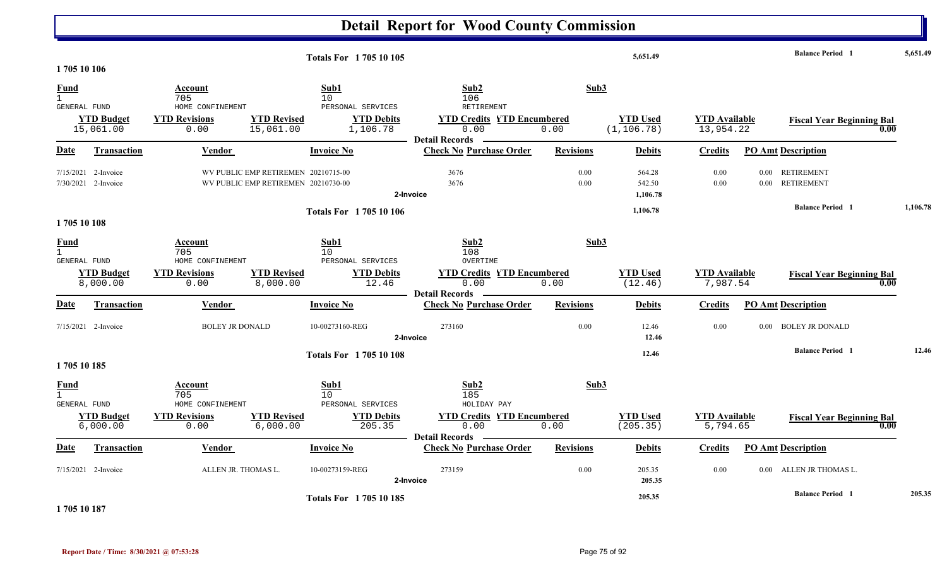### **Detail Report for Wood County Commission 5,651.49 Balance Period 5,651.49 <sup>1</sup> Totals For 1 705 10 105 1 705 10 106** 1 705 $10$  106 **Fund Account Sub1 Sub2 Sub3** GENERAL FUND HOME CONFINEMENT PERSONAL SERVICES RETIREMENTRETIREMENT 15,061.00 0.00 15,061.00 1,106.78 0.00 0.00 (1,106.78) 13,954.22 **YTD Budget YTD Revisions YTD Revised YTD Debits YTD Encumbered<u>WTD Used</u> <b>Example 1** 106.78 **YTD Available Fiscal Year Beginning Bal 1** 22 **1.00 Date Vendor Invoice NoTransaction Purchase Order Revisions Debits Credits PO Amt Description Detail Records** Vendor **Invoice No** 7/15/2021 2-Invoice 1 2-Invoice WV PUBLIC EMP RETIREMEN 20210715-00 3676 3676 0.00 3676 564.28 0.00 0.00 RETIREMENT 7/30/20211 2-Invoice WV PUBLIC EMP RETIREMEN 20210730-00 3676 3676 0.00 3676 542.50 0.00 0.00 RETIREMENT **2-Invoice 1,106.78 1,106.78 Balance Period 1,106.78 <sup>1</sup> Totals For 1 705 10 106 1 705 10 108** 1 705 $10$  and  $108$ **Fund Account Sub1 Sub2 Sub3** GENERAL FUND HOME CONFINEMENT PERSONAL SERVICES OVERTIME8,000.00 0.00 8,000.00 12.46 0.00 0.00 7,987.54 (12.46) **YTD Budget YTD Revisions YTD Revised YTD Debits YTD Credits YTD Encumbered<u>TD Used</u><br>**  $\frac{YTD \text{ Used}}{(12.46)}$  $\frac{YTD \text{ Available}}{7.987.54}$  **Fiscal Year Beginning Bal 0.00 Date Vendor Invoice NoTransaction Purchase Order Revisions Debits Credits PO Amt Description Detail RecordsConductional Vendor Check Invoice No** 7/15/2021 2-Invoice 2-Invoice 10-00273160-REG 0.00 BOLEY JR DONALD 273160 12.46 0.00 0.00 BOLEY JR DONALD **2-Invoice 12.46 12.46 Balance Period 12.46 <sup>1</sup> Totals For 1 705 10 108 1 705 10 185** 1 705 $10$  and  $185$ **Fund Account Sub1 Sub2 Sub3** GENERAL FUND HOME CONFINEMENT PERSONAL SERVICES HOLIDAY PAYHOLIDAY PAY 6,000.00 0.00 6,000.00 205.35 0.00 0.00 5,794.65 (205.35) **YTD Budget YTD Revisions YTD Revised YTD Debits YTD Credits YTD Encumbered<u>TD Used</u><br>
5.794.65<br>
<b>Fiscal Year Beginning Bal**<br> **Fiscal Year Beginning Bal**<br> **Fiscal Year Beginning Bal Date Vendor Invoice NoTransaction Purchase Order Revisions Debits Credits PO Amt Description Detail Records Construction Vendor** Invoice No 7/15/2021ALLEN JR. THOMAS L.  $10-00273159-REG$  273159 273159 273159 0.00 205.35 0.00 0.00 ALLEN JR THOMAS L. **2-Invoice 205.35 205.35 Balance Period 205.35 <sup>1</sup> Totals For 1 705 10 185**

**1 705 10 187**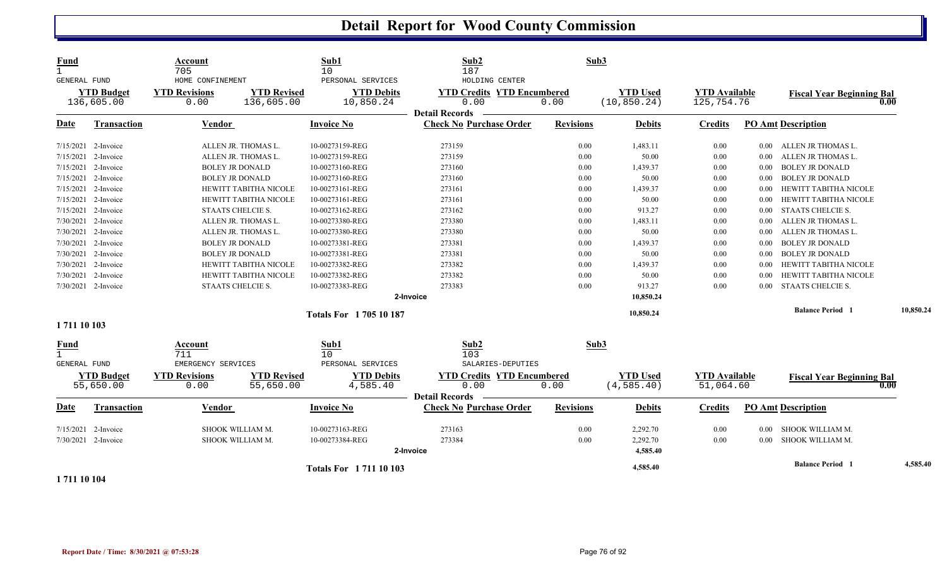| <b>Fund</b><br>$\mathbf{1}$<br><b>GENERAL FUND</b> | <b>YTD Budget</b><br>136,605.00 | Account<br>705<br>HOME CONFINEMENT<br><b>YTD Revisions</b><br>0.00 | <b>YTD Revised</b><br>136,605.00 | Sub1<br>10<br>PERSONAL SERVICES<br><b>YTD Debits</b><br>10,850.24 | Sub2<br>187<br>HOLDING CENTER<br><b>YTD Credits YTD Encumbered</b><br>0.00<br><b>Detail Records</b> | Sub3<br>0.00     | <b>YTD Used</b><br>(10, 850.24) | <b>YTD Available</b><br>125,754.76 |          | <b>Fiscal Year Beginning Bal</b><br>0.00 |           |
|----------------------------------------------------|---------------------------------|--------------------------------------------------------------------|----------------------------------|-------------------------------------------------------------------|-----------------------------------------------------------------------------------------------------|------------------|---------------------------------|------------------------------------|----------|------------------------------------------|-----------|
| <b>Date</b>                                        | <b>Transaction</b>              | <b>Vendor</b>                                                      |                                  | <b>Invoice No</b>                                                 | <b>Check No Purchase Order</b>                                                                      | <b>Revisions</b> | <b>Debits</b>                   | <b>Credits</b>                     |          | <b>PO Amt Description</b>                |           |
|                                                    | 7/15/2021 2-Invoice             |                                                                    | ALLEN JR. THOMAS L.              | 10-00273159-REG                                                   | 273159                                                                                              | 0.00             | 1,483.11                        | 0.00                               | $0.00\,$ | ALLEN JR THOMAS L.                       |           |
| 7/15/2021                                          | 2-Invoice                       |                                                                    | ALLEN JR. THOMAS L.              | 10-00273159-REG                                                   | 273159                                                                                              | 0.00             | 50.00                           | 0.00                               | 0.00     | ALLEN JR THOMAS L.                       |           |
|                                                    | 7/15/2021 2-Invoice             |                                                                    | <b>BOLEY JR DONALD</b>           | 10-00273160-REG                                                   | 273160                                                                                              | 0.00             | 1,439.37                        | 0.00                               | 0.00     | <b>BOLEY JR DONALD</b>                   |           |
|                                                    | 7/15/2021 2-Invoice             |                                                                    | <b>BOLEY JR DONALD</b>           | 10-00273160-REG                                                   | 273160                                                                                              | 0.00             | 50.00                           | 0.00                               | 0.00     | <b>BOLEY JR DONALD</b>                   |           |
|                                                    | 7/15/2021 2-Invoice             |                                                                    | <b>HEWITT TABITHA NICOLE</b>     | 10-00273161-REG                                                   | 273161                                                                                              | 0.00             | 1,439.37                        | 0.00                               | 0.00     | HEWITT TABITHA NICOLE                    |           |
|                                                    | 7/15/2021 2-Invoice             |                                                                    | HEWITT TABITHA NICOLE            | 10-00273161-REG                                                   | 273161                                                                                              | 0.00             | 50.00                           | 0.00                               | 0.00     | HEWITT TABITHA NICOLE                    |           |
| 7/15/2021                                          | 2-Invoice                       |                                                                    | STAATS CHELCIE S.                | 10-00273162-REG                                                   | 273162                                                                                              | 0.00             | 913.27                          | 0.00                               | $0.00\,$ | STAATS CHELCIE S.                        |           |
| 7/30/2021                                          | 2-Invoice                       |                                                                    | ALLEN JR. THOMAS L.              | 10-00273380-REG                                                   | 273380                                                                                              | 0.00             | 1,483.11                        | 0.00                               | 0.00     | ALLEN JR THOMAS L.                       |           |
| 7/30/2021                                          | 2-Invoice                       |                                                                    | ALLEN JR. THOMAS L.              | 10-00273380-REG                                                   | 273380                                                                                              | 0.00             | 50.00                           | 0.00                               | 0.00     | ALLEN JR THOMAS L.                       |           |
|                                                    | 7/30/2021 2-Invoice             |                                                                    | <b>BOLEY JR DONALD</b>           | 10-00273381-REG                                                   | 273381                                                                                              | 0.00             | 1,439.37                        | 0.00                               | 0.00     | <b>BOLEY JR DONALD</b>                   |           |
|                                                    | 7/30/2021 2-Invoice             |                                                                    | <b>BOLEY JR DONALD</b>           | 10-00273381-REG                                                   | 273381                                                                                              | 0.00             | 50.00                           | 0.00                               | 0.00     | <b>BOLEY JR DONALD</b>                   |           |
|                                                    | 7/30/2021 2-Invoice             |                                                                    | HEWITT TABITHA NICOLE            | 10-00273382-REG                                                   | 273382                                                                                              | 0.00             | 1,439.37                        | 0.00                               | 0.00     | HEWITT TABITHA NICOLE                    |           |
|                                                    | 7/30/2021 2-Invoice             |                                                                    | HEWITT TABITHA NICOLE            | 10-00273382-REG                                                   | 273382                                                                                              | 0.00             | 50.00                           | 0.00                               | 0.00     | HEWITT TABITHA NICOLE                    |           |
|                                                    | 7/30/2021 2-Invoice             |                                                                    | STAATS CHELCIE S.                | 10-00273383-REG                                                   | 273383                                                                                              | 0.00             | 913.27                          | 0.00                               | 0.00     | STAATS CHELCIE S.                        |           |
|                                                    |                                 |                                                                    |                                  |                                                                   | 2-Invoice                                                                                           |                  | 10,850.24                       |                                    |          |                                          |           |
|                                                    |                                 |                                                                    |                                  | <b>Totals For 170510187</b>                                       |                                                                                                     |                  | 10,850.24                       |                                    |          | <b>Balance Period 1</b>                  | 10,850.24 |
| 1711 10 103                                        |                                 |                                                                    |                                  |                                                                   |                                                                                                     |                  |                                 |                                    |          |                                          |           |
| <b>Fund</b><br><b>GENERAL FUND</b>                 |                                 | Account<br>711<br>EMERGENCY SERVICES                               |                                  | Sub1<br>10<br>PERSONAL SERVICES                                   | Sub2<br>103<br>SALARIES-DEPUTIES                                                                    | Sub3             |                                 |                                    |          |                                          |           |
|                                                    | <b>YTD Budget</b><br>55,650.00  | <b>YTD Revisions</b><br>0.00                                       | <b>YTD Revised</b><br>55,650.00  | <b>YTD Debits</b><br>4,585.40                                     | <b>YTD Credits YTD Encumbered</b><br>0.00<br><b>Detail Records</b>                                  | 0.00             | <b>YTD Used</b><br>(4, 585.40)  | <b>YTD Available</b><br>51,064.60  |          | <b>Fiscal Year Beginning Bal</b><br>0.00 |           |
| <b>Date</b>                                        | <b>Transaction</b>              | Vendor                                                             |                                  | <b>Invoice No</b>                                                 | <b>Check No Purchase Order</b>                                                                      | <b>Revisions</b> | <b>Debits</b>                   | <b>Credits</b>                     |          | <b>PO Amt Description</b>                |           |
| 7/15/2021                                          | 2-Invoice                       |                                                                    | SHOOK WILLIAM M.                 | 10-00273163-REG                                                   | 273163                                                                                              | 0.00             | 2,292.70                        | 0.00                               | 0.00     | SHOOK WILLIAM M.                         |           |
|                                                    | 7/30/2021 2-Invoice             |                                                                    | SHOOK WILLIAM M.                 | 10-00273384-REG                                                   | 273384                                                                                              | 0.00             | 2,292.70                        | 0.00                               | 0.00     | SHOOK WILLIAM M.                         |           |
|                                                    |                                 |                                                                    |                                  |                                                                   | 2-Invoice                                                                                           |                  | 4,585.40                        |                                    |          |                                          |           |
|                                                    |                                 |                                                                    |                                  | <b>Totals For 171110103</b>                                       |                                                                                                     |                  | 4,585.40                        |                                    |          | <b>Balance Period 1</b>                  | 4,585.40  |

**1 711 10 104**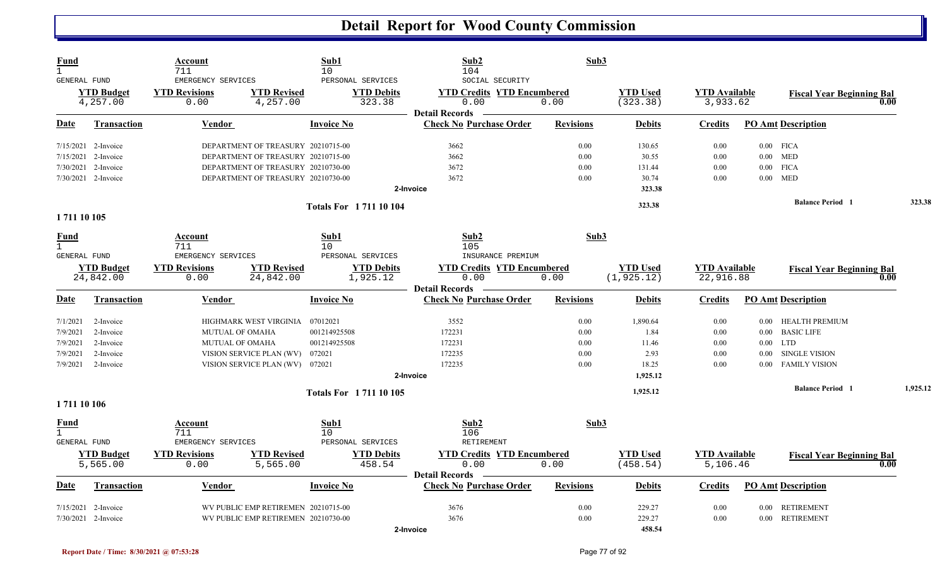| Fund<br>$\mathbf{1}$<br>GENERAL FUND |                                | Account<br>711<br>EMERGENCY SERVICES |                                     | Sub1<br>10<br>PERSONAL SERVICES |                               | Sub2<br>104<br>SOCIAL SECURITY                                     | Sub3             |                                |                                   |          |                                  |      |          |
|--------------------------------------|--------------------------------|--------------------------------------|-------------------------------------|---------------------------------|-------------------------------|--------------------------------------------------------------------|------------------|--------------------------------|-----------------------------------|----------|----------------------------------|------|----------|
|                                      | <b>YTD Budget</b><br>4,257.00  | <b>YTD Revisions</b><br>0.00         | <b>YTD Revised</b><br>4,257.00      |                                 | <b>YTD Debits</b><br>323.38   | <b>YTD Credits YTD Encumbered</b><br>0.00                          | 0.00             | <b>YTD Used</b><br>(323.38)    | <b>YTD</b> Available<br>3,933.62  |          | <b>Fiscal Year Beginning Bal</b> | 0.00 |          |
| Date                                 | Transaction                    | <u>Vendor</u>                        |                                     | <b>Invoice No</b>               |                               | <b>Detail Records</b><br><b>Check No Purchase Order</b>            | <b>Revisions</b> | <b>Debits</b>                  | <b>Credits</b>                    |          | <b>PO Amt Description</b>        |      |          |
|                                      | 7/15/2021 2-Invoice            |                                      | DEPARTMENT OF TREASURY 20210715-00  |                                 |                               | 3662                                                               | 0.00             | 130.65                         | 0.00                              |          | $0.00$ FICA                      |      |          |
|                                      | 7/15/2021 2-Invoice            |                                      | DEPARTMENT OF TREASURY 20210715-00  |                                 |                               | 3662                                                               | 0.00             | 30.55                          | 0.00                              |          | $0.00$ MED                       |      |          |
|                                      | 7/30/2021 2-Invoice            |                                      | DEPARTMENT OF TREASURY 20210730-00  |                                 |                               | 3672                                                               | 0.00             | 131.44                         | 0.00                              |          | $0.00$ FICA                      |      |          |
|                                      | 7/30/2021 2-Invoice            |                                      | DEPARTMENT OF TREASURY 20210730-00  |                                 |                               | 3672                                                               | 0.00             | 30.74                          | 0.00                              |          | $0.00$ MED                       |      |          |
|                                      |                                |                                      |                                     |                                 | 2-Invoice                     |                                                                    |                  | 323.38                         |                                   |          |                                  |      |          |
|                                      |                                |                                      |                                     | <b>Totals For 171110104</b>     |                               |                                                                    |                  | 323.38                         |                                   |          | <b>Balance Period</b> 1          |      | 323.38   |
| 1711 10 105                          |                                |                                      |                                     |                                 |                               |                                                                    |                  |                                |                                   |          |                                  |      |          |
| <b>Fund</b><br>$\mathbf{1}$          |                                | Account<br>711                       |                                     | Sub1<br>10                      |                               | Sub2<br>105                                                        | Sub3             |                                |                                   |          |                                  |      |          |
| GENERAL FUND                         |                                | EMERGENCY SERVICES                   |                                     | PERSONAL SERVICES               |                               | INSURANCE PREMIUM                                                  |                  |                                |                                   |          |                                  |      |          |
|                                      | <b>YTD Budget</b><br>24,842.00 | <b>YTD Revisions</b><br>0.00         | <b>YTD Revised</b><br>24,842.00     |                                 | <b>YTD Debits</b><br>1,925.12 | <b>YTD Credits YTD Encumbered</b><br>0.00<br><b>Detail Records</b> | 0.00             | <b>YTD Used</b><br>(1, 925.12) | <b>YTD Available</b><br>22,916.88 |          | <b>Fiscal Year Beginning Bal</b> | 0.00 |          |
| Date                                 | <b>Transaction</b>             | Vendor                               |                                     | <b>Invoice No</b>               |                               | <b>Check No Purchase Order</b>                                     | <b>Revisions</b> | <b>Debits</b>                  | <b>Credits</b>                    |          | <b>PO Amt Description</b>        |      |          |
| 7/1/2021                             | 2-Invoice                      |                                      | HIGHMARK WEST VIRGINIA 07012021     |                                 |                               | 3552                                                               | 0.00             | 1,890.64                       | 0.00                              | 0.00     | HEALTH PREMIUM                   |      |          |
| 7/9/2021                             | 2-Invoice                      | <b>MUTUAL OF OMAHA</b>               |                                     | 001214925508                    |                               | 172231                                                             | 0.00             | 1.84                           | 0.00                              | $0.00\,$ | <b>BASIC LIFE</b>                |      |          |
| 7/9/2021                             | 2-Invoice                      | <b>MUTUAL OF OMAHA</b>               |                                     | 001214925508                    |                               | 172231                                                             | 0.00             | 11.46                          | 0.00                              |          | $0.00$ LTD                       |      |          |
| 7/9/2021                             | 2-Invoice                      |                                      | VISION SERVICE PLAN (WV)            | 072021                          |                               | 172235                                                             | 0.00             | 2.93                           | 0.00                              | $0.00\,$ | <b>SINGLE VISION</b>             |      |          |
| 7/9/2021                             | 2-Invoice                      |                                      | VISION SERVICE PLAN (WV) 072021     |                                 |                               | 172235                                                             | 0.00             | 18.25                          | 0.00                              | 0.00     | <b>FAMILY VISION</b>             |      |          |
|                                      |                                |                                      |                                     |                                 | 2-Invoice                     |                                                                    |                  | 1,925.12                       |                                   |          |                                  |      |          |
| 1711 10 106                          |                                |                                      |                                     | <b>Totals For 171110105</b>     |                               |                                                                    |                  | 1,925.12                       |                                   |          | <b>Balance Period</b> 1          |      | 1,925.12 |
| <u>Fund</u>                          |                                | Account                              |                                     | Sub1                            |                               | Sub2                                                               | Sub3             |                                |                                   |          |                                  |      |          |
| $\mathbf{1}$                         |                                | 711                                  |                                     | 10                              |                               | 106                                                                |                  |                                |                                   |          |                                  |      |          |
| GENERAL FUND                         |                                | EMERGENCY SERVICES                   |                                     | PERSONAL SERVICES               |                               | RETIREMENT                                                         |                  |                                |                                   |          |                                  |      |          |
|                                      | <b>YTD Budget</b><br>5,565.00  | <b>YTD Revisions</b><br>0.00         | <b>YTD Revised</b><br>5,565.00      |                                 | <b>YTD Debits</b><br>458.54   | <b>YTD Credits YTD Encumbered</b><br>0.00                          | 0.00             | <b>YTD Used</b><br>(458.54)    | <b>YTD</b> Available<br>5,106.46  |          | <b>Fiscal Year Beginning Bal</b> | 0.00 |          |
| Date                                 | <b>Transaction</b>             | <b>Vendor</b>                        |                                     | <b>Invoice No</b>               |                               | <b>Detail Records</b><br><b>Check No Purchase Order</b>            | <b>Revisions</b> | <b>Debits</b>                  | <b>Credits</b>                    |          | <b>PO Amt Description</b>        |      |          |
|                                      | $7/15/2021$ 2-Invoice          |                                      | WV PUBLIC EMP RETIREMEN 20210715-00 |                                 |                               | 3676                                                               | 0.00             | 229.27                         | 0.00                              |          | 0.00 RETIREMENT                  |      |          |
|                                      | 7/30/2021 2-Invoice            |                                      | WV PUBLIC EMP RETIREMEN 20210730-00 |                                 |                               | 3676                                                               | 0.00             | 229.27                         | 0.00                              |          | 0.00 RETIREMENT                  |      |          |
|                                      |                                |                                      |                                     |                                 | 2-Invoice                     |                                                                    |                  | 458.54                         |                                   |          |                                  |      |          |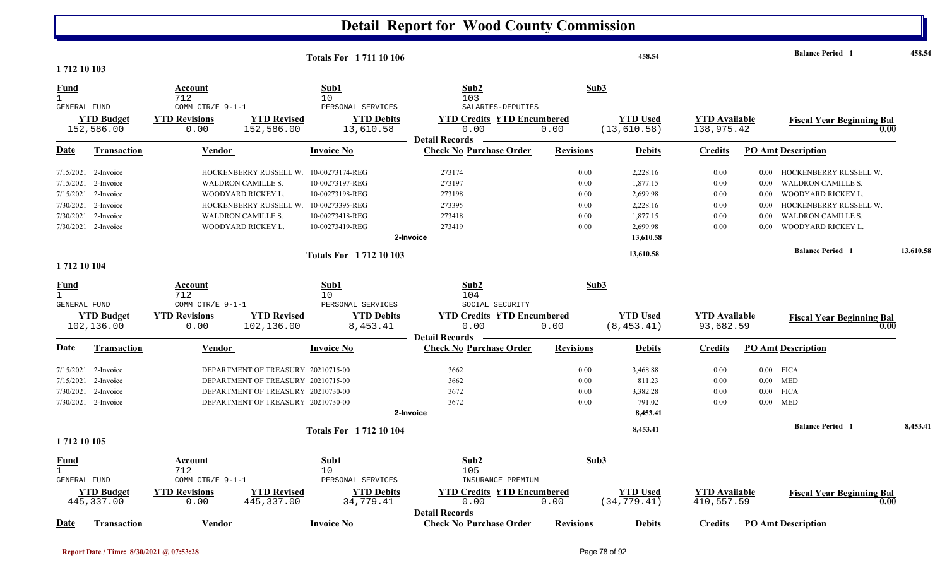| 1712 10 103                 |                                  |                                                  |                                    | <b>Totals For 171110106</b>                         |                                                                |                  | 458.54                          |                                    |          | <b>Balance Period 1</b>                  | 458.54    |
|-----------------------------|----------------------------------|--------------------------------------------------|------------------------------------|-----------------------------------------------------|----------------------------------------------------------------|------------------|---------------------------------|------------------------------------|----------|------------------------------------------|-----------|
| Fund                        |                                  | Account<br>712                                   |                                    | Sub1<br>10                                          | Sub2<br>103                                                    |                  | Sub3                            |                                    |          |                                          |           |
| GENERAL FUND                | <b>YTD Budget</b><br>152,586.00  | COMM CTR/E 9-1-1<br><b>YTD Revisions</b><br>0.00 | <b>YTD Revised</b><br>152,586.00   | PERSONAL SERVICES<br><b>YTD Debits</b><br>13,610.58 | SALARIES-DEPUTIES<br><b>YTD Credits YTD Encumbered</b><br>0.00 | 0.00             | <b>YTD</b> Used<br>(13, 610.58) | <b>YTD</b> Available<br>138,975.42 |          | <b>Fiscal Year Beginning Bal</b><br>0.00 |           |
| <b>Date</b>                 | Transaction                      | <b>Vendor</b>                                    |                                    | <b>Invoice No</b>                                   | <b>Detail Records</b><br><b>Check No Purchase Order</b>        | <b>Revisions</b> | <b>Debits</b>                   | <b>Credits</b>                     |          | <b>PO Amt Description</b>                |           |
|                             | 7/15/2021 2-Invoice              |                                                  | HOCKENBERRY RUSSELL W.             | 10-00273174-REG                                     | 273174                                                         | 0.00             | 2,228.16                        | 0.00                               | 0.00     | HOCKENBERRY RUSSELL W.                   |           |
|                             | $7/15/2021$ 2-Invoice            | <b>WALDRON CAMILLE S.</b>                        |                                    | 10-00273197-REG                                     | 273197                                                         | 0.00             | 1,877.15                        | 0.00                               | $0.00\,$ | WALDRON CAMILLE S.                       |           |
|                             | 7/15/2021 2-Invoice              | WOODYARD RICKEY L.                               |                                    | 10-00273198-REG                                     | 273198                                                         | 0.00             | 2,699.98                        | 0.00                               | 0.00     | WOODYARD RICKEY L.                       |           |
|                             | 7/30/2021 2-Invoice              |                                                  | HOCKENBERRY RUSSELL W.             | 10-00273395-REG                                     | 273395                                                         | 0.00             | 2,228.16                        | 0.00                               | 0.00     | HOCKENBERRY RUSSELL W.                   |           |
|                             | 7/30/2021 2-Invoice              | WALDRON CAMILLE S.                               |                                    | 10-00273418-REG                                     | 273418                                                         | 0.00             | 1,877.15                        | 0.00                               | 0.00     | <b>WALDRON CAMILLE S.</b>                |           |
|                             | 7/30/2021 2-Invoice              | WOODYARD RICKEY L.                               |                                    | 10-00273419-REG                                     | 273419<br>2-Invoice                                            | 0.00             | 2,699.98<br>13,610.58           | 0.00                               | 0.00     | WOODYARD RICKEY L.                       |           |
|                             |                                  |                                                  |                                    | <b>Totals For 171210103</b>                         |                                                                |                  | 13,610.58                       |                                    |          | <b>Balance Period 1</b>                  | 13,610.58 |
| 1 712 10 104                |                                  |                                                  |                                    |                                                     |                                                                |                  |                                 |                                    |          |                                          |           |
| Fund                        |                                  | Account                                          |                                    | Sub1                                                | Sub2                                                           |                  | Sub3                            |                                    |          |                                          |           |
| GENERAL FUND                |                                  | 712<br>COMM CTR/E 9-1-1                          |                                    | 10<br>PERSONAL SERVICES                             | 104<br>SOCIAL SECURITY                                         |                  |                                 |                                    |          |                                          |           |
|                             | <b>YTD Budget</b>                | <b>YTD Revisions</b>                             | <b>YTD Revised</b>                 | <b>YTD Debits</b>                                   | <b>YTD Credits YTD Encumbered</b>                              |                  | <b>YTD Used</b>                 | <b>YTD Available</b>               |          | <b>Fiscal Year Beginning Bal</b>         |           |
|                             | 102,136.00                       | 0.00                                             | 102,136.00                         | 8,453.41                                            | 0.00                                                           | 0.00             | (8, 453.41)                     | 93,682.59                          |          | 0.00                                     |           |
| Date                        | <b>Transaction</b>               | <b>Vendor</b>                                    |                                    | <b>Invoice No</b>                                   | <b>Detail Records</b><br><b>Check No Purchase Order</b>        | <b>Revisions</b> | <b>Debits</b>                   | <b>Credits</b>                     |          | <b>PO Amt Description</b>                |           |
|                             | $7/15/2021$ 2-Invoice            |                                                  | DEPARTMENT OF TREASURY 20210715-00 |                                                     | 3662                                                           | 0.00             | 3,468.88                        | 0.00                               |          | $0.00$ FICA                              |           |
| 7/15/2021                   | 2-Invoice                        |                                                  | DEPARTMENT OF TREASURY 20210715-00 |                                                     | 3662                                                           | 0.00             | 811.23                          | 0.00                               |          | $0.00$ MED                               |           |
|                             | 7/30/2021 2-Invoice              |                                                  | DEPARTMENT OF TREASURY 20210730-00 |                                                     | 3672                                                           | 0.00             | 3,382.28                        | 0.00                               | $0.00\,$ | <b>FICA</b>                              |           |
|                             | 7/30/2021 2-Invoice              |                                                  | DEPARTMENT OF TREASURY 20210730-00 |                                                     | 3672                                                           | 0.00             | 791.02                          | 0.00                               |          | $0.00$ MED                               |           |
|                             |                                  |                                                  |                                    |                                                     | 2-Invoice                                                      |                  | 8,453.41                        |                                    |          |                                          |           |
|                             |                                  |                                                  |                                    | <b>Totals For 171210104</b>                         |                                                                |                  | 8,453.41                        |                                    |          | <b>Balance Period 1</b>                  | 8,453.41  |
| 1 712 10 105                |                                  |                                                  |                                    |                                                     |                                                                |                  |                                 |                                    |          |                                          |           |
| <u>Fund</u><br>$\mathbf{1}$ |                                  | <u>Account</u><br>712                            |                                    | Sub1<br>10                                          | Sub2<br>105                                                    |                  | Sub3                            |                                    |          |                                          |           |
| GENERAL FUND                |                                  | COMM CTR/E $9-1-1$                               |                                    | PERSONAL SERVICES                                   | INSURANCE PREMIUM                                              |                  |                                 |                                    |          |                                          |           |
|                             | <b>YTD Budget</b><br>445, 337.00 | <b>YTD Revisions</b><br>0.00                     | <b>YTD Revised</b><br>445, 337.00  | <b>YTD Debits</b><br>34,779.41                      | <b>YTD Credits YTD Encumbered</b><br>0.00                      | 0.00             | <b>YTD Used</b><br>(34, 779.41) | <b>YTD Available</b><br>410,557.59 |          | <b>Fiscal Year Beginning Bal</b><br>0.00 |           |
| Date                        | <b>Transaction</b>               | Vendor                                           |                                    | <b>Invoice No</b>                                   | <b>Detail Records</b><br><b>Check No Purchase Order</b>        | <b>Revisions</b> | <b>Debits</b>                   | <b>Credits</b>                     |          | <b>PO Amt Description</b>                |           |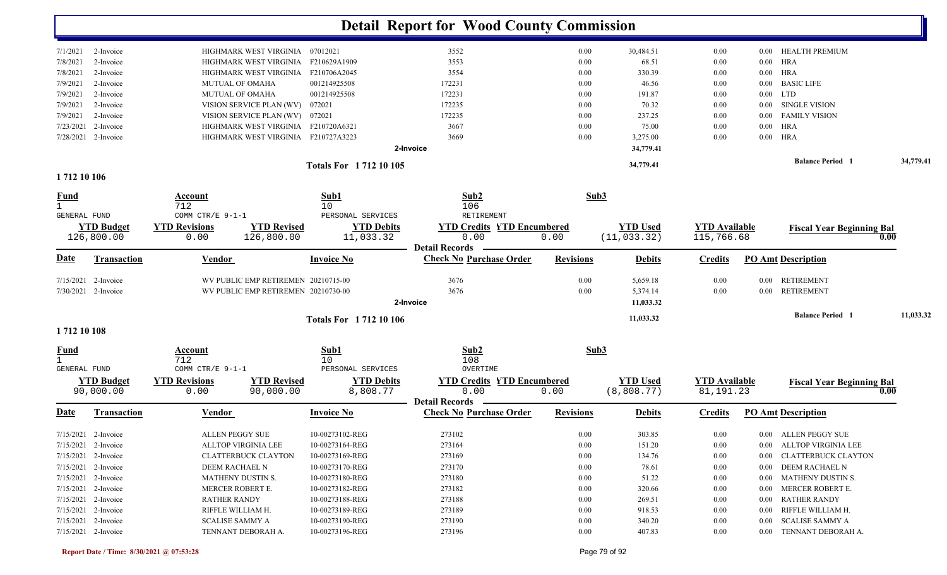|                             |                                 |                              |                                     |                                | <b>Detail Report for Wood County Commission</b>         |                  |                                 |                                    |                                   |           |
|-----------------------------|---------------------------------|------------------------------|-------------------------------------|--------------------------------|---------------------------------------------------------|------------------|---------------------------------|------------------------------------|-----------------------------------|-----------|
| 7/1/2021                    | 2-Invoice                       |                              | HIGHMARK WEST VIRGINIA 07012021     |                                | 3552                                                    | $0.00\,$         | 30,484.51                       | 0.00                               | <b>HEALTH PREMIUM</b><br>$0.00\,$ |           |
| 7/8/2021                    | 2-Invoice                       |                              | HIGHMARK WEST VIRGINIA              | F210629A1909                   | 3553                                                    | 0.00             | 68.51                           | 0.00                               | HRA<br>$0.00\,$                   |           |
| 7/8/2021                    | 2-Invoice                       |                              | HIGHMARK WEST VIRGINIA F210706A2045 |                                | 3554                                                    | 0.00             | 330.39                          | 0.00                               | <b>HRA</b><br>$0.00\,$            |           |
| 7/9/2021                    | 2-Invoice                       |                              | MUTUAL OF OMAHA                     | 001214925508                   | 172231                                                  | $0.00\,$         | 46.56                           | 0.00                               | <b>BASIC LIFE</b><br>$0.00\,$     |           |
| 7/9/2021                    | 2-Invoice                       |                              | <b>MUTUAL OF OMAHA</b>              | 001214925508                   | 172231                                                  | 0.00             | 191.87                          | 0.00                               | LTD<br>$0.00\,$                   |           |
| 7/9/2021                    | 2-Invoice                       |                              | VISION SERVICE PLAN (WV)            | 072021                         | 172235                                                  | 0.00             | 70.32                           | 0.00                               | <b>SINGLE VISION</b><br>$0.00\,$  |           |
| 7/9/2021                    | 2-Invoice                       |                              | VISION SERVICE PLAN (WV) 072021     |                                | 172235                                                  | 0.00             | 237.25                          | 0.00                               | <b>FAMILY VISION</b><br>$0.00\,$  |           |
| 7/23/2021                   | 2-Invoice                       |                              | HIGHMARK WEST VIRGINIA F210720A6321 |                                | 3667                                                    | 0.00             | 75.00                           | 0.00                               | <b>HRA</b><br>$0.00\,$            |           |
|                             | 7/28/2021 2-Invoice             |                              | HIGHMARK WEST VIRGINIA F210727A3223 |                                | 3669                                                    | 0.00             | 3,275.00                        | 0.00                               | HRA<br>$0.00\,$                   |           |
|                             |                                 |                              |                                     |                                | 2-Invoice                                               |                  | 34,779.41                       |                                    |                                   |           |
|                             |                                 |                              |                                     | Totals For 1712 10 105         |                                                         |                  | 34,779.41                       |                                    | <b>Balance Period</b> 1           | 34,779.41 |
| 1712 10 106                 |                                 |                              |                                     |                                |                                                         |                  |                                 |                                    |                                   |           |
| <b>Fund</b><br>$\mathbf{1}$ |                                 | <b>Account</b><br>712        |                                     | Sub1<br>10                     | Sub2<br>106                                             | Sub3             |                                 |                                    |                                   |           |
| GENERAL FUND                |                                 | COMM CTR/E 9-1-1             |                                     | PERSONAL SERVICES              | RETIREMENT                                              |                  |                                 |                                    |                                   |           |
|                             | <b>YTD Budget</b><br>126,800.00 | <b>YTD Revisions</b><br>0.00 | <b>YTD Revised</b><br>126,800.00    | <b>YTD Debits</b><br>11,033.32 | <b>YTD Credits YTD Encumbered</b><br>0.00               | 0.00             | <b>YTD Used</b><br>(11, 033.32) | <b>YTD Available</b><br>115,766.68 | <b>Fiscal Year Beginning Bal</b>  | 0.00      |
| <u>Date</u>                 | <b>Transaction</b>              | <b>Vendor</b>                |                                     | <b>Invoice No</b>              | <b>Detail Records</b><br><b>Check No Purchase Order</b> | <b>Revisions</b> | <b>Debits</b>                   | <b>Credits</b>                     | <b>PO Amt Description</b>         |           |
| 7/15/2021                   | 2-Invoice                       |                              | WV PUBLIC EMP RETIREMEN 20210715-00 |                                | 3676                                                    | 0.00             | 5,659.18                        | 0.00                               | <b>RETIREMENT</b><br>$0.00\,$     |           |
|                             | 7/30/2021 2-Invoice             |                              | WV PUBLIC EMP RETIREMEN 20210730-00 |                                | 3676                                                    | 0.00             | 5,374.14                        | 0.00                               | <b>RETIREMENT</b><br>$0.00\,$     |           |
|                             |                                 |                              |                                     |                                | 2-Invoice                                               |                  | 11,033.32                       |                                    |                                   |           |
|                             |                                 |                              |                                     | <b>Totals For 171210106</b>    |                                                         |                  | 11,033.32                       |                                    | <b>Balance Period 1</b>           | 11,033.32 |
| 1712 10 108                 |                                 |                              |                                     |                                |                                                         |                  |                                 |                                    |                                   |           |
| Fund                        |                                 | Account<br>712               |                                     | Sub1<br>10                     | Sub2<br>108                                             | Sub3             |                                 |                                    |                                   |           |
| GENERAL FUND                |                                 | COMM CTR/E 9-1-1             |                                     | PERSONAL SERVICES              | OVERTIME                                                |                  |                                 |                                    |                                   |           |
|                             | <b>YTD Budget</b>               | <b>YTD Revisions</b>         | <b>YTD Revised</b>                  | <b>YTD Debits</b>              | <b>YTD Credits YTD Encumbered</b>                       |                  | <b>YTD Used</b>                 | <b>YTD Available</b>               | <b>Fiscal Year Beginning Bal</b>  |           |
|                             | 90,000.00                       | 0.00                         | 90,000.00                           | 8,808.77                       | 0.00<br><b>Detail Records</b>                           | 0.00             | (8, 808.77)                     | 81, 191. 23                        |                                   | 0.00      |
| Date                        | <b>Transaction</b>              | <b>Vendor</b>                |                                     | <b>Invoice No</b>              | <b>Check No Purchase Order</b>                          | <b>Revisions</b> | <b>Debits</b>                   | <b>Credits</b>                     | <b>PO Amt Description</b>         |           |
|                             | 7/15/2021 2-Invoice             | ALLEN PEGGY SUE              |                                     | 10-00273102-REG                | 273102                                                  | 0.00             | 303.85                          | 0.00                               | 0.00 ALLEN PEGGY SUE              |           |
|                             | $7/15/2021$ 2-Invoice           |                              | <b>ALLTOP VIRGINIA LEE</b>          | 10-00273164-REG                | 273164                                                  | $0.00\,$         | 151.20                          | 0.00                               | 0.00 ALLTOP VIRGINIA LEE          |           |
|                             | 7/15/2021 2-Invoice             |                              | <b>CLATTERBUCK CLAYTON</b>          | 10-00273169-REG                | 273169                                                  | $0.00\,$         | 134.76                          | $0.00\,$                           | 0.00 CLATTERBUCK CLAYTON          |           |
|                             | 7/15/2021 2-Invoice             | DEEM RACHAEL N               |                                     | 10-00273170-REG                | 273170                                                  | $0.00\,$         | 78.61                           | $0.00\,$                           | 0.00 DEEM RACHAEL N               |           |
|                             | $7/15/2021$ 2-Invoice           |                              | <b>MATHENY DUSTIN S.</b>            | 10-00273180-REG                | 273180                                                  | $0.00\,$         | 51.22                           | $0.00\,$                           | 0.00 MATHENY DUSTIN S.            |           |
|                             | 7/15/2021 2-Invoice             |                              | MERCER ROBERT E.                    | 10-00273182-REG                | 273182                                                  | $0.00\,$         | 320.66                          | 0.00                               | MERCER ROBERT E.<br>$0.00\,$      |           |
|                             | 7/15/2021 2-Invoice             | <b>RATHER RANDY</b>          |                                     | 10-00273188-REG                | 273188                                                  | $0.00\,$         | 269.51                          | $0.00\,$                           | 0.00 RATHER RANDY                 |           |
|                             | 7/15/2021 2-Invoice             |                              | RIFFLE WILLIAM H.                   | 10-00273189-REG                | 273189                                                  | $0.00\,$         | 918.53                          | $0.00\,$                           | 0.00 RIFFLE WILLIAM H.            |           |
|                             | 7/15/2021 2-Invoice             |                              | <b>SCALISE SAMMY A</b>              | 10-00273190-REG                | 273190                                                  | $0.00\,$         | 340.20                          | $0.00\,$                           | 0.00 SCALISE SAMMY A              |           |
|                             | 7/15/2021 2-Invoice             |                              | TENNANT DEBORAH A.                  | 10-00273196-REG                | 273196                                                  | 0.00             | 407.83                          | $0.00\,$                           | 0.00 TENNANT DEBORAH A.           |           |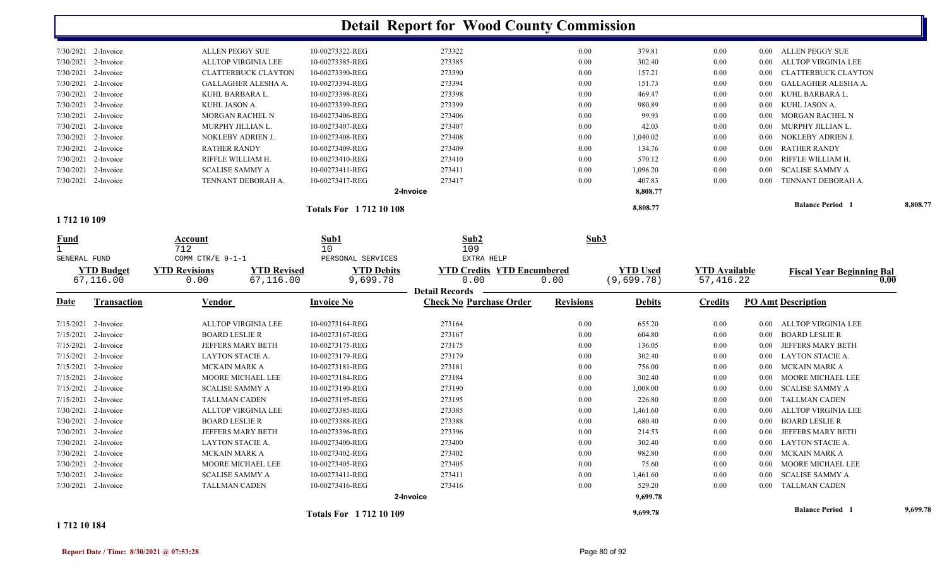|                                    |                                            |                                 | <b>Detail Report for Wood County Commission</b>         |                  |                 |                      |          |                                  |          |
|------------------------------------|--------------------------------------------|---------------------------------|---------------------------------------------------------|------------------|-----------------|----------------------|----------|----------------------------------|----------|
| 7/30/2021 2-Invoice                | ALLEN PEGGY SUE                            | 10-00273322-REG                 | 273322                                                  | 0.00             | 379.81          | $0.00\,$             |          | 0.00 ALLEN PEGGY SUE             |          |
| 7/30/2021 2-Invoice                | <b>ALLTOP VIRGINIA LEE</b>                 | 10-00273385-REG                 | 273385                                                  | 0.00             | 302.40          | 0.00                 | $0.00\,$ | ALLTOP VIRGINIA LEE              |          |
| 7/30/2021 2-Invoice                | <b>CLATTERBUCK CLAYTON</b>                 | 10-00273390-REG                 | 273390                                                  | 0.00             | 157.21          | 0.00                 | $0.00\,$ | <b>CLATTERBUCK CLAYTON</b>       |          |
| 7/30/2021<br>2-Invoice             | GALLAGHER ALESHA A.                        | 10-00273394-REG                 | 273394                                                  | 0.00             | 151.73          | 0.00                 | $0.00\,$ | GALLAGHER ALESHA A.              |          |
| 7/30/2021<br>2-Invoice             | KUHL BARBARA L.                            | 10-00273398-REG                 | 273398                                                  | 0.00             | 469.47          | 0.00                 | $0.00\,$ | KUHL BARBARA L.                  |          |
| 7/30/2021<br>2-Invoice             | KUHL JASON A.                              | 10-00273399-REG                 | 273399                                                  | 0.00             | 980.89          | 0.00                 | $0.00\,$ | KUHL JASON A.                    |          |
| 7/30/2021<br>2-Invoice             | MORGAN RACHEL N                            | 10-00273406-REG                 | 273406                                                  | 0.00             | 99.93           | 0.00                 | $0.00\,$ | <b>MORGAN RACHEL N</b>           |          |
| 7/30/2021<br>2-Invoice             | MURPHY JILLIAN L.                          | 10-00273407-REG                 | 273407                                                  | 0.00             | 42.03           | 0.00                 | $0.00\,$ | MURPHY JILLIAN L.                |          |
| 7/30/2021<br>2-Invoice             | NOKLEBY ADRIEN J.                          | 10-00273408-REG                 | 273408                                                  | 0.00             | 1,040.02        | 0.00                 | $0.00\,$ | NOKLEBY ADRIEN J.                |          |
| 7/30/2021<br>2-Invoice             | RATHER RANDY                               | 10-00273409-REG                 | 273409                                                  | 0.00             | 134.76          | 0.00                 | $0.00\,$ | <b>RATHER RANDY</b>              |          |
| 7/30/2021 2-Invoice                | RIFFLE WILLIAM H.                          | 10-00273410-REG                 | 273410                                                  | 0.00             | 570.12          | 0.00                 | 0.00     | RIFFLE WILLIAM H.                |          |
| 7/30/2021 2-Invoice                | <b>SCALISE SAMMY A</b>                     | 10-00273411-REG                 | 273411                                                  | 0.00             | 1,096.20        | 0.00                 | 0.00     | <b>SCALISE SAMMY A</b>           |          |
| 7/30/2021 2-Invoice                | TENNANT DEBORAH A.                         | 10-00273417-REG                 | 273417                                                  | 0.00             | 407.83          | 0.00                 | $0.00\,$ | TENNANT DEBORAH A.               |          |
|                                    |                                            |                                 | 2-Invoice                                               |                  | 8,808.77        |                      |          |                                  |          |
|                                    |                                            | <b>Totals For 171210108</b>     |                                                         |                  | 8,808.77        |                      |          | <b>Balance Period</b>            | 8,808.77 |
| 1712 10 109                        |                                            |                                 |                                                         |                  |                 |                      |          |                                  |          |
| <u>Fund</u><br><b>GENERAL FUND</b> | Account<br>712<br>COMM CTR/E 9-1-1         | Sub1<br>10<br>PERSONAL SERVICES | Sub2<br>109<br>EXTRA HELP                               | Sub3             |                 |                      |          |                                  |          |
|                                    |                                            |                                 |                                                         |                  |                 |                      |          |                                  |          |
| <b>YTD Budget</b>                  | <b>YTD Revisions</b><br><b>YTD Revised</b> | <b>YTD Debits</b>               | <b>YTD Credits YTD Encumbered</b>                       |                  | <b>YTD Used</b> | <b>YTD Available</b> |          | <b>Fiscal Year Beginning Bal</b> |          |
| 67,116.00                          | 67,116.00<br>0.00                          | 9,699.78                        | 0.00                                                    | 0.00             | (9,699.78)      | 57,416.22            |          | 0.00                             |          |
| <u>Date</u><br><b>Transaction</b>  | Vendor                                     | <b>Invoice No</b>               | <b>Detail Records</b><br><b>Check No Purchase Order</b> | <b>Revisions</b> | <b>Debits</b>   | <b>Credits</b>       |          | <b>PO Amt Description</b>        |          |
| 7/15/2021 2-Invoice                | <b>ALLTOP VIRGINIA LEE</b>                 | 10-00273164-REG                 | 273164                                                  | 0.00             | 655.20          | 0.00                 | $0.00\,$ | ALLTOP VIRGINIA LEE              |          |
| 7/15/2021<br>2-Invoice             | <b>BOARD LESLIE R</b>                      | 10-00273167-REG                 | 273167                                                  | 0.00             | 604.80          | 0.00                 | $0.00\,$ | <b>BOARD LESLIE R</b>            |          |
| 7/15/2021 2-Invoice                | <b>JEFFERS MARY BETH</b>                   | 10-00273175-REG                 | 273175                                                  | 0.00             | 136.05          | 0.00                 | $0.00\,$ | JEFFERS MARY BETH                |          |
| 7/15/2021 2-Invoice                | LAYTON STACIE A.                           | 10-00273179-REG                 | 273179                                                  | 0.00             | 302.40          | 0.00                 | $0.00\,$ | <b>LAYTON STACIE A.</b>          |          |
| 7/15/2021 2-Invoice                | MCKAIN MARK A                              | 10-00273181-REG                 | 273181                                                  | 0.00             | 756.00          | 0.00                 | $0.00\,$ | MCKAIN MARK A                    |          |
| $7/15/2021$ 2-Invoice              | MOORE MICHAEL LEE                          | 10-00273184-REG                 | 273184                                                  | 0.00             | 302.40          | 0.00                 | $0.00\,$ | MOORE MICHAEL LEE                |          |
| 7/15/2021 2-Invoice                | <b>SCALISE SAMMY A</b>                     | 10-00273190-REG                 | 273190                                                  | 0.00             | 1,008.00        | 0.00                 | $0.00\,$ | <b>SCALISE SAMMY A</b>           |          |
| 7/15/2021 2-Invoice                | <b>TALLMAN CADEN</b>                       | 10-00273195-REG                 | 273195                                                  | 0.00             | 226.80          | 0.00                 | $0.00\,$ | <b>TALLMAN CADEN</b>             |          |
| 7/30/2021 2-Invoice                | <b>ALLTOP VIRGINIA LEE</b>                 | 10-00273385-REG                 | 273385                                                  | 0.00             | 1,461.60        | 0.00                 | $0.00\,$ | ALLTOP VIRGINIA LEE              |          |
| 7/30/2021 2-Invoice                | BOARD LESLIE R                             | 10-00273388-REG                 | 273388                                                  | 0.00             | 680.40          | 0.00                 |          | 0.00 BOARD LESLIE R              |          |
| 7/30/2021 2-Invoice                | JEFFERS MARY BETH                          | 10-00273396-REG                 | 273396                                                  | $0.00\,$         | 214.53          | 0.00                 |          | 0.00 JEFFERS MARY BETH           |          |
| $7/30/2021$ 2-Invoice              | LAYTON STACIE A.                           | 10-00273400-REG                 | 273400                                                  | $0.00\,$         | 302.40          | 0.00                 |          | 0.00 LAYTON STACIE A.            |          |
| 7/30/2021 2-Invoice                | MCKAIN MARK A                              | 10-00273402-REG                 | 273402                                                  | 0.00             | 982.80          | 0.00                 |          | 0.00 MCKAIN MARK A               |          |
| 7/30/2021 2-Invoice                | MOORE MICHAEL LEE                          | 10-00273405-REG                 | 273405                                                  | 0.00             | 75.60           | 0.00                 |          | 0.00 MOORE MICHAEL LEE           |          |
| $7/30/2021$ 2-Invoice              | <b>SCALISE SAMMY A</b>                     | 10-00273411-REG                 | 273411                                                  | $0.00\,$         | 1,461.60        | 0.00                 |          | 0.00 SCALISE SAMMY A             |          |
| 7/30/2021 2-Invoice                | TALLMAN CADEN                              | 10-00273416-REG                 | 273416                                                  | $0.00\,$         | 529.20          | 0.00                 |          | 0.00 TALLMAN CADEN               |          |
|                                    |                                            |                                 | 2-Invoice                                               |                  | 9,699.78        |                      |          |                                  |          |

**1 712 10 184**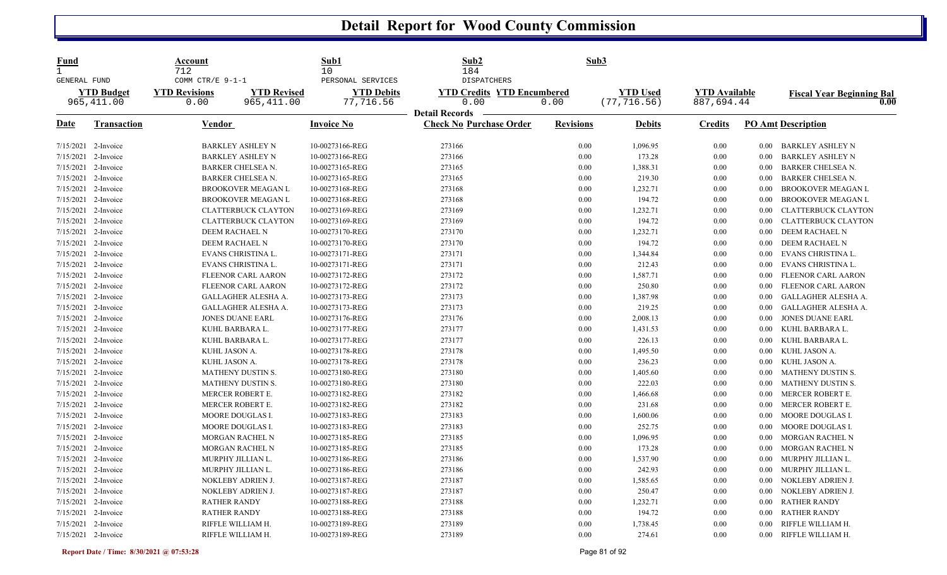| <u>Fund</u><br>1<br>GENERAL FUND |                                 | Account<br>712<br>COMM CTR/E 9-1-1 |                                          | Sub1<br>10<br>PERSONAL SERVICES    | Sub2<br>184<br><b>DISPATCHERS</b>                       | Sub3             |                                 |                                    |                   |                                          |
|----------------------------------|---------------------------------|------------------------------------|------------------------------------------|------------------------------------|---------------------------------------------------------|------------------|---------------------------------|------------------------------------|-------------------|------------------------------------------|
|                                  | <b>YTD Budget</b><br>965,411.00 | <b>YTD Revisions</b><br>0.00       | <b>YTD Revised</b><br>965, 411.00        | <b>YTD Debits</b><br>77,716.56     | <b>YTD Credits YTD Encumbered</b><br>0.00               | 0.00             | <b>YTD Used</b><br>(77, 716.56) | <b>YTD Available</b><br>887,694.44 |                   | <b>Fiscal Year Beginning Bal</b><br>0.00 |
| Date                             | Transaction                     | <b>Vendor</b>                      |                                          | <b>Invoice No</b>                  | <b>Detail Records</b><br><b>Check No Purchase Order</b> | <b>Revisions</b> | <b>Debits</b>                   | <b>Credits</b>                     |                   | <b>PO Amt Description</b>                |
| 7/15/2021 2-Invoice              |                                 |                                    | <b>BARKLEY ASHLEY N</b>                  | 10-00273166-REG                    | 273166                                                  | 0.00             | 1,096.95                        | 0.00                               | $0.00\,$          | BARKLEY ASHLEY N                         |
| 7/15/2021                        | 2-Invoice                       |                                    | <b>BARKLEY ASHLEY N</b>                  | 10-00273166-REG                    | 273166                                                  | 0.00             | 173.28                          | 0.00                               | 0.00              | <b>BARKLEY ASHLEY N</b>                  |
| 7/15/2021                        | 2-Invoice                       |                                    | <b>BARKER CHELSEA N.</b>                 | 10-00273165-REG                    | 273165                                                  | 0.00             | 1,388.31                        | 0.00                               | 0.00              | <b>BARKER CHELSEA N.</b>                 |
| 7/15/2021 2-Invoice              |                                 |                                    | BARKER CHELSEA N.                        | 10-00273165-REG                    | 273165                                                  | 0.00             | 219.30                          | 0.00                               | 0.00              | BARKER CHELSEA N.                        |
| 7/15/2021 2-Invoice              |                                 |                                    | <b>BROOKOVER MEAGAN L</b>                | 10-00273168-REG                    | 273168                                                  | 0.00             | 1,232.71                        | 0.00                               | 0.00              | BROOKOVER MEAGAN L                       |
| 7/15/2021                        | 2-Invoice                       |                                    | <b>BROOKOVER MEAGAN L</b>                | 10-00273168-REG                    | 273168                                                  | 0.00             | 194.72                          | 0.00                               | 0.00              | BROOKOVER MEAGAN L                       |
| 7/15/2021                        | 2-Invoice                       |                                    | <b>CLATTERBUCK CLAYTON</b>               | 10-00273169-REG                    | 273169                                                  | 0.00             | 1,232.71                        | 0.00                               | 0.00              | <b>CLATTERBUCK CLAYTON</b>               |
| 7/15/2021 2-Invoice              |                                 |                                    | <b>CLATTERBUCK CLAYTON</b>               | 10-00273169-REG                    | 273169                                                  | 0.00             | 194.72                          | 0.00                               | $0.00\,$          | <b>CLATTERBUCK CLAYTON</b>               |
| 7/15/2021                        | 2-Invoice                       |                                    | DEEM RACHAEL N                           | 10-00273170-REG                    | 273170                                                  | 0.00             | 1,232.71                        | 0.00                               | 0.00              | DEEM RACHAEL N                           |
| 7/15/2021                        | 2-Invoice                       |                                    | DEEM RACHAEL N                           | 10-00273170-REG                    | 273170                                                  | 0.00             | 194.72                          | 0.00                               | $0.00\,$          | DEEM RACHAEL N                           |
| 7/15/2021 2-Invoice              |                                 |                                    | EVANS CHRISTINA L.                       | 10-00273171-REG                    | 273171                                                  | 0.00             | 1,344.84                        | 0.00                               | 0.00 <sub>1</sub> | EVANS CHRISTINA L.                       |
| 7/15/2021                        | 2-Invoice                       |                                    | EVANS CHRISTINA L.                       | 10-00273171-REG                    | 273171                                                  | 0.00             | 212.43                          | 0.00                               | 0.00              | EVANS CHRISTINA L.                       |
| 7/15/2021                        | 2-Invoice                       |                                    | <b>FLEENOR CARL AARON</b>                | 10-00273172-REG                    | 273172                                                  | 0.00             | 1,587.71                        | 0.00                               | $0.00\,$          | FLEENOR CARL AARON                       |
| 7/15/2021                        | 2-Invoice                       |                                    | <b>FLEENOR CARL AARON</b>                | 10-00273172-REG                    | 273172                                                  | 0.00             | 250.80                          | 0.00                               | 0.00              | FLEENOR CARL AARON                       |
| 7/15/2021 2-Invoice              |                                 |                                    | GALLAGHER ALESHA A.                      | 10-00273173-REG                    | 273173                                                  | 0.00             | 1,387.98                        | 0.00                               | 0.00              | GALLAGHER ALESHA A.                      |
| 7/15/2021 2-Invoice              |                                 |                                    | GALLAGHER ALESHA A.                      | 10-00273173-REG                    | 273173                                                  | 0.00             | 219.25                          | 0.00                               | $0.00\,$          | GALLAGHER ALESHA A.                      |
| 7/15/2021                        | 2-Invoice                       |                                    | <b>JONES DUANE EARL</b>                  | 10-00273176-REG                    | 273176                                                  | 0.00             | 2,008.13                        | 0.00                               | 0.00              | <b>JONES DUANE EARL</b>                  |
| 7/15/2021 2-Invoice              |                                 |                                    | KUHL BARBARA L.                          | 10-00273177-REG                    | 273177                                                  | 0.00             | 1,431.53                        | 0.00                               | 0.00              | KUHL BARBARA L.                          |
| 7/15/2021                        | 2-Invoice                       |                                    | KUHL BARBARA L.                          | 10-00273177-REG                    | 273177                                                  | 0.00             | 226.13                          | 0.00                               | $0.00\,$          | KUHL BARBARA L.                          |
| 7/15/2021                        | 2-Invoice                       |                                    | KUHL JASON A.                            | 10-00273178-REG                    | 273178                                                  | 0.00             | 1,495.50                        | 0.00                               | 0.00              | KUHL JASON A.                            |
| 7/15/2021 2-Invoice              |                                 |                                    | KUHL JASON A.                            | 10-00273178-REG                    | 273178                                                  | 0.00             | 236.23                          | 0.00                               | 0.00              | KUHL JASON A.                            |
| 7/15/2021 2-Invoice              |                                 |                                    | MATHENY DUSTIN S.                        | 10-00273180-REG                    | 273180                                                  | 0.00             | 1,405.60                        | 0.00                               | 0.00 <sub>1</sub> | <b>MATHENY DUSTIN S.</b>                 |
| 7/15/2021                        | 2-Invoice                       |                                    | MATHENY DUSTIN S.                        | 10-00273180-REG                    | 273180                                                  | 0.00             | 222.03                          | 0.00                               | $0.00\,$          | MATHENY DUSTIN S.                        |
| 7/15/2021 2-Invoice              |                                 |                                    | MERCER ROBERT E.                         | 10-00273182-REG                    | 273182                                                  | 0.00             | 1,466.68                        | 0.00                               | 0.00              | MERCER ROBERT E.                         |
| 7/15/2021 2-Invoice              |                                 |                                    | MERCER ROBERT E.                         | 10-00273182-REG                    | 273182                                                  | 0.00             | 231.68                          | 0.00                               | 0.00              | MERCER ROBERT E.                         |
| 7/15/2021                        | 2-Invoice                       |                                    | MOORE DOUGLAS I.                         | 10-00273183-REG                    | 273183                                                  | 0.00             | 1,600.06                        | 0.00                               | $0.00\,$          | MOORE DOUGLAS I.                         |
| 7/15/2021                        | 2-Invoice                       |                                    | MOORE DOUGLAS I.                         | 10-00273183-REG                    | 273183                                                  | 0.00             | 252.75                          | 0.00                               | 0.00              | MOORE DOUGLAS I.                         |
| 7/15/2021 2-Invoice              |                                 |                                    | <b>MORGAN RACHEL N</b>                   | 10-00273185-REG                    | 273185                                                  | 0.00             | 1,096.95                        | 0.00                               | 0.00              | MORGAN RACHEL N                          |
| 7/15/2021                        | 2-Invoice                       |                                    | <b>MORGAN RACHEL N</b>                   | 10-00273185-REG                    | 273185                                                  | 0.00             | 173.28                          | 0.00                               | $0.00\,$          | MORGAN RACHEL N                          |
| 7/15/2021                        | 2-Invoice                       |                                    | MURPHY JILLIAN L.                        | 10-00273186-REG                    | 273186                                                  | 0.00             | 1,537.90                        | 0.00                               | $0.00\,$          | MURPHY JILLIAN L.                        |
| 7/15/2021                        | 2-Invoice                       |                                    | MURPHY JILLIAN L.                        | 10-00273186-REG                    | 273186                                                  | 0.00             | 242.93                          | 0.00                               | 0.00              | MURPHY JILLIAN L.                        |
| 7/15/2021 2-Invoice              |                                 |                                    | NOKLEBY ADRIEN J.                        | 10-00273187-REG                    | 273187                                                  | 0.00             | 1,585.65                        | 0.00                               | 0.00              | NOKLEBY ADRIEN J.                        |
|                                  |                                 |                                    |                                          |                                    |                                                         | 0.00             |                                 | 0.00                               |                   |                                          |
| 7/15/2021 2-Invoice<br>7/15/2021 | 2-Invoice                       |                                    | NOKLEBY ADRIEN J.<br><b>RATHER RANDY</b> | 10-00273187-REG<br>10-00273188-REG | 273187<br>273188                                        | 0.00             | 250.47<br>1,232.71              | 0.00                               | $0.00\,$<br>0.00  | NOKLEBY ADRIEN J.<br><b>RATHER RANDY</b> |
|                                  |                                 |                                    |                                          |                                    |                                                         |                  |                                 |                                    |                   |                                          |
| 7/15/2021 2-Invoice              |                                 |                                    | <b>RATHER RANDY</b>                      | 10-00273188-REG                    | 273188                                                  | 0.00             | 194.72                          | 0.00                               | 0.00              | <b>RATHER RANDY</b>                      |
| 7/15/2021 2-Invoice              |                                 |                                    | RIFFLE WILLIAM H.                        | 10-00273189-REG                    | 273189                                                  | 0.00             | 1,738.45                        | 0.00                               | 0.00              | RIFFLE WILLIAM H.                        |
| 7/15/2021 2-Invoice              |                                 |                                    | RIFFLE WILLIAM H.                        | 10-00273189-REG                    | 273189                                                  | 0.00             | 274.61                          | 0.00                               | $0.00\,$          | RIFFLE WILLIAM H.                        |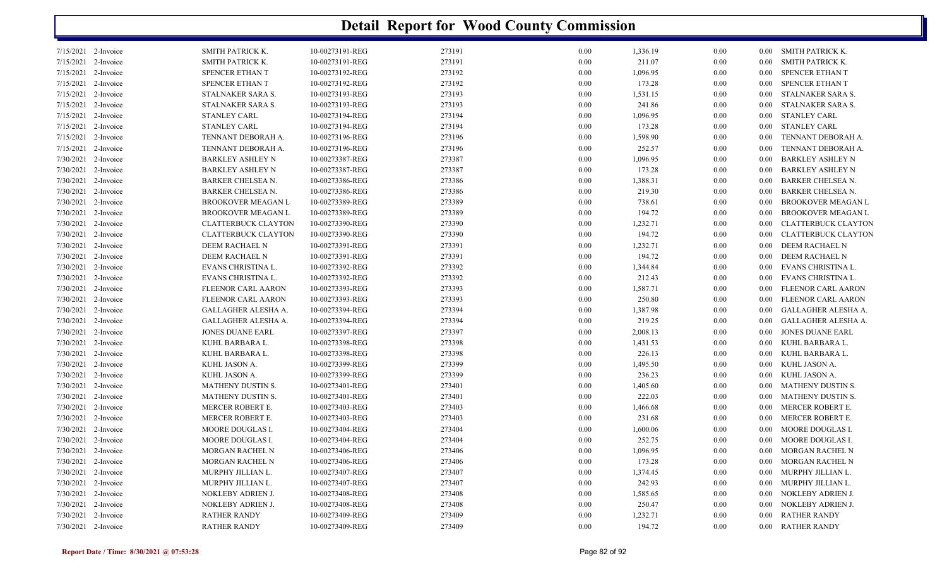| SMITH PATRICK K.<br>10-00273191-REG<br>273191<br>0.00<br>SMITH PATRICK K.<br>7/15/2021 2-Invoice<br>1,336.19<br>0.00<br>$0.00\,$<br>2-Invoice<br>SMITH PATRICK K.<br>10-00273191-REG<br>273191<br>0.00<br>211.07<br><b>SMITH PATRICK K.</b><br>0.00<br>0.00<br>2-Invoice<br>SPENCER ETHAN T<br>10-00273192-REG<br>273192<br>1,096.95<br>SPENCER ETHAN T<br>$0.00\,$<br>0.00<br>0.00<br>2-Invoice<br>SPENCER ETHAN T<br>10-00273192-REG<br>273192<br>173.28<br>SPENCER ETHAN T<br>0.00<br>0.00<br>0.00<br>2-Invoice<br>10-00273193-REG<br>273193<br>0.00<br>STALNAKER SARA S.<br>STALNAKER SARA S.<br>1,531.15<br>0.00<br>0.00<br>2-Invoice<br>10-00273193-REG<br>273193<br>241.86<br>STALNAKER SARA S.<br>7/15/2021<br>STALNAKER SARA S.<br>0.00<br>0.00<br>0.00<br>273194<br>2-Invoice<br><b>STANLEY CARL</b><br>10-00273194-REG<br>0.00<br>1,096.95<br>$0.00\,$<br><b>STANLEY CARL</b><br>7/15/2021<br>0.00<br>273194<br>173.28<br><b>STANLEY CARL</b><br>2-Invoice<br><b>STANLEY CARL</b><br>10-00273194-REG<br>0.00<br>0.00<br>0.00<br>273196<br>2-Invoice<br>TENNANT DEBORAH A.<br>10-00273196-REG<br>$0.00\,$<br>1,598.90<br>0.00<br>TENNANT DEBORAH A.<br>0.00<br>10-00273196-REG<br>273196<br>252.57<br>TENNANT DEBORAH A.<br>2-Invoice<br>TENNANT DEBORAH A.<br>0.00<br>0.00<br>0.00<br><b>BARKLEY ASHLEY N</b><br>10-00273387-REG<br>273387<br><b>BARKLEY ASHLEY N</b><br>2-Invoice<br>0.00<br>1,096.95<br>0.00<br>0.00<br>2-Invoice<br>10-00273387-REG<br>273387<br>173.28<br>7/30/2021<br>BARKLEY ASHLEY N<br>$0.00\,$<br>0.00<br><b>BARKLEY ASHLEY N</b><br>0.00<br>2-Invoice<br>273386<br>BARKER CHELSEA N.<br>10-00273386-REG<br>0.00<br>1,388.31<br>0.00<br><b>BARKER CHELSEA N.</b><br>0.00<br>2-Invoice<br>BARKER CHELSEA N.<br>10-00273386-REG<br>273386<br>0.00<br>219.30<br>0.00<br><b>BARKER CHELSEA N.</b><br>0.00<br>2-Invoice<br>10-00273389-REG<br>273389<br><b>BROOKOVER MEAGAN L</b><br>$0.00\,$<br>738.61<br>0.00<br><b>BROOKOVER MEAGAN L</b><br>0.00<br>2-Invoice<br>10-00273389-REG<br>273389<br>194.72<br>7/30/2021<br>BROOKOVER MEAGAN L<br>0.00<br>0.00<br><b>BROOKOVER MEAGAN L</b><br>0.00<br>10-00273390-REG<br>273390<br>1,232.71<br>2-Invoice<br><b>CLATTERBUCK CLAYTON</b><br>0.00<br>0.00<br><b>CLATTERBUCK CLAYTON</b><br>0.00<br>273390<br>194.72<br>7/30/2021<br>2-Invoice<br><b>CLATTERBUCK CLAYTON</b><br>10-00273390-REG<br>0.00<br>0.00<br><b>CLATTERBUCK CLAYTON</b><br>0.00<br>273391<br>7/30/2021<br>2-Invoice<br>DEEM RACHAEL N<br>10-00273391-REG<br>0.00<br>1,232.71<br>$0.00\,$<br>DEEM RACHAEL N<br>0.00<br>2-Invoice<br>273391<br>0.00<br>194.72<br>DEEM RACHAEL N<br>7/30/2021<br>DEEM RACHAEL N<br>10-00273391-REG<br>0.00<br>0.00<br>10-00273392-REG<br>273392<br>1,344.84<br>EVANS CHRISTINA L.<br>2-Invoice<br>EVANS CHRISTINA L.<br>$0.00\,$<br>0.00<br>0.00<br>2-Invoice<br>10-00273392-REG<br>273392<br>212.43<br>EVANS CHRISTINA L.<br>EVANS CHRISTINA L.<br>$0.00\,$<br>0.00<br>0.00<br>2-Invoice<br>10-00273393-REG<br>273393<br>0.00<br>1,587.71<br>FLEENOR CARL AARON<br>FLEENOR CARL AARON<br>0.00<br>0.00<br>2-Invoice<br>10-00273393-REG<br>273393<br>0.00<br>250.80<br>FLEENOR CARL AARON<br>7/30/2021<br>FLEENOR CARL AARON<br>0.00<br>0.00<br>2-Invoice<br>273394<br>GALLAGHER ALESHA A.<br>10-00273394-REG<br>$0.00\,$<br>1,387.98<br>0.00<br>GALLAGHER ALESHA A.<br>0.00<br>2-Invoice<br>10-00273394-REG<br>273394<br>0.00<br>219.25<br>GALLAGHER ALESHA A.<br>GALLAGHER ALESHA A.<br>0.00<br>0.00<br>2-Invoice<br>10-00273397-REG<br>273397<br>0.00<br>2,008.13<br><b>JONES DUANE EARL</b><br><b>JONES DUANE EARL</b><br>0.00<br>0.00<br>2-Invoice<br>10-00273398-REG<br>273398<br>7/30/2021<br>KUHL BARBARA L.<br>0.00<br>1,431.53<br>0.00<br>KUHL BARBARA L.<br>0.00<br>2-Invoice<br>KUHL BARBARA L.<br>10-00273398-REG<br>273398<br>0.00<br>226.13<br>KUHL BARBARA L.<br>0.00<br>0.00<br>273399<br>KUHL JASON A.<br>7/30/2021<br>2-Invoice<br>KUHL JASON A.<br>10-00273399-REG<br>$0.00\,$<br>1,495.50<br>0.00<br>0.00<br>273399<br>7/30/2021<br>2-Invoice<br>KUHL JASON A.<br>10-00273399-REG<br>0.00<br>236.23<br>0.00<br>KUHL JASON A.<br>0.00<br>273401<br>MATHENY DUSTIN S.<br>7/30/2021<br>2-Invoice<br><b>MATHENY DUSTIN S.</b><br>10-00273401-REG<br>0.00<br>1,405.60<br>0.00<br>0.00<br>MATHENY DUSTIN S.<br>273401<br>222.03<br>MATHENY DUSTIN S.<br>2-Invoice<br>10-00273401-REG<br>0.00<br>0.00<br>0.00<br>10-00273403-REG<br>273403<br>MERCER ROBERT E.<br>2-Invoice<br>MERCER ROBERT E.<br>0.00<br>1,466.68<br>0.00<br>0.00<br>MERCER ROBERT E.<br>10-00273403-REG<br>273403<br>231.68<br>MERCER ROBERT E.<br>2-Invoice<br>0.00<br>0.00<br>0.00<br>10-00273404-REG<br>273404<br>0.00<br><b>MOORE DOUGLAS I.</b><br>1,600.06<br>0.00<br>$0.00\,$<br>MOORE DOUGLAS I.<br>MOORE DOUGLAS I.<br>10-00273404-REG<br>273404<br>$0.00\,$<br>252.75<br>0.00<br>0.00 MOORE DOUGLAS I.<br>273406<br>MORGAN RACHEL N<br>10-00273406-REG<br>0.00<br>1,096.95<br>0.00<br>MORGAN RACHEL N<br>$0.00\,$<br>7/30/2021 2-Invoice<br>MORGAN RACHEL N<br>10-00273406-REG<br>273406<br>$0.00\,$<br>173.28<br>0.00<br>MORGAN RACHEL N<br>$0.00\,$<br>$7/30/2021$ 2-Invoice<br>MURPHY JILLIAN L.<br>10-00273407-REG<br>273407<br>$0.00\,$<br>MURPHY JILLIAN L.<br>1,374.45<br>0.00<br>$0.00\,$<br>7/30/2021 2-Invoice<br>MURPHY JILLIAN L.<br>MURPHY JILLIAN L.<br>10-00273407-REG<br>273407<br>$0.00\,$<br>242.93<br>0.00<br>$0.00\,$<br>7/30/2021 2-Invoice<br>NOKLEBY ADRIEN J.<br>10-00273408-REG<br>273408<br>$0.00\,$<br>1,585.65<br>NOKLEBY ADRIEN J.<br>0.00<br>$0.00\,$<br>7/30/2021 2-Invoice<br>10-00273408-REG<br>273408<br>250.47<br>NOKLEBY ADRIEN J.<br>NOKLEBY ADRIEN J.<br>$0.00\,$<br>0.00<br>$0.00\,$<br><b>RATHER RANDY</b><br>7/30/2021 2-Invoice<br><b>RATHER RANDY</b><br>10-00273409-REG<br>273409<br>$0.00\,$<br>1,232.71<br>0.00<br>$0.00\,$<br>273409<br>194.72<br>0.00 RATHER RANDY<br><b>RATHER RANDY</b><br>10-00273409-REG<br>$0.00\,$<br>0.00 | <b>Detail Report for Wood County Commission</b> |  |  |  |  |  |  |  |  |  |
|--------------------------------------------------------------------------------------------------------------------------------------------------------------------------------------------------------------------------------------------------------------------------------------------------------------------------------------------------------------------------------------------------------------------------------------------------------------------------------------------------------------------------------------------------------------------------------------------------------------------------------------------------------------------------------------------------------------------------------------------------------------------------------------------------------------------------------------------------------------------------------------------------------------------------------------------------------------------------------------------------------------------------------------------------------------------------------------------------------------------------------------------------------------------------------------------------------------------------------------------------------------------------------------------------------------------------------------------------------------------------------------------------------------------------------------------------------------------------------------------------------------------------------------------------------------------------------------------------------------------------------------------------------------------------------------------------------------------------------------------------------------------------------------------------------------------------------------------------------------------------------------------------------------------------------------------------------------------------------------------------------------------------------------------------------------------------------------------------------------------------------------------------------------------------------------------------------------------------------------------------------------------------------------------------------------------------------------------------------------------------------------------------------------------------------------------------------------------------------------------------------------------------------------------------------------------------------------------------------------------------------------------------------------------------------------------------------------------------------------------------------------------------------------------------------------------------------------------------------------------------------------------------------------------------------------------------------------------------------------------------------------------------------------------------------------------------------------------------------------------------------------------------------------------------------------------------------------------------------------------------------------------------------------------------------------------------------------------------------------------------------------------------------------------------------------------------------------------------------------------------------------------------------------------------------------------------------------------------------------------------------------------------------------------------------------------------------------------------------------------------------------------------------------------------------------------------------------------------------------------------------------------------------------------------------------------------------------------------------------------------------------------------------------------------------------------------------------------------------------------------------------------------------------------------------------------------------------------------------------------------------------------------------------------------------------------------------------------------------------------------------------------------------------------------------------------------------------------------------------------------------------------------------------------------------------------------------------------------------------------------------------------------------------------------------------------------------------------------------------------------------------------------------------------------------------------------------------------------------------------------------------------------------------------------------------------------------------------------------------------------------------------------------------------------------------------------------------------------------------------------------------------------------------------------------------------------------------------------------------------------------------------------------------------------------------------------------------------------------------------------------------------------------------------------------------------------------------------------------------------------------------------------------------------------------------------------------------------------------------------------------------------------------------------------------------------------------------------------------------------------------------------------------------------------------------------------------------------------------------------------------------------------------------------------------------------------------|-------------------------------------------------|--|--|--|--|--|--|--|--|--|
|                                                                                                                                                                                                                                                                                                                                                                                                                                                                                                                                                                                                                                                                                                                                                                                                                                                                                                                                                                                                                                                                                                                                                                                                                                                                                                                                                                                                                                                                                                                                                                                                                                                                                                                                                                                                                                                                                                                                                                                                                                                                                                                                                                                                                                                                                                                                                                                                                                                                                                                                                                                                                                                                                                                                                                                                                                                                                                                                                                                                                                                                                                                                                                                                                                                                                                                                                                                                                                                                                                                                                                                                                                                                                                                                                                                                                                                                                                                                                                                                                                                                                                                                                                                                                                                                                                                                                                                                                                                                                                                                                                                                                                                                                                                                                                                                                                                                                                                                                                                                                                                                                                                                                                                                                                                                                                                                                                                                                                                                                                                                                                                                                                                                                                                                                                                                                                                                                                                                                        |                                                 |  |  |  |  |  |  |  |  |  |
|                                                                                                                                                                                                                                                                                                                                                                                                                                                                                                                                                                                                                                                                                                                                                                                                                                                                                                                                                                                                                                                                                                                                                                                                                                                                                                                                                                                                                                                                                                                                                                                                                                                                                                                                                                                                                                                                                                                                                                                                                                                                                                                                                                                                                                                                                                                                                                                                                                                                                                                                                                                                                                                                                                                                                                                                                                                                                                                                                                                                                                                                                                                                                                                                                                                                                                                                                                                                                                                                                                                                                                                                                                                                                                                                                                                                                                                                                                                                                                                                                                                                                                                                                                                                                                                                                                                                                                                                                                                                                                                                                                                                                                                                                                                                                                                                                                                                                                                                                                                                                                                                                                                                                                                                                                                                                                                                                                                                                                                                                                                                                                                                                                                                                                                                                                                                                                                                                                                                                        | 7/15/2021                                       |  |  |  |  |  |  |  |  |  |
|                                                                                                                                                                                                                                                                                                                                                                                                                                                                                                                                                                                                                                                                                                                                                                                                                                                                                                                                                                                                                                                                                                                                                                                                                                                                                                                                                                                                                                                                                                                                                                                                                                                                                                                                                                                                                                                                                                                                                                                                                                                                                                                                                                                                                                                                                                                                                                                                                                                                                                                                                                                                                                                                                                                                                                                                                                                                                                                                                                                                                                                                                                                                                                                                                                                                                                                                                                                                                                                                                                                                                                                                                                                                                                                                                                                                                                                                                                                                                                                                                                                                                                                                                                                                                                                                                                                                                                                                                                                                                                                                                                                                                                                                                                                                                                                                                                                                                                                                                                                                                                                                                                                                                                                                                                                                                                                                                                                                                                                                                                                                                                                                                                                                                                                                                                                                                                                                                                                                                        | 7/15/2021                                       |  |  |  |  |  |  |  |  |  |
|                                                                                                                                                                                                                                                                                                                                                                                                                                                                                                                                                                                                                                                                                                                                                                                                                                                                                                                                                                                                                                                                                                                                                                                                                                                                                                                                                                                                                                                                                                                                                                                                                                                                                                                                                                                                                                                                                                                                                                                                                                                                                                                                                                                                                                                                                                                                                                                                                                                                                                                                                                                                                                                                                                                                                                                                                                                                                                                                                                                                                                                                                                                                                                                                                                                                                                                                                                                                                                                                                                                                                                                                                                                                                                                                                                                                                                                                                                                                                                                                                                                                                                                                                                                                                                                                                                                                                                                                                                                                                                                                                                                                                                                                                                                                                                                                                                                                                                                                                                                                                                                                                                                                                                                                                                                                                                                                                                                                                                                                                                                                                                                                                                                                                                                                                                                                                                                                                                                                                        | 7/15/2021                                       |  |  |  |  |  |  |  |  |  |
|                                                                                                                                                                                                                                                                                                                                                                                                                                                                                                                                                                                                                                                                                                                                                                                                                                                                                                                                                                                                                                                                                                                                                                                                                                                                                                                                                                                                                                                                                                                                                                                                                                                                                                                                                                                                                                                                                                                                                                                                                                                                                                                                                                                                                                                                                                                                                                                                                                                                                                                                                                                                                                                                                                                                                                                                                                                                                                                                                                                                                                                                                                                                                                                                                                                                                                                                                                                                                                                                                                                                                                                                                                                                                                                                                                                                                                                                                                                                                                                                                                                                                                                                                                                                                                                                                                                                                                                                                                                                                                                                                                                                                                                                                                                                                                                                                                                                                                                                                                                                                                                                                                                                                                                                                                                                                                                                                                                                                                                                                                                                                                                                                                                                                                                                                                                                                                                                                                                                                        | 7/15/2021                                       |  |  |  |  |  |  |  |  |  |
|                                                                                                                                                                                                                                                                                                                                                                                                                                                                                                                                                                                                                                                                                                                                                                                                                                                                                                                                                                                                                                                                                                                                                                                                                                                                                                                                                                                                                                                                                                                                                                                                                                                                                                                                                                                                                                                                                                                                                                                                                                                                                                                                                                                                                                                                                                                                                                                                                                                                                                                                                                                                                                                                                                                                                                                                                                                                                                                                                                                                                                                                                                                                                                                                                                                                                                                                                                                                                                                                                                                                                                                                                                                                                                                                                                                                                                                                                                                                                                                                                                                                                                                                                                                                                                                                                                                                                                                                                                                                                                                                                                                                                                                                                                                                                                                                                                                                                                                                                                                                                                                                                                                                                                                                                                                                                                                                                                                                                                                                                                                                                                                                                                                                                                                                                                                                                                                                                                                                                        |                                                 |  |  |  |  |  |  |  |  |  |
|                                                                                                                                                                                                                                                                                                                                                                                                                                                                                                                                                                                                                                                                                                                                                                                                                                                                                                                                                                                                                                                                                                                                                                                                                                                                                                                                                                                                                                                                                                                                                                                                                                                                                                                                                                                                                                                                                                                                                                                                                                                                                                                                                                                                                                                                                                                                                                                                                                                                                                                                                                                                                                                                                                                                                                                                                                                                                                                                                                                                                                                                                                                                                                                                                                                                                                                                                                                                                                                                                                                                                                                                                                                                                                                                                                                                                                                                                                                                                                                                                                                                                                                                                                                                                                                                                                                                                                                                                                                                                                                                                                                                                                                                                                                                                                                                                                                                                                                                                                                                                                                                                                                                                                                                                                                                                                                                                                                                                                                                                                                                                                                                                                                                                                                                                                                                                                                                                                                                                        |                                                 |  |  |  |  |  |  |  |  |  |
|                                                                                                                                                                                                                                                                                                                                                                                                                                                                                                                                                                                                                                                                                                                                                                                                                                                                                                                                                                                                                                                                                                                                                                                                                                                                                                                                                                                                                                                                                                                                                                                                                                                                                                                                                                                                                                                                                                                                                                                                                                                                                                                                                                                                                                                                                                                                                                                                                                                                                                                                                                                                                                                                                                                                                                                                                                                                                                                                                                                                                                                                                                                                                                                                                                                                                                                                                                                                                                                                                                                                                                                                                                                                                                                                                                                                                                                                                                                                                                                                                                                                                                                                                                                                                                                                                                                                                                                                                                                                                                                                                                                                                                                                                                                                                                                                                                                                                                                                                                                                                                                                                                                                                                                                                                                                                                                                                                                                                                                                                                                                                                                                                                                                                                                                                                                                                                                                                                                                                        | 7/15/2021                                       |  |  |  |  |  |  |  |  |  |
|                                                                                                                                                                                                                                                                                                                                                                                                                                                                                                                                                                                                                                                                                                                                                                                                                                                                                                                                                                                                                                                                                                                                                                                                                                                                                                                                                                                                                                                                                                                                                                                                                                                                                                                                                                                                                                                                                                                                                                                                                                                                                                                                                                                                                                                                                                                                                                                                                                                                                                                                                                                                                                                                                                                                                                                                                                                                                                                                                                                                                                                                                                                                                                                                                                                                                                                                                                                                                                                                                                                                                                                                                                                                                                                                                                                                                                                                                                                                                                                                                                                                                                                                                                                                                                                                                                                                                                                                                                                                                                                                                                                                                                                                                                                                                                                                                                                                                                                                                                                                                                                                                                                                                                                                                                                                                                                                                                                                                                                                                                                                                                                                                                                                                                                                                                                                                                                                                                                                                        | 7/15/2021                                       |  |  |  |  |  |  |  |  |  |
|                                                                                                                                                                                                                                                                                                                                                                                                                                                                                                                                                                                                                                                                                                                                                                                                                                                                                                                                                                                                                                                                                                                                                                                                                                                                                                                                                                                                                                                                                                                                                                                                                                                                                                                                                                                                                                                                                                                                                                                                                                                                                                                                                                                                                                                                                                                                                                                                                                                                                                                                                                                                                                                                                                                                                                                                                                                                                                                                                                                                                                                                                                                                                                                                                                                                                                                                                                                                                                                                                                                                                                                                                                                                                                                                                                                                                                                                                                                                                                                                                                                                                                                                                                                                                                                                                                                                                                                                                                                                                                                                                                                                                                                                                                                                                                                                                                                                                                                                                                                                                                                                                                                                                                                                                                                                                                                                                                                                                                                                                                                                                                                                                                                                                                                                                                                                                                                                                                                                                        | 7/15/2021                                       |  |  |  |  |  |  |  |  |  |
|                                                                                                                                                                                                                                                                                                                                                                                                                                                                                                                                                                                                                                                                                                                                                                                                                                                                                                                                                                                                                                                                                                                                                                                                                                                                                                                                                                                                                                                                                                                                                                                                                                                                                                                                                                                                                                                                                                                                                                                                                                                                                                                                                                                                                                                                                                                                                                                                                                                                                                                                                                                                                                                                                                                                                                                                                                                                                                                                                                                                                                                                                                                                                                                                                                                                                                                                                                                                                                                                                                                                                                                                                                                                                                                                                                                                                                                                                                                                                                                                                                                                                                                                                                                                                                                                                                                                                                                                                                                                                                                                                                                                                                                                                                                                                                                                                                                                                                                                                                                                                                                                                                                                                                                                                                                                                                                                                                                                                                                                                                                                                                                                                                                                                                                                                                                                                                                                                                                                                        | 7/30/2021                                       |  |  |  |  |  |  |  |  |  |
|                                                                                                                                                                                                                                                                                                                                                                                                                                                                                                                                                                                                                                                                                                                                                                                                                                                                                                                                                                                                                                                                                                                                                                                                                                                                                                                                                                                                                                                                                                                                                                                                                                                                                                                                                                                                                                                                                                                                                                                                                                                                                                                                                                                                                                                                                                                                                                                                                                                                                                                                                                                                                                                                                                                                                                                                                                                                                                                                                                                                                                                                                                                                                                                                                                                                                                                                                                                                                                                                                                                                                                                                                                                                                                                                                                                                                                                                                                                                                                                                                                                                                                                                                                                                                                                                                                                                                                                                                                                                                                                                                                                                                                                                                                                                                                                                                                                                                                                                                                                                                                                                                                                                                                                                                                                                                                                                                                                                                                                                                                                                                                                                                                                                                                                                                                                                                                                                                                                                                        |                                                 |  |  |  |  |  |  |  |  |  |
|                                                                                                                                                                                                                                                                                                                                                                                                                                                                                                                                                                                                                                                                                                                                                                                                                                                                                                                                                                                                                                                                                                                                                                                                                                                                                                                                                                                                                                                                                                                                                                                                                                                                                                                                                                                                                                                                                                                                                                                                                                                                                                                                                                                                                                                                                                                                                                                                                                                                                                                                                                                                                                                                                                                                                                                                                                                                                                                                                                                                                                                                                                                                                                                                                                                                                                                                                                                                                                                                                                                                                                                                                                                                                                                                                                                                                                                                                                                                                                                                                                                                                                                                                                                                                                                                                                                                                                                                                                                                                                                                                                                                                                                                                                                                                                                                                                                                                                                                                                                                                                                                                                                                                                                                                                                                                                                                                                                                                                                                                                                                                                                                                                                                                                                                                                                                                                                                                                                                                        | 7/30/2021                                       |  |  |  |  |  |  |  |  |  |
|                                                                                                                                                                                                                                                                                                                                                                                                                                                                                                                                                                                                                                                                                                                                                                                                                                                                                                                                                                                                                                                                                                                                                                                                                                                                                                                                                                                                                                                                                                                                                                                                                                                                                                                                                                                                                                                                                                                                                                                                                                                                                                                                                                                                                                                                                                                                                                                                                                                                                                                                                                                                                                                                                                                                                                                                                                                                                                                                                                                                                                                                                                                                                                                                                                                                                                                                                                                                                                                                                                                                                                                                                                                                                                                                                                                                                                                                                                                                                                                                                                                                                                                                                                                                                                                                                                                                                                                                                                                                                                                                                                                                                                                                                                                                                                                                                                                                                                                                                                                                                                                                                                                                                                                                                                                                                                                                                                                                                                                                                                                                                                                                                                                                                                                                                                                                                                                                                                                                                        | 7/30/2021                                       |  |  |  |  |  |  |  |  |  |
|                                                                                                                                                                                                                                                                                                                                                                                                                                                                                                                                                                                                                                                                                                                                                                                                                                                                                                                                                                                                                                                                                                                                                                                                                                                                                                                                                                                                                                                                                                                                                                                                                                                                                                                                                                                                                                                                                                                                                                                                                                                                                                                                                                                                                                                                                                                                                                                                                                                                                                                                                                                                                                                                                                                                                                                                                                                                                                                                                                                                                                                                                                                                                                                                                                                                                                                                                                                                                                                                                                                                                                                                                                                                                                                                                                                                                                                                                                                                                                                                                                                                                                                                                                                                                                                                                                                                                                                                                                                                                                                                                                                                                                                                                                                                                                                                                                                                                                                                                                                                                                                                                                                                                                                                                                                                                                                                                                                                                                                                                                                                                                                                                                                                                                                                                                                                                                                                                                                                                        | 7/30/2021                                       |  |  |  |  |  |  |  |  |  |
|                                                                                                                                                                                                                                                                                                                                                                                                                                                                                                                                                                                                                                                                                                                                                                                                                                                                                                                                                                                                                                                                                                                                                                                                                                                                                                                                                                                                                                                                                                                                                                                                                                                                                                                                                                                                                                                                                                                                                                                                                                                                                                                                                                                                                                                                                                                                                                                                                                                                                                                                                                                                                                                                                                                                                                                                                                                                                                                                                                                                                                                                                                                                                                                                                                                                                                                                                                                                                                                                                                                                                                                                                                                                                                                                                                                                                                                                                                                                                                                                                                                                                                                                                                                                                                                                                                                                                                                                                                                                                                                                                                                                                                                                                                                                                                                                                                                                                                                                                                                                                                                                                                                                                                                                                                                                                                                                                                                                                                                                                                                                                                                                                                                                                                                                                                                                                                                                                                                                                        |                                                 |  |  |  |  |  |  |  |  |  |
|                                                                                                                                                                                                                                                                                                                                                                                                                                                                                                                                                                                                                                                                                                                                                                                                                                                                                                                                                                                                                                                                                                                                                                                                                                                                                                                                                                                                                                                                                                                                                                                                                                                                                                                                                                                                                                                                                                                                                                                                                                                                                                                                                                                                                                                                                                                                                                                                                                                                                                                                                                                                                                                                                                                                                                                                                                                                                                                                                                                                                                                                                                                                                                                                                                                                                                                                                                                                                                                                                                                                                                                                                                                                                                                                                                                                                                                                                                                                                                                                                                                                                                                                                                                                                                                                                                                                                                                                                                                                                                                                                                                                                                                                                                                                                                                                                                                                                                                                                                                                                                                                                                                                                                                                                                                                                                                                                                                                                                                                                                                                                                                                                                                                                                                                                                                                                                                                                                                                                        | 7/30/2021                                       |  |  |  |  |  |  |  |  |  |
|                                                                                                                                                                                                                                                                                                                                                                                                                                                                                                                                                                                                                                                                                                                                                                                                                                                                                                                                                                                                                                                                                                                                                                                                                                                                                                                                                                                                                                                                                                                                                                                                                                                                                                                                                                                                                                                                                                                                                                                                                                                                                                                                                                                                                                                                                                                                                                                                                                                                                                                                                                                                                                                                                                                                                                                                                                                                                                                                                                                                                                                                                                                                                                                                                                                                                                                                                                                                                                                                                                                                                                                                                                                                                                                                                                                                                                                                                                                                                                                                                                                                                                                                                                                                                                                                                                                                                                                                                                                                                                                                                                                                                                                                                                                                                                                                                                                                                                                                                                                                                                                                                                                                                                                                                                                                                                                                                                                                                                                                                                                                                                                                                                                                                                                                                                                                                                                                                                                                                        |                                                 |  |  |  |  |  |  |  |  |  |
|                                                                                                                                                                                                                                                                                                                                                                                                                                                                                                                                                                                                                                                                                                                                                                                                                                                                                                                                                                                                                                                                                                                                                                                                                                                                                                                                                                                                                                                                                                                                                                                                                                                                                                                                                                                                                                                                                                                                                                                                                                                                                                                                                                                                                                                                                                                                                                                                                                                                                                                                                                                                                                                                                                                                                                                                                                                                                                                                                                                                                                                                                                                                                                                                                                                                                                                                                                                                                                                                                                                                                                                                                                                                                                                                                                                                                                                                                                                                                                                                                                                                                                                                                                                                                                                                                                                                                                                                                                                                                                                                                                                                                                                                                                                                                                                                                                                                                                                                                                                                                                                                                                                                                                                                                                                                                                                                                                                                                                                                                                                                                                                                                                                                                                                                                                                                                                                                                                                                                        |                                                 |  |  |  |  |  |  |  |  |  |
|                                                                                                                                                                                                                                                                                                                                                                                                                                                                                                                                                                                                                                                                                                                                                                                                                                                                                                                                                                                                                                                                                                                                                                                                                                                                                                                                                                                                                                                                                                                                                                                                                                                                                                                                                                                                                                                                                                                                                                                                                                                                                                                                                                                                                                                                                                                                                                                                                                                                                                                                                                                                                                                                                                                                                                                                                                                                                                                                                                                                                                                                                                                                                                                                                                                                                                                                                                                                                                                                                                                                                                                                                                                                                                                                                                                                                                                                                                                                                                                                                                                                                                                                                                                                                                                                                                                                                                                                                                                                                                                                                                                                                                                                                                                                                                                                                                                                                                                                                                                                                                                                                                                                                                                                                                                                                                                                                                                                                                                                                                                                                                                                                                                                                                                                                                                                                                                                                                                                                        |                                                 |  |  |  |  |  |  |  |  |  |
|                                                                                                                                                                                                                                                                                                                                                                                                                                                                                                                                                                                                                                                                                                                                                                                                                                                                                                                                                                                                                                                                                                                                                                                                                                                                                                                                                                                                                                                                                                                                                                                                                                                                                                                                                                                                                                                                                                                                                                                                                                                                                                                                                                                                                                                                                                                                                                                                                                                                                                                                                                                                                                                                                                                                                                                                                                                                                                                                                                                                                                                                                                                                                                                                                                                                                                                                                                                                                                                                                                                                                                                                                                                                                                                                                                                                                                                                                                                                                                                                                                                                                                                                                                                                                                                                                                                                                                                                                                                                                                                                                                                                                                                                                                                                                                                                                                                                                                                                                                                                                                                                                                                                                                                                                                                                                                                                                                                                                                                                                                                                                                                                                                                                                                                                                                                                                                                                                                                                                        | 7/30/2021                                       |  |  |  |  |  |  |  |  |  |
|                                                                                                                                                                                                                                                                                                                                                                                                                                                                                                                                                                                                                                                                                                                                                                                                                                                                                                                                                                                                                                                                                                                                                                                                                                                                                                                                                                                                                                                                                                                                                                                                                                                                                                                                                                                                                                                                                                                                                                                                                                                                                                                                                                                                                                                                                                                                                                                                                                                                                                                                                                                                                                                                                                                                                                                                                                                                                                                                                                                                                                                                                                                                                                                                                                                                                                                                                                                                                                                                                                                                                                                                                                                                                                                                                                                                                                                                                                                                                                                                                                                                                                                                                                                                                                                                                                                                                                                                                                                                                                                                                                                                                                                                                                                                                                                                                                                                                                                                                                                                                                                                                                                                                                                                                                                                                                                                                                                                                                                                                                                                                                                                                                                                                                                                                                                                                                                                                                                                                        | 7/30/2021                                       |  |  |  |  |  |  |  |  |  |
|                                                                                                                                                                                                                                                                                                                                                                                                                                                                                                                                                                                                                                                                                                                                                                                                                                                                                                                                                                                                                                                                                                                                                                                                                                                                                                                                                                                                                                                                                                                                                                                                                                                                                                                                                                                                                                                                                                                                                                                                                                                                                                                                                                                                                                                                                                                                                                                                                                                                                                                                                                                                                                                                                                                                                                                                                                                                                                                                                                                                                                                                                                                                                                                                                                                                                                                                                                                                                                                                                                                                                                                                                                                                                                                                                                                                                                                                                                                                                                                                                                                                                                                                                                                                                                                                                                                                                                                                                                                                                                                                                                                                                                                                                                                                                                                                                                                                                                                                                                                                                                                                                                                                                                                                                                                                                                                                                                                                                                                                                                                                                                                                                                                                                                                                                                                                                                                                                                                                                        | 7/30/2021                                       |  |  |  |  |  |  |  |  |  |
|                                                                                                                                                                                                                                                                                                                                                                                                                                                                                                                                                                                                                                                                                                                                                                                                                                                                                                                                                                                                                                                                                                                                                                                                                                                                                                                                                                                                                                                                                                                                                                                                                                                                                                                                                                                                                                                                                                                                                                                                                                                                                                                                                                                                                                                                                                                                                                                                                                                                                                                                                                                                                                                                                                                                                                                                                                                                                                                                                                                                                                                                                                                                                                                                                                                                                                                                                                                                                                                                                                                                                                                                                                                                                                                                                                                                                                                                                                                                                                                                                                                                                                                                                                                                                                                                                                                                                                                                                                                                                                                                                                                                                                                                                                                                                                                                                                                                                                                                                                                                                                                                                                                                                                                                                                                                                                                                                                                                                                                                                                                                                                                                                                                                                                                                                                                                                                                                                                                                                        |                                                 |  |  |  |  |  |  |  |  |  |
|                                                                                                                                                                                                                                                                                                                                                                                                                                                                                                                                                                                                                                                                                                                                                                                                                                                                                                                                                                                                                                                                                                                                                                                                                                                                                                                                                                                                                                                                                                                                                                                                                                                                                                                                                                                                                                                                                                                                                                                                                                                                                                                                                                                                                                                                                                                                                                                                                                                                                                                                                                                                                                                                                                                                                                                                                                                                                                                                                                                                                                                                                                                                                                                                                                                                                                                                                                                                                                                                                                                                                                                                                                                                                                                                                                                                                                                                                                                                                                                                                                                                                                                                                                                                                                                                                                                                                                                                                                                                                                                                                                                                                                                                                                                                                                                                                                                                                                                                                                                                                                                                                                                                                                                                                                                                                                                                                                                                                                                                                                                                                                                                                                                                                                                                                                                                                                                                                                                                                        | 7/30/2021                                       |  |  |  |  |  |  |  |  |  |
|                                                                                                                                                                                                                                                                                                                                                                                                                                                                                                                                                                                                                                                                                                                                                                                                                                                                                                                                                                                                                                                                                                                                                                                                                                                                                                                                                                                                                                                                                                                                                                                                                                                                                                                                                                                                                                                                                                                                                                                                                                                                                                                                                                                                                                                                                                                                                                                                                                                                                                                                                                                                                                                                                                                                                                                                                                                                                                                                                                                                                                                                                                                                                                                                                                                                                                                                                                                                                                                                                                                                                                                                                                                                                                                                                                                                                                                                                                                                                                                                                                                                                                                                                                                                                                                                                                                                                                                                                                                                                                                                                                                                                                                                                                                                                                                                                                                                                                                                                                                                                                                                                                                                                                                                                                                                                                                                                                                                                                                                                                                                                                                                                                                                                                                                                                                                                                                                                                                                                        | 7/30/2021                                       |  |  |  |  |  |  |  |  |  |
|                                                                                                                                                                                                                                                                                                                                                                                                                                                                                                                                                                                                                                                                                                                                                                                                                                                                                                                                                                                                                                                                                                                                                                                                                                                                                                                                                                                                                                                                                                                                                                                                                                                                                                                                                                                                                                                                                                                                                                                                                                                                                                                                                                                                                                                                                                                                                                                                                                                                                                                                                                                                                                                                                                                                                                                                                                                                                                                                                                                                                                                                                                                                                                                                                                                                                                                                                                                                                                                                                                                                                                                                                                                                                                                                                                                                                                                                                                                                                                                                                                                                                                                                                                                                                                                                                                                                                                                                                                                                                                                                                                                                                                                                                                                                                                                                                                                                                                                                                                                                                                                                                                                                                                                                                                                                                                                                                                                                                                                                                                                                                                                                                                                                                                                                                                                                                                                                                                                                                        | 7/30/2021                                       |  |  |  |  |  |  |  |  |  |
|                                                                                                                                                                                                                                                                                                                                                                                                                                                                                                                                                                                                                                                                                                                                                                                                                                                                                                                                                                                                                                                                                                                                                                                                                                                                                                                                                                                                                                                                                                                                                                                                                                                                                                                                                                                                                                                                                                                                                                                                                                                                                                                                                                                                                                                                                                                                                                                                                                                                                                                                                                                                                                                                                                                                                                                                                                                                                                                                                                                                                                                                                                                                                                                                                                                                                                                                                                                                                                                                                                                                                                                                                                                                                                                                                                                                                                                                                                                                                                                                                                                                                                                                                                                                                                                                                                                                                                                                                                                                                                                                                                                                                                                                                                                                                                                                                                                                                                                                                                                                                                                                                                                                                                                                                                                                                                                                                                                                                                                                                                                                                                                                                                                                                                                                                                                                                                                                                                                                                        |                                                 |  |  |  |  |  |  |  |  |  |
|                                                                                                                                                                                                                                                                                                                                                                                                                                                                                                                                                                                                                                                                                                                                                                                                                                                                                                                                                                                                                                                                                                                                                                                                                                                                                                                                                                                                                                                                                                                                                                                                                                                                                                                                                                                                                                                                                                                                                                                                                                                                                                                                                                                                                                                                                                                                                                                                                                                                                                                                                                                                                                                                                                                                                                                                                                                                                                                                                                                                                                                                                                                                                                                                                                                                                                                                                                                                                                                                                                                                                                                                                                                                                                                                                                                                                                                                                                                                                                                                                                                                                                                                                                                                                                                                                                                                                                                                                                                                                                                                                                                                                                                                                                                                                                                                                                                                                                                                                                                                                                                                                                                                                                                                                                                                                                                                                                                                                                                                                                                                                                                                                                                                                                                                                                                                                                                                                                                                                        | 7/30/2021                                       |  |  |  |  |  |  |  |  |  |
|                                                                                                                                                                                                                                                                                                                                                                                                                                                                                                                                                                                                                                                                                                                                                                                                                                                                                                                                                                                                                                                                                                                                                                                                                                                                                                                                                                                                                                                                                                                                                                                                                                                                                                                                                                                                                                                                                                                                                                                                                                                                                                                                                                                                                                                                                                                                                                                                                                                                                                                                                                                                                                                                                                                                                                                                                                                                                                                                                                                                                                                                                                                                                                                                                                                                                                                                                                                                                                                                                                                                                                                                                                                                                                                                                                                                                                                                                                                                                                                                                                                                                                                                                                                                                                                                                                                                                                                                                                                                                                                                                                                                                                                                                                                                                                                                                                                                                                                                                                                                                                                                                                                                                                                                                                                                                                                                                                                                                                                                                                                                                                                                                                                                                                                                                                                                                                                                                                                                                        |                                                 |  |  |  |  |  |  |  |  |  |
|                                                                                                                                                                                                                                                                                                                                                                                                                                                                                                                                                                                                                                                                                                                                                                                                                                                                                                                                                                                                                                                                                                                                                                                                                                                                                                                                                                                                                                                                                                                                                                                                                                                                                                                                                                                                                                                                                                                                                                                                                                                                                                                                                                                                                                                                                                                                                                                                                                                                                                                                                                                                                                                                                                                                                                                                                                                                                                                                                                                                                                                                                                                                                                                                                                                                                                                                                                                                                                                                                                                                                                                                                                                                                                                                                                                                                                                                                                                                                                                                                                                                                                                                                                                                                                                                                                                                                                                                                                                                                                                                                                                                                                                                                                                                                                                                                                                                                                                                                                                                                                                                                                                                                                                                                                                                                                                                                                                                                                                                                                                                                                                                                                                                                                                                                                                                                                                                                                                                                        |                                                 |  |  |  |  |  |  |  |  |  |
|                                                                                                                                                                                                                                                                                                                                                                                                                                                                                                                                                                                                                                                                                                                                                                                                                                                                                                                                                                                                                                                                                                                                                                                                                                                                                                                                                                                                                                                                                                                                                                                                                                                                                                                                                                                                                                                                                                                                                                                                                                                                                                                                                                                                                                                                                                                                                                                                                                                                                                                                                                                                                                                                                                                                                                                                                                                                                                                                                                                                                                                                                                                                                                                                                                                                                                                                                                                                                                                                                                                                                                                                                                                                                                                                                                                                                                                                                                                                                                                                                                                                                                                                                                                                                                                                                                                                                                                                                                                                                                                                                                                                                                                                                                                                                                                                                                                                                                                                                                                                                                                                                                                                                                                                                                                                                                                                                                                                                                                                                                                                                                                                                                                                                                                                                                                                                                                                                                                                                        |                                                 |  |  |  |  |  |  |  |  |  |
|                                                                                                                                                                                                                                                                                                                                                                                                                                                                                                                                                                                                                                                                                                                                                                                                                                                                                                                                                                                                                                                                                                                                                                                                                                                                                                                                                                                                                                                                                                                                                                                                                                                                                                                                                                                                                                                                                                                                                                                                                                                                                                                                                                                                                                                                                                                                                                                                                                                                                                                                                                                                                                                                                                                                                                                                                                                                                                                                                                                                                                                                                                                                                                                                                                                                                                                                                                                                                                                                                                                                                                                                                                                                                                                                                                                                                                                                                                                                                                                                                                                                                                                                                                                                                                                                                                                                                                                                                                                                                                                                                                                                                                                                                                                                                                                                                                                                                                                                                                                                                                                                                                                                                                                                                                                                                                                                                                                                                                                                                                                                                                                                                                                                                                                                                                                                                                                                                                                                                        | 7/30/2021                                       |  |  |  |  |  |  |  |  |  |
|                                                                                                                                                                                                                                                                                                                                                                                                                                                                                                                                                                                                                                                                                                                                                                                                                                                                                                                                                                                                                                                                                                                                                                                                                                                                                                                                                                                                                                                                                                                                                                                                                                                                                                                                                                                                                                                                                                                                                                                                                                                                                                                                                                                                                                                                                                                                                                                                                                                                                                                                                                                                                                                                                                                                                                                                                                                                                                                                                                                                                                                                                                                                                                                                                                                                                                                                                                                                                                                                                                                                                                                                                                                                                                                                                                                                                                                                                                                                                                                                                                                                                                                                                                                                                                                                                                                                                                                                                                                                                                                                                                                                                                                                                                                                                                                                                                                                                                                                                                                                                                                                                                                                                                                                                                                                                                                                                                                                                                                                                                                                                                                                                                                                                                                                                                                                                                                                                                                                                        | 7/30/2021                                       |  |  |  |  |  |  |  |  |  |
|                                                                                                                                                                                                                                                                                                                                                                                                                                                                                                                                                                                                                                                                                                                                                                                                                                                                                                                                                                                                                                                                                                                                                                                                                                                                                                                                                                                                                                                                                                                                                                                                                                                                                                                                                                                                                                                                                                                                                                                                                                                                                                                                                                                                                                                                                                                                                                                                                                                                                                                                                                                                                                                                                                                                                                                                                                                                                                                                                                                                                                                                                                                                                                                                                                                                                                                                                                                                                                                                                                                                                                                                                                                                                                                                                                                                                                                                                                                                                                                                                                                                                                                                                                                                                                                                                                                                                                                                                                                                                                                                                                                                                                                                                                                                                                                                                                                                                                                                                                                                                                                                                                                                                                                                                                                                                                                                                                                                                                                                                                                                                                                                                                                                                                                                                                                                                                                                                                                                                        | 7/30/2021                                       |  |  |  |  |  |  |  |  |  |
|                                                                                                                                                                                                                                                                                                                                                                                                                                                                                                                                                                                                                                                                                                                                                                                                                                                                                                                                                                                                                                                                                                                                                                                                                                                                                                                                                                                                                                                                                                                                                                                                                                                                                                                                                                                                                                                                                                                                                                                                                                                                                                                                                                                                                                                                                                                                                                                                                                                                                                                                                                                                                                                                                                                                                                                                                                                                                                                                                                                                                                                                                                                                                                                                                                                                                                                                                                                                                                                                                                                                                                                                                                                                                                                                                                                                                                                                                                                                                                                                                                                                                                                                                                                                                                                                                                                                                                                                                                                                                                                                                                                                                                                                                                                                                                                                                                                                                                                                                                                                                                                                                                                                                                                                                                                                                                                                                                                                                                                                                                                                                                                                                                                                                                                                                                                                                                                                                                                                                        | 7/30/2021 2-Invoice                             |  |  |  |  |  |  |  |  |  |
|                                                                                                                                                                                                                                                                                                                                                                                                                                                                                                                                                                                                                                                                                                                                                                                                                                                                                                                                                                                                                                                                                                                                                                                                                                                                                                                                                                                                                                                                                                                                                                                                                                                                                                                                                                                                                                                                                                                                                                                                                                                                                                                                                                                                                                                                                                                                                                                                                                                                                                                                                                                                                                                                                                                                                                                                                                                                                                                                                                                                                                                                                                                                                                                                                                                                                                                                                                                                                                                                                                                                                                                                                                                                                                                                                                                                                                                                                                                                                                                                                                                                                                                                                                                                                                                                                                                                                                                                                                                                                                                                                                                                                                                                                                                                                                                                                                                                                                                                                                                                                                                                                                                                                                                                                                                                                                                                                                                                                                                                                                                                                                                                                                                                                                                                                                                                                                                                                                                                                        | 7/30/2021 2-Invoice                             |  |  |  |  |  |  |  |  |  |
|                                                                                                                                                                                                                                                                                                                                                                                                                                                                                                                                                                                                                                                                                                                                                                                                                                                                                                                                                                                                                                                                                                                                                                                                                                                                                                                                                                                                                                                                                                                                                                                                                                                                                                                                                                                                                                                                                                                                                                                                                                                                                                                                                                                                                                                                                                                                                                                                                                                                                                                                                                                                                                                                                                                                                                                                                                                                                                                                                                                                                                                                                                                                                                                                                                                                                                                                                                                                                                                                                                                                                                                                                                                                                                                                                                                                                                                                                                                                                                                                                                                                                                                                                                                                                                                                                                                                                                                                                                                                                                                                                                                                                                                                                                                                                                                                                                                                                                                                                                                                                                                                                                                                                                                                                                                                                                                                                                                                                                                                                                                                                                                                                                                                                                                                                                                                                                                                                                                                                        | 7/30/2021 2-Invoice                             |  |  |  |  |  |  |  |  |  |
|                                                                                                                                                                                                                                                                                                                                                                                                                                                                                                                                                                                                                                                                                                                                                                                                                                                                                                                                                                                                                                                                                                                                                                                                                                                                                                                                                                                                                                                                                                                                                                                                                                                                                                                                                                                                                                                                                                                                                                                                                                                                                                                                                                                                                                                                                                                                                                                                                                                                                                                                                                                                                                                                                                                                                                                                                                                                                                                                                                                                                                                                                                                                                                                                                                                                                                                                                                                                                                                                                                                                                                                                                                                                                                                                                                                                                                                                                                                                                                                                                                                                                                                                                                                                                                                                                                                                                                                                                                                                                                                                                                                                                                                                                                                                                                                                                                                                                                                                                                                                                                                                                                                                                                                                                                                                                                                                                                                                                                                                                                                                                                                                                                                                                                                                                                                                                                                                                                                                                        |                                                 |  |  |  |  |  |  |  |  |  |
|                                                                                                                                                                                                                                                                                                                                                                                                                                                                                                                                                                                                                                                                                                                                                                                                                                                                                                                                                                                                                                                                                                                                                                                                                                                                                                                                                                                                                                                                                                                                                                                                                                                                                                                                                                                                                                                                                                                                                                                                                                                                                                                                                                                                                                                                                                                                                                                                                                                                                                                                                                                                                                                                                                                                                                                                                                                                                                                                                                                                                                                                                                                                                                                                                                                                                                                                                                                                                                                                                                                                                                                                                                                                                                                                                                                                                                                                                                                                                                                                                                                                                                                                                                                                                                                                                                                                                                                                                                                                                                                                                                                                                                                                                                                                                                                                                                                                                                                                                                                                                                                                                                                                                                                                                                                                                                                                                                                                                                                                                                                                                                                                                                                                                                                                                                                                                                                                                                                                                        |                                                 |  |  |  |  |  |  |  |  |  |
|                                                                                                                                                                                                                                                                                                                                                                                                                                                                                                                                                                                                                                                                                                                                                                                                                                                                                                                                                                                                                                                                                                                                                                                                                                                                                                                                                                                                                                                                                                                                                                                                                                                                                                                                                                                                                                                                                                                                                                                                                                                                                                                                                                                                                                                                                                                                                                                                                                                                                                                                                                                                                                                                                                                                                                                                                                                                                                                                                                                                                                                                                                                                                                                                                                                                                                                                                                                                                                                                                                                                                                                                                                                                                                                                                                                                                                                                                                                                                                                                                                                                                                                                                                                                                                                                                                                                                                                                                                                                                                                                                                                                                                                                                                                                                                                                                                                                                                                                                                                                                                                                                                                                                                                                                                                                                                                                                                                                                                                                                                                                                                                                                                                                                                                                                                                                                                                                                                                                                        |                                                 |  |  |  |  |  |  |  |  |  |
|                                                                                                                                                                                                                                                                                                                                                                                                                                                                                                                                                                                                                                                                                                                                                                                                                                                                                                                                                                                                                                                                                                                                                                                                                                                                                                                                                                                                                                                                                                                                                                                                                                                                                                                                                                                                                                                                                                                                                                                                                                                                                                                                                                                                                                                                                                                                                                                                                                                                                                                                                                                                                                                                                                                                                                                                                                                                                                                                                                                                                                                                                                                                                                                                                                                                                                                                                                                                                                                                                                                                                                                                                                                                                                                                                                                                                                                                                                                                                                                                                                                                                                                                                                                                                                                                                                                                                                                                                                                                                                                                                                                                                                                                                                                                                                                                                                                                                                                                                                                                                                                                                                                                                                                                                                                                                                                                                                                                                                                                                                                                                                                                                                                                                                                                                                                                                                                                                                                                                        |                                                 |  |  |  |  |  |  |  |  |  |
|                                                                                                                                                                                                                                                                                                                                                                                                                                                                                                                                                                                                                                                                                                                                                                                                                                                                                                                                                                                                                                                                                                                                                                                                                                                                                                                                                                                                                                                                                                                                                                                                                                                                                                                                                                                                                                                                                                                                                                                                                                                                                                                                                                                                                                                                                                                                                                                                                                                                                                                                                                                                                                                                                                                                                                                                                                                                                                                                                                                                                                                                                                                                                                                                                                                                                                                                                                                                                                                                                                                                                                                                                                                                                                                                                                                                                                                                                                                                                                                                                                                                                                                                                                                                                                                                                                                                                                                                                                                                                                                                                                                                                                                                                                                                                                                                                                                                                                                                                                                                                                                                                                                                                                                                                                                                                                                                                                                                                                                                                                                                                                                                                                                                                                                                                                                                                                                                                                                                                        |                                                 |  |  |  |  |  |  |  |  |  |
|                                                                                                                                                                                                                                                                                                                                                                                                                                                                                                                                                                                                                                                                                                                                                                                                                                                                                                                                                                                                                                                                                                                                                                                                                                                                                                                                                                                                                                                                                                                                                                                                                                                                                                                                                                                                                                                                                                                                                                                                                                                                                                                                                                                                                                                                                                                                                                                                                                                                                                                                                                                                                                                                                                                                                                                                                                                                                                                                                                                                                                                                                                                                                                                                                                                                                                                                                                                                                                                                                                                                                                                                                                                                                                                                                                                                                                                                                                                                                                                                                                                                                                                                                                                                                                                                                                                                                                                                                                                                                                                                                                                                                                                                                                                                                                                                                                                                                                                                                                                                                                                                                                                                                                                                                                                                                                                                                                                                                                                                                                                                                                                                                                                                                                                                                                                                                                                                                                                                                        |                                                 |  |  |  |  |  |  |  |  |  |
|                                                                                                                                                                                                                                                                                                                                                                                                                                                                                                                                                                                                                                                                                                                                                                                                                                                                                                                                                                                                                                                                                                                                                                                                                                                                                                                                                                                                                                                                                                                                                                                                                                                                                                                                                                                                                                                                                                                                                                                                                                                                                                                                                                                                                                                                                                                                                                                                                                                                                                                                                                                                                                                                                                                                                                                                                                                                                                                                                                                                                                                                                                                                                                                                                                                                                                                                                                                                                                                                                                                                                                                                                                                                                                                                                                                                                                                                                                                                                                                                                                                                                                                                                                                                                                                                                                                                                                                                                                                                                                                                                                                                                                                                                                                                                                                                                                                                                                                                                                                                                                                                                                                                                                                                                                                                                                                                                                                                                                                                                                                                                                                                                                                                                                                                                                                                                                                                                                                                                        | 7/30/2021 2-Invoice                             |  |  |  |  |  |  |  |  |  |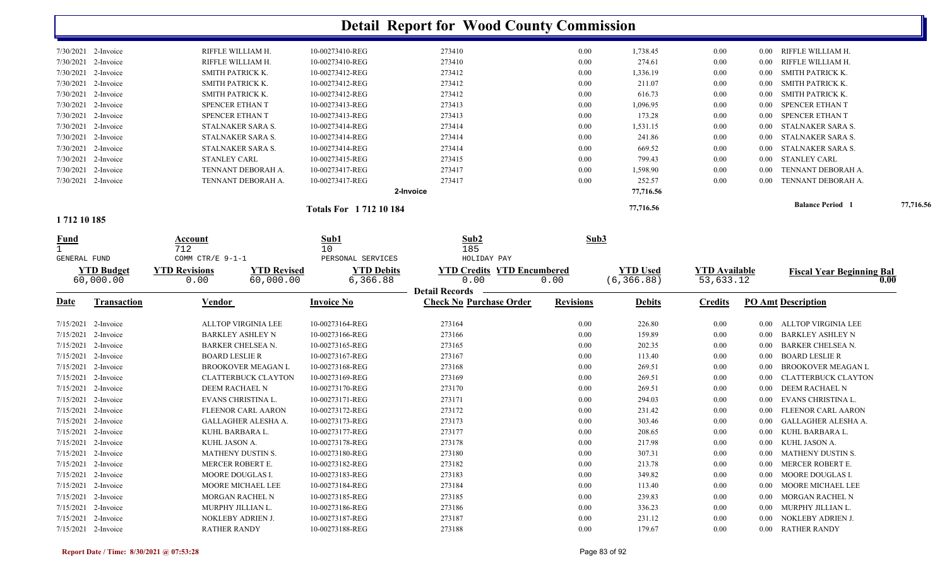|                       |                     |                                            |                             | <b>Detail Report for Wood County Commission</b> |                  |                 |                      |          |                                  |           |
|-----------------------|---------------------|--------------------------------------------|-----------------------------|-------------------------------------------------|------------------|-----------------|----------------------|----------|----------------------------------|-----------|
| 7/30/2021 2-Invoice   |                     | RIFFLE WILLIAM H.                          | 10-00273410-REG             | 273410                                          | 0.00             | 1,738.45        | $0.00\,$             | $0.00\,$ | RIFFLE WILLIAM H.                |           |
| 7/30/2021             | 2-Invoice           | RIFFLE WILLIAM H.                          | 10-00273410-REG             | 273410                                          | 0.00             | 274.61          | 0.00                 | 0.00     | RIFFLE WILLIAM H.                |           |
| 7/30/2021             | 2-Invoice           | SMITH PATRICK K.                           | 10-00273412-REG             | 273412                                          | 0.00             | 1,336.19        | 0.00                 | $0.00\,$ | SMITH PATRICK K.                 |           |
| 7/30/2021             | 2-Invoice           | SMITH PATRICK K.                           | 10-00273412-REG             | 273412                                          | 0.00             | 211.07          | $0.00\,$             | $0.00\,$ | <b>SMITH PATRICK K.</b>          |           |
| 7/30/2021             | 2-Invoice           | SMITH PATRICK K.                           | 10-00273412-REG             | 273412                                          | 0.00             | 616.73          | $0.00\,$             | 0.00     | SMITH PATRICK K.                 |           |
| 7/30/2021             | 2-Invoice           | SPENCER ETHAN T                            | 10-00273413-REG             | 273413                                          | 0.00             | 1,096.95        | $0.00\,$             | $0.00\,$ | SPENCER ETHAN T                  |           |
| 7/30/2021             | 2-Invoice           | SPENCER ETHAN T                            | 10-00273413-REG             | 273413                                          | 0.00             | 173.28          | $0.00\,$             | 0.00     | SPENCER ETHAN T                  |           |
| 7/30/2021             | 2-Invoice           | STALNAKER SARA S.                          | 10-00273414-REG             | 273414                                          | 0.00             | 1,531.15        | $0.00\,$             | 0.00     | STALNAKER SARA S.                |           |
| 7/30/2021 2-Invoice   |                     | STALNAKER SARA S.                          | 10-00273414-REG             | 273414                                          | 0.00             | 241.86          | $0.00\,$             | $0.00\,$ | STALNAKER SARA S.                |           |
| 7/30/2021 2-Invoice   |                     | STALNAKER SARA S.                          | 10-00273414-REG             | 273414                                          | 0.00             | 669.52          | $0.00\,$             | $0.00\,$ | STALNAKER SARA S.                |           |
|                       | 7/30/2021 2-Invoice | <b>STANLEY CARL</b>                        | 10-00273415-REG             | 273415                                          | 0.00             | 799.43          | $0.00\,$             | $0.00\,$ | <b>STANLEY CARL</b>              |           |
|                       | 7/30/2021 2-Invoice | TENNANT DEBORAH A.                         | 10-00273417-REG             | 273417                                          | 0.00             | 1,598.90        | $0.00\,$             | 0.00     | TENNANT DEBORAH A.               |           |
| 7/30/2021 2-Invoice   |                     | TENNANT DEBORAH A.                         | 10-00273417-REG             | 273417                                          | $0.00\,$         | 252.57          | 0.00                 | 0.00     | TENNANT DEBORAH A.               |           |
|                       |                     |                                            |                             | 2-Invoice                                       |                  | 77,716.56       |                      |          |                                  |           |
|                       |                     |                                            | <b>Totals For 171210184</b> |                                                 |                  | 77,716.56       |                      |          | <b>Balance Period</b> 1          | 77,716.56 |
| 1712 10 185           |                     |                                            |                             |                                                 |                  |                 |                      |          |                                  |           |
| <b>Fund</b>           |                     | Account<br>712                             | Sub1<br>10                  | Sub2<br>185                                     | Sub3             |                 |                      |          |                                  |           |
| GENERAL FUND          |                     | COMM CTR/E $9-1-1$                         | PERSONAL SERVICES           | HOLIDAY PAY                                     |                  |                 |                      |          |                                  |           |
|                       | <b>YTD Budget</b>   | <b>YTD Revised</b><br><b>YTD Revisions</b> | <b>YTD Debits</b>           | <b>YTD Credits YTD Encumbered</b>               |                  | <b>YTD Used</b> | <b>YTD Available</b> |          | <b>Fiscal Year Beginning Bal</b> |           |
|                       | 60,000.00           | 0.00<br>60,000.00                          | 6,366.88                    | 0.00                                            | 0.00             | (6, 366.88)     | 53,633.12            |          |                                  | 0.00      |
|                       |                     |                                            |                             | <b>Detail Records</b>                           |                  |                 |                      |          |                                  |           |
| <b>Date</b>           | Transaction         | <b>Vendor</b>                              | <b>Invoice No</b>           | <b>Check No Purchase Order</b>                  | <b>Revisions</b> | <b>Debits</b>   | <b>Credits</b>       |          | <b>PO Amt Description</b>        |           |
| 7/15/2021 2-Invoice   |                     | ALLTOP VIRGINIA LEE                        | 10-00273164-REG             | 273164                                          | 0.00             | 226.80          | $0.00\,$             |          | 0.00 ALLTOP VIRGINIA LEE         |           |
| 7/15/2021 2-Invoice   |                     | <b>BARKLEY ASHLEY N</b>                    | 10-00273166-REG             | 273166                                          | 0.00             | 159.89          | $0.00\,$             | $0.00\,$ | <b>BARKLEY ASHLEY N</b>          |           |
| 7/15/2021 2-Invoice   |                     | BARKER CHELSEA N.                          | 10-00273165-REG             | 273165                                          | 0.00             | 202.35          | $0.00\,$             | $0.00\,$ | <b>BARKER CHELSEA N.</b>         |           |
| 7/15/2021 2-Invoice   |                     | <b>BOARD LESLIE R</b>                      | 10-00273167-REG             | 273167                                          | 0.00             | 113.40          | $0.00\,$             | $0.00\,$ | <b>BOARD LESLIE R</b>            |           |
| 7/15/2021 2-Invoice   |                     | <b>BROOKOVER MEAGAN L</b>                  | 10-00273168-REG             | 273168                                          | 0.00             | 269.51          | $0.00\,$             | $0.00\,$ | <b>BROOKOVER MEAGAN L</b>        |           |
| 7/15/2021 2-Invoice   |                     | <b>CLATTERBUCK CLAYTON</b>                 | 10-00273169-REG             | 273169                                          | 0.00             | 269.51          | $0.00\,$             | 0.00     | <b>CLATTERBUCK CLAYTON</b>       |           |
| 7/15/2021             | 2-Invoice           | DEEM RACHAEL N                             | 10-00273170-REG             | 273170                                          | 0.00             | 269.51          | $0.00\,$             | 0.00     | DEEM RACHAEL N                   |           |
| 7/15/2021             | 2-Invoice           | EVANS CHRISTINA L.                         | 10-00273171-REG             | 273171                                          | 0.00             | 294.03          | $0.00\,$             | $0.00\,$ | EVANS CHRISTINA L.               |           |
| 7/15/2021             | 2-Invoice           | FLEENOR CARL AARON                         | 10-00273172-REG             | 273172                                          | 0.00             | 231.42          | 0.00                 | $0.00\,$ | FLEENOR CARL AARON               |           |
| 7/15/2021 2-Invoice   |                     | GALLAGHER ALESHA A.                        | 10-00273173-REG             | 273173                                          | 0.00             | 303.46          | 0.00                 |          | 0.00 GALLAGHER ALESHA A.         |           |
| 7/15/2021 2-Invoice   |                     | KUHL BARBARA L.                            | 10-00273177-REG             | 273177                                          | $0.00\,$         | 208.65          | $0.00\,$             |          | 0.00 KUHL BARBARA L              |           |
| $7/15/2021$ 2-Invoice |                     | KUHL JASON A.                              | 10-00273178-REG             | 273178                                          | 0.00             | 217.98          | $0.00\,$             |          | 0.00 KUHL JASON A.               |           |
| 7/15/2021 2-Invoice   |                     | MATHENY DUSTIN S.                          | 10-00273180-REG             | 273180                                          | 0.00             | 307.31          | $0.00\,$             |          | 0.00 MATHENY DUSTIN S.           |           |
| 7/15/2021 2-Invoice   |                     | MERCER ROBERT E.                           | 10-00273182-REG             | 273182                                          | 0.00             | 213.78          | $0.00\,$             |          | 0.00 MERCER ROBERT E.            |           |
| 7/15/2021 2-Invoice   |                     | MOORE DOUGLAS I.                           | 10-00273183-REG             | 273183                                          | 0.00             | 349.82          | $0.00\,$             |          | 0.00 MOORE DOUGLAS I.            |           |
| 7/15/2021 2-Invoice   |                     | MOORE MICHAEL LEE                          | 10-00273184-REG             | 273184                                          | 0.00             | 113.40          | $0.00\,$             |          | 0.00 MOORE MICHAEL LEE           |           |
| 7/15/2021 2-Invoice   |                     | MORGAN RACHEL N                            | 10-00273185-REG             | 273185                                          | 0.00             | 239.83          | $0.00\,$             |          | 0.00 MORGAN RACHEL N             |           |
| 7/15/2021 2-Invoice   |                     | MURPHY JILLIAN L.                          | 10-00273186-REG             | 273186                                          | 0.00             | 336.23          | $0.00\,$             |          | 0.00 MURPHY JILLIAN L.           |           |
| 7/15/2021 2-Invoice   |                     | NOKLEBY ADRIEN J.                          | 10-00273187-REG             | 273187                                          | 0.00             | 231.12          | $0.00\,$             |          | 0.00 NOKLEBY ADRIEN J.           |           |
| 7/15/2021 2-Invoice   |                     | <b>RATHER RANDY</b>                        | 10-00273188-REG             | 273188                                          | $0.00\,$         | 179.67          | $0.00\,$             |          | 0.00 RATHER RANDY                |           |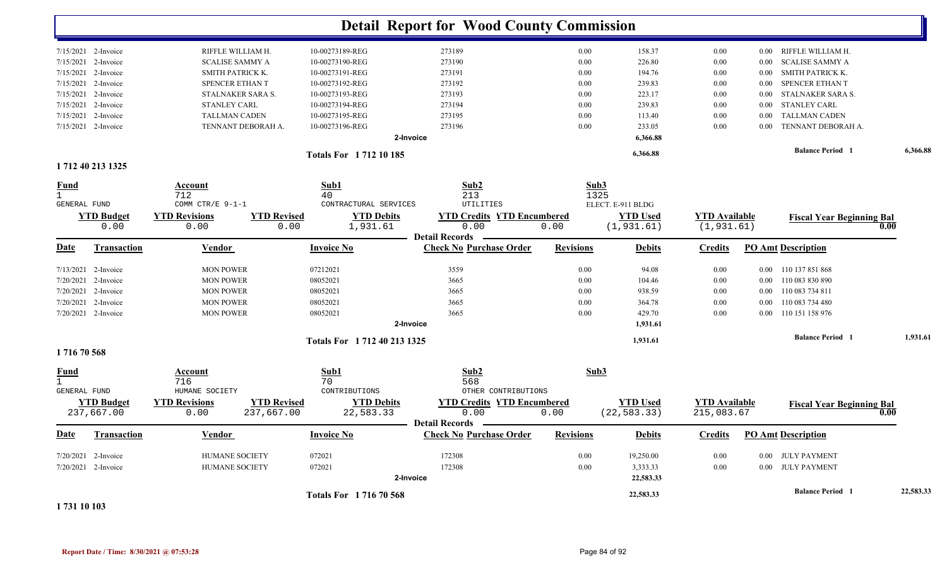|                                                                                                            |                    |                                                                  |                                | <b>Detail Report for Wood County Commission</b>         |                  |                                 |                                    |          |                                          |           |
|------------------------------------------------------------------------------------------------------------|--------------------|------------------------------------------------------------------|--------------------------------|---------------------------------------------------------|------------------|---------------------------------|------------------------------------|----------|------------------------------------------|-----------|
| $7/15/2021$ 2-Invoice                                                                                      |                    | RIFFLE WILLIAM H.                                                | 10-00273189-REG                | 273189                                                  | 0.00             | 158.37                          | 0.00                               |          | 0.00 RIFFLE WILLIAM H.                   |           |
| 7/15/2021                                                                                                  | 2-Invoice          | <b>SCALISE SAMMY A</b>                                           | 10-00273190-REG                | 273190                                                  | 0.00             | 226.80                          | 0.00                               | $0.00\,$ | <b>SCALISE SAMMY A</b>                   |           |
| 7/15/2021                                                                                                  | 2-Invoice          | SMITH PATRICK K.                                                 | 10-00273191-REG                | 273191                                                  | 0.00             | 194.76                          | 0.00                               | $0.00\,$ | SMITH PATRICK K.                         |           |
| 7/15/2021                                                                                                  | 2-Invoice          | SPENCER ETHAN T                                                  | 10-00273192-REG                | 273192                                                  | 0.00             | 239.83                          | 0.00                               | $0.00\,$ | SPENCER ETHAN T                          |           |
| 7/15/2021                                                                                                  | 2-Invoice          | STALNAKER SARA S.                                                | 10-00273193-REG                | 273193                                                  | 0.00             | 223.17                          | 0.00                               | $0.00\,$ | STALNAKER SARA S.                        |           |
| 7/15/2021                                                                                                  | 2-Invoice          | STANLEY CARL                                                     | 10-00273194-REG                | 273194                                                  | 0.00             | 239.83                          | 0.00                               | 0.00     | <b>STANLEY CARL</b>                      |           |
| 7/15/2021                                                                                                  | 2-Invoice          | <b>TALLMAN CADEN</b>                                             | 10-00273195-REG                | 273195                                                  | 0.00             | 113.40                          | 0.00                               | $0.00\,$ | <b>TALLMAN CADEN</b>                     |           |
| 7/15/2021 2-Invoice                                                                                        |                    | TENNANT DEBORAH A.                                               | 10-00273196-REG                | 273196                                                  | 0.00             | 233.05                          | 0.00                               | $0.00\,$ | TENNANT DEBORAH A.                       |           |
|                                                                                                            |                    |                                                                  |                                | 2-Invoice                                               |                  | 6,366.88                        |                                    |          |                                          |           |
|                                                                                                            |                    |                                                                  | <b>Totals For 171210185</b>    |                                                         |                  | 6,366.88                        |                                    |          | <b>Balance Period</b> 1                  | 6,366.88  |
| 1712 40 213 1325                                                                                           |                    |                                                                  |                                |                                                         |                  |                                 |                                    |          |                                          |           |
| <u>Fund</u>                                                                                                |                    | Account                                                          | Sub1                           | Sub2                                                    | Sub3             |                                 |                                    |          |                                          |           |
| $\mathbf{1}$                                                                                               |                    | 712                                                              | 40                             | 213                                                     | 1325             |                                 |                                    |          |                                          |           |
| GENERAL FUND                                                                                               |                    | COMM CTR/E 9-1-1                                                 | CONTRACTURAL SERVICES          | UTILITIES                                               |                  | ELECT. E-911 BLDG               |                                    |          |                                          |           |
|                                                                                                            | <b>YTD Budget</b>  | <b>YTD Revised</b><br><b>YTD Revisions</b>                       | <b>YTD Debits</b>              | <b>YTD Credits YTD Encumbered</b>                       |                  | <b>YTD Used</b>                 | <b>YTD</b> Available               |          | <b>Fiscal Year Beginning Bal</b>         |           |
|                                                                                                            | 0.00               | 0.00<br>0.00                                                     | 1,931.61                       | 0.00<br><b>Detail Records</b>                           | 0.00             | (1, 931.61)                     | (1, 931.61)                        |          | 0.00                                     |           |
| Date                                                                                                       | <b>Transaction</b> | Vendor                                                           | <b>Invoice No</b>              | <b>Check No Purchase Order</b>                          | <b>Revisions</b> | <b>Debits</b>                   | <b>Credits</b>                     |          | <b>PO Amt Description</b>                |           |
| 7/13/2021 2-Invoice                                                                                        |                    | <b>MON POWER</b>                                                 | 07212021                       | 3559                                                    | 0.00             | 94.08                           | 0.00                               |          | 0.00 110 137 851 868                     |           |
| 7/20/2021                                                                                                  | 2-Invoice          | <b>MON POWER</b>                                                 | 08052021                       | 3665                                                    | 0.00             | 104.46                          | 0.00                               | $0.00\,$ | 110 083 830 890                          |           |
| 7/20/2021                                                                                                  | 2-Invoice          | <b>MON POWER</b>                                                 | 08052021                       | 3665                                                    | 0.00             | 938.59                          | 0.00                               |          | 0.00 110 083 734 811                     |           |
| 7/20/2021                                                                                                  | 2-Invoice          | <b>MON POWER</b>                                                 | 08052021                       | 3665                                                    | 0.00             | 364.78                          | 0.00                               | $0.00\,$ | 110 083 734 480                          |           |
| 7/20/2021 2-Invoice                                                                                        |                    | <b>MON POWER</b>                                                 | 08052021                       | 3665                                                    | 0.00             | 429.70                          | 0.00                               | 0.00     | 110 151 158 976                          |           |
|                                                                                                            |                    |                                                                  |                                | 2-Invoice                                               |                  | 1,931.61                        |                                    |          |                                          |           |
|                                                                                                            |                    |                                                                  | Totals For 1 712 40 213 1325   |                                                         |                  | 1,931.61                        |                                    |          | <b>Balance Period</b> 1                  | 1,931.61  |
| 171670568                                                                                                  |                    |                                                                  |                                |                                                         |                  |                                 |                                    |          |                                          |           |
| <u>Fund</u>                                                                                                |                    | Account                                                          | Sub1                           | Sub2                                                    | Sub3             |                                 |                                    |          |                                          |           |
| $\mathbf{1}$<br><b>GENERAL FUND</b>                                                                        |                    | 716                                                              | 70                             | 568                                                     |                  |                                 |                                    |          |                                          |           |
|                                                                                                            |                    | HUMANE SOCIETY                                                   | CONTRIBUTIONS                  | OTHER CONTRIBUTIONS                                     |                  |                                 |                                    |          |                                          |           |
| 237,667.00                                                                                                 | <b>YTD Budget</b>  | <b>YTD Revisions</b><br><b>YTD Revised</b><br>237,667.00<br>0.00 | <b>YTD Debits</b><br>22,583.33 | <b>YTD Credits YTD Encumbered</b><br>0.00               | 0.00             | <b>YTD</b> Used<br>(22, 583.33) | <b>YTD Available</b><br>215,083.67 |          | <b>Fiscal Year Beginning Bal</b><br>0.00 |           |
| Date                                                                                                       | Transaction        | <b>Vendor</b>                                                    | <b>Invoice No</b>              | <b>Detail Records</b><br><b>Check No Purchase Order</b> | <b>Revisions</b> | <b>Debits</b>                   | <b>Credits</b>                     |          | <b>PO Amt Description</b>                |           |
|                                                                                                            |                    |                                                                  |                                |                                                         |                  |                                 |                                    |          |                                          |           |
| 7/20/2021 2-Invoice                                                                                        |                    | HUMANE SOCIETY                                                   | 072021<br>072021               | 172308                                                  | 0.00             | 19,250.00                       | 0.00<br>0.00                       |          | 0.00 JULY PAYMENT                        |           |
| 7/20/2021 2-Invoice                                                                                        |                    | <b>HUMANE SOCIETY</b>                                            |                                | 172308<br>2-Invoice                                     | 0.00             | 3,333.33<br>22,583.33           |                                    |          | 0.00 JULY PAYMENT                        |           |
|                                                                                                            |                    |                                                                  |                                |                                                         |                  |                                 |                                    |          |                                          |           |
| $\overline{a}$ = $\overline{a}$ $\overline{a}$ $\overline{a}$ $\overline{a}$ $\overline{a}$ $\overline{a}$ |                    |                                                                  | <b>Totals For 171670568</b>    |                                                         |                  | 22,583.33                       |                                    |          | <b>Balance Period</b> 1                  | 22,583.33 |

**1 731 10 103**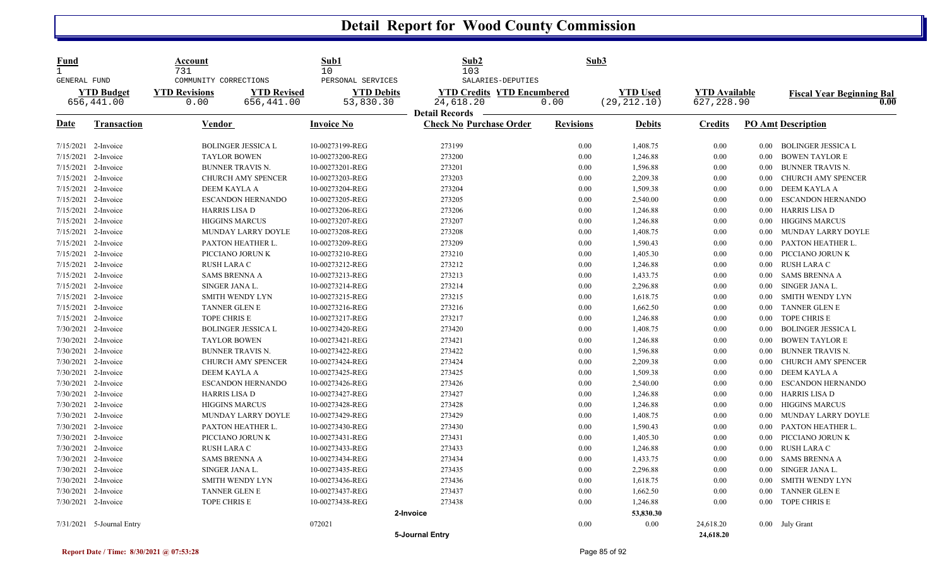| Fund<br>GENERAL FUND  |                                 | Account<br>731<br>COMMUNITY CORRECTIONS |                                  | Sub1<br>10 <sup>°</sup><br>PERSONAL SERVICES | Sub2<br>103<br>SALARIES-DEPUTIES                        | Sub3             |                                 |                                    |                   |                                          |
|-----------------------|---------------------------------|-----------------------------------------|----------------------------------|----------------------------------------------|---------------------------------------------------------|------------------|---------------------------------|------------------------------------|-------------------|------------------------------------------|
|                       | <b>YTD Budget</b><br>656,441.00 | <b>YTD Revisions</b><br>0.00            | <b>YTD Revised</b><br>656,441.00 | <b>YTD Debits</b><br>53,830.30               | <b>YTD Credits YTD Encumbered</b><br>24,618.20          | 0.00             | <b>YTD</b> Used<br>(29, 212.10) | <b>YTD Available</b><br>627,228.90 |                   | <b>Fiscal Year Beginning Bal</b><br>0.00 |
| Date                  | <b>Transaction</b>              | Vendor                                  |                                  | <b>Invoice No</b>                            | <b>Detail Records</b><br><b>Check No Purchase Order</b> | <b>Revisions</b> | <b>Debits</b>                   | <b>Credits</b>                     |                   | <b>PO Amt Description</b>                |
| 7/15/2021 2-Invoice   |                                 |                                         | <b>BOLINGER JESSICA L</b>        | 10-00273199-REG                              | 273199                                                  | 0.00             | 1,408.75                        | $0.00\,$                           | $0.00\,$          | BOLINGER JESSICA L                       |
| 7/15/2021             | 2-Invoice                       |                                         | <b>TAYLOR BOWEN</b>              | 10-00273200-REG                              | 273200                                                  | $0.00\,$         | 1,246.88                        | $0.00\,$                           | $0.00\,$          | <b>BOWEN TAYLOR E</b>                    |
| 7/15/2021             | 2-Invoice                       |                                         | <b>BUNNER TRAVIS N.</b>          | 10-00273201-REG                              | 273201                                                  | 0.00             | 1,596.88                        | $0.00\,$                           | 0.00              | <b>BUNNER TRAVIS N.</b>                  |
| 7/15/2021 2-Invoice   |                                 |                                         | <b>CHURCH AMY SPENCER</b>        | 10-00273203-REG                              | 273203                                                  | 0.00             | 2,209.38                        | 0.00                               | $0.00\,$          | CHURCH AMY SPENCER                       |
| 7/15/2021             | 2-Invoice                       |                                         | DEEM KAYLA A                     | 10-00273204-REG                              | 273204                                                  | 0.00             | 1,509.38                        | $0.00\,$                           | 0.00 <sub>1</sub> | DEEM KAYLA A                             |
| 7/15/2021             | 2-Invoice                       |                                         | <b>ESCANDON HERNANDO</b>         | 10-00273205-REG                              | 273205                                                  | 0.00             | 2,540.00                        | $0.00\,$                           | 0.00              | <b>ESCANDON HERNANDO</b>                 |
| 7/15/2021 2-Invoice   |                                 |                                         | <b>HARRIS LISA D</b>             | 10-00273206-REG                              | 273206                                                  | 0.00             | 1,246.88                        | $0.00\,$                           | $0.00\,$          | <b>HARRIS LISA D</b>                     |
| $7/15/2021$ 2-Invoice |                                 |                                         | <b>HIGGINS MARCUS</b>            | 10-00273207-REG                              | 273207                                                  | 0.00             | 1,246.88                        | 0.00                               | 0.00              | <b>HIGGINS MARCUS</b>                    |
| 7/15/2021             | 2-Invoice                       |                                         | MUNDAY LARRY DOYLE               | 10-00273208-REG                              | 273208                                                  | 0.00             | 1,408.75                        | $0.00\,$                           | 0.00              | MUNDAY LARRY DOYLE                       |
| 7/15/2021 2-Invoice   |                                 |                                         | PAXTON HEATHER L.                | 10-00273209-REG                              | 273209                                                  | 0.00             | 1,590.43                        | 0.00                               | $0.00\,$          | PAXTON HEATHER L.                        |
| 7/15/2021 2-Invoice   |                                 |                                         | PICCIANO JORUN K                 | 10-00273210-REG                              | 273210                                                  | 0.00             | 1,405.30                        | $0.00\,$                           | $0.00\,$          | PICCIANO JORUN K                         |
| 7/15/2021             | 2-Invoice                       | RUSH LARA C                             |                                  | 10-00273212-REG                              | 273212                                                  | 0.00             | 1,246.88                        | $0.00\,$                           | $0.00\,$          | RUSH LARA C                              |
| 7/15/2021             | 2-Invoice                       |                                         | <b>SAMS BRENNA A</b>             | 10-00273213-REG                              | 273213                                                  | 0.00             | 1,433.75                        | 0.00                               | $0.00\,$          | <b>SAMS BRENNA A</b>                     |
| 7/15/2021 2-Invoice   |                                 |                                         | SINGER JANA L.                   | 10-00273214-REG                              | 273214                                                  | 0.00             | 2,296.88                        | $0.00\,$                           | $0.00\,$          | SINGER JANA L.                           |
| 7/15/2021             | 2-Invoice                       |                                         | <b>SMITH WENDY LYN</b>           | 10-00273215-REG                              | 273215                                                  | 0.00             | 1,618.75                        | 0.00                               | 0.00              | <b>SMITH WENDY LYN</b>                   |
| 7/15/2021 2-Invoice   |                                 |                                         | TANNER GLEN E                    | 10-00273216-REG                              | 273216                                                  | 0.00             | 1,662.50                        | 0.00                               | $0.00\,$          | TANNER GLEN E                            |
| 7/15/2021 2-Invoice   |                                 |                                         | TOPE CHRIS E                     | 10-00273217-REG                              | 273217                                                  | $0.00\,$         | 1,246.88                        | $0.00\,$                           | 0.00              | TOPE CHRIS E                             |
| 7/30/2021             | 2-Invoice                       |                                         | <b>BOLINGER JESSICA L</b>        | 10-00273420-REG                              | 273420                                                  | 0.00             | 1,408.75                        | $0.00\,$                           | 0.00              | <b>BOLINGER JESSICA L</b>                |
| 7/30/2021 2-Invoice   |                                 |                                         | <b>TAYLOR BOWEN</b>              | 10-00273421-REG                              | 273421                                                  | 0.00             | 1,246.88                        | 0.00                               | $0.00\,$          | <b>BOWEN TAYLOR E</b>                    |
| 7/30/2021             | 2-Invoice                       |                                         | <b>BUNNER TRAVIS N.</b>          | 10-00273422-REG                              | 273422                                                  | 0.00             | 1,596.88                        | 0.00                               | $0.00 -$          | <b>BUNNER TRAVIS N.</b>                  |
| 7/30/2021 2-Invoice   |                                 |                                         | CHURCH AMY SPENCER               | 10-00273424-REG                              | 273424                                                  | $0.00\,$         | 2,209.38                        | $0.00\,$                           | 0.00              | CHURCH AMY SPENCER                       |
| 7/30/2021 2-Invoice   |                                 |                                         | DEEM KAYLA A                     | 10-00273425-REG                              | 273425                                                  | $0.00\,$         | 1,509.38                        | $0.00\,$                           | $0.00\,$          | DEEM KAYLA A                             |
| 7/30/2021             | 2-Invoice                       |                                         | <b>ESCANDON HERNANDO</b>         | 10-00273426-REG                              | 273426                                                  | 0.00             | 2,540.00                        | 0.00                               | 0.00              | <b>ESCANDON HERNANDO</b>                 |
| 7/30/2021 2-Invoice   |                                 |                                         | <b>HARRIS LISA D</b>             | 10-00273427-REG                              | 273427                                                  | 0.00             | 1,246.88                        | $0.00\,$                           | $0.00\,$          | <b>HARRIS LISA D</b>                     |
| 7/30/2021             | 2-Invoice                       |                                         | <b>HIGGINS MARCUS</b>            | 10-00273428-REG                              | 273428                                                  | $0.00\,$         | 1,246.88                        | $0.00\,$                           | 0.00              | <b>HIGGINS MARCUS</b>                    |
| 7/30/2021             | 2-Invoice                       |                                         | MUNDAY LARRY DOYLE               | 10-00273429-REG                              | 273429                                                  | 0.00             | 1,408.75                        | 0.00                               | 0.00              | MUNDAY LARRY DOYLE                       |
| 7/30/2021 2-Invoice   |                                 |                                         | PAXTON HEATHER L.                | 10-00273430-REG                              | 273430                                                  | 0.00             | 1,590.43                        | $0.00\,$                           | $0.00\,$          | PAXTON HEATHER L.                        |
| 7/30/2021 2-Invoice   |                                 |                                         | PICCIANO JORUN K                 | 10-00273431-REG                              | 273431                                                  | 0.00             | 1,405.30                        | $0.00\,$                           | $0.00\,$          | PICCIANO JORUN K                         |
| 7/30/2021             | 2-Invoice                       | <b>RUSH LARA C</b>                      |                                  | 10-00273433-REG                              | 273433                                                  | 0.00             | 1,246.88                        | $0.00\,$                           | $0.00\,$          | <b>RUSH LARA C</b>                       |
| 7/30/2021 2-Invoice   |                                 |                                         | <b>SAMS BRENNA A</b>             | 10-00273434-REG                              | 273434                                                  | 0.00             | 1,433.75                        | 0.00                               | $0.00\,$          | <b>SAMS BRENNA A</b>                     |
| 7/30/2021 2-Invoice   |                                 |                                         | SINGER JANA L.                   | 10-00273435-REG                              | 273435                                                  | 0.00             | 2,296.88                        | $0.00\,$                           | $0.00\,$          | SINGER JANA L.                           |
| 7/30/2021             | 2-Invoice                       |                                         | <b>SMITH WENDY LYN</b>           | 10-00273436-REG                              | 273436                                                  | $0.00\,$         | 1,618.75                        | $0.00\,$                           | 0.00              | <b>SMITH WENDY LYN</b>                   |
| 7/30/2021             | 2-Invoice                       |                                         | TANNER GLEN E                    | 10-00273437-REG                              | 273437                                                  | 0.00             | 1,662.50                        | 0.00                               | 0.00              | <b>TANNER GLEN E</b>                     |
|                       | 7/30/2021 2-Invoice             | TOPE CHRIS E                            |                                  | 10-00273438-REG                              | 273438                                                  | 0.00             | 1,246.88                        | 0.00                               | 0.00              | TOPE CHRIS E                             |
|                       |                                 |                                         |                                  |                                              | 2-Invoice                                               |                  | 53,830.30                       |                                    |                   |                                          |
|                       | 7/31/2021 5-Journal Entry       |                                         |                                  | 072021                                       |                                                         | 0.00             | 0.00                            | 24,618.20                          |                   | 0.00 July Grant                          |
|                       |                                 |                                         |                                  |                                              | 5-Journal Entry                                         |                  |                                 | 24,618.20                          |                   |                                          |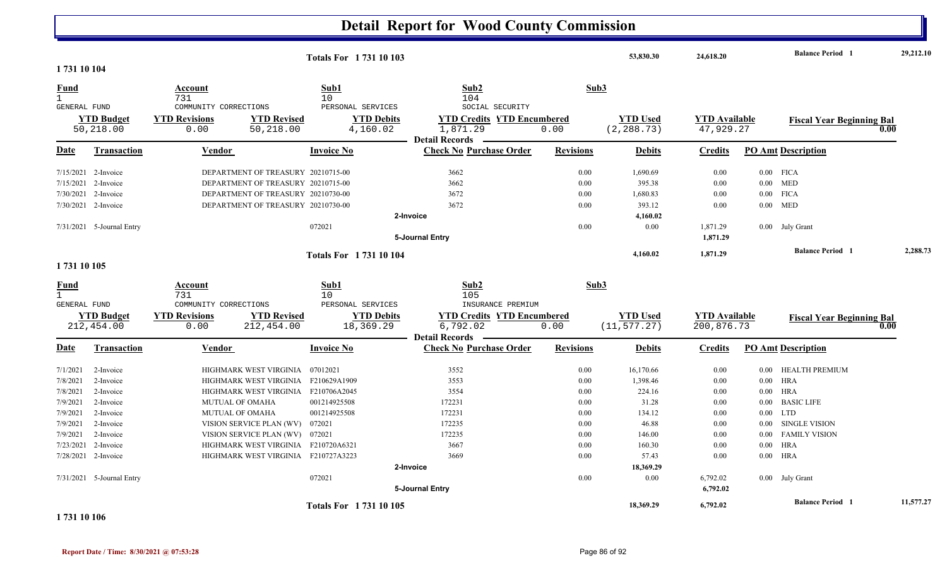| 1731 10 104                 |                                 |                                                                     | <b>Totals For 173110103</b>            |                                                         |                  | 53,830.30                       | 24,618.20                          |          | <b>Balance Period</b> 1          |      | 29,212.10 |
|-----------------------------|---------------------------------|---------------------------------------------------------------------|----------------------------------------|---------------------------------------------------------|------------------|---------------------------------|------------------------------------|----------|----------------------------------|------|-----------|
| <b>Fund</b><br>$\mathbf{1}$ |                                 | <u>Account</u><br>731                                               | Sub1<br>10                             | Sub2<br>104                                             | Sub3             |                                 |                                    |          |                                  |      |           |
| <b>GENERAL FUND</b>         | <b>YTD Budget</b>               | COMMUNITY CORRECTIONS<br><b>YTD Revisions</b><br><b>YTD Revised</b> | PERSONAL SERVICES<br><b>YTD Debits</b> | SOCIAL SECURITY<br><b>YTD Credits YTD Encumbered</b>    |                  | <b>YTD</b> Used                 | <b>YTD</b> Available               |          |                                  |      |           |
|                             | 50,218.00                       | 50,218.00<br>0.00                                                   | 4,160.02                               | 1,871.29                                                | 0.00             | (2, 288.73)                     | 47,929.27                          |          | <b>Fiscal Year Beginning Bal</b> | 0.00 |           |
| Date                        | Transaction                     | Vendor                                                              | <b>Invoice No</b>                      | <b>Detail Records</b><br><b>Check No Purchase Order</b> | <b>Revisions</b> | <b>Debits</b>                   | <b>Credits</b>                     |          | <b>PO Amt Description</b>        |      |           |
|                             | 7/15/2021 2-Invoice             | DEPARTMENT OF TREASURY 20210715-00                                  |                                        | 3662                                                    | 0.00             | 1,690.69                        | 0.00                               |          | $0.00$ FICA                      |      |           |
|                             | 7/15/2021 2-Invoice             | DEPARTMENT OF TREASURY 20210715-00                                  |                                        | 3662                                                    | 0.00             | 395.38                          | 0.00                               |          | $0.00$ MED                       |      |           |
|                             | 7/30/2021 2-Invoice             | DEPARTMENT OF TREASURY 20210730-00                                  |                                        | 3672                                                    | 0.00             | 1,680.83                        | 0.00                               |          | $0.00$ FICA                      |      |           |
|                             | 7/30/2021 2-Invoice             | DEPARTMENT OF TREASURY 20210730-00                                  |                                        | 3672                                                    | 0.00             | 393.12                          | 0.00                               |          | $0.00$ MED                       |      |           |
|                             |                                 |                                                                     |                                        | 2-Invoice                                               |                  | 4,160.02                        |                                    |          |                                  |      |           |
| 7/31/2021 5-Journal Entry   |                                 |                                                                     | 072021                                 |                                                         | 0.00             | 0.00                            | 1,871.29                           |          | 0.00 July Grant                  |      |           |
|                             |                                 |                                                                     |                                        | 5-Journal Entry                                         |                  |                                 | 1,871.29                           |          | <b>Balance Period</b> 1          |      |           |
|                             |                                 |                                                                     | <b>Totals For 173110104</b>            |                                                         |                  | 4,160.02                        | 1,871.29                           |          |                                  |      | 2,288.73  |
| 1731 10 105                 |                                 |                                                                     |                                        |                                                         |                  |                                 |                                    |          |                                  |      |           |
| <b>Fund</b>                 |                                 | Account                                                             | Sub1                                   | Sub2                                                    | Sub3             |                                 |                                    |          |                                  |      |           |
| $\mathbf{1}$                |                                 | 731                                                                 | 10 <sup>°</sup>                        | 105                                                     |                  |                                 |                                    |          |                                  |      |           |
| GENERAL FUND                |                                 | COMMUNITY CORRECTIONS                                               | PERSONAL SERVICES                      | INSURANCE PREMIUM                                       |                  |                                 |                                    |          |                                  |      |           |
|                             | <b>YTD Budget</b><br>212,454.00 | <b>YTD Revisions</b><br><b>YTD Revised</b><br>212,454.00<br>0.00    | <b>YTD Debits</b><br>18,369.29         | <b>YTD Credits YTD Encumbered</b><br>6,792.02           | 0.00             | <b>YTD</b> Used<br>(11, 577.27) | <b>YTD</b> Available<br>200,876.73 |          | <b>Fiscal Year Beginning Bal</b> | 0.00 |           |
|                             |                                 |                                                                     |                                        | <b>Detail Records</b>                                   |                  |                                 |                                    |          |                                  |      |           |
| Date                        | <b>Transaction</b>              | <b>Vendor</b>                                                       | <b>Invoice No</b>                      | <b>Check No Purchase Order</b>                          | <b>Revisions</b> | <b>Debits</b>                   | <b>Credits</b>                     |          | <b>PO Amt Description</b>        |      |           |
| 7/1/2021                    | 2-Invoice                       | HIGHMARK WEST VIRGINIA 07012021                                     |                                        | 3552                                                    | 0.00             | 16,170.66                       | 0.00                               |          | 0.00 HEALTH PREMIUM              |      |           |
| 7/8/2021                    | 2-Invoice                       | HIGHMARK WEST VIRGINIA F210629A1909                                 |                                        | 3553                                                    | 0.00             | 1,398.46                        | 0.00                               | $0.00\,$ | HRA                              |      |           |
| 7/8/2021                    | 2-Invoice                       | HIGHMARK WEST VIRGINIA F210706A2045                                 |                                        | 3554                                                    | 0.00             | 224.16                          | 0.00                               |          | $0.00$ HRA                       |      |           |
| 7/9/2021                    | 2-Invoice                       | <b>MUTUAL OF OMAHA</b>                                              | 001214925508                           | 172231                                                  | 0.00             | 31.28                           | 0.00                               | $0.00\,$ | <b>BASIC LIFE</b>                |      |           |
| 7/9/2021                    | 2-Invoice                       | <b>MUTUAL OF OMAHA</b>                                              | 001214925508                           | 172231                                                  | 0.00             | 134.12                          | 0.00                               | $0.00\,$ | <b>LTD</b>                       |      |           |
| 7/9/2021                    | 2-Invoice                       | VISION SERVICE PLAN (WV)                                            | 072021                                 | 172235                                                  | 0.00             | 46.88                           | 0.00                               | $0.00\,$ | <b>SINGLE VISION</b>             |      |           |
| 7/9/2021                    | 2-Invoice                       | VISION SERVICE PLAN (WV)                                            | 072021                                 | 172235                                                  | 0.00             | 146.00                          | 0.00                               | 0.00     | <b>FAMILY VISION</b>             |      |           |
|                             | 7/23/2021 2-Invoice             | HIGHMARK WEST VIRGINIA F210720A6321                                 |                                        | 3667                                                    | 0.00             | 160.30                          | 0.00                               | $0.00\,$ | <b>HRA</b>                       |      |           |
|                             | 7/28/2021 2-Invoice             | HIGHMARK WEST VIRGINIA F210727A3223                                 |                                        | 3669                                                    | 0.00             | 57.43                           | 0.00                               |          | $0.00$ HRA                       |      |           |
|                             |                                 |                                                                     |                                        | 2-Invoice                                               |                  | 18,369.29                       |                                    |          |                                  |      |           |
|                             | 7/31/2021 5-Journal Entry       |                                                                     | 072021                                 |                                                         | 0.00             | 0.00                            | 6,792.02                           |          | 0.00 July Grant                  |      |           |
|                             |                                 |                                                                     |                                        | 5-Journal Entry                                         |                  |                                 | 6,792.02                           |          | <b>Balance Period</b> 1          |      | 11,577.27 |
| 1731 10 106                 |                                 |                                                                     | <b>Totals For 173110105</b>            |                                                         |                  | 18,369.29                       | 6,792.02                           |          |                                  |      |           |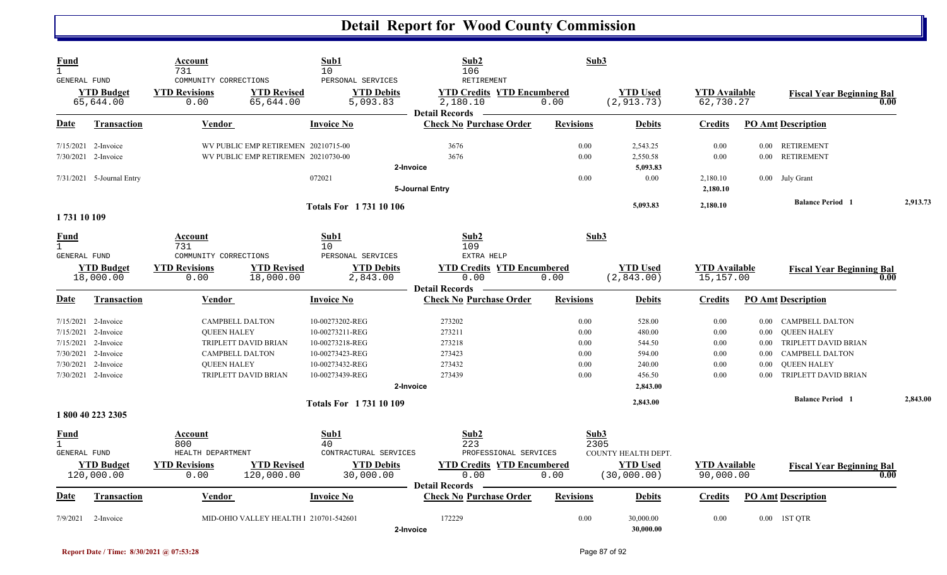| Fund<br>$\mathbf{1}$<br>GENERAL FUND                        |                                                                                                | Account<br>731<br>COMMUNITY CORRECTIONS                                                      |                                                                            | Sub1<br>10<br>PERSONAL SERVICES                                                                                | Sub2<br>106<br>RETIREMENT                                                                       | Sub3                                         |                                                                      |                                              |                                                              |                                                                                                                                              |          |
|-------------------------------------------------------------|------------------------------------------------------------------------------------------------|----------------------------------------------------------------------------------------------|----------------------------------------------------------------------------|----------------------------------------------------------------------------------------------------------------|-------------------------------------------------------------------------------------------------|----------------------------------------------|----------------------------------------------------------------------|----------------------------------------------|--------------------------------------------------------------|----------------------------------------------------------------------------------------------------------------------------------------------|----------|
|                                                             | <b>YTD Budget</b><br>65,644.00                                                                 | <b>YTD Revisions</b><br>0.00                                                                 | <b>YTD Revised</b><br>65,644.00                                            | <b>YTD Debits</b><br>5,093.83                                                                                  | <b>YTD Credits YTD Encumbered</b><br>2,180.10<br><b>Detail Records</b>                          | 0.00                                         | <b>YTD Used</b><br>(2, 913.73)                                       | <b>YTD Available</b><br>62,730.27            |                                                              | <b>Fiscal Year Beginning Bal</b><br>0.00                                                                                                     |          |
| Date                                                        | <b>Transaction</b>                                                                             | <b>Vendor</b>                                                                                |                                                                            | <b>Invoice No</b>                                                                                              | <b>Check No Purchase Order</b>                                                                  | <b>Revisions</b>                             | <b>Debits</b>                                                        | <b>Credits</b>                               |                                                              | <b>PO Amt Description</b>                                                                                                                    |          |
|                                                             | $7/15/2021$ 2-Invoice<br>7/30/2021 2-Invoice                                                   |                                                                                              | WV PUBLIC EMP RETIREMEN 20210715-00<br>WV PUBLIC EMP RETIREMEN 20210730-00 |                                                                                                                | 3676<br>3676<br>2-Invoice                                                                       | 0.00<br>0.00                                 | 2,543.25<br>2,550.58<br>5,093.83                                     | 0.00<br>$0.00\,$                             |                                                              | 0.00 RETIREMENT<br>0.00 RETIREMENT                                                                                                           |          |
|                                                             | 7/31/2021 5-Journal Entry                                                                      |                                                                                              |                                                                            | 072021                                                                                                         | <b>5-Journal Entry</b>                                                                          | 0.00                                         | $0.00\,$                                                             | 2,180.10<br>2,180.10                         |                                                              | 0.00 July Grant                                                                                                                              |          |
|                                                             |                                                                                                |                                                                                              |                                                                            | <b>Totals For 173110106</b>                                                                                    |                                                                                                 |                                              | 5,093.83                                                             | 2,180.10                                     |                                                              | <b>Balance Period 1</b>                                                                                                                      | 2,913.73 |
| 1 731 10 109<br>Fund<br>$\mathbf{1}$<br><b>GENERAL FUND</b> | <b>YTD Budget</b><br>18,000.00                                                                 | <b>Account</b><br>731<br>COMMUNITY CORRECTIONS<br><b>YTD Revisions</b><br>0.00               | <b>YTD Revised</b><br>18,000.00                                            | Sub1<br>10<br>PERSONAL SERVICES<br><b>YTD Debits</b><br>2,843.00                                               | Sub2<br>109<br>EXTRA HELP<br><b>YTD Credits YTD Encumbered</b><br>0.00<br><b>Detail Records</b> | Sub3<br>0.00                                 | <b>YTD</b> Used<br>(2,843.00)                                        | <b>YTD</b> Available<br>15,157.00            |                                                              | <b>Fiscal Year Beginning Bal</b><br>0.00                                                                                                     |          |
| D <u>ate</u>                                                | <b>Transaction</b>                                                                             | Vendor                                                                                       |                                                                            | <b>Invoice No</b>                                                                                              | <b>Check No Purchase Order</b>                                                                  | <b>Revisions</b>                             | <b>Debits</b>                                                        | <b>Credits</b>                               |                                                              | <b>PO Amt Description</b>                                                                                                                    |          |
| 7/15/2021<br>7/15/2021<br>7/30/2021<br>7/30/2021            | 2-Invoice<br>7/15/2021 2-Invoice<br>2-Invoice<br>2-Invoice<br>2-Invoice<br>7/30/2021 2-Invoice | <b>CAMPBELL DALTON</b><br><b>QUEEN HALEY</b><br><b>CAMPBELL DALTON</b><br><b>OUEEN HALEY</b> | TRIPLETT DAVID BRIAN<br>TRIPLETT DAVID BRIAN                               | 10-00273202-REG<br>10-00273211-REG<br>10-00273218-REG<br>10-00273423-REG<br>10-00273432-REG<br>10-00273439-REG | 273202<br>273211<br>273218<br>273423<br>273432<br>273439<br>2-Invoice                           | 0.00<br>0.00<br>0.00<br>0.00<br>0.00<br>0.00 | 528.00<br>480.00<br>544.50<br>594.00<br>240.00<br>456.50<br>2,843.00 | 0.00<br>0.00<br>0.00<br>0.00<br>0.00<br>0.00 | $0.00\,$<br>$0.00\,$<br>$0.00\,$<br>0.00<br>0.00<br>$0.00\,$ | <b>CAMPBELL DALTON</b><br><b>QUEEN HALEY</b><br>TRIPLETT DAVID BRIAN<br><b>CAMPBELL DALTON</b><br><b>OUEEN HALEY</b><br>TRIPLETT DAVID BRIAN |          |
|                                                             | 1 800 40 223 2305                                                                              |                                                                                              |                                                                            | <b>Totals For 173110109</b>                                                                                    |                                                                                                 |                                              | 2,843.00                                                             |                                              |                                                              | <b>Balance Period 1</b>                                                                                                                      | 2,843.00 |
| Fund<br>$\mathbf{1}$<br>GENERAL FUND                        | <b>YTD Budget</b><br>120,000.00                                                                | Account<br>800<br>HEALTH DEPARTMENT<br><b>YTD Revisions</b><br>0.00                          | <b>YTD Revised</b><br>120,000.00                                           | Sub1<br>40<br>CONTRACTURAL SERVICES<br><b>YTD Debits</b><br>30,000.00                                          | Sub2<br>223<br>PROFESSIONAL SERVICES<br><b>YTD Credits YTD Encumbered</b><br>0.00               | Sub3<br>2305<br>0.00                         | COUNTY HEALTH DEPT.<br><b>YTD</b> Used<br>(30,000.00)                | <b>YTD</b> Available<br>90,000.00            |                                                              | <b>Fiscal Year Beginning Bal</b><br>0.00                                                                                                     |          |
| Date                                                        | <b>Transaction</b>                                                                             | <b>Vendor</b>                                                                                |                                                                            | <b>Invoice No</b>                                                                                              | <b>Detail Records</b><br><b>Check No Purchase Order</b>                                         | <b>Revisions</b>                             | <b>Debits</b>                                                        | <b>Credits</b>                               |                                                              | <b>PO Amt Description</b>                                                                                                                    |          |
| 7/9/2021                                                    | 2-Invoice                                                                                      |                                                                                              | MID-OHIO VALLEY HEALTH   210701-542601                                     |                                                                                                                | 172229<br>2-Invoice                                                                             | 0.00                                         | 30,000.00<br>30,000.00                                               | 0.00                                         |                                                              | 0.00 1ST QTR                                                                                                                                 |          |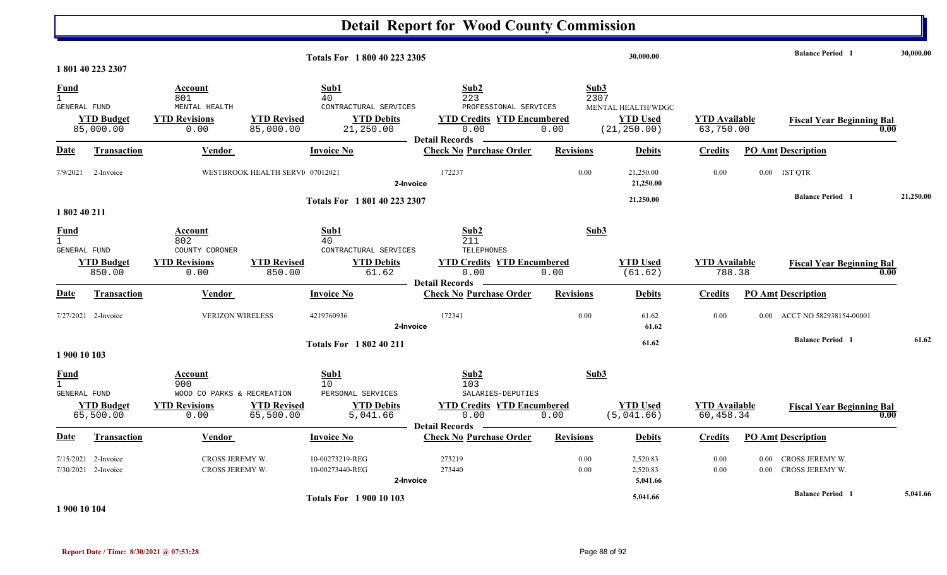| Totals For 1800 40 223 2305                        |                                            |                                                                              |                                 | 30,000.00                                                                     |                                                                                                            |                      |                                                       | <b>Balance Period</b> 1           | 30,000.00    |                                          |           |
|----------------------------------------------------|--------------------------------------------|------------------------------------------------------------------------------|---------------------------------|-------------------------------------------------------------------------------|------------------------------------------------------------------------------------------------------------|----------------------|-------------------------------------------------------|-----------------------------------|--------------|------------------------------------------|-----------|
|                                                    | 1801402232307                              |                                                                              |                                 |                                                                               |                                                                                                            |                      |                                                       |                                   |              |                                          |           |
| <b>Fund</b><br>$\mathbf{1}$<br><b>GENERAL FUND</b> | <b>YTD Budget</b><br>85,000.00             | Account<br>801<br>MENTAL HEALTH<br><b>YTD Revisions</b><br>0.00              | <b>YTD Revised</b><br>85,000.00 | Sub1<br>40<br>CONTRACTURAL SERVICES<br><b>YTD Debits</b><br>21,250.00         | Sub2<br>223<br>PROFESSIONAL SERVICES<br><b>YTD Credits YTD Encumbered</b><br>0.00<br><b>Detail Records</b> | Sub3<br>2307<br>0.00 | MENTAL HEALTH/WDGC<br><b>YTD</b> Used<br>(21, 250.00) | <b>YTD</b> Available<br>63,750.00 |              | <b>Fiscal Year Beginning Bal</b><br>0.00 |           |
| Date                                               | <b>Transaction</b>                         | Vendor                                                                       |                                 | <b>Invoice No</b>                                                             | <b>Check No Purchase Order</b>                                                                             | <b>Revisions</b>     | <b>Debits</b>                                         | <b>Credits</b>                    |              | <b>PO Amt Description</b>                |           |
| 7/9/2021                                           | 2-Invoice                                  |                                                                              | WESTBROOK HEALTH SERVI 07012021 | 2-Invoice                                                                     | 172237                                                                                                     | 0.00                 | 21,250.00<br>21,250.00                                | 0.00                              |              | 0.00 1ST QTR                             |           |
| 1 802 40 211                                       |                                            |                                                                              |                                 | Totals For 1801 40 223 2307                                                   |                                                                                                            |                      | 21,250.00                                             |                                   |              | <b>Balance Period</b> 1                  | 21,250.00 |
| <b>Fund</b><br>$\mathbf{1}$<br><b>GENERAL FUND</b> | <b>YTD Budget</b><br>850.00                | Account<br>802<br>COUNTY CORONER<br><b>YTD Revisions</b><br>0.00             | <b>YTD Revised</b><br>850.00    | Sub1<br>40<br>CONTRACTURAL SERVICES<br><b>YTD Debits</b><br>61.62             | Sub2<br>211<br>TELEPHONES<br><b>YTD Credits YTD Encumbered</b><br>0.00<br><b>Detail Records</b>            | Sub3<br>0.00         | <b>YTD Used</b><br>(61.62)                            | <b>YTD</b> Available<br>788.38    |              | <b>Fiscal Year Beginning Bal</b><br>0.00 |           |
| Date                                               | Transaction                                | <b>Vendor</b>                                                                |                                 | <b>Invoice No</b>                                                             | <b>Check No Purchase Order</b>                                                                             | <b>Revisions</b>     | <b>Debits</b>                                         | <b>Credits</b>                    |              | <b>PO Amt Description</b>                |           |
|                                                    | 7/27/2021 2-Invoice                        | <b>VERIZON WIRELESS</b>                                                      |                                 | 4219760936<br>2-Invoice                                                       | 172341                                                                                                     | 0.00                 | 61.62<br>61.62                                        | 0.00                              | $0.00 -$     | ACCT NO 582938154-00001                  |           |
| 1 900 10 103                                       |                                            |                                                                              |                                 | <b>Totals For 1802 40 211</b>                                                 |                                                                                                            |                      | 61.62                                                 |                                   |              | <b>Balance Period 1</b>                  | 61.62     |
| <b>Fund</b><br>$\mathbf{1}$<br><b>GENERAL FUND</b> | <b>YTD Budget</b><br>65,500.00             | Account<br>900<br>WOOD CO PARKS & RECREATION<br><b>YTD Revisions</b><br>0.00 | <b>YTD Revised</b><br>65,500.00 | Sub1<br>10 <sup>°</sup><br>PERSONAL SERVICES<br><b>YTD Debits</b><br>5,041.66 | Sub2<br>103<br>SALARIES-DEPUTIES<br><b>YTD Credits YTD Encumbered</b><br>0.00                              | Sub3<br>0.00         | <b>YTD Used</b><br>(5,041.66)                         | <b>YTD Available</b><br>60,458.34 |              | <b>Fiscal Year Beginning Bal</b><br>0.00 |           |
| Date                                               | Transaction                                | <b>Vendor</b>                                                                |                                 | <b>Invoice No</b>                                                             | <b>Detail Records</b><br><b>Check No Purchase Order</b>                                                    | <b>Revisions</b>     | <b>Debits</b>                                         | <b>Credits</b>                    |              | <b>PO Amt Description</b>                |           |
|                                                    | 7/15/2021 2-Invoice<br>7/30/2021 2-Invoice | CROSS JEREMY W.<br>CROSS JEREMY W.                                           |                                 | 10-00273219-REG<br>10-00273440-REG<br>2-Invoice                               | 273219<br>273440                                                                                           | 0.00<br>0.00         | 2,520.83<br>2,520.83<br>5,041.66                      | 0.00<br>0.00                      | 0.00<br>0.00 | CROSS JEREMY W.<br>CROSS JEREMY W.       |           |
| .                                                  |                                            |                                                                              |                                 | <b>Totals For 1 900 10 103</b>                                                |                                                                                                            |                      | 5,041.66                                              |                                   |              | <b>Balance Period</b> 1                  | 5,041.66  |

**1 900 10 104**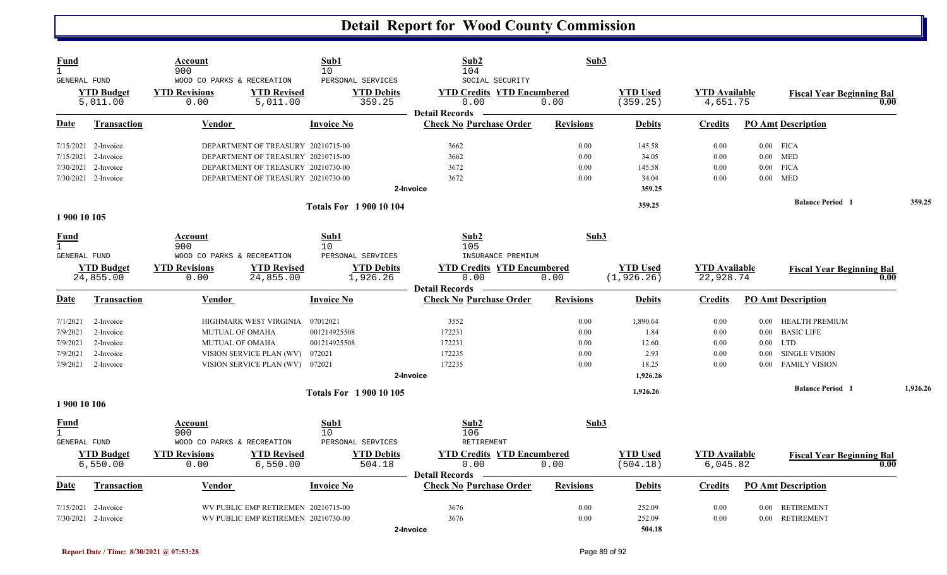| Fund<br>$\mathbf{1}$<br><b>GENERAL FUND</b> |                               | Account<br>900<br>WOOD CO PARKS & RECREATION |                                     | Sub1<br>10<br>PERSONAL SERVICES | Sub2<br>104<br>SOCIAL SECURITY                                     | Sub3             |                             |                                  |                         |                                  |        |          |
|---------------------------------------------|-------------------------------|----------------------------------------------|-------------------------------------|---------------------------------|--------------------------------------------------------------------|------------------|-----------------------------|----------------------------------|-------------------------|----------------------------------|--------|----------|
|                                             | <b>YTD Budget</b><br>5,011.00 | <b>YTD Revisions</b><br>0.00                 | <b>YTD Revised</b><br>5,011.00      | <b>YTD Debits</b><br>359.25     | <b>YTD Credits YTD Encumbered</b><br>0.00<br><b>Detail Records</b> | 0.00             | <b>YTD</b> Used<br>(359.25) | <b>YTD</b> Available<br>4,651.75 |                         | <b>Fiscal Year Beginning Bal</b> | 0.00   |          |
| Date                                        | <b>Transaction</b>            | <b>Vendor</b>                                |                                     | <b>Invoice No</b>               | <b>Check No Purchase Order</b>                                     | <b>Revisions</b> | <b>Debits</b>               | <b>Credits</b>                   |                         | <b>PO Amt Description</b>        |        |          |
|                                             | 7/15/2021 2-Invoice           |                                              | DEPARTMENT OF TREASURY 20210715-00  |                                 | 3662                                                               | 0.00             | 145.58                      | 0.00                             |                         | $0.00$ FICA                      |        |          |
| 7/15/2021                                   | 2-Invoice                     |                                              | DEPARTMENT OF TREASURY 20210715-00  |                                 | 3662                                                               | 0.00             | 34.05                       | 0.00                             |                         | $0.00$ MED                       |        |          |
| 7/30/2021                                   | 2-Invoice                     |                                              | DEPARTMENT OF TREASURY 20210730-00  |                                 | 3672                                                               | 0.00             | 145.58                      | 0.00                             |                         | $0.00$ FICA                      |        |          |
|                                             | 7/30/2021 2-Invoice           |                                              | DEPARTMENT OF TREASURY 20210730-00  |                                 | 3672                                                               | 0.00             | 34.04                       | 0.00                             |                         | $0.00$ MED                       |        |          |
|                                             |                               |                                              |                                     |                                 | 2-Invoice                                                          |                  | 359.25                      |                                  |                         |                                  |        |          |
|                                             | <b>Totals For 190010104</b>   |                                              |                                     |                                 |                                                                    | 359.25           |                             |                                  | <b>Balance Period 1</b> |                                  | 359.25 |          |
| 1 900 10 105                                |                               |                                              |                                     |                                 |                                                                    |                  |                             |                                  |                         |                                  |        |          |
| <b>Fund</b><br>$\mathbf{1}$                 |                               | Account<br>900                               |                                     | Sub1<br>10                      | Sub2<br>105                                                        | Sub3             |                             |                                  |                         |                                  |        |          |
| GENERAL FUND                                |                               | WOOD CO PARKS & RECREATION                   |                                     | PERSONAL SERVICES               | INSURANCE PREMIUM                                                  |                  |                             |                                  |                         |                                  |        |          |
|                                             | <b>YTD Budget</b>             | <b>YTD Revisions</b>                         | <b>YTD Revised</b>                  | <b>YTD Debits</b>               | <b>YTD Credits YTD Encumbered</b>                                  |                  | <b>YTD Used</b>             | <b>YTD</b> Available             |                         | <b>Fiscal Year Beginning Bal</b> |        |          |
|                                             | 24,855.00                     | 0.00                                         | 24,855.00                           | 1,926.26                        | 0.00<br><b>Detail Records</b>                                      | 0.00             | (1, 926.26)                 | 22,928.74                        |                         |                                  | 0.00   |          |
| Date                                        | <b>Transaction</b>            | Vendor                                       |                                     | <b>Invoice No</b>               | <b>Check No Purchase Order</b>                                     | <b>Revisions</b> | <b>Debits</b>               | <b>Credits</b>                   |                         | <b>PO Amt Description</b>        |        |          |
| 7/1/2021                                    | 2-Invoice                     |                                              | HIGHMARK WEST VIRGINIA              | 07012021                        | 3552                                                               | 0.00             | 1,890.64                    | 0.00                             | $0.00\,$                | HEALTH PREMIUM                   |        |          |
| 7/9/2021                                    | 2-Invoice                     | <b>MUTUAL OF OMAHA</b>                       |                                     | 001214925508                    | 172231                                                             | 0.00             | 1.84                        | 0.00                             | $0.00\,$                | <b>BASIC LIFE</b>                |        |          |
| 7/9/2021                                    | 2-Invoice                     | MUTUAL OF OMAHA                              |                                     | 001214925508                    | 172231                                                             | 0.00             | 12.60                       | 0.00                             |                         | $0.00$ LTD                       |        |          |
| 7/9/2021                                    | 2-Invoice                     |                                              | VISION SERVICE PLAN (WV)            | 072021                          | 172235                                                             | 0.00             | 2.93                        | 0.00                             | $0.00\,$                | <b>SINGLE VISION</b>             |        |          |
| 7/9/2021                                    | 2-Invoice                     |                                              | VISION SERVICE PLAN (WV) 072021     |                                 | 172235                                                             | 0.00             | 18.25                       | 0.00                             | 0.00 <sub>1</sub>       | <b>FAMILY VISION</b>             |        |          |
|                                             |                               |                                              |                                     |                                 | 2-Invoice                                                          |                  | 1,926.26                    |                                  |                         |                                  |        |          |
|                                             |                               |                                              |                                     | <b>Totals For 1900 10 105</b>   |                                                                    |                  | 1,926.26                    |                                  |                         | <b>Balance Period</b> 1          |        | 1,926.26 |
| 1 900 10 106                                |                               |                                              |                                     |                                 |                                                                    |                  |                             |                                  |                         |                                  |        |          |
| <u>Fund</u><br>$\mathbf{1}$                 |                               | <b>Account</b><br>900                        |                                     | Sub1<br>10                      | Sub2<br>106                                                        | Sub3             |                             |                                  |                         |                                  |        |          |
| <b>GENERAL FUND</b>                         |                               | WOOD CO PARKS & RECREATION                   |                                     | PERSONAL SERVICES               | RETIREMENT                                                         |                  |                             |                                  |                         |                                  |        |          |
|                                             | <b>YTD Budget</b>             | <b>YTD Revisions</b>                         | <b>YTD Revised</b>                  | <b>YTD Debits</b>               | <b>YTD Credits YTD Encumbered</b>                                  |                  | <b>YTD Used</b>             | <b>YTD Available</b>             |                         | <b>Fiscal Year Beginning Bal</b> |        |          |
|                                             | 6,550.00                      | 0.00                                         | 6,550.00                            | 504.18                          | 0.00                                                               | 0.00             | (504.18)                    | 6,045.82                         |                         |                                  | 0.00   |          |
| Date                                        | Transaction                   | Vendor                                       |                                     | <b>Invoice No</b>               | <b>Detail Records</b><br><b>Check No Purchase Order</b>            | <b>Revisions</b> | <b>Debits</b>               | <b>Credits</b>                   |                         | <b>PO Amt Description</b>        |        |          |
| 7/15/2021                                   | 2-Invoice                     |                                              | WV PUBLIC EMP RETIREMEN 20210715-00 |                                 | 3676                                                               | 0.00             | 252.09                      | 0.00                             | $0.00\,$                | RETIREMENT                       |        |          |
|                                             | 7/30/2021 2-Invoice           |                                              | WV PUBLIC EMP RETIREMEN 20210730-00 |                                 | 3676                                                               | 0.00             | 252.09                      | 0.00                             |                         | 0.00 RETIREMENT                  |        |          |
|                                             |                               |                                              |                                     |                                 | 2-Invoice                                                          |                  | 504.18                      |                                  |                         |                                  |        |          |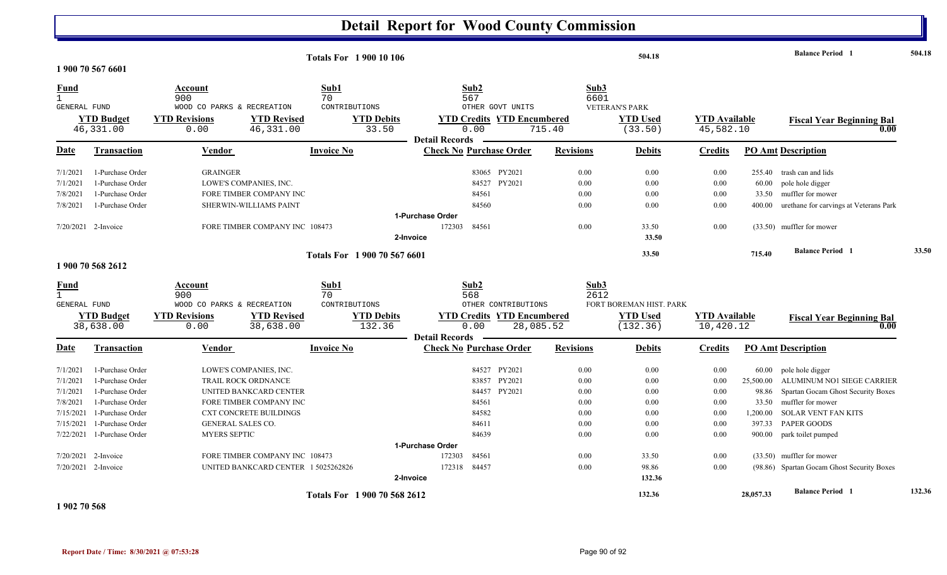|                                                                                     | 1 900 70 567 6601                                                                                                                                                                          |                                                                                                                                                                                                                                                                 | <b>Totals For 1 900 10 106</b>                             |                                                                                                                                                               |                                                                      | 504.18                                                                           |                                                                      |                                                                      | <b>Balance Period 1</b>                                                                                                                                                                                                                                 | 504.18 |
|-------------------------------------------------------------------------------------|--------------------------------------------------------------------------------------------------------------------------------------------------------------------------------------------|-----------------------------------------------------------------------------------------------------------------------------------------------------------------------------------------------------------------------------------------------------------------|------------------------------------------------------------|---------------------------------------------------------------------------------------------------------------------------------------------------------------|----------------------------------------------------------------------|----------------------------------------------------------------------------------|----------------------------------------------------------------------|----------------------------------------------------------------------|---------------------------------------------------------------------------------------------------------------------------------------------------------------------------------------------------------------------------------------------------------|--------|
| <b>Fund</b><br>$\mathbf{1}$<br>GENERAL FUND                                         | <b>YTD Budget</b><br>46,331.00                                                                                                                                                             | Account<br>900<br>WOOD CO PARKS & RECREATION<br><b>YTD Revised</b><br><b>YTD Revisions</b><br>46,331.00<br>0.00                                                                                                                                                 | Sub1<br>70<br>CONTRIBUTIONS<br><b>YTD Debits</b><br>33.50  | Sub2<br>567<br>OTHER GOVT UNITS<br><b>YTD Credits YTD Encumbered</b><br>0.00                                                                                  | Sub3<br>6601<br>715.40                                               | <b>VETERAN'S PARK</b><br><b>YTD Used</b><br>(33.50)                              | <b>YTD</b> Available<br>45,582.10                                    |                                                                      | <b>Fiscal Year Beginning Bal</b><br>0.00                                                                                                                                                                                                                |        |
| Date                                                                                | Transaction                                                                                                                                                                                | <b>Vendor</b>                                                                                                                                                                                                                                                   | <b>Invoice No</b>                                          | <b>Detail Records</b><br><b>Check No Purchase Order</b>                                                                                                       | <b>Revisions</b>                                                     | <b>Debits</b>                                                                    | <b>Credits</b>                                                       |                                                                      | <b>PO Amt Description</b>                                                                                                                                                                                                                               |        |
| 7/1/2021<br>7/1/2021<br>7/8/2021<br>7/8/2021                                        | 1-Purchase Order<br>1-Purchase Order<br>1-Purchase Order<br>1-Purchase Order                                                                                                               | <b>GRAINGER</b><br>LOWE'S COMPANIES, INC.<br>FORE TIMBER COMPANY INC<br>SHERWIN-WILLIAMS PAINT                                                                                                                                                                  |                                                            | 83065 PY2021<br>84527 PY2021<br>84561<br>84560                                                                                                                | 0.00<br>0.00<br>0.00<br>0.00                                         | 0.00<br>0.00<br>0.00<br>0.00                                                     | 0.00<br>0.00<br>0.00<br>0.00                                         | 60.00<br>33.50<br>400.00                                             | 255.40 trash can and lids<br>pole hole digger<br>muffler for mower<br>urethane for carvings at Veterans Park                                                                                                                                            |        |
|                                                                                     | 7/20/2021 2-Invoice                                                                                                                                                                        | FORE TIMBER COMPANY INC 108473                                                                                                                                                                                                                                  |                                                            | 1-Purchase Order<br>84561<br>172303<br>2-Invoice                                                                                                              | 0.00                                                                 | 33.50<br>33.50                                                                   | 0.00                                                                 |                                                                      | (33.50) muffler for mower                                                                                                                                                                                                                               |        |
|                                                                                     | 1 900 70 568 2612                                                                                                                                                                          |                                                                                                                                                                                                                                                                 | Totals For 1 900 70 567 6601                               |                                                                                                                                                               |                                                                      | 33.50                                                                            |                                                                      | 715.40                                                               | <b>Balance Period</b> 1                                                                                                                                                                                                                                 | 33.50  |
| <b>Fund</b><br>$\mathbf{1}$<br><b>GENERAL FUND</b>                                  | <b>YTD Budget</b><br>38,638.00                                                                                                                                                             | Account<br>900<br>WOOD CO PARKS & RECREATION<br><b>YTD Revisions</b><br><b>YTD Revised</b><br>0.00<br>38,638.00                                                                                                                                                 | Sub1<br>70<br>CONTRIBUTIONS<br><b>YTD Debits</b><br>132.36 | Sub2<br>568<br>OTHER CONTRIBUTIONS<br><b>YTD Credits YTD Encumbered</b><br>0.00<br><b>Detail Records</b>                                                      | Sub3<br>2612<br>28,085.52                                            | FORT BOREMAN HIST. PARK<br><b>YTD Used</b><br>(132.36)                           | <b>YTD Available</b><br>10,420.12                                    |                                                                      | <b>Fiscal Year Beginning Bal</b><br>0.00                                                                                                                                                                                                                |        |
| Date                                                                                | Transaction                                                                                                                                                                                | Vendor                                                                                                                                                                                                                                                          | <b>Invoice No</b>                                          | <b>Check No Purchase Order</b>                                                                                                                                | <b>Revisions</b>                                                     | <b>Debits</b>                                                                    | Credits                                                              |                                                                      | <b>PO Amt Description</b>                                                                                                                                                                                                                               |        |
| 7/1/2021<br>7/1/2021<br>7/1/2021<br>7/8/2021<br>7/15/2021<br>7/15/2021<br>7/22/2021 | 1-Purchase Order<br>1-Purchase Order<br>1-Purchase Order<br>1-Purchase Order<br>1-Purchase Order<br>1-Purchase Order<br>1-Purchase Order<br>$7/20/2021$ 2-Invoice<br>$7/20/2021$ 2-Invoice | LOWE'S COMPANIES, INC.<br><b>TRAIL ROCK ORDNANCE</b><br>UNITED BANKCARD CENTER<br>FORE TIMBER COMPANY INC<br><b>CXT CONCRETE BUILDINGS</b><br>GENERAL SALES CO.<br><b>MYERS SEPTIC</b><br>FORE TIMBER COMPANY INC 108473<br>UNITED BANKCARD CENTER 1 5025262826 |                                                            | 84527 PY2021<br>PY2021<br>83857<br>PY2021<br>84457<br>84561<br>84582<br>84611<br>84639<br>1-Purchase Order<br>84561<br>172303<br>84457<br>172318<br>2-Invoice | 0.00<br>0.00<br>0.00<br>0.00<br>0.00<br>0.00<br>0.00<br>0.00<br>0.00 | 0.00<br>0.00<br>0.00<br>0.00<br>0.00<br>0.00<br>0.00<br>33.50<br>98.86<br>132.36 | 0.00<br>0.00<br>0.00<br>0.00<br>0.00<br>0.00<br>0.00<br>0.00<br>0.00 | 60.00<br>25,500.00<br>98.86<br>33.50<br>1,200.00<br>397.33<br>900.00 | pole hole digger<br>ALUMINUM NO1 SIEGE CARRIER<br>Spartan Gocam Ghost Security Boxes<br>muffler for mower<br><b>SOLAR VENT FAN KITS</b><br>PAPER GOODS<br>park toilet pumped<br>(33.50) muffler for mower<br>(98.86) Spartan Gocam Ghost Security Boxes |        |
|                                                                                     |                                                                                                                                                                                            |                                                                                                                                                                                                                                                                 | Totals For 1 900 70 568 2612                               |                                                                                                                                                               |                                                                      | 132.36                                                                           |                                                                      | 28,057.33                                                            | <b>Balance Period</b> 1                                                                                                                                                                                                                                 | 132.36 |

**1 902 70 568**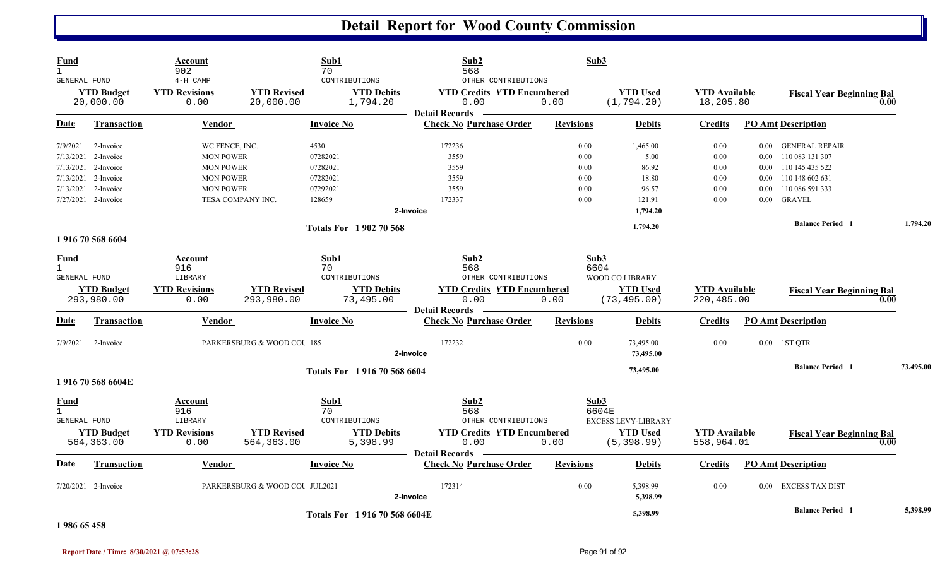| Fund<br>$\mathbf{1}$<br><b>GENERAL FUND</b>        |                                | Account<br>902<br>4-H CAMP   |                                 | Sub1<br>70<br>CONTRIBUTIONS   | Sub2<br>568<br>OTHER CONTRIBUTIONS                      | Sub3             |                                |                                   |          |                                          |           |
|----------------------------------------------------|--------------------------------|------------------------------|---------------------------------|-------------------------------|---------------------------------------------------------|------------------|--------------------------------|-----------------------------------|----------|------------------------------------------|-----------|
|                                                    | <b>YTD Budget</b><br>20,000.00 | <b>YTD Revisions</b><br>0.00 | <b>YTD Revised</b><br>20,000.00 | <b>YTD Debits</b><br>1,794.20 | <b>YTD Credits YTD Encumbered</b><br>0.00               | 0.00             | <b>YTD Used</b><br>(1, 794.20) | <b>YTD Available</b><br>18,205.80 |          | <b>Fiscal Year Beginning Bal</b><br>0.00 |           |
| Date                                               | Transaction                    | Vendor                       |                                 | <b>Invoice No</b>             | <b>Detail Records</b><br><b>Check No Purchase Order</b> | <b>Revisions</b> | <b>Debits</b>                  | <b>Credits</b>                    |          | <b>PO Amt Description</b>                |           |
| 7/9/2021                                           | 2-Invoice                      | WC FENCE, INC.               |                                 | 4530                          | 172236                                                  | 0.00             | 1,465.00                       | 0.00                              | 0.00     | <b>GENERAL REPAIR</b>                    |           |
|                                                    | $7/13/2021$ 2-Invoice          | <b>MON POWER</b>             |                                 | 07282021                      | 3559                                                    | 0.00             | 5.00                           | 0.00                              | 0.00     | 110 083 131 307                          |           |
|                                                    | 7/13/2021 2-Invoice            | <b>MON POWER</b>             |                                 | 07282021                      | 3559                                                    | 0.00             | 86.92                          | 0.00                              | $0.00\,$ | 110 145 435 522                          |           |
| 7/13/2021                                          | 2-Invoice                      | <b>MON POWER</b>             |                                 | 07282021                      | 3559                                                    | 0.00             | 18.80                          | 0.00                              | $0.00\,$ | 110 148 602 631                          |           |
| 7/13/2021                                          | 2-Invoice                      | <b>MON POWER</b>             |                                 | 07292021                      | 3559                                                    | 0.00             | 96.57                          | 0.00                              | 0.00     | 110 086 591 333                          |           |
|                                                    | 7/27/2021 2-Invoice            | TESA COMPANY INC.            |                                 | 128659                        | 172337                                                  | 0.00             | 121.91                         | 0.00                              | 0.00     | <b>GRAVEL</b>                            |           |
|                                                    |                                |                              |                                 |                               | 2-Invoice                                               |                  | 1,794.20                       |                                   |          |                                          |           |
|                                                    |                                |                              |                                 | <b>Totals For 1902 70 568</b> |                                                         |                  | 1,794.20                       |                                   |          | <b>Balance Period</b> 1                  | 1,794.20  |
|                                                    | 1916 70 568 6604               |                              |                                 |                               |                                                         |                  |                                |                                   |          |                                          |           |
| <b>Fund</b><br>$\mathbf{1}$<br><b>GENERAL FUND</b> |                                | Account<br>916<br>LIBRARY    |                                 | Sub1<br>70<br>CONTRIBUTIONS   | Sub2<br>568<br>OTHER CONTRIBUTIONS                      | Sub3<br>6604     | WOOD CO LIBRARY                |                                   |          |                                          |           |
|                                                    | <b>YTD Budget</b>              | <b>YTD Revisions</b>         | <b>YTD Revised</b>              | <b>YTD Debits</b>             | <b>YTD Credits YTD Encumbered</b>                       |                  | <b>YTD Used</b>                | <b>YTD Available</b>              |          |                                          |           |
|                                                    | 293,980.00                     | 0.00                         | 293,980.00                      | 73,495.00                     | 0.00                                                    | 0.00             | (73, 495.00)                   | 220,485.00                        |          | <b>Fiscal Year Beginning Bal</b><br>0.00 |           |
| <b>Date</b>                                        | <b>Transaction</b>             | Vendor                       |                                 | <b>Invoice No</b>             | <b>Detail Records</b><br><b>Check No Purchase Order</b> | <b>Revisions</b> | <b>Debits</b>                  | <b>Credits</b>                    |          | <b>PO Amt Description</b>                |           |
| 7/9/2021                                           | 2-Invoice                      |                              | PARKERSBURG & WOOD COU 185      |                               | 172232                                                  | 0.00             | 73,495.00                      | 0.00                              |          | 0.00 1ST QTR                             |           |
|                                                    |                                |                              |                                 |                               | 2-Invoice                                               |                  | 73,495.00                      |                                   |          |                                          |           |
|                                                    |                                |                              |                                 | Totals For 1916 70 568 6604   |                                                         |                  | 73,495.00                      |                                   |          | <b>Balance Period</b> 1                  | 73,495.00 |
|                                                    | 1916705686604E                 |                              |                                 |                               |                                                         |                  |                                |                                   |          |                                          |           |
| <b>Fund</b>                                        |                                | Account<br>916               |                                 | Sub1<br>70                    | Sub2<br>568                                             | Sub3             | 6604E                          |                                   |          |                                          |           |
| GENERAL FUND                                       |                                | LIBRARY                      |                                 | CONTRIBUTIONS                 | OTHER CONTRIBUTIONS                                     |                  | <b>EXCESS LEVY-LIBRARY</b>     |                                   |          |                                          |           |
|                                                    | <b>YTD Budget</b>              | <b>YTD Revisions</b>         | <b>YTD Revised</b>              | <b>YTD Debits</b>             | <b>YTD Credits YTD Encumbered</b>                       |                  | <b>YTD Used</b>                | <b>YTD</b> Available              |          | <b>Fiscal Year Beginning Bal</b>         |           |
|                                                    | 564, 363.00                    | 0.00                         | 564, 363.00                     | 5,398.99                      | 0.00                                                    | 0.00             | (5, 398.99)                    | 558,964.01                        |          | 0.00                                     |           |
| Date                                               | <b>Transaction</b>             | Vendor                       |                                 | <b>Invoice No</b>             | <b>Detail Records</b><br><b>Check No Purchase Order</b> | <b>Revisions</b> | <b>Debits</b>                  | <b>Credits</b>                    |          | <b>PO Amt Description</b>                |           |
|                                                    | 7/20/2021 2-Invoice            |                              | PARKERSBURG & WOOD COU JUL2021  |                               | 172314                                                  | 0.00             | 5,398.99                       | 0.00                              | 0.00     | EXCESS TAX DIST                          |           |
|                                                    |                                |                              |                                 |                               | 2-Invoice                                               |                  | 5,398.99                       |                                   |          |                                          |           |
|                                                    |                                |                              |                                 | Totals For 1916 70 568 6604E  |                                                         |                  | 5,398.99                       |                                   |          | <b>Balance Period 1</b>                  | 5,398.99  |

**1 986 65 458**